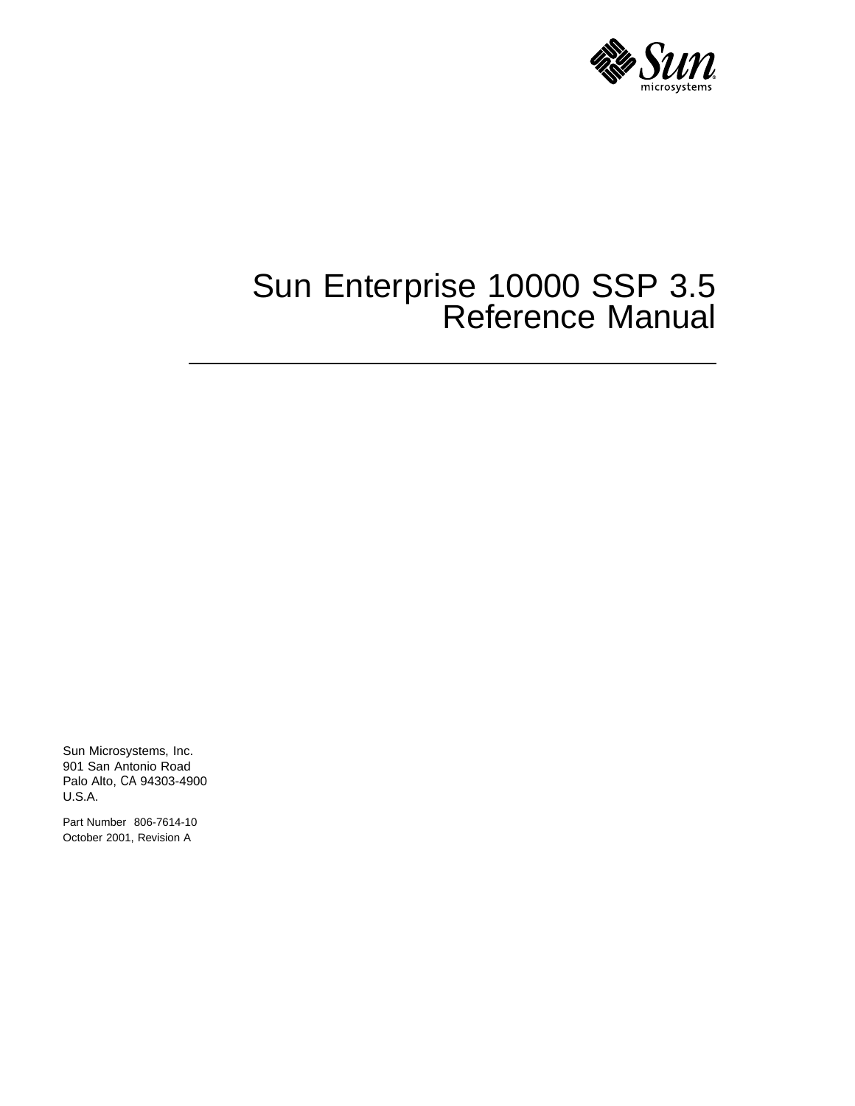

# Sun Enterprise 10000 SSP 3.5<br>Reference Manual

Sun Microsystems, Inc. 901 San Antonio Road Palo Alto, CA 94303-4900 U.S.A.

Part Number 806-7614-10 October 2001, Revision A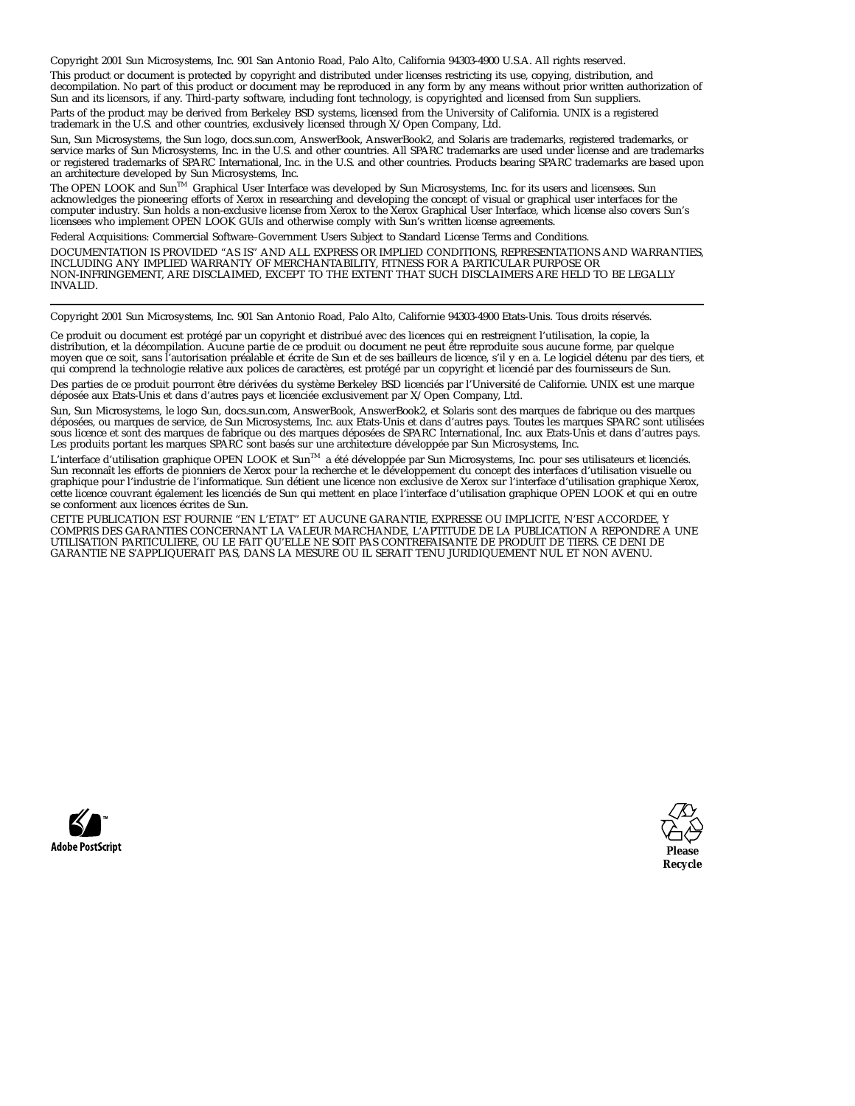Copyright 2001 Sun Microsystems, Inc. 901 San Antonio Road, Palo Alto, California 94303-4900 U.S.A. All rights reserved.

This product or document is protected by copyright and distributed under licenses restricting its use, copying, distribution, and decompilation. No part of this product or document may be reproduced in any form by any means without prior written authorization of Sun and its licensors, if any. Third-party software, including font technology, is copyrighted and licensed from Sun suppliers.

Parts of the product may be derived from Berkeley BSD systems, licensed from the University of California. UNIX is a registered trademark in the U.S. and other countries, exclusively licensed through X/Open Company, Ltd.

Sun, Sun Microsystems, the Sun logo, docs.sun.com, AnswerBook, AnswerBook2, and Solaris are trademarks, registered trademarks, or service marks of Sun Microsystems, Inc. in the U.S. and other countries. All SPARC trademarks are used under license and are trademarks or registered trademarks of SPARC International, Inc. in the U.S. and other countries. Products bearing SPARC trademarks are based upon an architecture developed by Sun Microsystems, Inc.

The OPEN LOOK and Sun™ Graphical User Interface was developed by Sun Microsystems, Inc. for its users and licensees. Sun acknowledges the pioneering efforts of Xerox in researching and developing the concept of visual or graphical user interfaces for the<br>computer industry. Sun holds a non-exclusive license from Xerox to the Xerox Graphical U licensees who implement OPEN LOOK GUIs and otherwise comply with Sun's written license agreements.

Federal Acquisitions: Commercial Software–Government Users Subject to Standard License Terms and Conditions. DOCUMENTATION IS PROVIDED "AS IS" AND ALL EXPRESS OR IMPLIED CONDITIONS, REPRESENTATIONS AND WARRANTIES, INCLUDING ANY IMPLIED WARRANTY OF MERCHANTABILITY, FITNESS FOR A PARTICULAR PURPOSE OR NON-INFRINGEMENT, ARE DISCLAIMED, EXCEPT TO THE EXTENT THAT SUCH DISCLAIMERS ARE HELD TO BE LEGALLY INVALID.

Copyright 2001 Sun Microsystems, Inc. 901 San Antonio Road, Palo Alto, Californie 94303-4900 Etats-Unis. Tous droits réservés.

Ce produit ou document est protégé par un copyright et distribué avec des licences qui en restreignent l'utilisation, la copie, la distribution, et la décompilation. Aucune partie de ce produit ou document ne peut être reproduite sous aucune forme, par quelque moyen que ce soit, sans l'autorisation préalable et écrite de Sun et de ses bailleurs de licence, s'il y en a. Le logiciel détenu par des tiers, et qui comprend la technologie relative aux polices de caractères, est protégé par un copyright et licencié par des fournisseurs de Sun.

Des parties de ce produit pourront être dérivées du système Berkeley BSD licenciés par l'Université de Californie. UNIX est une marque<br>déposée aux Etats-Unis et dans d'autres pays et licenciée exclusivement par X/Open Comp

Sun, Sun Microsystems, le logo Sun, docs.sun.com, AnswerBook, AnswerBook2, et Solaris sont des marques de fabrique ou des marques déposées, ou marques de service, de Sun Microsystems, Inc. aux Etats-Unis et dans d'autres pays. Toutes les marques SPARC sont utilisées<br>sous licence et sont des marques de fabrique ou des marques déposées de SPARC Interna Les produits portant les marques SPARC sont basés sur une architecture développée par Sun Microsystems, Inc.

L'interface d'utilisation graphique OPEN LOOK et Sun™ a été développée par Sun Microsystems, Inc. pour ses utilisateurs et licenciés.<br>Sun reconnaît les efforts de pionniers de Xerox pour la recherche et le développement d graphique pour l'industrie de l'informatique. Sun détient une licence non exclusive de Xerox sur l'interface d'utilisation graphique Xerox, cette licence couvrant également les licenciés de Sun qui mettent en place l'interface d'utilisation graphique OPEN LOOK et qui en outre se conforment aux licences écrites de Sun.

CETTE PUBLICATION EST FOURNIE "EN L'ETAT" ET AUCUNE GARANTIE, EXPRESSE OU IMPLICITE, N'EST ACCORDEE, Y COMPRIS DES GARANTIES CONCERNANT LA VALEUR MARCHANDE, L'APTITUDE DE LA PUBLICATION A REPONDRE A UNE UTILISATION PARTICULIERE, OU LE FAIT QU'ELLE NE SOIT PAS CONTREFAISANTE DE PRODUIT DE TIERS. CE DENI DE GARANTIE NE S'APPLIQUERAIT PAS, DANS LA MESURE OU IL SERAIT TENU JURIDIQUEMENT NUL ET NON AVENU.



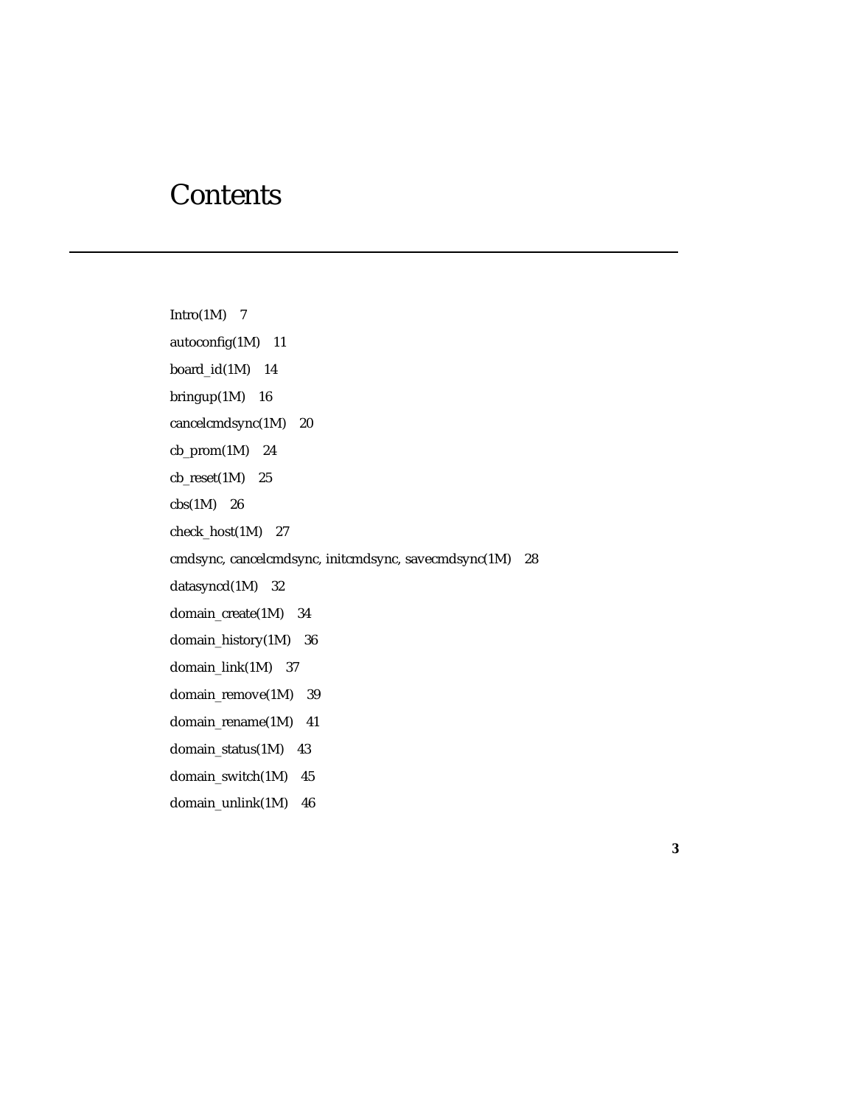## **Contents**

Intro(1M)  $7$ autoconfig(1M) 11 board\_id(1M) 14 bringup(1M) 16 cancelcmdsync(1M) 20 cb\_prom(1M) 24 cb\_reset(1M) 25 cbs(1M) 26 check\_host(1M) 27 cmdsync, cancelcmdsync, initcmdsync, savecmdsync(1M) 28 datasyncd(1M) 32 domain\_create(1M) 34 domain\_history(1M) 36 domain\_link(1M) 37 domain\_remove(1M) 39 domain\_rename(1M) 41 domain\_status(1M) 43 domain\_switch(1M) 45

domain\_unlink(1M) 46

**3**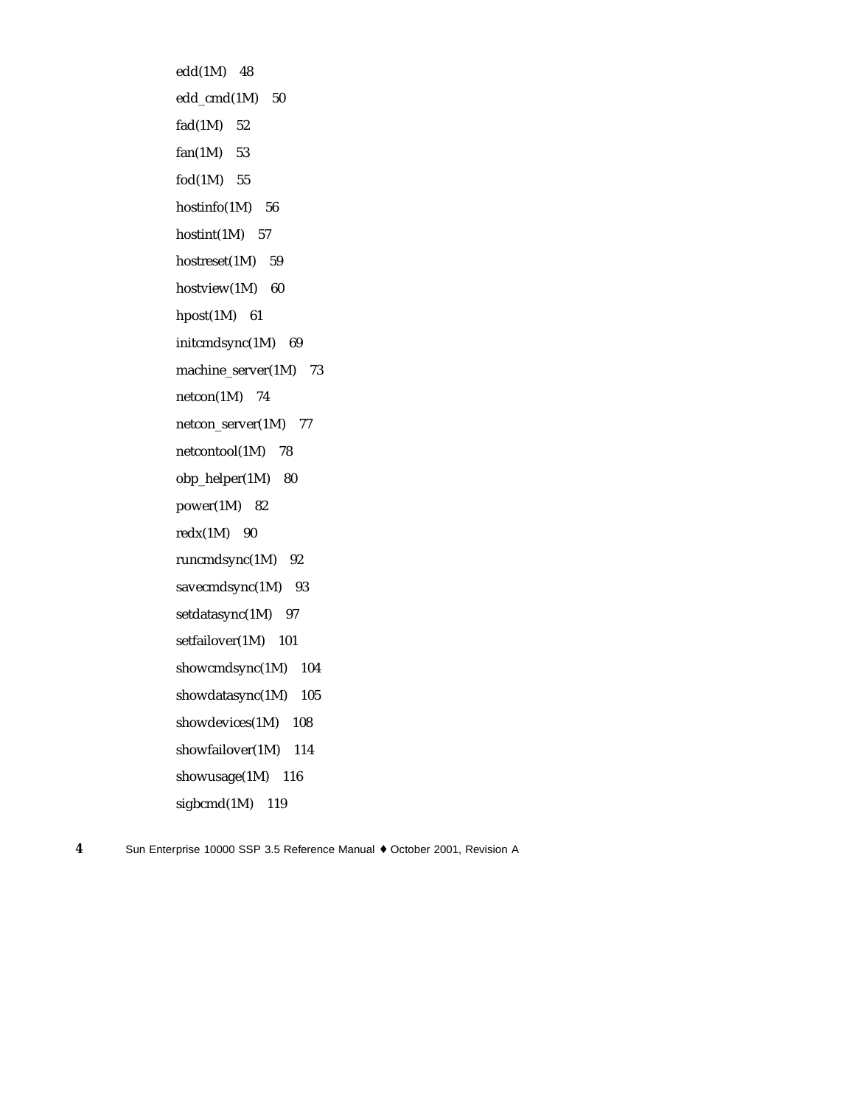edd(1M) 48 edd\_cmd(1M) 50 fad(1M) 52 fan(1M) 53 fod(1M) 55 hostinfo(1M) 56 hostint(1M) 57 hostreset(1M) 59 hostview $(1M)$  60 hpost $(1M)$  61 initcmdsync(1M) 69 machine\_server(1M) 73 netcon(1M) 74 netcon\_server(1M) 77 netcontool(1M) 78 obp\_helper(1M) 80 power(1M) 82  $redx(1M)$  90 runcmdsync(1M) 92 savecmdsync(1M) 93 setdatasync(1M) 97 setfailover(1M) 101 showcmdsync(1M) 104 showdatasync(1M) 105 showdevices(1M) 108 showfailover(1M) 114 showusage(1M) 116 sigbcmd(1M) 119

- **4** Sun Enterprise 10000 SSP 3.5 Reference Manual ♦ October 2001, Revision A
-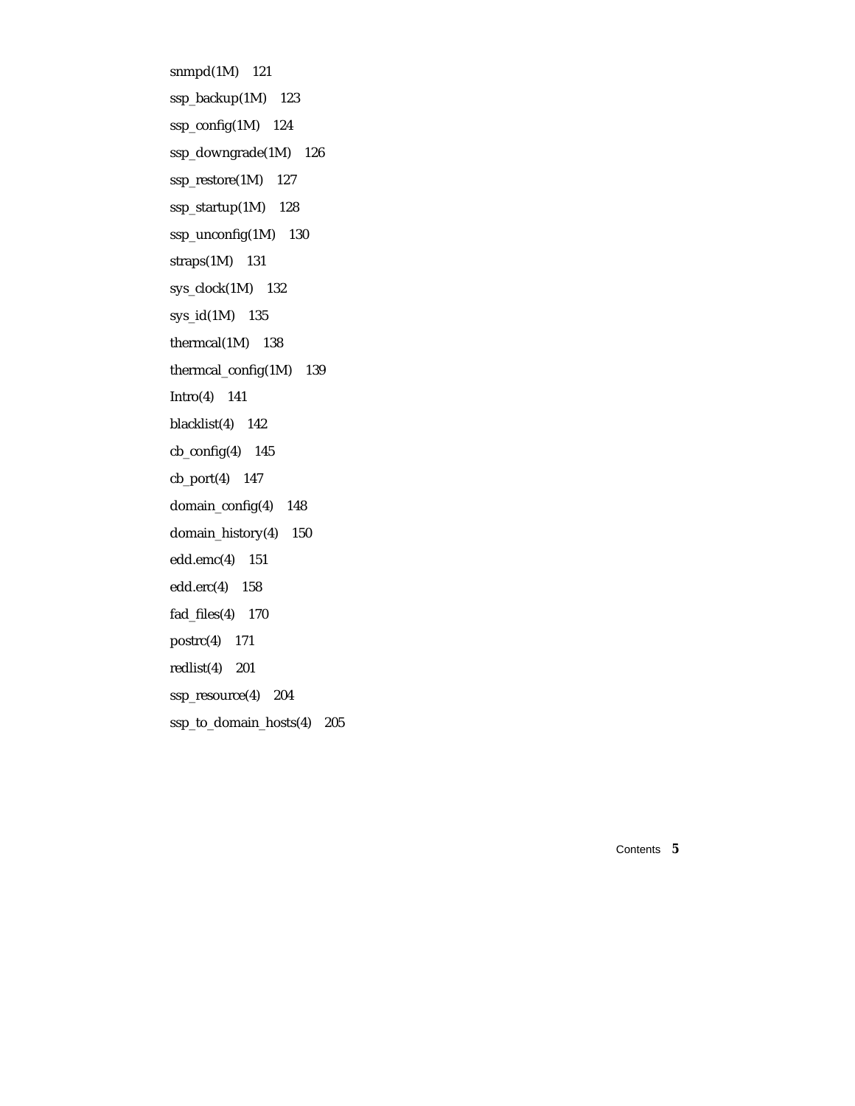snmpd(1M) 121 ssp\_backup(1M) 123 ssp\_config(1M) 124 ssp\_downgrade(1M) 126 ssp\_restore(1M) 127 ssp\_startup(1M) 128 ssp\_unconfig(1M) 130 straps(1M) 131 sys\_clock(1M) 132 sys\_id(1M) 135 thermcal(1M) 138 thermcal\_config(1M) 139 Intro(4) 141 blacklist(4) 142 cb\_config(4) 145 cb\_port(4) 147 domain\_config(4) 148 domain\_history(4) 150 edd.emc(4) 151 edd.erc(4) 158 fad\_files(4) 170 postrc(4) 171 redlist(4) 201 ssp\_resource(4) 204 ssp\_to\_domain\_hosts(4) 205

Contents **5**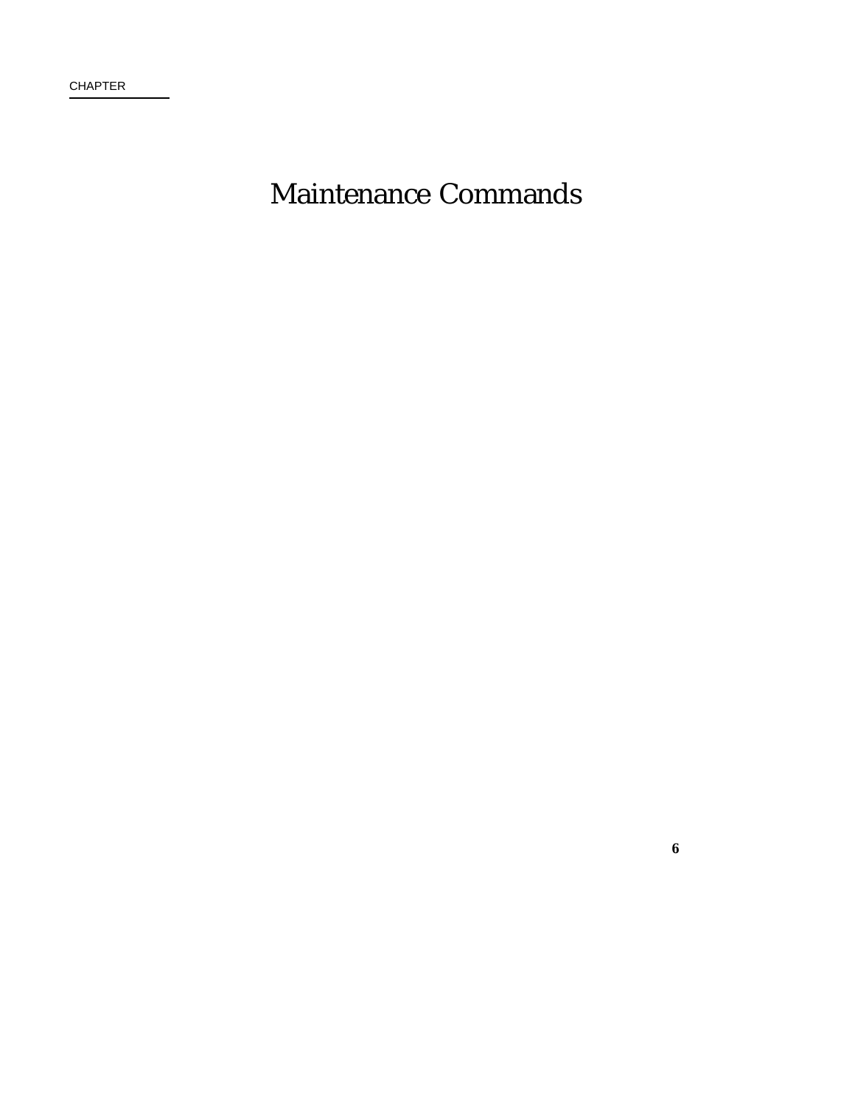# Maintenance Commands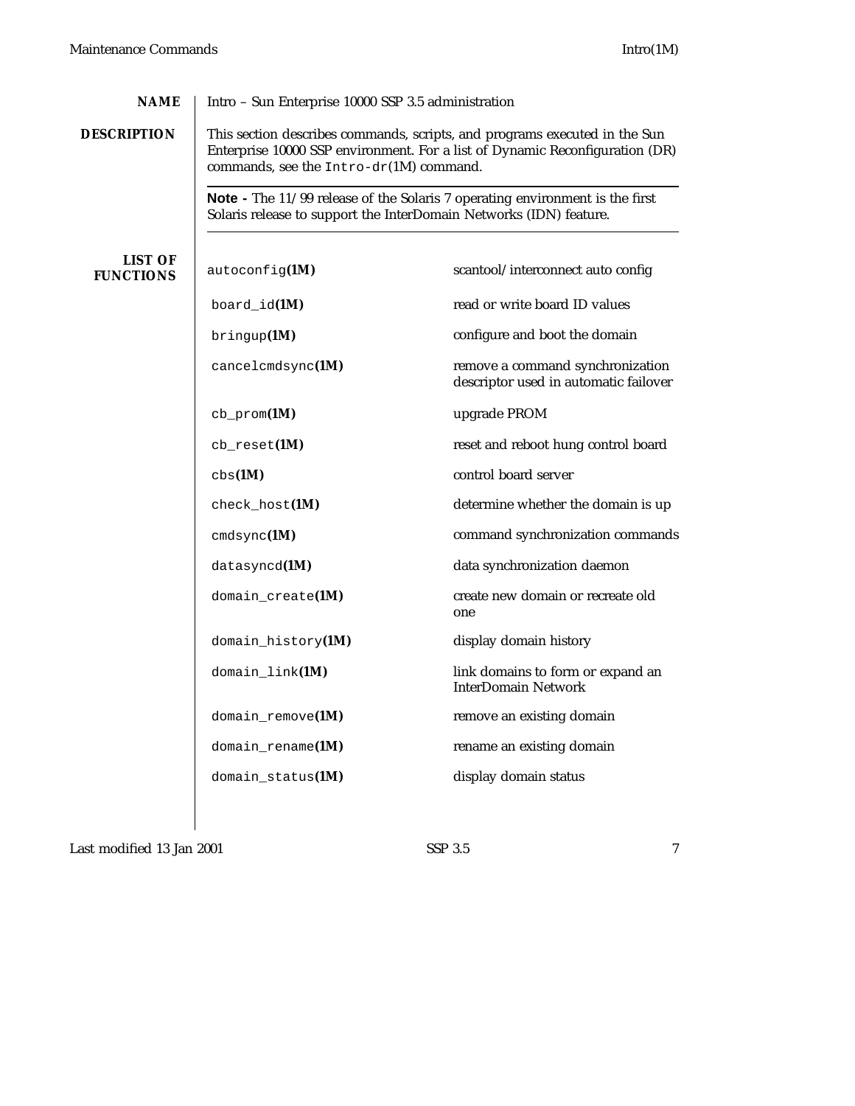#### **NAME** | Intro – Sun Enterprise 10000 SSP 3.5 administration

**DESCRIPTION** This section describes commands, scripts, and programs executed in the Sun Enterprise 10000 SSP environment. For a list of Dynamic Reconfiguration (DR) commands, see the Intro-dr(1M) command.

> **Note -** The 11/99 release of the Solaris 7 operating environment is the first Solaris release to support the InterDomain Networks (IDN) feature.

#### **LIST OF FUNCTIONS**  $\begin{bmatrix} a_1 \\ b_2 \end{bmatrix}$

| $\texttt{autoconfig(1M)}$          | scantool/interconnect auto config                                         |
|------------------------------------|---------------------------------------------------------------------------|
| board_id(1M)                       | read or write board ID values                                             |
| bringup $(1M)$                     | configure and boot the domain                                             |
| cancelcmdsync $(1M)$               | remove a command synchronization<br>descriptor used in automatic failover |
| $cb\_prom(1M)$                     | upgrade PROM                                                              |
| cb_reset( $1M$ )                   | reset and reboot hung control board                                       |
| $\text{cbs}(1M)$                   | control board server                                                      |
| check_host $(1M)$                  | determine whether the domain is up                                        |
| cmdsync $(1M)$                     | command synchronization commands                                          |
| datasyncd $(\mathbf{1}\mathbf{M})$ | data synchronization daemon                                               |
| domain_create $(1M)$               | create new domain or recreate old<br>one                                  |
| domain_history $(1M)$              | display domain history                                                    |
| domain_link $(M)$                  | link domains to form or expand an<br><b>InterDomain Network</b>           |
| domain_remove $(1M)$               | remove an existing domain                                                 |
| domain_rename(1M)                  | rename an existing domain                                                 |
| domain_status(1M)                  | display domain status                                                     |

Last modified 13 Jan 2001 SSP 3.5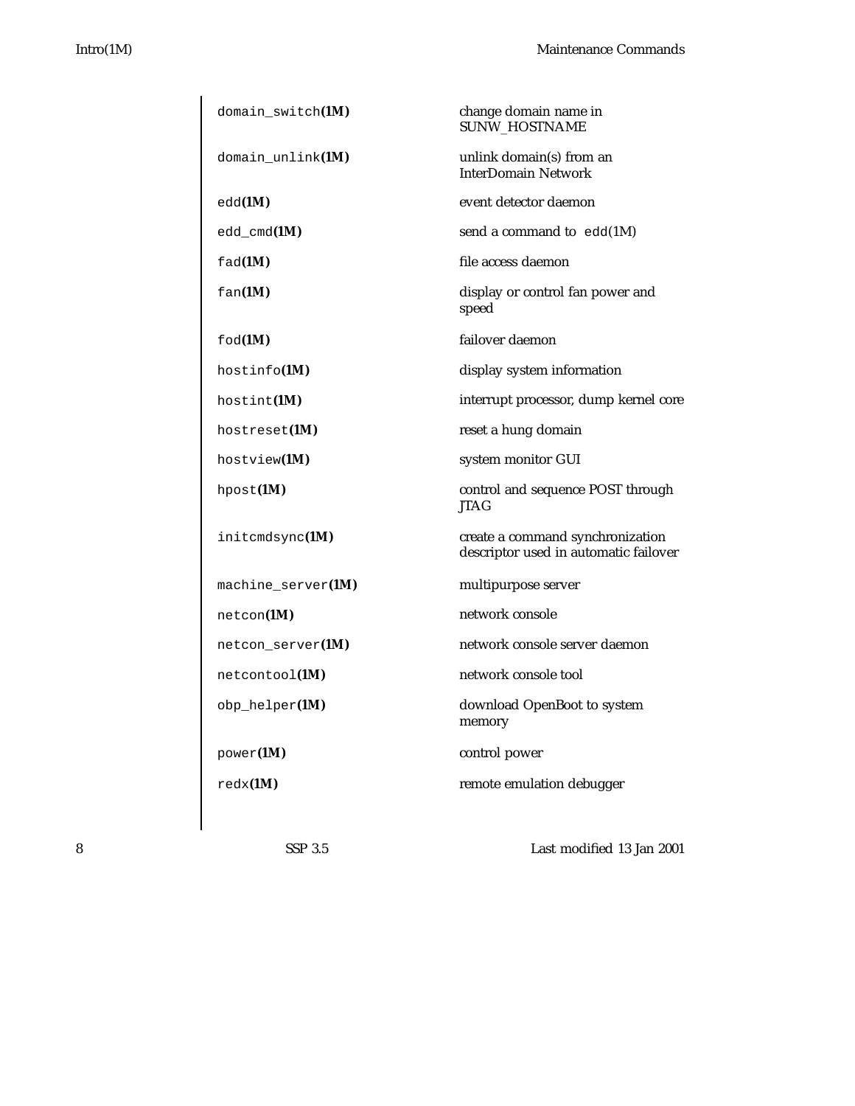| domain_switch(1M)         | change domain name in<br><b>SUNW_HOSTNAME</b>                             |
|---------------------------|---------------------------------------------------------------------------|
| domain_unlink(1M)         | unlink domain(s) from an<br>InterDomain Network                           |
| edd(1M)                   | event detector daemon                                                     |
| $edd\_cmd(1M)$            | send a command to edd(1M)                                                 |
| fad(1M)                   | file access daemon                                                        |
| fan(1M)                   | display or control fan power and<br>speed                                 |
| $f \circ d(1M)$           | failover daemon                                                           |
| hostinfo(1M)              | display system information                                                |
| hostint(1M)               | interrupt processor, dump kernel core                                     |
| hostreset(1M)             | reset a hung domain                                                       |
| hostview(1M)              | system monitor GUI                                                        |
| $h$ post $(1M)$           | control and sequence POST through<br><b>JTAG</b>                          |
| initcmdsync(1M)           | create a command synchronization<br>descriptor used in automatic failover |
| machine_server(1M)        | multipurpose server                                                       |
| netson(1M)                | network console                                                           |
| netcon_server(1M)         | network console server daemon                                             |
| netcontool(M)             | network console tool                                                      |
| $obp_{\text{helper}}(1M)$ | download OpenBoot to system<br>memory                                     |
| power(1M)                 | control power                                                             |
| redx(1M)                  | remote emulation debugger                                                 |

8 SSP 3.5 Last modified 13 Jan 2001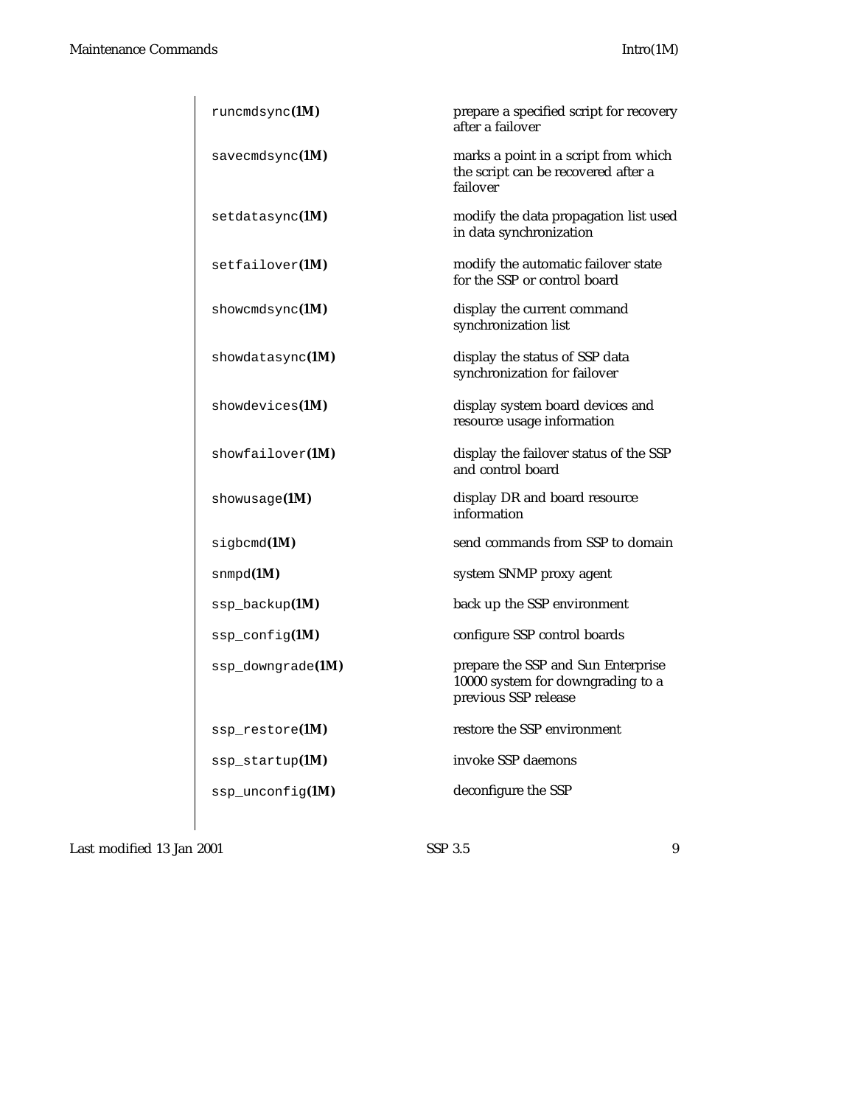| prepare a specified script for recovery<br>runcmdsync $(1M)$<br>after a failover<br>marks a point in a script from which<br>savecmdsync $(1M)$<br>the script can be recovered after a<br>failover<br>setdatasync(1M)<br>modify the data propagation list used<br>in data synchronization<br>modify the automatic failover state<br>setfailover(1M)<br>for the SSP or control board<br>showendsync(1M)<br>display the current command<br>synchronization list<br>showdatasync(1M)<br>display the status of SSP data<br>synchronization for failover<br>display system board devices and<br>showdevices $(1M)$<br>resource usage information<br>display the failover status of the SSP<br>showfailover(1M)<br>and control board<br>display DR and board resource<br>showusage(1M)<br>information<br>send commands from SSP to domain<br>sigbcmd(1M)<br>$s$ nmpd $(1M)$<br>system SNMP proxy agent<br>back up the SSP environment<br>$\verb ssp_backup 1M $<br>configure SSP control boards<br>$ssp_{contig}(1M)$<br>prepare the SSP and Sun Enterprise<br>ssp_downgrade(1M)<br>10000 system for downgrading to a<br>previous SSP release<br>restore the SSP environment<br>ssp_restore(1M) |                              |                     |
|------------------------------------------------------------------------------------------------------------------------------------------------------------------------------------------------------------------------------------------------------------------------------------------------------------------------------------------------------------------------------------------------------------------------------------------------------------------------------------------------------------------------------------------------------------------------------------------------------------------------------------------------------------------------------------------------------------------------------------------------------------------------------------------------------------------------------------------------------------------------------------------------------------------------------------------------------------------------------------------------------------------------------------------------------------------------------------------------------------------------------------------------------------------------------------------|------------------------------|---------------------|
|                                                                                                                                                                                                                                                                                                                                                                                                                                                                                                                                                                                                                                                                                                                                                                                                                                                                                                                                                                                                                                                                                                                                                                                          |                              |                     |
|                                                                                                                                                                                                                                                                                                                                                                                                                                                                                                                                                                                                                                                                                                                                                                                                                                                                                                                                                                                                                                                                                                                                                                                          |                              |                     |
|                                                                                                                                                                                                                                                                                                                                                                                                                                                                                                                                                                                                                                                                                                                                                                                                                                                                                                                                                                                                                                                                                                                                                                                          |                              |                     |
|                                                                                                                                                                                                                                                                                                                                                                                                                                                                                                                                                                                                                                                                                                                                                                                                                                                                                                                                                                                                                                                                                                                                                                                          |                              |                     |
|                                                                                                                                                                                                                                                                                                                                                                                                                                                                                                                                                                                                                                                                                                                                                                                                                                                                                                                                                                                                                                                                                                                                                                                          |                              |                     |
|                                                                                                                                                                                                                                                                                                                                                                                                                                                                                                                                                                                                                                                                                                                                                                                                                                                                                                                                                                                                                                                                                                                                                                                          |                              |                     |
|                                                                                                                                                                                                                                                                                                                                                                                                                                                                                                                                                                                                                                                                                                                                                                                                                                                                                                                                                                                                                                                                                                                                                                                          |                              |                     |
|                                                                                                                                                                                                                                                                                                                                                                                                                                                                                                                                                                                                                                                                                                                                                                                                                                                                                                                                                                                                                                                                                                                                                                                          |                              |                     |
|                                                                                                                                                                                                                                                                                                                                                                                                                                                                                                                                                                                                                                                                                                                                                                                                                                                                                                                                                                                                                                                                                                                                                                                          |                              |                     |
|                                                                                                                                                                                                                                                                                                                                                                                                                                                                                                                                                                                                                                                                                                                                                                                                                                                                                                                                                                                                                                                                                                                                                                                          |                              |                     |
|                                                                                                                                                                                                                                                                                                                                                                                                                                                                                                                                                                                                                                                                                                                                                                                                                                                                                                                                                                                                                                                                                                                                                                                          |                              |                     |
|                                                                                                                                                                                                                                                                                                                                                                                                                                                                                                                                                                                                                                                                                                                                                                                                                                                                                                                                                                                                                                                                                                                                                                                          |                              |                     |
|                                                                                                                                                                                                                                                                                                                                                                                                                                                                                                                                                                                                                                                                                                                                                                                                                                                                                                                                                                                                                                                                                                                                                                                          |                              |                     |
|                                                                                                                                                                                                                                                                                                                                                                                                                                                                                                                                                                                                                                                                                                                                                                                                                                                                                                                                                                                                                                                                                                                                                                                          |                              |                     |
|                                                                                                                                                                                                                                                                                                                                                                                                                                                                                                                                                                                                                                                                                                                                                                                                                                                                                                                                                                                                                                                                                                                                                                                          |                              |                     |
|                                                                                                                                                                                                                                                                                                                                                                                                                                                                                                                                                                                                                                                                                                                                                                                                                                                                                                                                                                                                                                                                                                                                                                                          | $\texttt{ssp\_startup(1M)}$  | invoke SSP daemons  |
|                                                                                                                                                                                                                                                                                                                                                                                                                                                                                                                                                                                                                                                                                                                                                                                                                                                                                                                                                                                                                                                                                                                                                                                          | $\texttt{ssp\_unconfig(1M)}$ | deconfigure the SSP |
|                                                                                                                                                                                                                                                                                                                                                                                                                                                                                                                                                                                                                                                                                                                                                                                                                                                                                                                                                                                                                                                                                                                                                                                          |                              |                     |
|                                                                                                                                                                                                                                                                                                                                                                                                                                                                                                                                                                                                                                                                                                                                                                                                                                                                                                                                                                                                                                                                                                                                                                                          |                              |                     |

Last modified 13 Jan 2001 SSP  $3.5$  9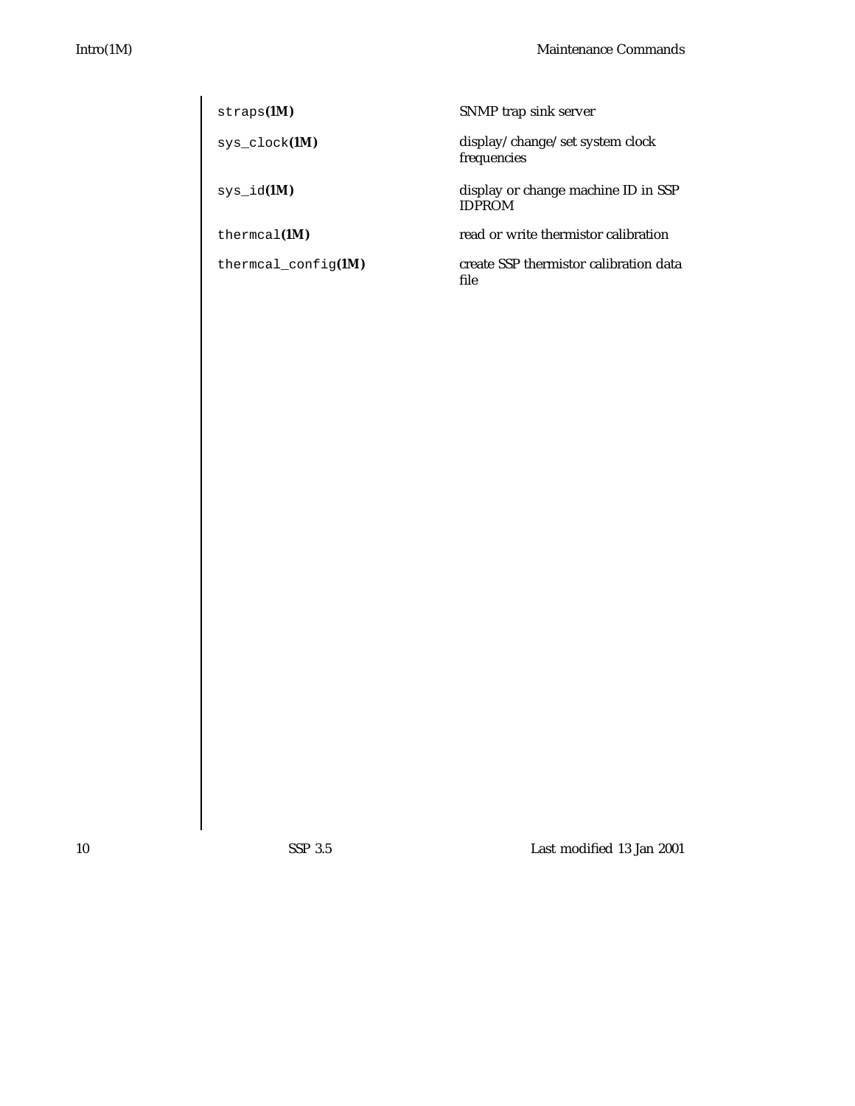| straps(1M)             | SNMP trap sink server                                |
|------------------------|------------------------------------------------------|
| $sys$ $clock(1M)$      | display/change/set system clock<br>frequencies       |
| sys id $(1M)$          | display or change machine ID in SSP<br><b>IDPROM</b> |
| thermcal $(1M)$        | read or write thermistor calibration                 |
| thermcal config $(1M)$ | create SSP thermistor calibration data<br>file       |

10 SSP 3.5 Last modified 13 Jan 2001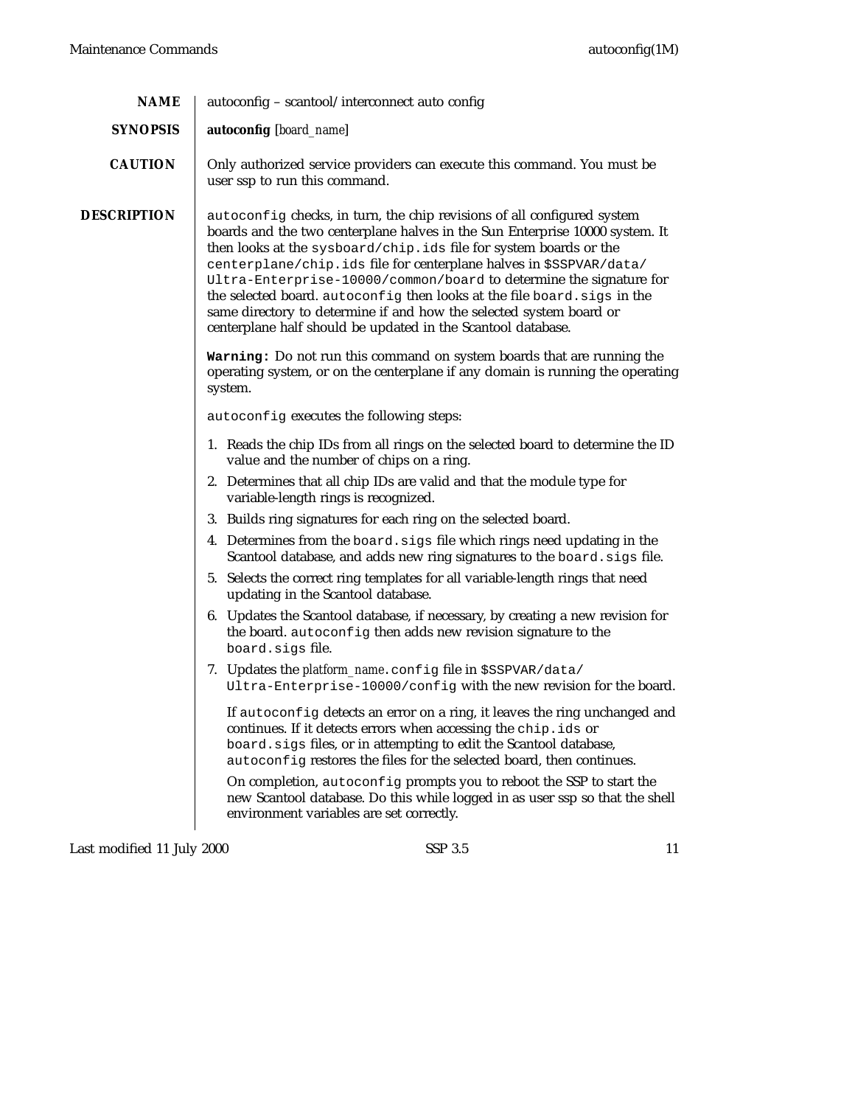| autoconfig - scantool/interconnect auto config                                                                                                                                                                                                                                                                                                                                                                                                                                                                                                                                              |  |  |
|---------------------------------------------------------------------------------------------------------------------------------------------------------------------------------------------------------------------------------------------------------------------------------------------------------------------------------------------------------------------------------------------------------------------------------------------------------------------------------------------------------------------------------------------------------------------------------------------|--|--|
| autoconfig [board_name]                                                                                                                                                                                                                                                                                                                                                                                                                                                                                                                                                                     |  |  |
| Only authorized service providers can execute this command. You must be<br>user ssp to run this command.                                                                                                                                                                                                                                                                                                                                                                                                                                                                                    |  |  |
| autoconfig checks, in turn, the chip revisions of all configured system<br>boards and the two centerplane halves in the Sun Enterprise 10000 system. It<br>then looks at the sysboard/chip.ids file for system boards or the<br>centerplane/chip.ids file for centerplane halves in \$SSPVAR/data/<br>Ultra-Enterprise-10000/common/board to determine the signature for<br>the selected board. autoconfig then looks at the file board. sigs in the<br>same directory to determine if and how the selected system board or<br>centerplane half should be updated in the Scantool database. |  |  |
| Warning: Do not run this command on system boards that are running the<br>operating system, or on the centerplane if any domain is running the operating<br>system.                                                                                                                                                                                                                                                                                                                                                                                                                         |  |  |
| autoconfig executes the following steps:                                                                                                                                                                                                                                                                                                                                                                                                                                                                                                                                                    |  |  |
| 1. Reads the chip IDs from all rings on the selected board to determine the ID<br>value and the number of chips on a ring.                                                                                                                                                                                                                                                                                                                                                                                                                                                                  |  |  |
| 2. Determines that all chip IDs are valid and that the module type for<br>variable-length rings is recognized.                                                                                                                                                                                                                                                                                                                                                                                                                                                                              |  |  |
| 3. Builds ring signatures for each ring on the selected board.                                                                                                                                                                                                                                                                                                                                                                                                                                                                                                                              |  |  |
| 4. Determines from the board. sigs file which rings need updating in the<br>Scantool database, and adds new ring signatures to the board. sigs file.                                                                                                                                                                                                                                                                                                                                                                                                                                        |  |  |
| 5. Selects the correct ring templates for all variable-length rings that need<br>updating in the Scantool database.                                                                                                                                                                                                                                                                                                                                                                                                                                                                         |  |  |
| 6. Updates the Scantool database, if necessary, by creating a new revision for<br>the board. autoconfig then adds new revision signature to the<br>board.sigs file.                                                                                                                                                                                                                                                                                                                                                                                                                         |  |  |
| 7. Updates the platform_name.config file in \$SSPVAR/data/<br>Ultra-Enterprise-10000/config with the new revision for the board.                                                                                                                                                                                                                                                                                                                                                                                                                                                            |  |  |
| If autoconfig detects an error on a ring, it leaves the ring unchanged and<br>continues. If it detects errors when accessing the chip.ids or<br>board. sigs files, or in attempting to edit the Scantool database,<br>autoconfig restores the files for the selected board, then continues.<br>On completion, autoconfig prompts you to reboot the SSP to start the<br>new Scantool database. Do this while logged in as user ssp so that the shell<br>environment variables are set correctly.                                                                                             |  |  |
|                                                                                                                                                                                                                                                                                                                                                                                                                                                                                                                                                                                             |  |  |

Last modified 11 July 2000 SSP 3.5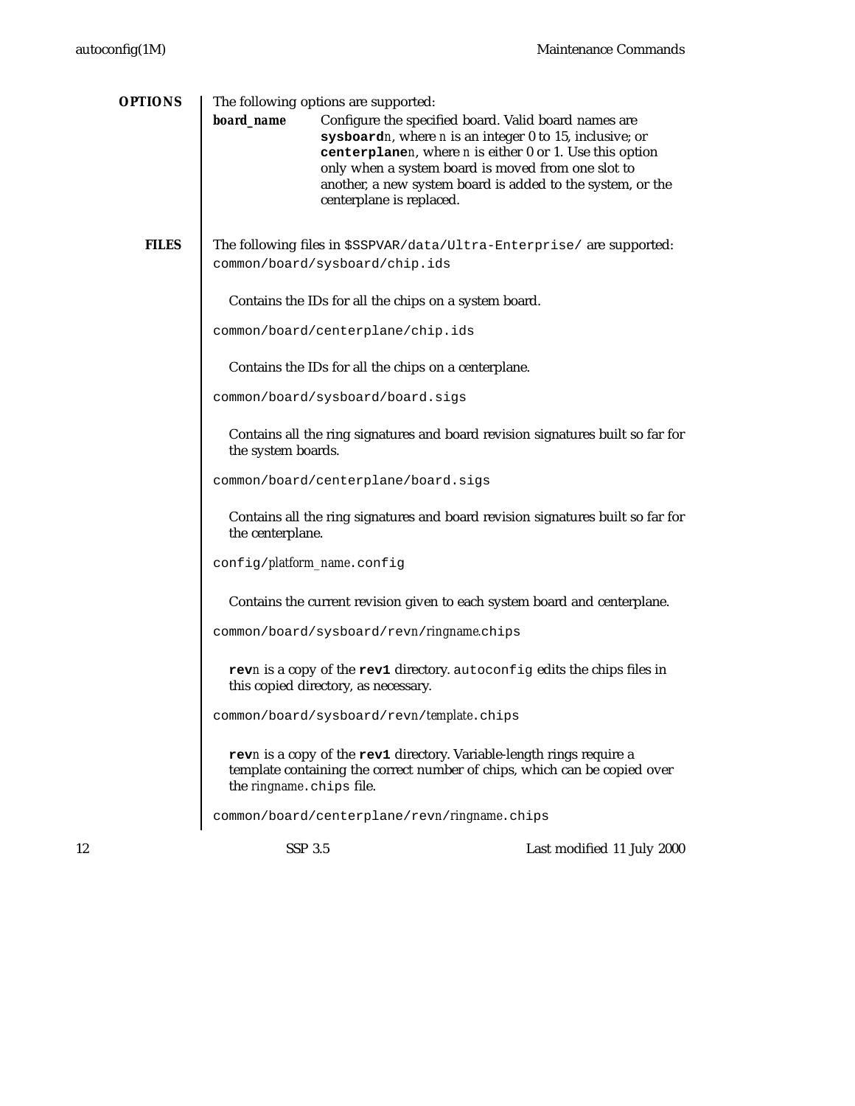| <b>OPTIONS</b>                                                                                                                                                                                                  | The following options are supported:                                                                                                                                            |                                                                                                       |                                                                                                                                                                                                                                                                                                        |
|-----------------------------------------------------------------------------------------------------------------------------------------------------------------------------------------------------------------|---------------------------------------------------------------------------------------------------------------------------------------------------------------------------------|-------------------------------------------------------------------------------------------------------|--------------------------------------------------------------------------------------------------------------------------------------------------------------------------------------------------------------------------------------------------------------------------------------------------------|
|                                                                                                                                                                                                                 | board_name                                                                                                                                                                      | centerplane is replaced.                                                                              | Configure the specified board. Valid board names are<br>sysboard $n$ , where $n$ is an integer 0 to 15, inclusive; or<br>centerplanen, where $n$ is either 0 or 1. Use this option<br>only when a system board is moved from one slot to<br>another, a new system board is added to the system, or the |
| <b>FILES</b>                                                                                                                                                                                                    |                                                                                                                                                                                 |                                                                                                       | The following files in \$SSPVAR/data/Ultra-Enterprise/ are supported:                                                                                                                                                                                                                                  |
|                                                                                                                                                                                                                 |                                                                                                                                                                                 | common/board/sysboard/chip.ids                                                                        |                                                                                                                                                                                                                                                                                                        |
|                                                                                                                                                                                                                 | Contains the IDs for all the chips on a system board.                                                                                                                           |                                                                                                       |                                                                                                                                                                                                                                                                                                        |
|                                                                                                                                                                                                                 | common/board/centerplane/chip.ids                                                                                                                                               |                                                                                                       |                                                                                                                                                                                                                                                                                                        |
|                                                                                                                                                                                                                 |                                                                                                                                                                                 | Contains the IDs for all the chips on a centerplane.                                                  |                                                                                                                                                                                                                                                                                                        |
|                                                                                                                                                                                                                 |                                                                                                                                                                                 | common/board/sysboard/board.sigs                                                                      |                                                                                                                                                                                                                                                                                                        |
|                                                                                                                                                                                                                 |                                                                                                                                                                                 | Contains all the ring signatures and board revision signatures built so far for<br>the system boards. |                                                                                                                                                                                                                                                                                                        |
|                                                                                                                                                                                                                 |                                                                                                                                                                                 | common/board/centerplane/board.sigs                                                                   |                                                                                                                                                                                                                                                                                                        |
| Contains all the ring signatures and board revision signatures built so far for<br>the centerplane.<br>config/platform_name.config<br>Contains the current revision given to each system board and centerplane. |                                                                                                                                                                                 |                                                                                                       |                                                                                                                                                                                                                                                                                                        |
|                                                                                                                                                                                                                 |                                                                                                                                                                                 |                                                                                                       |                                                                                                                                                                                                                                                                                                        |
|                                                                                                                                                                                                                 |                                                                                                                                                                                 |                                                                                                       |                                                                                                                                                                                                                                                                                                        |
|                                                                                                                                                                                                                 | common/board/sysboard/revn/ringname.chips                                                                                                                                       |                                                                                                       |                                                                                                                                                                                                                                                                                                        |
|                                                                                                                                                                                                                 | revn is a copy of the rev1 directory. autoconfig edits the chips files in<br>this copied directory, as necessary.                                                               |                                                                                                       |                                                                                                                                                                                                                                                                                                        |
|                                                                                                                                                                                                                 | common/board/sysboard/revn/template.chips                                                                                                                                       |                                                                                                       |                                                                                                                                                                                                                                                                                                        |
|                                                                                                                                                                                                                 | revn is a copy of the rev1 directory. Variable-length rings require a<br>template containing the correct number of chips, which can be copied over<br>the ringname. chips file. |                                                                                                       |                                                                                                                                                                                                                                                                                                        |
|                                                                                                                                                                                                                 | common/board/centerplane/revn/ringname.chips                                                                                                                                    |                                                                                                       |                                                                                                                                                                                                                                                                                                        |
| 12                                                                                                                                                                                                              | SSP 3.5                                                                                                                                                                         |                                                                                                       | Last modified 11 July 2000                                                                                                                                                                                                                                                                             |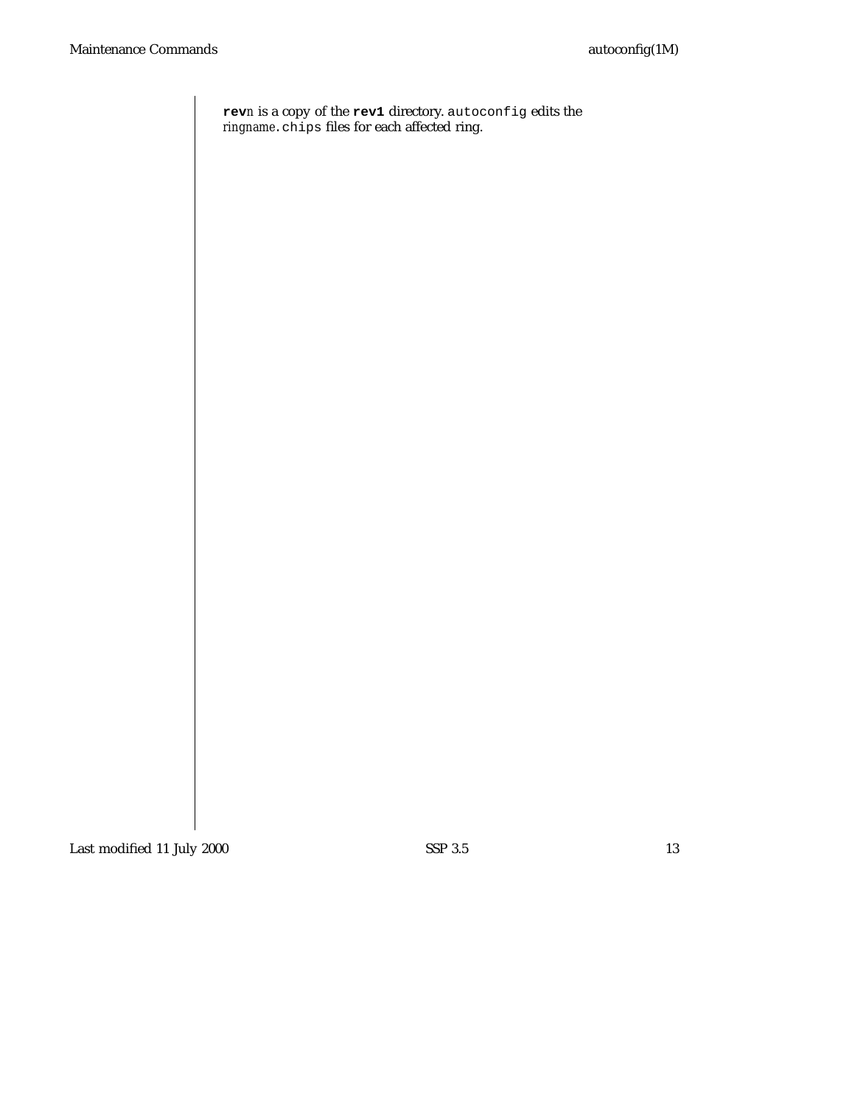**rev***n* is a copy of the **rev1** directory. autoconfig edits the *ringname*.chips files for each affected ring.

Last modified 11 July 2000 SSP 3.5 13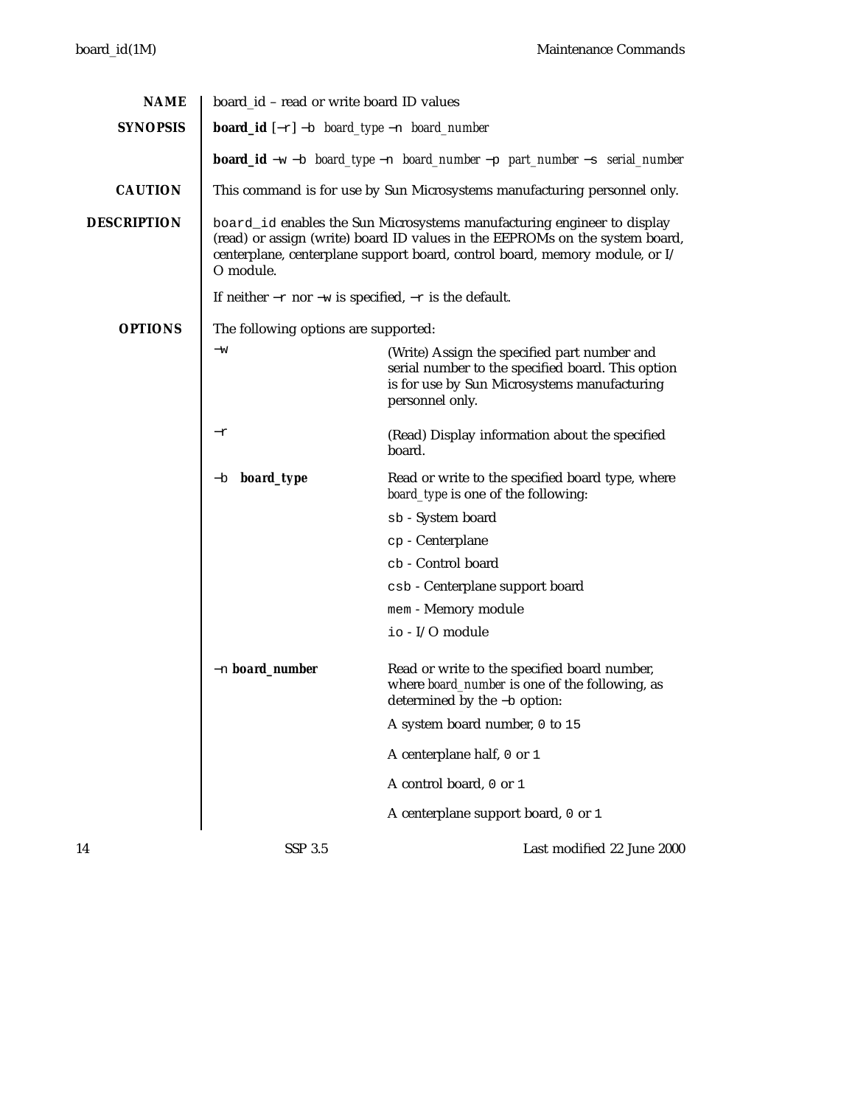| <b>NAME</b>        | board_id - read or write board ID values                                           |                                                                                                                                                                                                                                        |  |
|--------------------|------------------------------------------------------------------------------------|----------------------------------------------------------------------------------------------------------------------------------------------------------------------------------------------------------------------------------------|--|
| <b>SYNOPSIS</b>    | <b>board_id</b> $[-r]$ -b <i>board_type</i> -n <i>board_number</i>                 |                                                                                                                                                                                                                                        |  |
|                    | <b>board_id</b> $-w$ -b board_type -n board_number -p part_number -s serial_number |                                                                                                                                                                                                                                        |  |
| <b>CAUTION</b>     |                                                                                    | This command is for use by Sun Microsystems manufacturing personnel only.                                                                                                                                                              |  |
| <b>DESCRIPTION</b> | O module.                                                                          | board_id enables the Sun Microsystems manufacturing engineer to display<br>(read) or assign (write) board ID values in the EEPROMs on the system board,<br>centerplane, centerplane support board, control board, memory module, or I/ |  |
|                    | If neither $-r$ nor $-w$ is specified, $-r$ is the default.                        |                                                                                                                                                                                                                                        |  |
| <b>OPTIONS</b>     | The following options are supported:                                               |                                                                                                                                                                                                                                        |  |
|                    | $-w$                                                                               | (Write) Assign the specified part number and<br>serial number to the specified board. This option<br>is for use by Sun Microsystems manufacturing<br>personnel only.                                                                   |  |
|                    | $-r$                                                                               | (Read) Display information about the specified<br>board.                                                                                                                                                                               |  |
|                    | board_type<br>$-b$                                                                 | Read or write to the specified board type, where<br>board_type is one of the following:                                                                                                                                                |  |
|                    |                                                                                    | sb - System board                                                                                                                                                                                                                      |  |
|                    |                                                                                    | cp - Centerplane                                                                                                                                                                                                                       |  |
|                    |                                                                                    | cb - Control board                                                                                                                                                                                                                     |  |
|                    |                                                                                    | csb - Centerplane support board                                                                                                                                                                                                        |  |
|                    |                                                                                    | mem - Memory module                                                                                                                                                                                                                    |  |
|                    |                                                                                    | io - I/O module                                                                                                                                                                                                                        |  |
|                    | -n board number                                                                    | Read or write to the specified board number,<br>where board_number is one of the following, as<br>determined by the -b option:                                                                                                         |  |
|                    |                                                                                    | A system board number, 0 to 15                                                                                                                                                                                                         |  |
|                    |                                                                                    | A centerplane half, 0 or 1                                                                                                                                                                                                             |  |
|                    |                                                                                    | A control board, 0 or 1                                                                                                                                                                                                                |  |
|                    |                                                                                    | A centerplane support board, 0 or 1                                                                                                                                                                                                    |  |
| 14                 | SSP 3.5                                                                            | Last modified 22 June 2000                                                                                                                                                                                                             |  |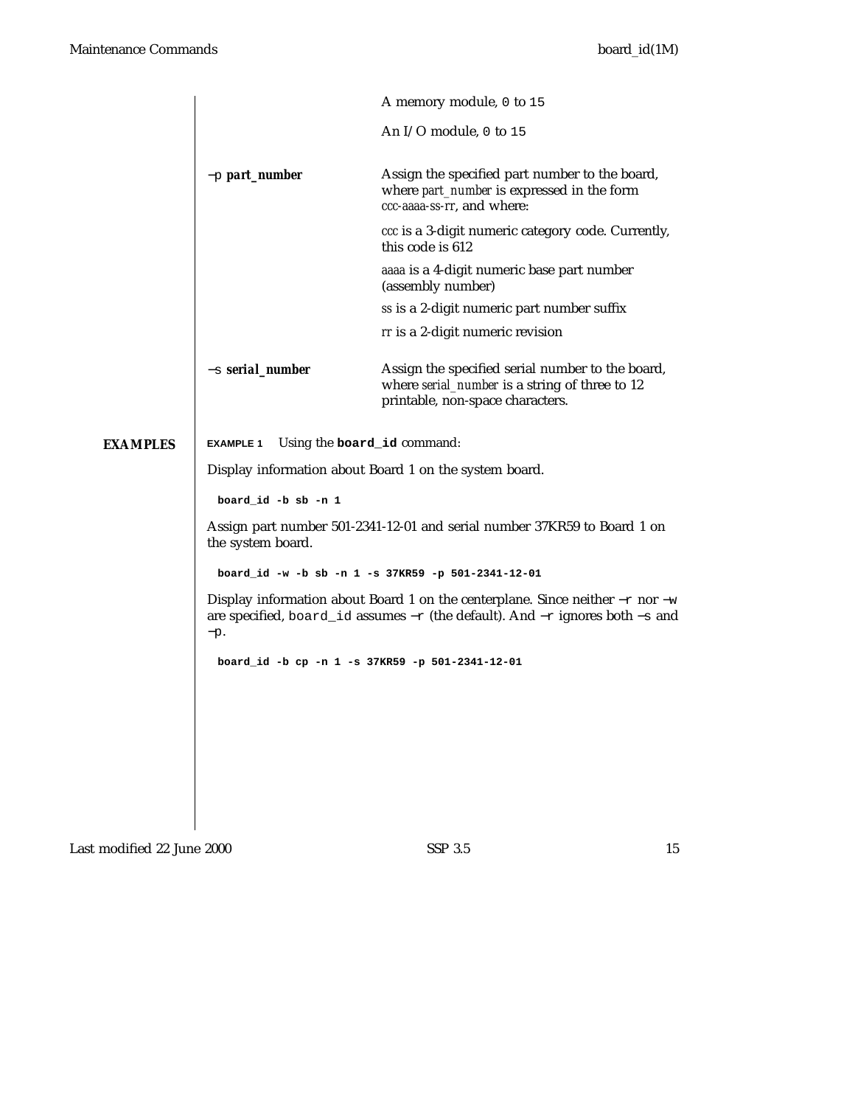|                 |                                                                                                                                                                                  | A memory module, 0 to 15                                                                                                               |
|-----------------|----------------------------------------------------------------------------------------------------------------------------------------------------------------------------------|----------------------------------------------------------------------------------------------------------------------------------------|
|                 |                                                                                                                                                                                  | An I/O module, 0 to 15                                                                                                                 |
|                 | -p part_number                                                                                                                                                                   | Assign the specified part number to the board,<br>where part_number is expressed in the form<br>ccc-aaaa-ss-rr, and where:             |
|                 |                                                                                                                                                                                  | ccc is a 3-digit numeric category code. Currently,<br>this code is 612                                                                 |
|                 |                                                                                                                                                                                  | aaaa is a 4-digit numeric base part number<br>(assembly number)                                                                        |
|                 |                                                                                                                                                                                  | ss is a 2-digit numeric part number suffix                                                                                             |
|                 |                                                                                                                                                                                  | rr is a 2-digit numeric revision                                                                                                       |
|                 | -s serial_number                                                                                                                                                                 | Assign the specified serial number to the board,<br>where serial_number is a string of three to 12<br>printable, non-space characters. |
| <b>EXAMPLES</b> | Using the board_id command:<br><b>EXAMPLE 1</b>                                                                                                                                  |                                                                                                                                        |
|                 |                                                                                                                                                                                  | Display information about Board 1 on the system board.                                                                                 |
|                 | board_id -b sb -n 1                                                                                                                                                              |                                                                                                                                        |
|                 | the system board.                                                                                                                                                                | Assign part number 501-2341-12-01 and serial number 37KR59 to Board 1 on                                                               |
|                 | board_id -w -b sb -n 1 -s 37KR59 -p 501-2341-12-01                                                                                                                               |                                                                                                                                        |
|                 | Display information about Board 1 on the centerplane. Since neither $-r$ nor $-w$<br>are specified, board_id assumes $-r$ (the default). And $-r$ ignores both $-s$ and<br>$-p.$ |                                                                                                                                        |
|                 | board_id -b cp -n 1 -s 37KR59 -p 501-2341-12-01                                                                                                                                  |                                                                                                                                        |
|                 |                                                                                                                                                                                  |                                                                                                                                        |
|                 |                                                                                                                                                                                  |                                                                                                                                        |
|                 |                                                                                                                                                                                  |                                                                                                                                        |
|                 |                                                                                                                                                                                  |                                                                                                                                        |

Last modified 22 June 2000 SSP 3.5 5 15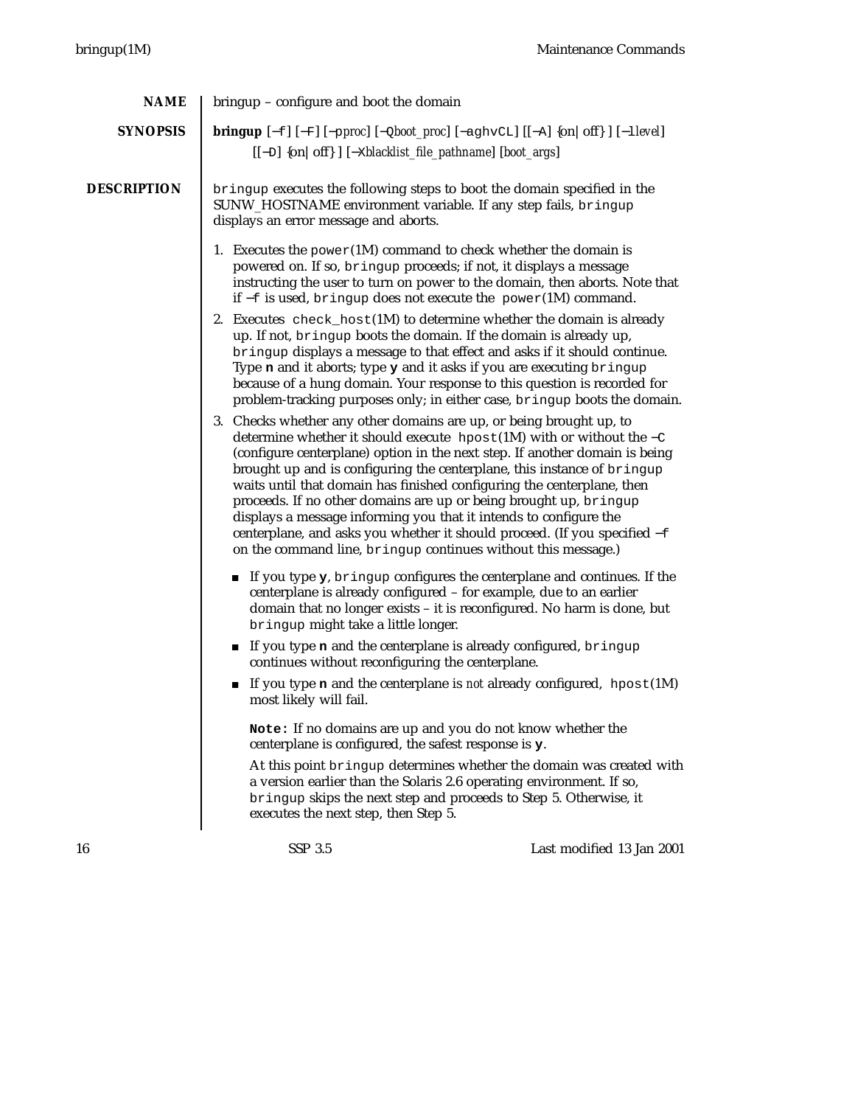| <b>NAME</b>        | bringup - configure and boot the domain                                                                                                                                                                   |                                                                                                                                                                                                                                                                                                                                                                                                                                                                 |  |
|--------------------|-----------------------------------------------------------------------------------------------------------------------------------------------------------------------------------------------------------|-----------------------------------------------------------------------------------------------------------------------------------------------------------------------------------------------------------------------------------------------------------------------------------------------------------------------------------------------------------------------------------------------------------------------------------------------------------------|--|
| <b>SYNOPSIS</b>    | <b>bringup</b> $[-f]$ $[-F]$ $[-pproc]$ $[-Qboot\_proc]$ $[-aghvcL]$ $[[-A]$ $\{on   off\}$ $]$ $[-1 level]$<br>[ $[-D]$ {on   off} ] [-xblacklist_file_pathname] [boot_args]                             |                                                                                                                                                                                                                                                                                                                                                                                                                                                                 |  |
| <b>DESCRIPTION</b> | SUNW_HOSTNAME environment variable. If any step fails, bringup<br>displays an error message and aborts.                                                                                                   | bringup executes the following steps to boot the domain specified in the                                                                                                                                                                                                                                                                                                                                                                                        |  |
|                    | 1. Executes the $power(1M)$ command to check whether the domain is<br>powered on. If so, bringup proceeds; if not, it displays a message                                                                  | instructing the user to turn on power to the domain, then aborts. Note that<br>if $-f$ is used, bringup does not execute the power(1M) command.                                                                                                                                                                                                                                                                                                                 |  |
|                    |                                                                                                                                                                                                           | 2. Executes check_host(1M) to determine whether the domain is already<br>up. If not, bringup boots the domain. If the domain is already up,<br>bringup displays a message to that effect and asks if it should continue.<br>Type $n$ and it aborts; type $y$ and it asks if you are executing bringup<br>because of a hung domain. Your response to this question is recorded for<br>problem-tracking purposes only; in either case, bringup boots the domain.  |  |
|                    | 3. Checks whether any other domains are up, or being brought up, to<br>displays a message informing you that it intends to configure the<br>on the command line, bringup continues without this message.) | determine whether it should execute $h$ post(1M) with or without the $-C$<br>(configure centerplane) option in the next step. If another domain is being<br>brought up and is configuring the centerplane, this instance of bringup<br>waits until that domain has finished configuring the centerplane, then<br>proceeds. If no other domains are up or being brought up, bringup<br>centerplane, and asks you whether it should proceed. (If you specified -f |  |
|                    | bringup might take a little longer.                                                                                                                                                                       | If you type y, bringup configures the centerplane and continues. If the<br>centerplane is already configured - for example, due to an earlier<br>domain that no longer exists - it is reconfigured. No harm is done, but                                                                                                                                                                                                                                        |  |
|                    | continues without reconfiguring the centerplane.                                                                                                                                                          | <b>If you type n and the centerplane is already configured</b> , bringup                                                                                                                                                                                                                                                                                                                                                                                        |  |
|                    | most likely will fail.                                                                                                                                                                                    | <b>If you type n and the centerplane is <i>not</i> already configured</b> , $hpost(1M)$                                                                                                                                                                                                                                                                                                                                                                         |  |
|                    | centerplane is configured, the safest response is y.                                                                                                                                                      | Note: If no domains are up and you do not know whether the                                                                                                                                                                                                                                                                                                                                                                                                      |  |
|                    | executes the next step, then Step 5.                                                                                                                                                                      | At this point bringup determines whether the domain was created with<br>a version earlier than the Solaris 2.6 operating environment. If so,<br>bringup skips the next step and proceeds to Step 5. Otherwise, it                                                                                                                                                                                                                                               |  |
| 16                 | SSP 3.5                                                                                                                                                                                                   | Last modified 13 Jan 2001                                                                                                                                                                                                                                                                                                                                                                                                                                       |  |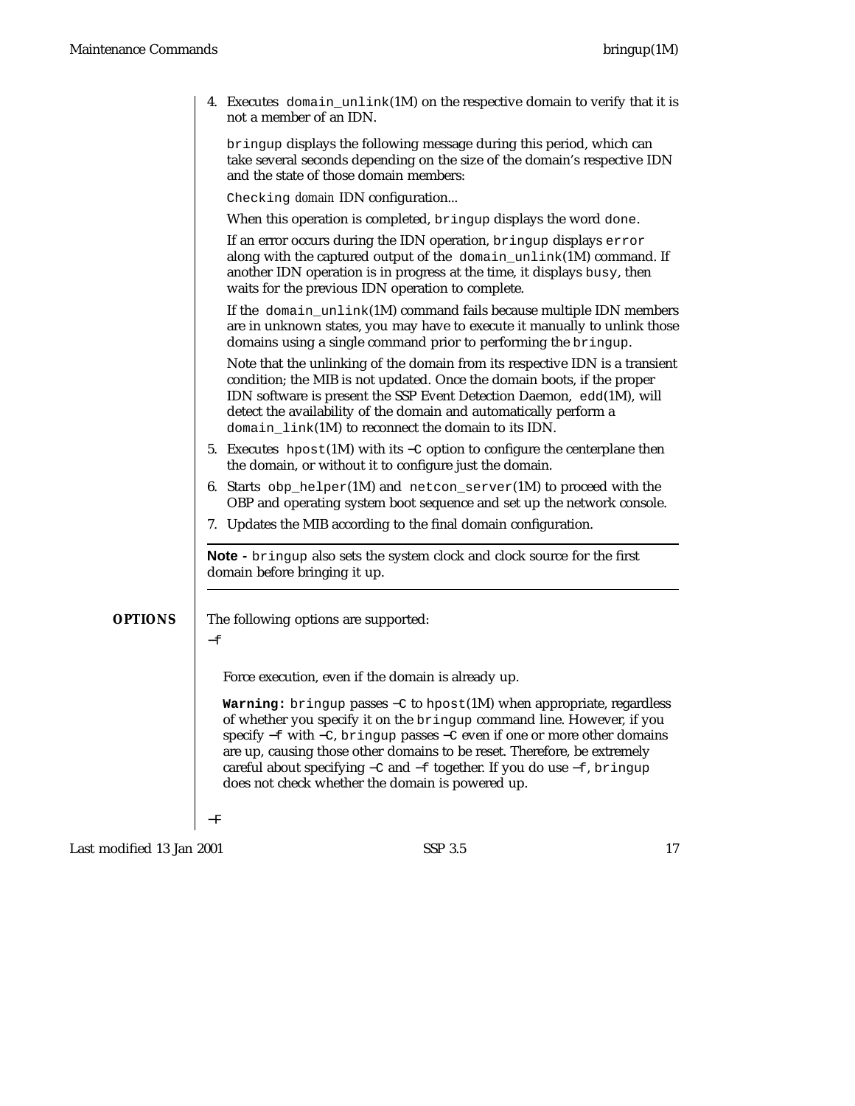|                | 4. Executes domain_unlink(1M) on the respective domain to verify that it is<br>not a member of an IDN.                                                                                                                                                                                                                                                                                                                                              |
|----------------|-----------------------------------------------------------------------------------------------------------------------------------------------------------------------------------------------------------------------------------------------------------------------------------------------------------------------------------------------------------------------------------------------------------------------------------------------------|
|                | bringup displays the following message during this period, which can<br>take several seconds depending on the size of the domain's respective IDN<br>and the state of those domain members:                                                                                                                                                                                                                                                         |
|                | Checking domain IDN configuration                                                                                                                                                                                                                                                                                                                                                                                                                   |
|                | When this operation is completed, bringup displays the word done.                                                                                                                                                                                                                                                                                                                                                                                   |
|                | If an error occurs during the IDN operation, bringup displays error<br>along with the captured output of the domain_unlink(1M) command. If<br>another IDN operation is in progress at the time, it displays busy, then<br>waits for the previous IDN operation to complete.                                                                                                                                                                         |
|                | If the domain_unlink(1M) command fails because multiple IDN members<br>are in unknown states, you may have to execute it manually to unlink those<br>domains using a single command prior to performing the bringup.                                                                                                                                                                                                                                |
|                | Note that the unlinking of the domain from its respective IDN is a transient<br>condition; the MIB is not updated. Once the domain boots, if the proper<br>IDN software is present the SSP Event Detection Daemon, edd(1M), will<br>detect the availability of the domain and automatically perform a<br>domain_link(1M) to reconnect the domain to its IDN.                                                                                        |
|                | 5. Executes $hpost(1M)$ with its $-c$ option to configure the centerplane then<br>the domain, or without it to configure just the domain.                                                                                                                                                                                                                                                                                                           |
|                | 6. Starts $op_{\text{abelper}}(1M)$ and $n_{\text{etcon\_server}}(1M)$ to proceed with the<br>OBP and operating system boot sequence and set up the network console.                                                                                                                                                                                                                                                                                |
|                | 7. Updates the MIB according to the final domain configuration.                                                                                                                                                                                                                                                                                                                                                                                     |
|                | Note - bringup also sets the system clock and clock source for the first<br>domain before bringing it up.                                                                                                                                                                                                                                                                                                                                           |
| <b>OPTIONS</b> | The following options are supported:<br>$-f$                                                                                                                                                                                                                                                                                                                                                                                                        |
|                | Force execution, even if the domain is already up.                                                                                                                                                                                                                                                                                                                                                                                                  |
|                | <b>Warning:</b> bringup passes $-C$ to hpost(1M) when appropriate, regardless<br>of whether you specify it on the bringup command line. However, if you<br>specify $-f$ with $-C$ , bringup passes $-C$ even if one or more other domains<br>are up, causing those other domains to be reset. Therefore, be extremely<br>careful about specifying -C and -f together. If you do use -f, bringup<br>does not check whether the domain is powered up. |

 $-F$ 

Last modified 13 Jan 2001 SSP 3.5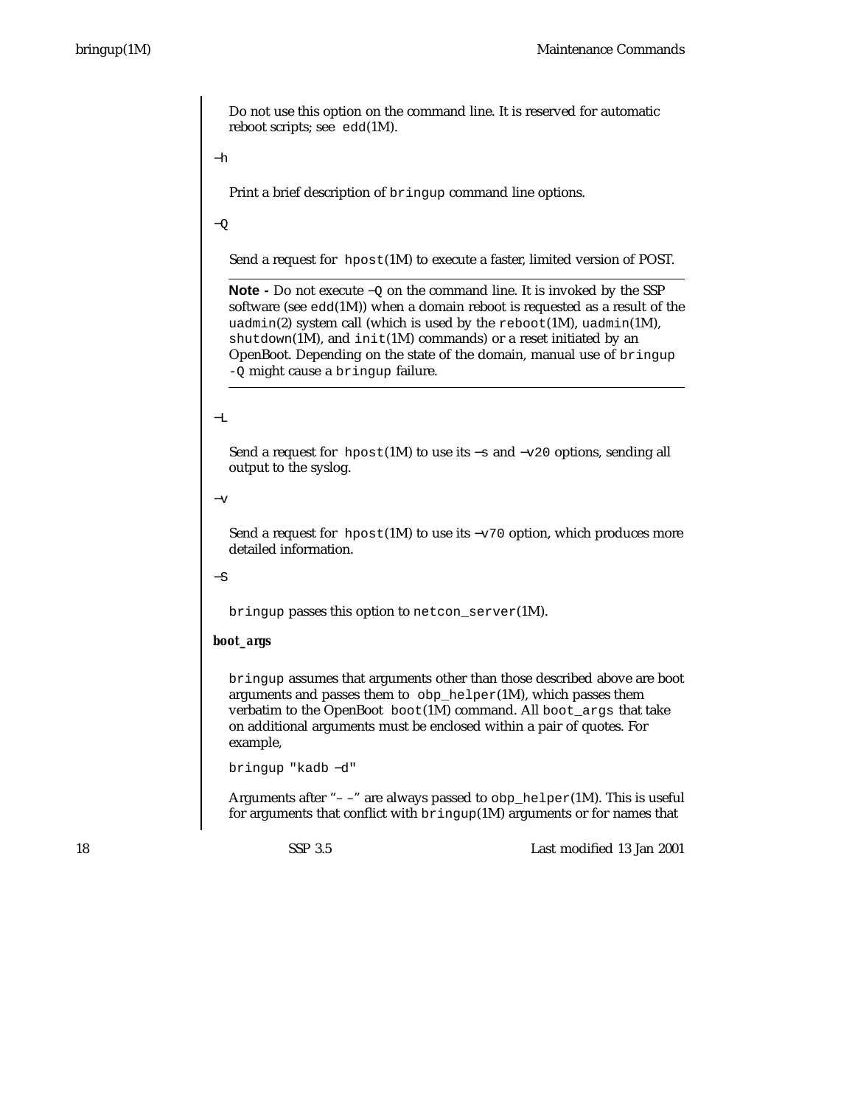Do not use this option on the command line. It is reserved for automatic reboot scripts; see edd(1M).

−h

Print a brief description of bringup command line options.

−Q

Send a request for hpost(1M) to execute a faster, limited version of POST.

**Note -** Do not execute −Q on the command line. It is invoked by the SSP software (see edd(1M)) when a domain reboot is requested as a result of the uadmin(2) system call (which is used by the reboot(1M), uadmin(1M),  $shutdown(1M)$ , and  $init(1M)$  commands) or a reset initiated by an OpenBoot. Depending on the state of the domain, manual use of bringup -Q might cause a bringup failure.

 $-1$ 

Send a request for hpost(1M) to use its −s and −v20 options, sending all output to the syslog.

 $-\nu$ 

Send a request for hpost(1M) to use its −v70 option, which produces more detailed information.

 $-S$ 

bringup passes this option to netcon\_server(1M).

*boot\_args*

bringup assumes that arguments other than those described above are boot arguments and passes them to obp\_helper(1M), which passes them verbatim to the OpenBoot boot(1M) command. All boot\_args that take on additional arguments must be enclosed within a pair of quotes. For example,

bringup "kadb −d"

Arguments after "--" are always passed to  $obj\_helper(1M)$ . This is useful for arguments that conflict with bringup(1M) arguments or for names that

18 SSP 3.5 Last modified 13 Jan 2001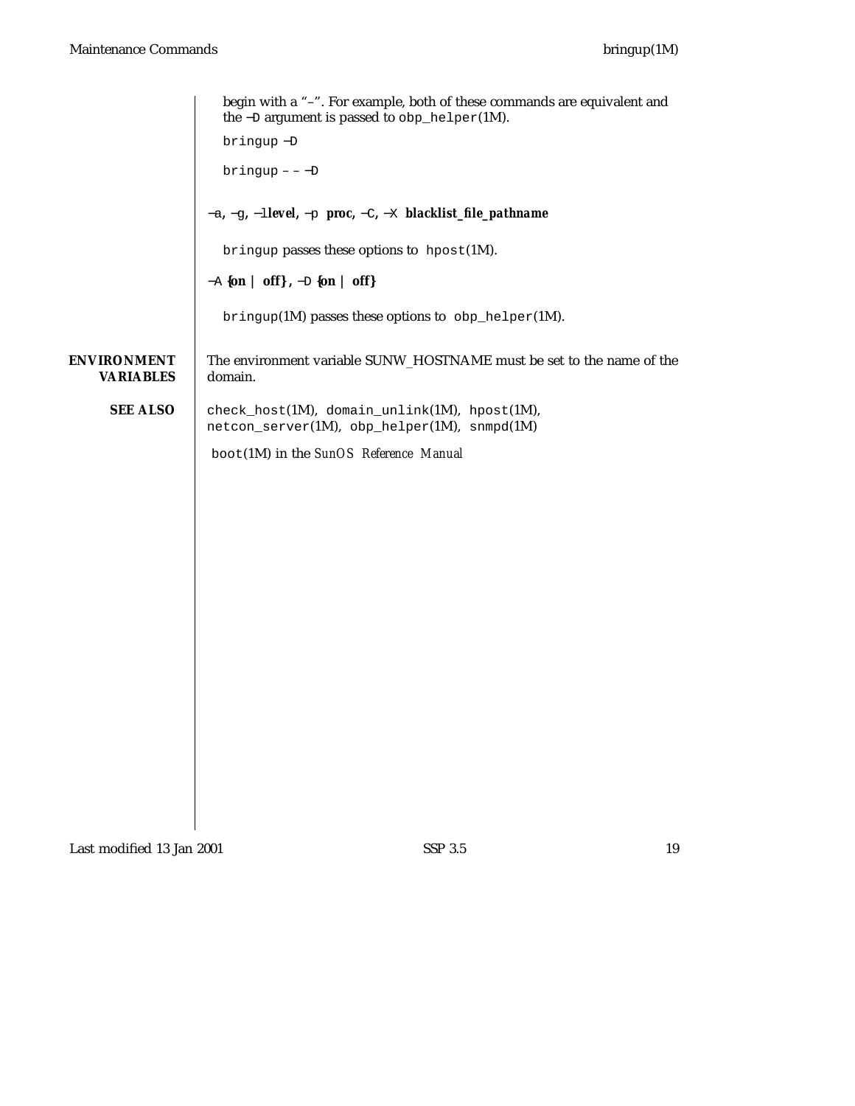|                                        | begin with a "-". For example, both of these commands are equivalent and<br>the $-D$ argument is passed to $obj\_helper(1M)$ . |  |  |
|----------------------------------------|--------------------------------------------------------------------------------------------------------------------------------|--|--|
|                                        | bringup-D                                                                                                                      |  |  |
|                                        | $bringup -- -D$                                                                                                                |  |  |
|                                        | $-a, -g, -1$ level, $-p$ proc, $-c, -x$ blacklist_file_pathname                                                                |  |  |
|                                        | bringup passes these options to $h$ post $(1M)$ .                                                                              |  |  |
|                                        | $-A \{ \text{on} \mid \text{off} \}$ , $-D \{ \text{on} \mid \text{off} \}$                                                    |  |  |
|                                        | bringup $(1M)$ passes these options to obp_helper $(1M)$ .                                                                     |  |  |
| <b>ENVIRONMENT</b><br><b>VARIABLES</b> | The environment variable SUNW_HOSTNAME must be set to the name of the<br>domain.                                               |  |  |
| <b>SEE ALSO</b>                        | check_host(1M), domain_unlink(1M), hpost(1M),<br>$netson\_server(1M)$ , obp_helper(1M), snmpd(1M)                              |  |  |
|                                        | boot(1M) in the SunOS Reference Manual                                                                                         |  |  |
|                                        |                                                                                                                                |  |  |
|                                        |                                                                                                                                |  |  |
|                                        |                                                                                                                                |  |  |
|                                        |                                                                                                                                |  |  |
|                                        |                                                                                                                                |  |  |

### Last modified 13 Jan 2001 SSP 3.5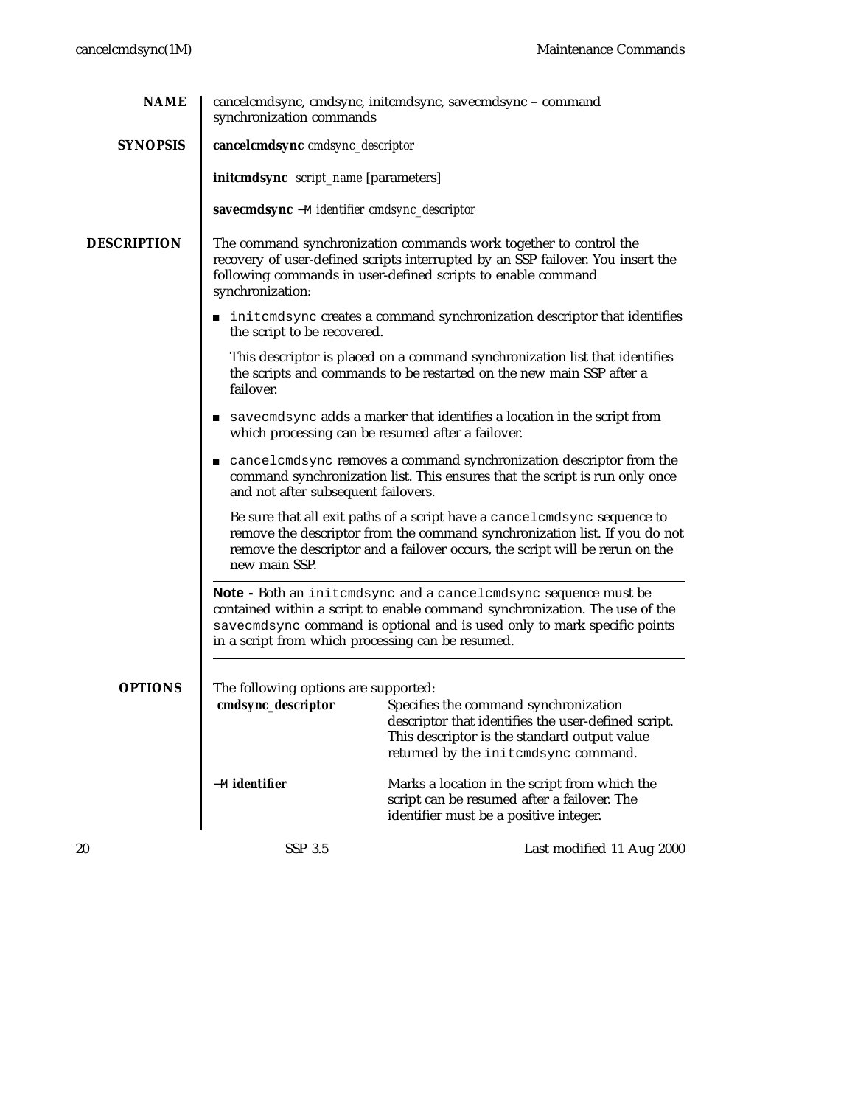| <b>NAME</b>        | synchronization commands                                                                                                                                                                                                                                                               | cancelcmdsync, cmdsync, initcmdsync, savecmdsync - command                                                                                                                                                           |  |
|--------------------|----------------------------------------------------------------------------------------------------------------------------------------------------------------------------------------------------------------------------------------------------------------------------------------|----------------------------------------------------------------------------------------------------------------------------------------------------------------------------------------------------------------------|--|
| <b>SYNOPSIS</b>    | cancelcmdsync cmdsync_descriptor                                                                                                                                                                                                                                                       |                                                                                                                                                                                                                      |  |
|                    | initcmdsync script_name [parameters]                                                                                                                                                                                                                                                   |                                                                                                                                                                                                                      |  |
|                    | savecmdsync -M identifier cmdsync_descriptor                                                                                                                                                                                                                                           |                                                                                                                                                                                                                      |  |
| <b>DESCRIPTION</b> | synchronization:                                                                                                                                                                                                                                                                       | The command synchronization commands work together to control the<br>recovery of user-defined scripts interrupted by an SSP failover. You insert the<br>following commands in user-defined scripts to enable command |  |
|                    | the script to be recovered.                                                                                                                                                                                                                                                            | initeral sync creates a command synchronization descriptor that identifies                                                                                                                                           |  |
|                    | failover.                                                                                                                                                                                                                                                                              | This descriptor is placed on a command synchronization list that identifies<br>the scripts and commands to be restarted on the new main SSP after a                                                                  |  |
|                    |                                                                                                                                                                                                                                                                                        | savecmdsync adds a marker that identifies a location in the script from<br>which processing can be resumed after a failover.                                                                                         |  |
|                    | • cancel cmdsync removes a command synchronization descriptor from the<br>command synchronization list. This ensures that the script is run only once<br>and not after subsequent failovers.                                                                                           |                                                                                                                                                                                                                      |  |
|                    | Be sure that all exit paths of a script have a cancel cmdsync sequence to<br>remove the descriptor from the command synchronization list. If you do not<br>remove the descriptor and a failover occurs, the script will be rerun on the<br>new main SSP.                               |                                                                                                                                                                                                                      |  |
|                    | <b>Note -</b> Both an initemdsyne and a cancelemdsyne sequence must be<br>contained within a script to enable command synchronization. The use of the<br>savecmdsync command is optional and is used only to mark specific points<br>in a script from which processing can be resumed. |                                                                                                                                                                                                                      |  |
| <b>OPTIONS</b>     | The following options are supported:<br>cmdsync_descriptor                                                                                                                                                                                                                             | Specifies the command synchronization<br>descriptor that identifies the user-defined script.<br>This descriptor is the standard output value<br>returned by the initemdsync command.                                 |  |
|                    | $-M$ identifier                                                                                                                                                                                                                                                                        | Marks a location in the script from which the<br>script can be resumed after a failover. The<br>identifier must be a positive integer.                                                                               |  |
| 20                 | SSP 3.5                                                                                                                                                                                                                                                                                | Last modified 11 Aug 2000                                                                                                                                                                                            |  |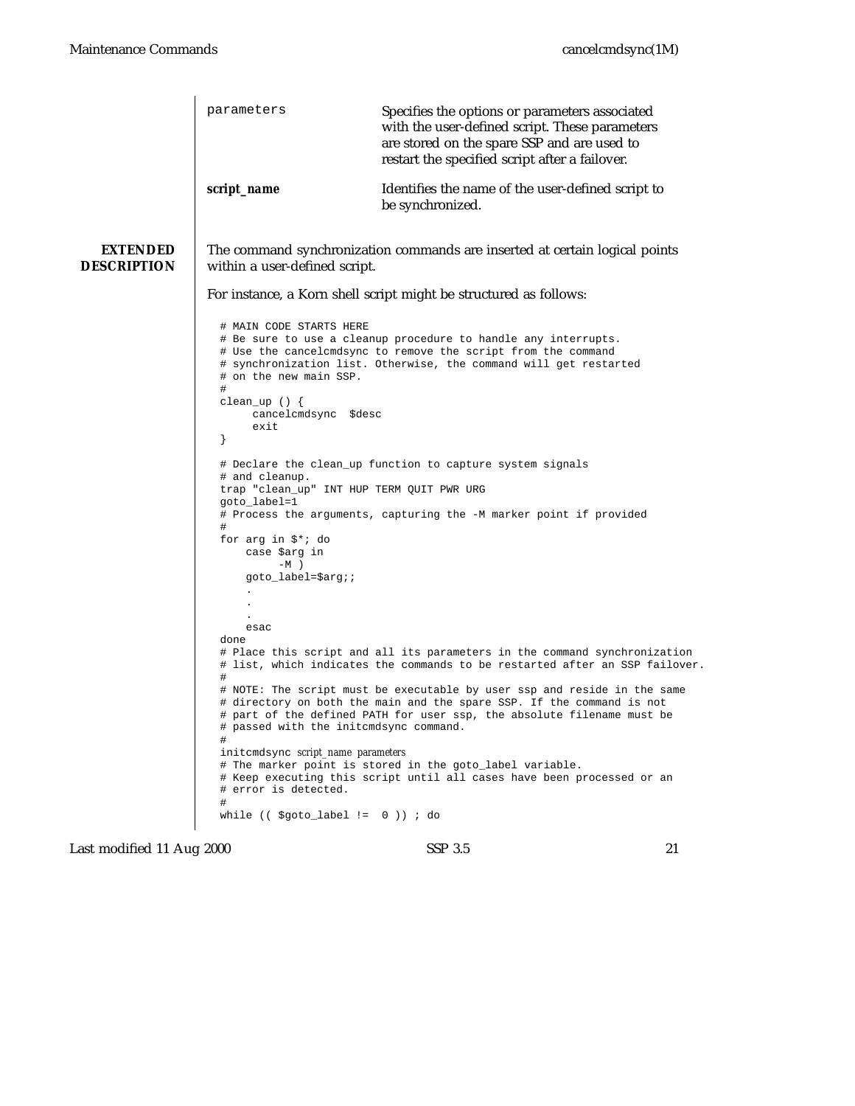```
parameters Specifies the options or parameters associated
                                               with the user-defined script. These parameters
                                               are stored on the spare SSP and are used to
                                               restart the specified script after a failover.
                   script_name Identifies the name of the user-defined script to
                                               be synchronized.
   EXTENDED
DESCRIPTION
                   The command synchronization commands are inserted at certain logical points
                   within a user-defined script.
                   For instance, a Korn shell script might be structured as follows:
                     # MAIN CODE STARTS HERE
                     # Be sure to use a cleanup procedure to handle any interrupts.
                     # Use the cancelcmdsync to remove the script from the command
                     # synchronization list. Otherwise, the command will get restarted
                     # on the new main SSP.
                      #
                     clean_up () {
                          cancelcmdsync $desc
                          exit
                     }
                     # Declare the clean_up function to capture system signals
                     # and cleanup.
                     trap "clean_up" INT HUP TERM QUIT PWR URG
                     goto_label=1
                     # Process the arguments, capturing the -M marker point if provided
                      #
                     for arg in $*; do
                         case $arg in
                            -M)
                         goto_label=$arg;;
                          .
                          .
                          .
                         esac
                     done
                     # Place this script and all its parameters in the command synchronization
                     # list, which indicates the commands to be restarted after an SSP failover.
                      #
                     # NOTE: The script must be executable by user ssp and reside in the same
                     # directory on both the main and the spare SSP. If the command is not
                     # part of the defined PATH for user ssp, the absolute filename must be
                     # passed with the initcmdsync command.
                      #
                     initcmdsync script_name parameters
                     # The marker point is stored in the goto_label variable.
                     # Keep executing this script until all cases have been processed or an
                     # error is detected.
                      #
                      while (( $goto_label != 0 )) ; do
```
Last modified 11 Aug 2000 SSP 3.5 21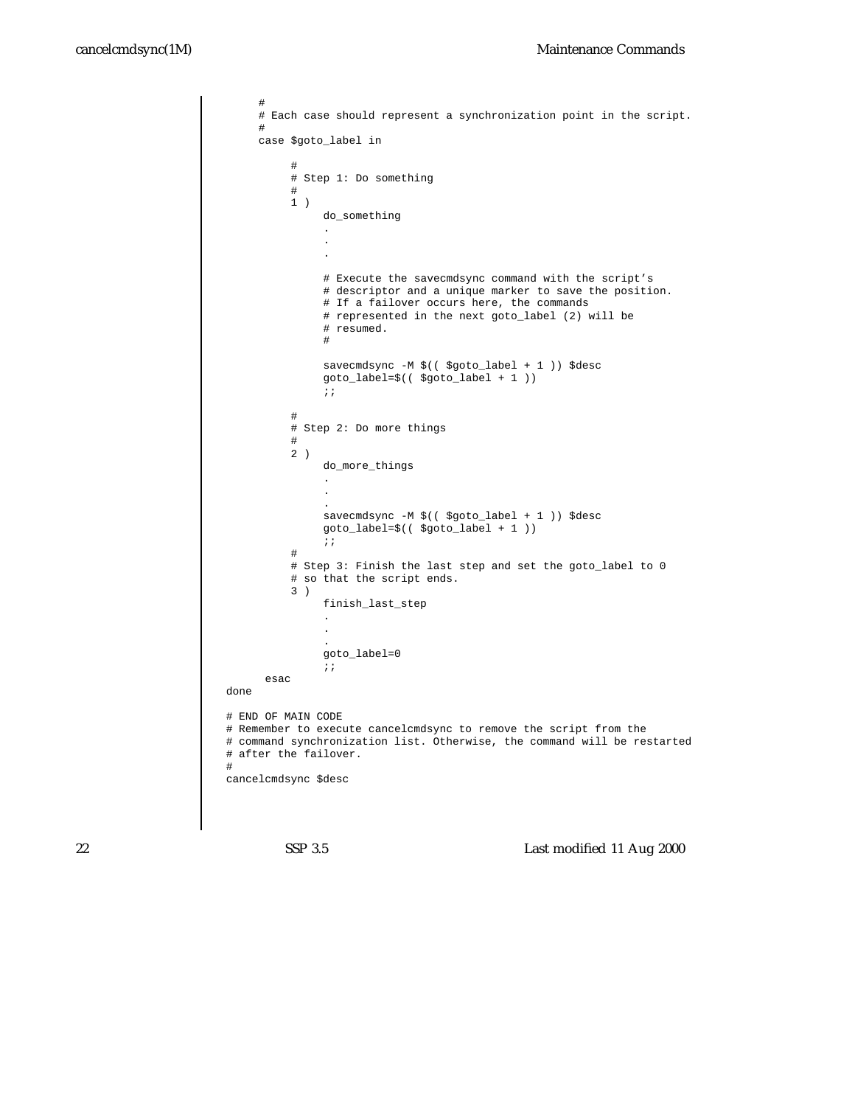```
#
     # Each case should represent a synchronization point in the script.
     #
     case $goto_label in
          #
          # Step 1: Do something
          #
          1 )
               do_something
                .
                .
                .
               # Execute the savecmdsync command with the script's
               # descriptor and a unique marker to save the position.
               # If a failover occurs here, the commands
               # represented in the next goto_label (2) will be
               # resumed.
               #
               savecmdsync -M $(( $goto_label + 1 )) $desc
               goto_label=$(( $goto_label + 1 ))
               ;;
          #
          # Step 2: Do more things
          #
          2 )
               do_more_things
                .
                .
                .
               savecmdsync -M $(( $goto_label + 1 )) $desc
               goto_label=$(( $goto_label + 1 ))
                ;;
          #
          # Step 3: Finish the last step and set the goto_label to 0
          # so that the script ends.
          3 )
               finish_last_step
                .
                .
                .
               goto_label=0
               \left| i\right\rangle iesac
done
# END OF MAIN CODE
# Remember to execute cancelcmdsync to remove the script from the
# command synchronization list. Otherwise, the command will be restarted
# after the failover.
#
cancelcmdsync $desc
```
22 SSP 3.5 SSP 3.5 Last modified 11 Aug 2000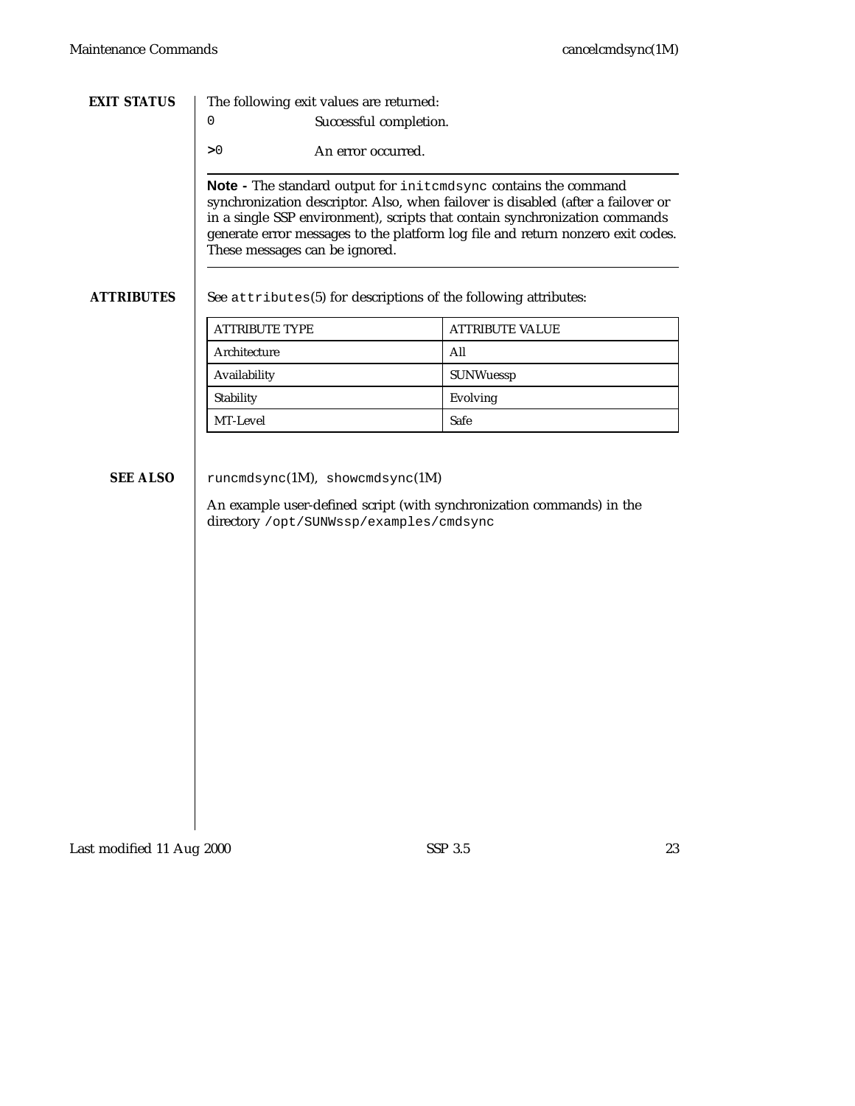## **EXIT STATUS** The following exit values are returned: 0 Successful completion. **>**0 An error occurred.

**Note -** The standard output for initcmdsync contains the command synchronization descriptor. Also, when failover is disabled (after a failover or in a single SSP environment), scripts that contain synchronization commands generate error messages to the platform log file and return nonzero exit codes. These messages can be ignored.

**ATTRIBUTES** See attributes(5) for descriptions of the following attributes:

| <b>ATTRIBUTE TYPE</b> | <b>ATTRIBUTE VALUE</b> |
|-----------------------|------------------------|
| Architecture          | All                    |
| Availability          | <b>SUNWuessp</b>       |
| Stability             | Evolving               |
| MT-Level              | Safe                   |

#### **SEE ALSO** runcmdsync(1M), showcmdsync(1M)

An example user-defined script (with synchronization commands) in the directory /opt/SUNWssp/examples/cmdsync

Last modified 11 Aug 2000 SSP 3.5 23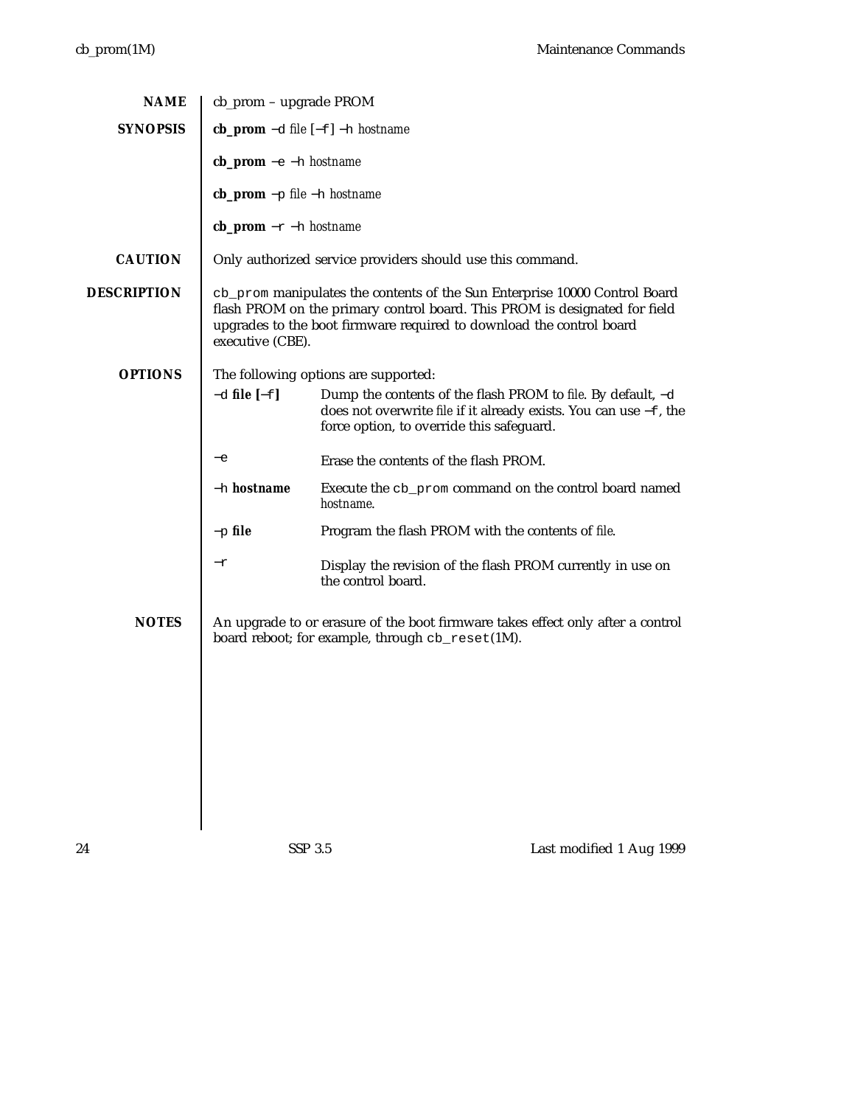| <b>NAME</b>        | cb_prom - upgrade PROM                                                                                                                                                                                                                               |                                                                                                                                                                                  |  |
|--------------------|------------------------------------------------------------------------------------------------------------------------------------------------------------------------------------------------------------------------------------------------------|----------------------------------------------------------------------------------------------------------------------------------------------------------------------------------|--|
| <b>SYNOPSIS</b>    | <b>cb_prom</b> $-d$ file $[-f]$ -h hostname                                                                                                                                                                                                          |                                                                                                                                                                                  |  |
|                    | $cb\_prom -e -h$ hostname                                                                                                                                                                                                                            |                                                                                                                                                                                  |  |
|                    | $cb\_prom$ -p file -h hostname                                                                                                                                                                                                                       |                                                                                                                                                                                  |  |
|                    | $cb\_prom -r -h$ hostname                                                                                                                                                                                                                            |                                                                                                                                                                                  |  |
| <b>CAUTION</b>     |                                                                                                                                                                                                                                                      | Only authorized service providers should use this command.                                                                                                                       |  |
| <b>DESCRIPTION</b> | cb_prom manipulates the contents of the Sun Enterprise 10000 Control Board<br>flash PROM on the primary control board. This PROM is designated for field<br>upgrades to the boot firmware required to download the control board<br>executive (CBE). |                                                                                                                                                                                  |  |
| <b>OPTIONS</b>     |                                                                                                                                                                                                                                                      | The following options are supported:                                                                                                                                             |  |
|                    | $-d$ file $[-f]$                                                                                                                                                                                                                                     | Dump the contents of the flash PROM to file. By default, -d<br>does not overwrite file if it already exists. You can use $-f$ , the<br>force option, to override this safeguard. |  |
|                    | $-e$                                                                                                                                                                                                                                                 | Erase the contents of the flash PROM.                                                                                                                                            |  |
|                    | -h hostname                                                                                                                                                                                                                                          | Execute the cb_prom command on the control board named<br>hostname.                                                                                                              |  |
|                    | $-p$ file                                                                                                                                                                                                                                            | Program the flash PROM with the contents of file.                                                                                                                                |  |
|                    | $-r$                                                                                                                                                                                                                                                 | Display the revision of the flash PROM currently in use on<br>the control board.                                                                                                 |  |
| <b>NOTES</b>       |                                                                                                                                                                                                                                                      | An upgrade to or erasure of the boot firmware takes effect only after a control<br>board reboot; for example, through cb_reset(1M).                                              |  |
|                    |                                                                                                                                                                                                                                                      |                                                                                                                                                                                  |  |

24 SSP 3.5 Last modified 1 Aug 1999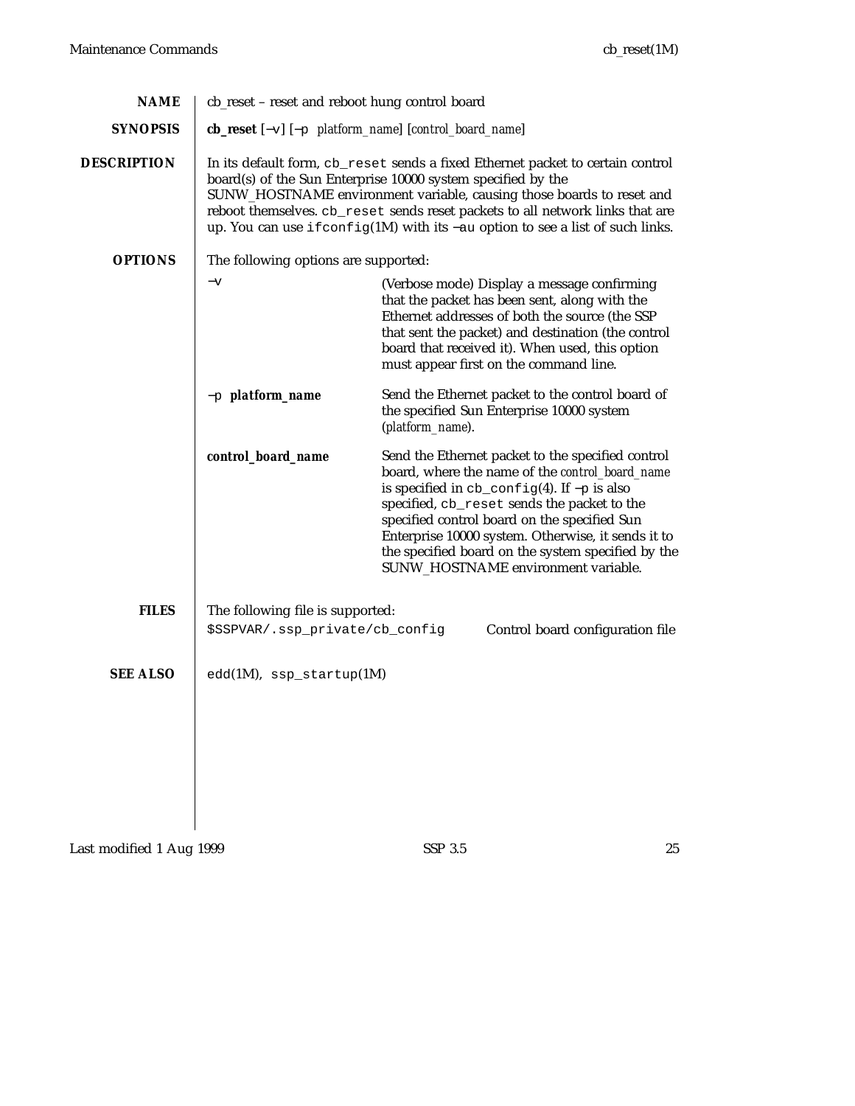| <b>NAME</b>        | cb_reset - reset and reboot hung control board                                                                                                                                                                                                                                                                                                                                                |                  |                                                                                                                                                                                                                                                                                                                                                                                                               |
|--------------------|-----------------------------------------------------------------------------------------------------------------------------------------------------------------------------------------------------------------------------------------------------------------------------------------------------------------------------------------------------------------------------------------------|------------------|---------------------------------------------------------------------------------------------------------------------------------------------------------------------------------------------------------------------------------------------------------------------------------------------------------------------------------------------------------------------------------------------------------------|
| <b>SYNOPSIS</b>    | $cb\_reset$ $[-v]$ $[-p$ platform_name] [control_board_name]                                                                                                                                                                                                                                                                                                                                  |                  |                                                                                                                                                                                                                                                                                                                                                                                                               |
| <b>DESCRIPTION</b> | In its default form, cb_reset sends a fixed Ethernet packet to certain control<br>board(s) of the Sun Enterprise 10000 system specified by the<br>SUNW_HOSTNAME environment variable, causing those boards to reset and<br>reboot themselves. cb_reset sends reset packets to all network links that are<br>up. You can use $ifconfig(1M)$ with its $-au$ option to see a list of such links. |                  |                                                                                                                                                                                                                                                                                                                                                                                                               |
| <b>OPTIONS</b>     | The following options are supported:                                                                                                                                                                                                                                                                                                                                                          |                  |                                                                                                                                                                                                                                                                                                                                                                                                               |
|                    | $-v$                                                                                                                                                                                                                                                                                                                                                                                          |                  | (Verbose mode) Display a message confirming<br>that the packet has been sent, along with the<br>Ethernet addresses of both the source (the SSP<br>that sent the packet) and destination (the control<br>board that received it). When used, this option<br>must appear first on the command line.                                                                                                             |
|                    | -p platform_name                                                                                                                                                                                                                                                                                                                                                                              | (platform_name). | Send the Ethernet packet to the control board of<br>the specified Sun Enterprise 10000 system                                                                                                                                                                                                                                                                                                                 |
|                    | control_board_name                                                                                                                                                                                                                                                                                                                                                                            |                  | Send the Ethernet packet to the specified control<br>board, where the name of the control_board_name<br>is specified in $cb\_{config(4)}$ . If $-p$ is also<br>specified, cb_reset sends the packet to the<br>specified control board on the specified Sun<br>Enterprise 10000 system. Otherwise, it sends it to<br>the specified board on the system specified by the<br>SUNW_HOSTNAME environment variable. |
| <b>FILES</b>       | The following file is supported:                                                                                                                                                                                                                                                                                                                                                              |                  |                                                                                                                                                                                                                                                                                                                                                                                                               |
|                    | \$SSPVAR/.ssp_private/cb_config                                                                                                                                                                                                                                                                                                                                                               |                  | Control board configuration file                                                                                                                                                                                                                                                                                                                                                                              |
| <b>SEE ALSO</b>    | edd(1M), ssp_startup(1M)                                                                                                                                                                                                                                                                                                                                                                      |                  |                                                                                                                                                                                                                                                                                                                                                                                                               |

Last modified 1 Aug 1999 SSP 3.5 SSP 3.5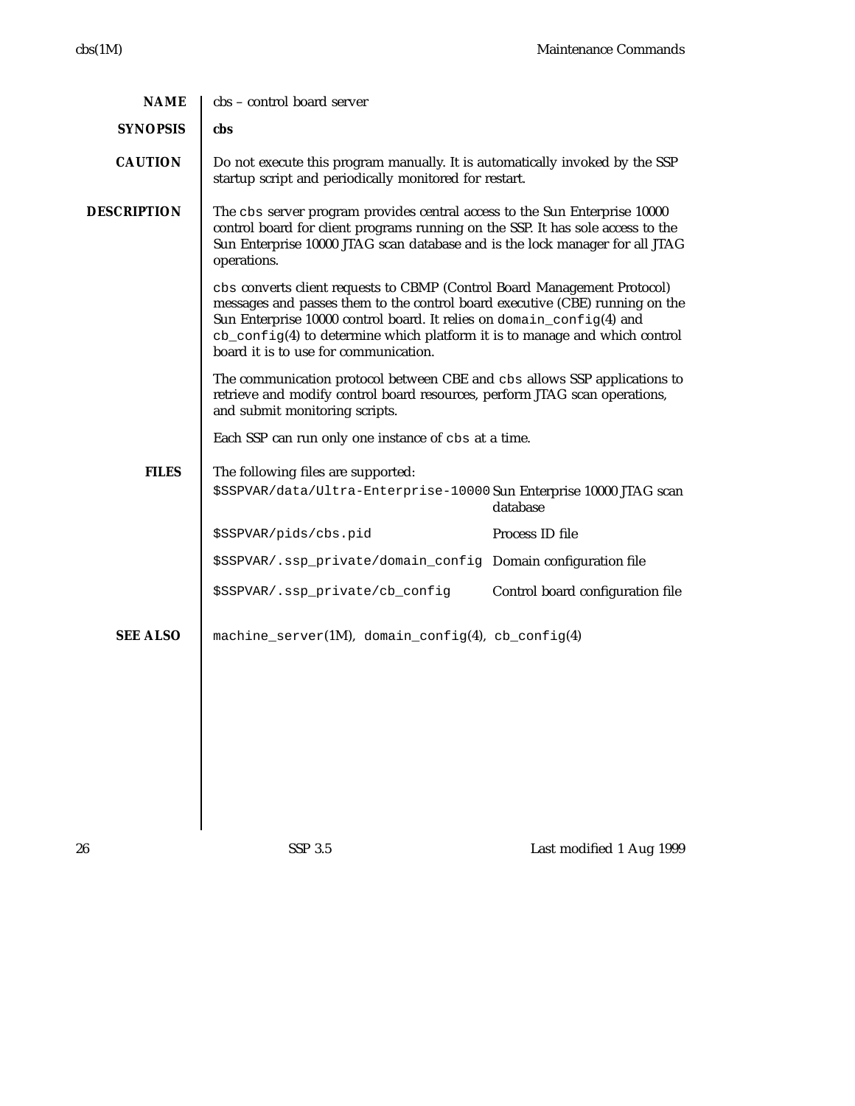| <b>NAME</b>        | cbs - control board server                                                                                                                                                                                                                                                                                                                               |                                  |
|--------------------|----------------------------------------------------------------------------------------------------------------------------------------------------------------------------------------------------------------------------------------------------------------------------------------------------------------------------------------------------------|----------------------------------|
| <b>SYNOPSIS</b>    | cbs                                                                                                                                                                                                                                                                                                                                                      |                                  |
| <b>CAUTION</b>     | Do not execute this program manually. It is automatically invoked by the SSP<br>startup script and periodically monitored for restart.                                                                                                                                                                                                                   |                                  |
| <b>DESCRIPTION</b> | The cbs server program provides central access to the Sun Enterprise 10000<br>control board for client programs running on the SSP. It has sole access to the<br>Sun Enterprise 10000 JTAG scan database and is the lock manager for all JTAG<br>operations.                                                                                             |                                  |
|                    | cbs converts client requests to CBMP (Control Board Management Protocol)<br>messages and passes them to the control board executive (CBE) running on the<br>Sun Enterprise 10000 control board. It relies on domain_config(4) and<br>cb_config(4) to determine which platform it is to manage and which control<br>board it is to use for communication. |                                  |
|                    | The communication protocol between CBE and cbs allows SSP applications to<br>retrieve and modify control board resources, perform JTAG scan operations,<br>and submit monitoring scripts.                                                                                                                                                                |                                  |
|                    | Each SSP can run only one instance of cbs at a time.                                                                                                                                                                                                                                                                                                     |                                  |
| <b>FILES</b>       | The following files are supported:<br>\$SSPVAR/data/Ultra-Enterprise-10000 Sun Enterprise 10000 JTAG scan                                                                                                                                                                                                                                                | database                         |
|                    | \$SSPVAR/pids/cbs.pid                                                                                                                                                                                                                                                                                                                                    | Process ID file                  |
|                    | \$SSPVAR/.ssp_private/domain_config Domain configuration file                                                                                                                                                                                                                                                                                            |                                  |
|                    | \$SSPVAR/.ssp_private/cb_config                                                                                                                                                                                                                                                                                                                          | Control board configuration file |
| <b>SEE ALSO</b>    | machine_server(1M), domain_config(4), cb_config(4)                                                                                                                                                                                                                                                                                                       |                                  |
|                    |                                                                                                                                                                                                                                                                                                                                                          |                                  |
|                    |                                                                                                                                                                                                                                                                                                                                                          |                                  |
|                    |                                                                                                                                                                                                                                                                                                                                                          |                                  |
|                    |                                                                                                                                                                                                                                                                                                                                                          |                                  |
|                    |                                                                                                                                                                                                                                                                                                                                                          |                                  |

26 SSP 3.5 Last modified 1 Aug 1999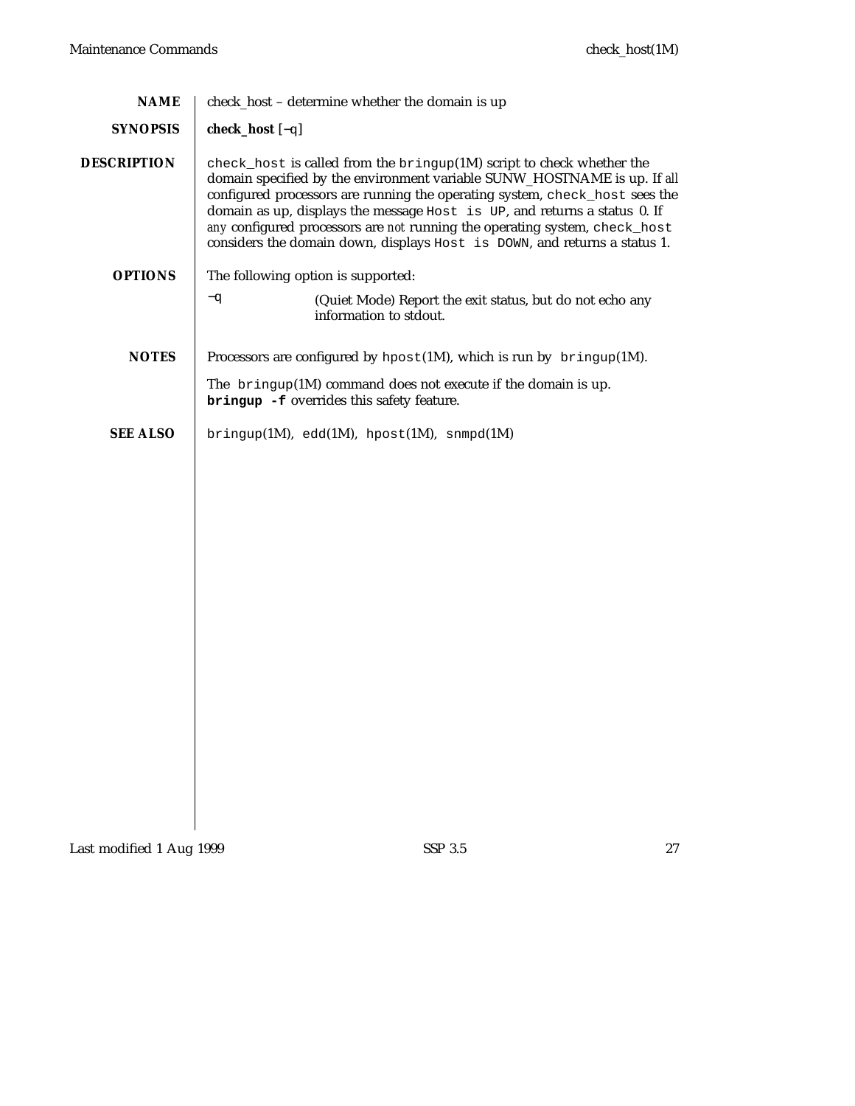| <b>NAME</b>        | check_host – determine whether the domain is up                                                                                                                                                                                                                                                                                                                                                                                                                          |  |
|--------------------|--------------------------------------------------------------------------------------------------------------------------------------------------------------------------------------------------------------------------------------------------------------------------------------------------------------------------------------------------------------------------------------------------------------------------------------------------------------------------|--|
| <b>SYNOPSIS</b>    | check_host $[-q]$                                                                                                                                                                                                                                                                                                                                                                                                                                                        |  |
| <b>DESCRIPTION</b> | check_host is called from the bringup(1M) script to check whether the<br>domain specified by the environment variable SUNW_HOSTNAME is up. If all<br>configured processors are running the operating system, check_host sees the<br>domain as up, displays the message Host is UP, and returns a status 0. If<br>any configured processors are not running the operating system, check_host<br>considers the domain down, displays Host is DOWN, and returns a status 1. |  |
| <b>OPTIONS</b>     | The following option is supported:                                                                                                                                                                                                                                                                                                                                                                                                                                       |  |
|                    | $-q$<br>(Quiet Mode) Report the exit status, but do not echo any<br>information to stdout.                                                                                                                                                                                                                                                                                                                                                                               |  |
| <b>NOTES</b>       | Processors are configured by $hpost(1M)$ , which is run by $bringup(1M)$ .                                                                                                                                                                                                                                                                                                                                                                                               |  |
|                    | The bringup(1M) command does not execute if the domain is up.<br>bringup -f overrides this safety feature.                                                                                                                                                                                                                                                                                                                                                               |  |
| <b>SEE ALSO</b>    | bringup( $1M$ ), edd( $1M$ ), hpost( $1M$ ), snmpd( $1M$ )                                                                                                                                                                                                                                                                                                                                                                                                               |  |
|                    |                                                                                                                                                                                                                                                                                                                                                                                                                                                                          |  |

Last modified 1 Aug 1999 SSP 3.5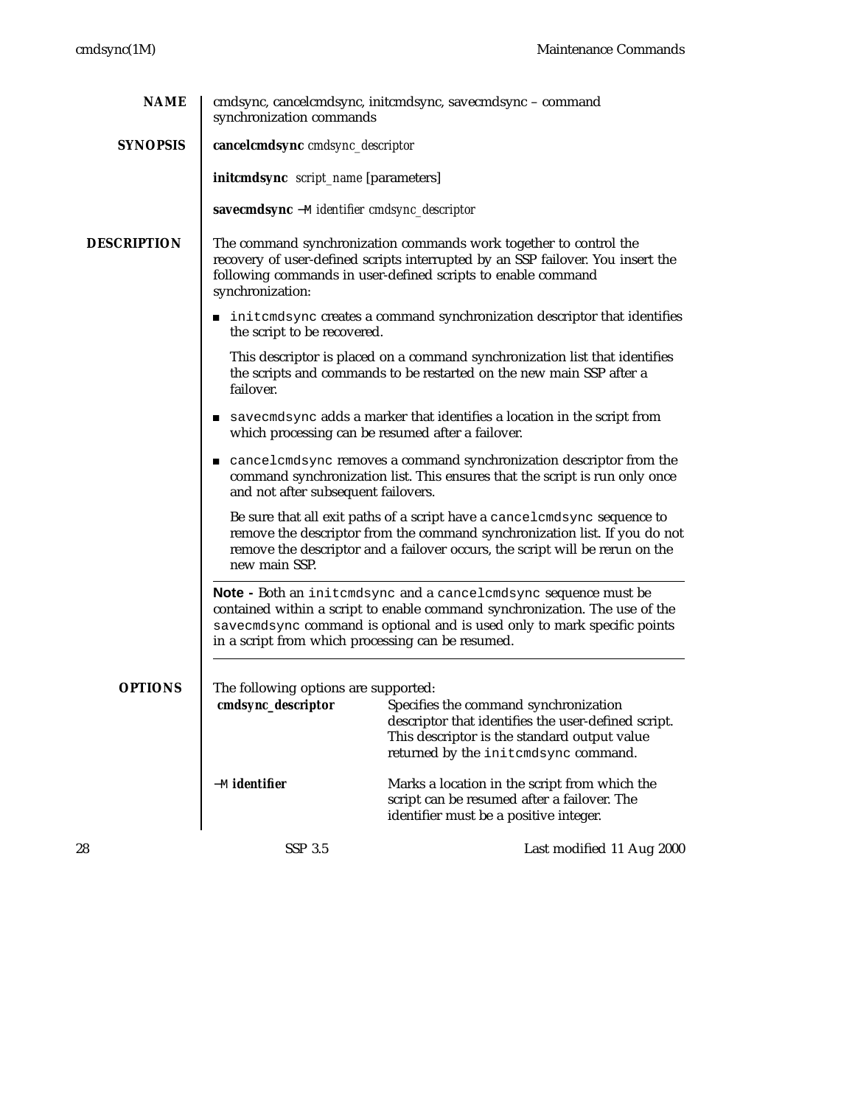| <b>NAME</b>        | cmdsync, cancelcmdsync, initcmdsync, savecmdsync - command<br>synchronization commands                                                                                                                                                                                          |                                                                                                                                                     |
|--------------------|---------------------------------------------------------------------------------------------------------------------------------------------------------------------------------------------------------------------------------------------------------------------------------|-----------------------------------------------------------------------------------------------------------------------------------------------------|
| <b>SYNOPSIS</b>    | cancelcmdsync cmdsync_descriptor                                                                                                                                                                                                                                                |                                                                                                                                                     |
|                    | initcmdsync script_name [parameters]                                                                                                                                                                                                                                            |                                                                                                                                                     |
|                    | savecmdsync -M identifier cmdsync_descriptor                                                                                                                                                                                                                                    |                                                                                                                                                     |
| <b>DESCRIPTION</b> | The command synchronization commands work together to control the<br>recovery of user-defined scripts interrupted by an SSP failover. You insert the<br>following commands in user-defined scripts to enable command<br>synchronization:                                        |                                                                                                                                                     |
|                    | the script to be recovered.                                                                                                                                                                                                                                                     | initeral sync creates a command synchronization descriptor that identifies                                                                          |
|                    | failover.                                                                                                                                                                                                                                                                       | This descriptor is placed on a command synchronization list that identifies<br>the scripts and commands to be restarted on the new main SSP after a |
|                    | savecmdsync adds a marker that identifies a location in the script from<br>which processing can be resumed after a failover.                                                                                                                                                    |                                                                                                                                                     |
|                    | cancel cmdsync removes a command synchronization descriptor from the<br>command synchronization list. This ensures that the script is run only once<br>and not after subsequent failovers.                                                                                      |                                                                                                                                                     |
|                    | Be sure that all exit paths of a script have a cancel cmdsync sequence to<br>remove the descriptor from the command synchronization list. If you do not<br>remove the descriptor and a failover occurs, the script will be rerun on the<br>new main SSP.                        |                                                                                                                                                     |
|                    | Note - Both an initemdsyne and a cancelemdsyne sequence must be<br>contained within a script to enable command synchronization. The use of the<br>savecmdsync command is optional and is used only to mark specific points<br>in a script from which processing can be resumed. |                                                                                                                                                     |
| <b>OPTIONS</b>     | The following options are supported:<br>cmdsync_descriptor<br>Specifies the command synchronization<br>descriptor that identifies the user-defined script.<br>This descriptor is the standard output value<br>returned by the initemdsync command.                              |                                                                                                                                                     |
|                    | $-M$ identifier                                                                                                                                                                                                                                                                 | Marks a location in the script from which the<br>script can be resumed after a failover. The<br>identifier must be a positive integer.              |
| 28                 | SSP 3.5                                                                                                                                                                                                                                                                         | Last modified 11 Aug 2000                                                                                                                           |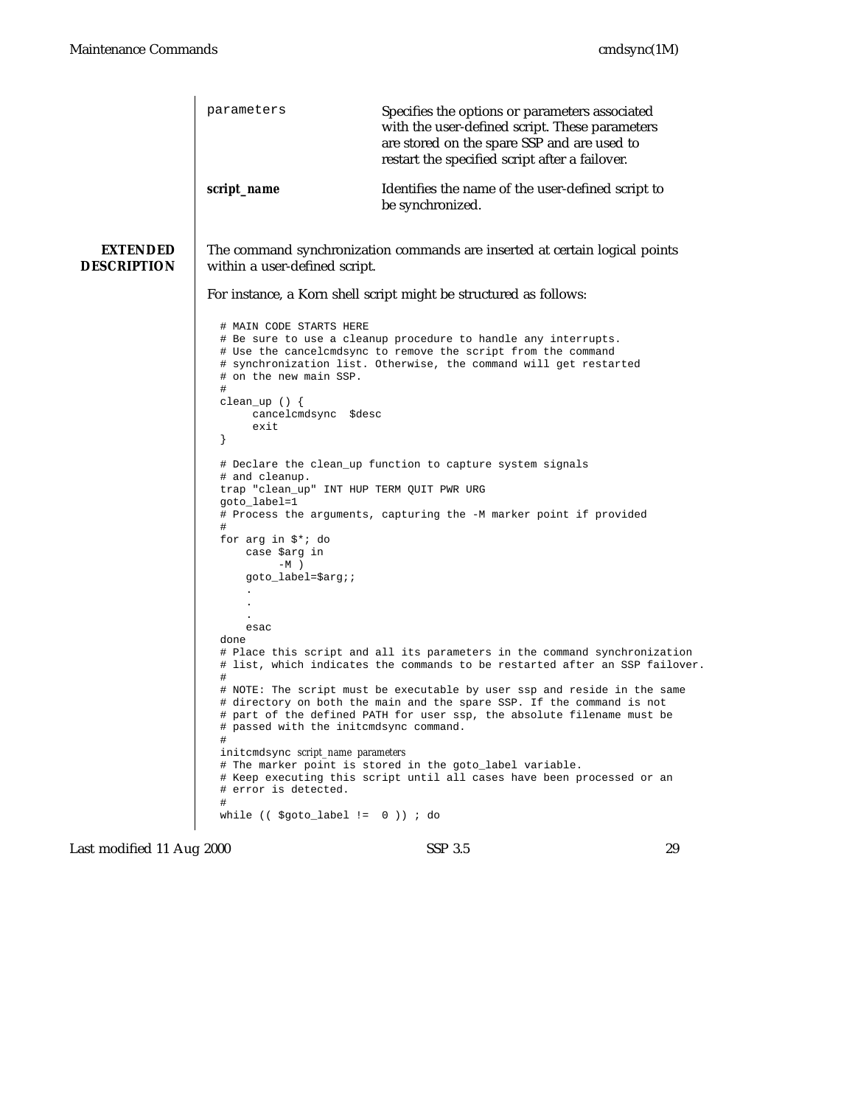|                                                                                                                                                                                                                                                                                                                                                                                                                                                                        | parameters                                                                                                                    | Specifies the options or parameters associated<br>with the user-defined script. These parameters<br>are stored on the spare SSP and are used to<br>restart the specified script after a failover.                                                                                                                                                                                                                                                                                                                                       |
|------------------------------------------------------------------------------------------------------------------------------------------------------------------------------------------------------------------------------------------------------------------------------------------------------------------------------------------------------------------------------------------------------------------------------------------------------------------------|-------------------------------------------------------------------------------------------------------------------------------|-----------------------------------------------------------------------------------------------------------------------------------------------------------------------------------------------------------------------------------------------------------------------------------------------------------------------------------------------------------------------------------------------------------------------------------------------------------------------------------------------------------------------------------------|
|                                                                                                                                                                                                                                                                                                                                                                                                                                                                        | script_name                                                                                                                   | Identifies the name of the user-defined script to<br>be synchronized.                                                                                                                                                                                                                                                                                                                                                                                                                                                                   |
| <b>EXTENDED</b><br><b>DESCRIPTION</b>                                                                                                                                                                                                                                                                                                                                                                                                                                  | within a user-defined script.                                                                                                 | The command synchronization commands are inserted at certain logical points                                                                                                                                                                                                                                                                                                                                                                                                                                                             |
|                                                                                                                                                                                                                                                                                                                                                                                                                                                                        |                                                                                                                               | For instance, a Korn shell script might be structured as follows:                                                                                                                                                                                                                                                                                                                                                                                                                                                                       |
|                                                                                                                                                                                                                                                                                                                                                                                                                                                                        | # MAIN CODE STARTS HERE<br># on the new main SSP.<br>$\#$<br>clean_up $()$ {<br>cancelcmdsync \$desc<br>exit<br>$\mathcal{F}$ | # Be sure to use a cleanup procedure to handle any interrupts.<br># Use the cancelcmdsync to remove the script from the command<br># synchronization list. Otherwise, the command will get restarted                                                                                                                                                                                                                                                                                                                                    |
| # Declare the clean_up function to capture system signals<br># and cleanup.<br>trap "clean_up" INT HUP TERM QUIT PWR URG<br>goto_label=1<br>#<br>for arg in \$*; do<br>case \$arg in<br>$-M$ )<br>goto_label=\$arg;;<br>esac<br>done<br>#<br># passed with the initemdsync command.<br>initemdsyne script_name parameters<br># The marker point is stored in the goto_label variable.<br># error is detected.<br>#<br>while $((\text{§qoto}\_\text{label} != 0))$ ; do |                                                                                                                               | # Process the arguments, capturing the -M marker point if provided<br># Place this script and all its parameters in the command synchronization<br># list, which indicates the commands to be restarted after an SSP failover.<br># NOTE: The script must be executable by user ssp and reside in the same<br># directory on both the main and the spare SSP. If the command is not<br># part of the defined PATH for user ssp, the absolute filename must be<br># Keep executing this script until all cases have been processed or an |
|                                                                                                                                                                                                                                                                                                                                                                                                                                                                        |                                                                                                                               |                                                                                                                                                                                                                                                                                                                                                                                                                                                                                                                                         |

Last modified 11 Aug 2000 SSP 3.5 29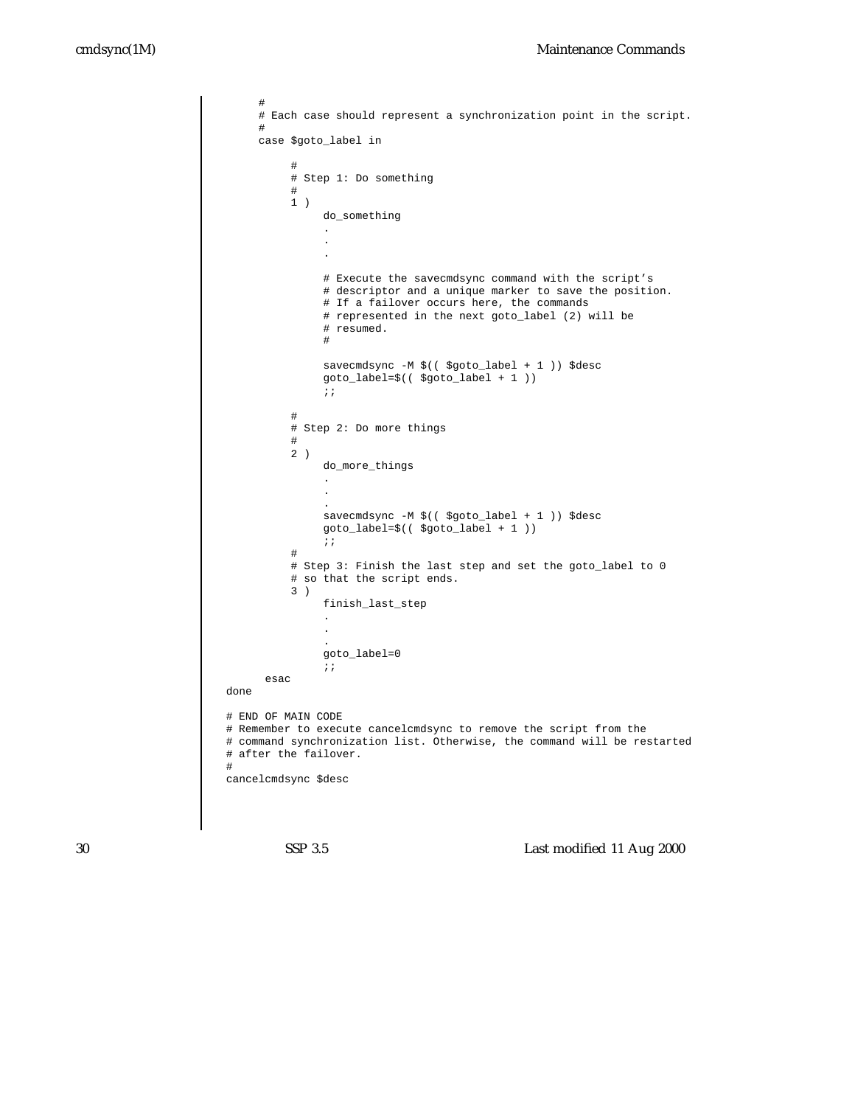```
#
     # Each case should represent a synchronization point in the script.
     #
     case $goto_label in
          #
          # Step 1: Do something
          #
          1 )
               do_something
                .
                .
                .
               # Execute the savecmdsync command with the script's
                # descriptor and a unique marker to save the position.
               # If a failover occurs here, the commands
               # represented in the next goto_label (2) will be
               # resumed.
               #
               savecmdsync -M $(( $goto_label + 1 )) $desc
               goto_label=$(( $goto_label + 1 ))
               ;;
          #
          # Step 2: Do more things
          #
          2 )
               do_more_things
                .
                .
                .
               savecmdsync -M $(( $goto_label + 1 )) $desc
               goto_label=$(( $goto_label + 1 ))
                ;;
          #
          # Step 3: Finish the last step and set the goto_label to 0
          # so that the script ends.
          3 )
               finish_last_step
                .
                .
                .
               goto_label=0
               \left| i\right\rangle iesac
done
# END OF MAIN CODE
# Remember to execute cancelcmdsync to remove the script from the
# command synchronization list. Otherwise, the command will be restarted
# after the failover.
#
cancelcmdsync $desc
```
30 SSP 3.5 Last modified 11 Aug 2000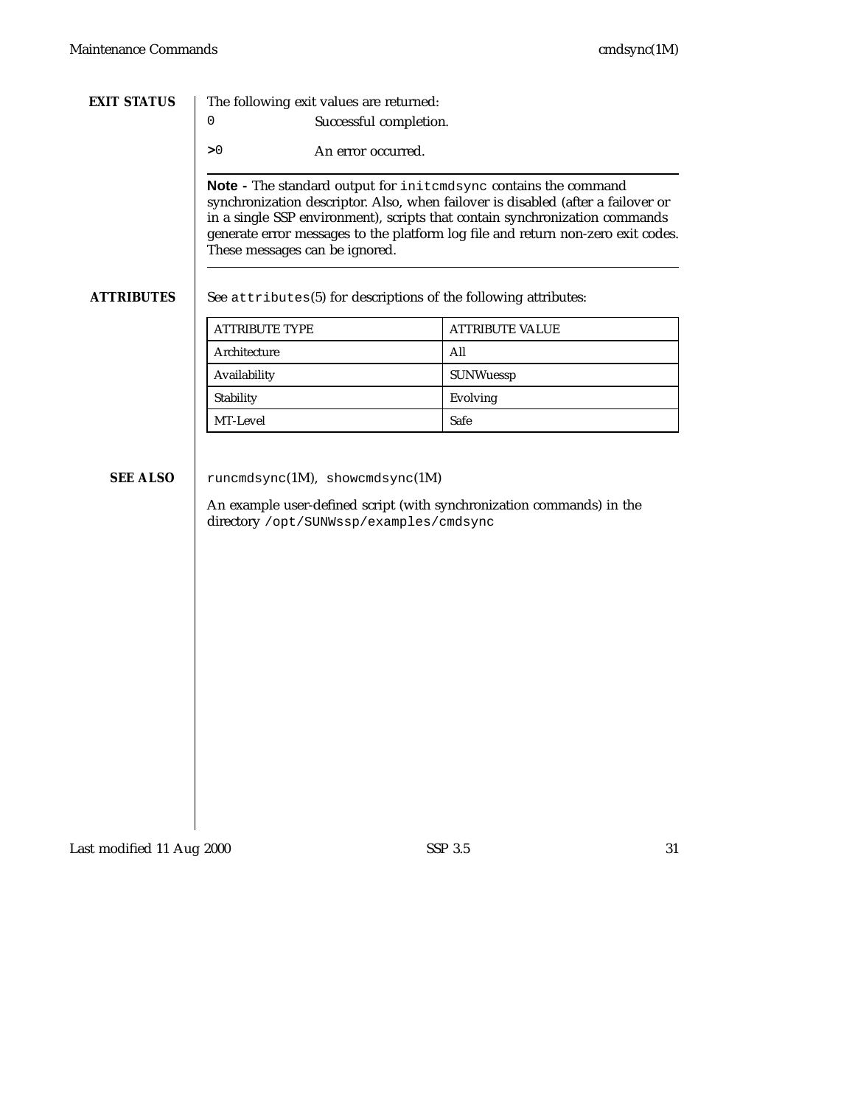## **EXIT STATUS** The following exit values are returned: 0 Successful completion. **>**0 An error occurred.

**Note -** The standard output for initcmdsync contains the command synchronization descriptor. Also, when failover is disabled (after a failover or in a single SSP environment), scripts that contain synchronization commands generate error messages to the platform log file and return non-zero exit codes. These messages can be ignored.

**ATTRIBUTES** See attributes(5) for descriptions of the following attributes:

| <b>ATTRIBUTE TYPE</b> | <b>ATTRIBUTE VALUE</b> |
|-----------------------|------------------------|
| Architecture          | All                    |
| Availability          | <b>SUNWuessp</b>       |
| Stability             | Evolving               |
| MT-Level              | Safe                   |

#### **SEE ALSO** runcmdsync(1M), showcmdsync(1M)

An example user-defined script (with synchronization commands) in the directory /opt/SUNWssp/examples/cmdsync

Last modified 11 Aug 2000 SSP 3.5 31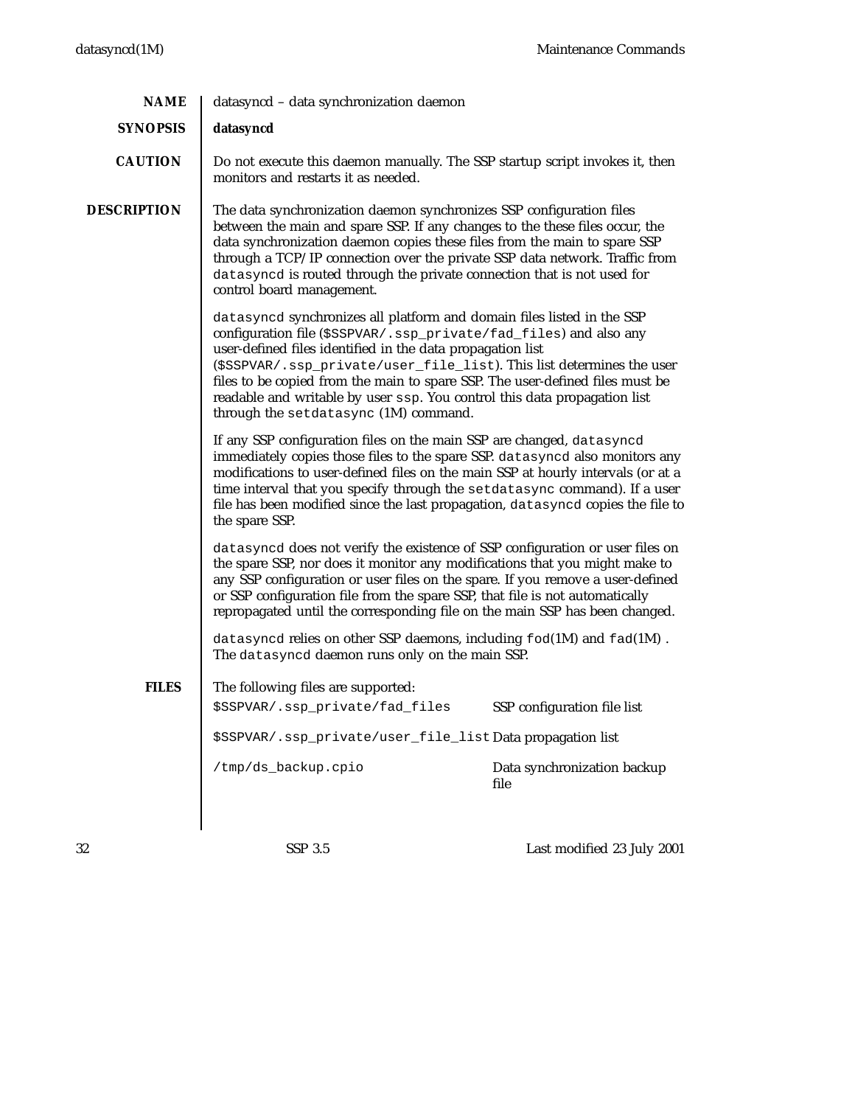| <b>NAME</b>        | datasyncd - data synchronization daemon                                                                                                                                                                                                                                                                                                                                                                                                                                                   |                                     |
|--------------------|-------------------------------------------------------------------------------------------------------------------------------------------------------------------------------------------------------------------------------------------------------------------------------------------------------------------------------------------------------------------------------------------------------------------------------------------------------------------------------------------|-------------------------------------|
| <b>SYNOPSIS</b>    | datasyncd                                                                                                                                                                                                                                                                                                                                                                                                                                                                                 |                                     |
| <b>CAUTION</b>     | Do not execute this daemon manually. The SSP startup script invokes it, then<br>monitors and restarts it as needed.                                                                                                                                                                                                                                                                                                                                                                       |                                     |
| <b>DESCRIPTION</b> | The data synchronization daemon synchronizes SSP configuration files<br>between the main and spare SSP. If any changes to the these files occur, the<br>data synchronization daemon copies these files from the main to spare SSP<br>through a TCP/IP connection over the private SSP data network. Traffic from<br>datasyncd is routed through the private connection that is not used for<br>control board management.                                                                  |                                     |
|                    | datasyncd synchronizes all platform and domain files listed in the SSP<br>configuration file (\$SSPVAR/.ssp_private/fad_files) and also any<br>user-defined files identified in the data propagation list<br>(\$SSPVAR/.ssp_private/user_file_list). This list determines the user<br>files to be copied from the main to spare SSP. The user-defined files must be<br>readable and writable by user ssp. You control this data propagation list<br>through the setdatasync (1M) command. |                                     |
|                    | If any SSP configuration files on the main SSP are changed, datasyncd<br>immediately copies those files to the spare SSP. datasyncd also monitors any<br>modifications to user-defined files on the main SSP at hourly intervals (or at a<br>time interval that you specify through the setdatasync command). If a user<br>file has been modified since the last propagation, datasyned copies the file to<br>the spare SSP.                                                              |                                     |
|                    | datasyncd does not verify the existence of SSP configuration or user files on<br>the spare SSP, nor does it monitor any modifications that you might make to<br>any SSP configuration or user files on the spare. If you remove a user-defined<br>or SSP configuration file from the spare SSP, that file is not automatically<br>repropagated until the corresponding file on the main SSP has been changed.                                                                             |                                     |
|                    | datasyncd relies on other SSP daemons, including fod(1M) and fad(1M).<br>The datasyned daemon runs only on the main SSP.                                                                                                                                                                                                                                                                                                                                                                  |                                     |
| <b>FILES</b>       | The following files are supported:<br>\$SSPVAR/.ssp_private/fad_files                                                                                                                                                                                                                                                                                                                                                                                                                     | SSP configuration file list         |
|                    | \$SSPVAR/.ssp_private/user_file_listData propagation list                                                                                                                                                                                                                                                                                                                                                                                                                                 |                                     |
|                    | /tmp/ds_backup.cpio                                                                                                                                                                                                                                                                                                                                                                                                                                                                       | Data synchronization backup<br>file |
|                    |                                                                                                                                                                                                                                                                                                                                                                                                                                                                                           |                                     |

32 SSP 3.5 Last modified 23 July 2001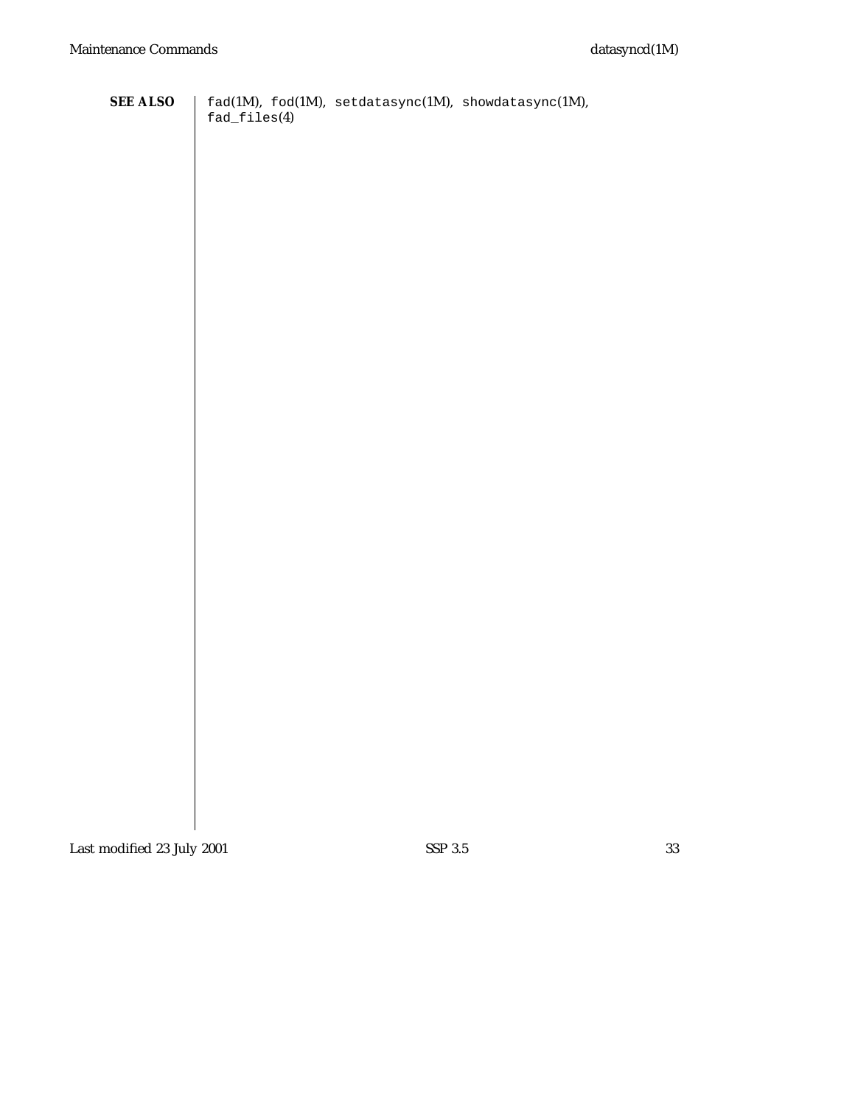### SEE ALSO | fad(1M), fod(1M), setdatasync(1M), showdatasync(1M), fad\_files(4)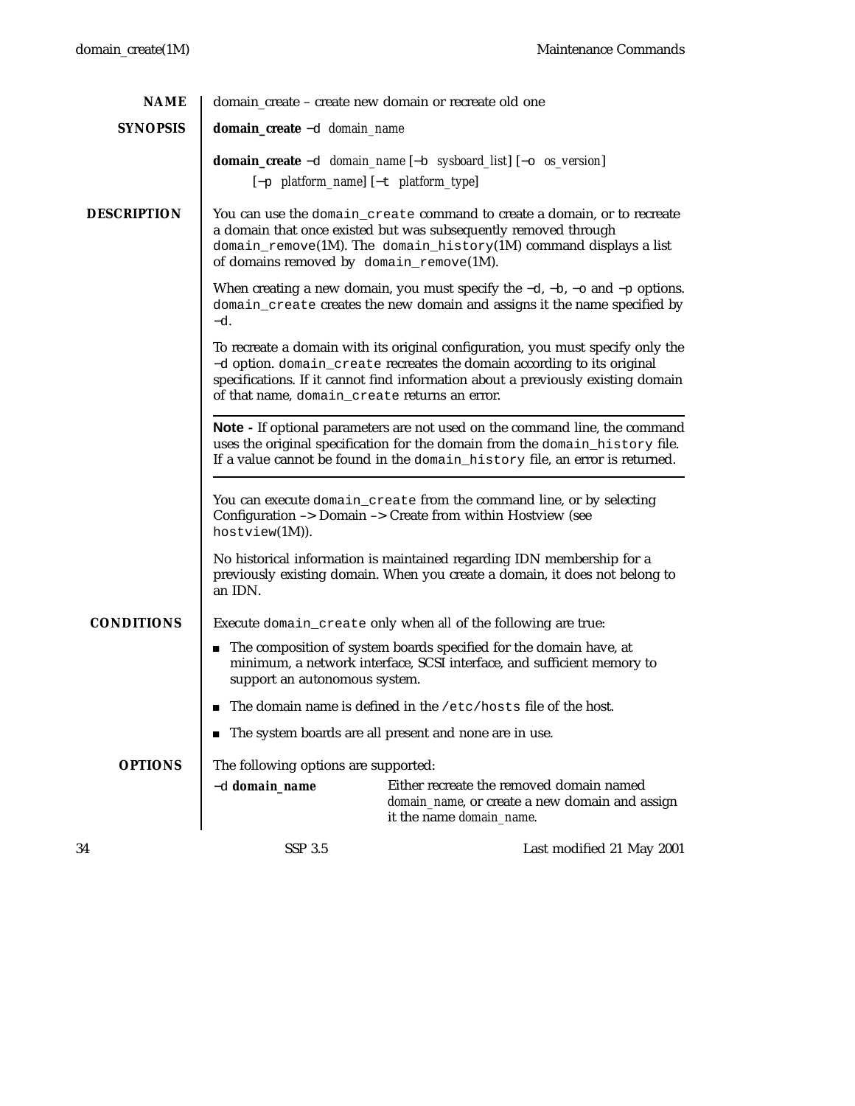| <b>NAME</b>        | domain_create - create new domain or recreate old one                                                                                                                                                                                                                                           |                                                                                                                                                                    |  |
|--------------------|-------------------------------------------------------------------------------------------------------------------------------------------------------------------------------------------------------------------------------------------------------------------------------------------------|--------------------------------------------------------------------------------------------------------------------------------------------------------------------|--|
| <b>SYNOPSIS</b>    | domain_create -d domain_name                                                                                                                                                                                                                                                                    |                                                                                                                                                                    |  |
|                    | <b>domain_create</b> -d domain_name [-b sysboard_list] [-o os_version]<br>[-p platform_name] [-t platform_type]                                                                                                                                                                                 |                                                                                                                                                                    |  |
| <b>DESCRIPTION</b> | You can use the domain_create command to create a domain, or to recreate<br>a domain that once existed but was subsequently removed through<br>domain_remove(1M). The domain_history(1M) command displays a list<br>of domains removed by domain_remove(1M).                                    |                                                                                                                                                                    |  |
|                    | –d.                                                                                                                                                                                                                                                                                             | When creating a new domain, you must specify the $-d$ , $-b$ , $-o$ and $-p$ options.<br>domain_create creates the new domain and assigns it the name specified by |  |
|                    | To recreate a domain with its original configuration, you must specify only the<br>-d option. domain_create recreates the domain according to its original<br>specifications. If it cannot find information about a previously existing domain<br>of that name, domain_create returns an error. |                                                                                                                                                                    |  |
|                    | <b>Note -</b> If optional parameters are not used on the command line, the command<br>uses the original specification for the domain from the domain_history file.<br>If a value cannot be found in the domain history file, an error is returned.                                              |                                                                                                                                                                    |  |
|                    | You can execute domain_create from the command line, or by selecting<br>Configuration -> Domain -> Create from within Hostview (see<br>hostview(1M)).                                                                                                                                           |                                                                                                                                                                    |  |
|                    | No historical information is maintained regarding IDN membership for a<br>previously existing domain. When you create a domain, it does not belong to<br>an IDN.                                                                                                                                |                                                                                                                                                                    |  |
| <b>CONDITIONS</b>  | Execute domain_create only when all of the following are true:                                                                                                                                                                                                                                  |                                                                                                                                                                    |  |
|                    | • The composition of system boards specified for the domain have, at<br>minimum, a network interface, SCSI interface, and sufficient memory to<br>support an autonomous system.                                                                                                                 |                                                                                                                                                                    |  |
|                    | $\blacksquare$ The domain name is defined in the /etc/hosts file of the host.                                                                                                                                                                                                                   |                                                                                                                                                                    |  |
|                    |                                                                                                                                                                                                                                                                                                 | The system boards are all present and none are in use.                                                                                                             |  |
| <b>OPTIONS</b>     | The following options are supported:                                                                                                                                                                                                                                                            |                                                                                                                                                                    |  |
|                    | -d domain_name                                                                                                                                                                                                                                                                                  | Either recreate the removed domain named<br>domain_name, or create a new domain and assign<br>it the name <i>domain_name</i> .                                     |  |
| 34                 | SSP 3.5                                                                                                                                                                                                                                                                                         | Last modified 21 May 2001                                                                                                                                          |  |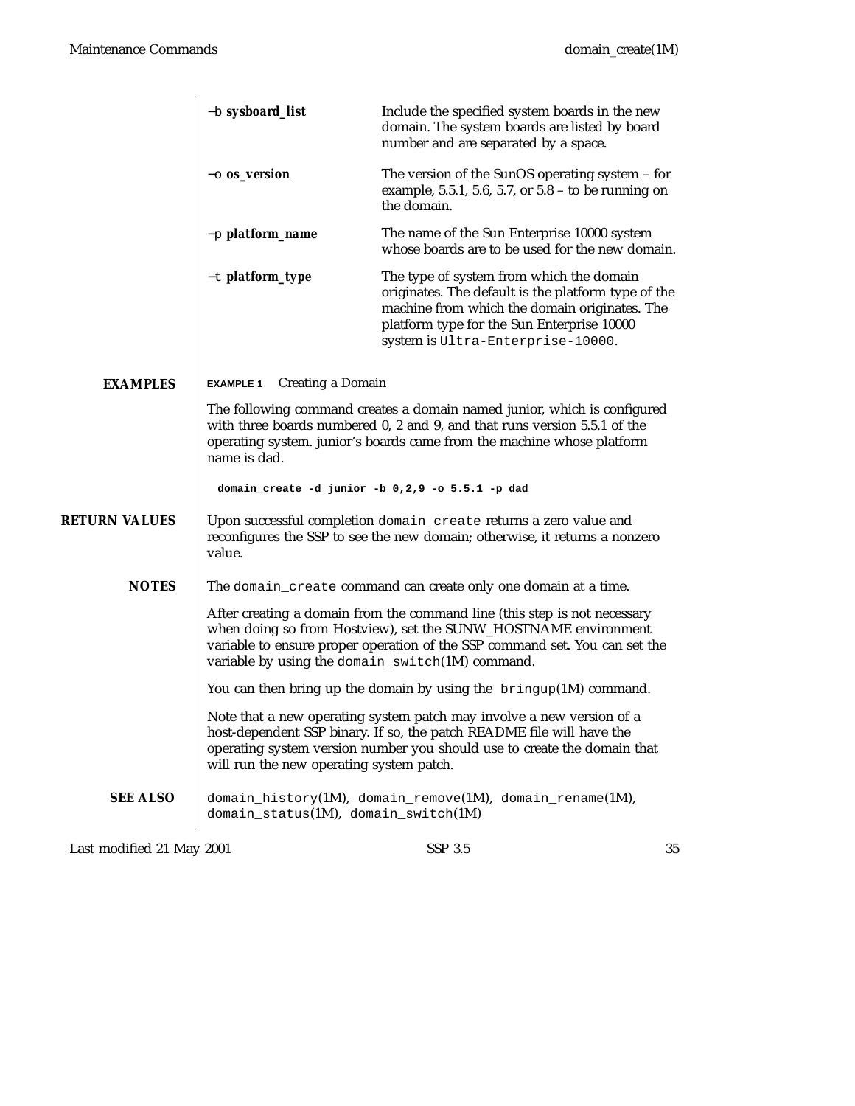|                 | -b sysboard_list                                                                                                                                                                                                                                                                | Include the specified system boards in the new<br>domain. The system boards are listed by board<br>number and are separated by a space.                                                                                             |
|-----------------|---------------------------------------------------------------------------------------------------------------------------------------------------------------------------------------------------------------------------------------------------------------------------------|-------------------------------------------------------------------------------------------------------------------------------------------------------------------------------------------------------------------------------------|
|                 | $\sim$ os_version                                                                                                                                                                                                                                                               | The version of the SunOS operating system - for<br>example, 5.5.1, 5.6, 5.7, or $5.8 -$ to be running on<br>the domain.                                                                                                             |
|                 | -p platform_name                                                                                                                                                                                                                                                                | The name of the Sun Enterprise 10000 system<br>whose boards are to be used for the new domain.                                                                                                                                      |
|                 | -t platform_type                                                                                                                                                                                                                                                                | The type of system from which the domain<br>originates. The default is the platform type of the<br>machine from which the domain originates. The<br>platform type for the Sun Enterprise 10000<br>system is Ultra-Enterprise-10000. |
| <b>EXAMPLES</b> | Creating a Domain<br><b>EXAMPLE 1</b>                                                                                                                                                                                                                                           |                                                                                                                                                                                                                                     |
|                 | The following command creates a domain named junior, which is configured<br>with three boards numbered 0, 2 and 9, and that runs version 5.5.1 of the<br>operating system. junior's boards came from the machine whose platform<br>name is dad.                                 |                                                                                                                                                                                                                                     |
|                 | domain_create -d junior -b 0,2,9 -o 5.5.1 -p dad                                                                                                                                                                                                                                |                                                                                                                                                                                                                                     |
| RETURN VALUES   | Upon successful completion domain_create returns a zero value and<br>reconfigures the SSP to see the new domain; otherwise, it returns a nonzero<br>value.                                                                                                                      |                                                                                                                                                                                                                                     |
| <b>NOTES</b>    | The domain_create command can create only one domain at a time.                                                                                                                                                                                                                 |                                                                                                                                                                                                                                     |
|                 | After creating a domain from the command line (this step is not necessary<br>when doing so from Hostview), set the SUNW_HOSTNAME environment<br>variable to ensure proper operation of the SSP command set. You can set the<br>variable by using the domain_switch(1M) command. |                                                                                                                                                                                                                                     |
|                 | You can then bring up the domain by using the bringup(1M) command.                                                                                                                                                                                                              |                                                                                                                                                                                                                                     |
|                 | Note that a new operating system patch may involve a new version of a<br>host-dependent SSP binary. If so, the patch README file will have the<br>operating system version number you should use to create the domain that<br>will run the new operating system patch.          |                                                                                                                                                                                                                                     |
| <b>SEE ALSO</b> | domain_status(1M), domain_switch(1M)                                                                                                                                                                                                                                            | domain_history(1M), domain_remove(1M), domain_rename(1M),                                                                                                                                                                           |

Last modified 21 May 2001 SSP 3.5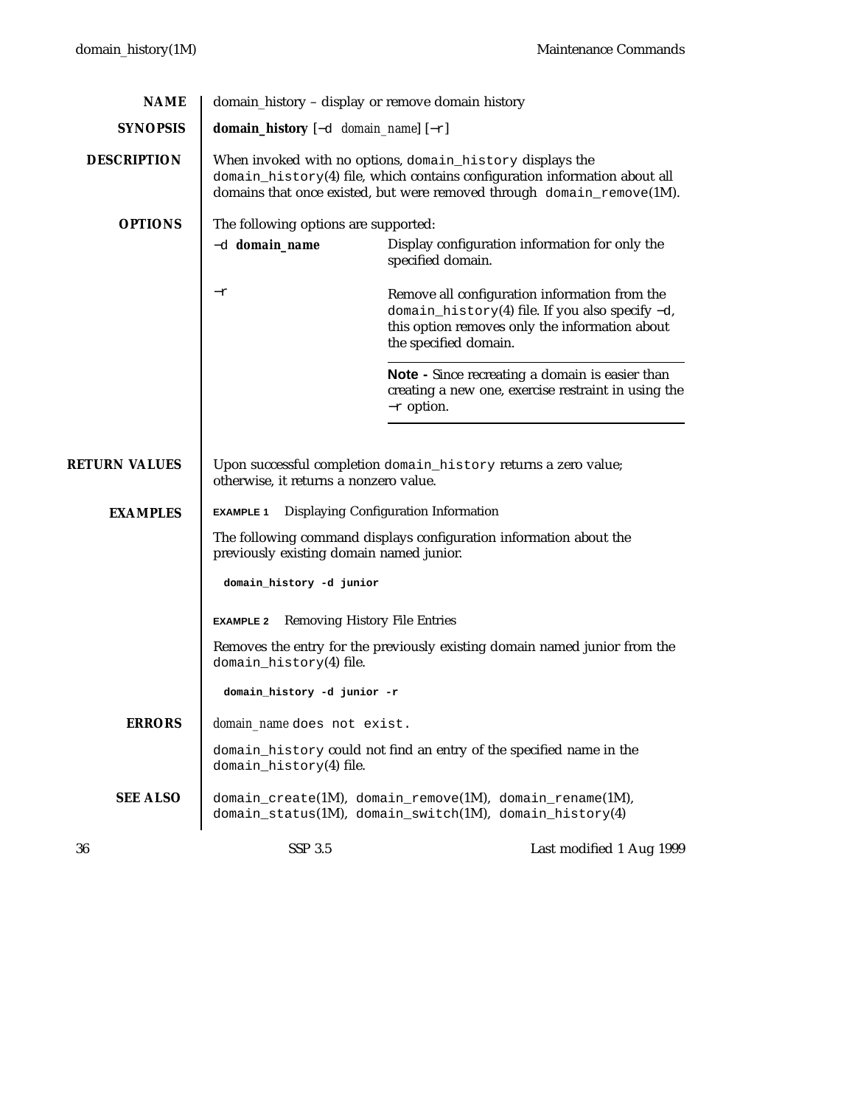| <b>NAME</b>        | domain_history - display or remove domain history                                                                                                                                                                 |                                                                                                                                                                             |
|--------------------|-------------------------------------------------------------------------------------------------------------------------------------------------------------------------------------------------------------------|-----------------------------------------------------------------------------------------------------------------------------------------------------------------------------|
| <b>SYNOPSIS</b>    | <b>domain_history</b> $[-d$ <i>domain_name</i> ] $[-r]$                                                                                                                                                           |                                                                                                                                                                             |
| <b>DESCRIPTION</b> | When invoked with no options, domain_history displays the<br>domain_history(4) file, which contains configuration information about all<br>domains that once existed, but were removed through domain_remove(1M). |                                                                                                                                                                             |
| <b>OPTIONS</b>     | The following options are supported:                                                                                                                                                                              |                                                                                                                                                                             |
|                    | -d domain_name                                                                                                                                                                                                    | Display configuration information for only the<br>specified domain.                                                                                                         |
|                    | -r                                                                                                                                                                                                                | Remove all configuration information from the<br>domain_history(4) file. If you also specify -d,<br>this option removes only the information about<br>the specified domain. |
|                    |                                                                                                                                                                                                                   | Note - Since recreating a domain is easier than<br>creating a new one, exercise restraint in using the<br>$-r$ option.                                                      |
| RETURN VALUES      | Upon successful completion domain_history returns a zero value;<br>otherwise, it returns a nonzero value.                                                                                                         |                                                                                                                                                                             |
| <b>EXAMPLES</b>    | Displaying Configuration Information<br><b>EXAMPLE 1</b>                                                                                                                                                          |                                                                                                                                                                             |
|                    | The following command displays configuration information about the<br>previously existing domain named junior.                                                                                                    |                                                                                                                                                                             |
|                    | domain_history -d junior                                                                                                                                                                                          |                                                                                                                                                                             |
|                    | <b>EXAMPLE 2</b> Removing History File Entries                                                                                                                                                                    |                                                                                                                                                                             |
|                    | Removes the entry for the previously existing domain named junior from the<br>domain_history(4) file.                                                                                                             |                                                                                                                                                                             |
|                    | domain_history -d junior -r                                                                                                                                                                                       |                                                                                                                                                                             |
| <b>ERRORS</b>      | domain_namedoes not exist.                                                                                                                                                                                        |                                                                                                                                                                             |
|                    | domain_history could not find an entry of the specified name in the<br>domain_history(4) file.                                                                                                                    |                                                                                                                                                                             |
| <b>SEE ALSO</b>    |                                                                                                                                                                                                                   | domain_create(1M), domain_remove(1M), domain_rename(1M),<br>domain_status(1M), domain_switch(1M), domain_history(4)                                                         |
| 36                 | <b>SSP 3.5</b>                                                                                                                                                                                                    | Last modified 1 Aug 1999                                                                                                                                                    |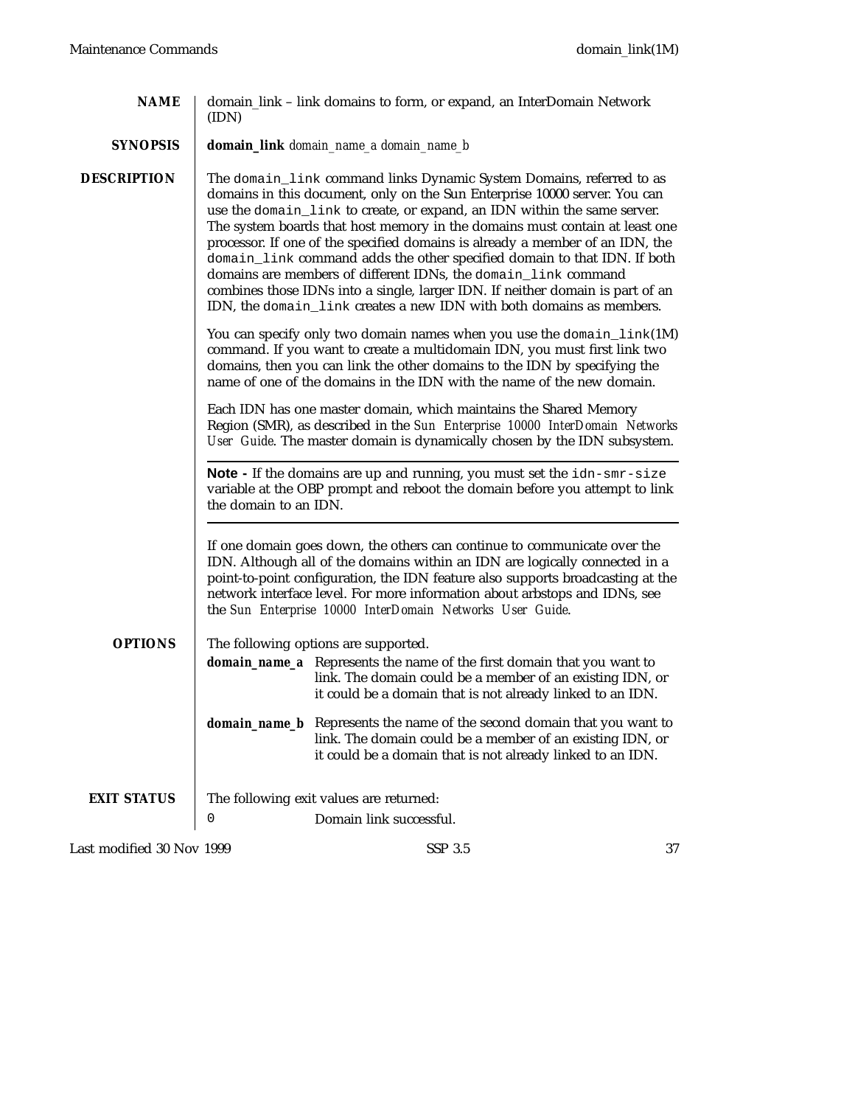| <b>NAME</b>        | domain_link - link domains to form, or expand, an InterDomain Network<br>(IDN)                                                                                                                                                                                                                                                                                                                                                                                                                                                                                                                                                                                                                         |  |  |  |  |
|--------------------|--------------------------------------------------------------------------------------------------------------------------------------------------------------------------------------------------------------------------------------------------------------------------------------------------------------------------------------------------------------------------------------------------------------------------------------------------------------------------------------------------------------------------------------------------------------------------------------------------------------------------------------------------------------------------------------------------------|--|--|--|--|
| <b>SYNOPSIS</b>    | domain_link domain_name_a domain_name_b                                                                                                                                                                                                                                                                                                                                                                                                                                                                                                                                                                                                                                                                |  |  |  |  |
| <b>DESCRIPTION</b> | The domain_link command links Dynamic System Domains, referred to as<br>domains in this document, only on the Sun Enterprise 10000 server. You can<br>use the domain_link to create, or expand, an IDN within the same server.<br>The system boards that host memory in the domains must contain at least one<br>processor. If one of the specified domains is already a member of an IDN, the<br>domain_link command adds the other specified domain to that IDN. If both<br>domains are members of different IDNs, the domain_link command<br>combines those IDNs into a single, larger IDN. If neither domain is part of an<br>IDN, the domain_link creates a new IDN with both domains as members. |  |  |  |  |
|                    | You can specify only two domain names when you use the domain_link(1M)<br>command. If you want to create a multidomain IDN, you must first link two<br>domains, then you can link the other domains to the IDN by specifying the<br>name of one of the domains in the IDN with the name of the new domain.                                                                                                                                                                                                                                                                                                                                                                                             |  |  |  |  |
|                    | Each IDN has one master domain, which maintains the Shared Memory<br>Region (SMR), as described in the Sun Enterprise 10000 InterDomain Networks<br>User Guide. The master domain is dynamically chosen by the IDN subsystem.                                                                                                                                                                                                                                                                                                                                                                                                                                                                          |  |  |  |  |
|                    | Note - If the domains are up and running, you must set the idn-smr-size<br>variable at the OBP prompt and reboot the domain before you attempt to link<br>the domain to an IDN.                                                                                                                                                                                                                                                                                                                                                                                                                                                                                                                        |  |  |  |  |
|                    | If one domain goes down, the others can continue to communicate over the<br>IDN. Although all of the domains within an IDN are logically connected in a<br>point-to-point configuration, the IDN feature also supports broadcasting at the<br>network interface level. For more information about arbstops and IDNs, see<br>the Sun Enterprise 10000 InterDomain Networks User Guide.                                                                                                                                                                                                                                                                                                                  |  |  |  |  |
| <b>OPTIONS</b>     | The following options are supported.<br>domain_name_a Represents the name of the first domain that you want to<br>link. The domain could be a member of an existing IDN, or<br>it could be a domain that is not already linked to an IDN.                                                                                                                                                                                                                                                                                                                                                                                                                                                              |  |  |  |  |
|                    | domain_name_b Represents the name of the second domain that you want to<br>link. The domain could be a member of an existing IDN, or<br>it could be a domain that is not already linked to an IDN.                                                                                                                                                                                                                                                                                                                                                                                                                                                                                                     |  |  |  |  |
| <b>EXIT STATUS</b> | The following exit values are returned:<br>Domain link successful.<br>0                                                                                                                                                                                                                                                                                                                                                                                                                                                                                                                                                                                                                                |  |  |  |  |

Last modified 30 Nov 1999 SSP 3.5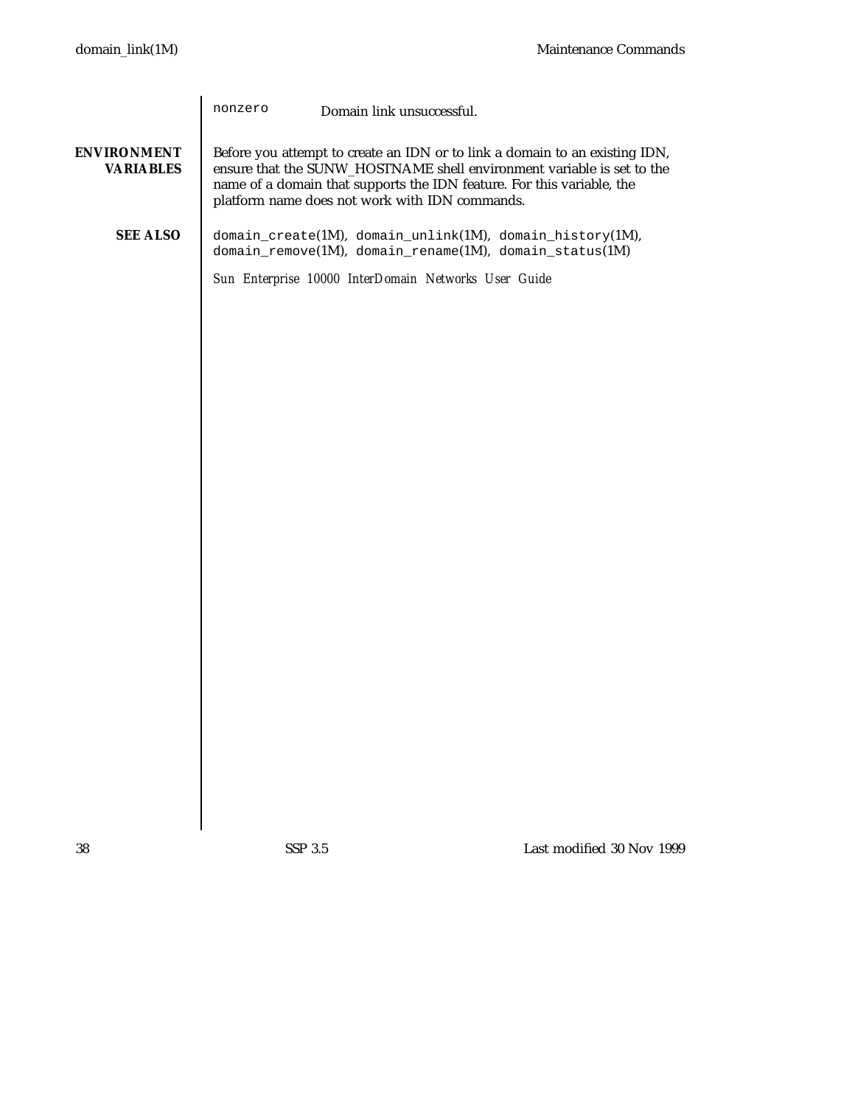| <b>ENVIRONMENT</b><br>Before you attempt to create an IDN or to link a domain to an existing IDN,<br><b>VARIABLES</b><br>ensure that the SUNW_HOSTNAME shell environment variable is set to the<br>name of a domain that supports the IDN feature. For this variable, the<br>platform name does not work with IDN commands. |  |
|-----------------------------------------------------------------------------------------------------------------------------------------------------------------------------------------------------------------------------------------------------------------------------------------------------------------------------|--|
|                                                                                                                                                                                                                                                                                                                             |  |
| <b>SEE ALSO</b><br>domain_create(1M), domain_unlink(1M), domain_history(1M),<br>domain_remove(1M), domain_rename(1M), domain_status(1M)                                                                                                                                                                                     |  |
| Sun Enterprise 10000 InterDomain Networks User Guide                                                                                                                                                                                                                                                                        |  |
|                                                                                                                                                                                                                                                                                                                             |  |
|                                                                                                                                                                                                                                                                                                                             |  |
|                                                                                                                                                                                                                                                                                                                             |  |
|                                                                                                                                                                                                                                                                                                                             |  |
|                                                                                                                                                                                                                                                                                                                             |  |
|                                                                                                                                                                                                                                                                                                                             |  |
|                                                                                                                                                                                                                                                                                                                             |  |
|                                                                                                                                                                                                                                                                                                                             |  |
|                                                                                                                                                                                                                                                                                                                             |  |
|                                                                                                                                                                                                                                                                                                                             |  |
|                                                                                                                                                                                                                                                                                                                             |  |

38 SSP 3.5 Last modified 30 Nov 1999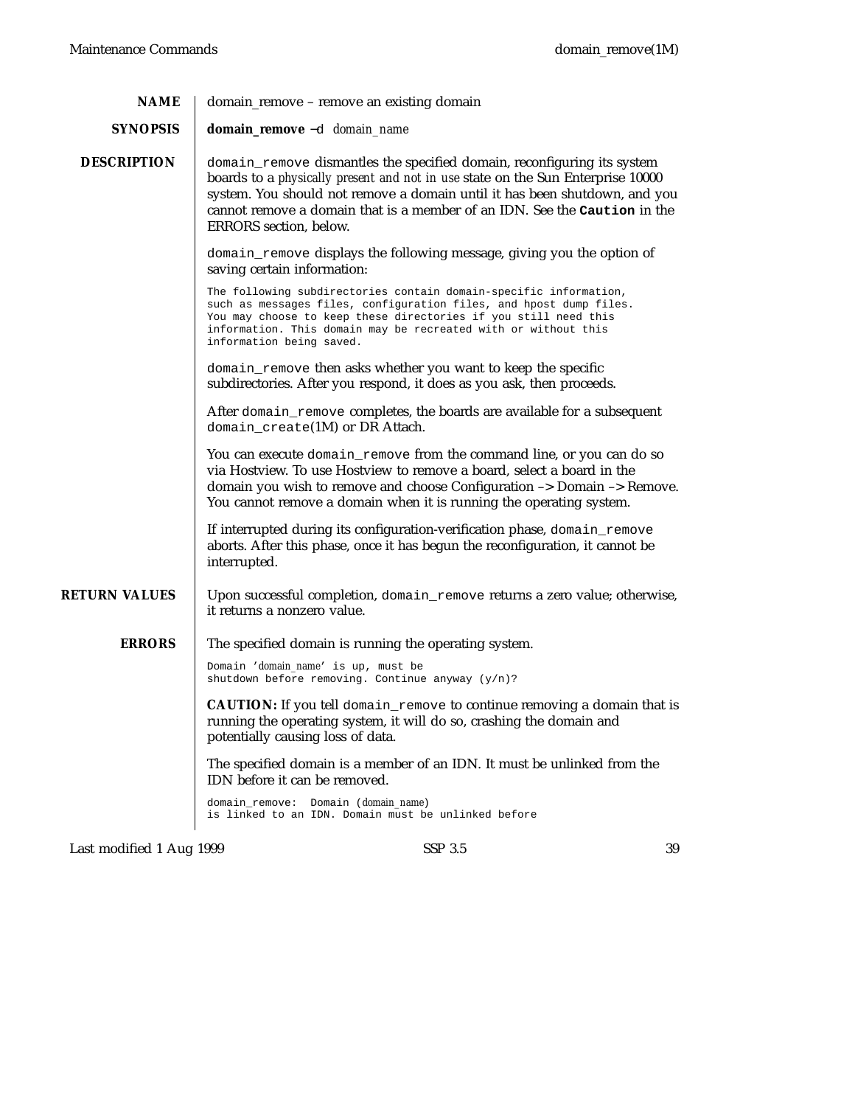| <b>NAME</b>        | domain_remove - remove an existing domain                                                                                                                                                                                                                                                                                                              |  |  |  |
|--------------------|--------------------------------------------------------------------------------------------------------------------------------------------------------------------------------------------------------------------------------------------------------------------------------------------------------------------------------------------------------|--|--|--|
| <b>SYNOPSIS</b>    | domain_remove -d domain_name                                                                                                                                                                                                                                                                                                                           |  |  |  |
| <b>DESCRIPTION</b> | domain_remove dismantles the specified domain, reconfiguring its system<br>boards to a physically present and not in use state on the Sun Enterprise 10000<br>system. You should not remove a domain until it has been shutdown, and you<br>cannot remove a domain that is a member of an IDN. See the <b>Caution</b> in the<br>ERRORS section, below. |  |  |  |
|                    | domain_remove displays the following message, giving you the option of<br>saving certain information:                                                                                                                                                                                                                                                  |  |  |  |
|                    | The following subdirectories contain domain-specific information,<br>such as messages files, configuration files, and hpost dump files.<br>You may choose to keep these directories if you still need this<br>information. This domain may be recreated with or without this<br>information being saved.                                               |  |  |  |
|                    | domain_remove then asks whether you want to keep the specific<br>subdirectories. After you respond, it does as you ask, then proceeds.                                                                                                                                                                                                                 |  |  |  |
|                    | After domain_remove completes, the boards are available for a subsequent<br>domain_create(1M) or DR Attach.                                                                                                                                                                                                                                            |  |  |  |
|                    | You can execute domain_remove from the command line, or you can do so<br>via Hostview. To use Hostview to remove a board, select a board in the<br>domain you wish to remove and choose Configuration -> Domain -> Remove.<br>You cannot remove a domain when it is running the operating system.                                                      |  |  |  |
|                    | If interrupted during its configuration-verification phase, domain_remove<br>aborts. After this phase, once it has begun the reconfiguration, it cannot be<br>interrupted.                                                                                                                                                                             |  |  |  |
| RETURN VALUES      | Upon successful completion, domain_remove returns a zero value; otherwise,<br>it returns a nonzero value.                                                                                                                                                                                                                                              |  |  |  |
| <b>ERRORS</b>      | The specified domain is running the operating system.                                                                                                                                                                                                                                                                                                  |  |  |  |
|                    | Domain 'domain_name' is up, must be<br>shutdown before removing. Continue anyway $(y/n)$ ?                                                                                                                                                                                                                                                             |  |  |  |
|                    | CAUTION: If you tell domain_remove to continue removing a domain that is<br>running the operating system, it will do so, crashing the domain and<br>potentially causing loss of data.                                                                                                                                                                  |  |  |  |
|                    | The specified domain is a member of an IDN. It must be unlinked from the<br>IDN before it can be removed.                                                                                                                                                                                                                                              |  |  |  |
|                    | domain_remove: Domain (domain_name)<br>is linked to an IDN. Domain must be unlinked before                                                                                                                                                                                                                                                             |  |  |  |

Last modified 1 Aug 1999 SSP 3.5 SSP 3.5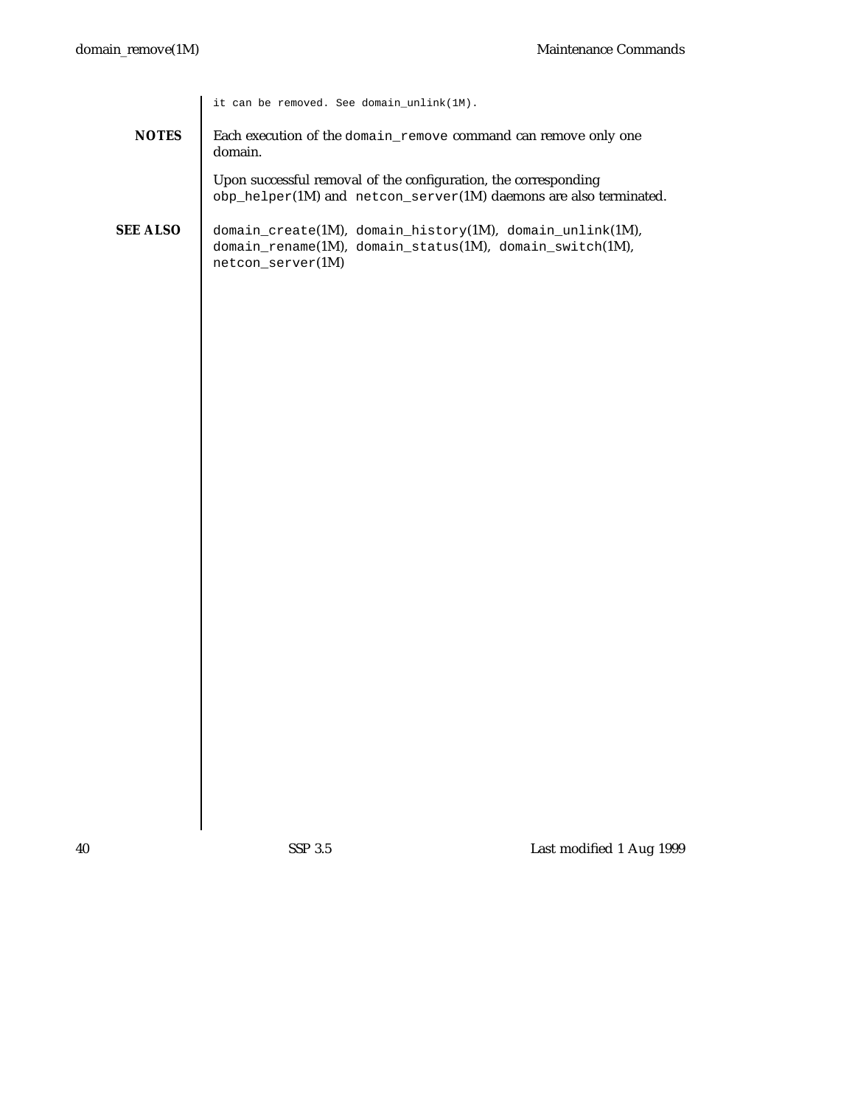|                 | it can be removed. See domain_unlink(1M).                                                                                                  |
|-----------------|--------------------------------------------------------------------------------------------------------------------------------------------|
| <b>NOTES</b>    | Each execution of the domain_remove command can remove only one<br>domain.                                                                 |
|                 | Upon successful removal of the configuration, the corresponding<br>obp_helper(1M) and netcon_server(1M) daemons are also terminated.       |
| <b>SEE ALSO</b> | domain_create(1M), domain_history(1M), domain_unlink(1M),<br>domain_rename(1M), domain_status(1M), domain_switch(1M),<br>netcon_server(1M) |
|                 |                                                                                                                                            |
|                 |                                                                                                                                            |
|                 |                                                                                                                                            |
|                 |                                                                                                                                            |
|                 |                                                                                                                                            |
|                 |                                                                                                                                            |
|                 |                                                                                                                                            |
|                 |                                                                                                                                            |
|                 |                                                                                                                                            |
|                 |                                                                                                                                            |
|                 |                                                                                                                                            |
|                 |                                                                                                                                            |

40 SSP 3.5 Last modified 1 Aug 1999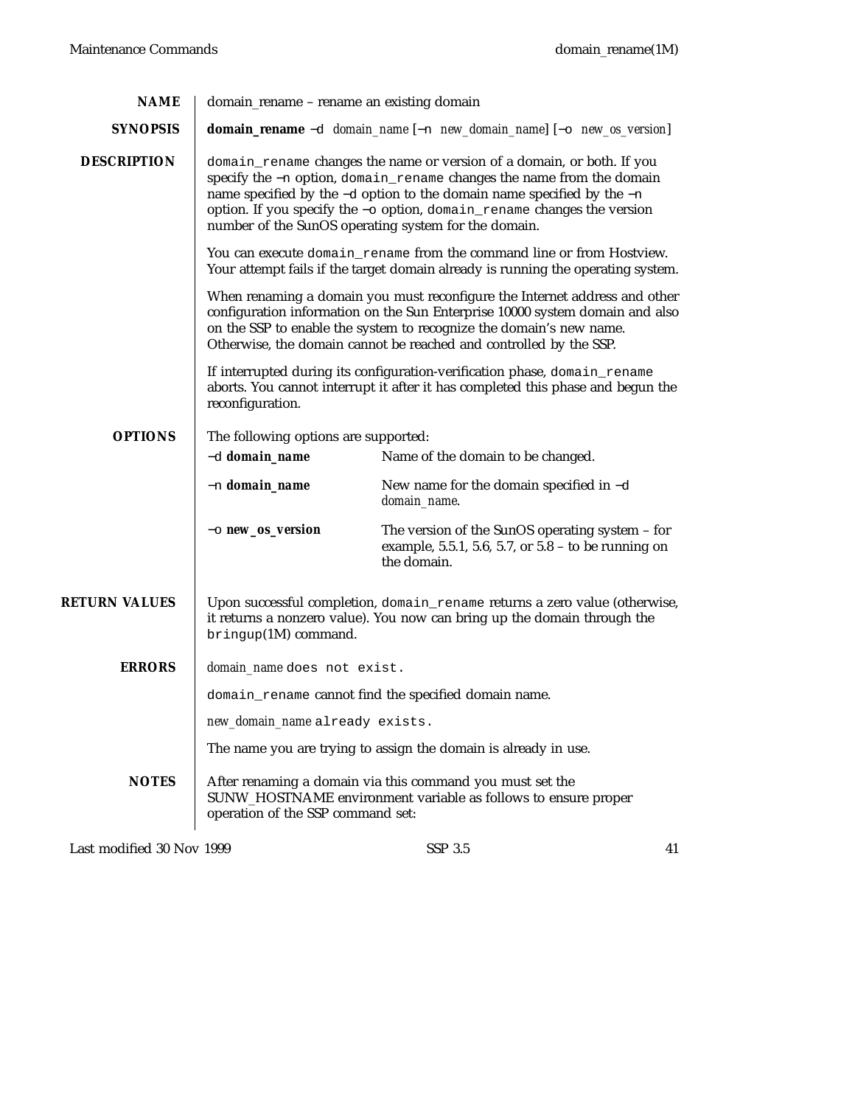| <b>NAME</b>        | domain_rename – rename an existing domain                                                                                                                                                                                                                                                                                                                        |                                                                                                                                                           |  |
|--------------------|------------------------------------------------------------------------------------------------------------------------------------------------------------------------------------------------------------------------------------------------------------------------------------------------------------------------------------------------------------------|-----------------------------------------------------------------------------------------------------------------------------------------------------------|--|
| <b>SYNOPSIS</b>    | domain_rename -d domain_name [-n new_domain_name] [-o new_os_version]                                                                                                                                                                                                                                                                                            |                                                                                                                                                           |  |
| <b>DESCRIPTION</b> | domain_rename changes the name or version of a domain, or both. If you<br>specify the -n option, domain_rename changes the name from the domain<br>name specified by the $-d$ option to the domain name specified by the $-n$<br>option. If you specify the -o option, domain_rename changes the version<br>number of the SunOS operating system for the domain. |                                                                                                                                                           |  |
|                    |                                                                                                                                                                                                                                                                                                                                                                  | You can execute domain_rename from the command line or from Hostview.<br>Your attempt fails if the target domain already is running the operating system. |  |
|                    | When renaming a domain you must reconfigure the Internet address and other<br>configuration information on the Sun Enterprise 10000 system domain and also<br>on the SSP to enable the system to recognize the domain's new name.<br>Otherwise, the domain cannot be reached and controlled by the SSP.                                                          |                                                                                                                                                           |  |
|                    | If interrupted during its configuration-verification phase, domain_rename<br>aborts. You cannot interrupt it after it has completed this phase and begun the<br>reconfiguration.                                                                                                                                                                                 |                                                                                                                                                           |  |
| <b>OPTIONS</b>     | The following options are supported:                                                                                                                                                                                                                                                                                                                             |                                                                                                                                                           |  |
|                    | -d domain_name                                                                                                                                                                                                                                                                                                                                                   | Name of the domain to be changed.                                                                                                                         |  |
|                    | -n domain_name                                                                                                                                                                                                                                                                                                                                                   | New name for the domain specified in $-d$<br>domain_name.                                                                                                 |  |
|                    | $\sim$ new_os_version                                                                                                                                                                                                                                                                                                                                            | The version of the SunOS operating system - for<br>example, 5.5.1, 5.6, 5.7, or $5.8 -$ to be running on<br>the domain.                                   |  |
| RETURN VALUES      | $b$ ringup $(1M)$ command.                                                                                                                                                                                                                                                                                                                                       | Upon successful completion, domain_rename returns a zero value (otherwise,<br>it returns a nonzero value). You now can bring up the domain through the    |  |
| <b>ERRORS</b>      | domain_namedoes not exist.                                                                                                                                                                                                                                                                                                                                       |                                                                                                                                                           |  |
|                    | domain_rename cannot find the specified domain name.                                                                                                                                                                                                                                                                                                             |                                                                                                                                                           |  |
|                    | new_domain_name already exists.                                                                                                                                                                                                                                                                                                                                  |                                                                                                                                                           |  |
|                    |                                                                                                                                                                                                                                                                                                                                                                  | The name you are trying to assign the domain is already in use.                                                                                           |  |
| <b>NOTES</b>       | operation of the SSP command set:                                                                                                                                                                                                                                                                                                                                | After renaming a domain via this command you must set the<br>SUNW_HOSTNAME environment variable as follows to ensure proper                               |  |

Last modified 30 Nov 1999 SSP 3.5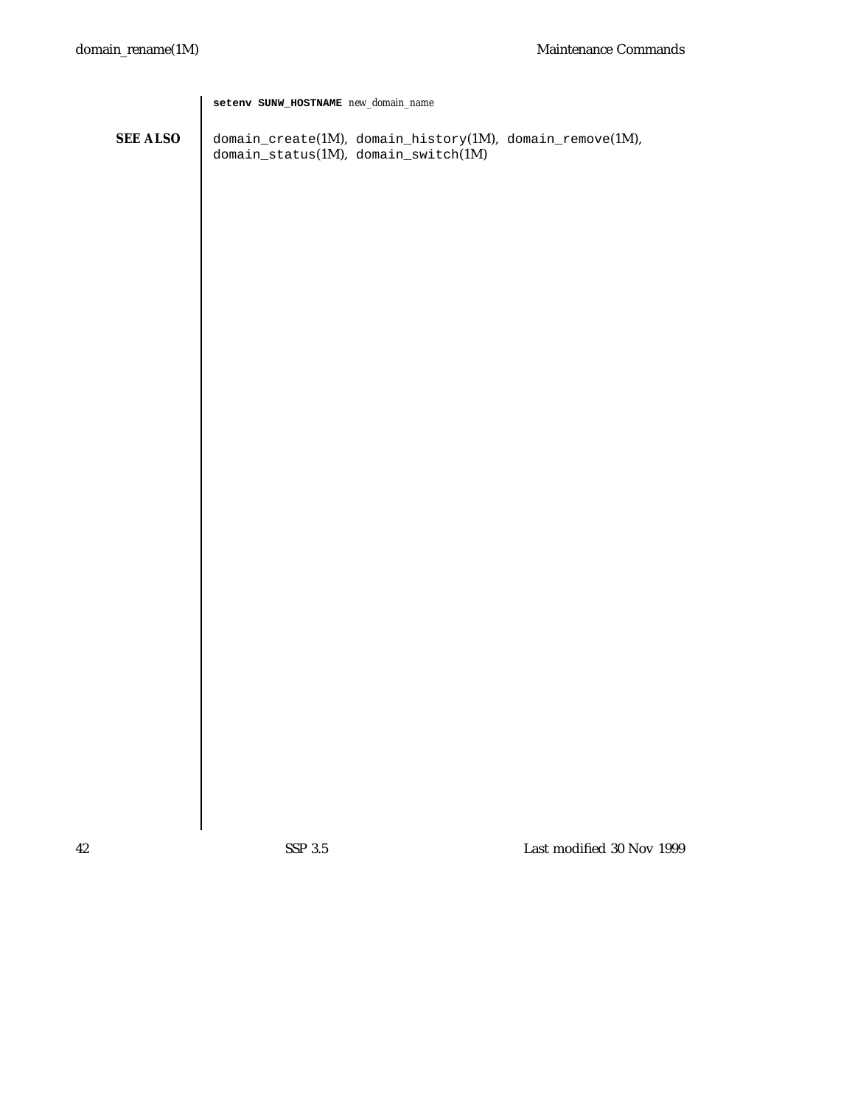|                 | setenv SUNW_HOSTNAME new_domain_name |                                                           |                           |
|-----------------|--------------------------------------|-----------------------------------------------------------|---------------------------|
| <b>SEE ALSO</b> | domain_status(1M), domain_switch(1M) | domain_create(1M), domain_history(1M), domain_remove(1M), |                           |
|                 |                                      |                                                           |                           |
|                 |                                      |                                                           |                           |
|                 |                                      |                                                           |                           |
|                 |                                      |                                                           |                           |
|                 |                                      |                                                           |                           |
|                 |                                      |                                                           |                           |
|                 |                                      |                                                           |                           |
|                 |                                      |                                                           |                           |
|                 |                                      |                                                           |                           |
|                 |                                      |                                                           |                           |
|                 |                                      |                                                           |                           |
|                 |                                      |                                                           |                           |
| 42              | SSP 3.5                              |                                                           | Last modified 30 Nov 1999 |
|                 |                                      |                                                           |                           |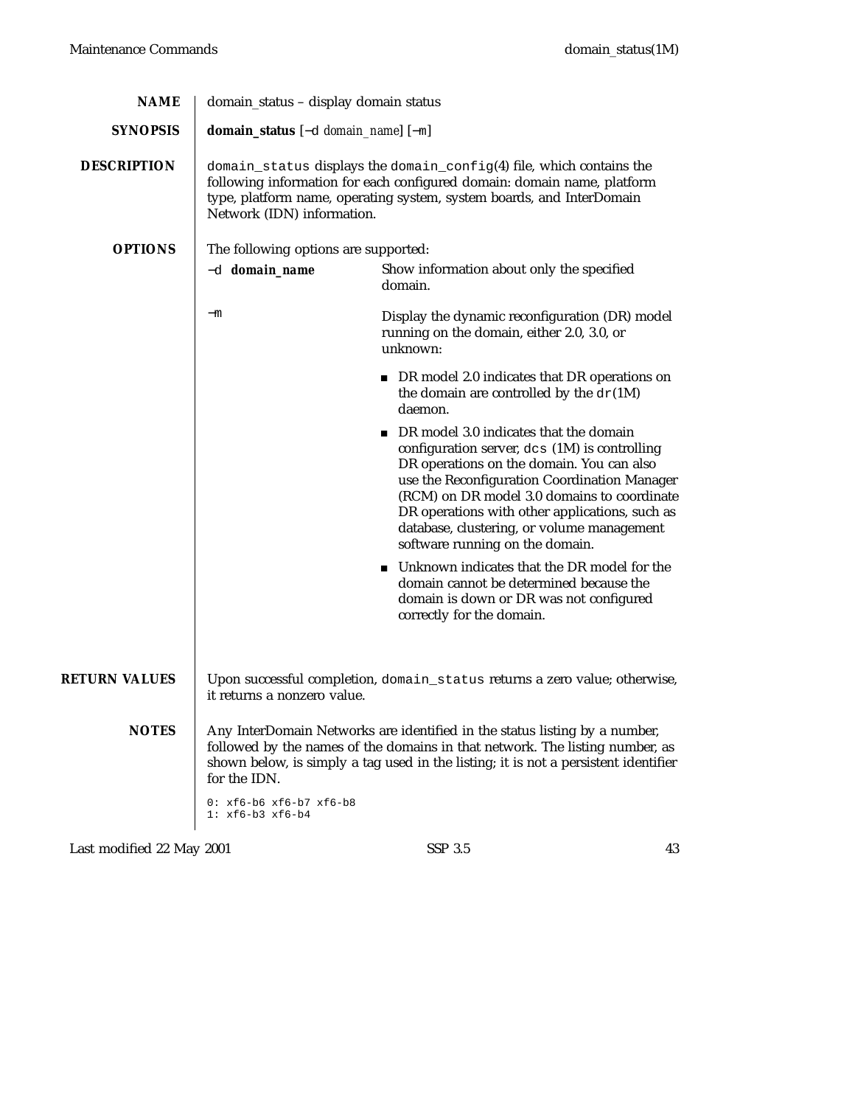| <b>NAME</b>        | domain_status - display domain status                                                                                                                                                                                                                  |                                                                                                                                                                                                                                                                                                                                                                                       |  |
|--------------------|--------------------------------------------------------------------------------------------------------------------------------------------------------------------------------------------------------------------------------------------------------|---------------------------------------------------------------------------------------------------------------------------------------------------------------------------------------------------------------------------------------------------------------------------------------------------------------------------------------------------------------------------------------|--|
| <b>SYNOPSIS</b>    | domain_status [-d domain_name] [-m]                                                                                                                                                                                                                    |                                                                                                                                                                                                                                                                                                                                                                                       |  |
| <b>DESCRIPTION</b> | domain_status displays the domain_config(4) file, which contains the<br>following information for each configured domain: domain name, platform<br>type, platform name, operating system, system boards, and InterDomain<br>Network (IDN) information. |                                                                                                                                                                                                                                                                                                                                                                                       |  |
| <b>OPTIONS</b>     | The following options are supported:<br>-d domain name                                                                                                                                                                                                 | Show information about only the specified<br>domain.                                                                                                                                                                                                                                                                                                                                  |  |
|                    | $-m$                                                                                                                                                                                                                                                   | Display the dynamic reconfiguration (DR) model<br>running on the domain, either 2.0, 3.0, or<br>unknown:                                                                                                                                                                                                                                                                              |  |
|                    |                                                                                                                                                                                                                                                        | $\blacksquare$ DR model 2.0 indicates that DR operations on<br>the domain are controlled by the $dr(1M)$<br>daemon.                                                                                                                                                                                                                                                                   |  |
|                    |                                                                                                                                                                                                                                                        | $\blacksquare$ DR model 3.0 indicates that the domain<br>configuration server, dcs (1M) is controlling<br>DR operations on the domain. You can also<br>use the Reconfiguration Coordination Manager<br>(RCM) on DR model 3.0 domains to coordinate<br>DR operations with other applications, such as<br>database, clustering, or volume management<br>software running on the domain. |  |
|                    |                                                                                                                                                                                                                                                        | • Unknown indicates that the DR model for the<br>domain cannot be determined because the<br>domain is down or DR was not configured<br>correctly for the domain.                                                                                                                                                                                                                      |  |
| RETURN VALUES      | it returns a nonzero value.                                                                                                                                                                                                                            | Upon successful completion, domain_status returns a zero value; otherwise,                                                                                                                                                                                                                                                                                                            |  |
| <b>NOTES</b>       | for the IDN.                                                                                                                                                                                                                                           | Any InterDomain Networks are identified in the status listing by a number,<br>followed by the names of the domains in that network. The listing number, as<br>shown below, is simply a tag used in the listing; it is not a persistent identifier                                                                                                                                     |  |
|                    | $0: xf6-b6 xf6-b7 xf6-b8$<br>$1: xf6-b3 xf6-b4$                                                                                                                                                                                                        |                                                                                                                                                                                                                                                                                                                                                                                       |  |

Last modified 22 May 2001 SSP 3.5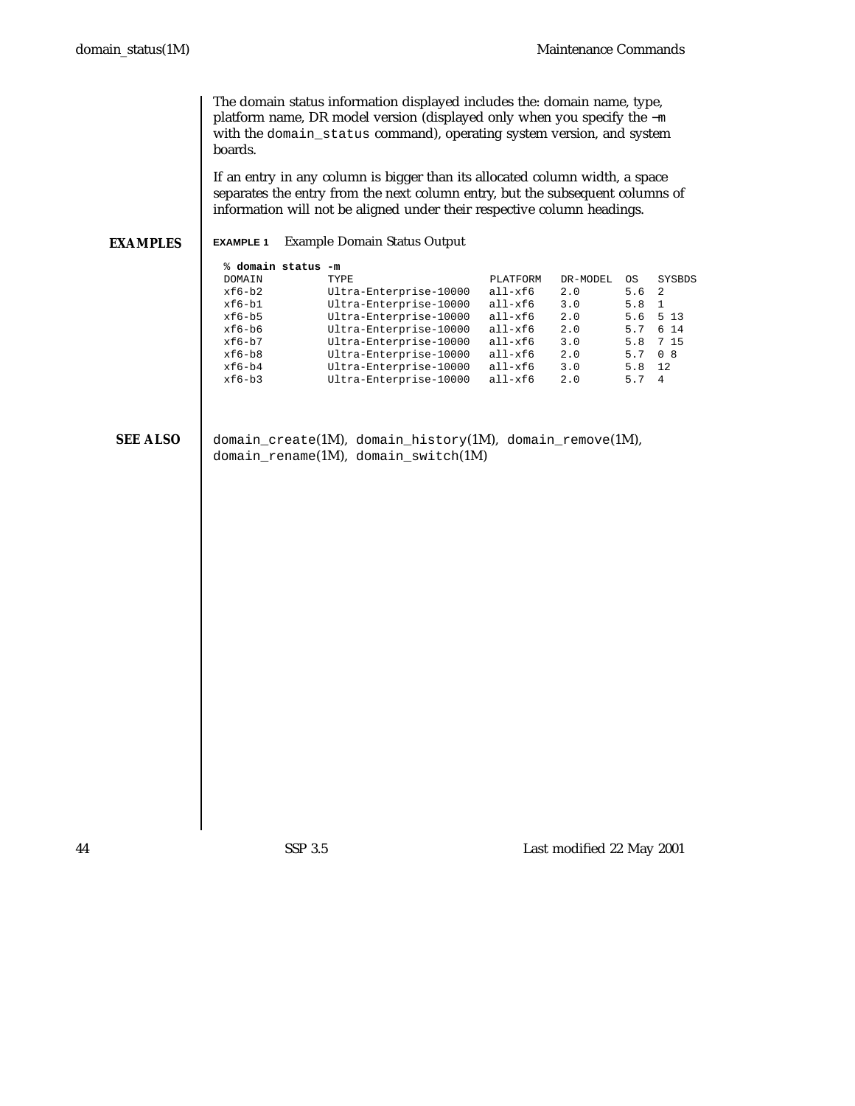The domain status information displayed includes the: domain name, type, platform name, DR model version (displayed only when you specify the −m with the domain\_status command), operating system version, and system boards.

If an entry in any column is bigger than its allocated column width, a space separates the entry from the next column entry, but the subsequent columns of information will not be aligned under their respective column headings.

**EXAMPLES** | EXAMPLE 1 Example Domain Status Output

| % domain status -m |                        |               |          |     |                |
|--------------------|------------------------|---------------|----------|-----|----------------|
| DOMAIN             | <b>TYPE</b>            | PLATFORM      | DR-MODEL | OS  | <b>SYSBDS</b>  |
| $xf6-b2$           | Ultra-Enterprise-10000 | $a$ ll-xf $6$ | 2.0      | 5.6 | $\overline{2}$ |
| xf6-b1             | Ultra-Enterprise-10000 | $a$ ll-xf6    | 3.0      | 5.8 | 1              |
| $xf6-b5$           | Ultra-Enterprise-10000 | $a$ ll-xf6    | 2.0      | 5.6 | 5 13           |
| xf6-b6             | Ultra-Enterprise-10000 | $a$ ll-xf6    | 2.0      | 5.7 | 6 14           |
| $xf6-b7$           | Ultra-Enterprise-10000 | all-xf6       | 3.0      | 5.8 | 7 15           |
| $xf6-b8$           | Ultra-Enterprise-10000 | $a$ ll-xf6    | 2.0      | 5.7 | 08             |
| $xf6-b4$           | Ultra-Enterprise-10000 | $all-xf6$     | 3.0      | 5.8 | 12             |
| $xf6-b3$           | Ultra-Enterprise-10000 | $all-xf6$     | 2.0      | 5.7 | $\overline{4}$ |
|                    |                        |               |          |     |                |

**SEE ALSO** domain\_create(1M), domain\_history(1M), domain\_remove(1M), domain\_rename(1M), domain\_switch(1M)

44 SSP 3.5 Last modified 22 May 2001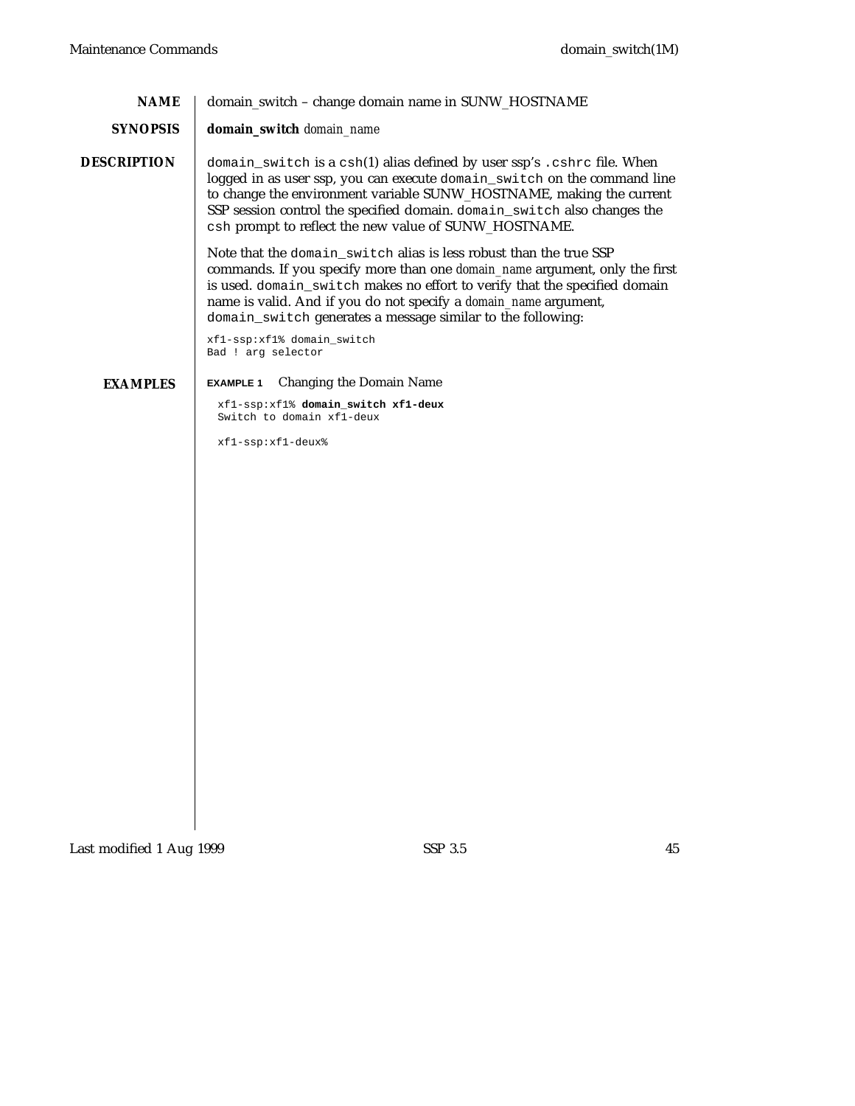| <b>NAME</b>        | domain_switch - change domain name in SUNW_HOSTNAME                                                                                                                                                                                                                                                                                                                              |  |  |
|--------------------|----------------------------------------------------------------------------------------------------------------------------------------------------------------------------------------------------------------------------------------------------------------------------------------------------------------------------------------------------------------------------------|--|--|
| <b>SYNOPSIS</b>    | domain_switch domain_name                                                                                                                                                                                                                                                                                                                                                        |  |  |
| <b>DESCRIPTION</b> | domain_switch is a csh(1) alias defined by user ssp's . cshrc file. When<br>logged in as user ssp, you can execute domain_switch on the command line<br>to change the environment variable SUNW_HOSTNAME, making the current<br>SSP session control the specified domain. domain_switch also changes the<br>csh prompt to reflect the new value of SUNW_HOSTNAME.                |  |  |
|                    | Note that the domain_switch alias is less robust than the true SSP<br>commands. If you specify more than one <i>domain_name</i> argument, only the first<br>is used. domain_switch makes no effort to verify that the specified domain<br>name is valid. And if you do not specify a <i>domain_name</i> argument,<br>domain_switch generates a message similar to the following: |  |  |
|                    | xf1-ssp:xf1% domain_switch<br>Bad ! arg selector                                                                                                                                                                                                                                                                                                                                 |  |  |
| <b>EXAMPLES</b>    | Changing the Domain Name<br><b>EXAMPLE 1</b>                                                                                                                                                                                                                                                                                                                                     |  |  |
|                    | xf1-ssp:xf1% domain switch xf1-deux<br>Switch to domain xf1-deux<br>$xf1-ssp:xf1-deux$                                                                                                                                                                                                                                                                                           |  |  |
|                    |                                                                                                                                                                                                                                                                                                                                                                                  |  |  |

Last modified 1 Aug 1999 SSP 3.5 SSP 3.5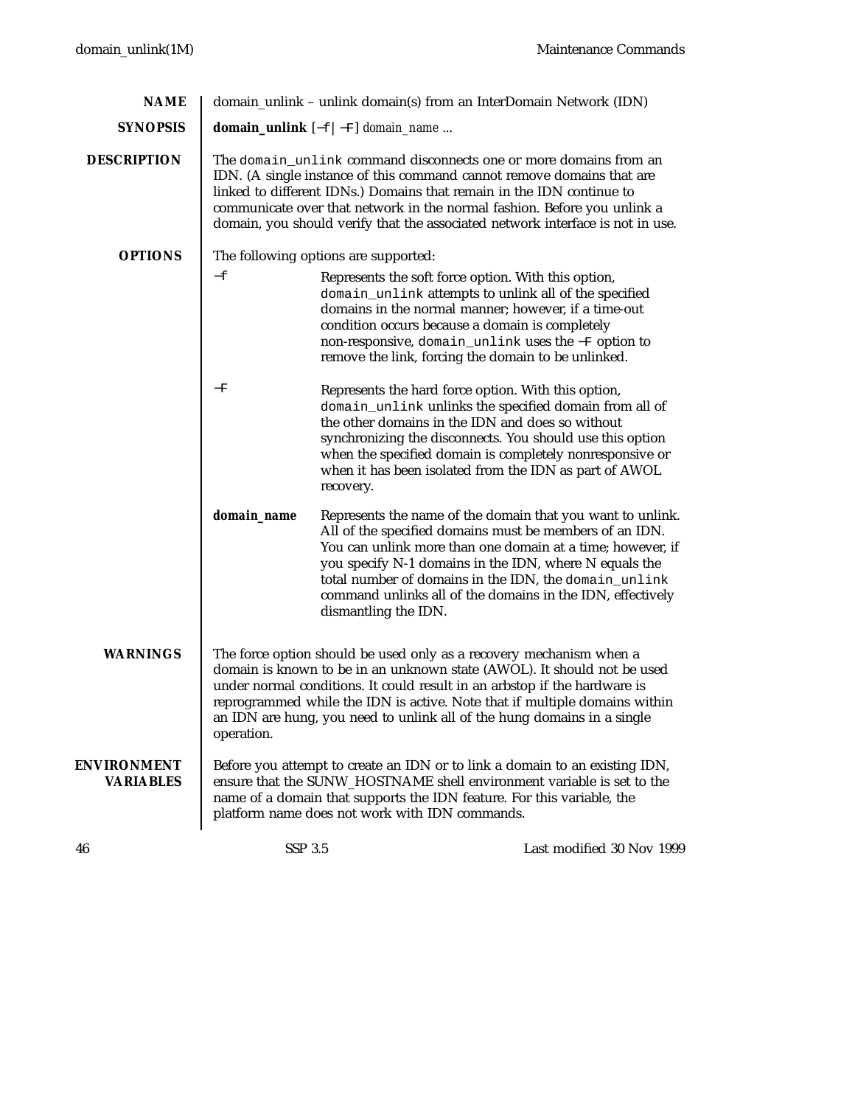| <b>NAME</b>                            | domain_unlink - unlink domain(s) from an InterDomain Network (IDN)                                                                                                                                                                                                                                                                                                                 |                                                                                                                                                                                                                                                                                                                                                                                              |                           |
|----------------------------------------|------------------------------------------------------------------------------------------------------------------------------------------------------------------------------------------------------------------------------------------------------------------------------------------------------------------------------------------------------------------------------------|----------------------------------------------------------------------------------------------------------------------------------------------------------------------------------------------------------------------------------------------------------------------------------------------------------------------------------------------------------------------------------------------|---------------------------|
| <b>SYNOPSIS</b>                        | domain_unlink [-f  -F] domain_name                                                                                                                                                                                                                                                                                                                                                 |                                                                                                                                                                                                                                                                                                                                                                                              |                           |
| <b>DESCRIPTION</b>                     | The domain_unlink command disconnects one or more domains from an<br>IDN. (A single instance of this command cannot remove domains that are<br>linked to different IDNs.) Domains that remain in the IDN continue to<br>communicate over that network in the normal fashion. Before you unlink a<br>domain, you should verify that the associated network interface is not in use. |                                                                                                                                                                                                                                                                                                                                                                                              |                           |
| <b>OPTIONS</b>                         |                                                                                                                                                                                                                                                                                                                                                                                    | The following options are supported:                                                                                                                                                                                                                                                                                                                                                         |                           |
|                                        | -f                                                                                                                                                                                                                                                                                                                                                                                 | Represents the soft force option. With this option,<br>domain_unlink attempts to unlink all of the specified<br>domains in the normal manner; however, if a time-out<br>condition occurs because a domain is completely<br>non-responsive, domain_unlink uses the -F option to<br>remove the link, forcing the domain to be unlinked.                                                        |                           |
|                                        | $-F$                                                                                                                                                                                                                                                                                                                                                                               | Represents the hard force option. With this option,<br>domain_unlink unlinks the specified domain from all of<br>the other domains in the IDN and does so without<br>synchronizing the disconnects. You should use this option<br>when the specified domain is completely nonresponsive or<br>when it has been isolated from the IDN as part of AWOL<br>recovery.                            |                           |
|                                        | domain_name                                                                                                                                                                                                                                                                                                                                                                        | Represents the name of the domain that you want to unlink.<br>All of the specified domains must be members of an IDN.<br>You can unlink more than one domain at a time; however, if<br>you specify N-1 domains in the IDN, where N equals the<br>total number of domains in the IDN, the domain_unlink<br>command unlinks all of the domains in the IDN, effectively<br>dismantling the IDN. |                           |
| <b>WARNINGS</b>                        | operation.                                                                                                                                                                                                                                                                                                                                                                         | The force option should be used only as a recovery mechanism when a<br>domain is known to be in an unknown state (AWOL). It should not be used<br>under normal conditions. It could result in an arbstop if the hardware is<br>reprogrammed while the IDN is active. Note that if multiple domains within<br>an IDN are hung, you need to unlink all of the hung domains in a single         |                           |
| <b>ENVIRONMENT</b><br><b>VARIABLES</b> |                                                                                                                                                                                                                                                                                                                                                                                    | Before you attempt to create an IDN or to link a domain to an existing IDN,<br>ensure that the SUNW_HOSTNAME shell environment variable is set to the<br>name of a domain that supports the IDN feature. For this variable, the<br>platform name does not work with IDN commands.                                                                                                            |                           |
| 46                                     | SSP 3.5                                                                                                                                                                                                                                                                                                                                                                            |                                                                                                                                                                                                                                                                                                                                                                                              | Last modified 30 Nov 1999 |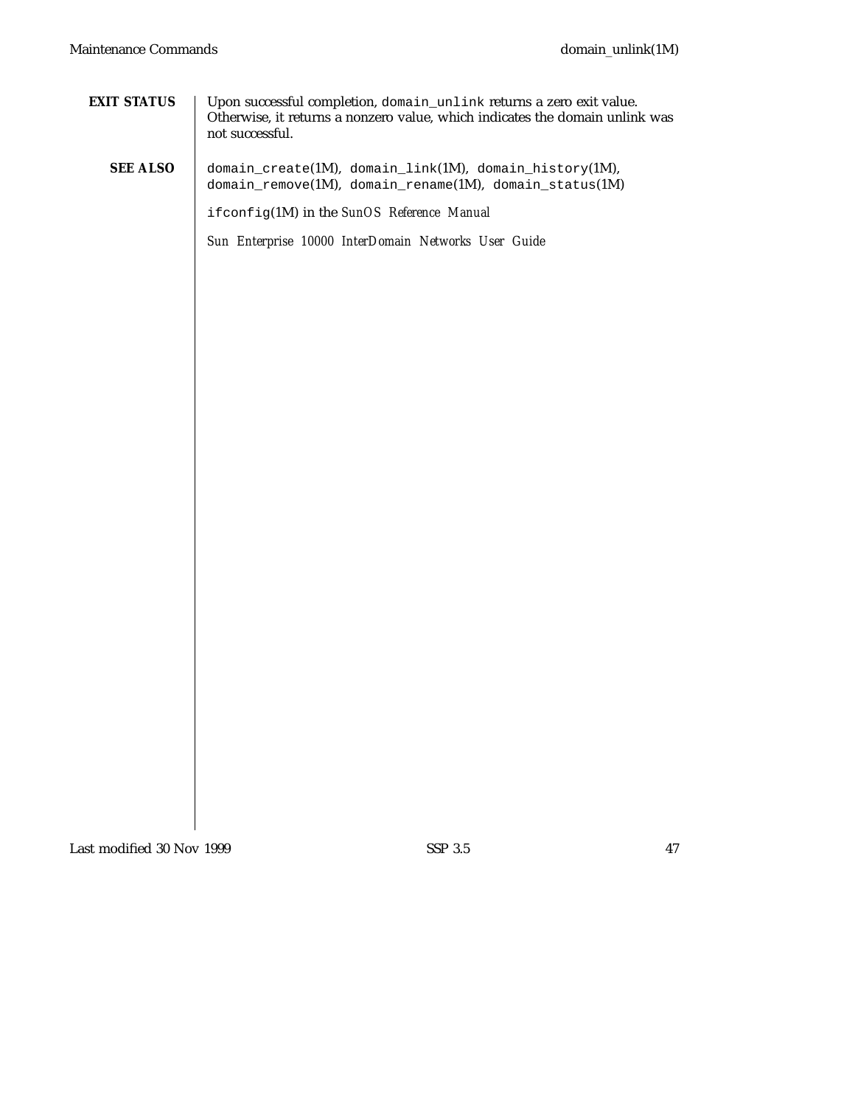- **EXIT STATUS** | Upon successful completion, domain\_unlink returns a zero exit value. Otherwise, it returns a nonzero value, which indicates the domain unlink was not successful.
	- **SEE ALSO** domain\_create(1M), domain\_link(1M), domain\_history(1M), domain\_remove(1M), domain\_rename(1M), domain\_status(1M)
		- ifconfig(1M) in the *SunOS Reference Manual*
		- *Sun Enterprise 10000 InterDomain Networks User Guide*

Last modified 30 Nov 1999 SSP 3.5 47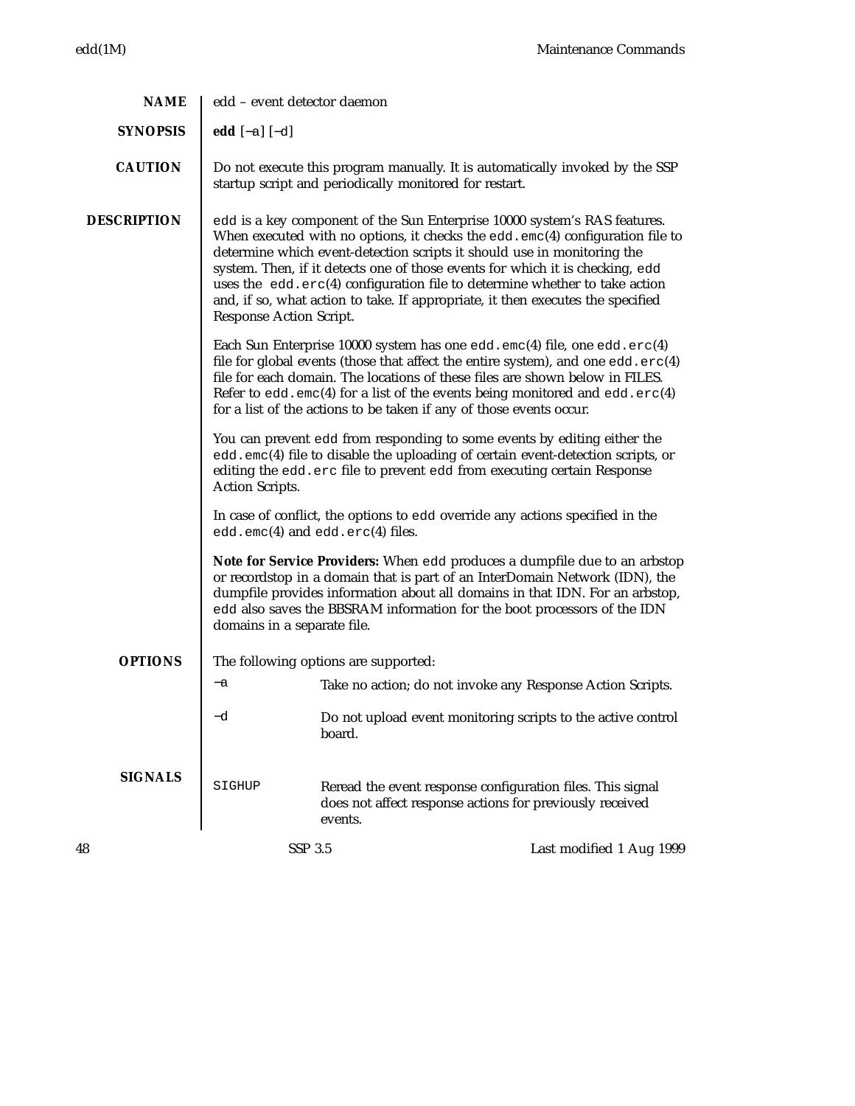| <b>NAME</b>        | edd - event detector daemon                                                                                                                                                                                                                                                                                                                                                                                                                                                                                                |                                                                                                                                                                                                                                                                                                                                                                                                                               |                          |  |
|--------------------|----------------------------------------------------------------------------------------------------------------------------------------------------------------------------------------------------------------------------------------------------------------------------------------------------------------------------------------------------------------------------------------------------------------------------------------------------------------------------------------------------------------------------|-------------------------------------------------------------------------------------------------------------------------------------------------------------------------------------------------------------------------------------------------------------------------------------------------------------------------------------------------------------------------------------------------------------------------------|--------------------------|--|
| <b>SYNOPSIS</b>    | edd $[-a]$ $[-d]$                                                                                                                                                                                                                                                                                                                                                                                                                                                                                                          |                                                                                                                                                                                                                                                                                                                                                                                                                               |                          |  |
| <b>CAUTION</b>     |                                                                                                                                                                                                                                                                                                                                                                                                                                                                                                                            | Do not execute this program manually. It is automatically invoked by the SSP<br>startup script and periodically monitored for restart.                                                                                                                                                                                                                                                                                        |                          |  |
| <b>DESCRIPTION</b> | edd is a key component of the Sun Enterprise 10000 system's RAS features.<br>When executed with no options, it checks the $edd$ . $emc(4)$ configuration file to<br>determine which event-detection scripts it should use in monitoring the<br>system. Then, if it detects one of those events for which it is checking, edd<br>uses the $edd.erc(4)$ configuration file to determine whether to take action<br>and, if so, what action to take. If appropriate, it then executes the specified<br>Response Action Script. |                                                                                                                                                                                                                                                                                                                                                                                                                               |                          |  |
|                    |                                                                                                                                                                                                                                                                                                                                                                                                                                                                                                                            | Each Sun Enterprise 10000 system has one edd. $\text{emc}(4)$ file, one edd. $\text{erc}(4)$<br>file for global events (those that affect the entire system), and one edd. $erc(4)$<br>file for each domain. The locations of these files are shown below in FILES.<br>Refer to edd. emc(4) for a list of the events being monitored and edd. $erc(4)$<br>for a list of the actions to be taken if any of those events occur. |                          |  |
|                    | You can prevent edd from responding to some events by editing either the<br>edd.emc(4) file to disable the uploading of certain event-detection scripts, or<br>editing the edd. erc file to prevent edd from executing certain Response<br><b>Action Scripts.</b>                                                                                                                                                                                                                                                          |                                                                                                                                                                                                                                                                                                                                                                                                                               |                          |  |
|                    |                                                                                                                                                                                                                                                                                                                                                                                                                                                                                                                            | In case of conflict, the options to edd override any actions specified in the<br>edd.emc $(4)$ and edd.erc $(4)$ files.                                                                                                                                                                                                                                                                                                       |                          |  |
|                    | domains in a separate file.                                                                                                                                                                                                                                                                                                                                                                                                                                                                                                | Note for Service Providers: When edd produces a dumpfile due to an arbstop<br>or recordstop in a domain that is part of an InterDomain Network (IDN), the<br>dumpfile provides information about all domains in that IDN. For an arbstop,<br>edd also saves the BBSRAM information for the boot processors of the IDN                                                                                                         |                          |  |
| <b>OPTIONS</b>     |                                                                                                                                                                                                                                                                                                                                                                                                                                                                                                                            | The following options are supported:                                                                                                                                                                                                                                                                                                                                                                                          |                          |  |
|                    | -a                                                                                                                                                                                                                                                                                                                                                                                                                                                                                                                         | Take no action; do not invoke any Response Action Scripts.                                                                                                                                                                                                                                                                                                                                                                    |                          |  |
|                    | -d                                                                                                                                                                                                                                                                                                                                                                                                                                                                                                                         | Do not upload event monitoring scripts to the active control<br>board.                                                                                                                                                                                                                                                                                                                                                        |                          |  |
| <b>SIGNALS</b>     | SIGHUP                                                                                                                                                                                                                                                                                                                                                                                                                                                                                                                     | Reread the event response configuration files. This signal<br>does not affect response actions for previously received<br>events.                                                                                                                                                                                                                                                                                             |                          |  |
| 48                 | SSP 3.5                                                                                                                                                                                                                                                                                                                                                                                                                                                                                                                    |                                                                                                                                                                                                                                                                                                                                                                                                                               | Last modified 1 Aug 1999 |  |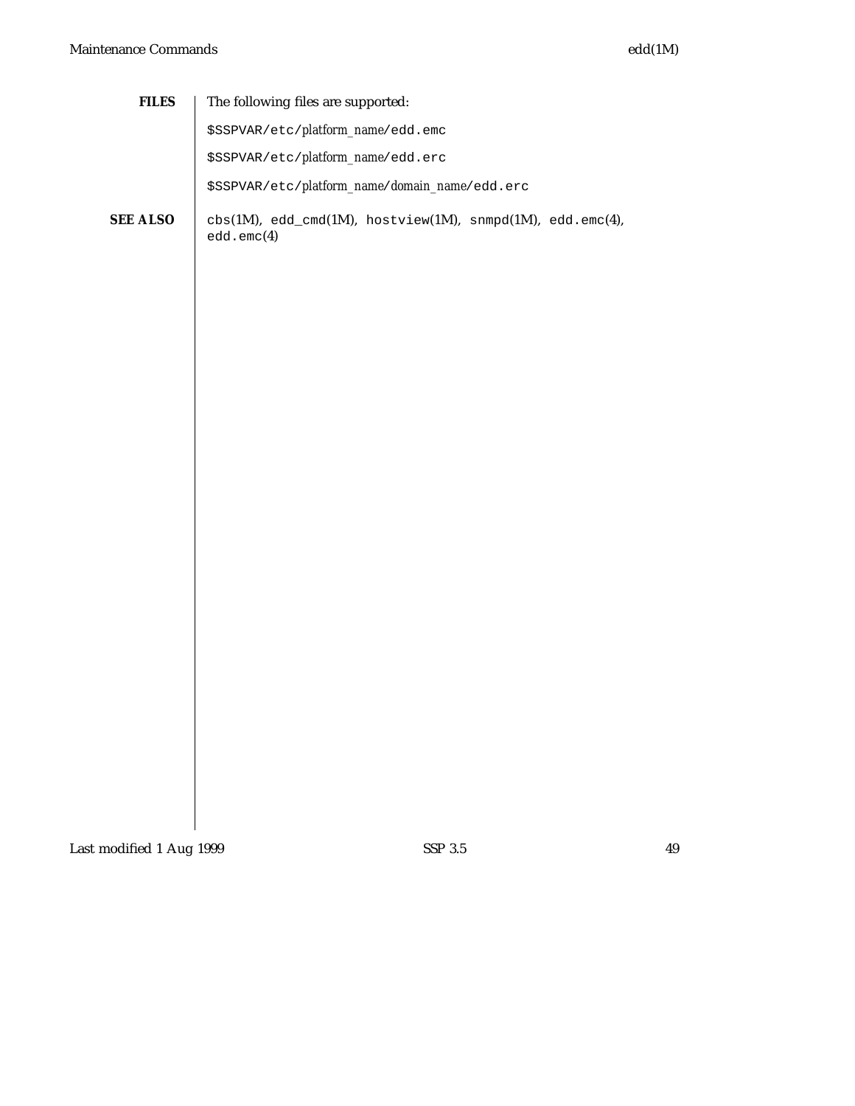| <b>FILES</b>    | The following files are supported:                                                                       |  |  |  |
|-----------------|----------------------------------------------------------------------------------------------------------|--|--|--|
|                 | \$SSPVAR/etc/platform_name/edd.emc                                                                       |  |  |  |
|                 | \$SSPVAR/etc/platform_name/edd.erc                                                                       |  |  |  |
|                 | \$SSPVAR/etc/platform_name/domain_name/edd.erc                                                           |  |  |  |
| <b>SEE ALSO</b> | $\text{cbs}(1M)$ , edd_cmd $(1M)$ , hostview $(1M)$ , snmpd $(1M)$ , edd.emc $(4)$ ,<br>$edd$ . $emc(4)$ |  |  |  |

Last modified 1 Aug 1999 SSP 3.5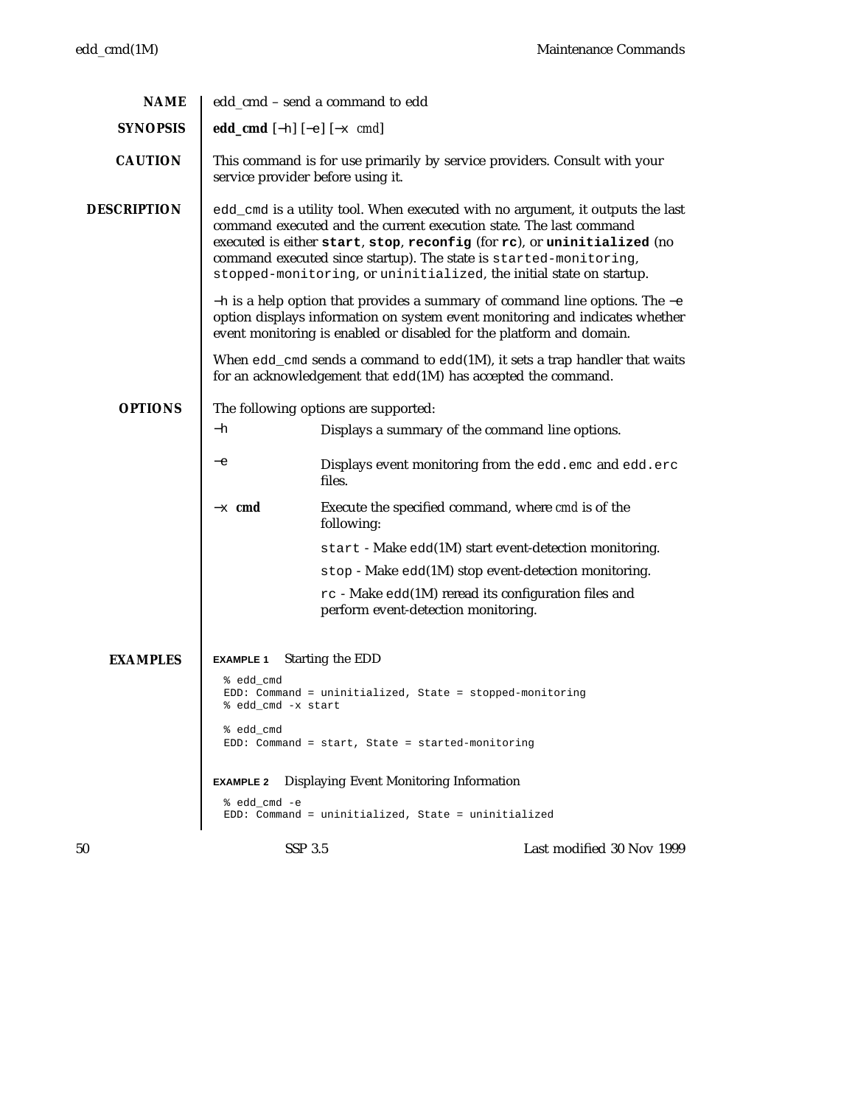| <b>NAME</b>        | edd_cmd - send a command to edd                                                                                                                                                                                                                                                                                                                                             |                                                                                                                                                 |                           |
|--------------------|-----------------------------------------------------------------------------------------------------------------------------------------------------------------------------------------------------------------------------------------------------------------------------------------------------------------------------------------------------------------------------|-------------------------------------------------------------------------------------------------------------------------------------------------|---------------------------|
| <b>SYNOPSIS</b>    | edd_cmd $[-h]$ $[-e]$ $[-x$ cmd                                                                                                                                                                                                                                                                                                                                             |                                                                                                                                                 |                           |
| <b>CAUTION</b>     | This command is for use primarily by service providers. Consult with your<br>service provider before using it.                                                                                                                                                                                                                                                              |                                                                                                                                                 |                           |
| <b>DESCRIPTION</b> | edd_cmd is a utility tool. When executed with no argument, it outputs the last<br>command executed and the current execution state. The last command<br>executed is either start, stop, reconfig (for rc), or uninitialized (no<br>command executed since startup). The state is started-monitoring,<br>stopped-monitoring, or uninitialized, the initial state on startup. |                                                                                                                                                 |                           |
|                    | $-h$ is a help option that provides a summary of command line options. The $-e$<br>option displays information on system event monitoring and indicates whether<br>event monitoring is enabled or disabled for the platform and domain.                                                                                                                                     |                                                                                                                                                 |                           |
|                    |                                                                                                                                                                                                                                                                                                                                                                             | When edd_cmd sends a command to edd $(1M)$ , it sets a trap handler that waits<br>for an acknowledgement that edd(1M) has accepted the command. |                           |
| <b>OPTIONS</b>     | The following options are supported:                                                                                                                                                                                                                                                                                                                                        |                                                                                                                                                 |                           |
|                    | —h                                                                                                                                                                                                                                                                                                                                                                          | Displays a summary of the command line options.                                                                                                 |                           |
|                    | $-e$                                                                                                                                                                                                                                                                                                                                                                        | Displays event monitoring from the edd. emc and edd. erc<br>files.                                                                              |                           |
|                    | $-x$ cmd                                                                                                                                                                                                                                                                                                                                                                    | Execute the specified command, where cmd is of the<br>following:                                                                                |                           |
|                    |                                                                                                                                                                                                                                                                                                                                                                             | start - Make edd(1M) start event-detection monitoring.                                                                                          |                           |
|                    |                                                                                                                                                                                                                                                                                                                                                                             | stop - Make edd(1M) stop event-detection monitoring.                                                                                            |                           |
|                    |                                                                                                                                                                                                                                                                                                                                                                             | rc - Make edd(1M) reread its configuration files and<br>perform event-detection monitoring.                                                     |                           |
| <b>EXAMPLES</b>    | <b>EXAMPLE 1</b>                                                                                                                                                                                                                                                                                                                                                            | Starting the EDD                                                                                                                                |                           |
|                    | % edd_cmd<br>% edd_cmd -x start                                                                                                                                                                                                                                                                                                                                             | $EDD:$ Command = uninitialized, State = stopped-monitoring                                                                                      |                           |
|                    | % edd cmd                                                                                                                                                                                                                                                                                                                                                                   | $EDD: Command = start, State = started-monitoring$                                                                                              |                           |
|                    | Displaying Event Monitoring Information<br><b>EXAMPLE 2</b>                                                                                                                                                                                                                                                                                                                 |                                                                                                                                                 |                           |
|                    | % edd_cmd -e                                                                                                                                                                                                                                                                                                                                                                | EDD: Command = uninitialized, State = uninitialized                                                                                             |                           |
| 50                 | <b>SSP 3.5</b>                                                                                                                                                                                                                                                                                                                                                              |                                                                                                                                                 | Last modified 30 Nov 1999 |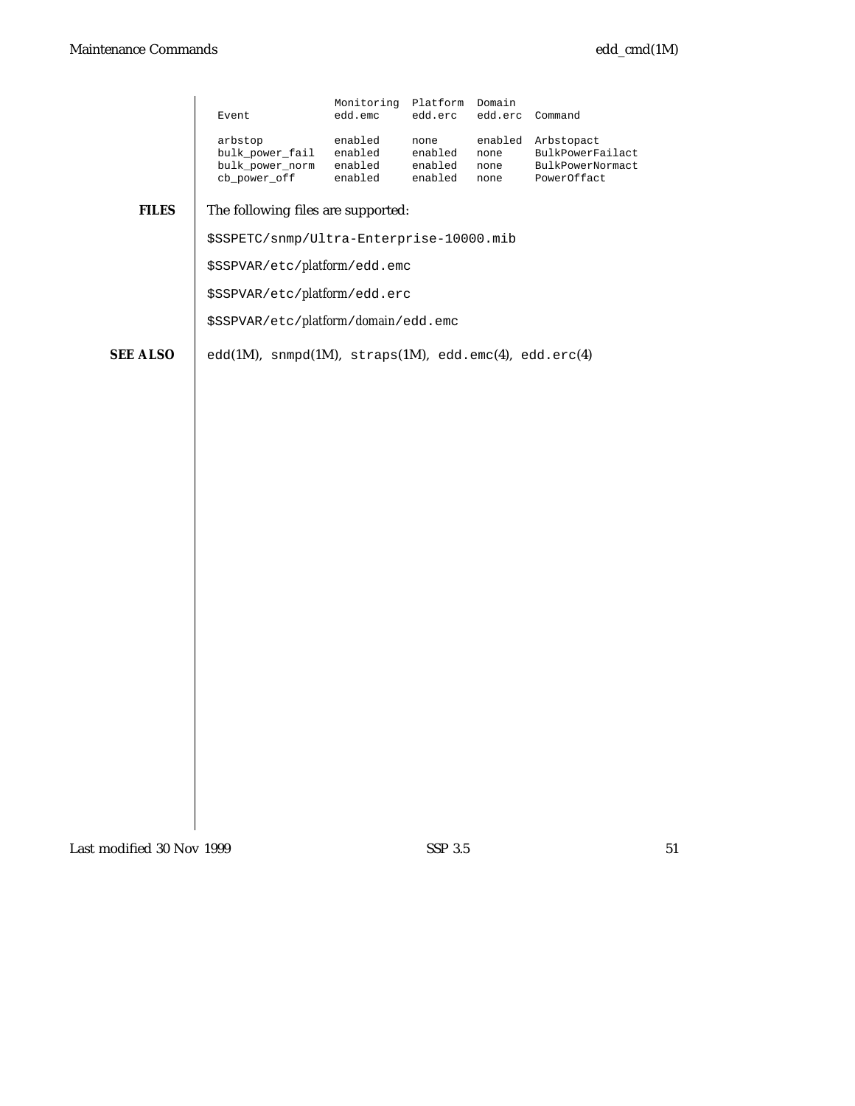| Event.                                                        | edd.emc                                  |                                       | Domain<br>edd.erc               | Command                                                                             |
|---------------------------------------------------------------|------------------------------------------|---------------------------------------|---------------------------------|-------------------------------------------------------------------------------------|
| arbstop<br>bulk power fail<br>bulk_power_norm<br>cb power off | enabled<br>enabled<br>enabled<br>enabled | none<br>enabled<br>enabled<br>enabled | enabled<br>none<br>none<br>none | Arbstopact<br>BulkPowerFailact<br>BulkPowerNormact<br>PowerOffact                   |
| The following files are supported:                            |                                          |                                       |                                 |                                                                                     |
| \$SSPETC/snmp/Ultra-Enterprise-10000.mib                      |                                          |                                       |                                 |                                                                                     |
| \$SSPVAR/etc/platform/edd.emc                                 |                                          |                                       |                                 |                                                                                     |
| \$SSPVAR/etc/platform/edd.erc                                 |                                          |                                       |                                 |                                                                                     |
| \$SSPVAR/etc/platform/domain/edd.emc                          |                                          |                                       |                                 |                                                                                     |
|                                                               |                                          |                                       |                                 |                                                                                     |
|                                                               |                                          |                                       |                                 |                                                                                     |
|                                                               |                                          |                                       | Monitoring<br>Platform          | edd.erc<br>$edd(1M)$ , snmpd $(1M)$ , straps $(1M)$ , edd.emc $(4)$ , edd.erc $(4)$ |

Last modified  $30 \text{ Nov } 1999$  SSP  $3.5$  51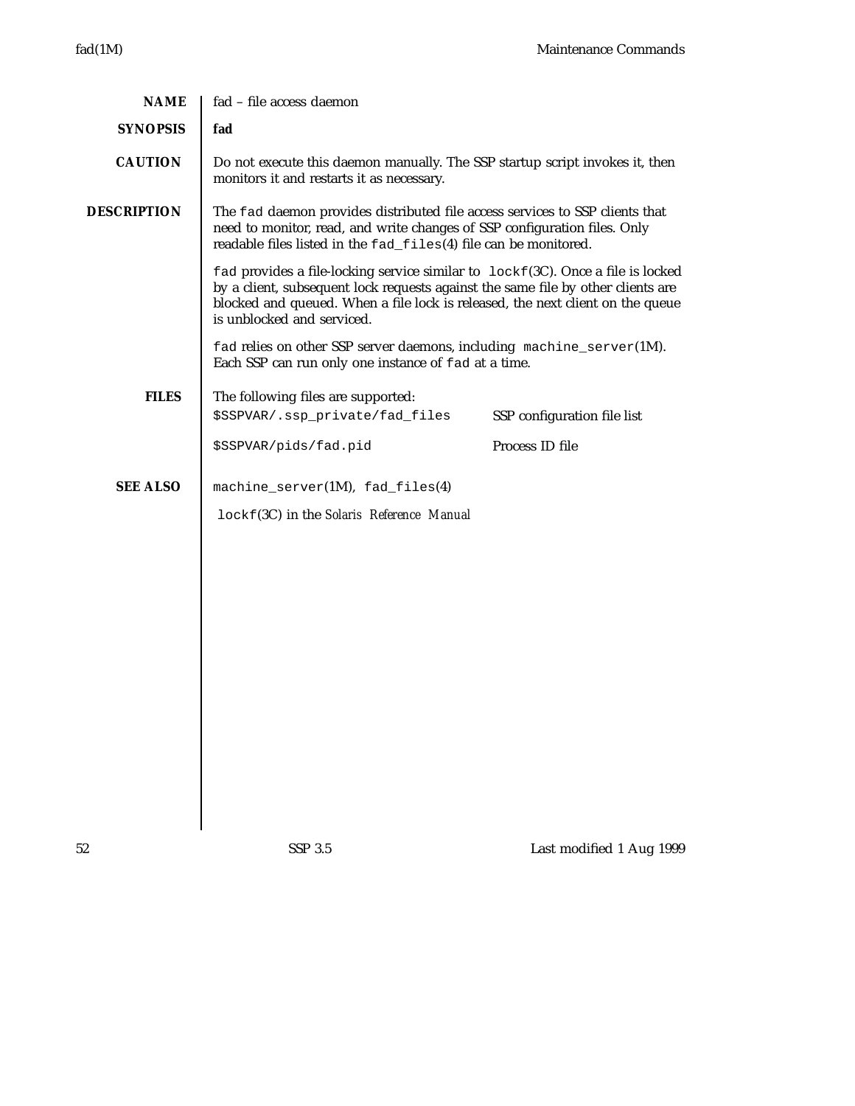| <b>NAME</b>        | fad - file access daemon                                                                                                                                                                                                                                                            |                             |  |
|--------------------|-------------------------------------------------------------------------------------------------------------------------------------------------------------------------------------------------------------------------------------------------------------------------------------|-----------------------------|--|
| <b>SYNOPSIS</b>    | fad                                                                                                                                                                                                                                                                                 |                             |  |
| <b>CAUTION</b>     | Do not execute this daemon manually. The SSP startup script invokes it, then<br>monitors it and restarts it as necessary.                                                                                                                                                           |                             |  |
| <b>DESCRIPTION</b> | The fad daemon provides distributed file access services to SSP clients that<br>need to monitor, read, and write changes of SSP configuration files. Only<br>readable files listed in the fad_files(4) file can be monitored.                                                       |                             |  |
|                    | fad provides a file-locking service similar to lockf(3C). Once a file is locked<br>by a client, subsequent lock requests against the same file by other clients are<br>blocked and queued. When a file lock is released, the next client on the queue<br>is unblocked and serviced. |                             |  |
|                    | fad relies on other SSP server daemons, including machine_server(1M).<br>Each SSP can run only one instance of fad at a time.                                                                                                                                                       |                             |  |
| <b>FILES</b>       | The following files are supported:<br>\$SSPVAR/.ssp_private/fad_files                                                                                                                                                                                                               | SSP configuration file list |  |
|                    | \$SSPVAR/pids/fad.pid                                                                                                                                                                                                                                                               | Process ID file             |  |
| <b>SEE ALSO</b>    | machine_server(1M), fad_files(4)<br>lockf(3C) in the Solaris Reference Manual                                                                                                                                                                                                       |                             |  |
|                    |                                                                                                                                                                                                                                                                                     |                             |  |
|                    |                                                                                                                                                                                                                                                                                     |                             |  |
|                    |                                                                                                                                                                                                                                                                                     |                             |  |
|                    |                                                                                                                                                                                                                                                                                     |                             |  |

52 SSP 3.5 Last modified 1 Aug 1999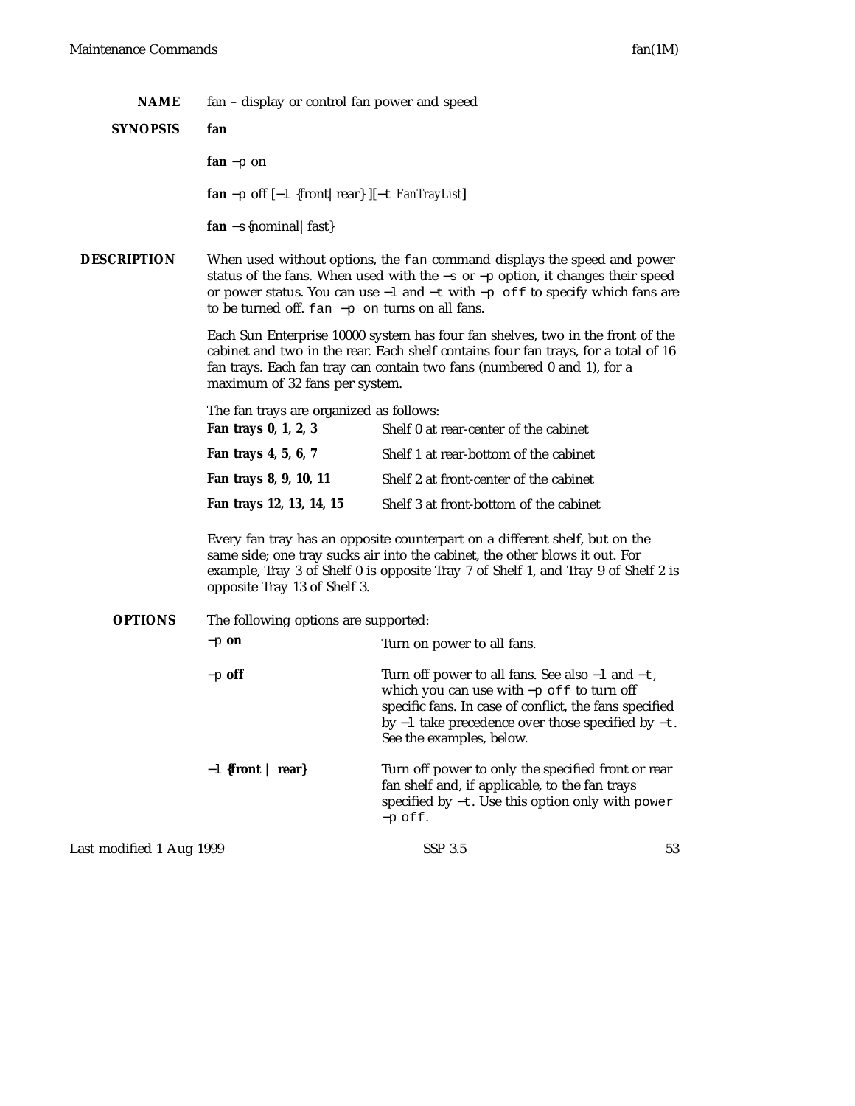| <b>NAME</b>              | fan - display or control fan power and speed                                                                                                                                                                                                                                                            |                                                                                                                                                                                                                                                   |    |
|--------------------------|---------------------------------------------------------------------------------------------------------------------------------------------------------------------------------------------------------------------------------------------------------------------------------------------------------|---------------------------------------------------------------------------------------------------------------------------------------------------------------------------------------------------------------------------------------------------|----|
| <b>SYNOPSIS</b>          | fan                                                                                                                                                                                                                                                                                                     |                                                                                                                                                                                                                                                   |    |
|                          | $fan -p$ on                                                                                                                                                                                                                                                                                             |                                                                                                                                                                                                                                                   |    |
|                          | fan -p off $[-1 \{front   rear\}][-t \{FanTrayList\}$                                                                                                                                                                                                                                                   |                                                                                                                                                                                                                                                   |    |
|                          | $fan -s$ {nominal   fast}                                                                                                                                                                                                                                                                               |                                                                                                                                                                                                                                                   |    |
| <b>DESCRIPTION</b>       | When used without options, the fan command displays the speed and power<br>status of the fans. When used with the $-s$ or $-p$ option, it changes their speed<br>or power status. You can use $-1$ and $-t$ with $-p$ off to specify which fans are<br>to be turned off. $tan -p$ on turns on all fans. |                                                                                                                                                                                                                                                   |    |
|                          | Each Sun Enterprise 10000 system has four fan shelves, two in the front of the<br>cabinet and two in the rear. Each shelf contains four fan trays, for a total of 16<br>fan trays. Each fan tray can contain two fans (numbered 0 and 1), for a<br>maximum of 32 fans per system.                       |                                                                                                                                                                                                                                                   |    |
|                          | The fan trays are organized as follows:<br>Fan trays 0, 1, 2, 3                                                                                                                                                                                                                                         | Shelf 0 at rear-center of the cabinet                                                                                                                                                                                                             |    |
|                          | Fan trays 4, 5, 6, 7                                                                                                                                                                                                                                                                                    | Shelf 1 at rear-bottom of the cabinet                                                                                                                                                                                                             |    |
|                          | Fan trays 8, 9, 10, 11                                                                                                                                                                                                                                                                                  | Shelf 2 at front-center of the cabinet                                                                                                                                                                                                            |    |
|                          | Fan trays 12, 13, 14, 15                                                                                                                                                                                                                                                                                | Shelf 3 at front-bottom of the cabinet                                                                                                                                                                                                            |    |
|                          | opposite Tray 13 of Shelf 3.                                                                                                                                                                                                                                                                            | Every fan tray has an opposite counterpart on a different shelf, but on the<br>same side; one tray sucks air into the cabinet, the other blows it out. For<br>example, Tray 3 of Shelf 0 is opposite Tray 7 of Shelf 1, and Tray 9 of Shelf 2 is  |    |
| <b>OPTIONS</b>           | The following options are supported:                                                                                                                                                                                                                                                                    |                                                                                                                                                                                                                                                   |    |
|                          | $-p$ on                                                                                                                                                                                                                                                                                                 | Turn on power to all fans.                                                                                                                                                                                                                        |    |
|                          | $-p$ off                                                                                                                                                                                                                                                                                                | Turn off power to all fans. See also $-1$ and $-t$ ,<br>which you can use with -p off to turn off<br>specific fans. In case of conflict, the fans specified<br>by $-1$ take precedence over those specified by $-t$ .<br>See the examples, below. |    |
|                          | $-1$ {front   rear}                                                                                                                                                                                                                                                                                     | Turn off power to only the specified front or rear<br>fan shelf and, if applicable, to the fan trays<br>specified by -t. Use this option only with power<br>$-p$ off.                                                                             |    |
| Last modified 1 Aug 1999 |                                                                                                                                                                                                                                                                                                         | SSP 3.5                                                                                                                                                                                                                                           | 53 |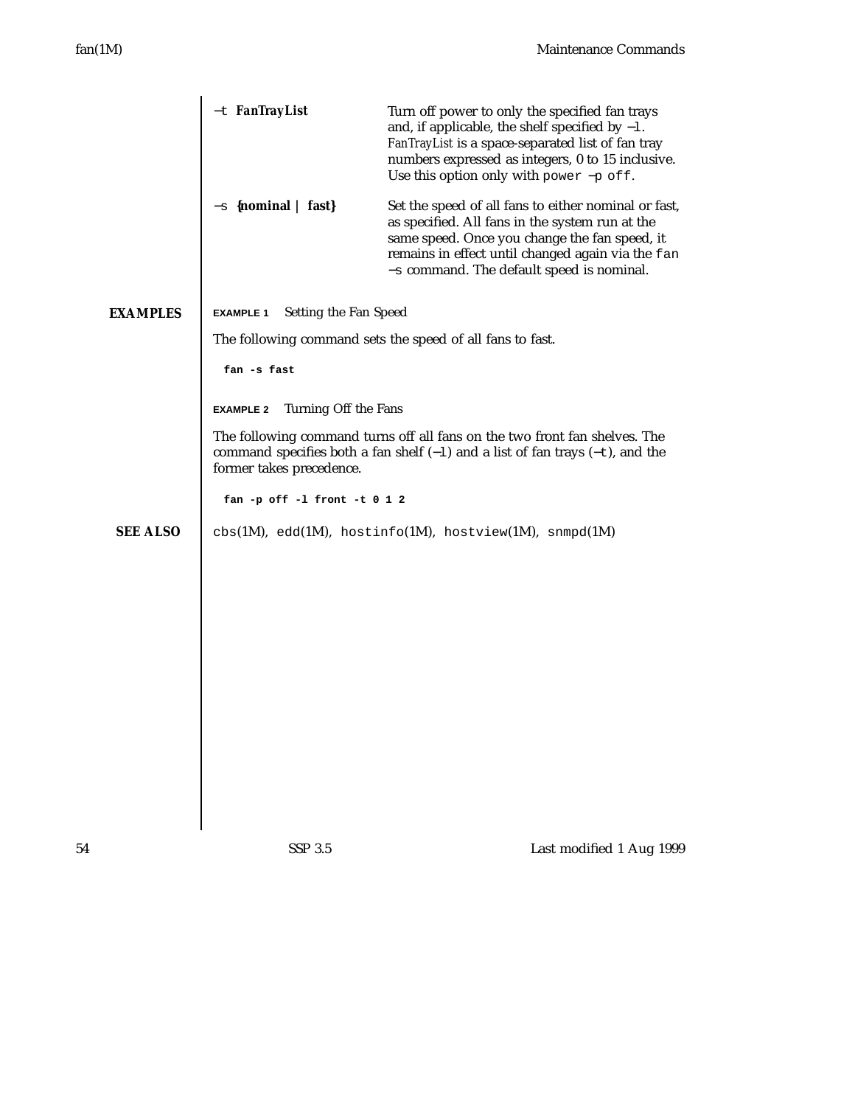|                 | -t FanTrayList                            | Turn off power to only the specified fan trays<br>and, if applicable, the shelf specified by $-1$ .<br>FanTrayList is a space-separated list of fan tray<br>numbers expressed as integers, 0 to 15 inclusive.<br>Use this option only with power $-p$ off. |
|-----------------|-------------------------------------------|------------------------------------------------------------------------------------------------------------------------------------------------------------------------------------------------------------------------------------------------------------|
|                 | $-s$ {nominal   fast}                     | Set the speed of all fans to either nominal or fast,<br>as specified. All fans in the system run at the<br>same speed. Once you change the fan speed, it<br>remains in effect until changed again via the fan<br>-s command. The default speed is nominal. |
| <b>EXAMPLES</b> | Setting the Fan Speed<br><b>EXAMPLE 1</b> |                                                                                                                                                                                                                                                            |
|                 |                                           | The following command sets the speed of all fans to fast.                                                                                                                                                                                                  |
|                 | fan -s fast                               |                                                                                                                                                                                                                                                            |
|                 | Turning Off the Fans<br><b>EXAMPLE 2</b>  |                                                                                                                                                                                                                                                            |
|                 | former takes precedence.                  | The following command turns off all fans on the two front fan shelves. The<br>command specifies both a fan shelf $(-1)$ and a list of fan trays $(-t)$ , and the                                                                                           |
|                 | fan -p off -l front -t 0 1 2              |                                                                                                                                                                                                                                                            |
| <b>SEE ALSO</b> |                                           | $cbs(1M)$ , edd $(1M)$ , hostinfo $(1M)$ , hostview $(1M)$ , snmpd $(1M)$                                                                                                                                                                                  |
|                 |                                           |                                                                                                                                                                                                                                                            |
|                 |                                           |                                                                                                                                                                                                                                                            |
|                 |                                           |                                                                                                                                                                                                                                                            |
|                 |                                           |                                                                                                                                                                                                                                                            |
|                 |                                           |                                                                                                                                                                                                                                                            |
|                 |                                           |                                                                                                                                                                                                                                                            |
|                 |                                           |                                                                                                                                                                                                                                                            |
|                 |                                           |                                                                                                                                                                                                                                                            |
|                 |                                           |                                                                                                                                                                                                                                                            |
| 54              | SSP 3.5                                   | Last modified 1 Aug 1999                                                                                                                                                                                                                                   |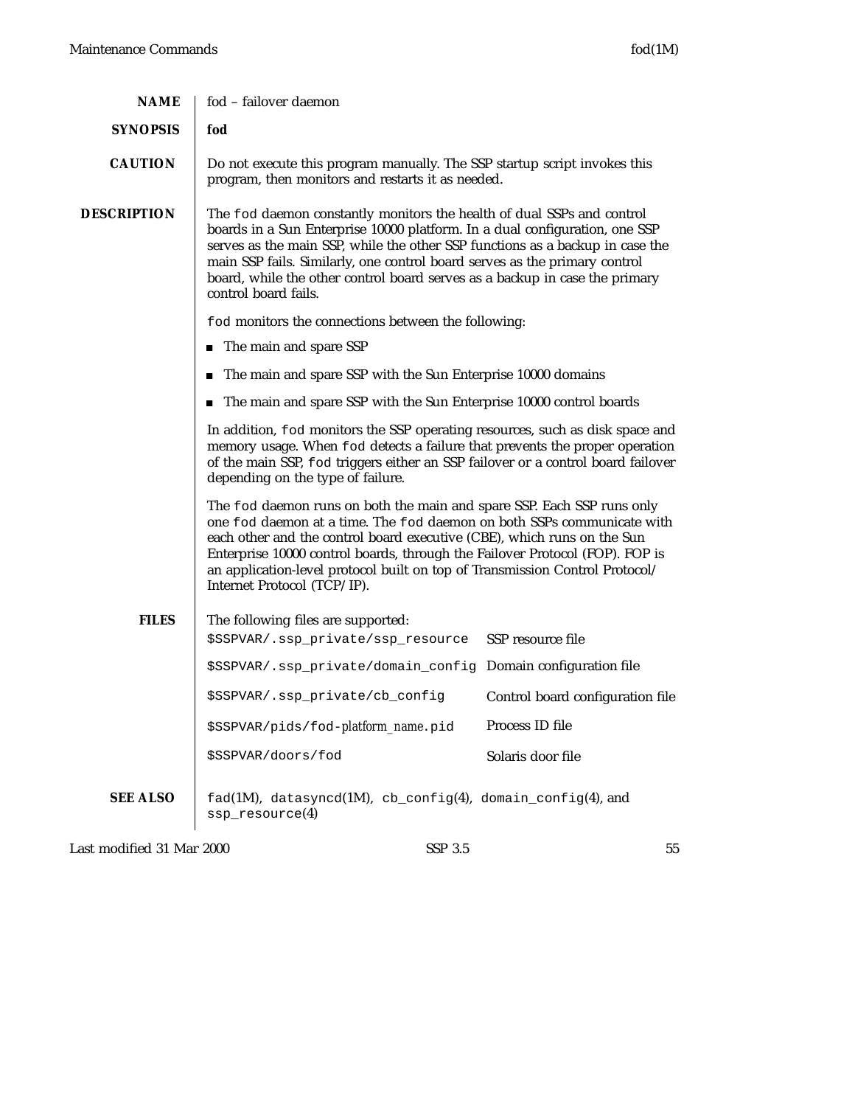| <b>NAME</b>        | fod - failover daemon                                                                                                                                                                                                                                                                                                                                                                                                       |                                  |  |
|--------------------|-----------------------------------------------------------------------------------------------------------------------------------------------------------------------------------------------------------------------------------------------------------------------------------------------------------------------------------------------------------------------------------------------------------------------------|----------------------------------|--|
| <b>SYNOPSIS</b>    | fod                                                                                                                                                                                                                                                                                                                                                                                                                         |                                  |  |
| <b>CAUTION</b>     | Do not execute this program manually. The SSP startup script invokes this<br>program, then monitors and restarts it as needed.                                                                                                                                                                                                                                                                                              |                                  |  |
| <b>DESCRIPTION</b> | The fod daemon constantly monitors the health of dual SSPs and control<br>boards in a Sun Enterprise 10000 platform. In a dual configuration, one SSP<br>serves as the main SSP, while the other SSP functions as a backup in case the<br>main SSP fails. Similarly, one control board serves as the primary control<br>board, while the other control board serves as a backup in case the primary<br>control board fails. |                                  |  |
|                    | fod monitors the connections between the following:                                                                                                                                                                                                                                                                                                                                                                         |                                  |  |
|                    | • The main and spare SSP                                                                                                                                                                                                                                                                                                                                                                                                    |                                  |  |
|                    | • The main and spare SSP with the Sun Enterprise 10000 domains                                                                                                                                                                                                                                                                                                                                                              |                                  |  |
|                    | The main and spare SSP with the Sun Enterprise 10000 control boards                                                                                                                                                                                                                                                                                                                                                         |                                  |  |
|                    | In addition, fod monitors the SSP operating resources, such as disk space and<br>memory usage. When fod detects a failure that prevents the proper operation<br>of the main SSP, fod triggers either an SSP failover or a control board failover<br>depending on the type of failure.                                                                                                                                       |                                  |  |
|                    | The fod daemon runs on both the main and spare SSP. Each SSP runs only<br>one fod daemon at a time. The fod daemon on both SSPs communicate with<br>each other and the control board executive (CBE), which runs on the Sun<br>Enterprise 10000 control boards, through the Failover Protocol (FOP). FOP is<br>an application-level protocol built on top of Transmission Control Protocol/<br>Internet Protocol (TCP/IP).  |                                  |  |
| <b>FILES</b>       | The following files are supported:                                                                                                                                                                                                                                                                                                                                                                                          |                                  |  |
|                    | \$SSPVAR/.ssp_private/ssp_resource                                                                                                                                                                                                                                                                                                                                                                                          | SSP resource file                |  |
|                    | \$SSPVAR/.ssp_private/domain_config Domain configuration file                                                                                                                                                                                                                                                                                                                                                               |                                  |  |
|                    | \$SSPVAR/.ssp_private/cb_config                                                                                                                                                                                                                                                                                                                                                                                             | Control board configuration file |  |
|                    | \$SSPVAR/pids/fod-platform_name.pid                                                                                                                                                                                                                                                                                                                                                                                         | Process ID file                  |  |
|                    | \$SSPVAR/doors/fod                                                                                                                                                                                                                                                                                                                                                                                                          | Solaris door file                |  |
| <b>SEE ALSO</b>    | $fad(1M)$ , datasyncd $(1M)$ , cb_config $(4)$ , domain_config $(4)$ , and<br>ssp_resource(4)                                                                                                                                                                                                                                                                                                                               |                                  |  |

Last modified 31 Mar  $2000$  SSP 3.5 55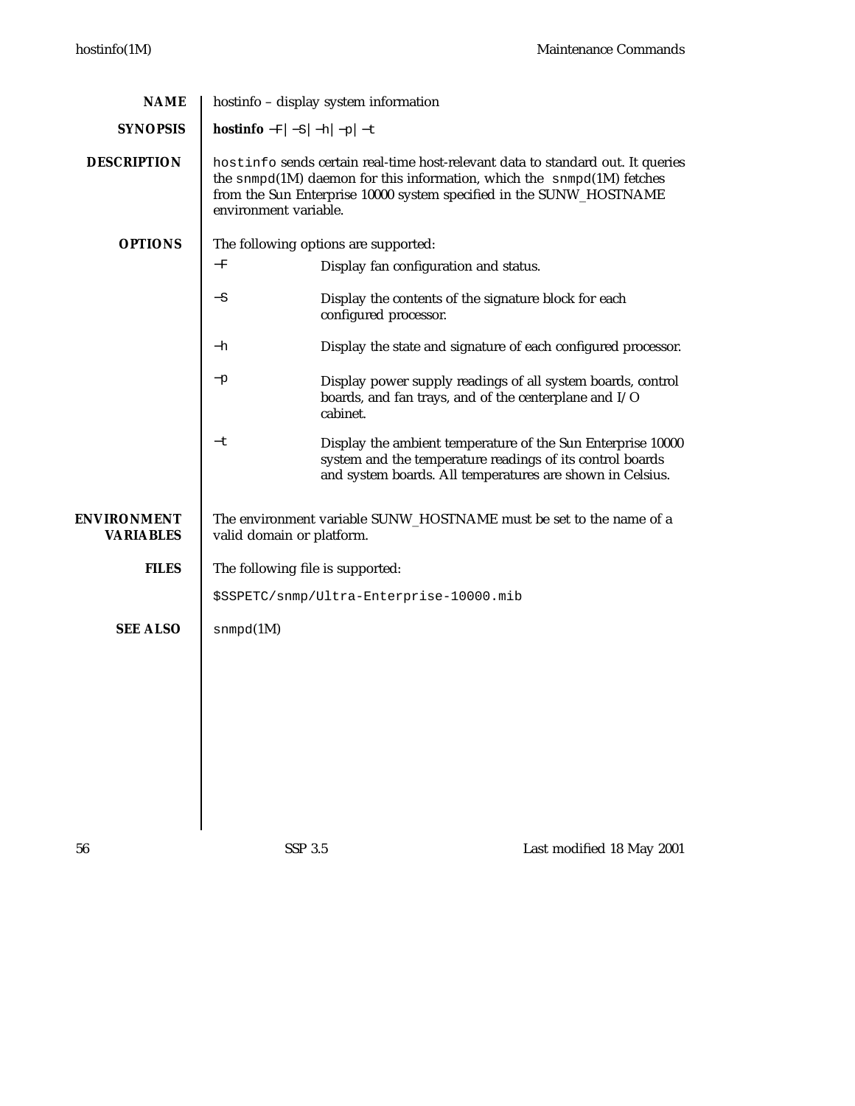| <b>NAME</b>                            | hostinfo - display system information                                                                                                                                                                                                                           |                                                                                                                                                                                       |
|----------------------------------------|-----------------------------------------------------------------------------------------------------------------------------------------------------------------------------------------------------------------------------------------------------------------|---------------------------------------------------------------------------------------------------------------------------------------------------------------------------------------|
| <b>SYNOPSIS</b>                        | hostinfo $-F -S -h -p -t$                                                                                                                                                                                                                                       |                                                                                                                                                                                       |
| <b>DESCRIPTION</b>                     | hostinfo sends certain real-time host-relevant data to standard out. It queries<br>the snmpd $(1M)$ daemon for this information, which the snmpd $(1M)$ fetches<br>from the Sun Enterprise 10000 system specified in the SUNW_HOSTNAME<br>environment variable. |                                                                                                                                                                                       |
| <b>OPTIONS</b>                         |                                                                                                                                                                                                                                                                 | The following options are supported:                                                                                                                                                  |
|                                        | $-F$                                                                                                                                                                                                                                                            | Display fan configuration and status.                                                                                                                                                 |
|                                        | -S                                                                                                                                                                                                                                                              | Display the contents of the signature block for each<br>configured processor.                                                                                                         |
|                                        | -h                                                                                                                                                                                                                                                              | Display the state and signature of each configured processor.                                                                                                                         |
|                                        | -p                                                                                                                                                                                                                                                              | Display power supply readings of all system boards, control<br>boards, and fan trays, and of the centerplane and I/O<br>cabinet.                                                      |
|                                        | $-t$                                                                                                                                                                                                                                                            | Display the ambient temperature of the Sun Enterprise 10000<br>system and the temperature readings of its control boards<br>and system boards. All temperatures are shown in Celsius. |
| <b>ENVIRONMENT</b><br><b>VARIABLES</b> | valid domain or platform.                                                                                                                                                                                                                                       | The environment variable SUNW_HOSTNAME must be set to the name of a                                                                                                                   |
| <b>FILES</b>                           | The following file is supported:                                                                                                                                                                                                                                |                                                                                                                                                                                       |
|                                        |                                                                                                                                                                                                                                                                 | \$SSPETC/snmp/Ultra-Enterprise-10000.mib                                                                                                                                              |
| <b>SEE ALSO</b>                        | $s$ nmpd $(1M)$                                                                                                                                                                                                                                                 |                                                                                                                                                                                       |
|                                        |                                                                                                                                                                                                                                                                 |                                                                                                                                                                                       |
|                                        |                                                                                                                                                                                                                                                                 |                                                                                                                                                                                       |
|                                        |                                                                                                                                                                                                                                                                 |                                                                                                                                                                                       |
|                                        |                                                                                                                                                                                                                                                                 |                                                                                                                                                                                       |
|                                        |                                                                                                                                                                                                                                                                 |                                                                                                                                                                                       |
|                                        |                                                                                                                                                                                                                                                                 |                                                                                                                                                                                       |
|                                        |                                                                                                                                                                                                                                                                 |                                                                                                                                                                                       |

56 SSP 3.5 Last modified 18 May 2001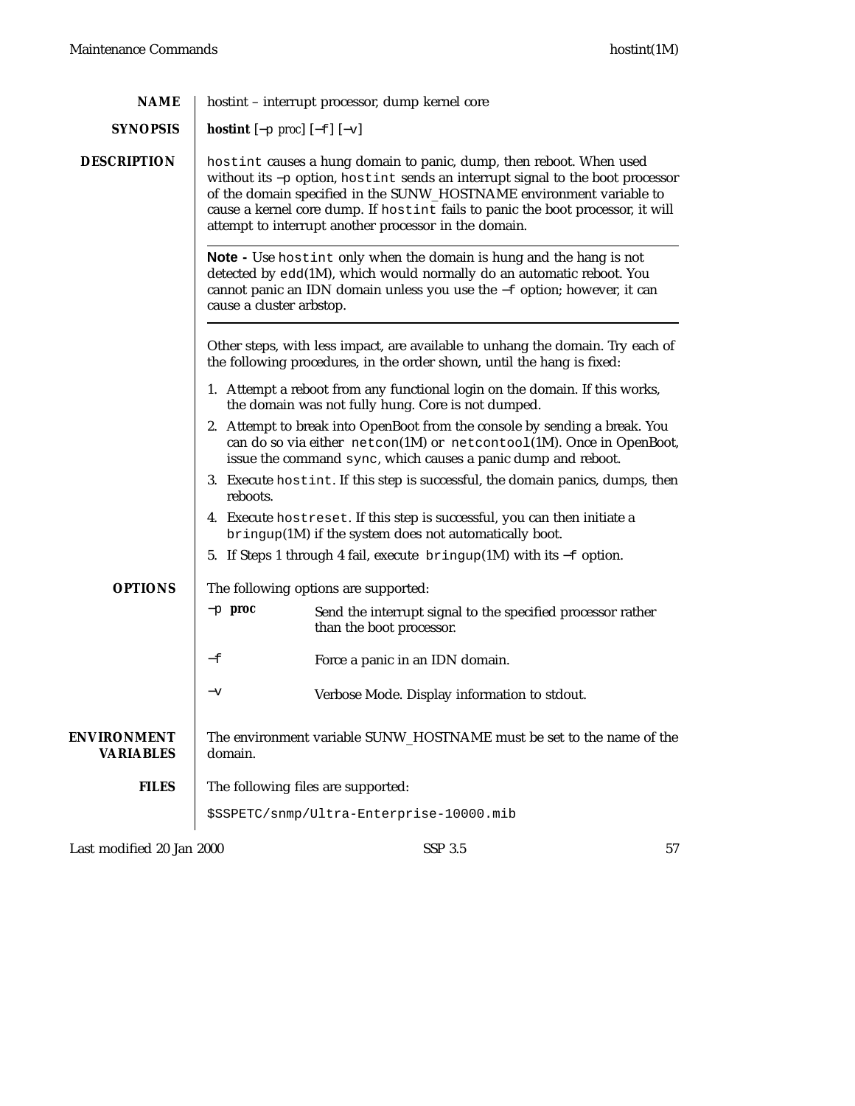| <b>NAME</b>                            | hostint - interrupt processor, dump kernel core                                                                                                                                                                                                                                                                                                                             |  |  |
|----------------------------------------|-----------------------------------------------------------------------------------------------------------------------------------------------------------------------------------------------------------------------------------------------------------------------------------------------------------------------------------------------------------------------------|--|--|
| <b>SYNOPSIS</b>                        | <b>hostint</b> $[-p \text{ proc}]$ $[-f]$ $[-v]$                                                                                                                                                                                                                                                                                                                            |  |  |
| <b>DESCRIPTION</b>                     | hostint causes a hung domain to panic, dump, then reboot. When used<br>without its $-p$ option, hostint sends an interrupt signal to the boot processor<br>of the domain specified in the SUNW_HOSTNAME environment variable to<br>cause a kernel core dump. If hostint fails to panic the boot processor, it will<br>attempt to interrupt another processor in the domain. |  |  |
|                                        | <b>Note -</b> Use hostint only when the domain is hung and the hang is not<br>detected by edd(1M), which would normally do an automatic reboot. You<br>cannot panic an IDN domain unless you use the $-f$ option; however, it can<br>cause a cluster arbstop.                                                                                                               |  |  |
|                                        | Other steps, with less impact, are available to unhang the domain. Try each of<br>the following procedures, in the order shown, until the hang is fixed:                                                                                                                                                                                                                    |  |  |
|                                        | 1. Attempt a reboot from any functional login on the domain. If this works,<br>the domain was not fully hung. Core is not dumped.                                                                                                                                                                                                                                           |  |  |
|                                        | 2. Attempt to break into OpenBoot from the console by sending a break. You<br>can do so via either netcon(1M) or netcontoo1(1M). Once in OpenBoot,<br>issue the command sync, which causes a panic dump and reboot.                                                                                                                                                         |  |  |
|                                        | 3. Execute hostint. If this step is successful, the domain panics, dumps, then<br>reboots.                                                                                                                                                                                                                                                                                  |  |  |
|                                        | 4. Execute hostreset. If this step is successful, you can then initiate a<br>bringup(1M) if the system does not automatically boot.                                                                                                                                                                                                                                         |  |  |
|                                        | 5. If Steps 1 through 4 fail, execute $b$ ringup(1M) with its $-f$ option.                                                                                                                                                                                                                                                                                                  |  |  |
| <b>OPTIONS</b>                         | The following options are supported:                                                                                                                                                                                                                                                                                                                                        |  |  |
|                                        | $-p$ proc<br>Send the interrupt signal to the specified processor rather<br>than the boot processor.                                                                                                                                                                                                                                                                        |  |  |
|                                        | -f<br>Force a panic in an IDN domain.                                                                                                                                                                                                                                                                                                                                       |  |  |
|                                        | $-v$<br>Verbose Mode. Display information to stdout.                                                                                                                                                                                                                                                                                                                        |  |  |
| <b>ENVIRONMENT</b><br><b>VARIABLES</b> | The environment variable SUNW_HOSTNAME must be set to the name of the<br>domain.                                                                                                                                                                                                                                                                                            |  |  |
| <b>FILES</b>                           | The following files are supported:                                                                                                                                                                                                                                                                                                                                          |  |  |
|                                        | \$SSPETC/snmp/Ultra-Enterprise-10000.mib                                                                                                                                                                                                                                                                                                                                    |  |  |

 $\text{Last modified 20 Jan 2000} \qquad \qquad \text{SSP 3.5} \qquad \qquad \text{57}$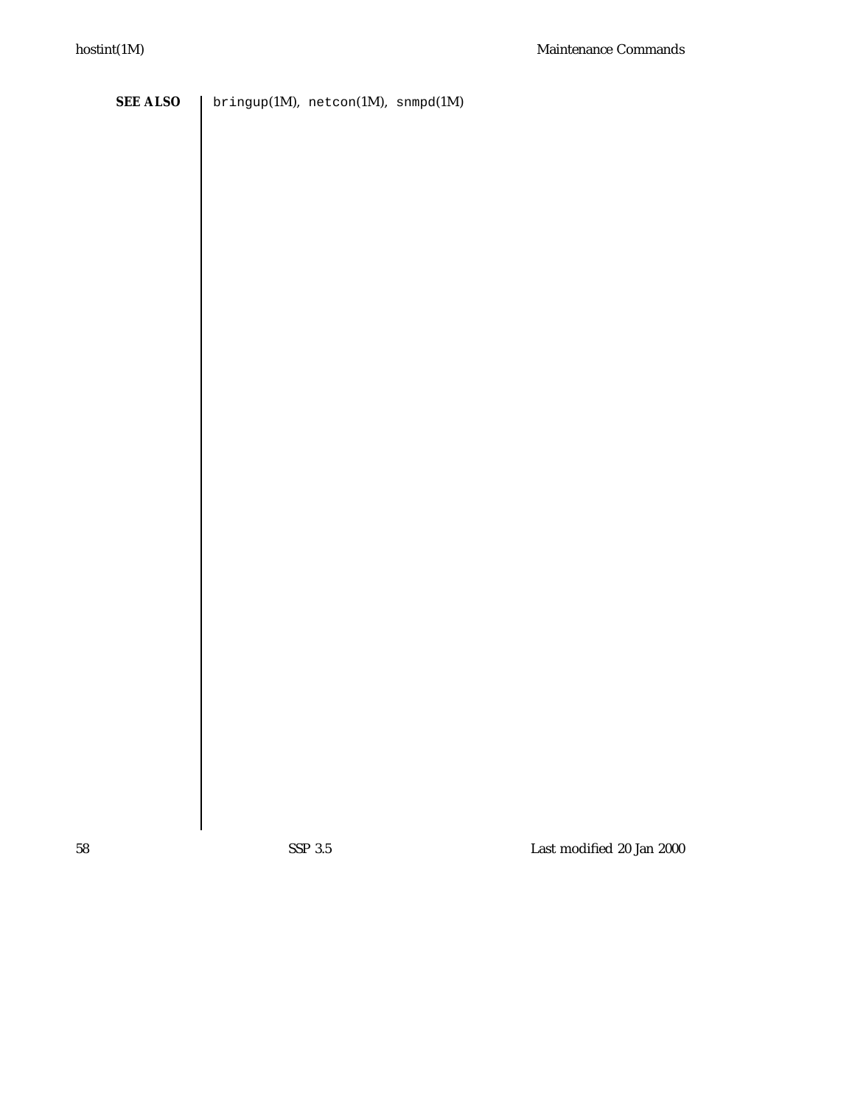SEE ALSO | bringup(1M), netcon(1M), snmpd(1M)

58 SSP 3.5 Last modified 20 Jan 2000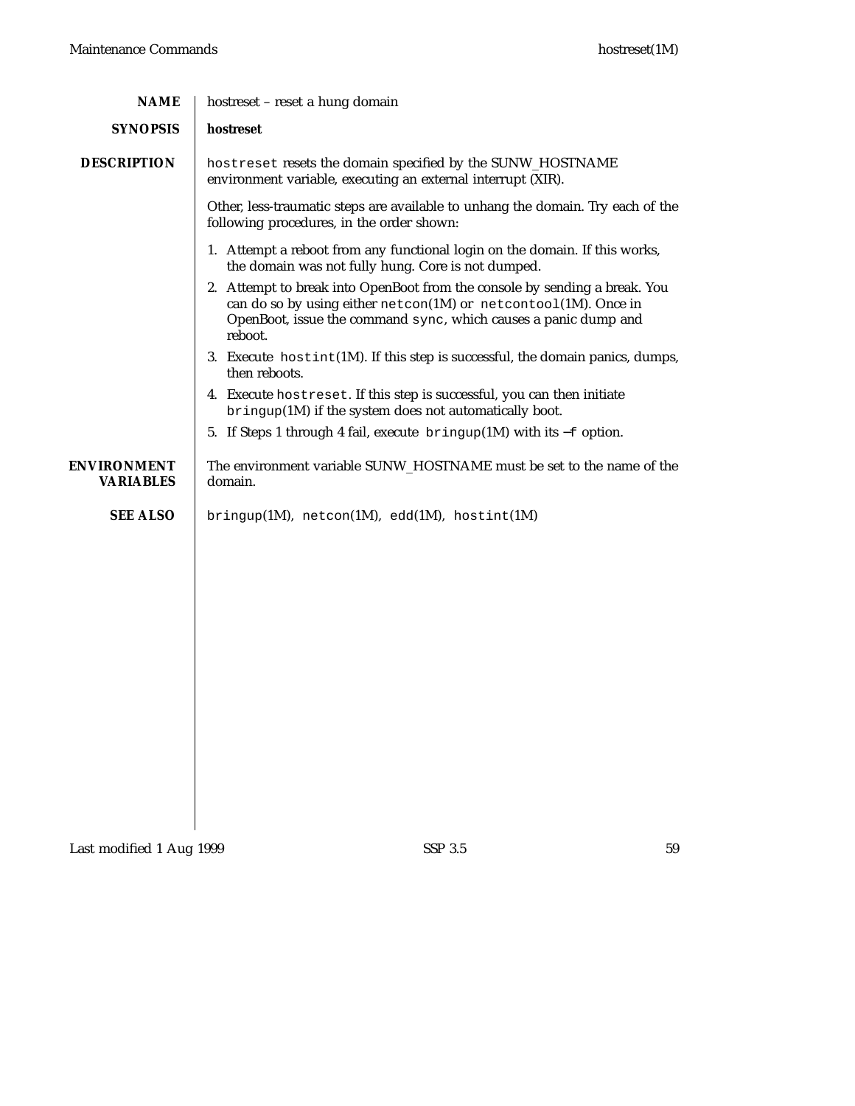| Other, less-traumatic steps are available to unhang the domain. Try each of the |
|---------------------------------------------------------------------------------|
|                                                                                 |
|                                                                                 |
|                                                                                 |
|                                                                                 |
| 2. Attempt to break into OpenBoot from the console by sending a break. You      |
| 3. Execute hostint(1M). If this step is successful, the domain panics, dumps,   |
|                                                                                 |
|                                                                                 |
| The environment variable SUNW_HOSTNAME must be set to the name of the           |
|                                                                                 |
|                                                                                 |
| 1. Attempt a reboot from any functional login on the domain. If this works,     |

Last modified 1 Aug 1999 SSP 3.5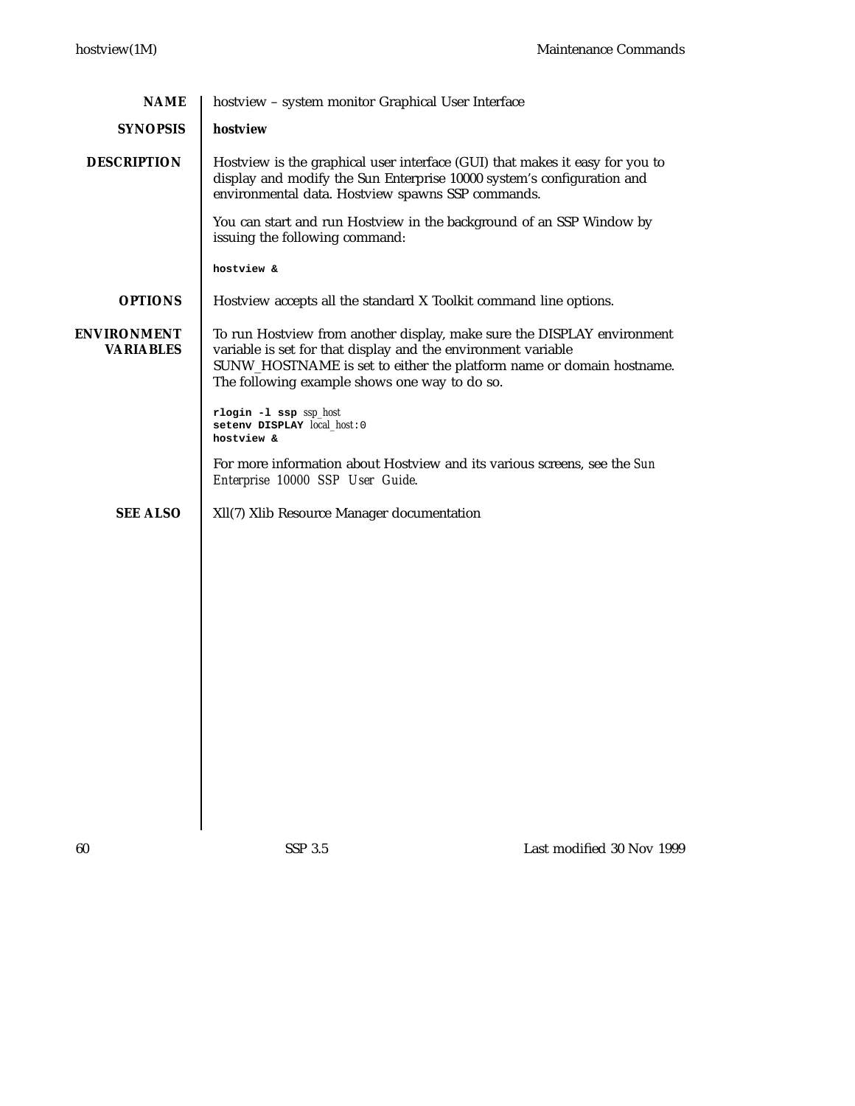| <b>NAME</b>                            | hostview - system monitor Graphical User Interface                                                                                                                                                                                                                |
|----------------------------------------|-------------------------------------------------------------------------------------------------------------------------------------------------------------------------------------------------------------------------------------------------------------------|
| <b>SYNOPSIS</b>                        | hostview                                                                                                                                                                                                                                                          |
| <b>DESCRIPTION</b>                     | Hostview is the graphical user interface (GUI) that makes it easy for you to<br>display and modify the Sun Enterprise 10000 system's configuration and<br>environmental data. Hostview spawns SSP commands.                                                       |
|                                        | You can start and run Hostview in the background of an SSP Window by<br>issuing the following command:                                                                                                                                                            |
|                                        | hostview &                                                                                                                                                                                                                                                        |
| <b>OPTIONS</b>                         | Hostview accepts all the standard X Toolkit command line options.                                                                                                                                                                                                 |
| <b>ENVIRONMENT</b><br><b>VARIABLES</b> | To run Hostview from another display, make sure the DISPLAY environment<br>variable is set for that display and the environment variable<br>SUNW_HOSTNAME is set to either the platform name or domain hostname.<br>The following example shows one way to do so. |
|                                        | rlogin -1 ssp ssp_host<br>setenv DISPLAY local_host: 0<br>hostview &                                                                                                                                                                                              |
|                                        | For more information about Hostview and its various screens, see the Sun<br>Enterprise 10000 SSP User Guide.                                                                                                                                                      |
| <b>SEE ALSO</b>                        | XII(7) XIib Resource Manager documentation                                                                                                                                                                                                                        |
|                                        |                                                                                                                                                                                                                                                                   |
|                                        |                                                                                                                                                                                                                                                                   |
|                                        |                                                                                                                                                                                                                                                                   |
|                                        |                                                                                                                                                                                                                                                                   |
|                                        |                                                                                                                                                                                                                                                                   |
|                                        |                                                                                                                                                                                                                                                                   |
|                                        |                                                                                                                                                                                                                                                                   |
|                                        |                                                                                                                                                                                                                                                                   |
|                                        |                                                                                                                                                                                                                                                                   |

60 SSP 3.5 Last modified 30 Nov 1999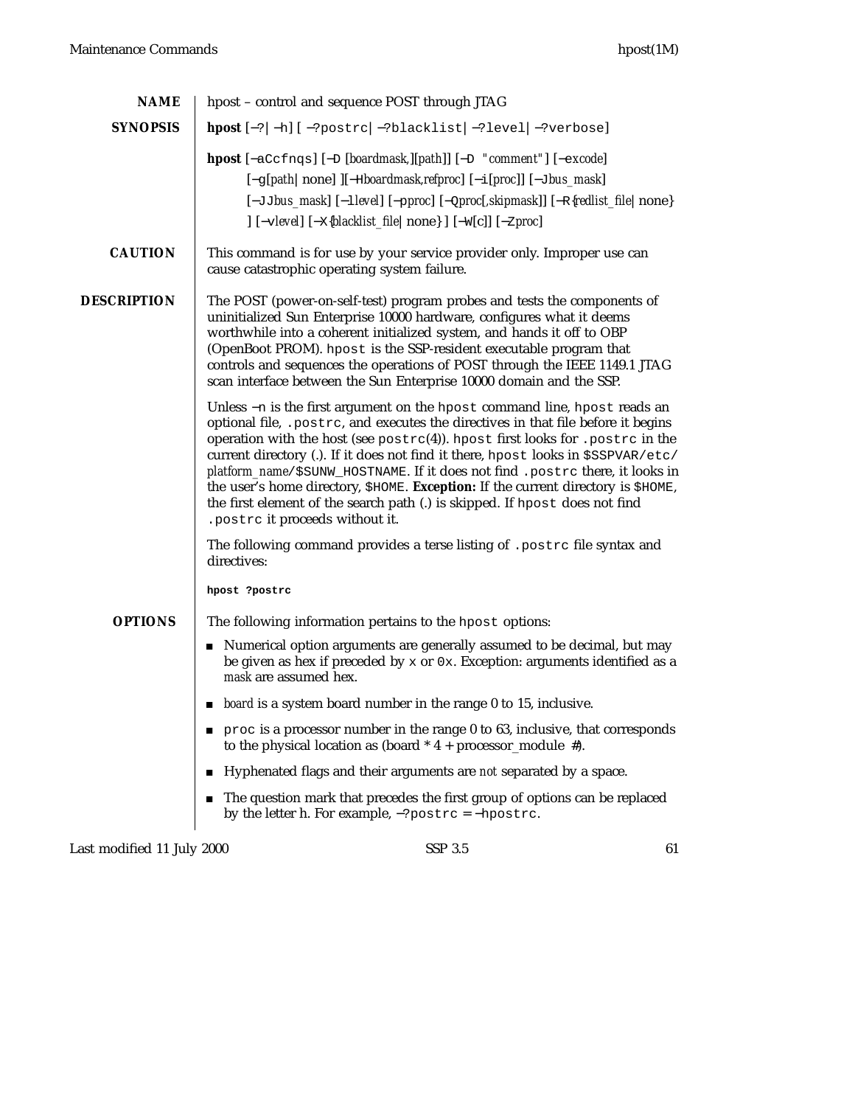| <b>NAME</b>        | hpost - control and sequence POST through JTAG                                                                                                                                                                                                                                                                                                                                                                                                                                                                                                                                                                                     |  |  |
|--------------------|------------------------------------------------------------------------------------------------------------------------------------------------------------------------------------------------------------------------------------------------------------------------------------------------------------------------------------------------------------------------------------------------------------------------------------------------------------------------------------------------------------------------------------------------------------------------------------------------------------------------------------|--|--|
| <b>SYNOPSIS</b>    | $hpost [-? -h] [-?postrc] -?blacklist   -?level   -?verbose]$                                                                                                                                                                                                                                                                                                                                                                                                                                                                                                                                                                      |  |  |
|                    | hpost [-aCcfnqs] [-D [boardmask,][path]] [-D "comment"] [-excode]<br>[-g[path none]][-Hboardmask,refproc][-i[proc]][-Jbus_mask]<br>[-JJbus_mask] [-1 level] [-pproc] [-Qproc[,skipmask]] [-R{redlist_file   none}<br>] [-vlevel] [-x{blacklist_file   none} ] [-w[c]] [-zproc]                                                                                                                                                                                                                                                                                                                                                     |  |  |
| <b>CAUTION</b>     | This command is for use by your service provider only. Improper use can<br>cause catastrophic operating system failure.                                                                                                                                                                                                                                                                                                                                                                                                                                                                                                            |  |  |
| <b>DESCRIPTION</b> | The POST (power-on-self-test) program probes and tests the components of<br>uninitialized Sun Enterprise 10000 hardware, configures what it deems<br>worthwhile into a coherent initialized system, and hands it off to OBP<br>(OpenBoot PROM). hpost is the SSP-resident executable program that<br>controls and sequences the operations of POST through the IEEE 1149.1 JTAG<br>scan interface between the Sun Enterprise 10000 domain and the SSP.                                                                                                                                                                             |  |  |
|                    | Unless -n is the first argument on the hpost command line, hpost reads an<br>optional file, .postrc, and executes the directives in that file before it begins<br>operation with the host (see $postrc(4)$ ). hpost first looks for . postrc in the<br>current directory (.). If it does not find it there, hpost looks in \$SSPVAR/etc/<br>platform_name/\$SUNW_HOSTNAME. If it does not find . postrc there, it looks in<br>the user's home directory, \$HOME. Exception: If the current directory is \$HOME,<br>the first element of the search path (.) is skipped. If hpost does not find<br>. postrc it proceeds without it. |  |  |
|                    | The following command provides a terse listing of . postrc file syntax and<br>directives:                                                                                                                                                                                                                                                                                                                                                                                                                                                                                                                                          |  |  |
|                    | hpost ?postrc                                                                                                                                                                                                                                                                                                                                                                                                                                                                                                                                                                                                                      |  |  |
| <b>OPTIONS</b>     | The following information pertains to the hpost options:                                                                                                                                                                                                                                                                                                                                                                                                                                                                                                                                                                           |  |  |
|                    | • Numerical option arguments are generally assumed to be decimal, but may<br>be given as hex if preceded by $x$ or $0x$ . Exception: arguments identified as a<br>mask are assumed hex.                                                                                                                                                                                                                                                                                                                                                                                                                                            |  |  |
|                    | board is a system board number in the range 0 to 15, inclusive.                                                                                                                                                                                                                                                                                                                                                                                                                                                                                                                                                                    |  |  |
|                    | proc is a processor number in the range 0 to 63, inclusive, that corresponds<br>to the physical location as (board $*$ 4 + processor_module #).                                                                                                                                                                                                                                                                                                                                                                                                                                                                                    |  |  |
|                    | Hyphenated flags and their arguments are not separated by a space.                                                                                                                                                                                                                                                                                                                                                                                                                                                                                                                                                                 |  |  |
|                    | The question mark that precedes the first group of options can be replaced<br>by the letter h. For example, $-\text{?postrc} = -\text{hpostrc}$ .                                                                                                                                                                                                                                                                                                                                                                                                                                                                                  |  |  |
|                    |                                                                                                                                                                                                                                                                                                                                                                                                                                                                                                                                                                                                                                    |  |  |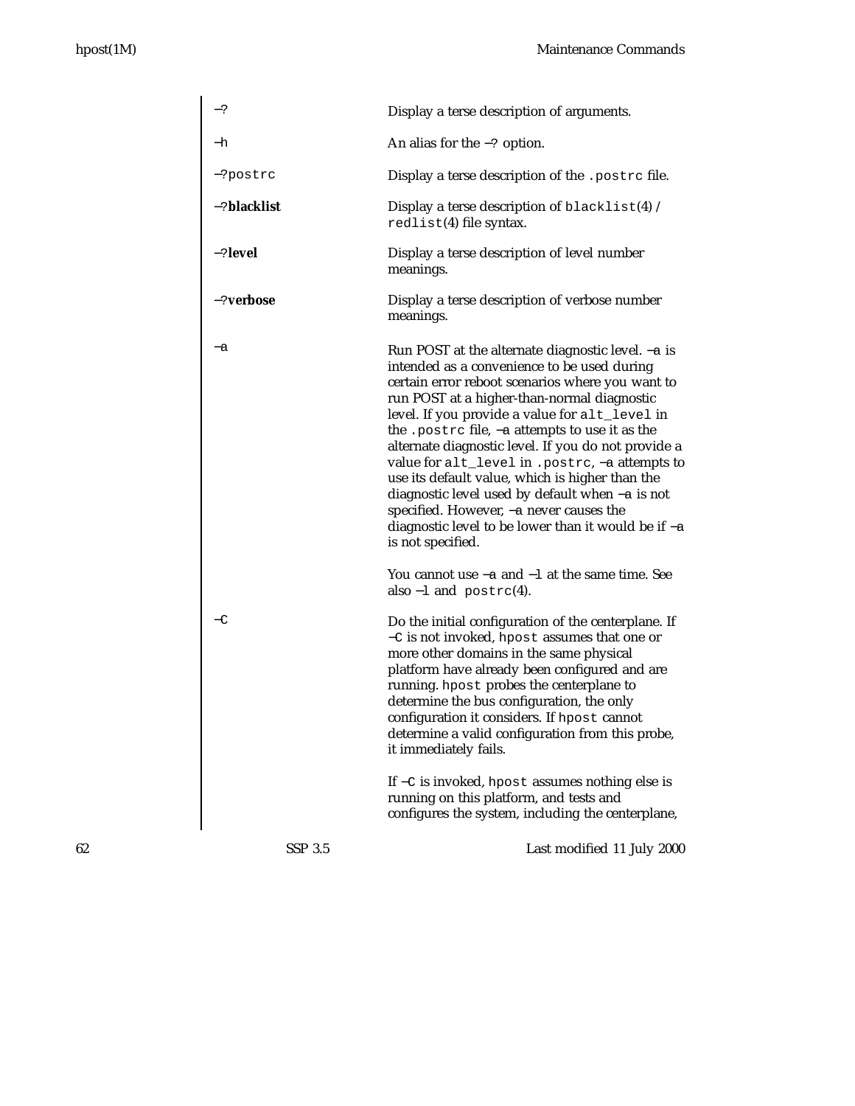|    | -?           | Display a terse description of arguments.                                                                                                                                                                                                                                                                                                                                                                                                                                                                                                                                                                                                           |
|----|--------------|-----------------------------------------------------------------------------------------------------------------------------------------------------------------------------------------------------------------------------------------------------------------------------------------------------------------------------------------------------------------------------------------------------------------------------------------------------------------------------------------------------------------------------------------------------------------------------------------------------------------------------------------------------|
|    | -h           | An alias for the $-$ ? option.                                                                                                                                                                                                                                                                                                                                                                                                                                                                                                                                                                                                                      |
|    | -?postrc     | Display a terse description of the . postrc file.                                                                                                                                                                                                                                                                                                                                                                                                                                                                                                                                                                                                   |
|    | -?blacklist  | Display a terse description of blacklist(4) /<br>redlist(4) file syntax.                                                                                                                                                                                                                                                                                                                                                                                                                                                                                                                                                                            |
|    | $-?$ level   | Display a terse description of level number<br>meanings.                                                                                                                                                                                                                                                                                                                                                                                                                                                                                                                                                                                            |
|    | $-?$ verbose | Display a terse description of verbose number<br>meanings.                                                                                                                                                                                                                                                                                                                                                                                                                                                                                                                                                                                          |
|    | $-a$         | Run POST at the alternate diagnostic level. $-a$ is<br>intended as a convenience to be used during<br>certain error reboot scenarios where you want to<br>run POST at a higher-than-normal diagnostic<br>level. If you provide a value for alt_level in<br>the .postrc file, $-a$ attempts to use it as the<br>alternate diagnostic level. If you do not provide a<br>value for alt_level in .postrc, -a attempts to<br>use its default value, which is higher than the<br>diagnostic level used by default when -a is not<br>specified. However, -a never causes the<br>diagnostic level to be lower than it would be if $-a$<br>is not specified. |
|    |              | You cannot use $-a$ and $-1$ at the same time. See<br>also-1 and $postrc(4)$ .                                                                                                                                                                                                                                                                                                                                                                                                                                                                                                                                                                      |
|    | $-c$         | Do the initial configuration of the centerplane. If<br>-C is not invoked, hpost assumes that one or<br>more other domains in the same physical<br>platform have already been configured and are<br>running. hpost probes the centerplane to<br>determine the bus configuration, the only<br>configuration it considers. If hpost cannot<br>determine a valid configuration from this probe,<br>it immediately fails.                                                                                                                                                                                                                                |
|    |              | If $-C$ is invoked, hpost assumes nothing else is<br>running on this platform, and tests and<br>configures the system, including the centerplane,                                                                                                                                                                                                                                                                                                                                                                                                                                                                                                   |
| 62 | SSP 3.5      | Last modified 11 July 2000                                                                                                                                                                                                                                                                                                                                                                                                                                                                                                                                                                                                                          |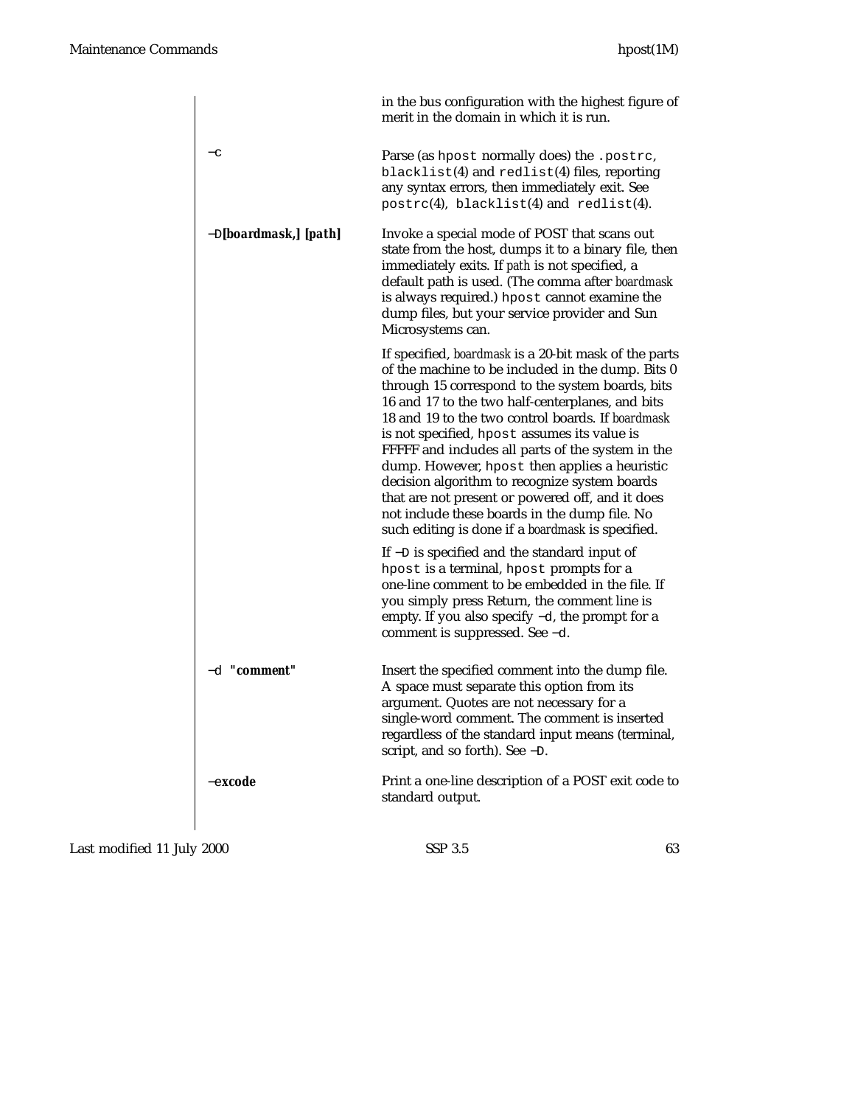|                         | in the bus configuration with the highest figure of<br>merit in the domain in which it is run.                                                                                                                                                                                                                                                                                                                                                                                                                                                                                                                                           |
|-------------------------|------------------------------------------------------------------------------------------------------------------------------------------------------------------------------------------------------------------------------------------------------------------------------------------------------------------------------------------------------------------------------------------------------------------------------------------------------------------------------------------------------------------------------------------------------------------------------------------------------------------------------------------|
| $-c$                    | Parse (as hpost normally does) the .postrc,<br>$blacklist(4)$ and $redlist(4)$ files, reporting<br>any syntax errors, then immediately exit. See<br>postrc(4), blacklist(4) and redlist(4).                                                                                                                                                                                                                                                                                                                                                                                                                                              |
| $-D[boardmask,] [path]$ | Invoke a special mode of POST that scans out<br>state from the host, dumps it to a binary file, then<br>immediately exits. If path is not specified, a<br>default path is used. (The comma after boardmask<br>is always required.) hpost cannot examine the<br>dump files, but your service provider and Sun<br>Microsystems can.                                                                                                                                                                                                                                                                                                        |
|                         | If specified, boardmask is a 20-bit mask of the parts<br>of the machine to be included in the dump. Bits 0<br>through 15 correspond to the system boards, bits<br>16 and 17 to the two half-centerplanes, and bits<br>18 and 19 to the two control boards. If boardmask<br>is not specified, hpost assumes its value is<br>FFFFF and includes all parts of the system in the<br>dump. However, hpost then applies a heuristic<br>decision algorithm to recognize system boards<br>that are not present or powered off, and it does<br>not include these boards in the dump file. No<br>such editing is done if a boardmask is specified. |
|                         | If $-D$ is specified and the standard input of<br>hpost is a terminal, hpost prompts for a<br>one-line comment to be embedded in the file. If<br>you simply press Return, the comment line is<br>empty. If you also specify $-d$ , the prompt for a<br>comment is suppressed. See -d.                                                                                                                                                                                                                                                                                                                                                    |
| -d "comment"            | Insert the specified comment into the dump file.<br>A space must separate this option from its<br>argument. Quotes are not necessary for a<br>single-word comment. The comment is inserted<br>regardless of the standard input means (terminal,<br>script, and so forth). See -D.                                                                                                                                                                                                                                                                                                                                                        |
| -e <i>xcode</i>         | Print a one-line description of a POST exit code to<br>standard output.                                                                                                                                                                                                                                                                                                                                                                                                                                                                                                                                                                  |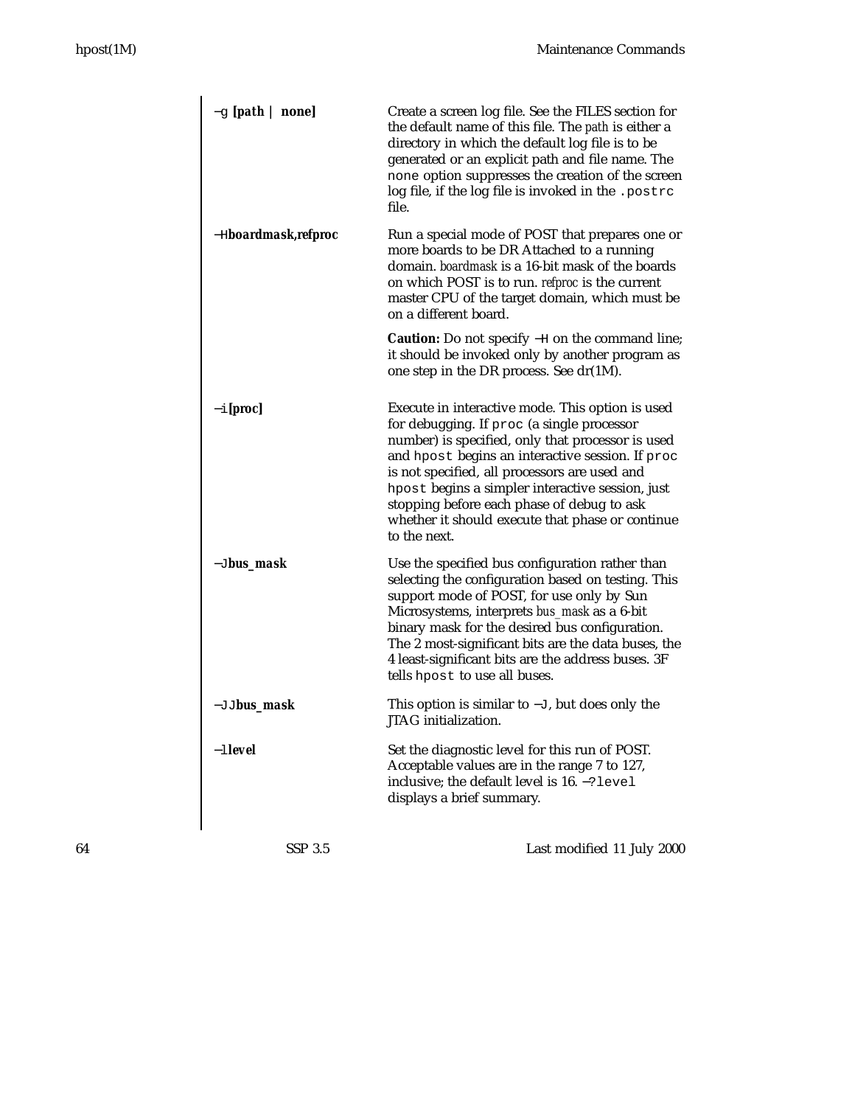|    | $-g$ [path   none]      | Create a screen log file. See the FILES section for<br>the default name of this file. The path is either a<br>directory in which the default log file is to be<br>generated or an explicit path and file name. The<br>none option suppresses the creation of the screen<br>log file, if the log file is invoked in the .postrc<br>file.                                                                                        |
|----|-------------------------|--------------------------------------------------------------------------------------------------------------------------------------------------------------------------------------------------------------------------------------------------------------------------------------------------------------------------------------------------------------------------------------------------------------------------------|
|    | $-Hboard mask,$ refproc | Run a special mode of POST that prepares one or<br>more boards to be DR Attached to a running<br>domain. boardmask is a 16-bit mask of the boards<br>on which POST is to run. refproc is the current<br>master CPU of the target domain, which must be<br>on a different board.                                                                                                                                                |
|    |                         | <b>Caution:</b> Do not specify $-H$ on the command line;<br>it should be invoked only by another program as<br>one step in the DR process. See dr(1M).                                                                                                                                                                                                                                                                         |
|    | $-i$ [proc]             | Execute in interactive mode. This option is used<br>for debugging. If proc (a single processor<br>number) is specified, only that processor is used<br>and hpost begins an interactive session. If proc<br>is not specified, all processors are used and<br>hpost begins a simpler interactive session, just<br>stopping before each phase of debug to ask<br>whether it should execute that phase or continue<br>to the next. |
|    | $\neg$ J $bus\_mask$    | Use the specified bus configuration rather than<br>selecting the configuration based on testing. This<br>support mode of POST, for use only by Sun<br>Microsystems, interprets bus_mask as a 6-bit<br>binary mask for the desired bus configuration.<br>The 2 most-significant bits are the data buses, the<br>4 least-significant bits are the address buses. 3F<br>tells hpost to use all buses.                             |
|    | –JJbus_mask             | This option is similar to $-J$ , but does only the<br>JTAG initialization.                                                                                                                                                                                                                                                                                                                                                     |
|    | $-1 level$              | Set the diagnostic level for this run of POST.<br>Acceptable values are in the range 7 to 127,<br>inclusive; the default level is 16. -? level<br>displays a brief summary.                                                                                                                                                                                                                                                    |
| 64 | SSP 3.5                 | Last modified 11 July 2000                                                                                                                                                                                                                                                                                                                                                                                                     |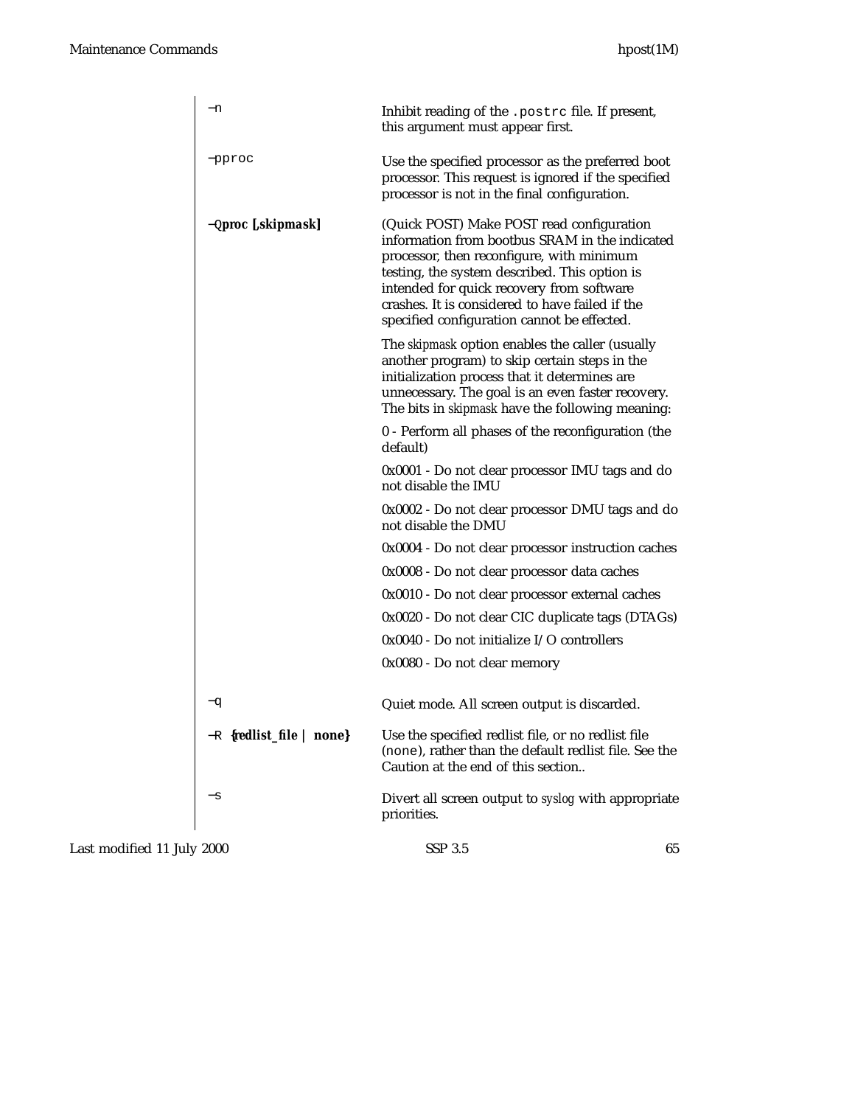| -n                          | Inhibit reading of the . postrc file. If present,<br>this argument must appear first.                                                                                                                                                                                                                                                    |
|-----------------------------|------------------------------------------------------------------------------------------------------------------------------------------------------------------------------------------------------------------------------------------------------------------------------------------------------------------------------------------|
| -pproc                      | Use the specified processor as the preferred boot<br>processor. This request is ignored if the specified<br>processor is not in the final configuration.                                                                                                                                                                                 |
| $-\text{Qproc}$ [,skipmask] | (Quick POST) Make POST read configuration<br>information from bootbus SRAM in the indicated<br>processor, then reconfigure, with minimum<br>testing, the system described. This option is<br>intended for quick recovery from software<br>crashes. It is considered to have failed if the<br>specified configuration cannot be effected. |
|                             | The skipmask option enables the caller (usually<br>another program) to skip certain steps in the<br>initialization process that it determines are<br>unnecessary. The goal is an even faster recovery.<br>The bits in skipmask have the following meaning:                                                                               |
|                             | 0 - Perform all phases of the reconfiguration (the<br>default)                                                                                                                                                                                                                                                                           |
|                             | 0x0001 - Do not clear processor IMU tags and do<br>not disable the IMU                                                                                                                                                                                                                                                                   |
|                             | 0x0002 - Do not clear processor DMU tags and do<br>not disable the DMU                                                                                                                                                                                                                                                                   |
|                             | 0x0004 - Do not clear processor instruction caches                                                                                                                                                                                                                                                                                       |
|                             | 0x0008 - Do not clear processor data caches                                                                                                                                                                                                                                                                                              |
|                             | 0x0010 - Do not clear processor external caches                                                                                                                                                                                                                                                                                          |
|                             | 0x0020 - Do not clear CIC duplicate tags (DTAGs)                                                                                                                                                                                                                                                                                         |
|                             | $0x0040$ - Do not initialize I/O controllers                                                                                                                                                                                                                                                                                             |
|                             | 0x0080 - Do not clear memory                                                                                                                                                                                                                                                                                                             |
| -q                          | Quiet mode. All screen output is discarded.                                                                                                                                                                                                                                                                                              |
| $-R$ {redlist_file   none}  | Use the specified redlist file, or no redlist file<br>(none), rather than the default redlist file. See the<br>Caution at the end of this section                                                                                                                                                                                        |
| -s                          | Divert all screen output to syslog with appropriate<br>priorities.                                                                                                                                                                                                                                                                       |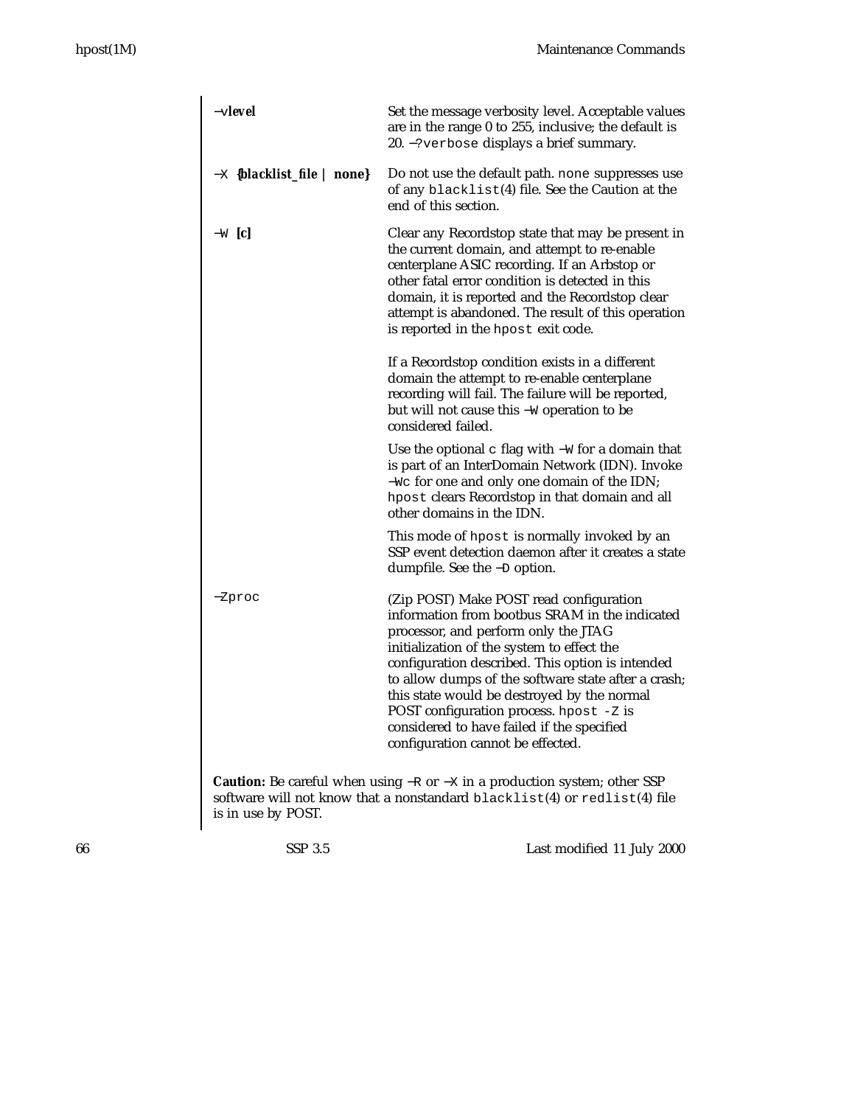| $-\nabla$ <i>level</i>     | Set the message verbosity level. Acceptable values<br>are in the range 0 to 255, inclusive; the default is<br>20. -?verbose displays a brief summary.                                                                                                                                                                                                                                                                                                                   |
|----------------------------|-------------------------------------------------------------------------------------------------------------------------------------------------------------------------------------------------------------------------------------------------------------------------------------------------------------------------------------------------------------------------------------------------------------------------------------------------------------------------|
| -X {blacklist_file   none} | Do not use the default path. none suppresses use<br>of any blacklist(4) file. See the Caution at the<br>end of this section.                                                                                                                                                                                                                                                                                                                                            |
| $-W$ [c]                   | Clear any Recordstop state that may be present in<br>the current domain, and attempt to re-enable<br>centerplane ASIC recording. If an Arbstop or<br>other fatal error condition is detected in this<br>domain, it is reported and the Recordstop clear<br>attempt is abandoned. The result of this operation<br>is reported in the hpost exit code.                                                                                                                    |
|                            | If a Recordstop condition exists in a different<br>domain the attempt to re-enable centerplane<br>recording will fail. The failure will be reported,<br>but will not cause this -W operation to be<br>considered failed.                                                                                                                                                                                                                                                |
|                            | Use the optional $\circ$ flag with $-\mathbb{W}$ for a domain that<br>is part of an InterDomain Network (IDN). Invoke<br>-We for one and only one domain of the IDN;<br>hpost clears Recordstop in that domain and all<br>other domains in the IDN.                                                                                                                                                                                                                     |
|                            | This mode of hpost is normally invoked by an<br>SSP event detection daemon after it creates a state<br>dumpfile. See the $-D$ option.                                                                                                                                                                                                                                                                                                                                   |
| $-Zproc$                   | (Zip POST) Make POST read configuration<br>information from bootbus SRAM in the indicated<br>processor, and perform only the JTAG<br>initialization of the system to effect the<br>configuration described. This option is intended<br>to allow dumps of the software state after a crash;<br>this state would be destroyed by the normal<br>POST configuration process. hpost -Z is<br>considered to have failed if the specified<br>configuration cannot be effected. |
|                            | <b>Caution:</b> Be careful when using $-R$ or $-X$ in a production system; other SSP<br>software will not know that a nonstandard blacklist(4) or redlist(4) file                                                                                                                                                                                                                                                                                                       |

is in use by POST.

66 SSP 3.5 Last modified 11 July 2000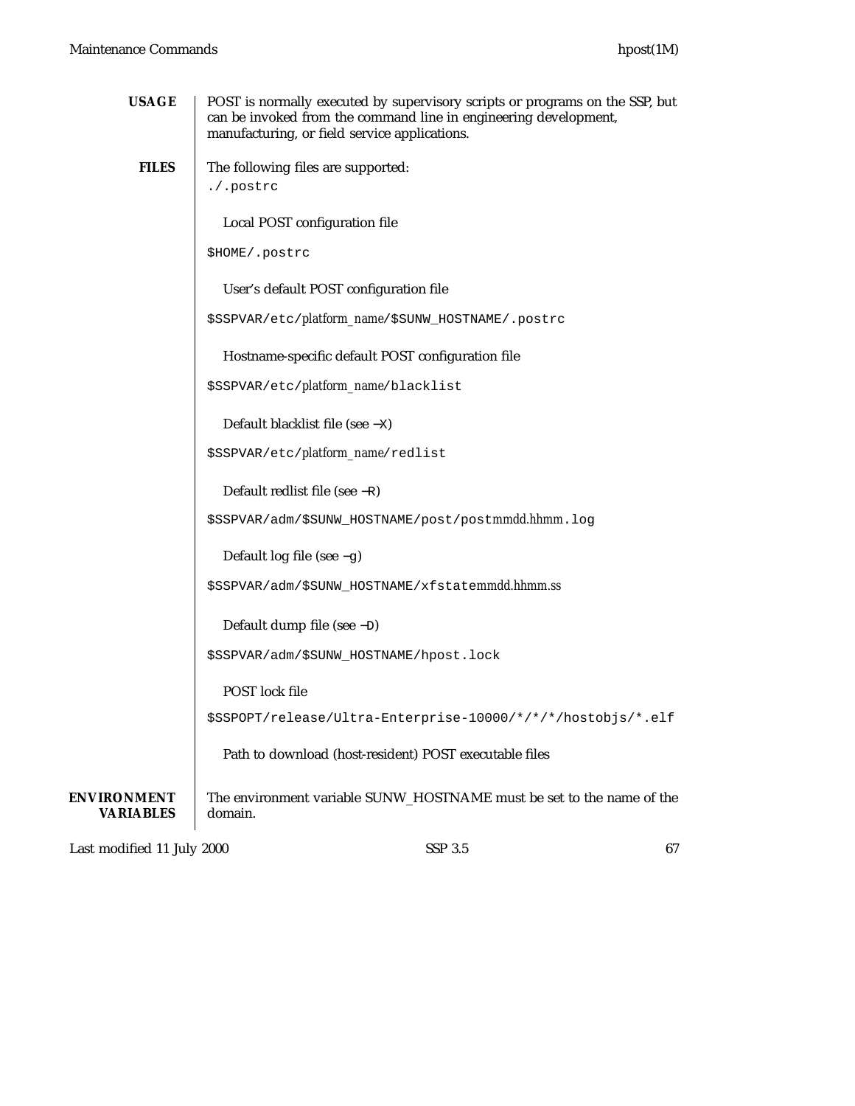| <b>USAGE</b>                           | POST is normally executed by supervisory scripts or programs on the SSP, but<br>can be invoked from the command line in engineering development,<br>manufacturing, or field service applications. |
|----------------------------------------|---------------------------------------------------------------------------------------------------------------------------------------------------------------------------------------------------|
| <b>FILES</b>                           | The following files are supported:<br>./.postrc                                                                                                                                                   |
|                                        | Local POST configuration file                                                                                                                                                                     |
|                                        | \$HOME/.postrc                                                                                                                                                                                    |
|                                        | User's default POST configuration file                                                                                                                                                            |
|                                        | \$SSPVAR/etc/platform_name/\$SUNW_HOSTNAME/.postrc                                                                                                                                                |
|                                        | Hostname-specific default POST configuration file                                                                                                                                                 |
|                                        | \$SSPVAR/etc/platform_name/blacklist                                                                                                                                                              |
|                                        | Default blacklist file (see $-x$ )                                                                                                                                                                |
|                                        | \$SSPVAR/etc/platform_name/redlist                                                                                                                                                                |
|                                        | Default redlist file (see $-R$ )                                                                                                                                                                  |
|                                        | \$SSPVAR/adm/\$SUNW_HOSTNAME/post/postmmdd.hhmm.log                                                                                                                                               |
|                                        | Default log file (see $-g$ )                                                                                                                                                                      |
|                                        | \$SSPVAR/adm/\$SUNW_HOSTNAME/xfstatemmdd.hhmm.ss                                                                                                                                                  |
|                                        | Default dump file (see $-D$ )                                                                                                                                                                     |
|                                        | \$SSPVAR/adm/\$SUNW_HOSTNAME/hpost.lock                                                                                                                                                           |
|                                        | POST lock file                                                                                                                                                                                    |
|                                        | \$SSPOPT/release/Ultra-Enterprise-10000/*/*/*/hostobjs/*.elf                                                                                                                                      |
|                                        | Path to download (host-resident) POST executable files                                                                                                                                            |
| <b>ENVIRONMENT</b><br><b>VARIABLES</b> | The environment variable SUNW_HOSTNAME must be set to the name of the<br>domain.                                                                                                                  |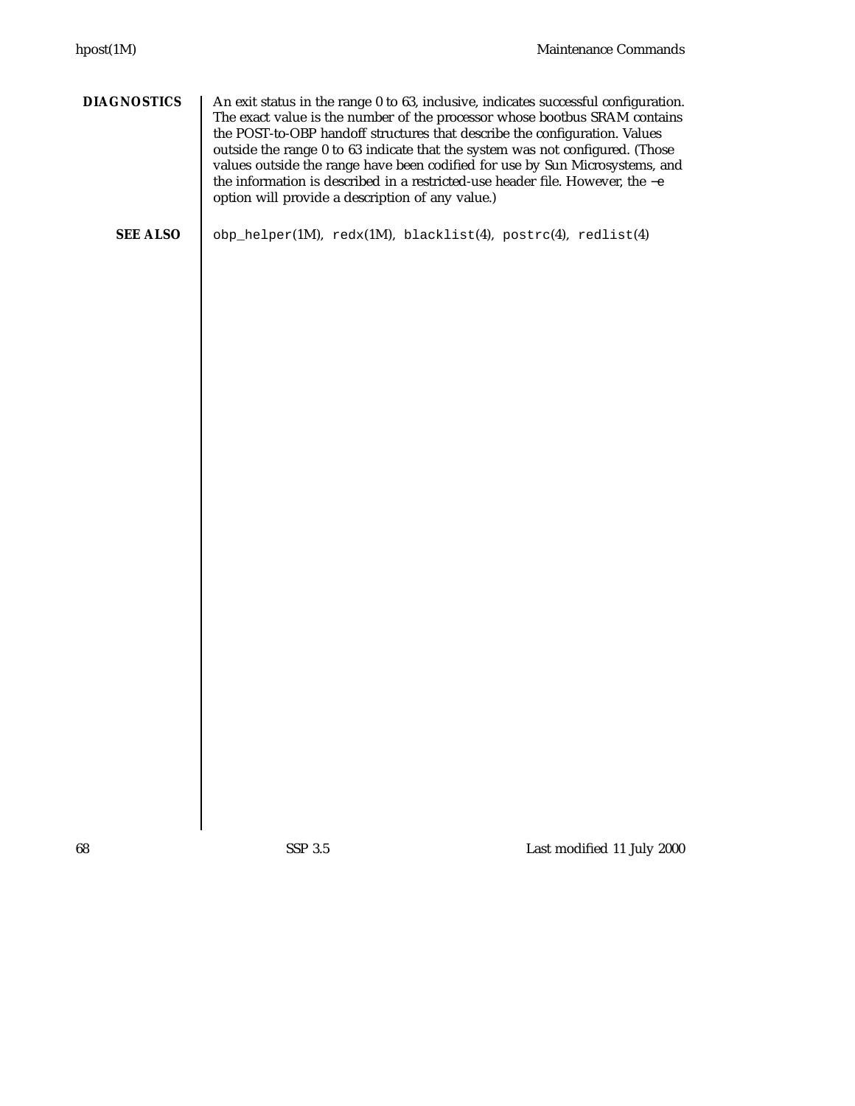| <b>DIAGNOSTICS</b> | An exit status in the range 0 to 63, inclusive, indicates successful configuration.<br>The exact value is the number of the processor whose bootbus SRAM contains<br>the POST-to-OBP handoff structures that describe the configuration. Values |
|--------------------|-------------------------------------------------------------------------------------------------------------------------------------------------------------------------------------------------------------------------------------------------|
|                    | outside the range 0 to 63 indicate that the system was not configured. (Those                                                                                                                                                                   |
|                    | values outside the range have been codified for use by Sun Microsystems, and                                                                                                                                                                    |
|                    | the information is described in a restricted-use header file. However, the $-e$                                                                                                                                                                 |
|                    | option will provide a description of any value.)                                                                                                                                                                                                |
|                    |                                                                                                                                                                                                                                                 |

**SEE ALSO** obp\_helper(1M),  $\text{reak}(1M)$ , blacklist(4),  $\text{postrc}(4)$ ,  $\text{redlist}(4)$ 

68 SSP 3.5 Last modified 11 July 2000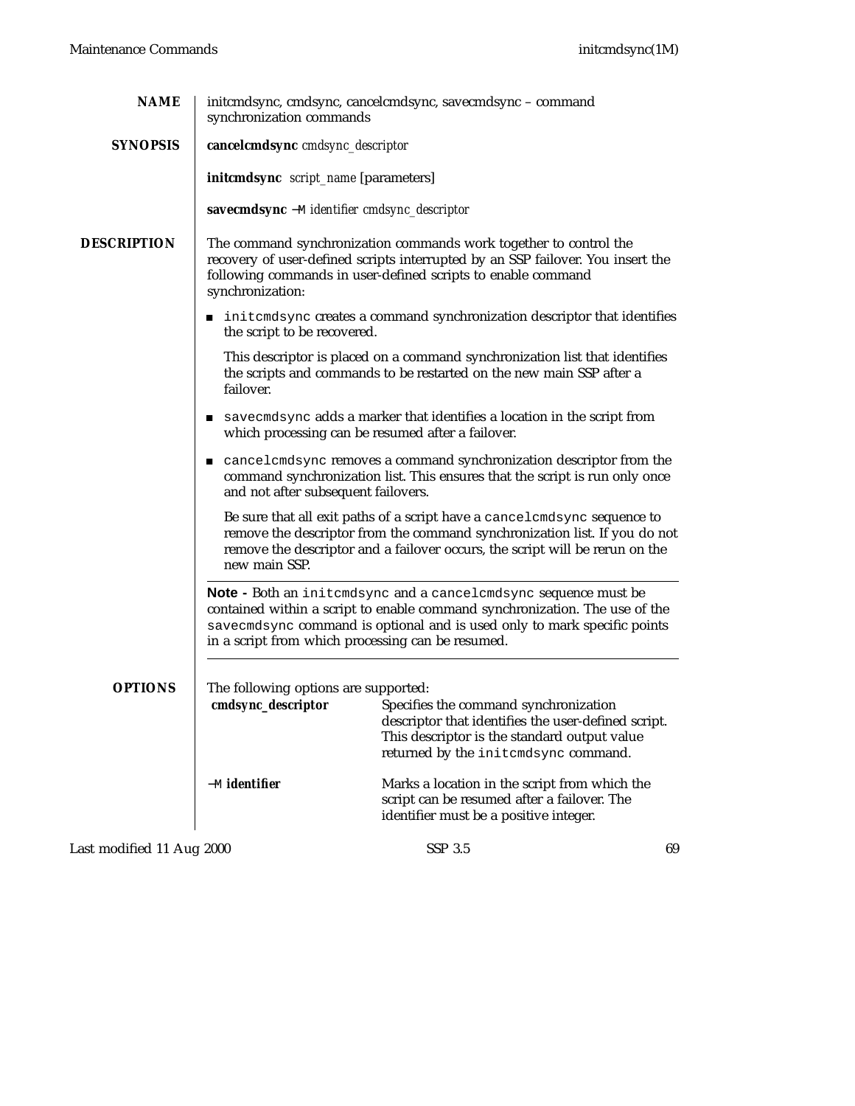| <b>NAME</b>        | synchronization commands                                                                                                                                                                                                                                                               | initcmdsync, cmdsync, cancelcmdsync, savecmdsync - command                                                                                                                           |  |
|--------------------|----------------------------------------------------------------------------------------------------------------------------------------------------------------------------------------------------------------------------------------------------------------------------------------|--------------------------------------------------------------------------------------------------------------------------------------------------------------------------------------|--|
| <b>SYNOPSIS</b>    | cancelcmdsync cmdsync_descriptor                                                                                                                                                                                                                                                       |                                                                                                                                                                                      |  |
|                    | initcmdsync script_name [parameters]                                                                                                                                                                                                                                                   |                                                                                                                                                                                      |  |
|                    | savecmdsync -M identifier cmdsync_descriptor                                                                                                                                                                                                                                           |                                                                                                                                                                                      |  |
| <b>DESCRIPTION</b> | The command synchronization commands work together to control the<br>recovery of user-defined scripts interrupted by an SSP failover. You insert the<br>following commands in user-defined scripts to enable command<br>synchronization:                                               |                                                                                                                                                                                      |  |
|                    | initemediation creates a command synchronization descriptor that identifies<br>the script to be recovered.                                                                                                                                                                             |                                                                                                                                                                                      |  |
|                    | This descriptor is placed on a command synchronization list that identifies<br>the scripts and commands to be restarted on the new main SSP after a<br>failover.                                                                                                                       |                                                                                                                                                                                      |  |
|                    | savecmdsync adds a marker that identifies a location in the script from<br>which processing can be resumed after a failover.                                                                                                                                                           |                                                                                                                                                                                      |  |
|                    | cancel cmdsync removes a command synchronization descriptor from the<br>command synchronization list. This ensures that the script is run only once<br>and not after subsequent failovers.                                                                                             |                                                                                                                                                                                      |  |
|                    | Be sure that all exit paths of a script have a cancelemdsync sequence to<br>remove the descriptor from the command synchronization list. If you do not<br>remove the descriptor and a failover occurs, the script will be rerun on the<br>new main SSP.                                |                                                                                                                                                                                      |  |
|                    | <b>Note -</b> Both an initemdsyne and a cancelemdsyne sequence must be<br>contained within a script to enable command synchronization. The use of the<br>savecmdsync command is optional and is used only to mark specific points<br>in a script from which processing can be resumed. |                                                                                                                                                                                      |  |
| <b>OPTIONS</b>     | The following options are supported:<br>cmdsync_descriptor                                                                                                                                                                                                                             | Specifies the command synchronization<br>descriptor that identifies the user-defined script.<br>This descriptor is the standard output value<br>returned by the initemdsync command. |  |
|                    | $-M$ identifier                                                                                                                                                                                                                                                                        | Marks a location in the script from which the<br>script can be resumed after a failover. The<br>identifier must be a positive integer.                                               |  |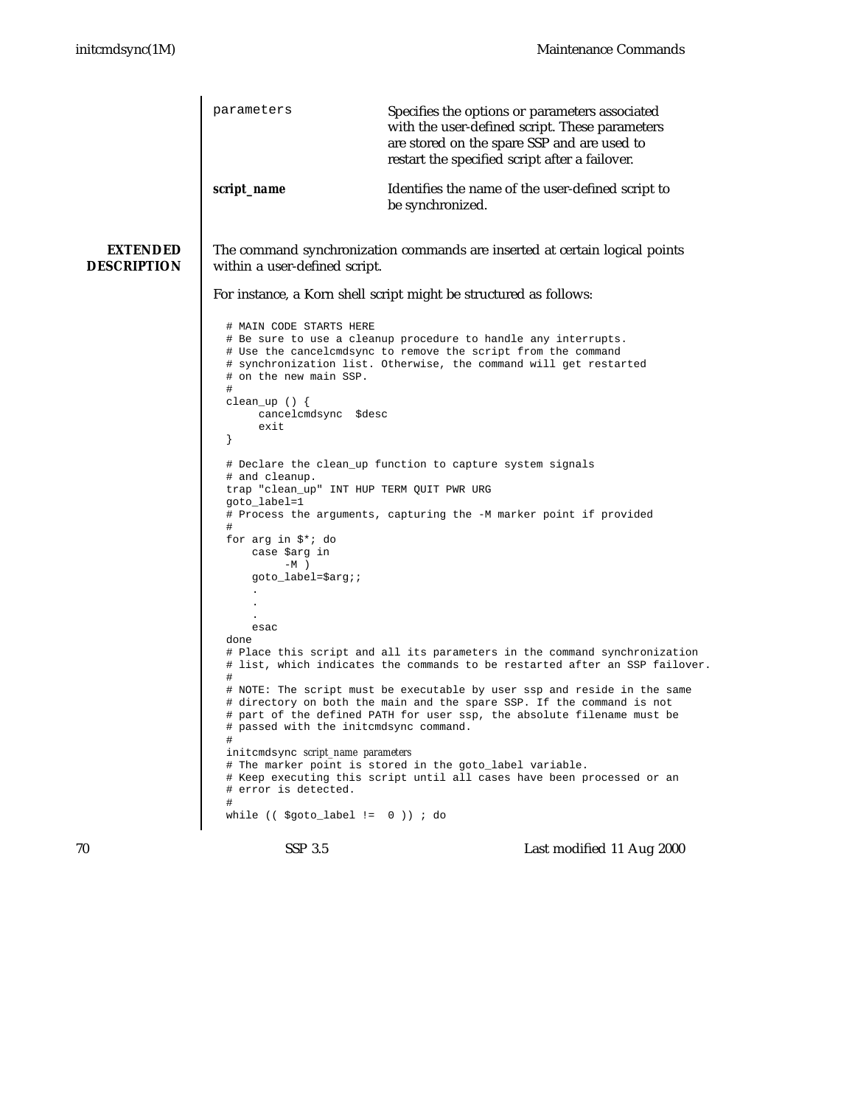```
parameters Specifies the options or parameters associated
                                               with the user-defined script. These parameters
                                               are stored on the spare SSP and are used to
                                               restart the specified script after a failover.
                   script_name Identifies the name of the user-defined script to
                                               be synchronized.
   EXTENDED
DESCRIPTION
                   The command synchronization commands are inserted at certain logical points
                   within a user-defined script.
                    For instance, a Korn shell script might be structured as follows:
                      # MAIN CODE STARTS HERE
                      # Be sure to use a cleanup procedure to handle any interrupts.
                      # Use the cancelcmdsync to remove the script from the command
                      # synchronization list. Otherwise, the command will get restarted
                      # on the new main SSP.
                      #
                      clean_up () {
                           cancelcmdsync $desc
                           exit
                      }
                      # Declare the clean_up function to capture system signals
                      # and cleanup.
                      trap "clean_up" INT HUP TERM QUIT PWR URG
                      goto_label=1
                      # Process the arguments, capturing the -M marker point if provided
                      #
                      for arg in $*; do
                          case $arg in
                             -M)
                          goto_label=$arg;;
                          .
                          .
                          .
                          esac
                     done
                      # Place this script and all its parameters in the command synchronization
                      # list, which indicates the commands to be restarted after an SSP failover.
                      #
                      # NOTE: The script must be executable by user ssp and reside in the same
                      # directory on both the main and the spare SSP. If the command is not
                      # part of the defined PATH for user ssp, the absolute filename must be
                      # passed with the initcmdsync command.
                      #
                      initcmdsync script_name parameters
                      # The marker point is stored in the goto_label variable.
                      # Keep executing this script until all cases have been processed or an
                      # error is detected.
                      #
                      while (( $goto_label != 0 )) ; do
```
70 SSP 3.5 Last modified 11 Aug 2000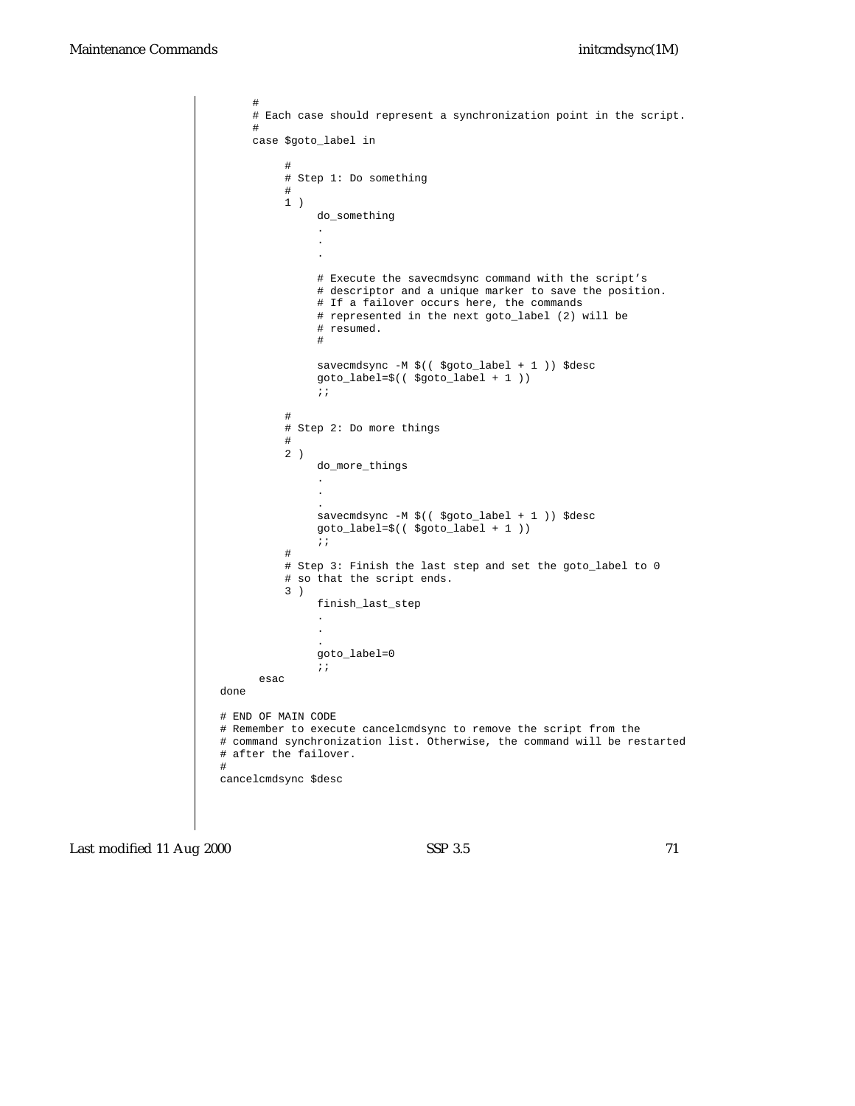```
#
     # Each case should represent a synchronization point in the script.
     #
     case $goto_label in
          #
          # Step 1: Do something
          #
          1 )
               do_something
                .
                .
                .
               # Execute the savecmdsync command with the script's
               # descriptor and a unique marker to save the position.
               # If a failover occurs here, the commands
               # represented in the next goto_label (2) will be
               # resumed.
               #
               savecmdsync -M $(( $goto_label + 1 )) $desc
               goto_label=$(( $goto_label + 1 ))
               ;;
          #
          # Step 2: Do more things
          #
          2 )
               do_more_things
                .
                .
                .
               savecmdsync -M $(( $goto_label + 1 )) $desc
               goto_label=$(( $goto_label + 1 ))
               ;;
          #
          # Step 3: Finish the last step and set the goto_label to 0
          # so that the script ends.
          3 )
               finish_last_step
                .
                .
                .
               goto_label=0
               \boldsymbol{i} \boldsymbol{i}esac
done
# END OF MAIN CODE
# Remember to execute cancelcmdsync to remove the script from the
# command synchronization list. Otherwise, the command will be restarted
# after the failover.
#
cancelcmdsync $desc
```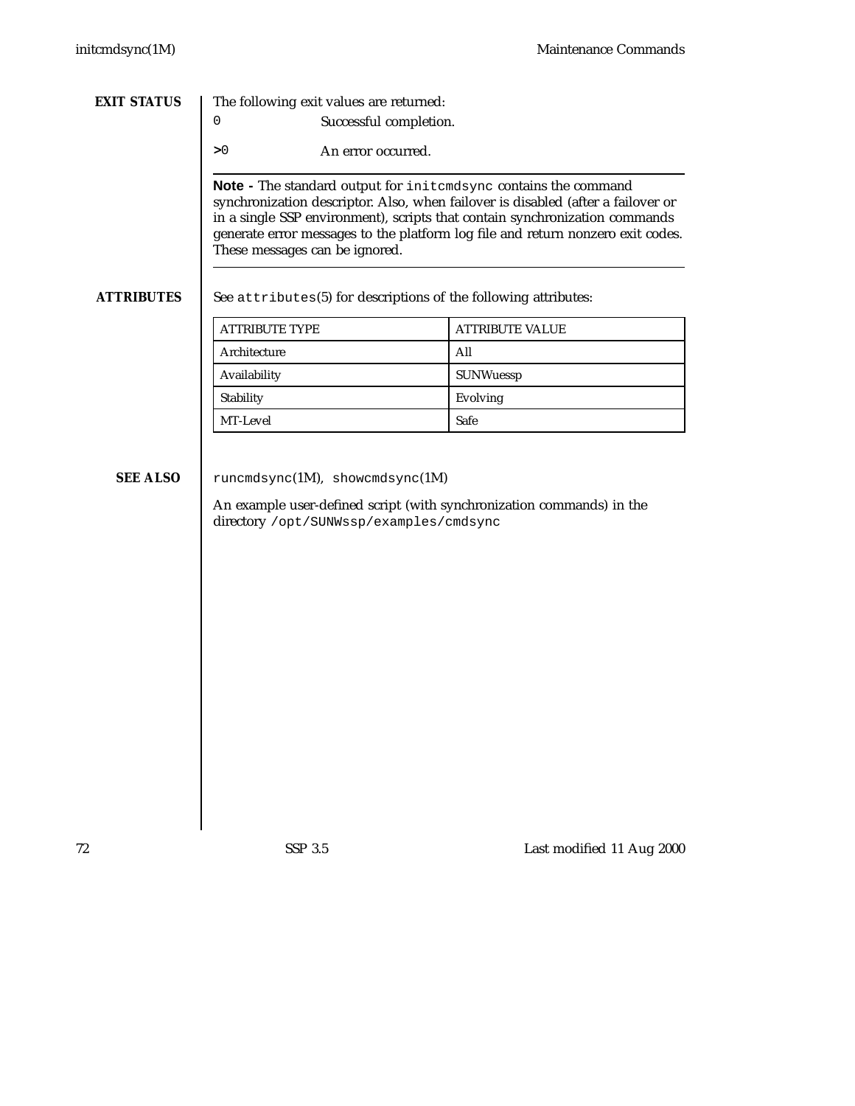| <b>EXIT STATUS</b><br>0 |                                                                                                                                                     |                                                                                                                                                                                                                                                    |  |  |
|-------------------------|-----------------------------------------------------------------------------------------------------------------------------------------------------|----------------------------------------------------------------------------------------------------------------------------------------------------------------------------------------------------------------------------------------------------|--|--|
|                         |                                                                                                                                                     | The following exit values are returned:<br>Successful completion.                                                                                                                                                                                  |  |  |
| >0                      | An error occurred.                                                                                                                                  |                                                                                                                                                                                                                                                    |  |  |
|                         |                                                                                                                                                     |                                                                                                                                                                                                                                                    |  |  |
|                         | Note - The standard output for initemdsyne contains the command<br>These messages can be ignored.                                                   | synchronization descriptor. Also, when failover is disabled (after a failover or<br>in a single SSP environment), scripts that contain synchronization commands<br>generate error messages to the platform log file and return nonzero exit codes. |  |  |
| <b>ATTRIBUTES</b>       | See attributes(5) for descriptions of the following attributes:                                                                                     |                                                                                                                                                                                                                                                    |  |  |
|                         | <b>ATTRIBUTE TYPE</b>                                                                                                                               | <b>ATTRIBUTE VALUE</b>                                                                                                                                                                                                                             |  |  |
|                         | Architecture                                                                                                                                        | All                                                                                                                                                                                                                                                |  |  |
|                         | Availability                                                                                                                                        | SUNWuessp                                                                                                                                                                                                                                          |  |  |
|                         | Stability                                                                                                                                           | Evolving                                                                                                                                                                                                                                           |  |  |
|                         | MT-Level                                                                                                                                            | Safe                                                                                                                                                                                                                                               |  |  |
| <b>SEE ALSO</b>         | runcmdsync(1M), showcmdsync(1M)<br>An example user-defined script (with synchronization commands) in the<br>directory /opt/SUNWssp/examples/cmdsync |                                                                                                                                                                                                                                                    |  |  |

72 SSP 3.5 Last modified 11 Aug 2000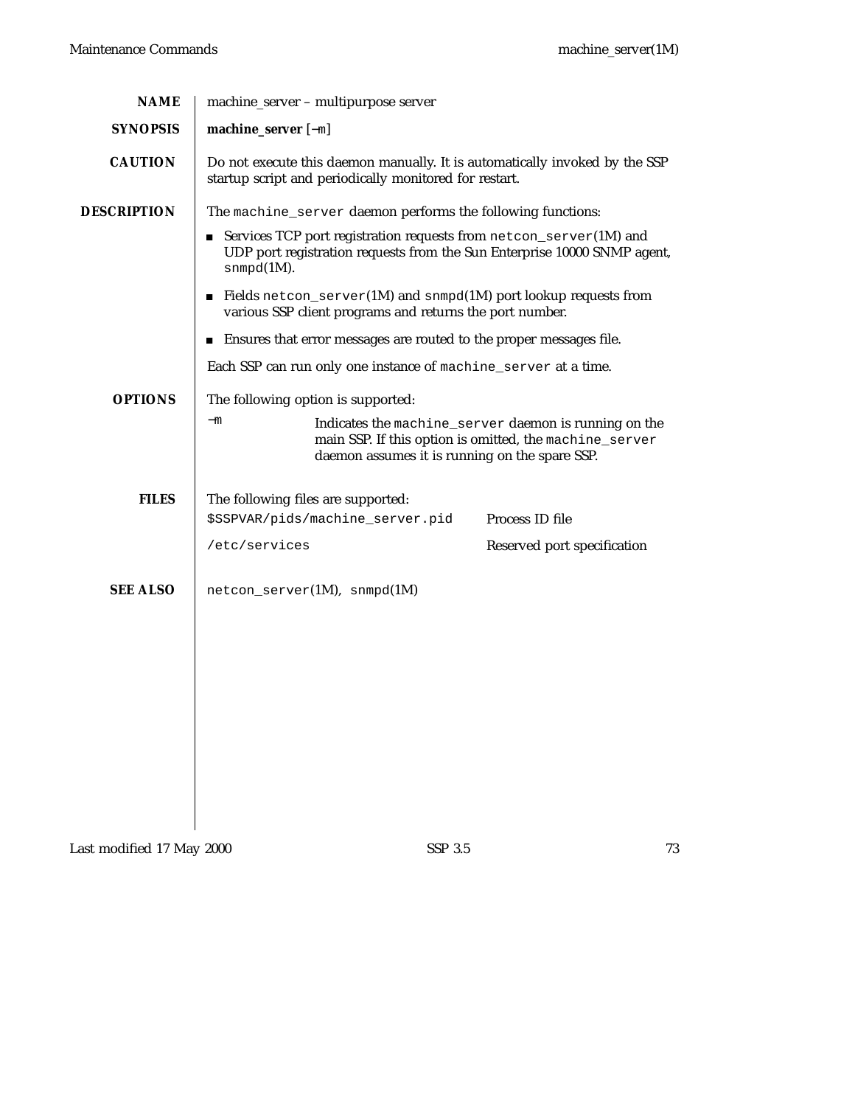| <b>NAME</b>        | machine_server - multipurpose server                                                                                                                                |                                                                                                                  |
|--------------------|---------------------------------------------------------------------------------------------------------------------------------------------------------------------|------------------------------------------------------------------------------------------------------------------|
| <b>SYNOPSIS</b>    | machine_server [-m]                                                                                                                                                 |                                                                                                                  |
| <b>CAUTION</b>     | Do not execute this daemon manually. It is automatically invoked by the SSP<br>startup script and periodically monitored for restart.                               |                                                                                                                  |
| <b>DESCRIPTION</b> | The machine_server daemon performs the following functions:                                                                                                         |                                                                                                                  |
|                    | Services TCP port registration requests from netcon_server(1M) and<br>UDP port registration requests from the Sun Enterprise 10000 SNMP agent,<br>$s$ nmpd $(1M)$ . |                                                                                                                  |
|                    | ■ Fields netcon_server(1M) and snmpd(1M) port lookup requests from<br>various SSP client programs and returns the port number.                                      |                                                                                                                  |
|                    | <b>Ensures that error messages are routed to the proper messages file.</b>                                                                                          |                                                                                                                  |
|                    | Each SSP can run only one instance of machine_server at a time.                                                                                                     |                                                                                                                  |
| <b>OPTIONS</b>     | The following option is supported:                                                                                                                                  |                                                                                                                  |
|                    | —m<br>daemon assumes it is running on the spare SSP.                                                                                                                | Indicates the machine_server daemon is running on the<br>main SSP. If this option is omitted, the machine_server |
| <b>FILES</b>       | The following files are supported:<br>\$SSPVAR/pids/machine_server.pid                                                                                              | Process ID file                                                                                                  |
|                    | /etc/services                                                                                                                                                       | Reserved port specification                                                                                      |
| <b>SEE ALSO</b>    | $netcon\_server(1M)$ , snmpd $(1M)$                                                                                                                                 |                                                                                                                  |
|                    |                                                                                                                                                                     |                                                                                                                  |
|                    |                                                                                                                                                                     |                                                                                                                  |

Last modified 17 May 2000 SSP 3.5 SSP 3.5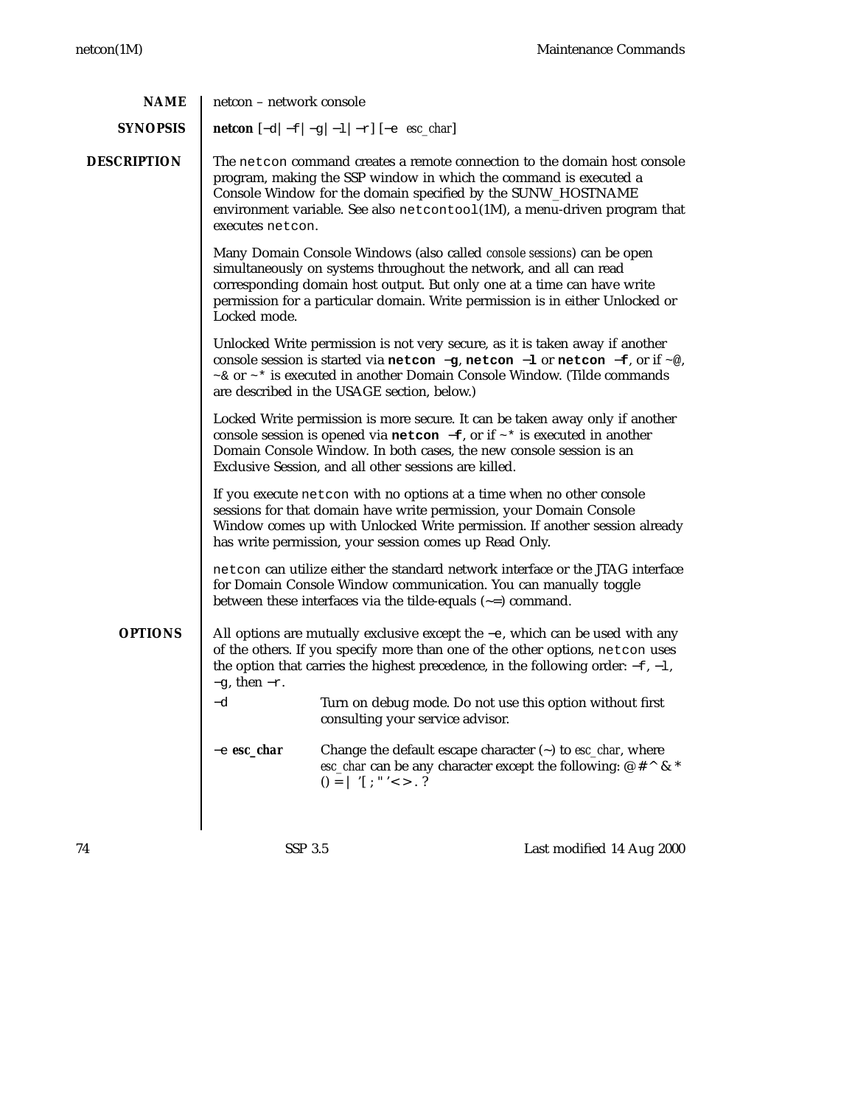| <b>NAME</b>        | netcon - network console                                                                                                                                                                                                                                                                                            |                                                                                                                                                                                                                                                                                                                           |  |  |
|--------------------|---------------------------------------------------------------------------------------------------------------------------------------------------------------------------------------------------------------------------------------------------------------------------------------------------------------------|---------------------------------------------------------------------------------------------------------------------------------------------------------------------------------------------------------------------------------------------------------------------------------------------------------------------------|--|--|
| <b>SYNOPSIS</b>    | <b>netcon</b> $[-d -f -g -1 -r]$ $[-e$ <i>esc_char</i> ]                                                                                                                                                                                                                                                            |                                                                                                                                                                                                                                                                                                                           |  |  |
| <b>DESCRIPTION</b> | The net con command creates a remote connection to the domain host console<br>program, making the SSP window in which the command is executed a<br>Console Window for the domain specified by the SUNW_HOSTNAME<br>environment variable. See also $netcontool(1M)$ , a menu-driven program that<br>executes netcon. |                                                                                                                                                                                                                                                                                                                           |  |  |
|                    | Locked mode.                                                                                                                                                                                                                                                                                                        | Many Domain Console Windows (also called console sessions) can be open<br>simultaneously on systems throughout the network, and all can read<br>corresponding domain host output. But only one at a time can have write<br>permission for a particular domain. Write permission is in either Unlocked or                  |  |  |
|                    |                                                                                                                                                                                                                                                                                                                     | Unlocked Write permission is not very secure, as it is taken away if another<br>console session is started via netcon $-g$ , netcon $-1$ or netcon $-f$ , or if $\sim \varnothing$ ,<br>$\sim$ & or $\sim$ * is executed in another Domain Console Window. (Tilde commands<br>are described in the USAGE section, below.) |  |  |
|                    |                                                                                                                                                                                                                                                                                                                     | Locked Write permission is more secure. It can be taken away only if another<br>console session is opened via netcon $-f$ , or if $\sim$ * is executed in another<br>Domain Console Window. In both cases, the new console session is an<br>Exclusive Session, and all other sessions are killed.                         |  |  |
|                    |                                                                                                                                                                                                                                                                                                                     | If you execute net con with no options at a time when no other console<br>sessions for that domain have write permission, your Domain Console<br>Window comes up with Unlocked Write permission. If another session already<br>has write permission, your session comes up Read Only.                                     |  |  |
|                    |                                                                                                                                                                                                                                                                                                                     | net con can utilize either the standard network interface or the JTAG interface<br>for Domain Console Window communication. You can manually toggle<br>between these interfaces via the tilde-equals $(\sim)=$ command.                                                                                                   |  |  |
| <b>OPTIONS</b>     | $-q$ , then $-r$ .                                                                                                                                                                                                                                                                                                  | All options are mutually exclusive except the -e, which can be used with any<br>of the others. If you specify more than one of the other options, netcon uses<br>the option that carries the highest precedence, in the following order: $-f$ , $-1$ ,                                                                    |  |  |
|                    | $-d$                                                                                                                                                                                                                                                                                                                | Turn on debug mode. Do not use this option without first<br>consulting your service advisor.                                                                                                                                                                                                                              |  |  |
|                    | -e esc_char                                                                                                                                                                                                                                                                                                         | Change the default escape character $(\sim)$ to <i>esc_char</i> , where<br>esc_char can be any character except the following: @ # ^ & *<br>$0 =  $ '[; "' < > . ?                                                                                                                                                        |  |  |
|                    |                                                                                                                                                                                                                                                                                                                     |                                                                                                                                                                                                                                                                                                                           |  |  |

74 SSP 3.5 Last modified 14 Aug 2000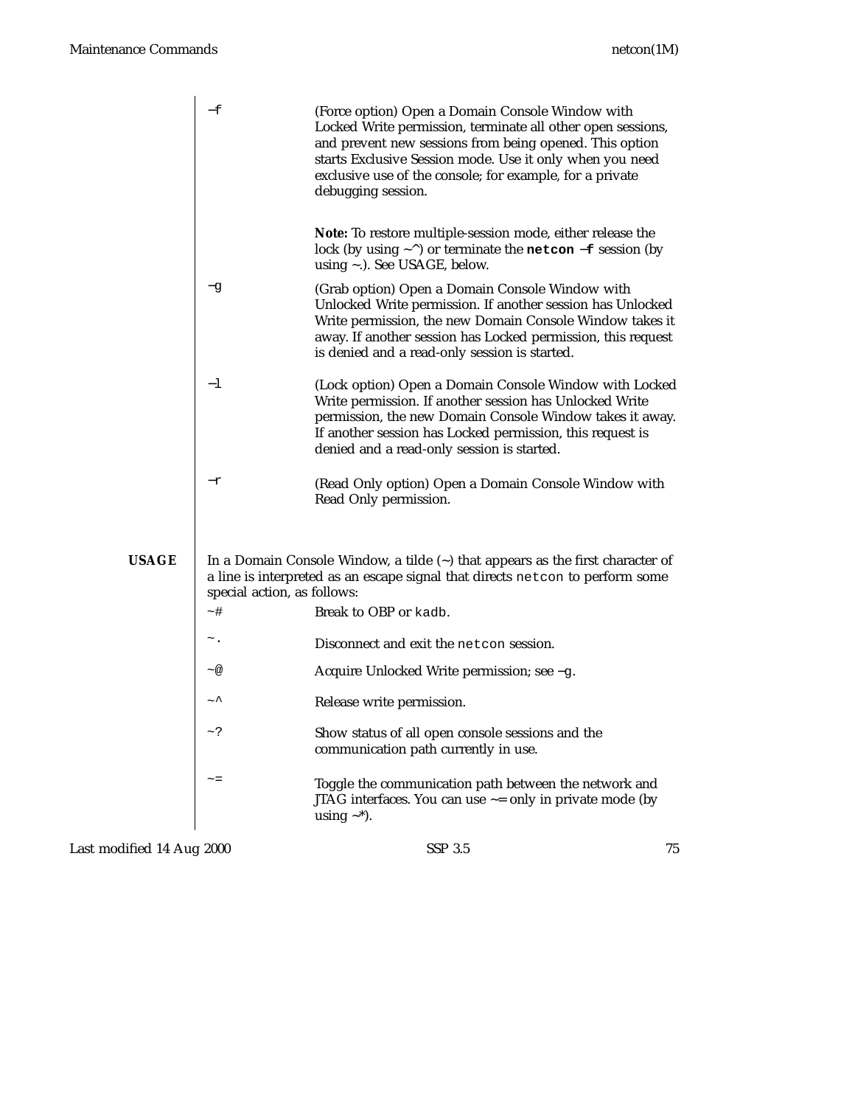|                           | -f                                | (Force option) Open a Domain Console Window with<br>Locked Write permission, terminate all other open sessions,<br>and prevent new sessions from being opened. This option<br>starts Exclusive Session mode. Use it only when you need<br>exclusive use of the console; for example, for a private<br>debugging session. |    |
|---------------------------|-----------------------------------|--------------------------------------------------------------------------------------------------------------------------------------------------------------------------------------------------------------------------------------------------------------------------------------------------------------------------|----|
|                           |                                   | Note: To restore multiple-session mode, either release the<br>lock (by using $\sim$ ^) or terminate the netcon $-f$ session (by<br>using $\sim$ .). See USAGE, below.                                                                                                                                                    |    |
|                           | -g                                | (Grab option) Open a Domain Console Window with<br>Unlocked Write permission. If another session has Unlocked<br>Write permission, the new Domain Console Window takes it<br>away. If another session has Locked permission, this request<br>is denied and a read-only session is started.                               |    |
|                           | -1                                | (Lock option) Open a Domain Console Window with Locked<br>Write permission. If another session has Unlocked Write<br>permission, the new Domain Console Window takes it away.<br>If another session has Locked permission, this request is<br>denied and a read-only session is started.                                 |    |
|                           | -r                                | (Read Only option) Open a Domain Console Window with<br>Read Only permission.                                                                                                                                                                                                                                            |    |
| <b>USAGE</b>              | special action, as follows:<br>~# | In a Domain Console Window, a tilde $(\sim)$ that appears as the first character of<br>a line is interpreted as an escape signal that directs netcon to perform some<br>Break to OBP or kadb.                                                                                                                            |    |
|                           |                                   | Disconnect and exit the netcon session.                                                                                                                                                                                                                                                                                  |    |
|                           |                                   | Acquire Unlocked Write permission; see -g.                                                                                                                                                                                                                                                                               |    |
|                           |                                   | Release write permission.                                                                                                                                                                                                                                                                                                |    |
|                           |                                   | Show status of all open console sessions and the<br>communication path currently in use.                                                                                                                                                                                                                                 |    |
|                           |                                   | Toggle the communication path between the network and<br>JTAG interfaces. You can use $\sim$ = only in private mode (by<br>using $\sim$ *).                                                                                                                                                                              |    |
| Last modified 14 Aug 2000 |                                   | SSP 3.5                                                                                                                                                                                                                                                                                                                  | 75 |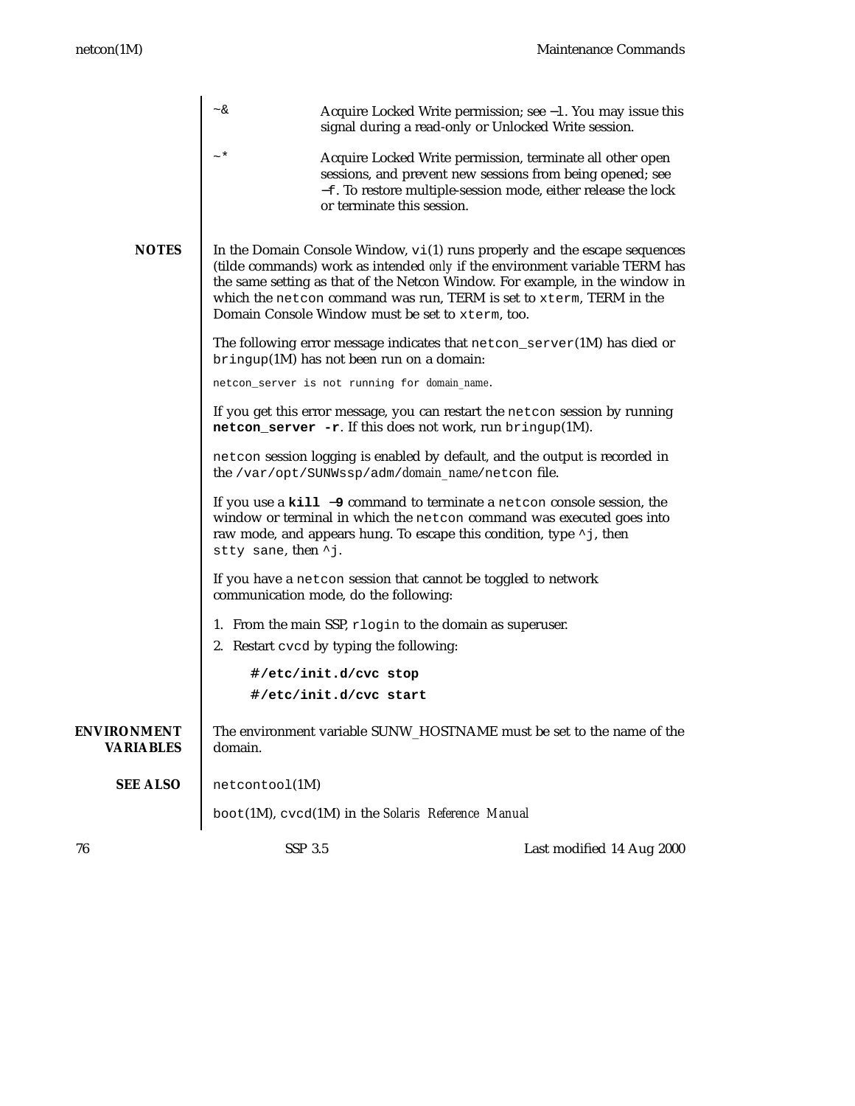|                                        | ~&                  |                                                                                                         | Acquire Locked Write permission; see $-1$ . You may issue this<br>signal during a read-only or Unlocked Write session.                                                                                                                                                                                             |
|----------------------------------------|---------------------|---------------------------------------------------------------------------------------------------------|--------------------------------------------------------------------------------------------------------------------------------------------------------------------------------------------------------------------------------------------------------------------------------------------------------------------|
|                                        | $\sim$ *            | or terminate this session.                                                                              | Acquire Locked Write permission, terminate all other open<br>sessions, and prevent new sessions from being opened; see<br>-f. To restore multiple-session mode, either release the lock                                                                                                                            |
| <b>NOTES</b>                           |                     | Domain Console Window must be set to xterm, too.                                                        | In the Domain Console Window, $vi(1)$ runs properly and the escape sequences<br>(tilde commands) work as intended only if the environment variable TERM has<br>the same setting as that of the Netcon Window. For example, in the window in<br>which the netcon command was run, TERM is set to xterm, TERM in the |
|                                        |                     | $b$ ringup $(1M)$ has not been run on a domain:                                                         | The following error message indicates that netcon_server(1M) has died or                                                                                                                                                                                                                                           |
|                                        |                     | netcon_server is not running for domain_name.                                                           |                                                                                                                                                                                                                                                                                                                    |
|                                        |                     | netcon_server -r. If this does not work, run bringup(1M).                                               | If you get this error message, you can restart the netcon session by running                                                                                                                                                                                                                                       |
|                                        |                     | the /var/opt/SUNWssp/adm/domain_name/netcon file.                                                       | net con session logging is enabled by default, and the output is recorded in                                                                                                                                                                                                                                       |
|                                        | stty sane, then ^j. |                                                                                                         | If you use a $\text{kil}$ -9 command to terminate a netcon console session, the<br>window or terminal in which the netcon command was executed goes into<br>raw mode, and appears hung. To escape this condition, type $\gamma$ j, then                                                                            |
|                                        |                     | If you have a netcon session that cannot be toggled to network<br>communication mode, do the following: |                                                                                                                                                                                                                                                                                                                    |
|                                        |                     | 1. From the main SSP, rlogin to the domain as superuser.                                                |                                                                                                                                                                                                                                                                                                                    |
|                                        |                     | 2. Restart cvcd by typing the following:                                                                |                                                                                                                                                                                                                                                                                                                    |
|                                        |                     | #/etc/init.d/cvc stop                                                                                   |                                                                                                                                                                                                                                                                                                                    |
|                                        |                     | # /etc/init.d/cvc start                                                                                 |                                                                                                                                                                                                                                                                                                                    |
| <b>ENVIRONMENT</b><br><b>VARIABLES</b> | domain.             |                                                                                                         | The environment variable SUNW_HOSTNAME must be set to the name of the                                                                                                                                                                                                                                              |
| <b>SEE ALSO</b>                        | netcontool(1M)      |                                                                                                         |                                                                                                                                                                                                                                                                                                                    |
|                                        |                     | boot(1M), cvcd(1M) in the Solaris Reference Manual                                                      |                                                                                                                                                                                                                                                                                                                    |
| 76                                     | SSP 3.5             |                                                                                                         | Last modified 14 Aug 2000                                                                                                                                                                                                                                                                                          |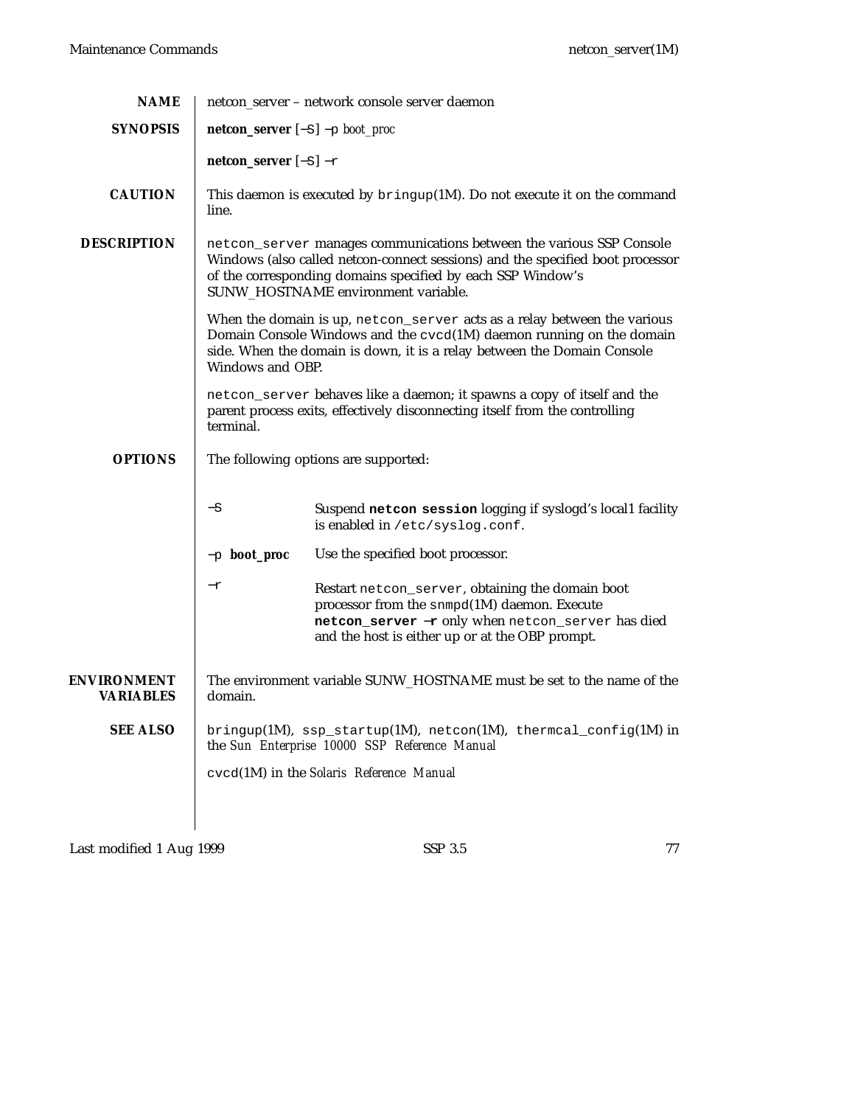| <b>NAME</b>                            |                                 | netcon_server - network console server daemon                                                                                                                                                                                                                |  |
|----------------------------------------|---------------------------------|--------------------------------------------------------------------------------------------------------------------------------------------------------------------------------------------------------------------------------------------------------------|--|
| <b>SYNOPSIS</b>                        | netcon_server [-S] -p boot_proc |                                                                                                                                                                                                                                                              |  |
|                                        | netcon_server $[-S]$ -r         |                                                                                                                                                                                                                                                              |  |
| <b>CAUTION</b>                         | line.                           | This daemon is executed by $b$ ringup(1M). Do not execute it on the command                                                                                                                                                                                  |  |
| <b>DESCRIPTION</b>                     |                                 | netcon_server manages communications between the various SSP Console<br>Windows (also called netcon-connect sessions) and the specified boot processor<br>of the corresponding domains specified by each SSP Window's<br>SUNW_HOSTNAME environment variable. |  |
|                                        | Windows and OBP.                | When the domain is up, netcon_server acts as a relay between the various<br>Domain Console Windows and the cvcd(1M) daemon running on the domain<br>side. When the domain is down, it is a relay between the Domain Console                                  |  |
|                                        | terminal.                       | netcon_server behaves like a daemon; it spawns a copy of itself and the<br>parent process exits, effectively disconnecting itself from the controlling                                                                                                       |  |
| <b>OPTIONS</b>                         |                                 | The following options are supported:                                                                                                                                                                                                                         |  |
|                                        | -S                              | Suspend netcon session logging if syslogd's local1 facility<br>is enabled in /etc/syslog.conf.                                                                                                                                                               |  |
|                                        | $-p$ boot_proc                  | Use the specified boot processor.                                                                                                                                                                                                                            |  |
|                                        | $-r$                            | Restart netcon_server, obtaining the domain boot<br>processor from the snmpd(1M) daemon. Execute<br>netcon_server -r only when netcon_server has died<br>and the host is either up or at the OBP prompt.                                                     |  |
| <b>ENVIRONMENT</b><br><b>VARIABLES</b> | domain.                         | The environment variable SUNW_HOSTNAME must be set to the name of the                                                                                                                                                                                        |  |
| <b>SEE ALSO</b>                        |                                 | $\text{bringup}(1M)$ , $\text{ssp\_startup}(1M)$ , $\text{netcon}(1M)$ , $\text{thermal\_config}(1M)$ in<br>the Sun Enterprise 10000 SSP Reference Manual                                                                                                    |  |
|                                        |                                 | cvcd(1M) in the Solaris Reference Manual                                                                                                                                                                                                                     |  |
|                                        |                                 |                                                                                                                                                                                                                                                              |  |
|                                        |                                 |                                                                                                                                                                                                                                                              |  |

Last modified 1 Aug 1999 SSP 3.5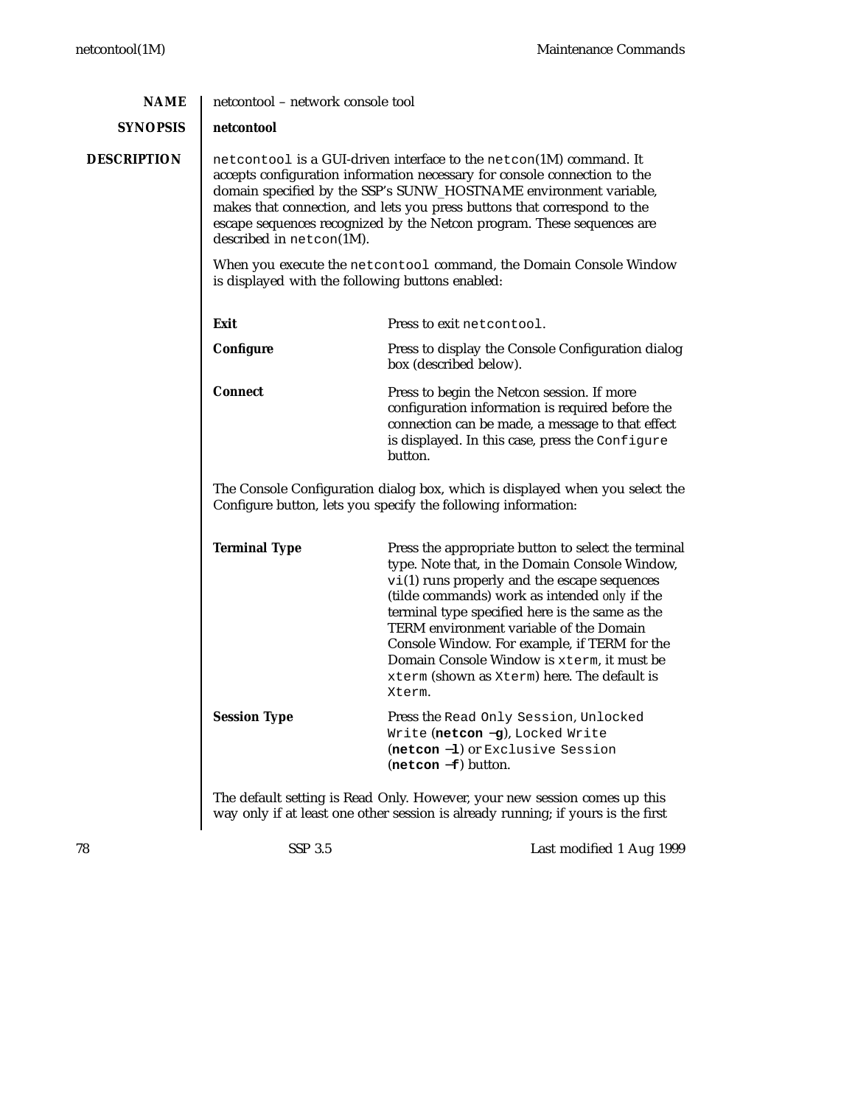| <b>NAME</b>        | netcontool - network console tool                                                                                                                                                                                                                                                                                                                                                                      |                                                                                                                                                                                                                                                                                                                                                                                                                                                                      |  |  |  |
|--------------------|--------------------------------------------------------------------------------------------------------------------------------------------------------------------------------------------------------------------------------------------------------------------------------------------------------------------------------------------------------------------------------------------------------|----------------------------------------------------------------------------------------------------------------------------------------------------------------------------------------------------------------------------------------------------------------------------------------------------------------------------------------------------------------------------------------------------------------------------------------------------------------------|--|--|--|
| <b>SYNOPSIS</b>    | netcontool                                                                                                                                                                                                                                                                                                                                                                                             |                                                                                                                                                                                                                                                                                                                                                                                                                                                                      |  |  |  |
| <b>DESCRIPTION</b> | netcontool is a GUI-driven interface to the netcon(1M) command. It<br>accepts configuration information necessary for console connection to the<br>domain specified by the SSP's SUNW_HOSTNAME environment variable,<br>makes that connection, and lets you press buttons that correspond to the<br>escape sequences recognized by the Netcon program. These sequences are<br>described in netcon(1M). |                                                                                                                                                                                                                                                                                                                                                                                                                                                                      |  |  |  |
|                    | When you execute the netcontool command, the Domain Console Window<br>is displayed with the following buttons enabled:                                                                                                                                                                                                                                                                                 |                                                                                                                                                                                                                                                                                                                                                                                                                                                                      |  |  |  |
|                    | Exit                                                                                                                                                                                                                                                                                                                                                                                                   | Press to exit netcontool.                                                                                                                                                                                                                                                                                                                                                                                                                                            |  |  |  |
|                    | Configure                                                                                                                                                                                                                                                                                                                                                                                              | Press to display the Console Configuration dialog<br>box (described below).                                                                                                                                                                                                                                                                                                                                                                                          |  |  |  |
|                    | <b>Connect</b>                                                                                                                                                                                                                                                                                                                                                                                         | Press to begin the Netcon session. If more<br>configuration information is required before the<br>connection can be made, a message to that effect<br>is displayed. In this case, press the Configure<br>button.                                                                                                                                                                                                                                                     |  |  |  |
|                    | The Console Configuration dialog box, which is displayed when you select the<br>Configure button, lets you specify the following information:                                                                                                                                                                                                                                                          |                                                                                                                                                                                                                                                                                                                                                                                                                                                                      |  |  |  |
|                    | <b>Terminal Type</b>                                                                                                                                                                                                                                                                                                                                                                                   | Press the appropriate button to select the terminal<br>type. Note that, in the Domain Console Window,<br>$vi(1)$ runs properly and the escape sequences<br>(tilde commands) work as intended <i>only</i> if the<br>terminal type specified here is the same as the<br>TERM environment variable of the Domain<br>Console Window. For example, if TERM for the<br>Domain Console Window is xterm, it must be<br>xterm (shown as Xterm) here. The default is<br>Xterm. |  |  |  |
|                    | <b>Session Type</b>                                                                                                                                                                                                                                                                                                                                                                                    | Press the Read Only Session, Unlocked<br>Write (netcon -g), Locked Write<br>(netcon -1) or Exclusive Session<br>$(netcon -f)$ button.                                                                                                                                                                                                                                                                                                                                |  |  |  |
|                    |                                                                                                                                                                                                                                                                                                                                                                                                        | The default setting is Read Only. However, your new session comes up this<br>way only if at least one other session is already running; if yours is the first                                                                                                                                                                                                                                                                                                        |  |  |  |

78 SSP 3.5 Last modified 1 Aug 1999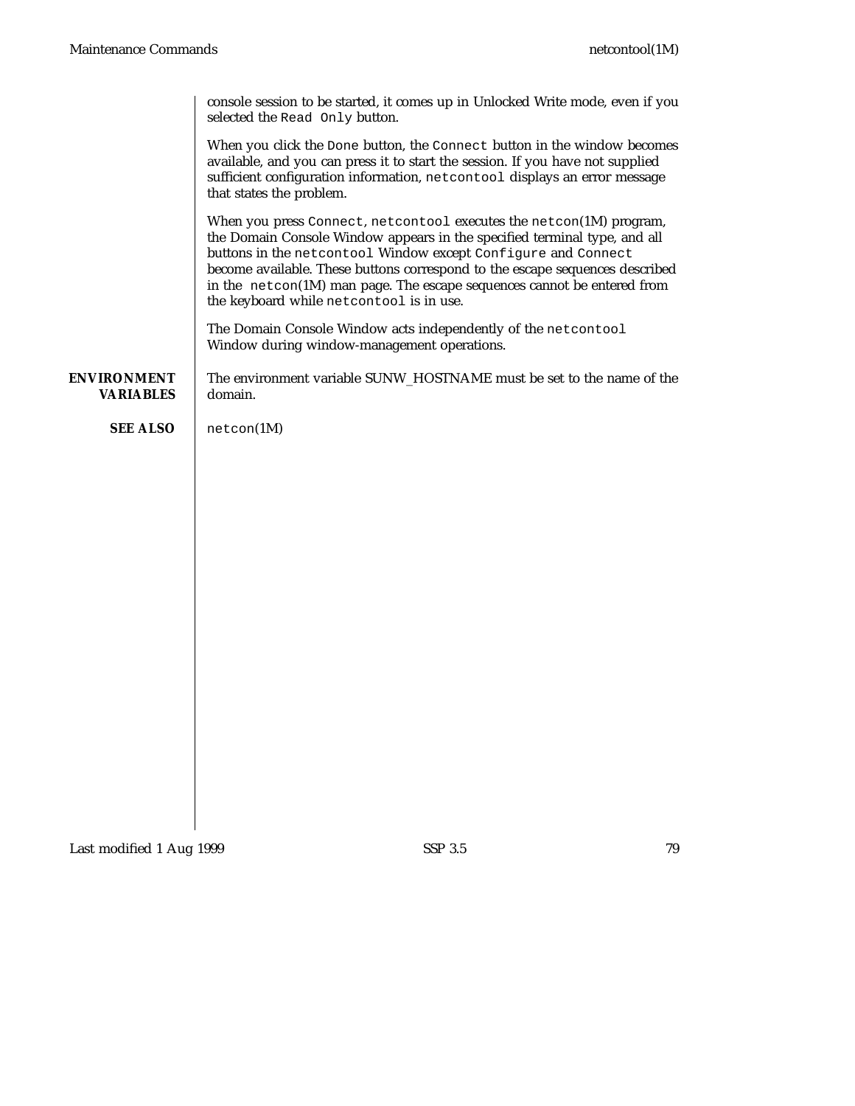console session to be started, it comes up in Unlocked Write mode, even if you selected the Read Only button.

When you click the Done button, the Connect button in the window becomes available, and you can press it to start the session. If you have not supplied sufficient configuration information, netcontool displays an error message that states the problem.

When you press Connect, netcontool executes the netcon(1M) program, the Domain Console Window appears in the specified terminal type, and all buttons in the netcontool Window except Configure and Connect become available. These buttons correspond to the escape sequences described in the netcon(1M) man page. The escape sequences cannot be entered from the keyboard while netcontool is in use.

The Domain Console Window acts independently of the netcontool Window during window-management operations.

**ENVIRONMENT VARIABLES** The environment variable SUNW\_HOSTNAME must be set to the name of the domain.

**SEE ALSO** netcon(1M)

Last modified 1 Aug 1999 SSP 3.5 SSP 3.5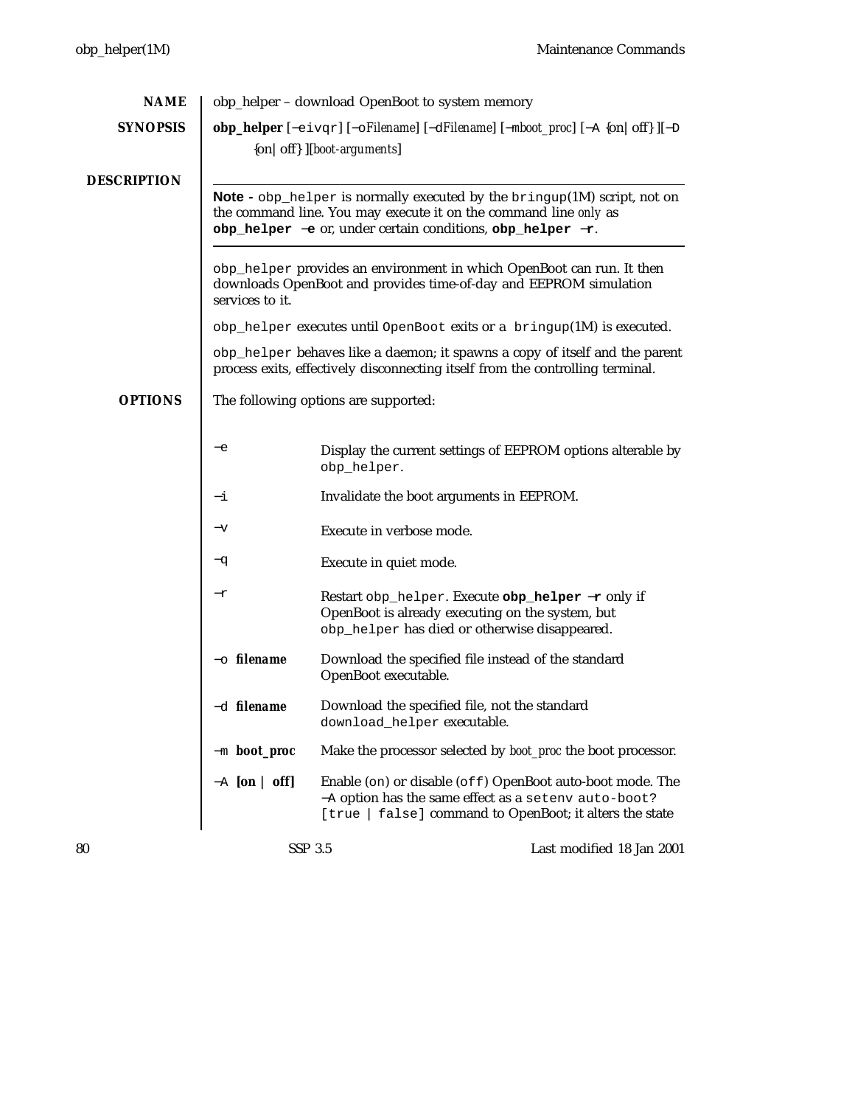| <b>NAME</b>        |                                                                                                                                                                                                                           | obp_helper - download OpenBoot to system memory                                                                                                                              |  |  |  |
|--------------------|---------------------------------------------------------------------------------------------------------------------------------------------------------------------------------------------------------------------------|------------------------------------------------------------------------------------------------------------------------------------------------------------------------------|--|--|--|
| <b>SYNOPSIS</b>    | obp_helper [-eivqr] [-oFilename] [-dFilename] [-mboot_proc] [-A {on   off} ][-D                                                                                                                                           |                                                                                                                                                                              |  |  |  |
|                    |                                                                                                                                                                                                                           | {on   off} ][boot-arguments]                                                                                                                                                 |  |  |  |
| <b>DESCRIPTION</b> |                                                                                                                                                                                                                           |                                                                                                                                                                              |  |  |  |
|                    | <b>Note -</b> obp_helper is normally executed by the bringup $(1M)$ script, not on<br>the command line. You may execute it on the command line only as<br>obp_helper $-e$ or, under certain conditions, obp_helper $-r$ . |                                                                                                                                                                              |  |  |  |
|                    | obp_helper provides an environment in which OpenBoot can run. It then<br>downloads OpenBoot and provides time-of-day and EEPROM simulation<br>services to it.                                                             |                                                                                                                                                                              |  |  |  |
|                    |                                                                                                                                                                                                                           | obp_helper executes until OpenBoot exits or a $\text{bringup}(1M)$ is executed.                                                                                              |  |  |  |
|                    |                                                                                                                                                                                                                           | obp_helper behaves like a daemon; it spawns a copy of itself and the parent<br>process exits, effectively disconnecting itself from the controlling terminal.                |  |  |  |
| <b>OPTIONS</b>     |                                                                                                                                                                                                                           | The following options are supported:                                                                                                                                         |  |  |  |
|                    |                                                                                                                                                                                                                           |                                                                                                                                                                              |  |  |  |
|                    | -е                                                                                                                                                                                                                        | Display the current settings of EEPROM options alterable by<br>obp_helper.                                                                                                   |  |  |  |
|                    | -i                                                                                                                                                                                                                        | Invalidate the boot arguments in EEPROM.                                                                                                                                     |  |  |  |
|                    | —v                                                                                                                                                                                                                        | Execute in verbose mode.                                                                                                                                                     |  |  |  |
|                    | -d                                                                                                                                                                                                                        | Execute in quiet mode.                                                                                                                                                       |  |  |  |
|                    | $-r$                                                                                                                                                                                                                      | Restart obp_helper. Execute obp_helper -r only if<br>OpenBoot is already executing on the system, but<br>obp_helper has died or otherwise disappeared.                       |  |  |  |
|                    | -o filename                                                                                                                                                                                                               | Download the specified file instead of the standard<br>OpenBoot executable.                                                                                                  |  |  |  |
|                    | -d filename                                                                                                                                                                                                               | Download the specified file, not the standard<br>download_helper executable.                                                                                                 |  |  |  |
|                    | $-m$ boot_proc                                                                                                                                                                                                            | Make the processor selected by boot_proc the boot processor.                                                                                                                 |  |  |  |
|                    | $-A$ [on $\vert$ off]                                                                                                                                                                                                     | Enable (on) or disable (off) OpenBoot auto-boot mode. The<br>-A option has the same effect as a seteny auto-boot?<br>[true   false] command to OpenBoot; it alters the state |  |  |  |
| 80                 | SSP 3.5                                                                                                                                                                                                                   | Last modified 18 Jan 2001                                                                                                                                                    |  |  |  |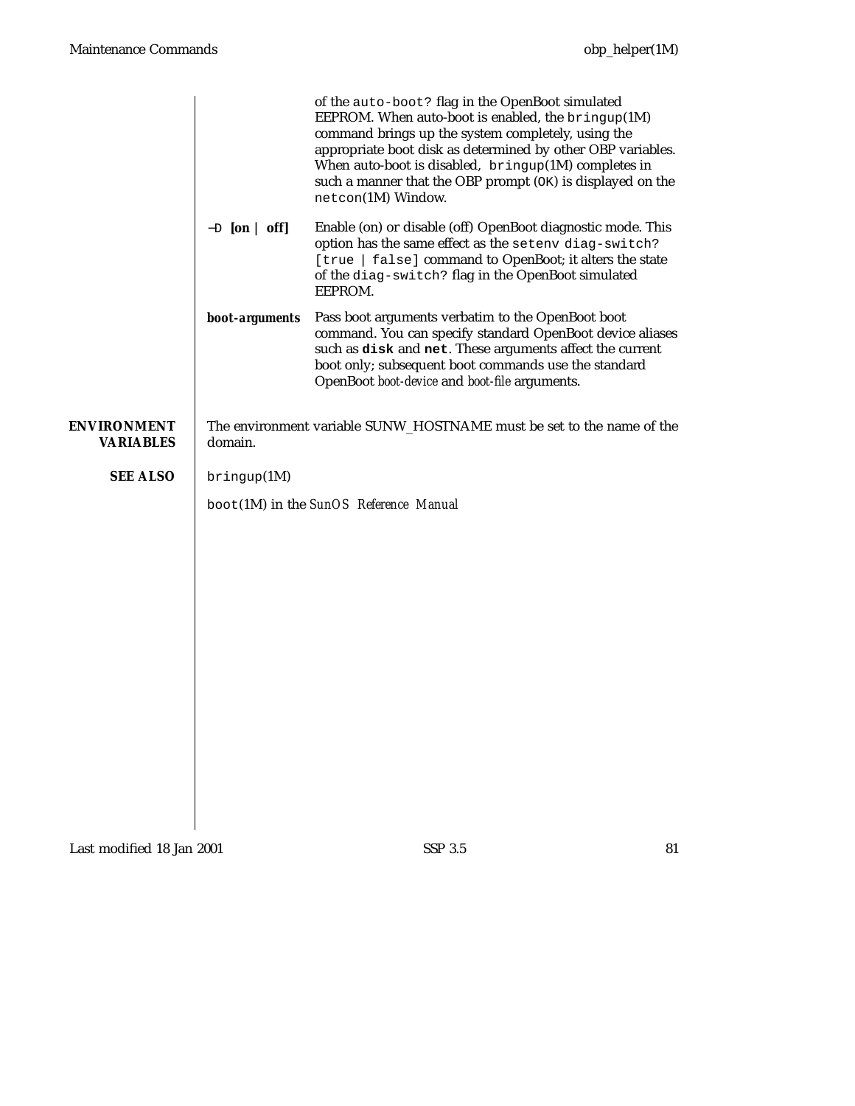|                                        |                   | of the auto-boot? flag in the OpenBoot simulated<br>EEPROM. When auto-boot is enabled, the bringup(1M)<br>command brings up the system completely, using the<br>appropriate boot disk as determined by other OBP variables.<br>When auto-boot is disabled, bringup(1M) completes in<br>such a manner that the OBP prompt (OK) is displayed on the<br>netcon(1M) Window. |
|----------------------------------------|-------------------|-------------------------------------------------------------------------------------------------------------------------------------------------------------------------------------------------------------------------------------------------------------------------------------------------------------------------------------------------------------------------|
|                                        | $-D$ [on   off]   | Enable (on) or disable (off) OpenBoot diagnostic mode. This<br>option has the same effect as the setenv diag-switch?<br>[true   false] command to OpenBoot; it alters the state<br>of the diag-switch? flag in the OpenBoot simulated<br>EEPROM.                                                                                                                        |
|                                        | boot-arguments    | Pass boot arguments verbatim to the OpenBoot boot<br>command. You can specify standard OpenBoot device aliases<br>such as disk and net. These arguments affect the current<br>boot only; subsequent boot commands use the standard<br>OpenBoot boot-device and boot-file arguments.                                                                                     |
| <b>ENVIRONMENT</b><br><b>VARIABLES</b> | domain.           | The environment variable SUNW_HOSTNAME must be set to the name of the                                                                                                                                                                                                                                                                                                   |
| <b>SEE ALSO</b>                        | $b$ ringup $(1M)$ |                                                                                                                                                                                                                                                                                                                                                                         |
|                                        |                   | boot(1M) in the SunOS Reference Manual                                                                                                                                                                                                                                                                                                                                  |
|                                        |                   |                                                                                                                                                                                                                                                                                                                                                                         |

Last modified 18 Jan 2001 SSP 3.5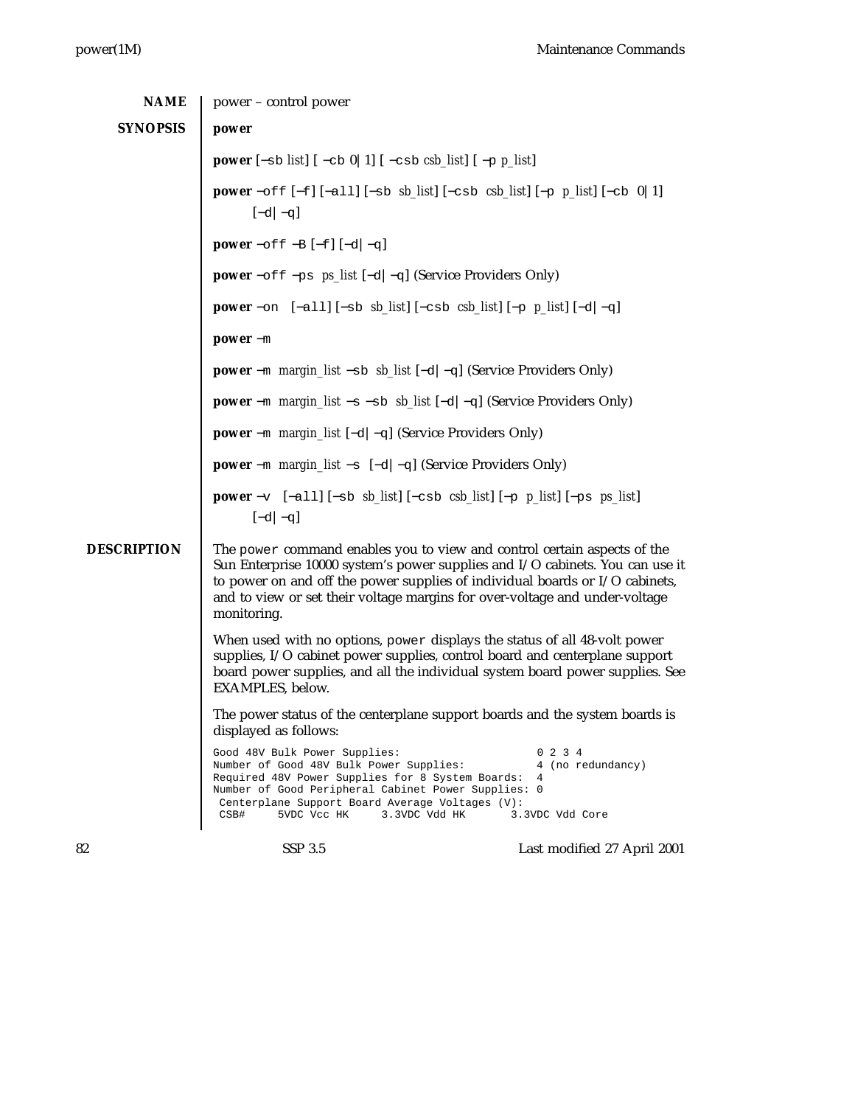| <b>NAME</b>        | power - control power                                                                                                                                                                                                                                                                                                                   |  |  |  |  |
|--------------------|-----------------------------------------------------------------------------------------------------------------------------------------------------------------------------------------------------------------------------------------------------------------------------------------------------------------------------------------|--|--|--|--|
| <b>SYNOPSIS</b>    | power                                                                                                                                                                                                                                                                                                                                   |  |  |  |  |
|                    | <b>power</b> $[-sb$ <i>list</i> ] $[-cb \ 0 \ 1]$ $[-csb \ csb$ <i>_list</i> ] $[-p \ p$ <i>_list</i> ]                                                                                                                                                                                                                                 |  |  |  |  |
|                    | <b>power</b> $-\text{off}$ [-f] [-all] [-sb sb_list] [-csb csb_list] [-p $p$ _list] [-cb $0 1]$<br>$[-d -q]$                                                                                                                                                                                                                            |  |  |  |  |
|                    | power $-\text{off}$ $-\text{B}$ $[-\text{f}]$ $[-\text{d}$ $]-\text{q}$ ]                                                                                                                                                                                                                                                               |  |  |  |  |
|                    | <b>power</b> $-\text{off}$ $-\text{ps}$ ps_list $[-\text{d} \,   -\text{q}]$ (Service Providers Only)                                                                                                                                                                                                                                   |  |  |  |  |
|                    | <b>power</b> -on $[-a11]$ $[-sb sb_list]$ $[-csb csb_list]$ $[-p p_list]$ $[-d -q]$                                                                                                                                                                                                                                                     |  |  |  |  |
|                    | $power - m$                                                                                                                                                                                                                                                                                                                             |  |  |  |  |
|                    | <b>power</b> $-m$ margin_list $-s$ b sb_list $[-d]$ $-q$ ] (Service Providers Only)                                                                                                                                                                                                                                                     |  |  |  |  |
|                    | <b>power</b> $-m$ margin_list $-s$ $-s$ $\frac{b}{s}$ list $[-d, -d]$ (Service Providers Only)                                                                                                                                                                                                                                          |  |  |  |  |
|                    | <b>power</b> $-m$ <i>margin_list</i> $[-d]$ $-q$ ] (Service Providers Only)                                                                                                                                                                                                                                                             |  |  |  |  |
|                    | <b>power</b> $-m$ margin_list $-s$ $[-d]-q]$ (Service Providers Only)                                                                                                                                                                                                                                                                   |  |  |  |  |
|                    | <b>power</b> $-v$ $[-all]$ $[-sb \; sb\_list]$ $[-csb \; cb\_list]$ $[-p \; p\_list]$ $[-ps \; ps\_list]$<br>$[-d -q]$                                                                                                                                                                                                                  |  |  |  |  |
| <b>DESCRIPTION</b> | The power command enables you to view and control certain aspects of the<br>Sun Enterprise 10000 system's power supplies and I/O cabinets. You can use it<br>to power on and off the power supplies of individual boards or I/O cabinets,<br>and to view or set their voltage margins for over-voltage and under-voltage<br>monitoring. |  |  |  |  |
|                    | When used with no options, power displays the status of all 48-volt power<br>supplies, I/O cabinet power supplies, control board and centerplane support<br>board power supplies, and all the individual system board power supplies. See<br>EXAMPLES, below.                                                                           |  |  |  |  |
|                    | The power status of the centerplane support boards and the system boards is<br>displayed as follows:                                                                                                                                                                                                                                    |  |  |  |  |
|                    | Good 48V Bulk Power Supplies:<br>0 2 3 4<br>Number of Good 48V Bulk Power Supplies:<br>4 (no redundancy)<br>Required 48V Power Supplies for 8 System Boards:<br>4<br>Number of Good Peripheral Cabinet Power Supplies: 0<br>Centerplane Support Board Average Voltages (V):<br>CSB#<br>5VDC Vcc HK<br>3.3VDC Vdd HK<br>3.3VDC Vdd Core  |  |  |  |  |
|                    |                                                                                                                                                                                                                                                                                                                                         |  |  |  |  |

82 SSP 3.5 Last modified 27 April 2001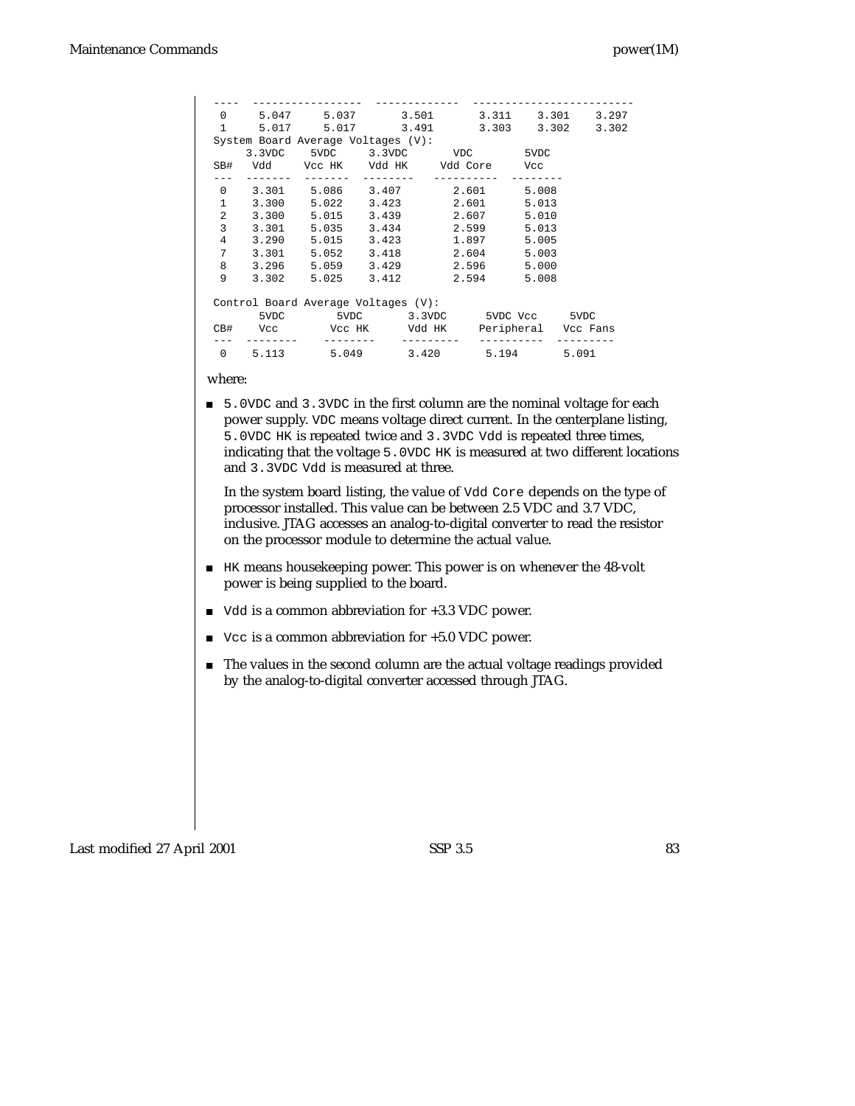|                | 0 5.113 5.049 3.420 5.194 5.091         |  |  |                                       |
|----------------|-----------------------------------------|--|--|---------------------------------------|
| $---$          |                                         |  |  |                                       |
|                | 5VDC 5VDC 3.3VDC 5VDC Vcc 5VDC          |  |  |                                       |
|                | Control Board Average Voltages (V):     |  |  |                                       |
|                |                                         |  |  |                                       |
| 9              | $3.302$ 5.025 3.412 2.594 5.008         |  |  |                                       |
| 8              | 3.296 5.059 3.429 2.596 5.000           |  |  |                                       |
| $7^{\circ}$    | $3.301$ 5.052 3.418 2.604 5.003         |  |  |                                       |
|                | 4 3.290 5.015 3.423 1.897 5.005         |  |  |                                       |
| 3 <sup>7</sup> | $3.301$ $5.035$ $3.434$ $2.599$ $5.013$ |  |  |                                       |
|                | 2 3.300 5.015 3.439 2.607 5.010         |  |  |                                       |
|                | 1 3.300 5.022 3.423 2.601 5.013         |  |  |                                       |
|                | 0 3.301 5.086 3.407 2.601 5.008         |  |  |                                       |
|                |                                         |  |  |                                       |
|                | SB# Vdd Vcc HK Vdd HK Vdd Core Vcc      |  |  |                                       |
|                | 3.3VDC 5VDC 3.3VDC VDC 5VDC             |  |  |                                       |
|                | System Board Average Voltages (V):      |  |  |                                       |
|                |                                         |  |  | 1 5.017 5.017 3.491 3.303 3.302 3.302 |
|                |                                         |  |  | 0 5.047 5.037 3.501 3.311 3.301 3.297 |
|                |                                         |  |  |                                       |

where:

 5.0VDC and 3.3VDC in the first column are the nominal voltage for each power supply. VDC means voltage direct current. In the centerplane listing, 5.0VDC HK is repeated twice and 3.3VDC Vdd is repeated three times, indicating that the voltage 5.0VDC HK is measured at two different locations and 3.3VDC Vdd is measured at three.

In the system board listing, the value of Vdd Core depends on the type of processor installed. This value can be between 2.5 VDC and 3.7 VDC, inclusive. JTAG accesses an analog-to-digital converter to read the resistor on the processor module to determine the actual value.

- HK means housekeeping power. This power is on whenever the 48-volt power is being supplied to the board.
- $\blacksquare$  Vdd is a common abbreviation for +3.3 VDC power.
- $\blacksquare$  Vcc is a common abbreviation for +5.0 VDC power.
- The values in the second column are the actual voltage readings provided by the analog-to-digital converter accessed through JTAG.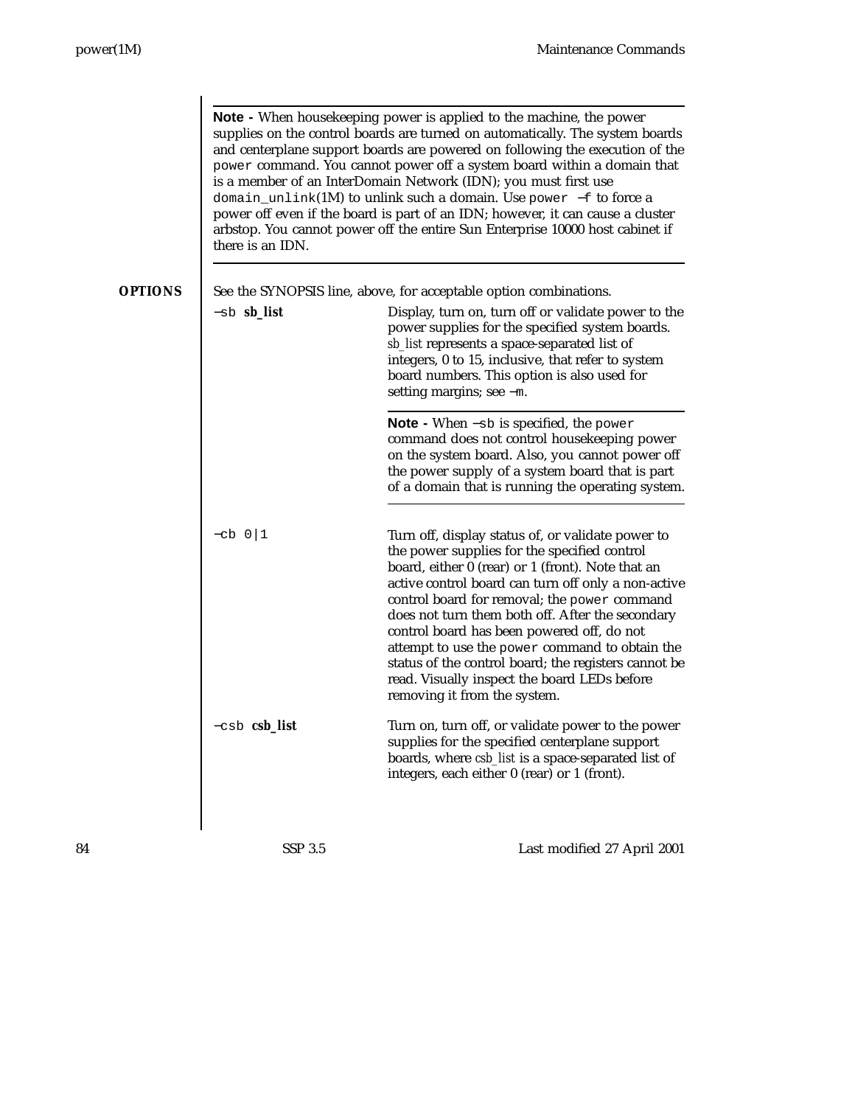**Note -** When housekeeping power is applied to the machine, the power supplies on the control boards are turned on automatically. The system boards and centerplane support boards are powered on following the execution of the power command. You cannot power off a system board within a domain that is a member of an InterDomain Network (IDN); you must first use domain\_unlink(1M) to unlink such a domain. Use power −f to force a power off even if the board is part of an IDN; however, it can cause a cluster arbstop. You cannot power off the entire Sun Enterprise 10000 host cabinet if there is an IDN.

**OPTIONS** See the SYNOPSIS line, above, for acceptable option combinations.

| -sb <i>sb_list</i> | Display, turn on, turn off or validate power to the<br>power supplies for the specified system boards.<br>sb_list represents a space-separated list of<br>integers, 0 to 15, inclusive, that refer to system<br>board numbers. This option is also used for<br>setting margins; see -m.                                                                                                                                                                                                                                                                   |
|--------------------|-----------------------------------------------------------------------------------------------------------------------------------------------------------------------------------------------------------------------------------------------------------------------------------------------------------------------------------------------------------------------------------------------------------------------------------------------------------------------------------------------------------------------------------------------------------|
|                    | Note - When -sb is specified, the power<br>command does not control housekeeping power<br>on the system board. Also, you cannot power off<br>the power supply of a system board that is part<br>of a domain that is running the operating system.                                                                                                                                                                                                                                                                                                         |
| $-cb$ 0   1        | Turn off, display status of, or validate power to<br>the power supplies for the specified control<br>board, either 0 (rear) or 1 (front). Note that an<br>active control board can turn off only a non-active<br>control board for removal; the power command<br>does not turn them both off. After the secondary<br>control board has been powered off, do not<br>attempt to use the power command to obtain the<br>status of the control board; the registers cannot be<br>read. Visually inspect the board LEDs before<br>removing it from the system. |
| $-csb$ csb list    | Turn on, turn off, or validate power to the power<br>supplies for the specified centerplane support<br>boards, where csb_list is a space-separated list of<br>integers, each either 0 (rear) or 1 (front).                                                                                                                                                                                                                                                                                                                                                |
|                    |                                                                                                                                                                                                                                                                                                                                                                                                                                                                                                                                                           |

84 SSP 3.5 Last modified 27 April 2001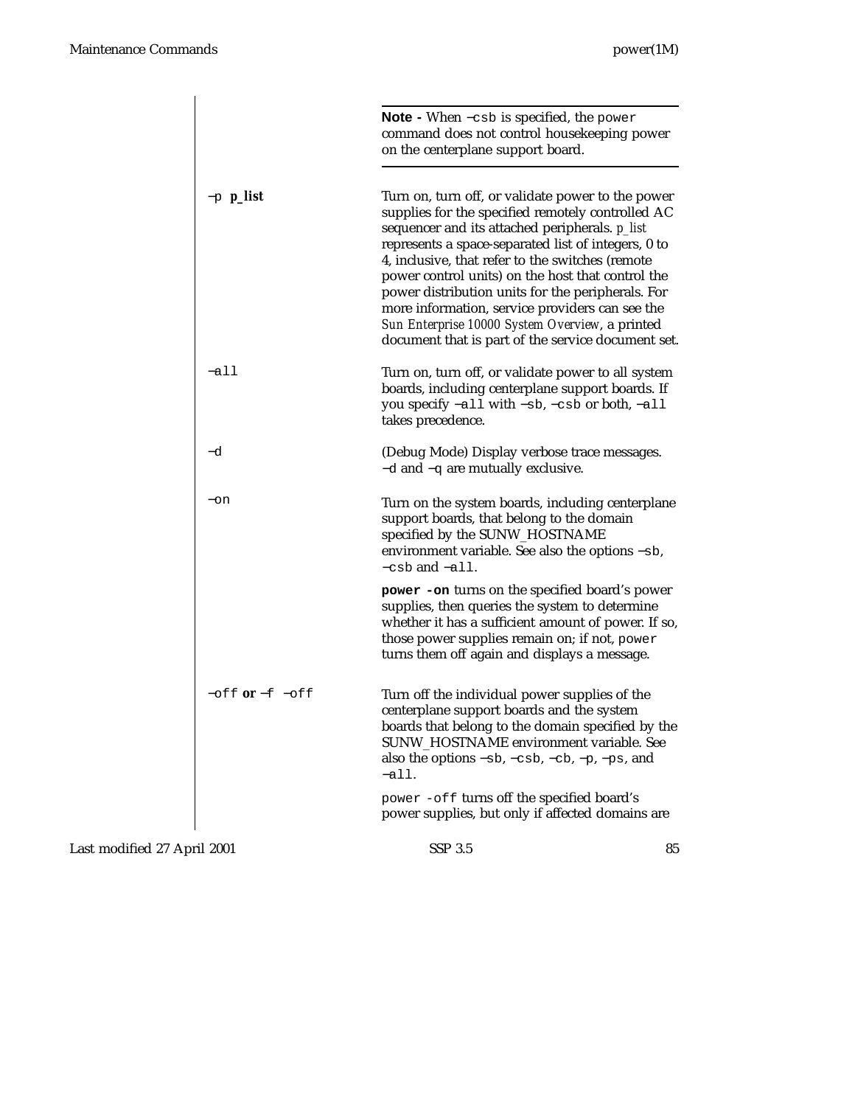|                                     | <b>Note -</b> When $-csb$ is specified, the power<br>command does not control housekeeping power<br>on the centerplane support board.                                                                                                                                                                                                                                                                                                                                                                                                     |
|-------------------------------------|-------------------------------------------------------------------------------------------------------------------------------------------------------------------------------------------------------------------------------------------------------------------------------------------------------------------------------------------------------------------------------------------------------------------------------------------------------------------------------------------------------------------------------------------|
| $-p$ p_list                         | Turn on, turn off, or validate power to the power<br>supplies for the specified remotely controlled AC<br>sequencer and its attached peripherals. p_list<br>represents a space-separated list of integers, 0 to<br>4, inclusive, that refer to the switches (remote<br>power control units) on the host that control the<br>power distribution units for the peripherals. For<br>more information, service providers can see the<br>Sun Enterprise 10000 System Overview, a printed<br>document that is part of the service document set. |
| -all                                | Turn on, turn off, or validate power to all system<br>boards, including centerplane support boards. If<br>you specify -all with -sb, -csb or both, -all<br>takes precedence.                                                                                                                                                                                                                                                                                                                                                              |
| -d                                  | (Debug Mode) Display verbose trace messages.<br>$-d$ and $-q$ are mutually exclusive.                                                                                                                                                                                                                                                                                                                                                                                                                                                     |
| -on                                 | Turn on the system boards, including centerplane<br>support boards, that belong to the domain<br>specified by the SUNW_HOSTNAME<br>environment variable. See also the options -sb,<br>$-csb$ and $-al1$ .                                                                                                                                                                                                                                                                                                                                 |
|                                     | power -on turns on the specified board's power<br>supplies, then queries the system to determine<br>whether it has a sufficient amount of power. If so,<br>those power supplies remain on; if not, power<br>turns them off again and displays a message.                                                                                                                                                                                                                                                                                  |
| $-\text{off}$ or $-f$ $-\text{off}$ | Turn off the individual power supplies of the<br>centerplane support boards and the system<br>boards that belong to the domain specified by the<br><b>SUNW HOSTNAME environment variable. See</b><br>also the options $-sb$ , $-csb$ , $-cb$ , $-p$ , $-ps$ , and<br>-all.                                                                                                                                                                                                                                                                |
|                                     | power -off turns off the specified board's<br>power supplies, but only if affected domains are                                                                                                                                                                                                                                                                                                                                                                                                                                            |

Last modified 27 April 2001 SSP 3.5 85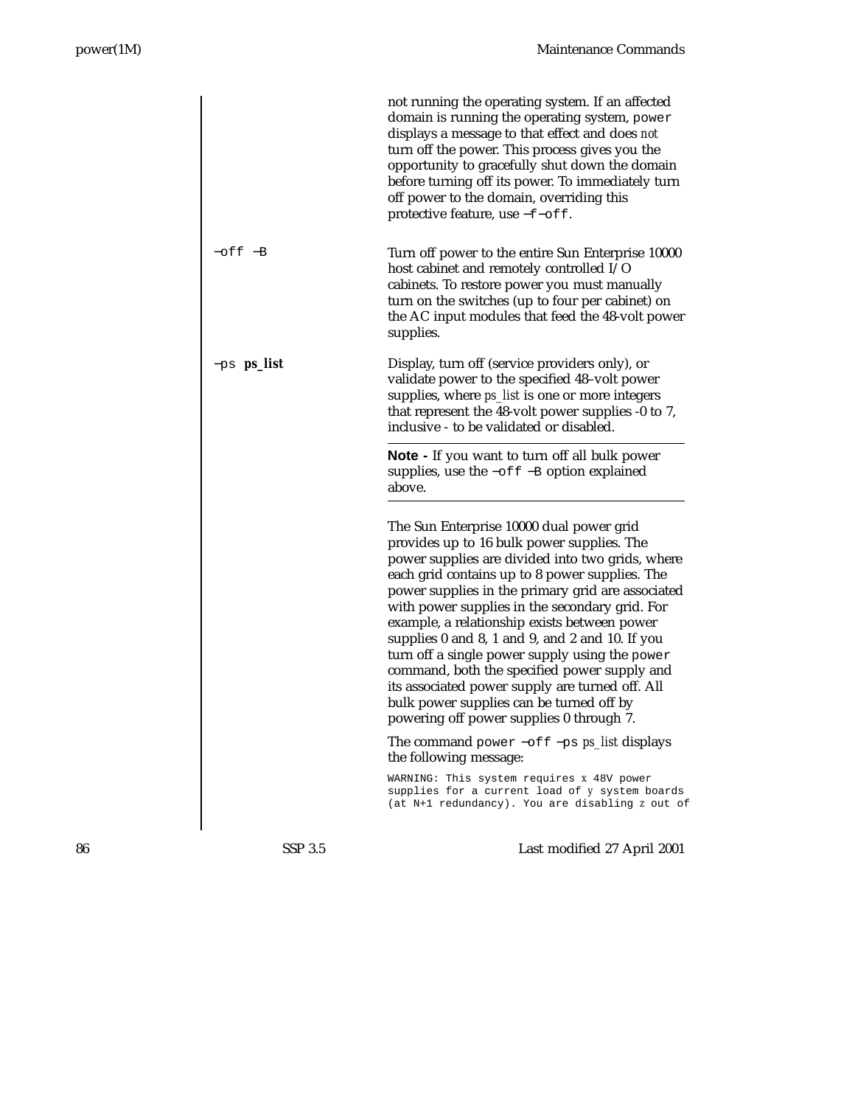|             | not running the operating system. If an affected<br>domain is running the operating system, power<br>displays a message to that effect and does not<br>turn off the power. This process gives you the<br>opportunity to gracefully shut down the domain<br>before turning off its power. To immediately turn<br>off power to the domain, overriding this<br>protective feature, use -f-off.                                                                                                                                                                                                                                                         |
|-------------|-----------------------------------------------------------------------------------------------------------------------------------------------------------------------------------------------------------------------------------------------------------------------------------------------------------------------------------------------------------------------------------------------------------------------------------------------------------------------------------------------------------------------------------------------------------------------------------------------------------------------------------------------------|
| -off -B     | Turn off power to the entire Sun Enterprise 10000<br>host cabinet and remotely controlled I/O<br>cabinets. To restore power you must manually<br>turn on the switches (up to four per cabinet) on<br>the AC input modules that feed the 48-volt power<br>supplies.                                                                                                                                                                                                                                                                                                                                                                                  |
| -ps ps_list | Display, turn off (service providers only), or<br>validate power to the specified 48-volt power<br>supplies, where <i>ps_list</i> is one or more integers<br>that represent the 48-volt power supplies -0 to 7,<br>inclusive - to be validated or disabled.                                                                                                                                                                                                                                                                                                                                                                                         |
|             | <b>Note -</b> If you want to turn off all bulk power<br>supplies, use the $-\circ$ f $f$ -B option explained<br>above.                                                                                                                                                                                                                                                                                                                                                                                                                                                                                                                              |
|             | The Sun Enterprise 10000 dual power grid<br>provides up to 16 bulk power supplies. The<br>power supplies are divided into two grids, where<br>each grid contains up to 8 power supplies. The<br>power supplies in the primary grid are associated<br>with power supplies in the secondary grid. For<br>example, a relationship exists between power<br>supplies 0 and 8, 1 and 9, and 2 and 10. If you<br>turn off a single power supply using the power<br>command, both the specified power supply and<br>its associated power supply are turned off. All<br>bulk power supplies can be turned off by<br>powering off power supplies 0 through 7. |
|             | The command power $-\text{off}$ -ps ps_list displays<br>the following message:                                                                                                                                                                                                                                                                                                                                                                                                                                                                                                                                                                      |
|             | WARNING: This system requires X 48V power<br>supplies for a current load of y system boards<br>(at N+1 redundancy). You are disabling Z out of                                                                                                                                                                                                                                                                                                                                                                                                                                                                                                      |
|             |                                                                                                                                                                                                                                                                                                                                                                                                                                                                                                                                                                                                                                                     |

86 SSP 3.5 Last modified 27 April 2001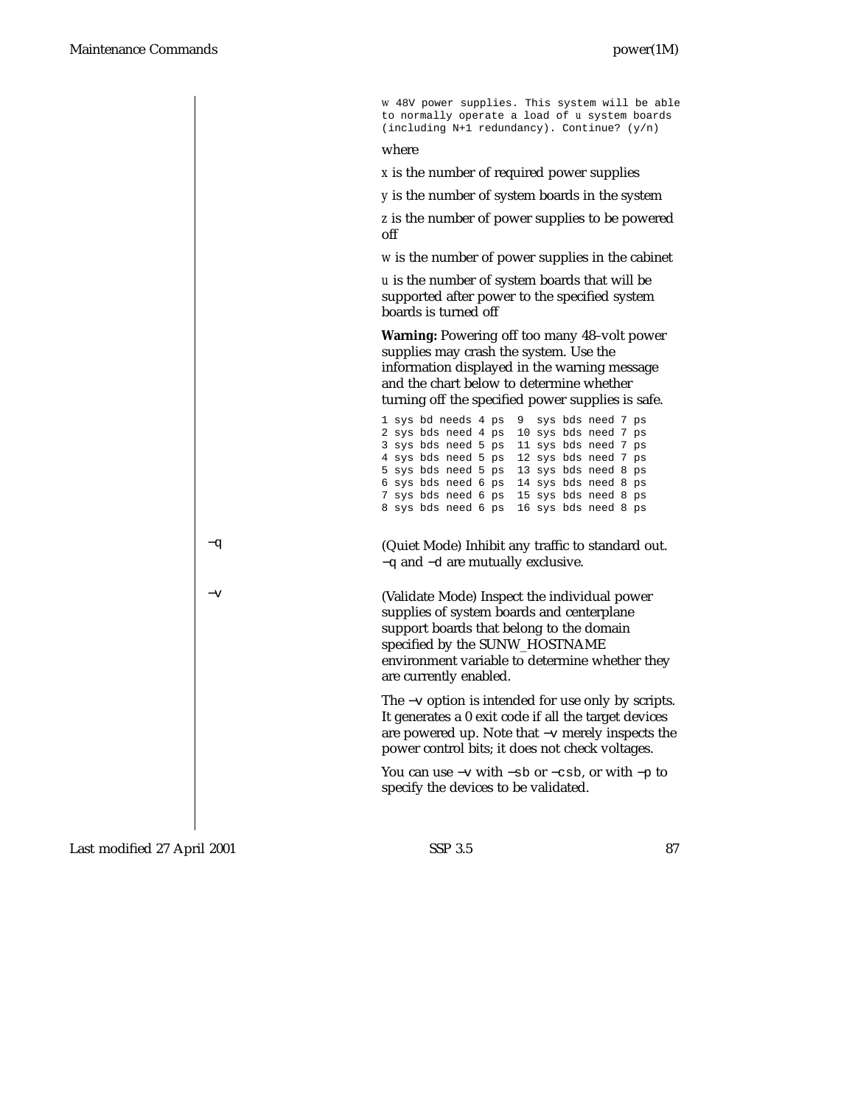|      | W 48V power supplies. This system will be able<br>to normally operate a load of U system boards<br>(including $N+1$ redundancy). Continue? (y/n)                                                                                                                                                                                                                                    |
|------|-------------------------------------------------------------------------------------------------------------------------------------------------------------------------------------------------------------------------------------------------------------------------------------------------------------------------------------------------------------------------------------|
|      | where                                                                                                                                                                                                                                                                                                                                                                               |
|      | x is the number of required power supplies                                                                                                                                                                                                                                                                                                                                          |
|      | y is the number of system boards in the system                                                                                                                                                                                                                                                                                                                                      |
|      | z is the number of power supplies to be powered<br>off                                                                                                                                                                                                                                                                                                                              |
|      | $w$ is the number of power supplies in the cabinet                                                                                                                                                                                                                                                                                                                                  |
|      | $u$ is the number of system boards that will be<br>supported after power to the specified system<br>boards is turned off                                                                                                                                                                                                                                                            |
|      | Warning: Powering off too many 48-volt power<br>supplies may crash the system. Use the<br>information displayed in the warning message<br>and the chart below to determine whether<br>turning off the specified power supplies is safe.                                                                                                                                             |
|      | 1 sys bd needs 4 ps<br>9 sys bds need 7 ps<br>2 sys bds need 4 ps<br>10 sys bds need 7 ps<br>3 sys bds need 5 ps<br>11 sys bds need 7 ps<br>4 sys bds need 5 ps<br>12 sys bds need 7 ps<br>5 sys bds need 5 ps<br>13 sys bds need 8 ps<br>6 sys bds need 6 ps<br>14 sys bds need 8 ps<br>7 sys bds need 6 ps<br>15 sys bds need 8 ps<br>8 sys bds need 6 ps<br>16 sys bds need 8 ps |
| -d   | (Quiet Mode) Inhibit any traffic to standard out.<br>$-q$ and $-d$ are mutually exclusive.                                                                                                                                                                                                                                                                                          |
| $-v$ | (Validate Mode) Inspect the individual power<br>supplies of system boards and centerplane<br>support boards that belong to the domain<br>specified by the SUNW_HOSTNAME<br>environment variable to determine whether they<br>are currently enabled.                                                                                                                                 |
|      | The $-v$ option is intended for use only by scripts.<br>It generates a 0 exit code if all the target devices<br>are powered up. Note that $-v$ merely inspects the<br>power control bits; it does not check voltages.                                                                                                                                                               |
|      | You can use $-v$ with $-sb$ or $-csb$ , or with $-p$ to<br>specify the devices to be validated.                                                                                                                                                                                                                                                                                     |

Last modified 27 April 2001 SSP 3.5 87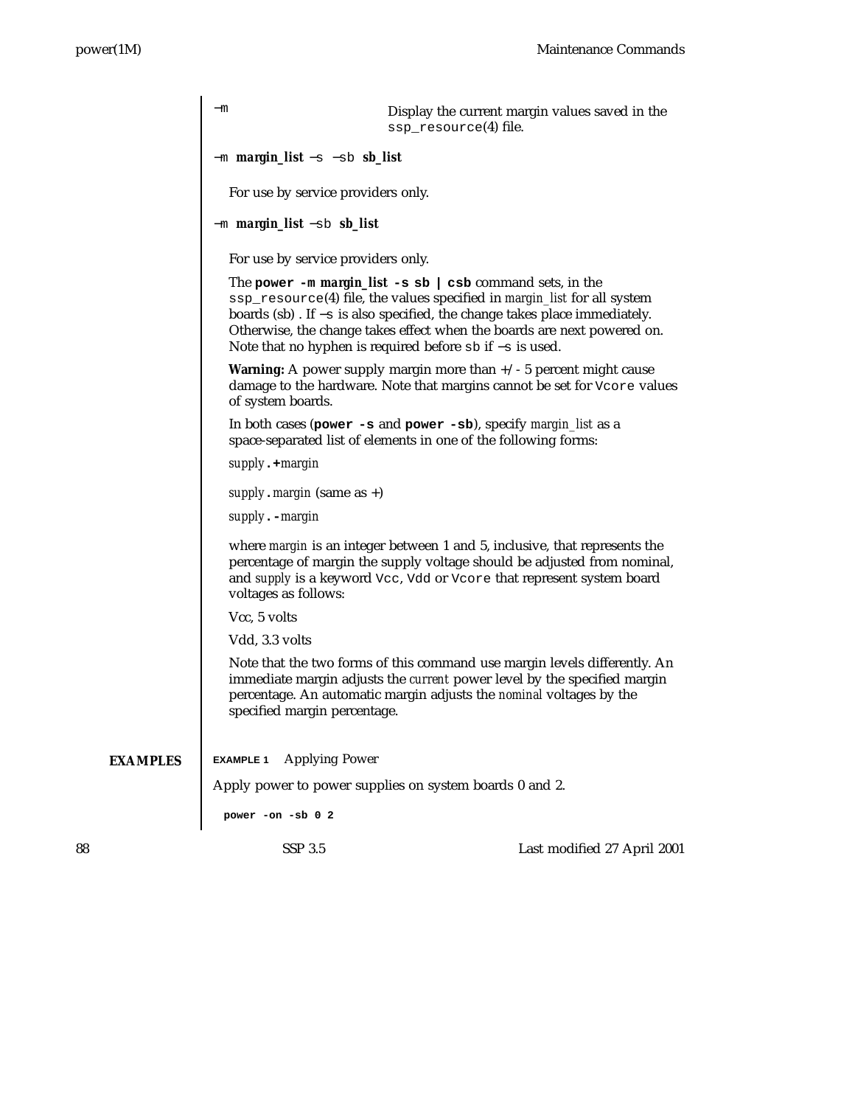|                 | —m                                        | Display the current margin values saved in the<br>ssp_resource(4) file.                                                                                                                                                                                                                                                                                                   |
|-----------------|-------------------------------------------|---------------------------------------------------------------------------------------------------------------------------------------------------------------------------------------------------------------------------------------------------------------------------------------------------------------------------------------------------------------------------|
|                 | $-m$ margin_list $-s$ $-sb$ sb_list       |                                                                                                                                                                                                                                                                                                                                                                           |
|                 | For use by service providers only.        |                                                                                                                                                                                                                                                                                                                                                                           |
|                 | $-m$ margin_list $-sb$ sb_list            |                                                                                                                                                                                                                                                                                                                                                                           |
|                 | For use by service providers only.        |                                                                                                                                                                                                                                                                                                                                                                           |
|                 |                                           | The power $-m$ margin list $-s$ sb $\vert$ csb command sets, in the<br>ssp_resource(4) file, the values specified in margin_list for all system<br>boards (sb). If $-s$ is also specified, the change takes place immediately.<br>Otherwise, the change takes effect when the boards are next powered on.<br>Note that no hyphen is required before $sb$ if $-s$ is used. |
|                 | of system boards.                         | <b>Warning:</b> A power supply margin more than $+/-$ 5 percent might cause<br>damage to the hardware. Note that margins cannot be set for Vcore values                                                                                                                                                                                                                   |
|                 |                                           | In both cases (power $-s$ and power $-s$ b), specify margin list as a<br>space-separated list of elements in one of the following forms:                                                                                                                                                                                                                                  |
|                 | $supply.+margin$                          |                                                                                                                                                                                                                                                                                                                                                                           |
|                 | supply. margin (same as $+)$              |                                                                                                                                                                                                                                                                                                                                                                           |
|                 | supply. - margin                          |                                                                                                                                                                                                                                                                                                                                                                           |
|                 | voltages as follows:                      | where <i>margin</i> is an integer between 1 and 5, inclusive, that represents the<br>percentage of margin the supply voltage should be adjusted from nominal,<br>and supply is a keyword Vcc, Vdd or Vcore that represent system board                                                                                                                                    |
|                 | Vcc, 5 volts                              |                                                                                                                                                                                                                                                                                                                                                                           |
|                 | Vdd, 3.3 volts                            |                                                                                                                                                                                                                                                                                                                                                                           |
|                 | specified margin percentage.              | Note that the two forms of this command use margin levels differently. An<br>immediate margin adjusts the current power level by the specified margin<br>percentage. An automatic margin adjusts the nominal voltages by the                                                                                                                                              |
| <b>EXAMPLES</b> | <b>Applying Power</b><br><b>EXAMPLE 1</b> |                                                                                                                                                                                                                                                                                                                                                                           |
|                 |                                           | Apply power to power supplies on system boards 0 and 2.                                                                                                                                                                                                                                                                                                                   |
|                 | power -on -sb 0 2                         |                                                                                                                                                                                                                                                                                                                                                                           |

88 SSP 3.5 Last modified 27 April 2001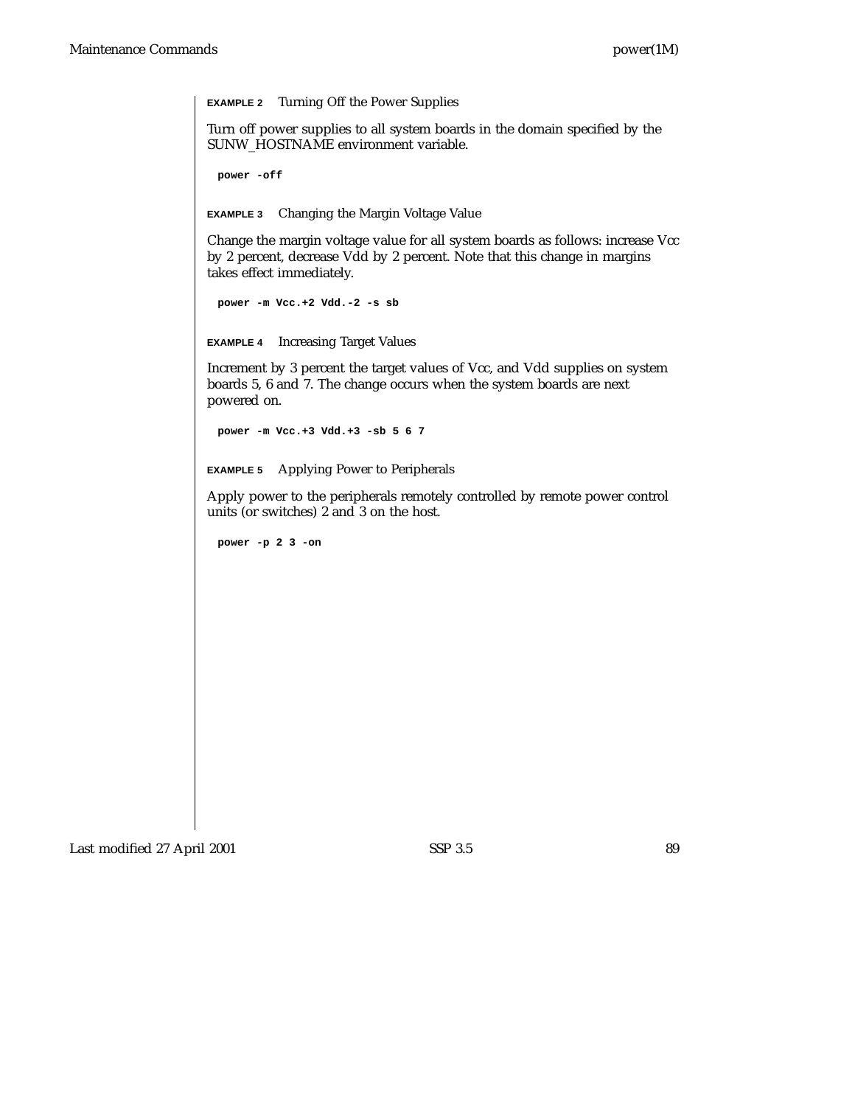**EXAMPLE 2** Turning Off the Power Supplies

Turn off power supplies to all system boards in the domain specified by the SUNW\_HOSTNAME environment variable.

**power -off**

**EXAMPLE 3** Changing the Margin Voltage Value

Change the margin voltage value for all system boards as follows: increase Vcc by 2 percent, decrease Vdd by 2 percent. Note that this change in margins takes effect immediately.

```
power -m Vcc.+2 Vdd.-2 -s sb
```
**EXAMPLE 4** Increasing Target Values

Increment by 3 percent the target values of Vcc, and Vdd supplies on system boards 5, 6 and 7. The change occurs when the system boards are next powered on.

```
power -m Vcc.+3 Vdd.+3 -sb 5 6 7
```
**EXAMPLE 5** Applying Power to Peripherals

Apply power to the peripherals remotely controlled by remote power control units (or switches) 2 and 3 on the host.

**power -p 2 3 -on**

Last modified 27 April 2001 SSP 3.5 89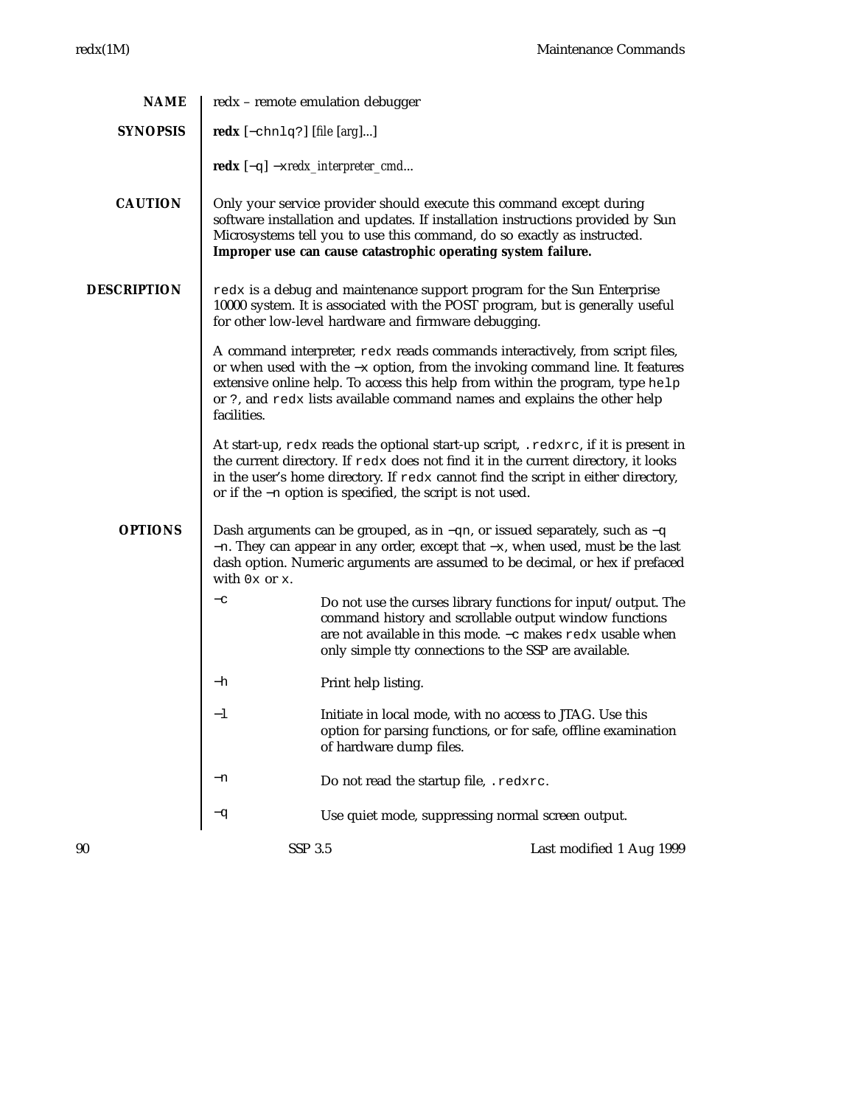| <b>NAME</b>        | redx - remote emulation debugger                           |                                                                                                                                                                                                                                                                                                                               |                          |
|--------------------|------------------------------------------------------------|-------------------------------------------------------------------------------------------------------------------------------------------------------------------------------------------------------------------------------------------------------------------------------------------------------------------------------|--------------------------|
| <b>SYNOPSIS</b>    | $\textbf{red} \mathbf{x}$ [-chnlq?] [file [arg]]           |                                                                                                                                                                                                                                                                                                                               |                          |
|                    | $\textbf{red} \mathbf{x}$ $[-q]$ $-x$ redx_interpreter_cmd |                                                                                                                                                                                                                                                                                                                               |                          |
| <b>CAUTION</b>     |                                                            | Only your service provider should execute this command except during<br>software installation and updates. If installation instructions provided by Sun<br>Microsystems tell you to use this command, do so exactly as instructed.<br>Improper use can cause catastrophic operating system failure.                           |                          |
| <b>DESCRIPTION</b> |                                                            | redx is a debug and maintenance support program for the Sun Enterprise<br>10000 system. It is associated with the POST program, but is generally useful<br>for other low-level hardware and firmware debugging.                                                                                                               |                          |
|                    | facilities.                                                | A command interpreter, redx reads commands interactively, from script files,<br>or when used with the $-x$ option, from the invoking command line. It features<br>extensive online help. To access this help from within the program, type help<br>or ?, and redx lists available command names and explains the other help   |                          |
|                    |                                                            | At start-up, redx reads the optional start-up script, . redxrc, if it is present in<br>the current directory. If redx does not find it in the current directory, it looks<br>in the user's home directory. If redx cannot find the script in either directory,<br>or if the $-n$ option is specified, the script is not used. |                          |
| <b>OPTIONS</b>     | with $0x$ or $x$ .                                         | Dash arguments can be grouped, as in $-\text{qn}$ , or issued separately, such as $-\text{q}$<br>$-n$ . They can appear in any order, except that $-x$ , when used, must be the last<br>dash option. Numeric arguments are assumed to be decimal, or hex if prefaced                                                          |                          |
|                    | $-c$                                                       | Do not use the curses library functions for input/output. The<br>command history and scrollable output window functions<br>are not available in this mode. $-c$ makes $rcdx$ usable when<br>only simple tty connections to the SSP are available.                                                                             |                          |
|                    | -h                                                         | Print help listing.                                                                                                                                                                                                                                                                                                           |                          |
|                    |                                                            | Initiate in local mode, with no access to JTAG. Use this<br>option for parsing functions, or for safe, offline examination<br>of hardware dump files.                                                                                                                                                                         |                          |
|                    | -n                                                         | Do not read the startup file, . redxrc.                                                                                                                                                                                                                                                                                       |                          |
|                    | -q                                                         | Use quiet mode, suppressing normal screen output.                                                                                                                                                                                                                                                                             |                          |
| 90                 | SSP 3.5                                                    |                                                                                                                                                                                                                                                                                                                               | Last modified 1 Aug 1999 |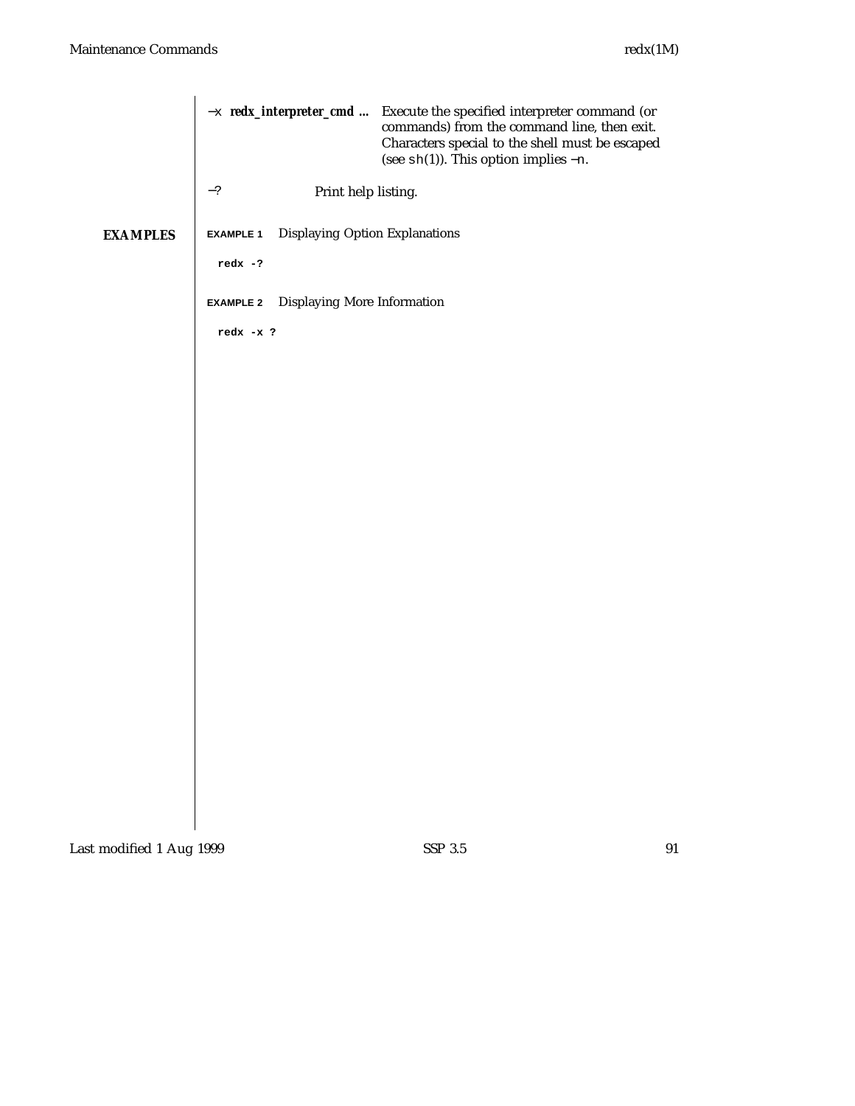|                 |                                              |                     | -x redx_interpreter_cmd  Execute the specified interpreter command (or<br>commands) from the command line, then exit.<br>Characters special to the shell must be escaped<br>(see $\sin(1)$ ). This option implies -n. |
|-----------------|----------------------------------------------|---------------------|-----------------------------------------------------------------------------------------------------------------------------------------------------------------------------------------------------------------------|
|                 | $-?$                                         | Print help listing. |                                                                                                                                                                                                                       |
| <b>EXAMPLES</b> | <b>EXAMPLE 1</b>                             |                     | Displaying Option Explanations                                                                                                                                                                                        |
|                 | redx $-?$                                    |                     |                                                                                                                                                                                                                       |
|                 | <b>EXAMPLE 2</b> Displaying More Information |                     |                                                                                                                                                                                                                       |
|                 | redx $-x$ ?                                  |                     |                                                                                                                                                                                                                       |
|                 |                                              |                     |                                                                                                                                                                                                                       |
|                 |                                              |                     |                                                                                                                                                                                                                       |
|                 |                                              |                     |                                                                                                                                                                                                                       |
|                 |                                              |                     |                                                                                                                                                                                                                       |
|                 |                                              |                     |                                                                                                                                                                                                                       |
|                 |                                              |                     |                                                                                                                                                                                                                       |
|                 |                                              |                     |                                                                                                                                                                                                                       |
|                 |                                              |                     |                                                                                                                                                                                                                       |
|                 |                                              |                     |                                                                                                                                                                                                                       |
|                 |                                              |                     |                                                                                                                                                                                                                       |

Last modified 1 Aug 1999 SSP 3.5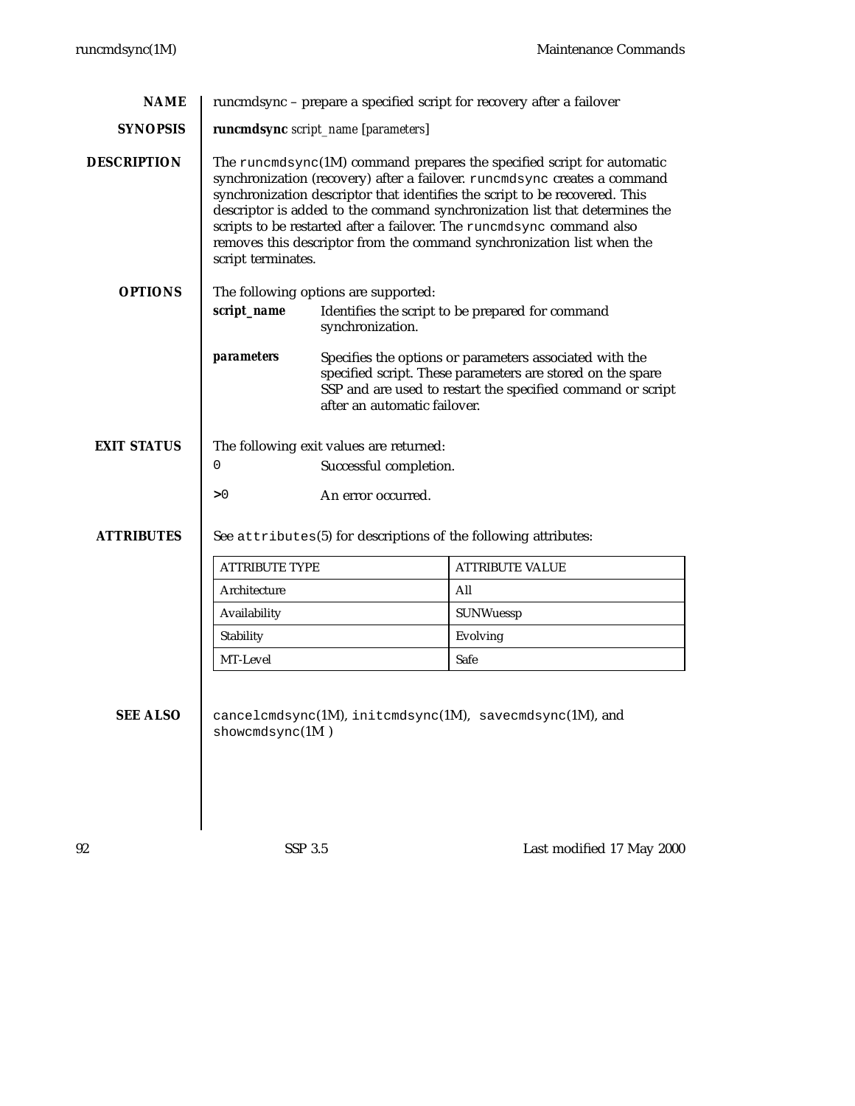| <b>NAME</b>                                                                                    | runcmdsync - prepare a specified script for recovery after a failover                                                                                                                                                                                                                                                                                                                                                                                                                      |                                                                      |                                                                                                                                                                                      |
|------------------------------------------------------------------------------------------------|--------------------------------------------------------------------------------------------------------------------------------------------------------------------------------------------------------------------------------------------------------------------------------------------------------------------------------------------------------------------------------------------------------------------------------------------------------------------------------------------|----------------------------------------------------------------------|--------------------------------------------------------------------------------------------------------------------------------------------------------------------------------------|
| <b>SYNOPSIS</b>                                                                                | runcmdsync script_name [parameters]                                                                                                                                                                                                                                                                                                                                                                                                                                                        |                                                                      |                                                                                                                                                                                      |
| <b>DESCRIPTION</b>                                                                             | The runcmdsync(1M) command prepares the specified script for automatic<br>synchronization (recovery) after a failover. runcmdsync creates a command<br>synchronization descriptor that identifies the script to be recovered. This<br>descriptor is added to the command synchronization list that determines the<br>scripts to be restarted after a failover. The runcmdsync command also<br>removes this descriptor from the command synchronization list when the<br>script terminates. |                                                                      |                                                                                                                                                                                      |
| <b>OPTIONS</b>                                                                                 |                                                                                                                                                                                                                                                                                                                                                                                                                                                                                            | The following options are supported:                                 |                                                                                                                                                                                      |
|                                                                                                | script_name                                                                                                                                                                                                                                                                                                                                                                                                                                                                                | Identifies the script to be prepared for command<br>synchronization. |                                                                                                                                                                                      |
| parameters                                                                                     |                                                                                                                                                                                                                                                                                                                                                                                                                                                                                            | after an automatic failover.                                         | Specifies the options or parameters associated with the<br>specified script. These parameters are stored on the spare<br>SSP and are used to restart the specified command or script |
| <b>EXIT STATUS</b>                                                                             |                                                                                                                                                                                                                                                                                                                                                                                                                                                                                            | The following exit values are returned:                              |                                                                                                                                                                                      |
|                                                                                                | Successful completion.<br>0<br>>0<br>An error occurred.                                                                                                                                                                                                                                                                                                                                                                                                                                    |                                                                      |                                                                                                                                                                                      |
|                                                                                                |                                                                                                                                                                                                                                                                                                                                                                                                                                                                                            |                                                                      |                                                                                                                                                                                      |
| <b>ATTRIBUTES</b><br>See attributes(5) for descriptions of the following attributes:           |                                                                                                                                                                                                                                                                                                                                                                                                                                                                                            |                                                                      |                                                                                                                                                                                      |
|                                                                                                | <b>ATTRIBUTE TYPE</b>                                                                                                                                                                                                                                                                                                                                                                                                                                                                      |                                                                      | <b>ATTRIBUTE VALUE</b>                                                                                                                                                               |
|                                                                                                | Architecture                                                                                                                                                                                                                                                                                                                                                                                                                                                                               |                                                                      | All                                                                                                                                                                                  |
|                                                                                                | Availability                                                                                                                                                                                                                                                                                                                                                                                                                                                                               |                                                                      | SUNWuessp                                                                                                                                                                            |
|                                                                                                | Stability                                                                                                                                                                                                                                                                                                                                                                                                                                                                                  |                                                                      | Evolving                                                                                                                                                                             |
| MT-Level                                                                                       |                                                                                                                                                                                                                                                                                                                                                                                                                                                                                            |                                                                      | Safe                                                                                                                                                                                 |
| cancelcmdsync(1M), initcmdsync(1M), savecmdsync(1M), and<br><b>SEE ALSO</b><br>showendsync(1M) |                                                                                                                                                                                                                                                                                                                                                                                                                                                                                            |                                                                      |                                                                                                                                                                                      |

92 SSP 3.5 Last modified 17 May 2000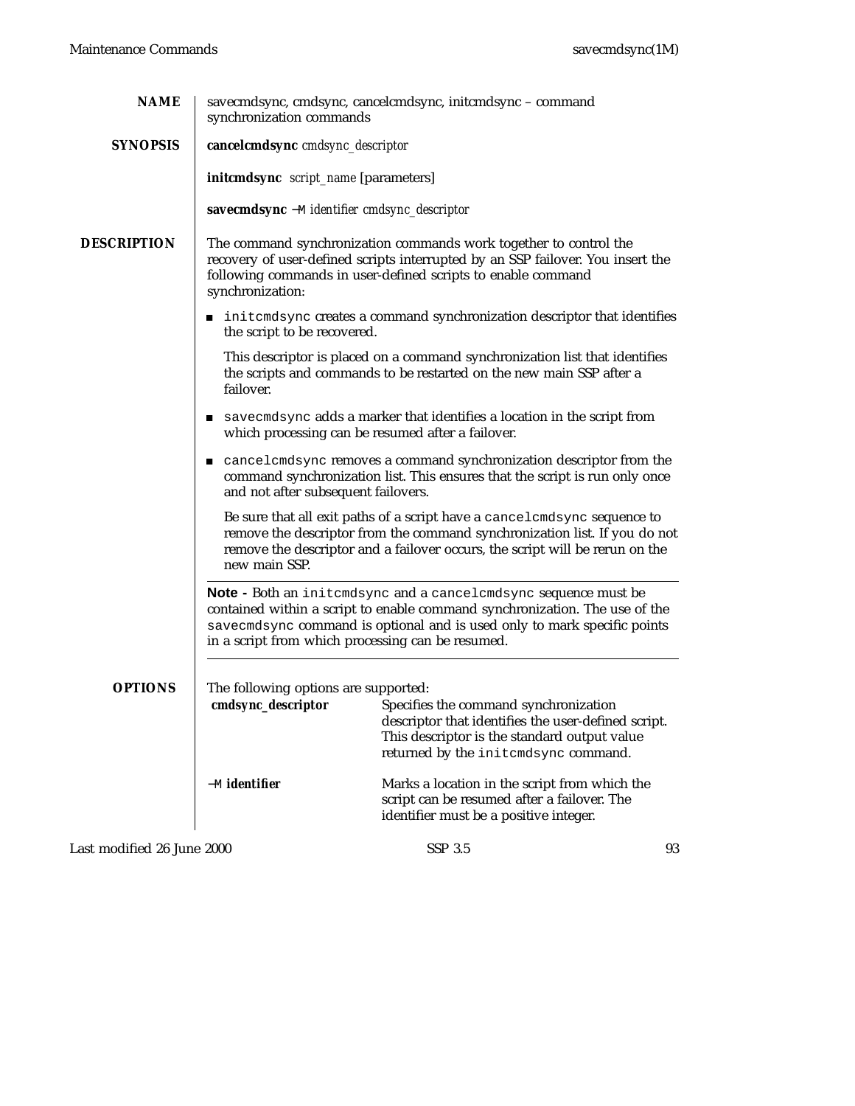| <b>NAME</b>                                                                                                           | savecmdsync, cmdsync, cancelcmdsync, initemdsync - command<br>synchronization commands                                                                                                                                                                                                 |                                                                                                                                                                                                                                        |
|-----------------------------------------------------------------------------------------------------------------------|----------------------------------------------------------------------------------------------------------------------------------------------------------------------------------------------------------------------------------------------------------------------------------------|----------------------------------------------------------------------------------------------------------------------------------------------------------------------------------------------------------------------------------------|
| <b>SYNOPSIS</b>                                                                                                       | cancelcmdsync cmdsync_descriptor                                                                                                                                                                                                                                                       |                                                                                                                                                                                                                                        |
|                                                                                                                       | initcmdsync script_name [parameters]                                                                                                                                                                                                                                                   |                                                                                                                                                                                                                                        |
|                                                                                                                       | savecmdsync -M identifier cmdsync_descriptor                                                                                                                                                                                                                                           |                                                                                                                                                                                                                                        |
| <b>DESCRIPTION</b><br>following commands in user-defined scripts to enable command<br>synchronization:                |                                                                                                                                                                                                                                                                                        | The command synchronization commands work together to control the<br>recovery of user-defined scripts interrupted by an SSP failover. You insert the                                                                                   |
|                                                                                                                       | initeral sync creates a command synchronization descriptor that identifies<br>the script to be recovered.                                                                                                                                                                              |                                                                                                                                                                                                                                        |
|                                                                                                                       | failover.                                                                                                                                                                                                                                                                              | This descriptor is placed on a command synchronization list that identifies<br>the scripts and commands to be restarted on the new main SSP after a                                                                                    |
|                                                                                                                       | which processing can be resumed after a failover.                                                                                                                                                                                                                                      | $\blacksquare$ savecmdsync adds a marker that identifies a location in the script from                                                                                                                                                 |
|                                                                                                                       | and not after subsequent failovers.                                                                                                                                                                                                                                                    | ■ cancel cmdsync removes a command synchronization descriptor from the<br>command synchronization list. This ensures that the script is run only once                                                                                  |
|                                                                                                                       | new main SSP.                                                                                                                                                                                                                                                                          | Be sure that all exit paths of a script have a cancelemdsync sequence to<br>remove the descriptor from the command synchronization list. If you do not<br>remove the descriptor and a failover occurs, the script will be rerun on the |
|                                                                                                                       | <b>Note -</b> Both an initemdsyne and a cancelemdsyne sequence must be<br>contained within a script to enable command synchronization. The use of the<br>savecmdsync command is optional and is used only to mark specific points<br>in a script from which processing can be resumed. |                                                                                                                                                                                                                                        |
| <b>OPTIONS</b><br>The following options are supported:<br>cmdsync_descriptor<br>Specifies the command synchronization |                                                                                                                                                                                                                                                                                        | descriptor that identifies the user-defined script.<br>This descriptor is the standard output value<br>returned by the initemdsync command.                                                                                            |
|                                                                                                                       | $-M$ identifier                                                                                                                                                                                                                                                                        | Marks a location in the script from which the<br>script can be resumed after a failover. The<br>identifier must be a positive integer.                                                                                                 |

Last modified 26 June 2000 SSP 3.5 93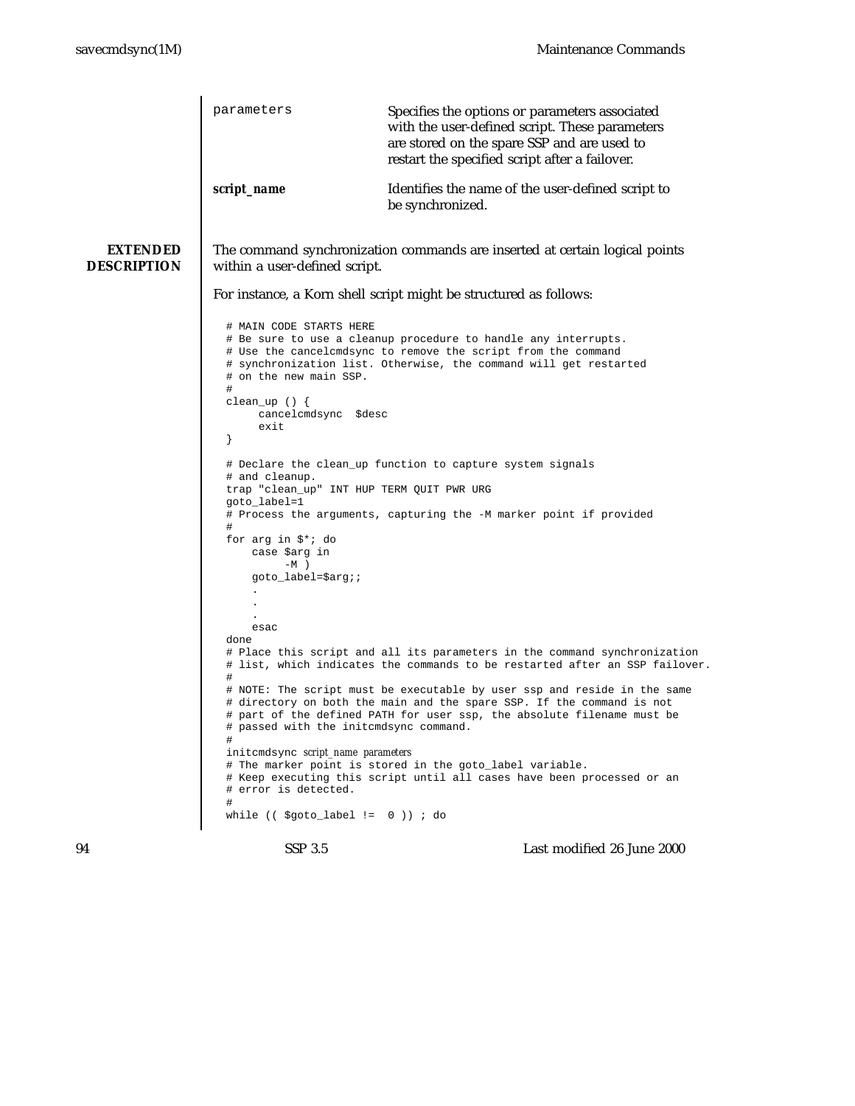```
parameters Specifies the options or parameters associated
                                               with the user-defined script. These parameters
                                               are stored on the spare SSP and are used to
                                               restart the specified script after a failover.
                   script_name Identifies the name of the user-defined script to
                                               be synchronized.
   EXTENDED
DESCRIPTION
                   The command synchronization commands are inserted at certain logical points
                   within a user-defined script.
                   For instance, a Korn shell script might be structured as follows:
                      # MAIN CODE STARTS HERE
                      # Be sure to use a cleanup procedure to handle any interrupts.
                      # Use the cancelcmdsync to remove the script from the command
                      # synchronization list. Otherwise, the command will get restarted
                      # on the new main SSP.
                      #
                      clean_up () {
                           cancelcmdsync $desc
                           exit
                      }
                      # Declare the clean_up function to capture system signals
                      # and cleanup.
                      trap "clean_up" INT HUP TERM QUIT PWR URG
                      goto_label=1
                      # Process the arguments, capturing the -M marker point if provided
                      #
                      for arg in $*; do
                          case $arg in
                             -M)
                          goto_label=$arg;;
                          .
                          .
                          .
                          esac
                     done
                      # Place this script and all its parameters in the command synchronization
                      # list, which indicates the commands to be restarted after an SSP failover.
                      #
                      # NOTE: The script must be executable by user ssp and reside in the same
                      # directory on both the main and the spare SSP. If the command is not
                      # part of the defined PATH for user ssp, the absolute filename must be
                      # passed with the initcmdsync command.
                      #
                      initcmdsync script_name parameters
                      # The marker point is stored in the goto_label variable.
                      # Keep executing this script until all cases have been processed or an
                      # error is detected.
                      #
                      while (( $goto_label != 0 )) ; do
```
94 SSP 3.5 Last modified 26 June 2000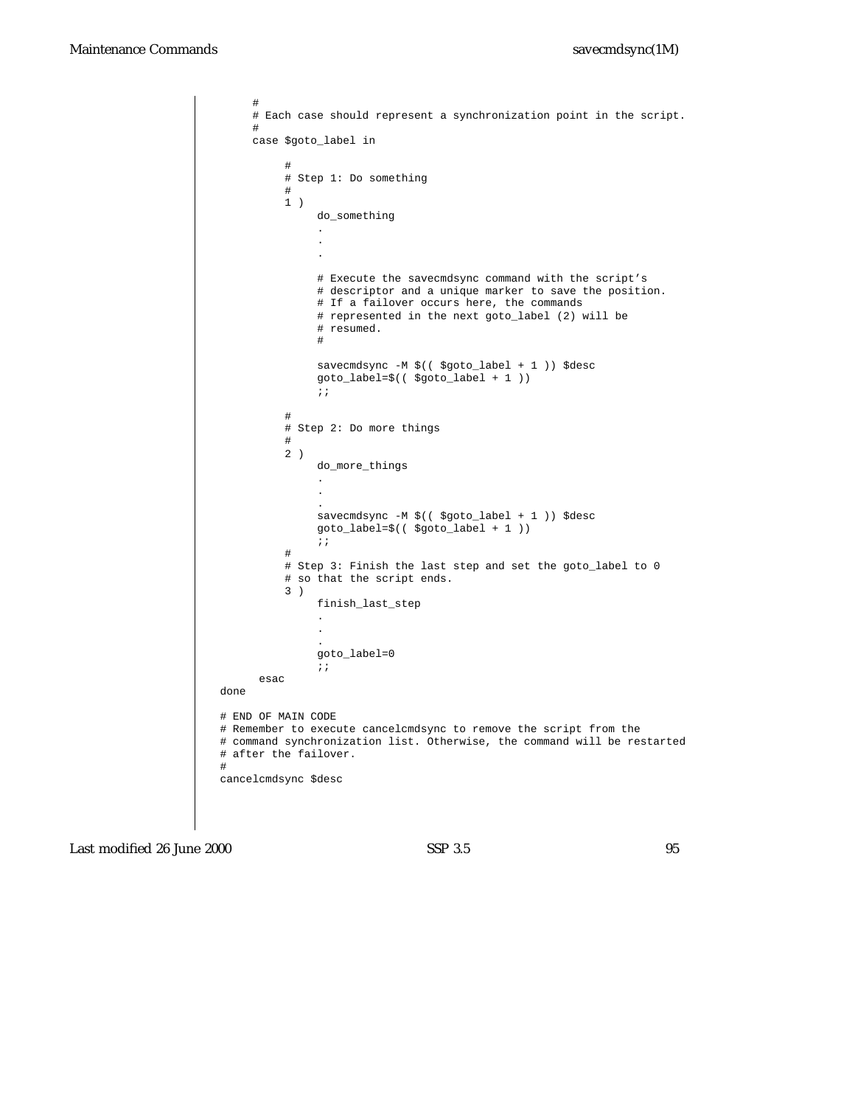```
#
     # Each case should represent a synchronization point in the script.
     #
     case $goto_label in
          #
          # Step 1: Do something
          #
          1 )
               do_something
                .
                .
                .
               # Execute the savecmdsync command with the script's
               # descriptor and a unique marker to save the position.
               # If a failover occurs here, the commands
               # represented in the next goto_label (2) will be
               # resumed.
               #
               savecmdsync -M $(( $goto_label + 1 )) $desc
               goto_label=$(( $goto_label + 1 ))
               ;;
          #
          # Step 2: Do more things
          #
          2 )
               do_more_things
                .
                .
                .
               savecmdsync -M $(( $goto_label + 1 )) $desc
               goto_label=$(( $goto_label + 1 ))
               ;;
          #
          # Step 3: Finish the last step and set the goto_label to 0
          # so that the script ends.
          3 )
               finish_last_step
                .
                .
                .
               goto_label=0
               \boldsymbol{i} \boldsymbol{i}esac
done
# END OF MAIN CODE
# Remember to execute cancelcmdsync to remove the script from the
# command synchronization list. Otherwise, the command will be restarted
# after the failover.
#
cancelcmdsync $desc
```
Last modified 26 June 2000 SSP 3.5 95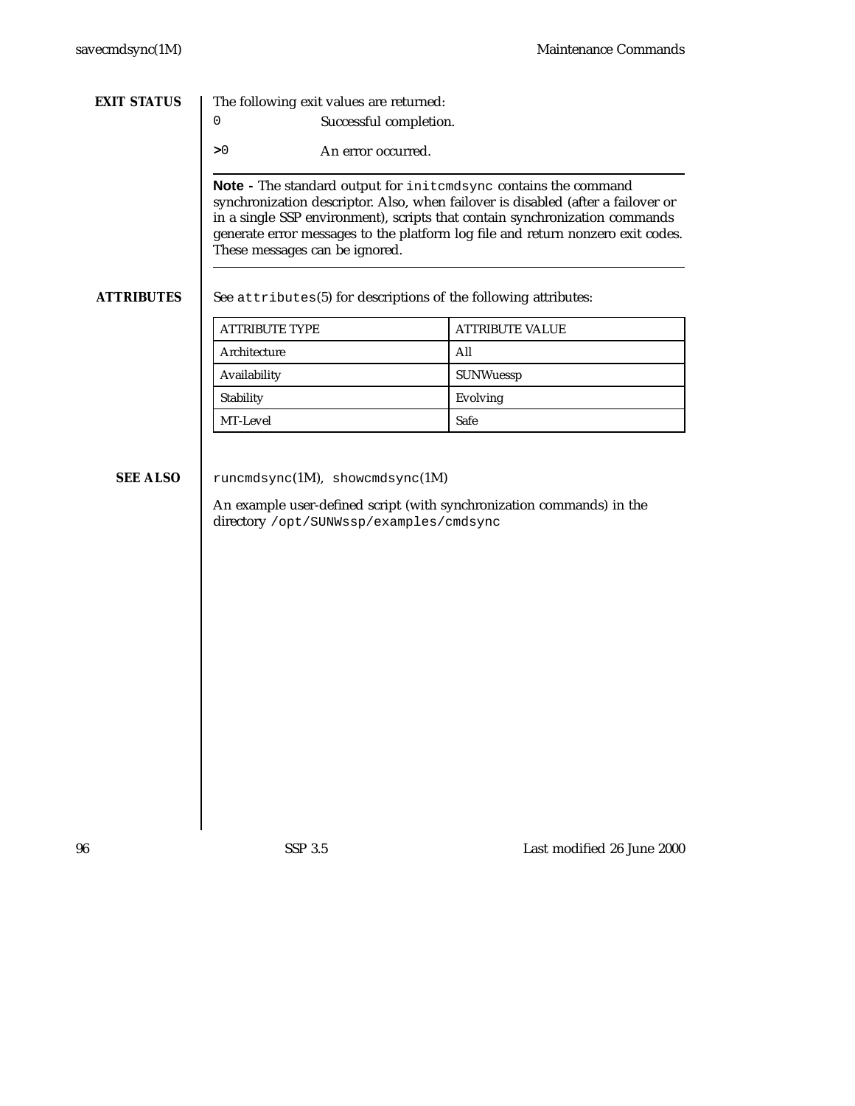| <b>EXIT STATUS</b> | The following exit values are returned:                                                                                                                                                                                                                                                                                                                 |                        |  |
|--------------------|---------------------------------------------------------------------------------------------------------------------------------------------------------------------------------------------------------------------------------------------------------------------------------------------------------------------------------------------------------|------------------------|--|
|                    | Successful completion.<br>0                                                                                                                                                                                                                                                                                                                             |                        |  |
|                    | >0<br>An error occurred.                                                                                                                                                                                                                                                                                                                                |                        |  |
|                    | Note - The standard output for initemdsyne contains the command<br>synchronization descriptor. Also, when failover is disabled (after a failover or<br>in a single SSP environment), scripts that contain synchronization commands<br>generate error messages to the platform log file and return nonzero exit codes.<br>These messages can be ignored. |                        |  |
| <b>ATTRIBUTES</b>  | See attributes(5) for descriptions of the following attributes:                                                                                                                                                                                                                                                                                         |                        |  |
|                    | <b>ATTRIBUTE TYPE</b>                                                                                                                                                                                                                                                                                                                                   | <b>ATTRIBUTE VALUE</b> |  |
|                    | Architecture                                                                                                                                                                                                                                                                                                                                            | All                    |  |
|                    | Availability                                                                                                                                                                                                                                                                                                                                            | SUNWuessp              |  |
|                    | Stability                                                                                                                                                                                                                                                                                                                                               | Evolving               |  |
|                    | MT-Level                                                                                                                                                                                                                                                                                                                                                | Safe                   |  |
| <b>SEE ALSO</b>    | runcmdsync(1M), showcmdsync(1M)<br>An example user-defined script (with synchronization commands) in the<br>directory /opt/SUNWssp/examples/cmdsync                                                                                                                                                                                                     |                        |  |

96 SSP 3.5 Last modified 26 June 2000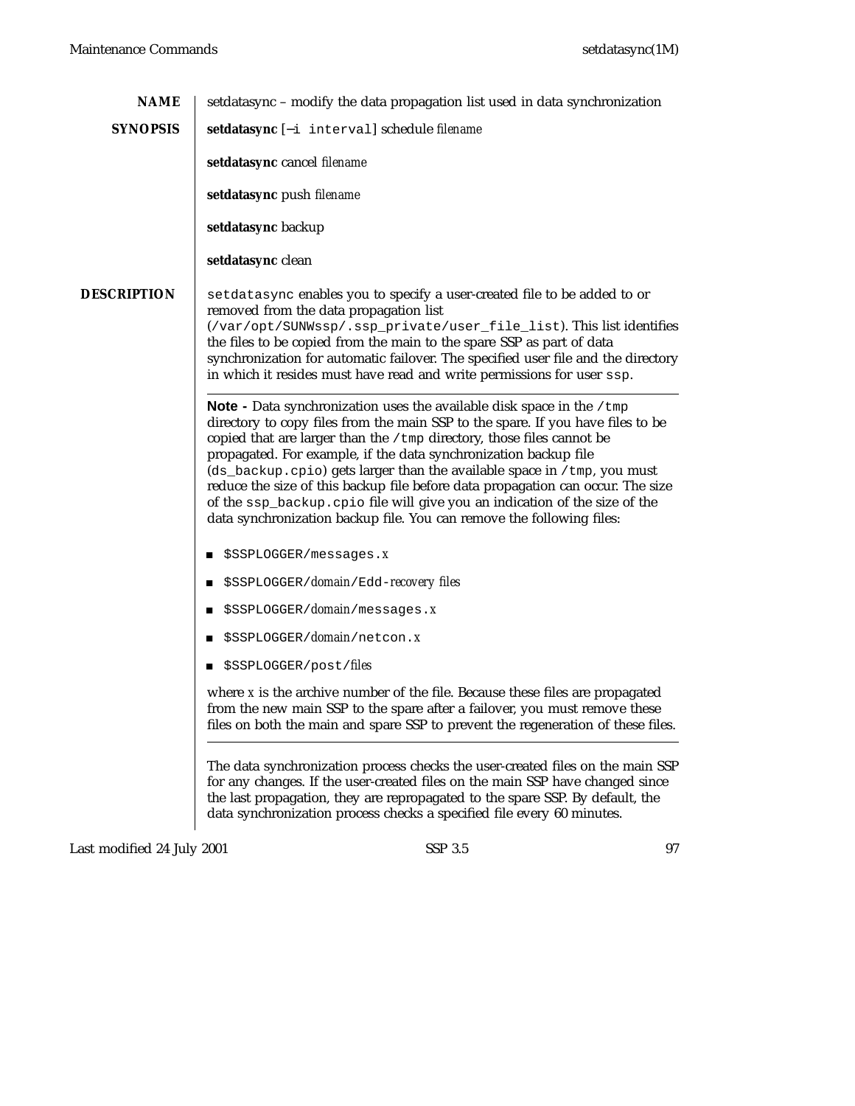| <b>NAME</b>        | setdatasync - modify the data propagation list used in data synchronization                                                                                                                                                                                                                                                                                                                                                                                                                                                                                                                                                                |  |
|--------------------|--------------------------------------------------------------------------------------------------------------------------------------------------------------------------------------------------------------------------------------------------------------------------------------------------------------------------------------------------------------------------------------------------------------------------------------------------------------------------------------------------------------------------------------------------------------------------------------------------------------------------------------------|--|
| <b>SYNOPSIS</b>    | setdatasync [-i interval] schedule filename                                                                                                                                                                                                                                                                                                                                                                                                                                                                                                                                                                                                |  |
|                    | setdatasync cancel filename                                                                                                                                                                                                                                                                                                                                                                                                                                                                                                                                                                                                                |  |
|                    | setdatasync push filename                                                                                                                                                                                                                                                                                                                                                                                                                                                                                                                                                                                                                  |  |
|                    | setdatasync backup                                                                                                                                                                                                                                                                                                                                                                                                                                                                                                                                                                                                                         |  |
|                    | setdatasync clean                                                                                                                                                                                                                                                                                                                                                                                                                                                                                                                                                                                                                          |  |
| <b>DESCRIPTION</b> | setdatasync enables you to specify a user-created file to be added to or<br>removed from the data propagation list<br>(/var/opt/SUNWssp/.ssp_private/user_file_list). This list identifies<br>the files to be copied from the main to the spare SSP as part of data<br>synchronization for automatic failover. The specified user file and the directory<br>in which it resides must have read and write permissions for user ssp.                                                                                                                                                                                                         |  |
|                    | <b>Note -</b> Data synchronization uses the available disk space in the $/\text{tmp}$<br>directory to copy files from the main SSP to the spare. If you have files to be<br>copied that are larger than the /tmp directory, those files cannot be<br>propagated. For example, if the data synchronization backup file<br>(ds_backup.cpio) gets larger than the available space in /tmp, you must<br>reduce the size of this backup file before data propagation can occur. The size<br>of the ssp_backup.cpio file will give you an indication of the size of the<br>data synchronization backup file. You can remove the following files: |  |
|                    | \$SSPLOGGER/messages.X<br>■                                                                                                                                                                                                                                                                                                                                                                                                                                                                                                                                                                                                                |  |
|                    | \$SSPLOGGER/domain/Edd-recovery files<br>■                                                                                                                                                                                                                                                                                                                                                                                                                                                                                                                                                                                                 |  |
|                    | ■ \$SSPLOGGER/domain/messages.X                                                                                                                                                                                                                                                                                                                                                                                                                                                                                                                                                                                                            |  |
|                    | \$SSPLOGGER/domain/netcon.X                                                                                                                                                                                                                                                                                                                                                                                                                                                                                                                                                                                                                |  |
|                    | ■ \$SSPLOGGER/post/ <i>files</i>                                                                                                                                                                                                                                                                                                                                                                                                                                                                                                                                                                                                           |  |
|                    | where $x$ is the archive number of the file. Because these files are propagated<br>from the new main SSP to the spare after a failover, you must remove these<br>files on both the main and spare SSP to prevent the regeneration of these files.                                                                                                                                                                                                                                                                                                                                                                                          |  |
|                    | The data synchronization process checks the user-created files on the main SSP<br>for any changes. If the user-created files on the main SSP have changed since<br>the last propagation, they are repropagated to the spare SSP. By default, the                                                                                                                                                                                                                                                                                                                                                                                           |  |

Last modified 24 July 2001 SSP 3.5 97

data synchronization process checks a specified file every 60 minutes.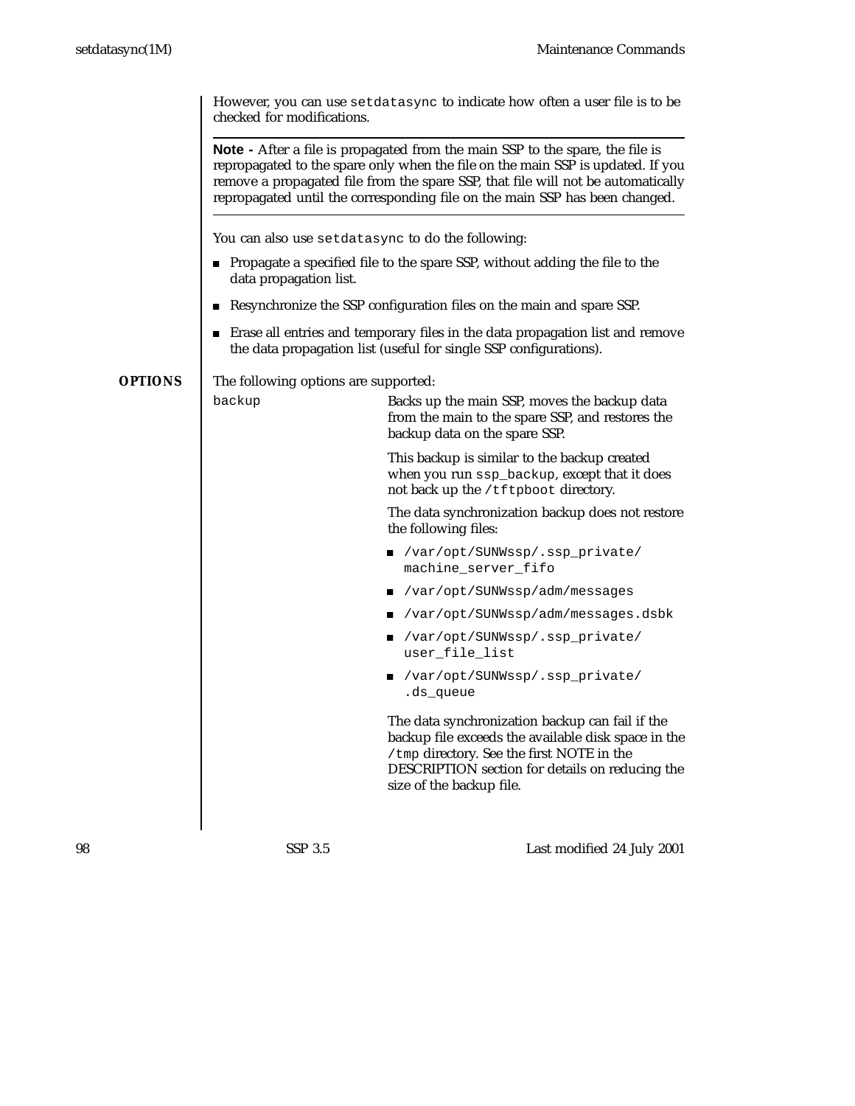However, you can use setdatasync to indicate how often a user file is to be checked for modifications.

**Note -** After a file is propagated from the main SSP to the spare, the file is repropagated to the spare only when the file on the main SSP is updated. If you remove a propagated file from the spare SSP, that file will not be automatically repropagated until the corresponding file on the main SSP has been changed.

You can also use setdatasync to do the following:

- **Propagate a specified file to the spare SSP, without adding the file to the** data propagation list.
- Resynchronize the SSP configuration files on the main and spare SSP.
- Erase all entries and temporary files in the data propagation list and remove the data propagation list (useful for single SSP configurations).

## **OPTIONS**

| Backs up the main SSP, moves the backup data<br>from the main to the spare SSP, and restores the<br>backup data on the spare SSP.<br>This backup is similar to the backup created<br>when you run ssp_backup, except that it does<br>not back up the /tftpboot directory.<br>The data synchronization backup does not restore<br>the following files:<br>/var/opt/SUNWssp/.ssp_private/<br>machine server fifo<br>/var/opt/SUNWssp/adm/messages<br>п<br>/var/opt/SUNWssp/adm/messages.dsbk |
|--------------------------------------------------------------------------------------------------------------------------------------------------------------------------------------------------------------------------------------------------------------------------------------------------------------------------------------------------------------------------------------------------------------------------------------------------------------------------------------------|
|                                                                                                                                                                                                                                                                                                                                                                                                                                                                                            |
|                                                                                                                                                                                                                                                                                                                                                                                                                                                                                            |
|                                                                                                                                                                                                                                                                                                                                                                                                                                                                                            |
|                                                                                                                                                                                                                                                                                                                                                                                                                                                                                            |
|                                                                                                                                                                                                                                                                                                                                                                                                                                                                                            |
|                                                                                                                                                                                                                                                                                                                                                                                                                                                                                            |
| /var/opt/SUNWssp/.ssp_private/<br>П<br>user file list                                                                                                                                                                                                                                                                                                                                                                                                                                      |
| /var/opt/SUNWssp/.ssp_private/<br>$\blacksquare$<br>.ds_queue                                                                                                                                                                                                                                                                                                                                                                                                                              |
| The data synchronization backup can fail if the<br>backup file exceeds the available disk space in the<br>/tmp directory. See the first NOTE in the<br>DESCRIPTION section for details on reducing the<br>size of the backup file.                                                                                                                                                                                                                                                         |
|                                                                                                                                                                                                                                                                                                                                                                                                                                                                                            |

98 SSP 3.5 Last modified 24 July 2001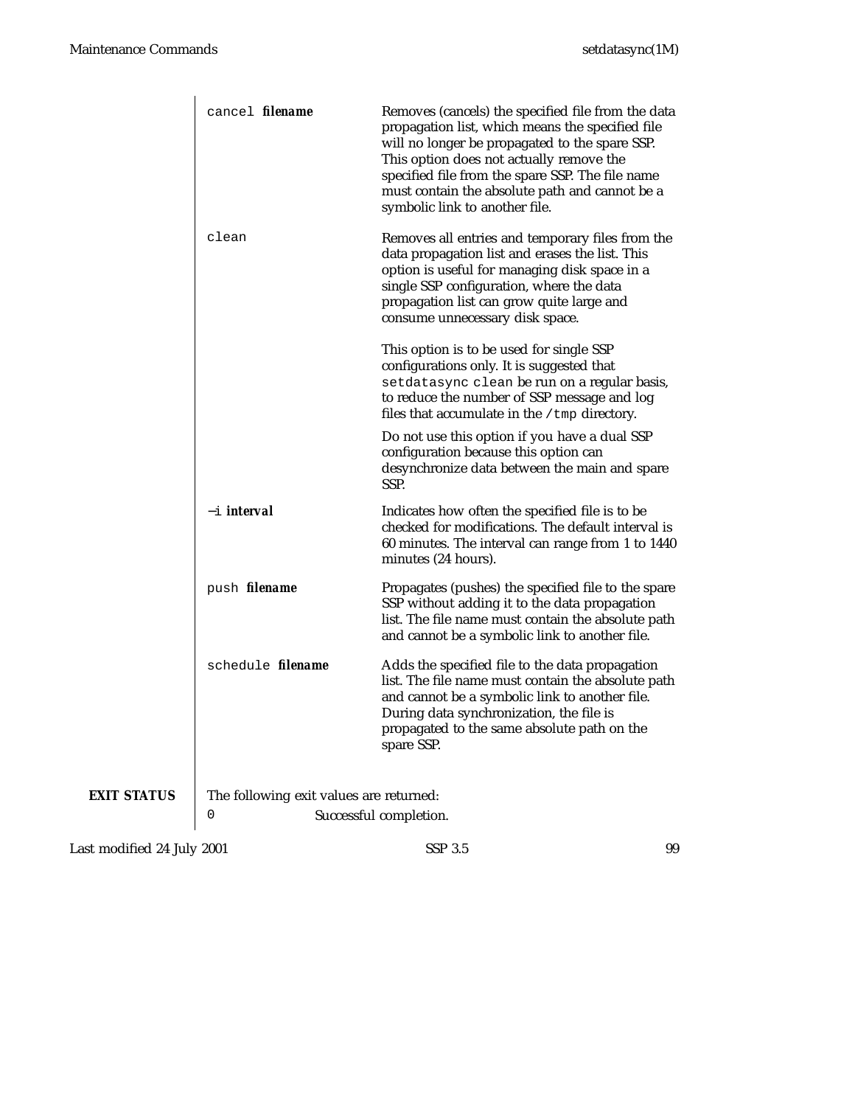|                            | cancel filename                         | Removes (cancels) the specified file from the data<br>propagation list, which means the specified file<br>will no longer be propagated to the spare SSP.<br>This option does not actually remove the<br>specified file from the spare SSP. The file name<br>must contain the absolute path and cannot be a<br>symbolic link to another file. |    |
|----------------------------|-----------------------------------------|----------------------------------------------------------------------------------------------------------------------------------------------------------------------------------------------------------------------------------------------------------------------------------------------------------------------------------------------|----|
|                            | clean                                   | Removes all entries and temporary files from the<br>data propagation list and erases the list. This<br>option is useful for managing disk space in a<br>single SSP configuration, where the data<br>propagation list can grow quite large and<br>consume unnecessary disk space.                                                             |    |
|                            |                                         | This option is to be used for single SSP<br>configurations only. It is suggested that<br>setdatasync clean be run on a regular basis,<br>to reduce the number of SSP message and log<br>files that accumulate in the /tmp directory.                                                                                                         |    |
|                            |                                         | Do not use this option if you have a dual SSP<br>configuration because this option can<br>desynchronize data between the main and spare<br>SSP.                                                                                                                                                                                              |    |
|                            | -i interval                             | Indicates how often the specified file is to be<br>checked for modifications. The default interval is<br>60 minutes. The interval can range from 1 to 1440<br>minutes (24 hours).                                                                                                                                                            |    |
|                            | push filename                           | Propagates (pushes) the specified file to the spare<br>SSP without adding it to the data propagation<br>list. The file name must contain the absolute path<br>and cannot be a symbolic link to another file.                                                                                                                                 |    |
|                            | schedule filename                       | Adds the specified file to the data propagation<br>list. The file name must contain the absolute path<br>and cannot be a symbolic link to another file.<br>During data synchronization, the file is<br>propagated to the same absolute path on the<br>spare SSP.                                                                             |    |
| <b>EXIT STATUS</b>         | The following exit values are returned: |                                                                                                                                                                                                                                                                                                                                              |    |
|                            | 0                                       | Successful completion.                                                                                                                                                                                                                                                                                                                       |    |
| Last modified 24 July 2001 |                                         | SSP 3.5                                                                                                                                                                                                                                                                                                                                      | 99 |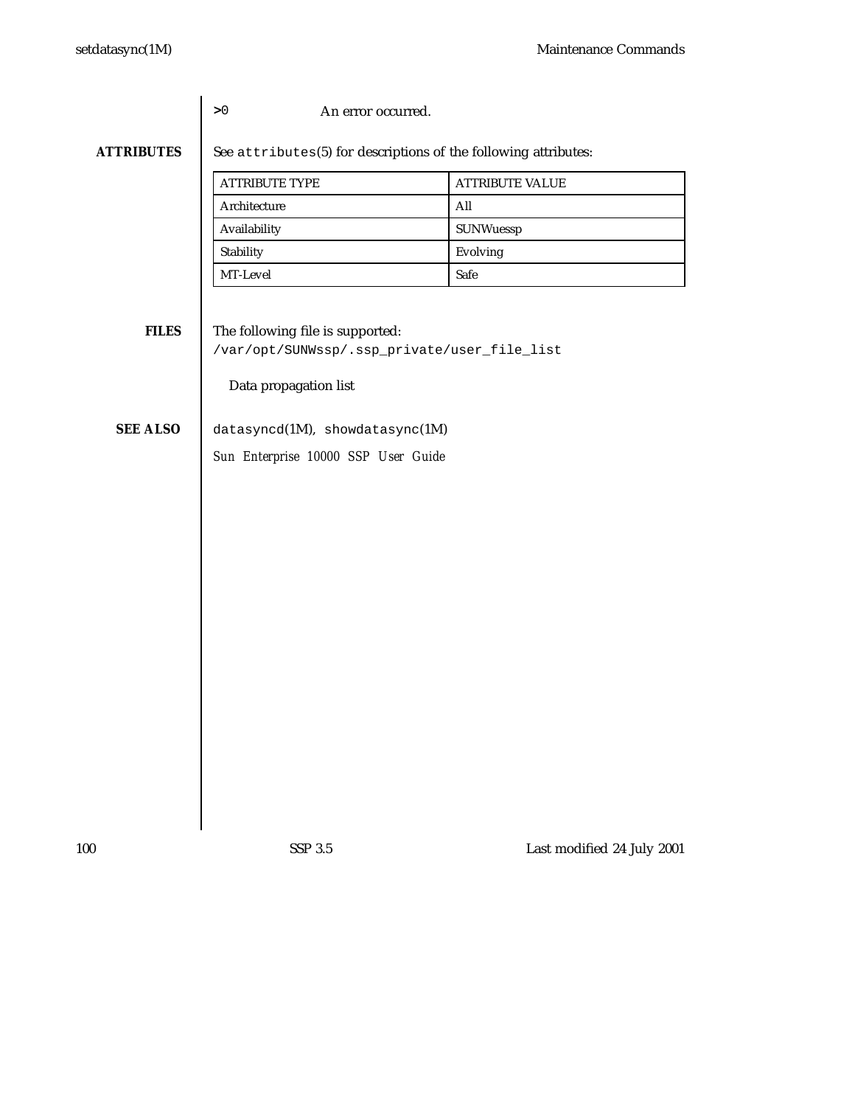|                   | ${>}0$                                                                 | An error occurred.                                              |
|-------------------|------------------------------------------------------------------------|-----------------------------------------------------------------|
| <b>ATTRIBUTES</b> |                                                                        | See attributes(5) for descriptions of the following attributes: |
|                   | <b>ATTRIBUTE TYPE</b>                                                  | <b>ATTRIBUTE VALUE</b>                                          |
|                   | Architecture                                                           | All                                                             |
|                   | Availability                                                           | SUNWuessp                                                       |
|                   | Stability                                                              | Evolving                                                        |
|                   | MT-Level                                                               | Safe                                                            |
| <b>FILES</b>      | The following file is supported:<br>Data propagation list              | /var/opt/SUNWssp/.ssp_private/user_file_list                    |
| <b>SEE ALSO</b>   | datasyncd(1M), showdatasync(1M)<br>Sun Enterprise 10000 SSP User Guide |                                                                 |
|                   |                                                                        |                                                                 |
| 100               | SSP 3.5                                                                | Last modified 24 July 2001                                      |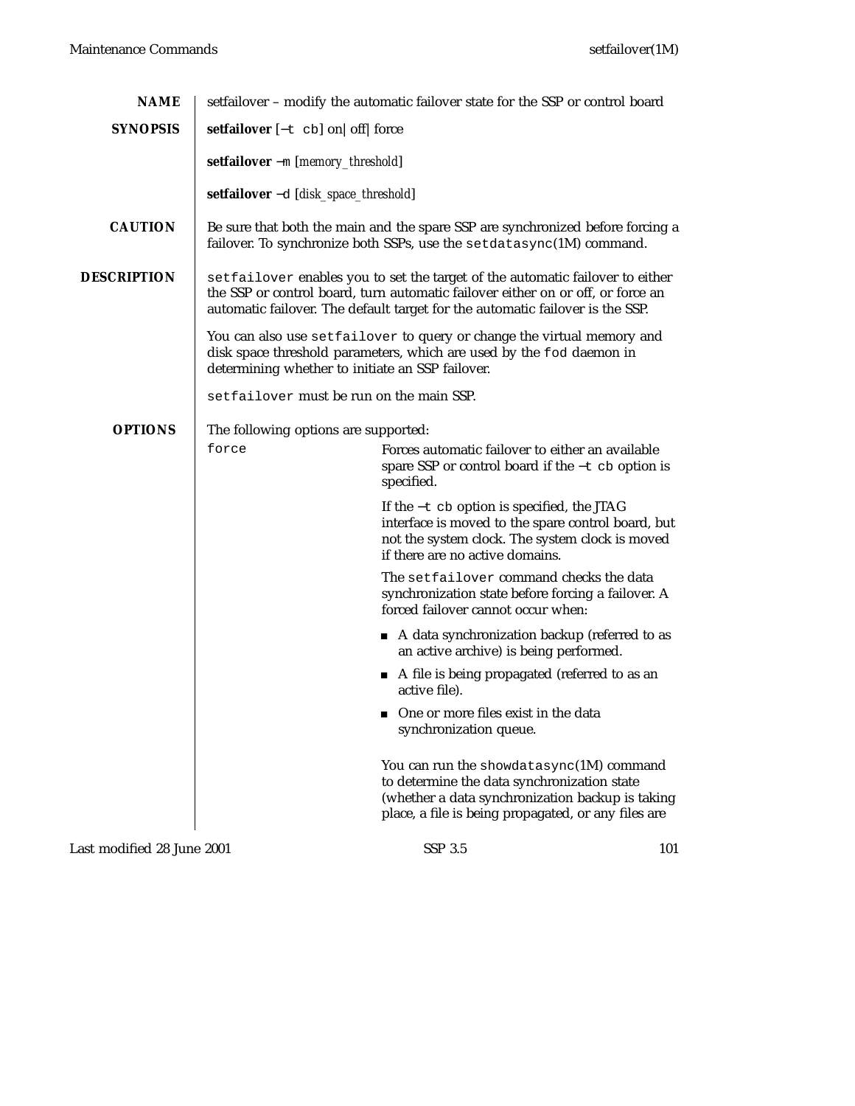| <b>NAME</b>        | setfailover - modify the automatic failover state for the SSP or control board                                                                                                                                                                    |                                                                                                                                                                                                    |
|--------------------|---------------------------------------------------------------------------------------------------------------------------------------------------------------------------------------------------------------------------------------------------|----------------------------------------------------------------------------------------------------------------------------------------------------------------------------------------------------|
| <b>SYNOPSIS</b>    | setfailover $[-t \ cb]$ on $of$ force                                                                                                                                                                                                             |                                                                                                                                                                                                    |
|                    | setfailover -m [memory_threshold]                                                                                                                                                                                                                 |                                                                                                                                                                                                    |
|                    | setfailover -d [disk_space_threshold]                                                                                                                                                                                                             |                                                                                                                                                                                                    |
| <b>CAUTION</b>     |                                                                                                                                                                                                                                                   | Be sure that both the main and the spare SSP are synchronized before forcing a<br>failover. To synchronize both SSPs, use the set datasync(1M) command.                                            |
| <b>DESCRIPTION</b> | setfailover enables you to set the target of the automatic failover to either<br>the SSP or control board, turn automatic failover either on or off, or force an<br>automatic failover. The default target for the automatic failover is the SSP. |                                                                                                                                                                                                    |
|                    | You can also use setfailover to query or change the virtual memory and<br>disk space threshold parameters, which are used by the fod daemon in<br>determining whether to initiate an SSP failover.                                                |                                                                                                                                                                                                    |
|                    | setfailover must be run on the main SSP.                                                                                                                                                                                                          |                                                                                                                                                                                                    |
| <b>OPTIONS</b>     | The following options are supported:                                                                                                                                                                                                              |                                                                                                                                                                                                    |
|                    | force                                                                                                                                                                                                                                             | Forces automatic failover to either an available<br>spare SSP or control board if the $-t$ cb option is<br>specified.                                                                              |
|                    |                                                                                                                                                                                                                                                   | If the $-t$ cb option is specified, the JTAG<br>interface is moved to the spare control board, but<br>not the system clock. The system clock is moved<br>if there are no active domains.           |
|                    |                                                                                                                                                                                                                                                   | The setfailover command checks the data<br>synchronization state before forcing a failover. A<br>forced failover cannot occur when:                                                                |
|                    |                                                                                                                                                                                                                                                   | A data synchronization backup (referred to as<br>an active archive) is being performed.                                                                                                            |
|                    |                                                                                                                                                                                                                                                   | A file is being propagated (referred to as an<br>active file).                                                                                                                                     |
|                    |                                                                                                                                                                                                                                                   | • One or more files exist in the data<br>synchronization queue.                                                                                                                                    |
|                    |                                                                                                                                                                                                                                                   | You can run the showdatasync(1M) command<br>to determine the data synchronization state<br>(whether a data synchronization backup is taking<br>place, a file is being propagated, or any files are |

Last modified 28 June 2001 SSP 3.5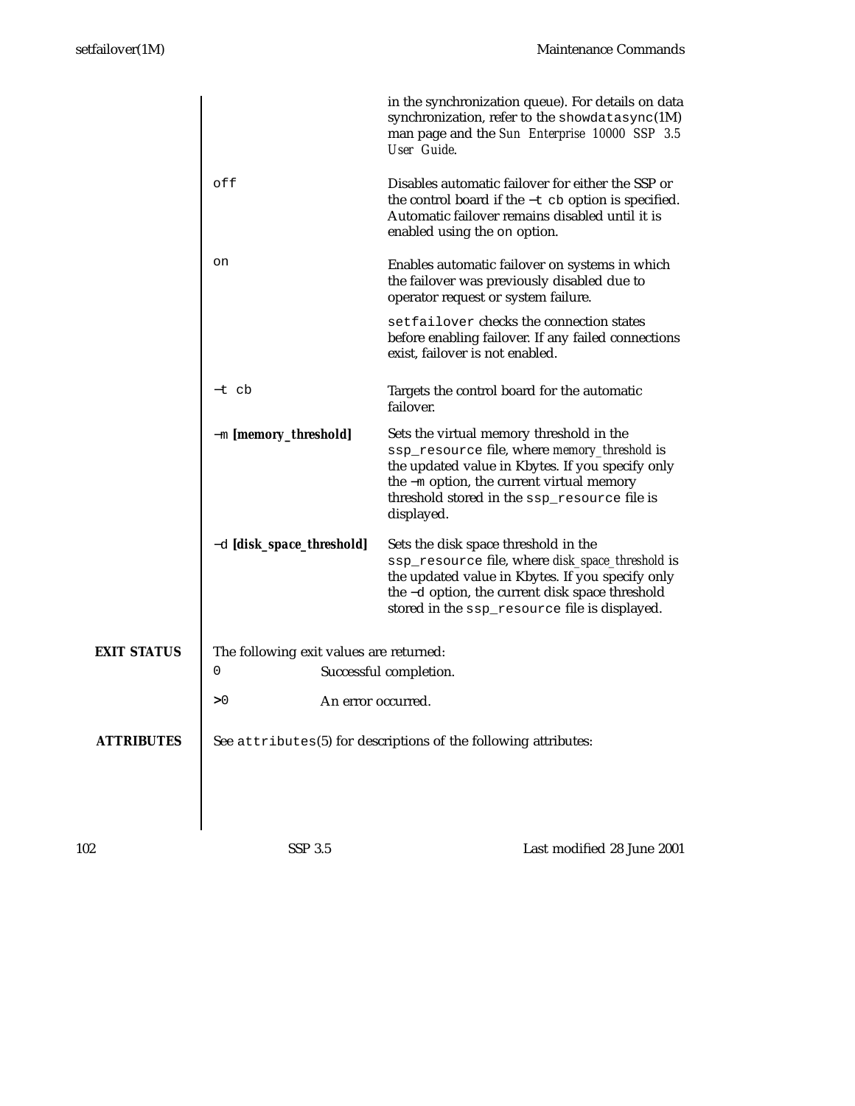|                    |                                              | in the synchronization queue). For details on data<br>synchronization, refer to the showdatasync(1M)<br>man page and the Sun Enterprise 10000 SSP 3.5<br>User Guide.                                                                                    |  |
|--------------------|----------------------------------------------|---------------------------------------------------------------------------------------------------------------------------------------------------------------------------------------------------------------------------------------------------------|--|
|                    | off                                          | Disables automatic failover for either the SSP or<br>the control board if the $-t$ cb option is specified.<br>Automatic failover remains disabled until it is<br>enabled using the on option.                                                           |  |
|                    | on                                           | Enables automatic failover on systems in which<br>the failover was previously disabled due to<br>operator request or system failure.                                                                                                                    |  |
|                    |                                              | setfailover checks the connection states<br>before enabling failover. If any failed connections<br>exist, failover is not enabled.                                                                                                                      |  |
|                    | -t cb                                        | Targets the control board for the automatic<br>failover.                                                                                                                                                                                                |  |
|                    | -m [memory_threshold]                        | Sets the virtual memory threshold in the<br>ssp_resource file, where memory_threshold is<br>the updated value in Kbytes. If you specify only<br>the -m option, the current virtual memory<br>threshold stored in the ssp_resource file is<br>displayed. |  |
|                    | -d [disk_space_threshold]                    | Sets the disk space threshold in the<br>ssp_resource file, where disk_space_threshold is<br>the updated value in Kbytes. If you specify only<br>the -d option, the current disk space threshold<br>stored in the ssp_resource file is displayed.        |  |
| <b>EXIT STATUS</b> | The following exit values are returned:<br>0 | Successful completion.                                                                                                                                                                                                                                  |  |
|                    | >0<br>An error occurred.                     |                                                                                                                                                                                                                                                         |  |
| <b>ATTRIBUTES</b>  |                                              | See attributes(5) for descriptions of the following attributes:                                                                                                                                                                                         |  |
|                    |                                              |                                                                                                                                                                                                                                                         |  |

102 SSP 3.5 Last modified 28 June 2001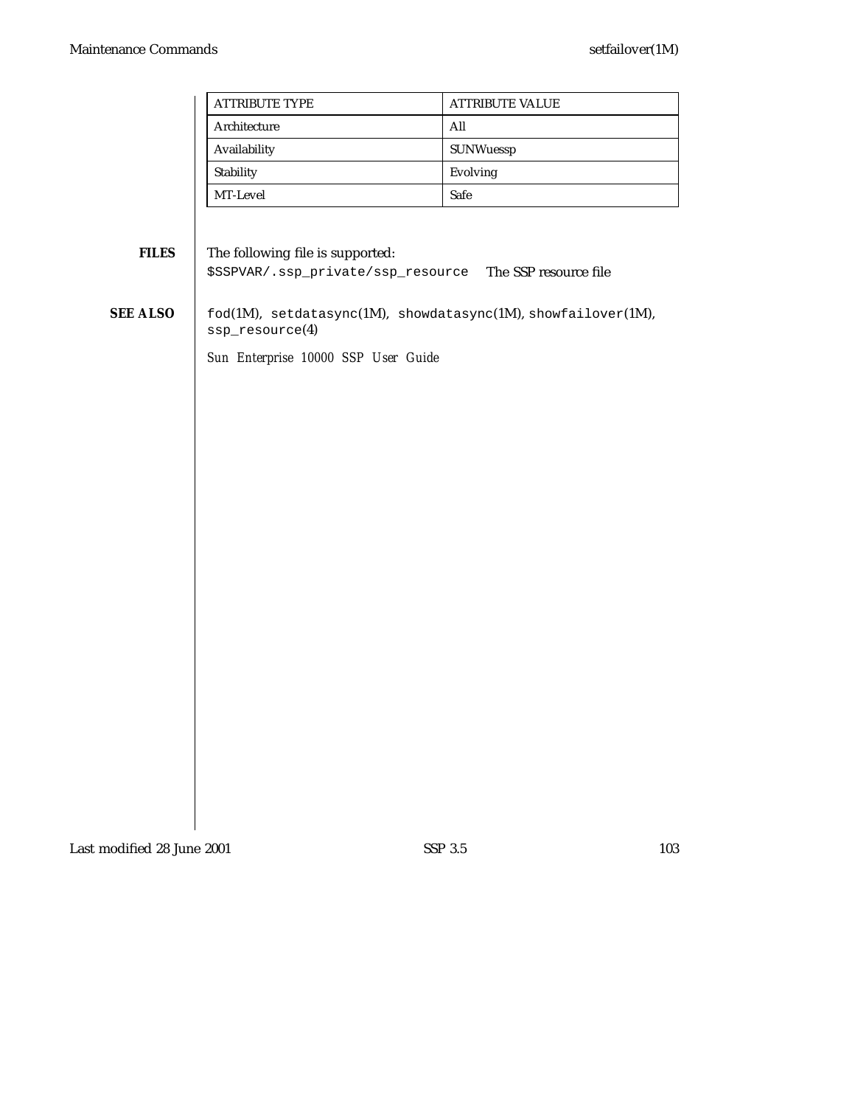|                 | <b>ATTRIBUTE TYPE</b>                                                                                    | <b>ATTRIBUTE VALUE</b> |
|-----------------|----------------------------------------------------------------------------------------------------------|------------------------|
|                 | Architecture                                                                                             | All                    |
|                 | Availability                                                                                             | SUNWuessp              |
|                 | Stability                                                                                                | Evolving               |
|                 | MT-Level                                                                                                 | Safe                   |
|                 |                                                                                                          |                        |
| <b>FILES</b>    | The following file is supported:<br>\$SSPVAR/.ssp_private/ssp_resource The SSP resource file             |                        |
| <b>SEE ALSO</b> | $f \circ d(1M)$ , setdatasync $(1M)$ , showdatasync $(1M)$ , showfailover $(1M)$ ,<br>$ssp\_resource(4)$ |                        |
|                 | Sun Enterprise 10000 SSP User Guide                                                                      |                        |
|                 |                                                                                                          |                        |
|                 |                                                                                                          |                        |
|                 |                                                                                                          |                        |
|                 |                                                                                                          |                        |
|                 |                                                                                                          |                        |
|                 |                                                                                                          |                        |
|                 |                                                                                                          |                        |

Last modified  $28$  June  $2001$  SSP  $3.5$  103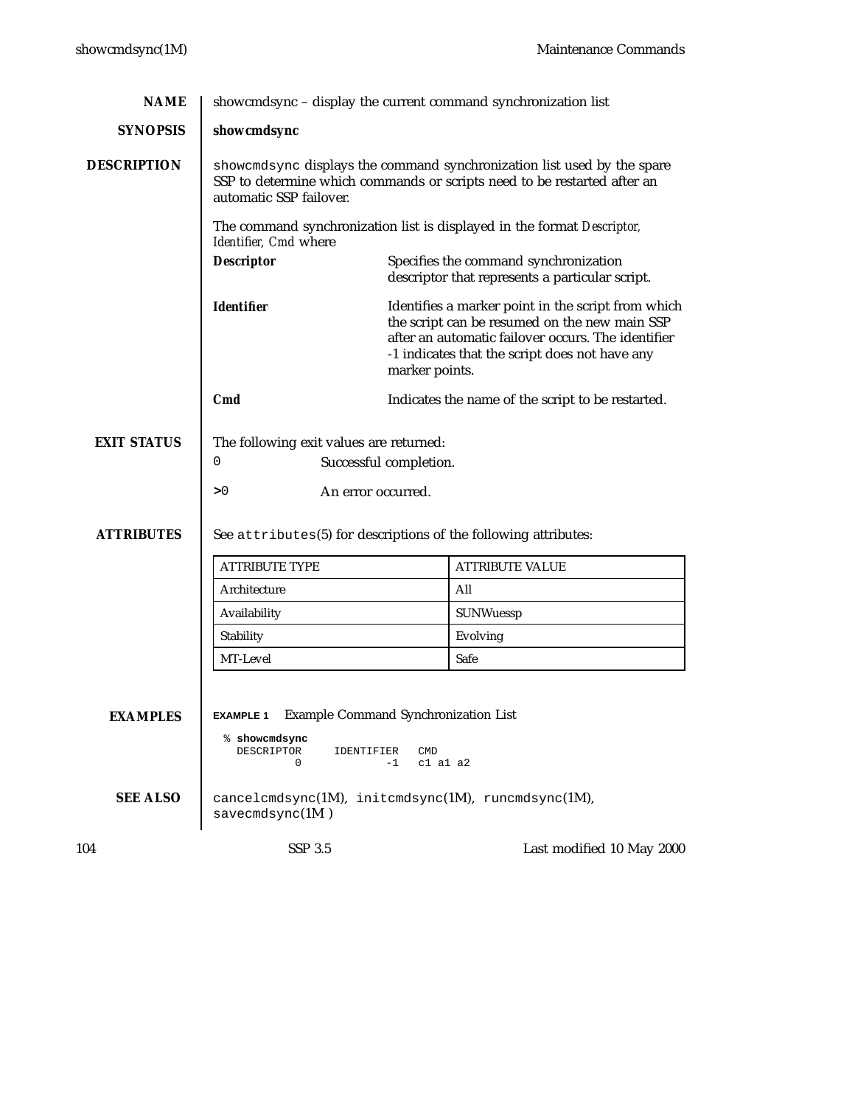| <b>NAME</b>        | showcmdsync - display the current command synchronization list                                                                                                                 |                                                                                          |                                                                                                                                                                                                             |
|--------------------|--------------------------------------------------------------------------------------------------------------------------------------------------------------------------------|------------------------------------------------------------------------------------------|-------------------------------------------------------------------------------------------------------------------------------------------------------------------------------------------------------------|
| <b>SYNOPSIS</b>    | showcmdsync                                                                                                                                                                    |                                                                                          |                                                                                                                                                                                                             |
| <b>DESCRIPTION</b> | showcmdsync displays the command synchronization list used by the spare<br>SSP to determine which commands or scripts need to be restarted after an<br>automatic SSP failover. |                                                                                          |                                                                                                                                                                                                             |
|                    | The command synchronization list is displayed in the format Descriptor,<br>Identifier, Cmd where                                                                               |                                                                                          |                                                                                                                                                                                                             |
|                    | Descriptor                                                                                                                                                                     | Specifies the command synchronization<br>descriptor that represents a particular script. |                                                                                                                                                                                                             |
|                    | <b>Identifier</b>                                                                                                                                                              | marker points.                                                                           | Identifies a marker point in the script from which<br>the script can be resumed on the new main SSP<br>after an automatic failover occurs. The identifier<br>-1 indicates that the script does not have any |
|                    | C <sub>md</sub>                                                                                                                                                                |                                                                                          | Indicates the name of the script to be restarted.                                                                                                                                                           |
| <b>EXIT STATUS</b> | The following exit values are returned:<br>0<br>Successful completion.                                                                                                         |                                                                                          |                                                                                                                                                                                                             |
|                    | >0<br>An error occurred.                                                                                                                                                       |                                                                                          |                                                                                                                                                                                                             |
| <b>ATTRIBUTES</b>  | See attributes(5) for descriptions of the following attributes:                                                                                                                |                                                                                          |                                                                                                                                                                                                             |
|                    | <b>ATTRIBUTE TYPE</b>                                                                                                                                                          |                                                                                          | ATTRIBUTE VALUE                                                                                                                                                                                             |
|                    | Architecture                                                                                                                                                                   |                                                                                          | All                                                                                                                                                                                                         |
|                    | Availability                                                                                                                                                                   |                                                                                          | SUNWuessp                                                                                                                                                                                                   |
|                    | Stability                                                                                                                                                                      |                                                                                          | Evolving                                                                                                                                                                                                    |
|                    | MT-Level                                                                                                                                                                       |                                                                                          | Safe                                                                                                                                                                                                        |
|                    |                                                                                                                                                                                |                                                                                          |                                                                                                                                                                                                             |
| <b>EXAMPLES</b>    | <b>EXAMPLE 1</b> Example Command Synchronization List                                                                                                                          |                                                                                          |                                                                                                                                                                                                             |
|                    | % showcmdsync<br>DESCRIPTOR<br><b>IDENTIFIER</b><br>0                                                                                                                          | <b>CMD</b><br>$-1$<br>$c1$ al a $2$                                                      |                                                                                                                                                                                                             |
| <b>SEE ALSO</b>    | cancelcmdsync(1M), initemdsync(1M), runcmdsync(1M),<br>$s$ avec $mds$ ync $(1M)$                                                                                               |                                                                                          |                                                                                                                                                                                                             |
| 104                | <b>SSP 3.5</b>                                                                                                                                                                 |                                                                                          | Last modified 10 May 2000                                                                                                                                                                                   |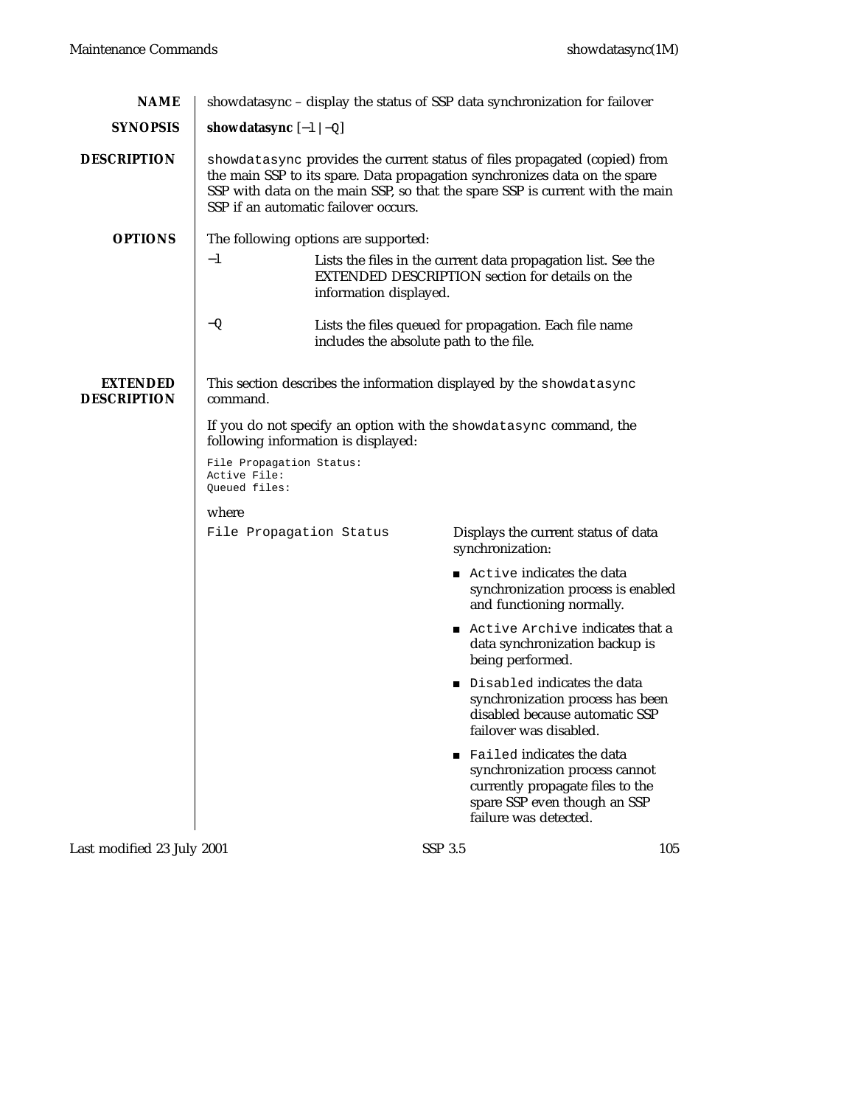| <b>NAME</b>                           | showdatasync - display the status of SSP data synchronization for failover                                                                                                                                                                                                        |                                                                                                                                            |                                                                                                                                                          |
|---------------------------------------|-----------------------------------------------------------------------------------------------------------------------------------------------------------------------------------------------------------------------------------------------------------------------------------|--------------------------------------------------------------------------------------------------------------------------------------------|----------------------------------------------------------------------------------------------------------------------------------------------------------|
| <b>SYNOPSIS</b>                       | showdatasync $[-1 -0]$                                                                                                                                                                                                                                                            |                                                                                                                                            |                                                                                                                                                          |
| <b>DESCRIPTION</b>                    | showdatasync provides the current status of files propagated (copied) from<br>the main SSP to its spare. Data propagation synchronizes data on the spare<br>SSP with data on the main SSP, so that the spare SSP is current with the main<br>SSP if an automatic failover occurs. |                                                                                                                                            |                                                                                                                                                          |
| <b>OPTIONS</b>                        |                                                                                                                                                                                                                                                                                   | The following options are supported:                                                                                                       |                                                                                                                                                          |
|                                       | -1                                                                                                                                                                                                                                                                                | Lists the files in the current data propagation list. See the<br>EXTENDED DESCRIPTION section for details on the<br>information displayed. |                                                                                                                                                          |
|                                       | -Q                                                                                                                                                                                                                                                                                | includes the absolute path to the file.                                                                                                    | Lists the files queued for propagation. Each file name                                                                                                   |
| <b>EXTENDED</b><br><b>DESCRIPTION</b> | This section describes the information displayed by the showdatasync<br>command.                                                                                                                                                                                                  |                                                                                                                                            |                                                                                                                                                          |
|                                       | If you do not specify an option with the showdatasync command, the<br>following information is displayed:                                                                                                                                                                         |                                                                                                                                            |                                                                                                                                                          |
|                                       | File Propagation Status:<br>Active File:<br>Oueued files:                                                                                                                                                                                                                         |                                                                                                                                            |                                                                                                                                                          |
|                                       | where                                                                                                                                                                                                                                                                             |                                                                                                                                            |                                                                                                                                                          |
|                                       | File Propagation Status                                                                                                                                                                                                                                                           |                                                                                                                                            | Displays the current status of data<br>synchronization:                                                                                                  |
|                                       |                                                                                                                                                                                                                                                                                   |                                                                                                                                            | Active indicates the data<br>synchronization process is enabled<br>and functioning normally.                                                             |
|                                       |                                                                                                                                                                                                                                                                                   |                                                                                                                                            | ■ Active Archive indicates that a<br>data synchronization backup is<br>being performed.                                                                  |
|                                       |                                                                                                                                                                                                                                                                                   |                                                                                                                                            | ■ Disabled indicates the data<br>synchronization process has been<br>disabled because automatic SSP<br>failover was disabled.                            |
|                                       |                                                                                                                                                                                                                                                                                   |                                                                                                                                            | Failed indicates the data<br>synchronization process cannot<br>currently propagate files to the<br>spare SSP even though an SSP<br>failure was detected. |

Last modified 23 July 2001 SSP 3.5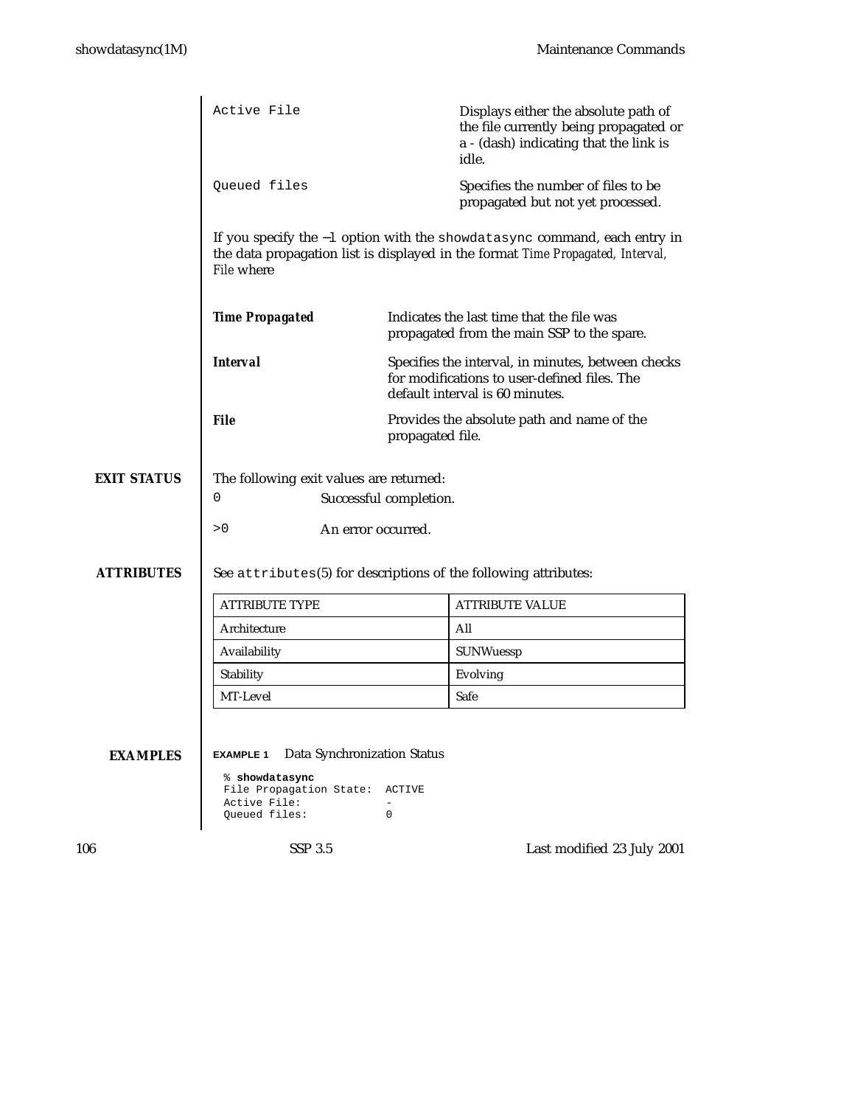|                    | Active File                                                                                                                                                                  | Displays either the absolute path of<br>the file currently being propagated or<br>a - (dash) indicating that the link is<br>idle.     |  |
|--------------------|------------------------------------------------------------------------------------------------------------------------------------------------------------------------------|---------------------------------------------------------------------------------------------------------------------------------------|--|
|                    | Queued files                                                                                                                                                                 | Specifies the number of files to be<br>propagated but not yet processed.                                                              |  |
|                    | If you specify the $-1$ option with the showdatasync command, each entry in<br>the data propagation list is displayed in the format Time Propagated, Interval,<br>File where |                                                                                                                                       |  |
|                    | Time Propagated                                                                                                                                                              | Indicates the last time that the file was<br>propagated from the main SSP to the spare.                                               |  |
|                    | Interval                                                                                                                                                                     | Specifies the interval, in minutes, between checks<br>for modifications to user-defined files. The<br>default interval is 60 minutes. |  |
|                    | File                                                                                                                                                                         | Provides the absolute path and name of the<br>propagated file.                                                                        |  |
| <b>EXIT STATUS</b> | The following exit values are returned:<br>0<br>Successful completion.                                                                                                       |                                                                                                                                       |  |
|                    | > 0<br>An error occurred.                                                                                                                                                    |                                                                                                                                       |  |
| <b>ATTRIBUTES</b>  | See attributes(5) for descriptions of the following attributes:                                                                                                              |                                                                                                                                       |  |
|                    | <b>ATTRIBUTE TYPE</b>                                                                                                                                                        | <b>ATTRIBUTE VALUE</b>                                                                                                                |  |
|                    | Architecture                                                                                                                                                                 | All                                                                                                                                   |  |
|                    | Availability                                                                                                                                                                 | SUNWuessp                                                                                                                             |  |
|                    | <b>Stability</b>                                                                                                                                                             | Evolving                                                                                                                              |  |
|                    | MT-Level                                                                                                                                                                     | Safe                                                                                                                                  |  |
|                    |                                                                                                                                                                              |                                                                                                                                       |  |
| <b>EXAMPLES</b>    | Data Synchronization Status<br><b>EXAMPLE 1</b>                                                                                                                              |                                                                                                                                       |  |
|                    | % showdatasync<br>File Propagation State:<br>Active File:<br>Queued files:                                                                                                   | ACTIVE<br>$\Omega$                                                                                                                    |  |
| 106                | SSP 3.5                                                                                                                                                                      | Last modified 23 July 2001                                                                                                            |  |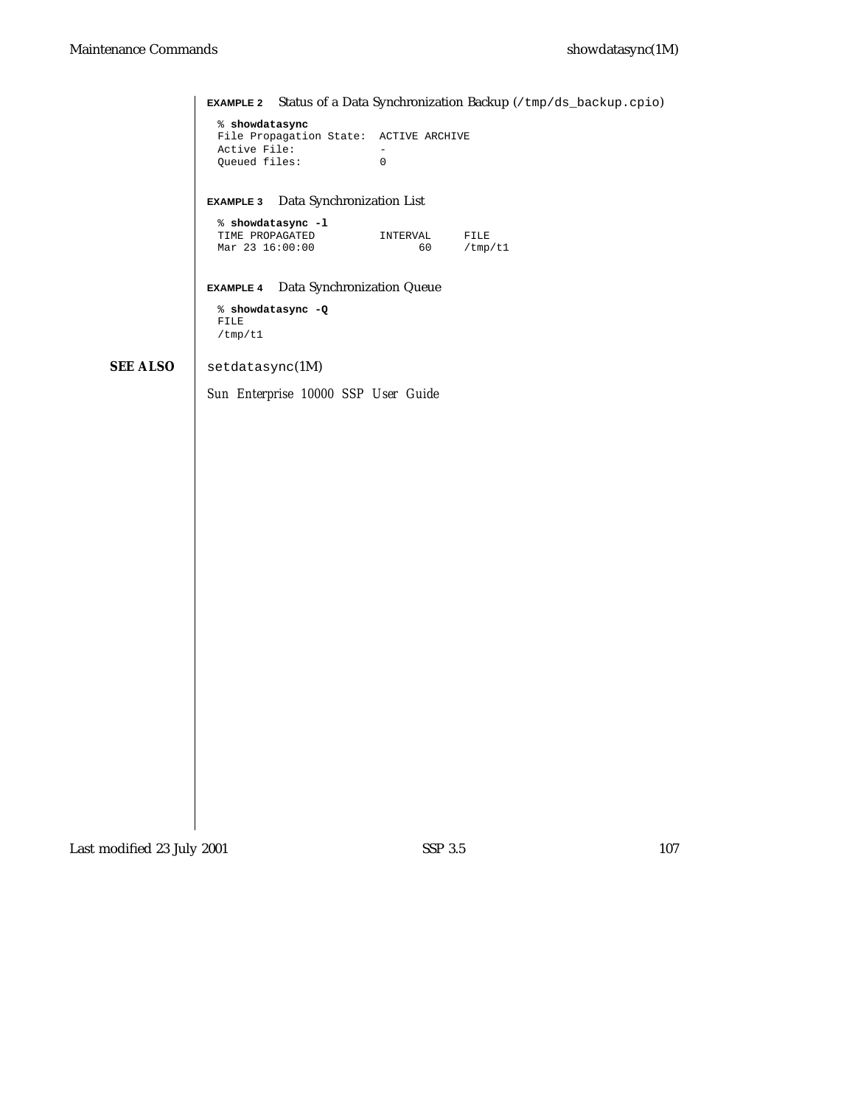**EXAMPLE 2** Status of a Data Synchronization Backup (/tmp/ds\_backup.cpio)

```
% showdatasync
File Propagation State: ACTIVE ARCHIVE
Active File: -<br>Queued files: 0
Queued files:
```
## **EXAMPLE 3** Data Synchronization List

| % showdatasync -1 |          |         |
|-------------------|----------|---------|
| TIME PROPAGATED   | INTERVAL | FTLE    |
| Mar 23 16:00:00   | 60       | /tmp/t1 |

## **EXAMPLE 4** Data Synchronization Queue

% **showdatasync -Q** FILE /tmp/t1

## **SEE ALSO** | setdatasync(1M)

*Sun Enterprise 10000 SSP User Guide*

Last modified 23 July 2001 SSP 3.5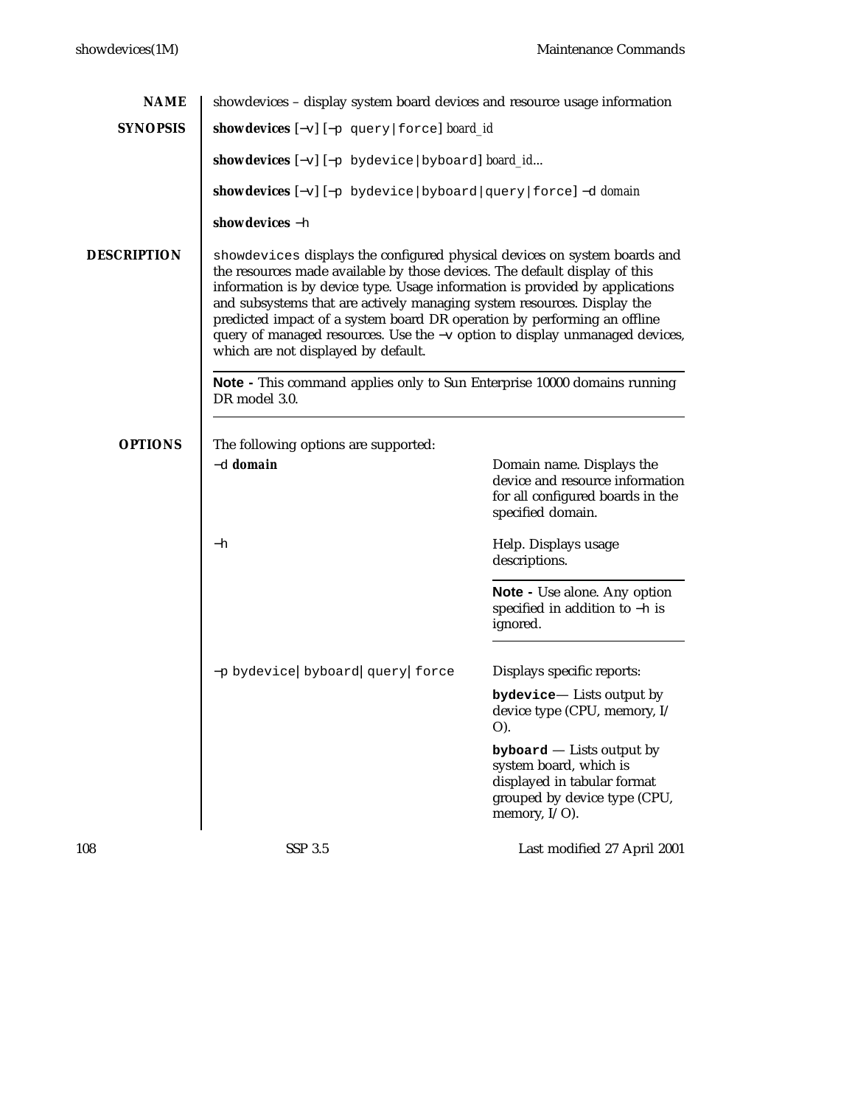| <b>NAME</b>        | showdevices - display system board devices and resource usage information                                                                                                                                                                                                                                                                                                                                                                                                                                            |                                                                                                                                        |  |
|--------------------|----------------------------------------------------------------------------------------------------------------------------------------------------------------------------------------------------------------------------------------------------------------------------------------------------------------------------------------------------------------------------------------------------------------------------------------------------------------------------------------------------------------------|----------------------------------------------------------------------------------------------------------------------------------------|--|
| <b>SYNOPSIS</b>    | showdevices [-v] [-p query   force] board_id                                                                                                                                                                                                                                                                                                                                                                                                                                                                         |                                                                                                                                        |  |
|                    | showdevices [-v] [-p bydevice   byboard] board_id                                                                                                                                                                                                                                                                                                                                                                                                                                                                    |                                                                                                                                        |  |
|                    | showdevices $[-v]$ $[-p \text{ bydevice}   \text{byboard}   \text{query}   \text{force} ]$ -d domain                                                                                                                                                                                                                                                                                                                                                                                                                 |                                                                                                                                        |  |
|                    | showdevices -h                                                                                                                                                                                                                                                                                                                                                                                                                                                                                                       |                                                                                                                                        |  |
| <b>DESCRIPTION</b> | showdevices displays the configured physical devices on system boards and<br>the resources made available by those devices. The default display of this<br>information is by device type. Usage information is provided by applications<br>and subsystems that are actively managing system resources. Display the<br>predicted impact of a system board DR operation by performing an offline<br>query of managed resources. Use the -v option to display unmanaged devices,<br>which are not displayed by default. |                                                                                                                                        |  |
|                    | Note - This command applies only to Sun Enterprise 10000 domains running<br>DR model 3.0.                                                                                                                                                                                                                                                                                                                                                                                                                            |                                                                                                                                        |  |
| <b>OPTIONS</b>     | The following options are supported:                                                                                                                                                                                                                                                                                                                                                                                                                                                                                 |                                                                                                                                        |  |
|                    | -d domain                                                                                                                                                                                                                                                                                                                                                                                                                                                                                                            | Domain name. Displays the<br>device and resource information<br>for all configured boards in the<br>specified domain.                  |  |
|                    | -h                                                                                                                                                                                                                                                                                                                                                                                                                                                                                                                   | Help. Displays usage<br>descriptions.                                                                                                  |  |
|                    |                                                                                                                                                                                                                                                                                                                                                                                                                                                                                                                      | Note - Use alone. Any option<br>specified in addition to $-h$ is<br>ignored.                                                           |  |
|                    | -p bydevice   byboard   query   force                                                                                                                                                                                                                                                                                                                                                                                                                                                                                | Displays specific reports:                                                                                                             |  |
|                    |                                                                                                                                                                                                                                                                                                                                                                                                                                                                                                                      | by device — Lists output by<br>device type (CPU, memory, I/<br>$O$ ).                                                                  |  |
|                    |                                                                                                                                                                                                                                                                                                                                                                                                                                                                                                                      | byboard - Lists output by<br>system board, which is<br>displayed in tabular format<br>grouped by device type (CPU,<br>memory, $I/O$ ). |  |
| 108                | <b>SSP 3.5</b>                                                                                                                                                                                                                                                                                                                                                                                                                                                                                                       | Last modified 27 April 2001                                                                                                            |  |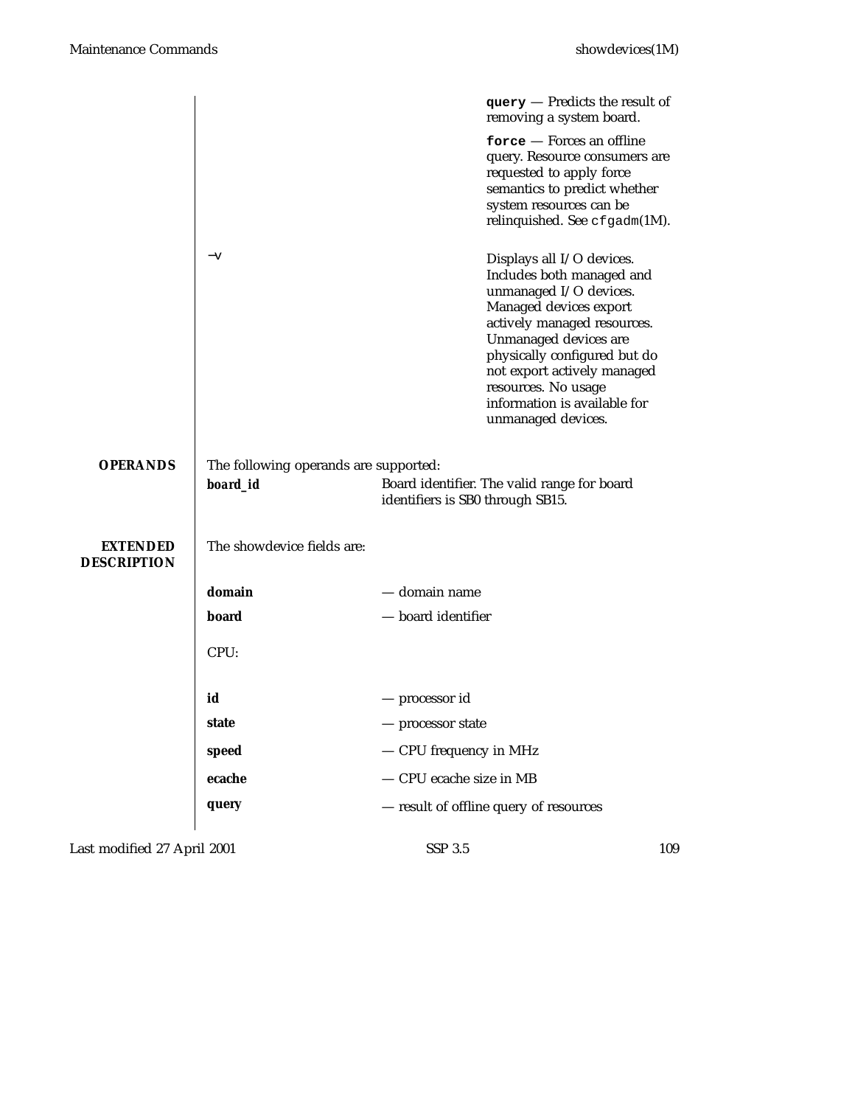|                                       | $-{\rm v}$                            | resources. No usage<br>unmanaged devices.                                       | $query - Predicts$ the result of<br>removing a system board.<br>force - Forces an offline<br>query. Resource consumers are<br>requested to apply force<br>semantics to predict whether<br>system resources can be<br>relinquished. See cfgadm(1M).<br>Displays all I/O devices.<br>Includes both managed and<br>unmanaged I/O devices.<br>Managed devices export<br>actively managed resources.<br>Unmanaged devices are<br>physically configured but do<br>not export actively managed<br>information is available for |
|---------------------------------------|---------------------------------------|---------------------------------------------------------------------------------|-------------------------------------------------------------------------------------------------------------------------------------------------------------------------------------------------------------------------------------------------------------------------------------------------------------------------------------------------------------------------------------------------------------------------------------------------------------------------------------------------------------------------|
| <b>OPERANDS</b>                       | The following operands are supported: |                                                                                 |                                                                                                                                                                                                                                                                                                                                                                                                                                                                                                                         |
|                                       | board_id                              | Board identifier. The valid range for board<br>identifiers is SB0 through SB15. |                                                                                                                                                                                                                                                                                                                                                                                                                                                                                                                         |
| <b>EXTENDED</b><br><b>DESCRIPTION</b> | The showdevice fields are:            |                                                                                 |                                                                                                                                                                                                                                                                                                                                                                                                                                                                                                                         |
|                                       | domain                                | — domain name                                                                   |                                                                                                                                                                                                                                                                                                                                                                                                                                                                                                                         |
|                                       | board                                 | $-$ board identifier                                                            |                                                                                                                                                                                                                                                                                                                                                                                                                                                                                                                         |
|                                       | CPU:                                  |                                                                                 |                                                                                                                                                                                                                                                                                                                                                                                                                                                                                                                         |
|                                       | id                                    | — processor id                                                                  |                                                                                                                                                                                                                                                                                                                                                                                                                                                                                                                         |
|                                       | state                                 | - processor state                                                               |                                                                                                                                                                                                                                                                                                                                                                                                                                                                                                                         |
|                                       | speed                                 | - CPU frequency in MHz                                                          |                                                                                                                                                                                                                                                                                                                                                                                                                                                                                                                         |
|                                       | ecache                                | - CPU ecache size in MB                                                         |                                                                                                                                                                                                                                                                                                                                                                                                                                                                                                                         |
|                                       | query                                 | - result of offline query of resources                                          |                                                                                                                                                                                                                                                                                                                                                                                                                                                                                                                         |
|                                       |                                       |                                                                                 |                                                                                                                                                                                                                                                                                                                                                                                                                                                                                                                         |

Last modified 27 April 2001 SSP 3.5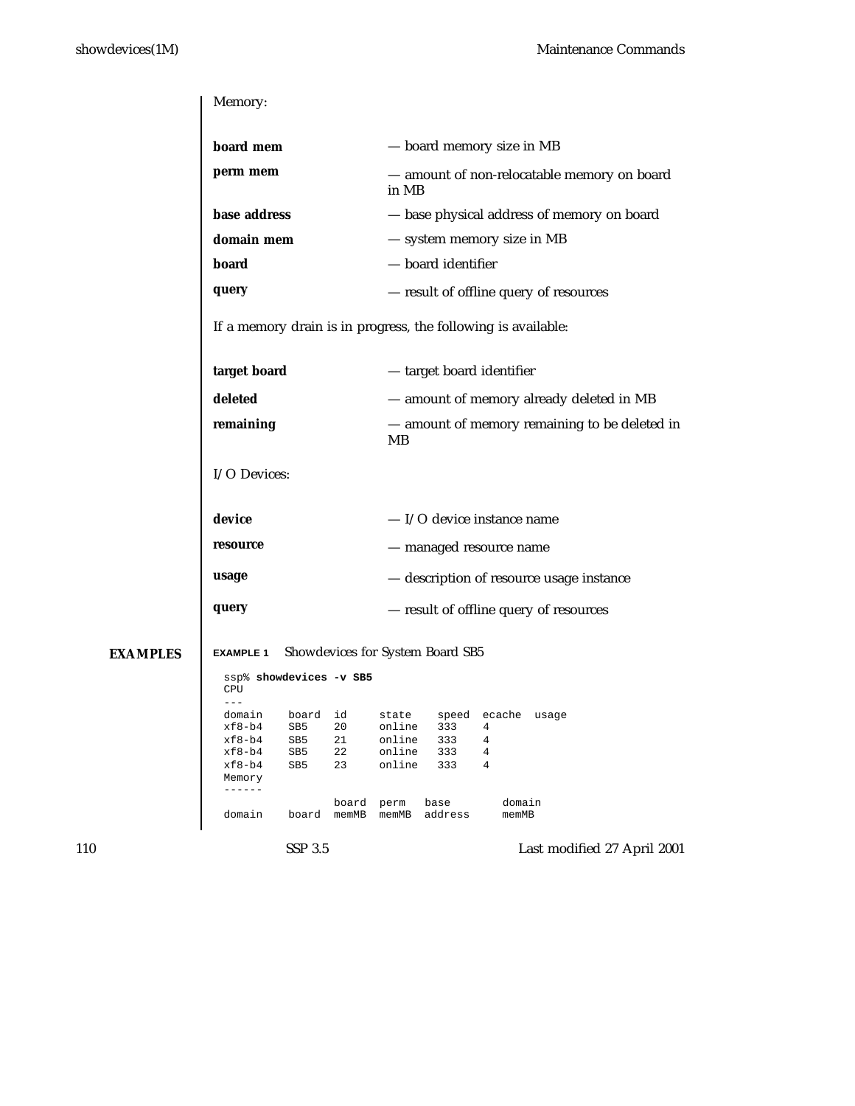|                 | Memory:                                                            |                                   |                            |                                                      |                                                               |                                  |                                            |  |  |
|-----------------|--------------------------------------------------------------------|-----------------------------------|----------------------------|------------------------------------------------------|---------------------------------------------------------------|----------------------------------|--------------------------------------------|--|--|
|                 | board mem<br>perm mem<br>base address<br>domain mem                |                                   |                            | - board memory size in MB                            |                                                               |                                  |                                            |  |  |
|                 |                                                                    |                                   |                            | - amount of non-relocatable memory on board<br>in MB |                                                               |                                  |                                            |  |  |
|                 |                                                                    |                                   |                            |                                                      |                                                               |                                  | - base physical address of memory on board |  |  |
|                 |                                                                    |                                   |                            | - system memory size in MB                           |                                                               |                                  |                                            |  |  |
|                 | board                                                              |                                   |                            |                                                      | $-$ board identifier                                          |                                  |                                            |  |  |
|                 | query                                                              |                                   |                            | - result of offline query of resources               |                                                               |                                  |                                            |  |  |
|                 |                                                                    |                                   |                            |                                                      | If a memory drain is in progress, the following is available: |                                  |                                            |  |  |
|                 | target board                                                       |                                   |                            | - target board identifier                            |                                                               |                                  |                                            |  |  |
|                 | deleted<br>remaining<br>I/O Devices:<br>device                     |                                   |                            | - amount of memory already deleted in MB             |                                                               |                                  |                                            |  |  |
|                 |                                                                    |                                   | MВ                         | - amount of memory remaining to be deleted in        |                                                               |                                  |                                            |  |  |
|                 |                                                                    |                                   |                            |                                                      |                                                               |                                  |                                            |  |  |
|                 |                                                                    |                                   |                            | $-1/0$ device instance name                          |                                                               |                                  |                                            |  |  |
|                 | resource                                                           |                                   |                            |                                                      | - managed resource name                                       |                                  |                                            |  |  |
|                 | usage                                                              |                                   |                            |                                                      | - description of resource usage instance                      |                                  |                                            |  |  |
|                 | query                                                              |                                   |                            |                                                      | - result of offline query of resources                        |                                  |                                            |  |  |
| <b>EXAMPLES</b> | <b>EXAMPLE 1</b>                                                   |                                   |                            |                                                      | Showdevices for System Board SB5                              |                                  |                                            |  |  |
|                 | ssp% showdevices -v SB5<br>CPU                                     |                                   |                            |                                                      |                                                               |                                  |                                            |  |  |
|                 | domain<br>xf8-b4<br>xf8-b4<br>xf8-b4<br>xf8-b4<br>Memory<br>------ | board<br>SB5<br>SB5<br>SB5<br>SB5 | id<br>20<br>21<br>22<br>23 | state<br>online<br>online<br>online<br>online        | speed<br>333<br>333<br>333<br>333                             | ecache usage<br>4<br>4<br>4<br>4 |                                            |  |  |
|                 | domain                                                             |                                   | board<br>board memMB       | perm<br>memMB                                        | base<br>address                                               | domain<br>memMB                  |                                            |  |  |

110 SSP 3.5 Last modified 27 April 2001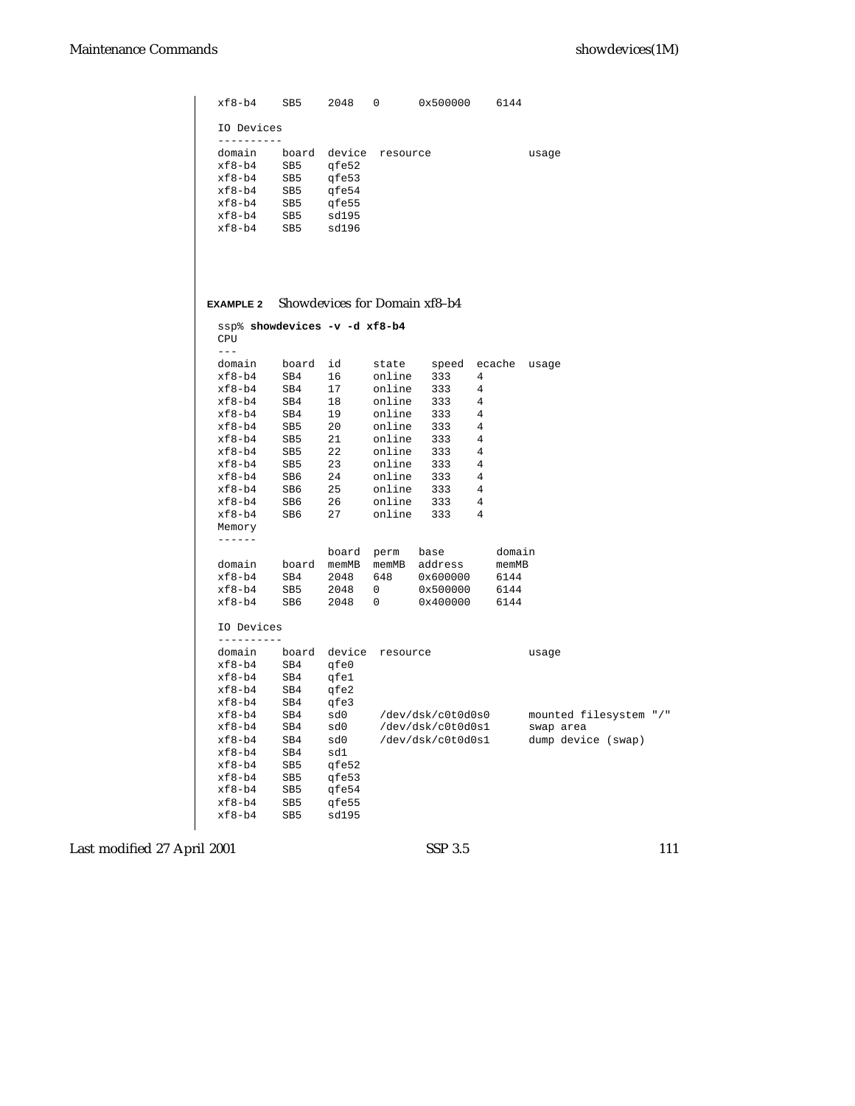| $xf8-b4$                                                                                                                                                                                                                   | SB <sub>5</sub>                                                                                                                                                                     | 2048                                                                                                                 | 0                                                                                                                                                               | 0x500000                                                                                                                                         | 6144                                                                                                          |                                                                    |
|----------------------------------------------------------------------------------------------------------------------------------------------------------------------------------------------------------------------------|-------------------------------------------------------------------------------------------------------------------------------------------------------------------------------------|----------------------------------------------------------------------------------------------------------------------|-----------------------------------------------------------------------------------------------------------------------------------------------------------------|--------------------------------------------------------------------------------------------------------------------------------------------------|---------------------------------------------------------------------------------------------------------------|--------------------------------------------------------------------|
| IO Devices                                                                                                                                                                                                                 |                                                                                                                                                                                     |                                                                                                                      |                                                                                                                                                                 |                                                                                                                                                  |                                                                                                               |                                                                    |
| ----------<br>domain<br>$xf8-b4$<br>$xf8-b4$<br>$xf8-b4$<br>$xf8-b4$<br>$xf8-b4$<br>$xf8-b4$                                                                                                                               | board<br>SB <sub>5</sub><br>SB <sub>5</sub><br>SB <sub>5</sub><br>SB5<br>SB5<br>SB <sub>5</sub>                                                                                     | device<br>qfe52<br>qfe53<br>qfe54<br>qfe55<br>sd195<br>sd196                                                         | resource                                                                                                                                                        |                                                                                                                                                  |                                                                                                               | usage                                                              |
| <b>EXAMPLE 2</b>                                                                                                                                                                                                           |                                                                                                                                                                                     |                                                                                                                      |                                                                                                                                                                 | Showdevices for Domain xf8-b4                                                                                                                    |                                                                                                               |                                                                    |
| ssp% showdevices -v -d xf8-b4<br>CPU                                                                                                                                                                                       |                                                                                                                                                                                     |                                                                                                                      |                                                                                                                                                                 |                                                                                                                                                  |                                                                                                               |                                                                    |
| $-- -$<br>domain<br>$xf8-b4$<br>$xf8-b4$<br>xf8-b4<br>xf8-b4<br>$xf8-b4$<br>$xf8-b4$<br>$xf8-b4$<br>$xf8-b4$<br>$xf8-b4$<br>xf8-b4<br>$xf8-b4$<br>$xf8-b4$<br>Memory<br>------<br>domain<br>xf8-b4<br>$xf8-b4$<br>$xf8-b4$ | board<br>SB4<br>SB4<br>SB4<br>SB4<br>SB <sub>5</sub><br>SB <sub>5</sub><br>SB <sub>5</sub><br>SB <sub>5</sub><br>SB6<br>SB6<br>SB6<br>SB6<br>board<br>SB4<br>SB <sub>5</sub><br>SB6 | id<br>16<br>17<br>18<br>19<br>20<br>21<br>22<br>23<br>24<br>25<br>26<br>27<br>board<br>memMB<br>2048<br>2048<br>2048 | state<br>online<br>online<br>online<br>online<br>online<br>online<br>online<br>online<br>online<br>online<br>online<br>online<br>perm<br>memMB<br>648<br>0<br>0 | speed<br>333<br>333<br>333<br>333<br>333<br>333<br>333<br>333<br>333<br>333<br>333<br>333<br>base<br>address<br>0x600000<br>0x500000<br>0x400000 | ecache<br>4<br>4<br>4<br>4<br>4<br>4<br>4<br>4<br>4<br>4<br>4<br>4<br>domain<br>memMB<br>6144<br>6144<br>6144 | usage                                                              |
| IO Devices<br>----------                                                                                                                                                                                                   |                                                                                                                                                                                     |                                                                                                                      |                                                                                                                                                                 |                                                                                                                                                  |                                                                                                               |                                                                    |
| domain<br>$xf8-b4$<br>$xf8-b4$<br>$xf8-b4$<br>$xf8-b4$<br>$xf8-b4$<br>$xf8-b4$<br>$xf8-b4$<br>$xf8-b4$<br>$xf8-b4$<br>$xf8-b4$<br>$xf8-b4$<br>$xf8-b4$<br>$xf8-b4$                                                         | board<br>SB4<br>SB4<br>SB4<br>SB4<br>SB4<br>SB4<br>SB4<br>SB4<br>SB <sub>5</sub><br>SB <sub>5</sub><br>SB5<br>SB <sub>5</sub><br>SB <sub>5</sub>                                    | device<br>qfe0<br>qfe1<br>qfe2<br>qfe3<br>sd0<br>sd0<br>sd0<br>sd1<br>qfe52<br>qfe53<br>qfe54<br>qfe55<br>sd195      | resource                                                                                                                                                        | /dev/dsk/c0t0d0s0<br>/dev/dsk/c0t0d0s1<br>/dev/dsk/c0t0d0s1                                                                                      |                                                                                                               | usage<br>mounted filesystem "/"<br>swap area<br>dump device (swap) |

Last modified 27 April 2001 SSP 3.5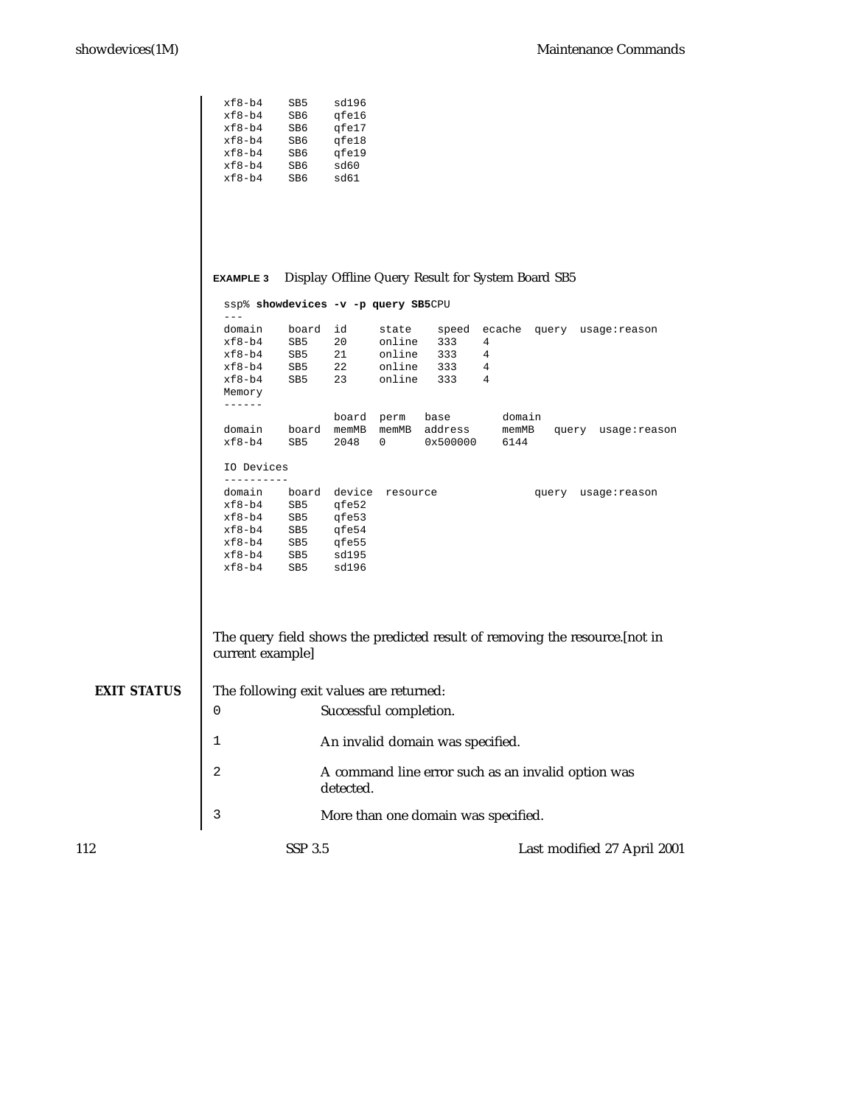$\mathbf{I}$ 

xf8-b4 SB5 sd196

|                    | xf8-b4<br>SB6<br>xf8-b4<br>SB6<br>xf8-b4<br>SB6<br>xf8-b4<br>SB6<br>$xf8-b4$<br>SB6<br>xf8-b4<br>SB6                                          | qfe16<br>qfe17<br>qfe18<br>qfe19<br>sd60<br>sd61                                                                          |                                                |
|--------------------|-----------------------------------------------------------------------------------------------------------------------------------------------|---------------------------------------------------------------------------------------------------------------------------|------------------------------------------------|
|                    | <b>EXAMPLE 3</b>                                                                                                                              | Display Offline Query Result for System Board SB5<br>ssp% showdevices -v -p query SB5CPU                                  |                                                |
|                    | $---$<br>board id<br>domain<br>xf8-b4<br>SB5<br>xf8-b4 SB5<br>xf8-b4 SB5<br>SB5<br>xf8-b4<br>Memory<br>$- - - - - - -$                        | state<br>20<br>online<br>333<br>4<br>$\frac{21}{22}$<br>online<br>333<br>4<br>online 333<br>4<br>23<br>333<br>4<br>online | speed ecache query usage: reason               |
|                    | domain<br>$xf8-b4$<br>SB5                                                                                                                     | board perm<br>base<br>board memMB memMB address<br>2048<br>$0 \qquad \qquad$<br>0x500000                                  | domain<br>memMB<br>query usage: reason<br>6144 |
|                    | IO Devices<br>----------                                                                                                                      |                                                                                                                           |                                                |
|                    | domain<br>xf8-b4 SB5 qfe52<br>xf8-b4 SB5 qfe53<br>xf8-b4 SB5 qfe54<br>xf8-b4 SB5 qfe55<br>cc b4 SB5 sd195<br>$xf8-b4$<br>SB5<br>xf8-b4<br>SB5 | board device resource<br>sd195<br>sd196                                                                                   | query usage: reason                            |
|                    | current example]                                                                                                                              | The query field shows the predicted result of removing the resource. [not in                                              |                                                |
| <b>EXIT STATUS</b> | 0                                                                                                                                             | The following exit values are returned:<br>Successful completion.                                                         |                                                |
|                    | 1                                                                                                                                             | An invalid domain was specified.                                                                                          |                                                |
|                    | 2                                                                                                                                             | A command line error such as an invalid option was<br>detected.                                                           |                                                |
|                    | 3                                                                                                                                             | More than one domain was specified.                                                                                       |                                                |
| 112                | SSP 3.5                                                                                                                                       |                                                                                                                           | Last modified 27 April 2001                    |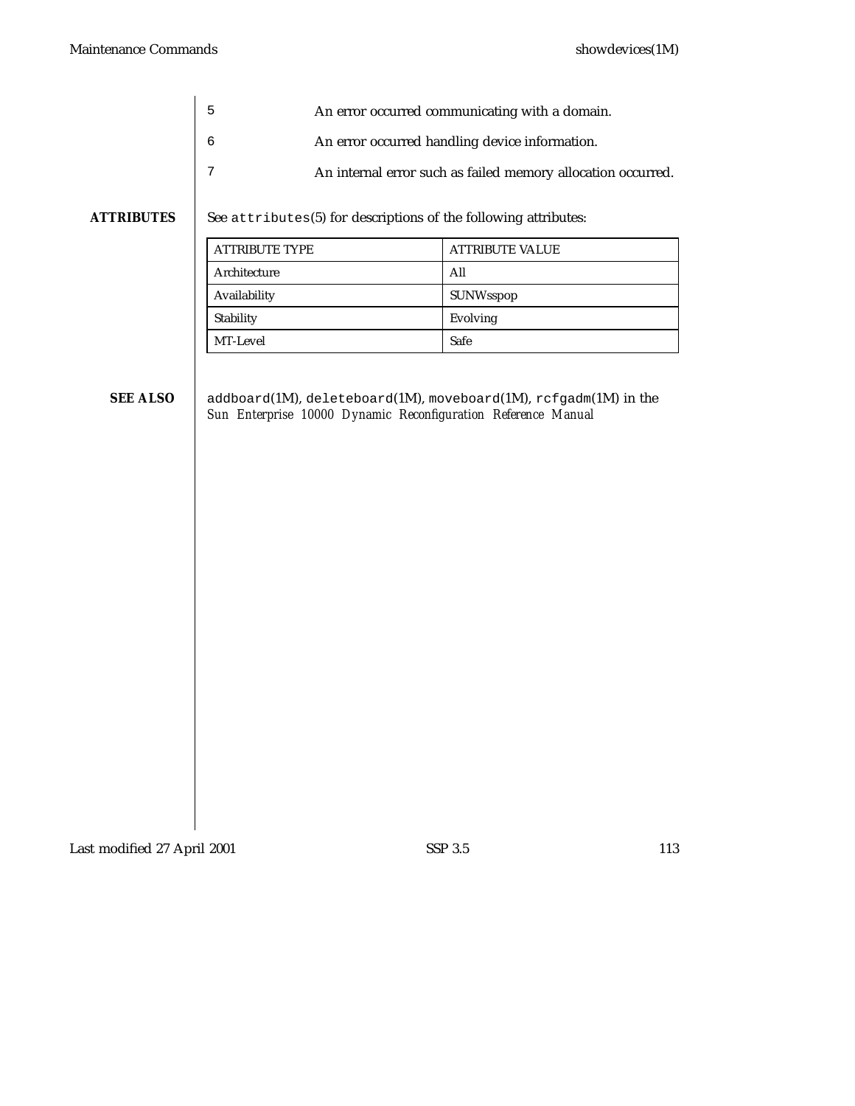|   | An error occurred communicating with a domain.               |
|---|--------------------------------------------------------------|
| 6 | An error occurred handling device information.               |
|   | An internal error such as failed memory allocation occurred. |

**ATTRIBUTES** See attributes(5) for descriptions of the following attributes:

| <b>ATTRIBUTE TYPE</b> | <b>ATTRIBUTE VALUE</b> |
|-----------------------|------------------------|
| Architecture          | All                    |
| Availability          | <b>SUNWsspop</b>       |
| Stability             | Evolving               |
| MT-Level              | Safe                   |

## **SEE ALSO** addboard(1M), deleteboard(1M), moveboard(1M), rcfgadm(1M) in the *Sun Enterprise 10000 Dynamic Reconfiguration Reference Manual*

| Last modified 27 April 2001 | SSP <sub>3.5</sub> | 113 |
|-----------------------------|--------------------|-----|
|                             |                    |     |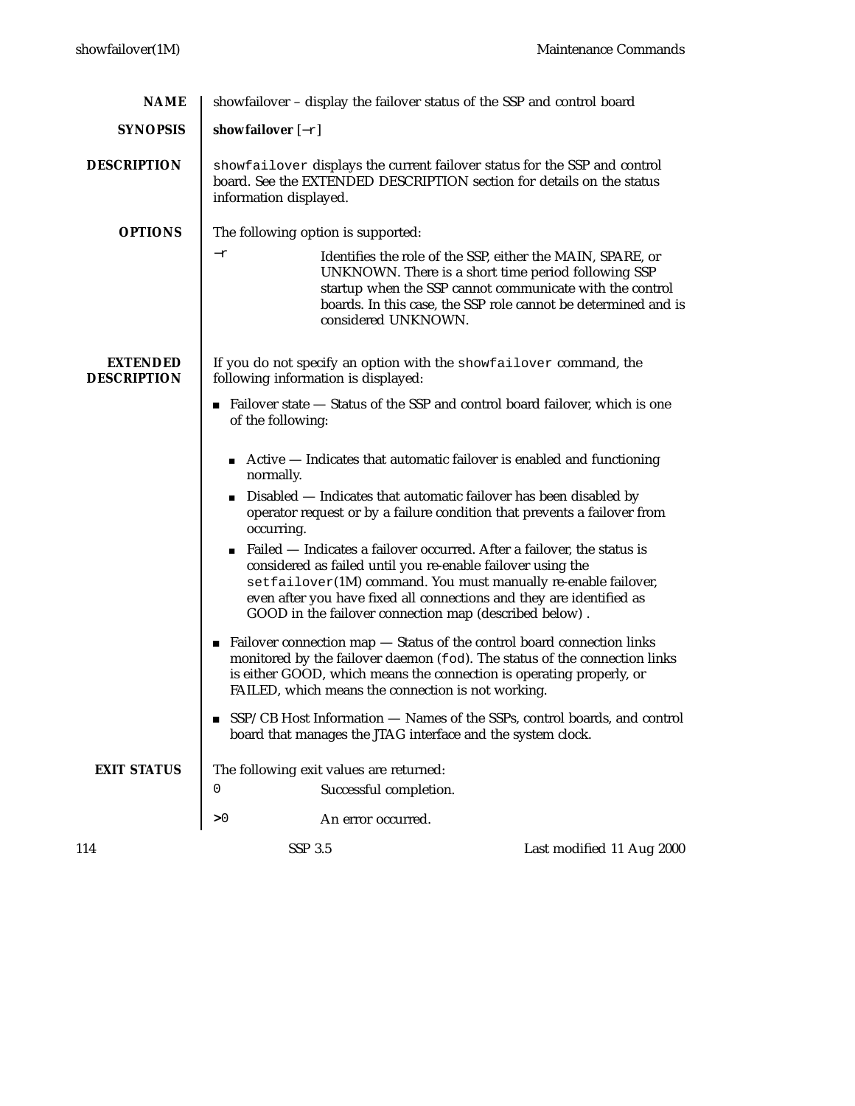| <b>NAME</b>                           | showfailover - display the failover status of the SSP and control board                                                                                                                                                                                                                                                                    |                                                                                                                                                                                                                                                 |  |  |  |
|---------------------------------------|--------------------------------------------------------------------------------------------------------------------------------------------------------------------------------------------------------------------------------------------------------------------------------------------------------------------------------------------|-------------------------------------------------------------------------------------------------------------------------------------------------------------------------------------------------------------------------------------------------|--|--|--|
| <b>SYNOPSIS</b>                       | showfailover $[-r]$                                                                                                                                                                                                                                                                                                                        |                                                                                                                                                                                                                                                 |  |  |  |
| <b>DESCRIPTION</b>                    | showfailover displays the current failover status for the SSP and control<br>board. See the EXTENDED DESCRIPTION section for details on the status<br>information displayed.                                                                                                                                                               |                                                                                                                                                                                                                                                 |  |  |  |
| <b>OPTIONS</b>                        | The following option is supported:                                                                                                                                                                                                                                                                                                         |                                                                                                                                                                                                                                                 |  |  |  |
|                                       | -r<br>considered UNKNOWN.                                                                                                                                                                                                                                                                                                                  | Identifies the role of the SSP, either the MAIN, SPARE, or<br>UNKNOWN. There is a short time period following SSP<br>startup when the SSP cannot communicate with the control<br>boards. In this case, the SSP role cannot be determined and is |  |  |  |
| <b>EXTENDED</b><br><b>DESCRIPTION</b> | If you do not specify an option with the showfailover command, the<br>following information is displayed:                                                                                                                                                                                                                                  |                                                                                                                                                                                                                                                 |  |  |  |
|                                       | $\blacksquare$ Failover state $\blacksquare$ Status of the SSP and control board failover, which is one<br>of the following:                                                                                                                                                                                                               |                                                                                                                                                                                                                                                 |  |  |  |
|                                       | $\blacksquare$ Active — Indicates that automatic failover is enabled and functioning<br>normally.                                                                                                                                                                                                                                          |                                                                                                                                                                                                                                                 |  |  |  |
|                                       | ■ Disabled — Indicates that automatic failover has been disabled by<br>occurring.                                                                                                                                                                                                                                                          | operator request or by a failure condition that prevents a failover from                                                                                                                                                                        |  |  |  |
|                                       | Failed — Indicates a failover occurred. After a failover, the status is<br>considered as failed until you re-enable failover using the<br>setfailover(1M) command. You must manually re-enable failover,<br>even after you have fixed all connections and they are identified as<br>GOOD in the failover connection map (described below). |                                                                                                                                                                                                                                                 |  |  |  |
|                                       | $\blacksquare$ Failover connection map $-$ Status of the control board connection links<br>is either GOOD, which means the connection is operating properly, or<br>FAILED, which means the connection is not working.                                                                                                                      | monitored by the failover daemon (fod). The status of the connection links                                                                                                                                                                      |  |  |  |
|                                       | board that manages the JTAG interface and the system clock.                                                                                                                                                                                                                                                                                | SSP/CB Host Information - Names of the SSPs, control boards, and control                                                                                                                                                                        |  |  |  |
| <b>EXIT STATUS</b>                    | The following exit values are returned:<br>Successful completion.<br>0                                                                                                                                                                                                                                                                     |                                                                                                                                                                                                                                                 |  |  |  |
|                                       | An error occurred.<br>>0                                                                                                                                                                                                                                                                                                                   |                                                                                                                                                                                                                                                 |  |  |  |
| 114                                   | SSP 3.5                                                                                                                                                                                                                                                                                                                                    | Last modified 11 Aug 2000                                                                                                                                                                                                                       |  |  |  |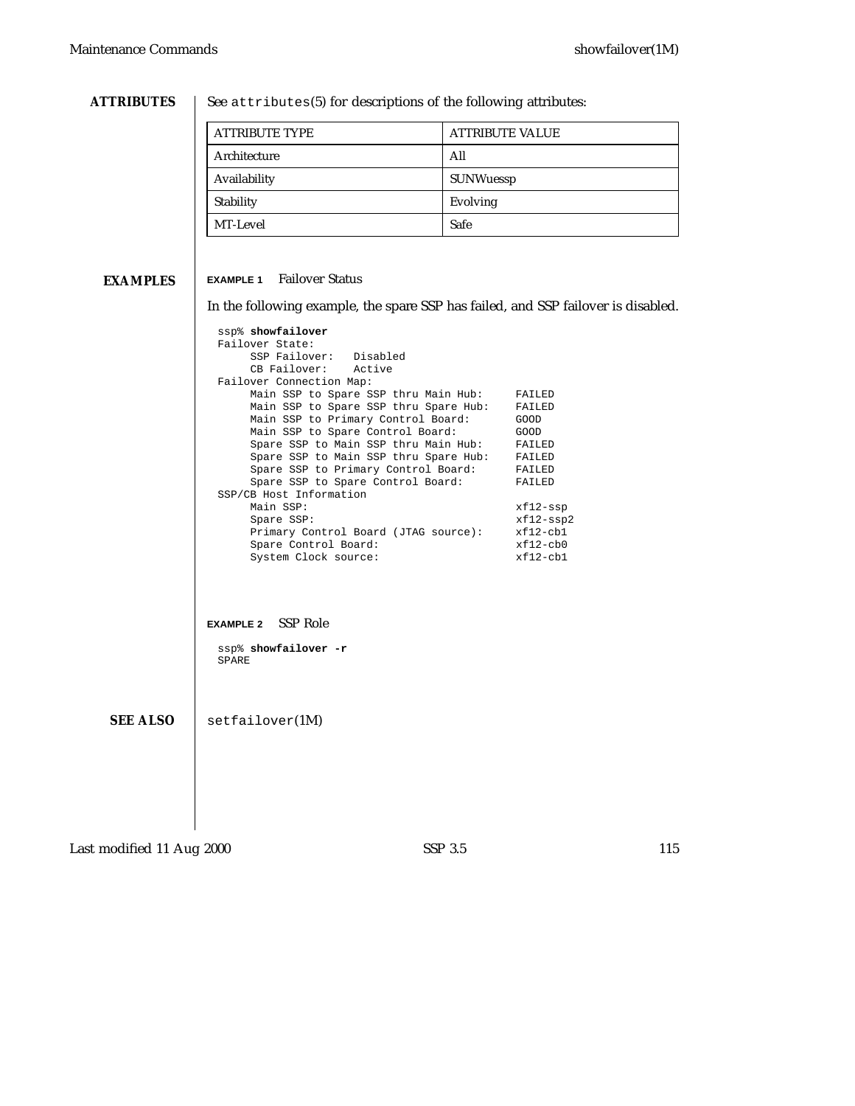**ATTRIBUTES** See attributes(5) for descriptions of the following attributes:

| <b>ATTRIBUTE TYPE</b> | <b>ATTRIBUTE VALUE</b> |
|-----------------------|------------------------|
| Architecture          | All                    |
| Availability          | <b>SUNWuessp</b>       |
| Stability             | Evolving               |
| MT-Level              | Safe                   |

# **EXAMPLES** | EXAMPLE 1 Failover Status

In the following example, the spare SSP has failed, and SSP failover is disabled.

| ssp% showfailover                     |             |
|---------------------------------------|-------------|
| Failover State:                       |             |
| SSP Failover: Disabled                |             |
| CB Failover: Active                   |             |
| Failover Connection Map:              |             |
| Main SSP to Spare SSP thru Main Hub:  | FAILED      |
| Main SSP to Spare SSP thru Spare Hub: | FAILED      |
| Main SSP to Primary Control Board:    | GOOD        |
| Main SSP to Spare Control Board:      | GOOD        |
| Spare SSP to Main SSP thru Main Hub:  | FAILED      |
| Spare SSP to Main SSP thru Spare Hub: | FAILED      |
| Spare SSP to Primary Control Board:   | FAILED      |
| Spare SSP to Spare Control Board:     | FAILED      |
| SSP/CB Host Information               |             |
| Main SSP:                             | $xf12-ssp$  |
| Spare SSP:                            | $xf12-ssp2$ |
| Primary Control Board (JTAG source):  | xf12-cb1    |
| Spare Control Board:                  | $xf12-cb0$  |
| System Clock source:                  | xf12-cb1    |

### **EXAMPLE 2** SSP Role

ssp% **showfailover -r** SPARE

**SEE ALSO** setfailover(1M)

Last modified 11 Aug 2000 SSP 3.5 115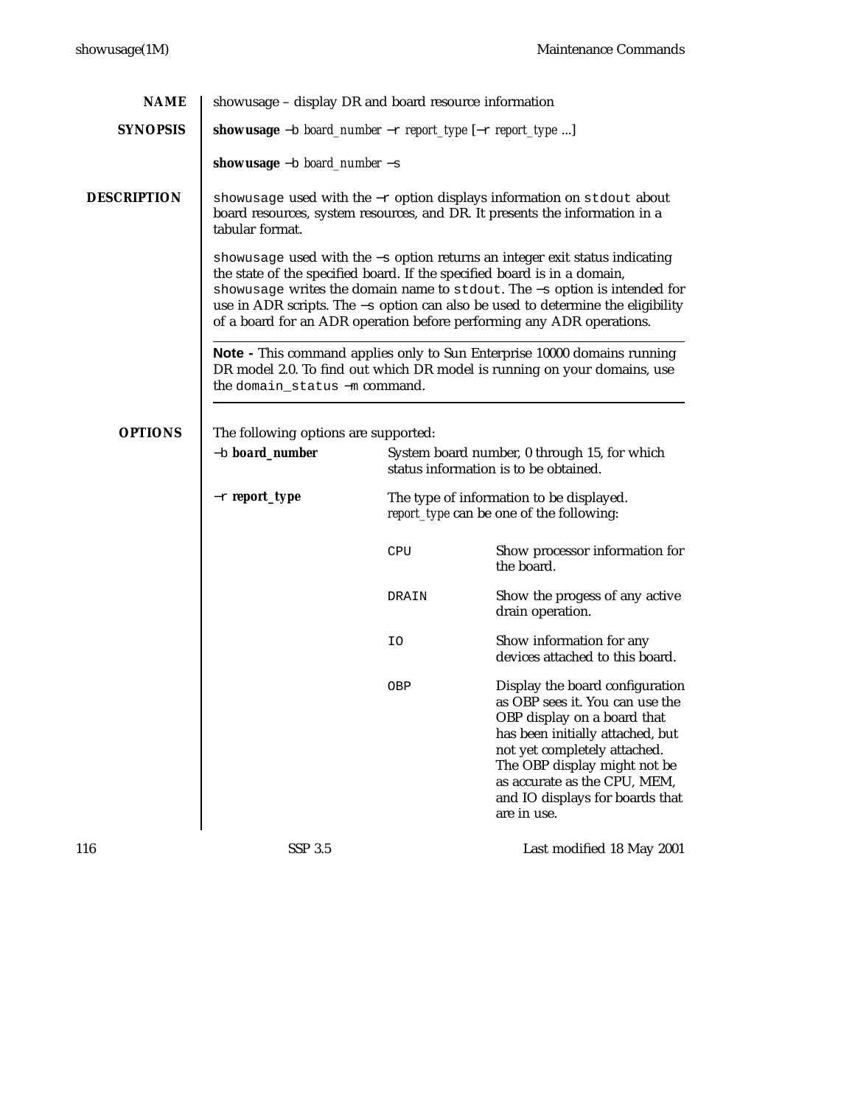| <b>NAME</b>        | showusage - display DR and board resource information               |                                                                                                                                                                                                                                                                                                                                                                                                          |                                                                                                                                                                                                                                                                                         |  |  |  |
|--------------------|---------------------------------------------------------------------|----------------------------------------------------------------------------------------------------------------------------------------------------------------------------------------------------------------------------------------------------------------------------------------------------------------------------------------------------------------------------------------------------------|-----------------------------------------------------------------------------------------------------------------------------------------------------------------------------------------------------------------------------------------------------------------------------------------|--|--|--|
| <b>SYNOPSIS</b>    | <b>showusage</b> -b board_number -r report_type $[-r$ report_type ] |                                                                                                                                                                                                                                                                                                                                                                                                          |                                                                                                                                                                                                                                                                                         |  |  |  |
|                    | showusage $-b$ board_number $-s$                                    |                                                                                                                                                                                                                                                                                                                                                                                                          |                                                                                                                                                                                                                                                                                         |  |  |  |
| <b>DESCRIPTION</b> | tabular format.                                                     | showusage used with the $-r$ option displays information on stdout about<br>board resources, system resources, and DR. It presents the information in a                                                                                                                                                                                                                                                  |                                                                                                                                                                                                                                                                                         |  |  |  |
|                    |                                                                     | show usage used with the $-s$ option returns an integer exit status indicating<br>the state of the specified board. If the specified board is in a domain,<br>show usage writes the domain name to stdout. The $-s$ option is intended for<br>use in ADR scripts. The $-s$ option can also be used to determine the eligibility<br>of a board for an ADR operation before performing any ADR operations. |                                                                                                                                                                                                                                                                                         |  |  |  |
|                    |                                                                     | <b>Note -</b> This command applies only to Sun Enterprise 10000 domains running<br>DR model 2.0. To find out which DR model is running on your domains, use<br>the domain_status -m command.                                                                                                                                                                                                             |                                                                                                                                                                                                                                                                                         |  |  |  |
| <b>OPTIONS</b>     | The following options are supported:                                |                                                                                                                                                                                                                                                                                                                                                                                                          |                                                                                                                                                                                                                                                                                         |  |  |  |
|                    | -b board_number                                                     |                                                                                                                                                                                                                                                                                                                                                                                                          | System board number, 0 through 15, for which<br>status information is to be obtained.                                                                                                                                                                                                   |  |  |  |
|                    | -r report_type                                                      | The type of information to be displayed.<br>report_type can be one of the following:                                                                                                                                                                                                                                                                                                                     |                                                                                                                                                                                                                                                                                         |  |  |  |
|                    |                                                                     | CPU                                                                                                                                                                                                                                                                                                                                                                                                      | Show processor information for<br>the board.                                                                                                                                                                                                                                            |  |  |  |
|                    |                                                                     | DRAIN                                                                                                                                                                                                                                                                                                                                                                                                    | Show the progess of any active<br>drain operation.                                                                                                                                                                                                                                      |  |  |  |
|                    |                                                                     | IΟ                                                                                                                                                                                                                                                                                                                                                                                                       | Show information for any<br>devices attached to this board.                                                                                                                                                                                                                             |  |  |  |
|                    |                                                                     | OBP                                                                                                                                                                                                                                                                                                                                                                                                      | Display the board configuration<br>as OBP sees it. You can use the<br>OBP display on a board that<br>has been initially attached, but<br>not yet completely attached.<br>The OBP display might not be<br>as accurate as the CPU, MEM,<br>and IO displays for boards that<br>are in use. |  |  |  |
| 116                | <b>SSP 3.5</b>                                                      |                                                                                                                                                                                                                                                                                                                                                                                                          | Last modified 18 May 2001                                                                                                                                                                                                                                                               |  |  |  |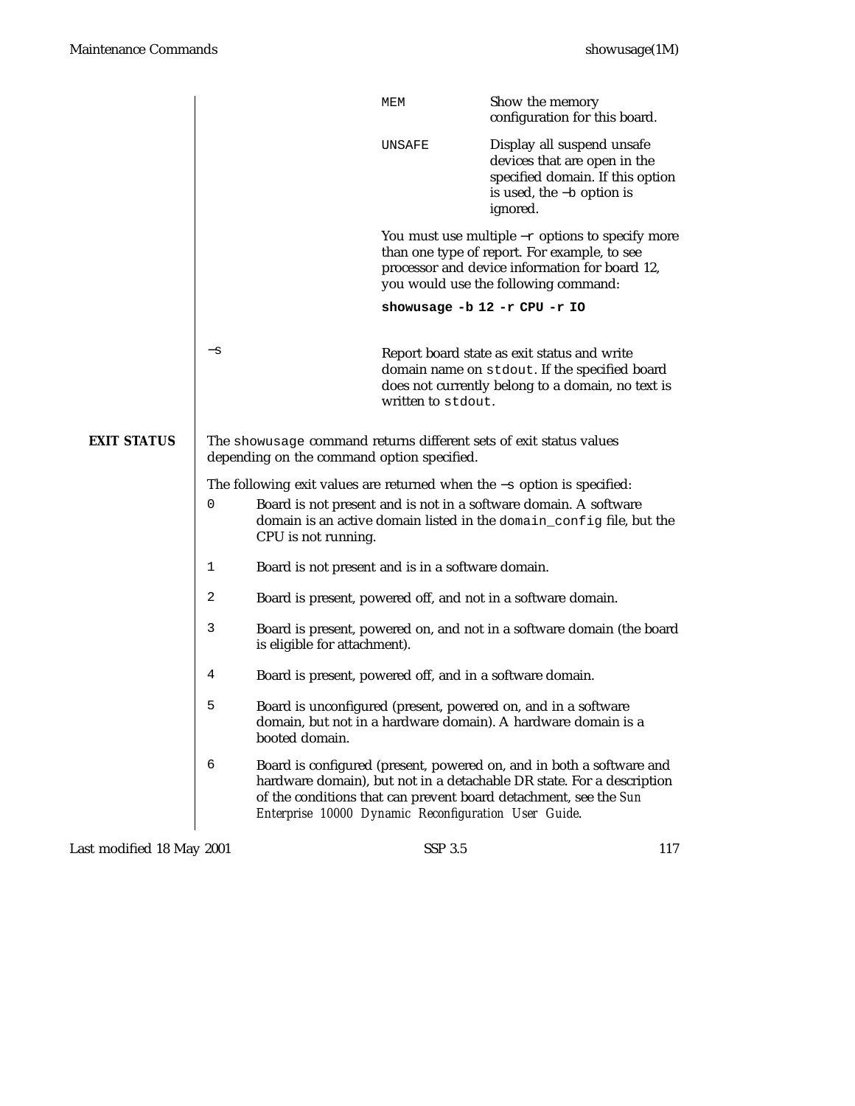|                    |               |                                                                                                                                                                 | MEM                | Show the memory<br>configuration for this board.                                                                                                                                                                  |  |
|--------------------|---------------|-----------------------------------------------------------------------------------------------------------------------------------------------------------------|--------------------|-------------------------------------------------------------------------------------------------------------------------------------------------------------------------------------------------------------------|--|
|                    |               |                                                                                                                                                                 | UNSAFE             | Display all suspend unsafe<br>devices that are open in the<br>specified domain. If this option<br>is used, the $-b$ option is<br>ignored.                                                                         |  |
|                    |               |                                                                                                                                                                 |                    | You must use multiple $-r$ options to specify more<br>than one type of report. For example, to see<br>processor and device information for board 12,<br>you would use the following command:                      |  |
|                    |               |                                                                                                                                                                 |                    | showusage -b 12 -r CPU -r IO                                                                                                                                                                                      |  |
|                    | $-\mathbf{s}$ |                                                                                                                                                                 | written to stdout. | Report board state as exit status and write<br>domain name on stdout. If the specified board<br>does not currently belong to a domain, no text is                                                                 |  |
| <b>EXIT STATUS</b> |               | The showusage command returns different sets of exit status values<br>depending on the command option specified.                                                |                    |                                                                                                                                                                                                                   |  |
|                    |               | The following exit values are returned when the $-s$ option is specified:                                                                                       |                    |                                                                                                                                                                                                                   |  |
|                    | 0             | Board is not present and is not in a software domain. A software<br>domain is an active domain listed in the domain_config file, but the<br>CPU is not running. |                    |                                                                                                                                                                                                                   |  |
|                    | 1             | Board is not present and is in a software domain.                                                                                                               |                    |                                                                                                                                                                                                                   |  |
|                    | 2             |                                                                                                                                                                 |                    | Board is present, powered off, and not in a software domain.                                                                                                                                                      |  |
|                    | 3             | is eligible for attachment).                                                                                                                                    |                    | Board is present, powered on, and not in a software domain (the board                                                                                                                                             |  |
|                    | 4             | Board is present, powered off, and in a software domain.                                                                                                        |                    |                                                                                                                                                                                                                   |  |
|                    | 5             | booted domain.                                                                                                                                                  |                    | Board is unconfigured (present, powered on, and in a software<br>domain, but not in a hardware domain). A hardware domain is a                                                                                    |  |
|                    | 6             | Enterprise 10000 Dynamic Reconfiguration User Guide.                                                                                                            |                    | Board is configured (present, powered on, and in both a software and<br>hardware domain), but not in a detachable DR state. For a description<br>of the conditions that can prevent board detachment, see the Sun |  |

Last modified 18 May 2001 SSP 3.5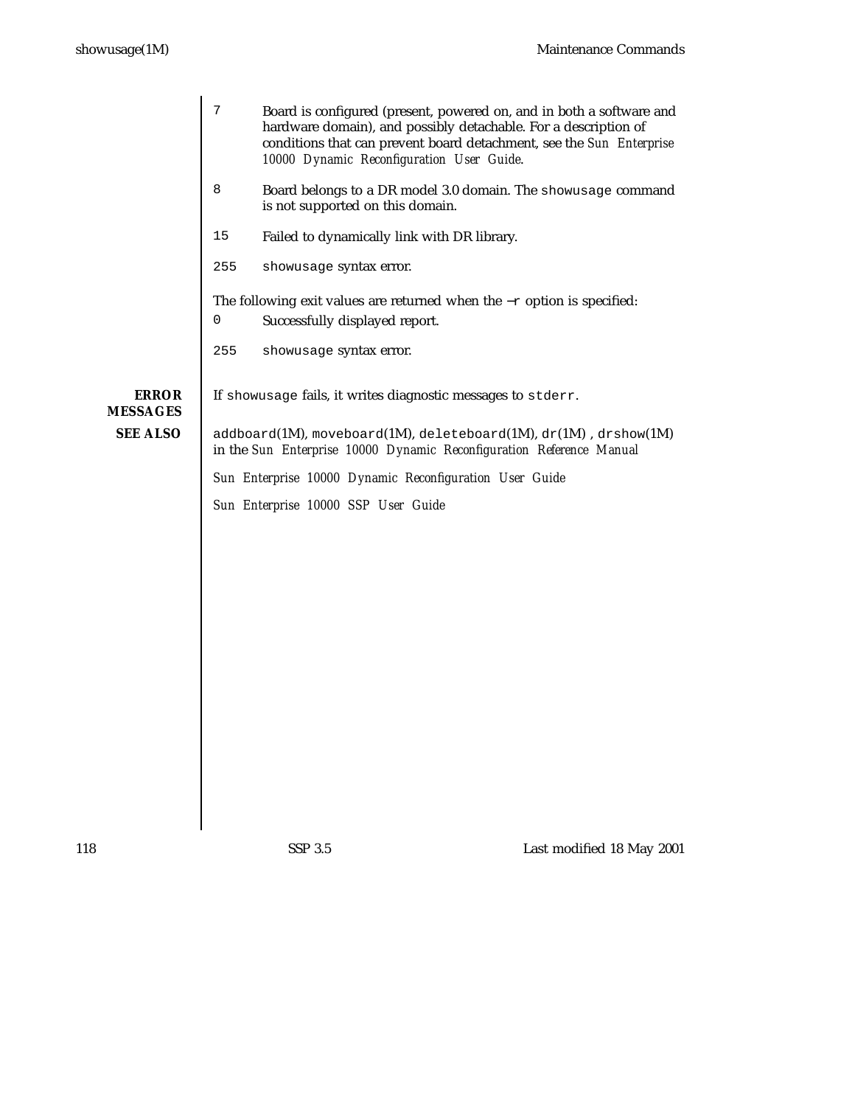|                                 | 7                                                                                                                                        | Board is configured (present, powered on, and in both a software and<br>hardware domain), and possibly detachable. For a description of<br>conditions that can prevent board detachment, see the Sun Enterprise<br>10000 Dynamic Reconfiguration User Guide. |  |
|---------------------------------|------------------------------------------------------------------------------------------------------------------------------------------|--------------------------------------------------------------------------------------------------------------------------------------------------------------------------------------------------------------------------------------------------------------|--|
|                                 | 8                                                                                                                                        | Board belongs to a DR model 3.0 domain. The showusage command<br>is not supported on this domain.                                                                                                                                                            |  |
|                                 | 15                                                                                                                                       | Failed to dynamically link with DR library.                                                                                                                                                                                                                  |  |
|                                 | 255                                                                                                                                      | showusage syntax error.                                                                                                                                                                                                                                      |  |
|                                 | 0                                                                                                                                        | The following exit values are returned when the $-r$ option is specified:<br>Successfully displayed report.                                                                                                                                                  |  |
|                                 | 255                                                                                                                                      | showusage syntax error.                                                                                                                                                                                                                                      |  |
| <b>ERROR</b><br><b>MESSAGES</b> |                                                                                                                                          | If showusage fails, it writes diagnostic messages to stderr.                                                                                                                                                                                                 |  |
| <b>SEE ALSO</b>                 | addboard(1M), moveboard(1M), deleteboard(1M), dr(1M), drshow(1M)<br>in the Sun Enterprise 10000 Dynamic Reconfiguration Reference Manual |                                                                                                                                                                                                                                                              |  |
|                                 | Sun Enterprise 10000 Dynamic Reconfiguration User Guide                                                                                  |                                                                                                                                                                                                                                                              |  |
|                                 | Sun Enterprise 10000 SSP User Guide                                                                                                      |                                                                                                                                                                                                                                                              |  |
|                                 |                                                                                                                                          |                                                                                                                                                                                                                                                              |  |
|                                 |                                                                                                                                          |                                                                                                                                                                                                                                                              |  |
|                                 |                                                                                                                                          |                                                                                                                                                                                                                                                              |  |
|                                 |                                                                                                                                          |                                                                                                                                                                                                                                                              |  |
|                                 |                                                                                                                                          |                                                                                                                                                                                                                                                              |  |
|                                 |                                                                                                                                          |                                                                                                                                                                                                                                                              |  |
|                                 |                                                                                                                                          |                                                                                                                                                                                                                                                              |  |
|                                 |                                                                                                                                          |                                                                                                                                                                                                                                                              |  |
|                                 |                                                                                                                                          |                                                                                                                                                                                                                                                              |  |
|                                 |                                                                                                                                          |                                                                                                                                                                                                                                                              |  |
|                                 |                                                                                                                                          |                                                                                                                                                                                                                                                              |  |

118 SSP 3.5 Last modified 18 May 2001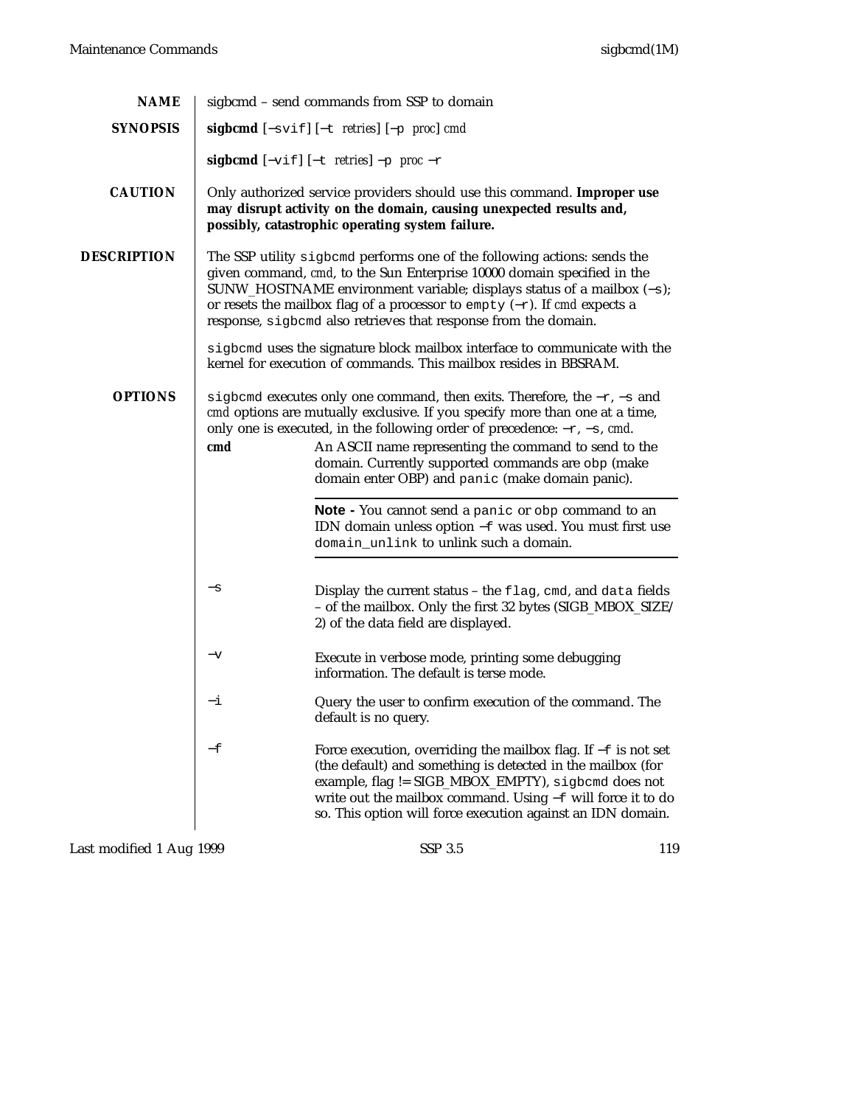| <b>NAME</b>        | sigbcmd - send commands from SSP to domain                                                                                                                                                                                                                                                                                                                                                                               |                                                                                                                                                                                                                                                                                                                        |  |
|--------------------|--------------------------------------------------------------------------------------------------------------------------------------------------------------------------------------------------------------------------------------------------------------------------------------------------------------------------------------------------------------------------------------------------------------------------|------------------------------------------------------------------------------------------------------------------------------------------------------------------------------------------------------------------------------------------------------------------------------------------------------------------------|--|
| <b>SYNOPSIS</b>    | sigbcmd [-svif] [-t retries] [-p proc] cmd                                                                                                                                                                                                                                                                                                                                                                               |                                                                                                                                                                                                                                                                                                                        |  |
|                    | sigbcmd $[-\text{vif}][-\text{t}$ retries] $-p$ proc $-r$                                                                                                                                                                                                                                                                                                                                                                |                                                                                                                                                                                                                                                                                                                        |  |
| <b>CAUTION</b>     | Only authorized service providers should use this command. Improper use<br>may disrupt activity on the domain, causing unexpected results and,<br>possibly, catastrophic operating system failure.                                                                                                                                                                                                                       |                                                                                                                                                                                                                                                                                                                        |  |
| <b>DESCRIPTION</b> | The SSP utility sigbcmd performs one of the following actions: sends the<br>given command, cmd, to the Sun Enterprise 10000 domain specified in the<br>SUNW_HOSTNAME environment variable; displays status of a mailbox (-s);<br>or resets the mailbox flag of a processor to empty $(-r)$ . If cmd expects a<br>response, sigbcmd also retrieves that response from the domain.                                         |                                                                                                                                                                                                                                                                                                                        |  |
|                    |                                                                                                                                                                                                                                                                                                                                                                                                                          | sigbcmd uses the signature block mailbox interface to communicate with the<br>kernel for execution of commands. This mailbox resides in BBSRAM.                                                                                                                                                                        |  |
| <b>OPTIONS</b>     | sigbcmd executes only one command, then exits. Therefore, the $-r$ , $-s$ and<br>cmd options are mutually exclusive. If you specify more than one at a time,<br>only one is executed, in the following order of precedence: $-r$ , $-s$ , cmd.<br>An ASCII name representing the command to send to the<br>cmd<br>domain. Currently supported commands are obp (make<br>domain enter OBP) and panic (make domain panic). |                                                                                                                                                                                                                                                                                                                        |  |
|                    | Note - You cannot send a panic or obp command to an<br>IDN domain unless option -f was used. You must first use<br>domain unlink to unlink such a domain.                                                                                                                                                                                                                                                                |                                                                                                                                                                                                                                                                                                                        |  |
|                    | $-\text{s}$                                                                                                                                                                                                                                                                                                                                                                                                              | Display the current status - the flag, cmd, and data fields<br>- of the mailbox. Only the first 32 bytes (SIGB_MBOX_SIZE/<br>2) of the data field are displayed.                                                                                                                                                       |  |
|                    | $-v$                                                                                                                                                                                                                                                                                                                                                                                                                     | Execute in verbose mode, printing some debugging<br>information. The default is terse mode.                                                                                                                                                                                                                            |  |
|                    | -i                                                                                                                                                                                                                                                                                                                                                                                                                       | Query the user to confirm execution of the command. The<br>default is no query.                                                                                                                                                                                                                                        |  |
|                    | -f                                                                                                                                                                                                                                                                                                                                                                                                                       | Force execution, overriding the mailbox flag. If $-f$ is not set<br>(the default) and something is detected in the mailbox (for<br>example, flag != SIGB_MBOX_EMPTY), sigbcmd does not<br>write out the mailbox command. Using $-f$ will force it to do<br>so. This option will force execution against an IDN domain. |  |

Last modified 1 Aug 1999 SSP 3.5 5 119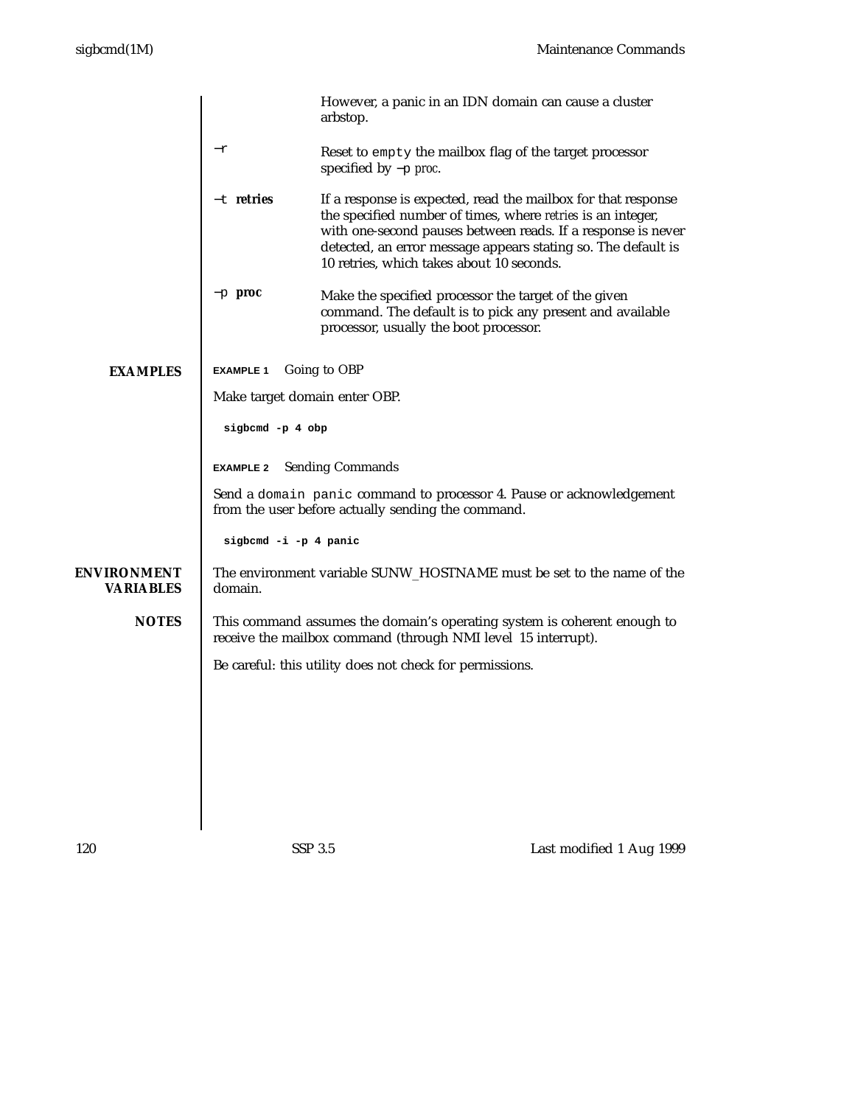|                                        |                                                                                                                                           | However, a panic in an IDN domain can cause a cluster<br>arbstop.                                                                                                                                                                                                                                          |  |
|----------------------------------------|-------------------------------------------------------------------------------------------------------------------------------------------|------------------------------------------------------------------------------------------------------------------------------------------------------------------------------------------------------------------------------------------------------------------------------------------------------------|--|
|                                        | $-r$                                                                                                                                      | Reset to empty the mailbox flag of the target processor<br>specified by $-p$ proc.                                                                                                                                                                                                                         |  |
|                                        | -t retries                                                                                                                                | If a response is expected, read the mailbox for that response<br>the specified number of times, where retries is an integer,<br>with one-second pauses between reads. If a response is never<br>detected, an error message appears stating so. The default is<br>10 retries, which takes about 10 seconds. |  |
|                                        | $-p$ proc                                                                                                                                 | Make the specified processor the target of the given<br>command. The default is to pick any present and available<br>processor, usually the boot processor.                                                                                                                                                |  |
| <b>EXAMPLES</b>                        | <b>EXAMPLE 1</b>                                                                                                                          | Going to OBP                                                                                                                                                                                                                                                                                               |  |
|                                        | Make target domain enter OBP.                                                                                                             |                                                                                                                                                                                                                                                                                                            |  |
|                                        | sigbcmd -p 4 obp                                                                                                                          |                                                                                                                                                                                                                                                                                                            |  |
|                                        | <b>Sending Commands</b><br><b>EXAMPLE 2</b>                                                                                               |                                                                                                                                                                                                                                                                                                            |  |
|                                        | Send a domain panic command to processor 4. Pause or acknowledgement<br>from the user before actually sending the command.                |                                                                                                                                                                                                                                                                                                            |  |
|                                        | sigbcmd -i -p 4 panic                                                                                                                     |                                                                                                                                                                                                                                                                                                            |  |
| <b>ENVIRONMENT</b><br><b>VARIABLES</b> | domain.                                                                                                                                   | The environment variable SUNW_HOSTNAME must be set to the name of the                                                                                                                                                                                                                                      |  |
| <b>NOTES</b>                           | This command assumes the domain's operating system is coherent enough to<br>receive the mailbox command (through NMI level 15 interrupt). |                                                                                                                                                                                                                                                                                                            |  |
|                                        |                                                                                                                                           | Be careful: this utility does not check for permissions.                                                                                                                                                                                                                                                   |  |
|                                        |                                                                                                                                           |                                                                                                                                                                                                                                                                                                            |  |
|                                        |                                                                                                                                           |                                                                                                                                                                                                                                                                                                            |  |
|                                        |                                                                                                                                           |                                                                                                                                                                                                                                                                                                            |  |
|                                        |                                                                                                                                           |                                                                                                                                                                                                                                                                                                            |  |
|                                        |                                                                                                                                           |                                                                                                                                                                                                                                                                                                            |  |

120 SSP 3.5 Last modified 1 Aug 1999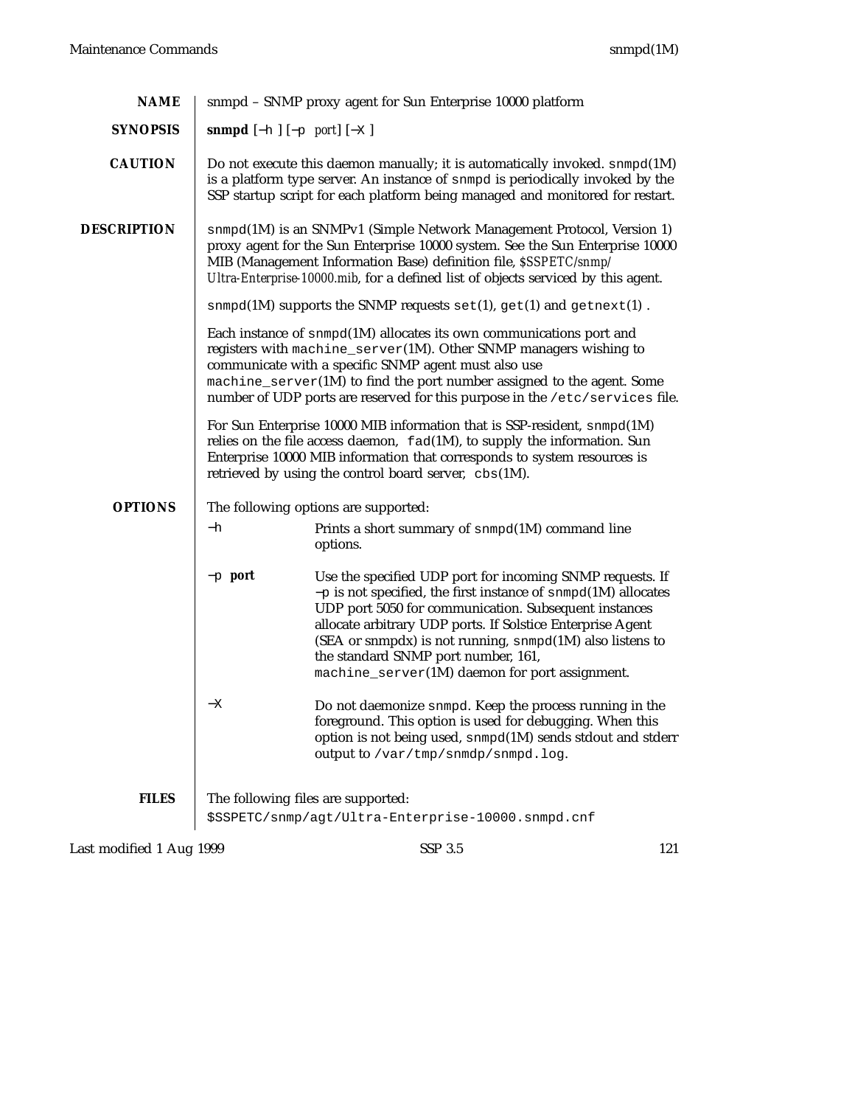| <b>NAME</b>              | snmpd - SNMP proxy agent for Sun Enterprise 10000 platform                                                                                                                                                                                                                                                                                                  |                                                                                                                                                                                                                                                                                                                                                                                                               |     |
|--------------------------|-------------------------------------------------------------------------------------------------------------------------------------------------------------------------------------------------------------------------------------------------------------------------------------------------------------------------------------------------------------|---------------------------------------------------------------------------------------------------------------------------------------------------------------------------------------------------------------------------------------------------------------------------------------------------------------------------------------------------------------------------------------------------------------|-----|
| <b>SYNOPSIS</b>          | snmpd $[-h]$ $[-p$ port] $[-x]$                                                                                                                                                                                                                                                                                                                             |                                                                                                                                                                                                                                                                                                                                                                                                               |     |
| <b>CAUTION</b>           | Do not execute this daemon manually; it is automatically invoked. snmpd(1M)<br>is a platform type server. An instance of snmpd is periodically invoked by the<br>SSP startup script for each platform being managed and monitored for restart.                                                                                                              |                                                                                                                                                                                                                                                                                                                                                                                                               |     |
| <b>DESCRIPTION</b>       | snmpd(1M) is an SNMPv1 (Simple Network Management Protocol, Version 1)<br>proxy agent for the Sun Enterprise 10000 system. See the Sun Enterprise 10000<br>MIB (Management Information Base) definition file, \$SSPETC/snmp/<br>Ultra-Enterprise-10000.mib, for a defined list of objects serviced by this agent.                                           |                                                                                                                                                                                                                                                                                                                                                                                                               |     |
|                          |                                                                                                                                                                                                                                                                                                                                                             | snmpd(1M) supports the SNMP requests $set(1)$ , $get(1)$ and $getnext(1)$ .                                                                                                                                                                                                                                                                                                                                   |     |
|                          | Each instance of snmpd(1M) allocates its own communications port and<br>registers with machine_server(1M). Other SNMP managers wishing to<br>communicate with a specific SNMP agent must also use<br>machine_server(1M) to find the port number assigned to the agent. Some<br>number of UDP ports are reserved for this purpose in the /etc/services file. |                                                                                                                                                                                                                                                                                                                                                                                                               |     |
|                          | For Sun Enterprise 10000 MIB information that is SSP-resident, snmpd(1M)<br>relies on the file access daemon, $f \text{ad}(1M)$ , to supply the information. Sun<br>Enterprise 10000 MIB information that corresponds to system resources is<br>retrieved by using the control board server, cbs(1M).                                                       |                                                                                                                                                                                                                                                                                                                                                                                                               |     |
| <b>OPTIONS</b>           | The following options are supported:                                                                                                                                                                                                                                                                                                                        |                                                                                                                                                                                                                                                                                                                                                                                                               |     |
|                          | $-h$                                                                                                                                                                                                                                                                                                                                                        | Prints a short summary of snmpd(1M) command line<br>options.                                                                                                                                                                                                                                                                                                                                                  |     |
|                          | $-p$ port                                                                                                                                                                                                                                                                                                                                                   | Use the specified UDP port for incoming SNMP requests. If<br>$-p$ is not specified, the first instance of snmpd $(1M)$ allocates<br>UDP port 5050 for communication. Subsequent instances<br>allocate arbitrary UDP ports. If Solstice Enterprise Agent<br>(SEA or snmpdx) is not running, snmpd(1M) also listens to<br>the standard SNMP port number, 161,<br>machine_server(1M) daemon for port assignment. |     |
|                          | —Х                                                                                                                                                                                                                                                                                                                                                          | Do not daemonize snmpd. Keep the process running in the<br>foreground. This option is used for debugging. When this<br>option is not being used, snmpd(1M) sends stdout and stderr<br>output to /var/tmp/snmdp/snmpd.log.                                                                                                                                                                                     |     |
| <b>FILES</b>             |                                                                                                                                                                                                                                                                                                                                                             | The following files are supported:                                                                                                                                                                                                                                                                                                                                                                            |     |
|                          |                                                                                                                                                                                                                                                                                                                                                             | \$SSPETC/snmp/agt/Ultra-Enterprise-10000.snmpd.cnf                                                                                                                                                                                                                                                                                                                                                            |     |
| Last modified 1 Aug 1999 |                                                                                                                                                                                                                                                                                                                                                             | SSP 3.5                                                                                                                                                                                                                                                                                                                                                                                                       | 121 |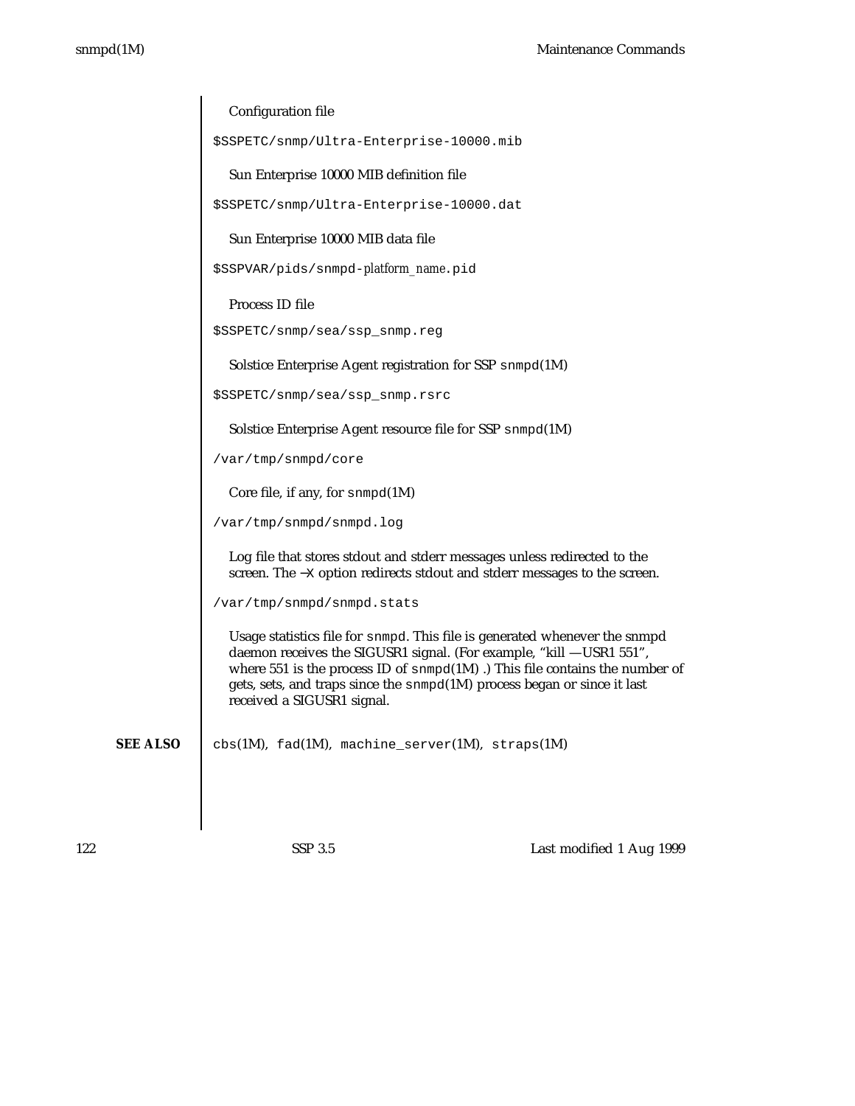|                 | Configuration file                                                                                                                                                                                                                                                                                                                             |
|-----------------|------------------------------------------------------------------------------------------------------------------------------------------------------------------------------------------------------------------------------------------------------------------------------------------------------------------------------------------------|
|                 | \$SSPETC/snmp/Ultra-Enterprise-10000.mib                                                                                                                                                                                                                                                                                                       |
|                 | Sun Enterprise 10000 MIB definition file                                                                                                                                                                                                                                                                                                       |
|                 | \$SSPETC/snmp/Ultra-Enterprise-10000.dat                                                                                                                                                                                                                                                                                                       |
|                 | Sun Enterprise 10000 MIB data file                                                                                                                                                                                                                                                                                                             |
|                 | \$SSPVAR/pids/snmpd-platform_name.pid                                                                                                                                                                                                                                                                                                          |
|                 | Process ID file                                                                                                                                                                                                                                                                                                                                |
|                 | \$SSPETC/snmp/sea/ssp_snmp.reg                                                                                                                                                                                                                                                                                                                 |
|                 | Solstice Enterprise Agent registration for SSP snmpd(1M)                                                                                                                                                                                                                                                                                       |
|                 | \$SSPETC/snmp/sea/ssp_snmp.rsrc                                                                                                                                                                                                                                                                                                                |
|                 | Solstice Enterprise Agent resource file for SSP snmpd(1M)                                                                                                                                                                                                                                                                                      |
|                 | /var/tmp/snmpd/core                                                                                                                                                                                                                                                                                                                            |
|                 | Core file, if any, for $s nmpd(1M)$                                                                                                                                                                                                                                                                                                            |
|                 | /var/tmp/snmpd/snmpd.log                                                                                                                                                                                                                                                                                                                       |
|                 | Log file that stores stdout and stderr messages unless redirected to the<br>screen. The -x option redirects stdout and stderr messages to the screen.                                                                                                                                                                                          |
|                 | /var/tmp/snmpd/snmpd.stats                                                                                                                                                                                                                                                                                                                     |
|                 | Usage statistics file for snmpd. This file is generated whenever the snmpd<br>daemon receives the SIGUSR1 signal. (For example, "kill -USR1 551",<br>where 551 is the process ID of $s nmpd(1M)$ .) This file contains the number of<br>gets, sets, and traps since the snmpd(1M) process began or since it last<br>received a SIGUSR1 signal. |
| <b>SEE ALSO</b> | $\text{cbs}(1M)$ , fad $(1M)$ , machine_server $(1M)$ , straps $(1M)$                                                                                                                                                                                                                                                                          |
|                 |                                                                                                                                                                                                                                                                                                                                                |
|                 |                                                                                                                                                                                                                                                                                                                                                |
|                 |                                                                                                                                                                                                                                                                                                                                                |

122 SSP 3.5 Last modified 1 Aug 1999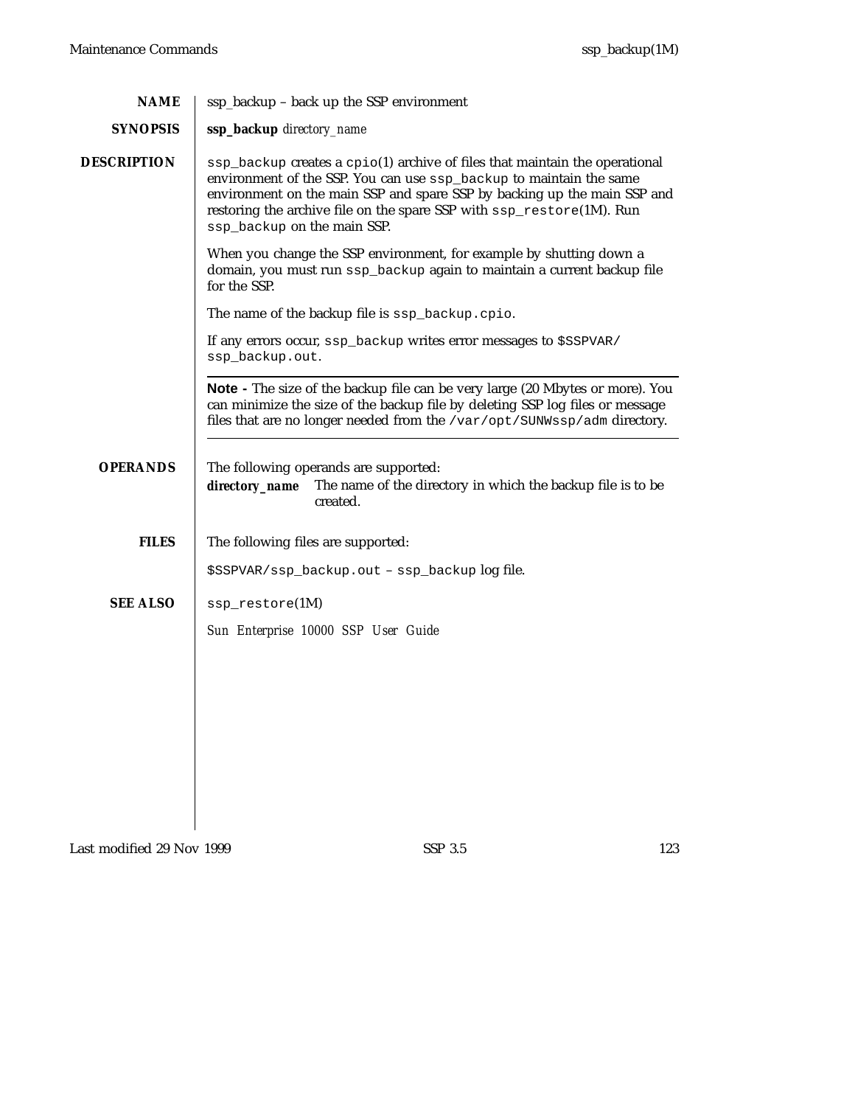| <b>NAME</b>        | ssp_backup - back up the SSP environment                                                                                                                                                                                                                                                                                               |  |  |  |
|--------------------|----------------------------------------------------------------------------------------------------------------------------------------------------------------------------------------------------------------------------------------------------------------------------------------------------------------------------------------|--|--|--|
| <b>SYNOPSIS</b>    | ssp_backup directory_name                                                                                                                                                                                                                                                                                                              |  |  |  |
| <b>DESCRIPTION</b> | ssp_backup creates a cpio(1) archive of files that maintain the operational<br>environment of the SSP. You can use ssp_backup to maintain the same<br>environment on the main SSP and spare SSP by backing up the main SSP and<br>restoring the archive file on the spare SSP with ssp_restore(1M). Run<br>ssp_backup on the main SSP. |  |  |  |
|                    | When you change the SSP environment, for example by shutting down a<br>domain, you must run ssp_backup again to maintain a current backup file<br>for the SSP.                                                                                                                                                                         |  |  |  |
|                    | The name of the backup file is ssp_backup.cpio.                                                                                                                                                                                                                                                                                        |  |  |  |
|                    | If any errors occur, ssp_backup writes error messages to \$SSPVAR/<br>ssp_backup.out.                                                                                                                                                                                                                                                  |  |  |  |
|                    | Note - The size of the backup file can be very large (20 Mbytes or more). You<br>can minimize the size of the backup file by deleting SSP log files or message<br>files that are no longer needed from the /var/opt/SUNWssp/adm directory.                                                                                             |  |  |  |
| <b>OPERANDS</b>    | The following operands are supported:<br>directory_name<br>The name of the directory in which the backup file is to be<br>created.                                                                                                                                                                                                     |  |  |  |
| <b>FILES</b>       | The following files are supported:                                                                                                                                                                                                                                                                                                     |  |  |  |
|                    | \$SSPVAR/ssp_backup.out - ssp_backup log file.                                                                                                                                                                                                                                                                                         |  |  |  |
| <b>SEE ALSO</b>    | $ssp\_restore(M)$                                                                                                                                                                                                                                                                                                                      |  |  |  |
|                    | Sun Enterprise 10000 SSP User Guide                                                                                                                                                                                                                                                                                                    |  |  |  |
|                    |                                                                                                                                                                                                                                                                                                                                        |  |  |  |
|                    |                                                                                                                                                                                                                                                                                                                                        |  |  |  |
|                    |                                                                                                                                                                                                                                                                                                                                        |  |  |  |

Last modified 29 Nov 1999 SSP 3.5 5 123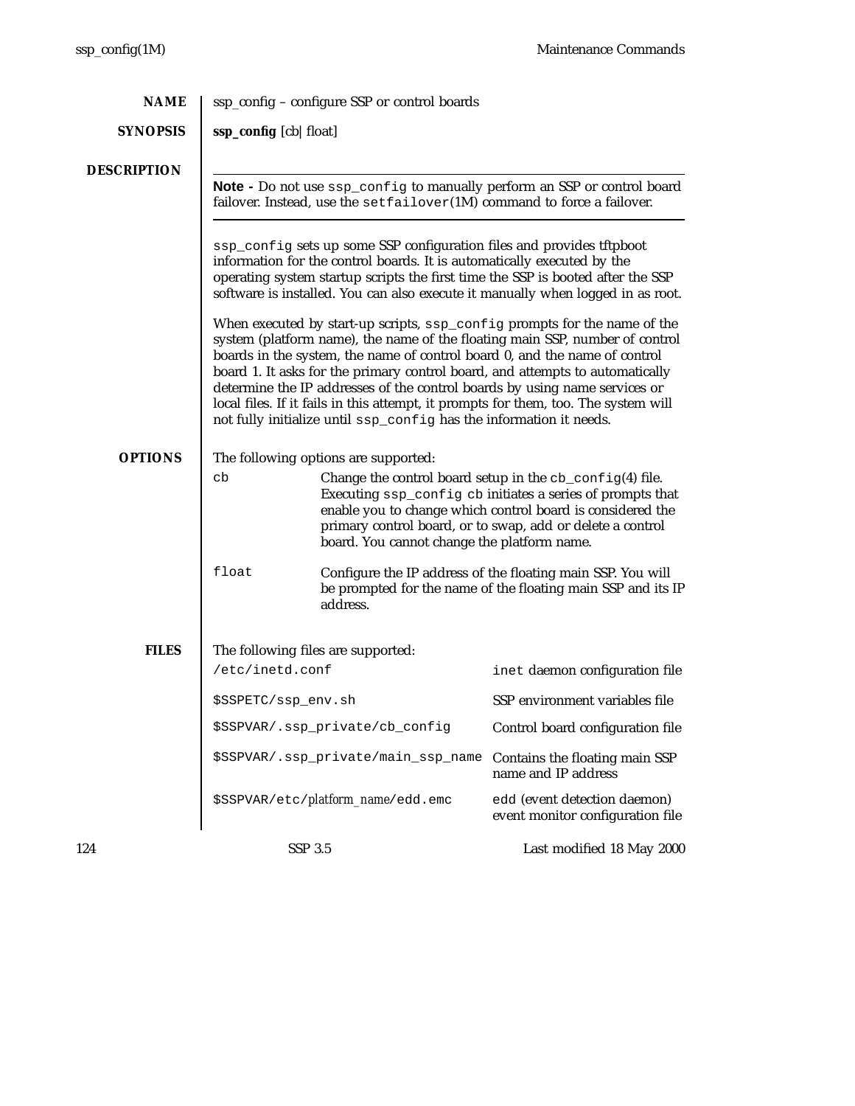| <b>NAME</b>        | ssp_config - configure SSP or control boards                                                                                                                                                                                                                                                                           |                                                                                                                                                                                                                                                                                                                                                |                                                                                                                                                                                                                                                                                                                                                                                                                 |  |
|--------------------|------------------------------------------------------------------------------------------------------------------------------------------------------------------------------------------------------------------------------------------------------------------------------------------------------------------------|------------------------------------------------------------------------------------------------------------------------------------------------------------------------------------------------------------------------------------------------------------------------------------------------------------------------------------------------|-----------------------------------------------------------------------------------------------------------------------------------------------------------------------------------------------------------------------------------------------------------------------------------------------------------------------------------------------------------------------------------------------------------------|--|
| <b>SYNOPSIS</b>    | $ssp_{contig}$ [cb   float]                                                                                                                                                                                                                                                                                            |                                                                                                                                                                                                                                                                                                                                                |                                                                                                                                                                                                                                                                                                                                                                                                                 |  |
| <b>DESCRIPTION</b> | <b>Note -</b> Do not use ssp_config to manually perform an SSP or control board<br>failover. Instead, use the setfailover(1M) command to force a failover.                                                                                                                                                             |                                                                                                                                                                                                                                                                                                                                                |                                                                                                                                                                                                                                                                                                                                                                                                                 |  |
|                    | ssp_config sets up some SSP configuration files and provides tftpboot<br>information for the control boards. It is automatically executed by the<br>operating system startup scripts the first time the SSP is booted after the SSP<br>software is installed. You can also execute it manually when logged in as root. |                                                                                                                                                                                                                                                                                                                                                |                                                                                                                                                                                                                                                                                                                                                                                                                 |  |
|                    |                                                                                                                                                                                                                                                                                                                        | boards in the system, the name of control board 0, and the name of control<br>not fully initialize until ssp_config has the information it needs.                                                                                                                                                                                              | When executed by start-up scripts, ssp_config prompts for the name of the<br>system (platform name), the name of the floating main SSP, number of control<br>board 1. It asks for the primary control board, and attempts to automatically<br>determine the IP addresses of the control boards by using name services or<br>local files. If it fails in this attempt, it prompts for them, too. The system will |  |
| <b>OPTIONS</b>     | cb                                                                                                                                                                                                                                                                                                                     | The following options are supported:<br>Change the control board setup in the $cb\_{config}(4)$ file.<br>Executing ssp_config cb initiates a series of prompts that<br>enable you to change which control board is considered the<br>primary control board, or to swap, add or delete a control<br>board. You cannot change the platform name. |                                                                                                                                                                                                                                                                                                                                                                                                                 |  |
|                    | float                                                                                                                                                                                                                                                                                                                  | address.                                                                                                                                                                                                                                                                                                                                       | Configure the IP address of the floating main SSP. You will<br>be prompted for the name of the floating main SSP and its IP                                                                                                                                                                                                                                                                                     |  |
| <b>FILES</b>       | The following files are supported:<br>/etc/inetd.conf                                                                                                                                                                                                                                                                  |                                                                                                                                                                                                                                                                                                                                                | inet daemon configuration file                                                                                                                                                                                                                                                                                                                                                                                  |  |
|                    | \$SSPETC/ssp_env.sh                                                                                                                                                                                                                                                                                                    |                                                                                                                                                                                                                                                                                                                                                | SSP environment variables file                                                                                                                                                                                                                                                                                                                                                                                  |  |
|                    |                                                                                                                                                                                                                                                                                                                        | \$SSPVAR/.ssp_private/cb_config                                                                                                                                                                                                                                                                                                                | Control board configuration file                                                                                                                                                                                                                                                                                                                                                                                |  |
|                    |                                                                                                                                                                                                                                                                                                                        | \$SSPVAR/.ssp_private/main_ssp_name                                                                                                                                                                                                                                                                                                            | Contains the floating main SSP<br>name and IP address                                                                                                                                                                                                                                                                                                                                                           |  |
|                    |                                                                                                                                                                                                                                                                                                                        | \$SSPVAR/etc/platform_name/edd.emc                                                                                                                                                                                                                                                                                                             | edd (event detection daemon)<br>event monitor configuration file                                                                                                                                                                                                                                                                                                                                                |  |
| 124                | SSP 3.5                                                                                                                                                                                                                                                                                                                |                                                                                                                                                                                                                                                                                                                                                | Last modified 18 May 2000                                                                                                                                                                                                                                                                                                                                                                                       |  |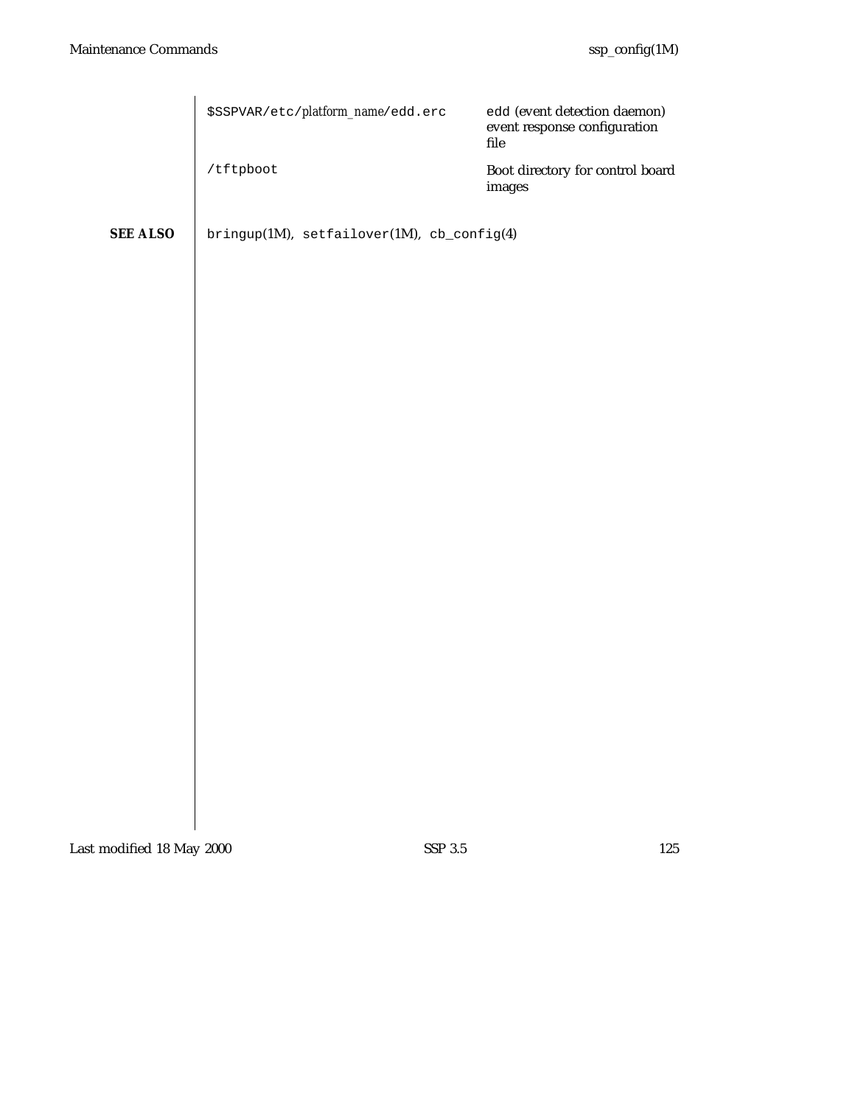|                 | \$SSPVAR/etc/platform_name/edd.erc                     | edd (event detection daemon)<br>event response configuration<br>file |
|-----------------|--------------------------------------------------------|----------------------------------------------------------------------|
|                 | /tftpboot                                              | Boot directory for control board<br>images                           |
| <b>SEE ALSO</b> | bringup( $1M$ ), setfailover( $1M$ ), cb_config( $4$ ) |                                                                      |

Last modified 18 May 2000 SSP 3.5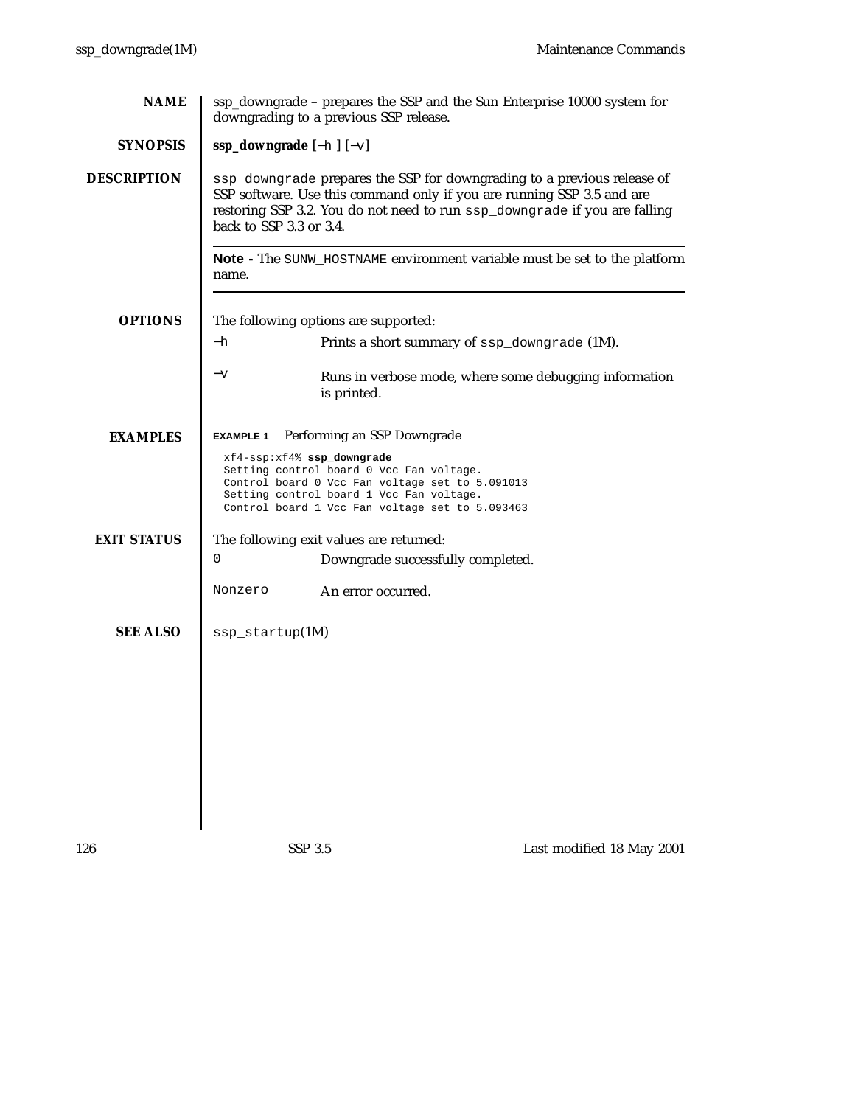| <b>NAME</b>        | ssp_downgrade - prepares the SSP and the Sun Enterprise 10000 system for<br>downgrading to a previous SSP release.                                                                                                                                         |                                                                                                                                                                                            |  |
|--------------------|------------------------------------------------------------------------------------------------------------------------------------------------------------------------------------------------------------------------------------------------------------|--------------------------------------------------------------------------------------------------------------------------------------------------------------------------------------------|--|
| <b>SYNOPSIS</b>    | $ssp_downgrade [-h] [-v]$                                                                                                                                                                                                                                  |                                                                                                                                                                                            |  |
| <b>DESCRIPTION</b> | ssp_downgrade prepares the SSP for downgrading to a previous release of<br>SSP software. Use this command only if you are running SSP 3.5 and are<br>restoring SSP 3.2. You do not need to run ssp_downgrade if you are falling<br>back to SSP 3.3 or 3.4. |                                                                                                                                                                                            |  |
|                    | name.                                                                                                                                                                                                                                                      | Note - The SUNW_HOSTNAME environment variable must be set to the platform                                                                                                                  |  |
| <b>OPTIONS</b>     |                                                                                                                                                                                                                                                            | The following options are supported:                                                                                                                                                       |  |
|                    | -h                                                                                                                                                                                                                                                         | Prints a short summary of ssp_downgrade (1M).                                                                                                                                              |  |
|                    | $-\mathrm{v}$                                                                                                                                                                                                                                              | Runs in verbose mode, where some debugging information<br>is printed.                                                                                                                      |  |
| <b>EXAMPLES</b>    | <b>EXAMPLE 1</b>                                                                                                                                                                                                                                           | Performing an SSP Downgrade                                                                                                                                                                |  |
|                    | $xf4-ssp:xf4$ % ssp_downgrade                                                                                                                                                                                                                              | Setting control board 0 Vcc Fan voltage.<br>Control board 0 Vcc Fan voltage set to 5.091013<br>Setting control board 1 Vcc Fan voltage.<br>Control board 1 Vcc Fan voltage set to 5.093463 |  |
| <b>EXIT STATUS</b> |                                                                                                                                                                                                                                                            | The following exit values are returned:                                                                                                                                                    |  |
|                    | 0                                                                                                                                                                                                                                                          | Downgrade successfully completed.                                                                                                                                                          |  |
|                    | Nonzero                                                                                                                                                                                                                                                    | An error occurred.                                                                                                                                                                         |  |
| <b>SEE ALSO</b>    | $ssp\_startup(1M)$                                                                                                                                                                                                                                         |                                                                                                                                                                                            |  |
|                    |                                                                                                                                                                                                                                                            |                                                                                                                                                                                            |  |
|                    |                                                                                                                                                                                                                                                            |                                                                                                                                                                                            |  |
|                    |                                                                                                                                                                                                                                                            |                                                                                                                                                                                            |  |
|                    |                                                                                                                                                                                                                                                            |                                                                                                                                                                                            |  |
|                    |                                                                                                                                                                                                                                                            |                                                                                                                                                                                            |  |
|                    |                                                                                                                                                                                                                                                            |                                                                                                                                                                                            |  |

126 SSP 3.5 Last modified 18 May 2001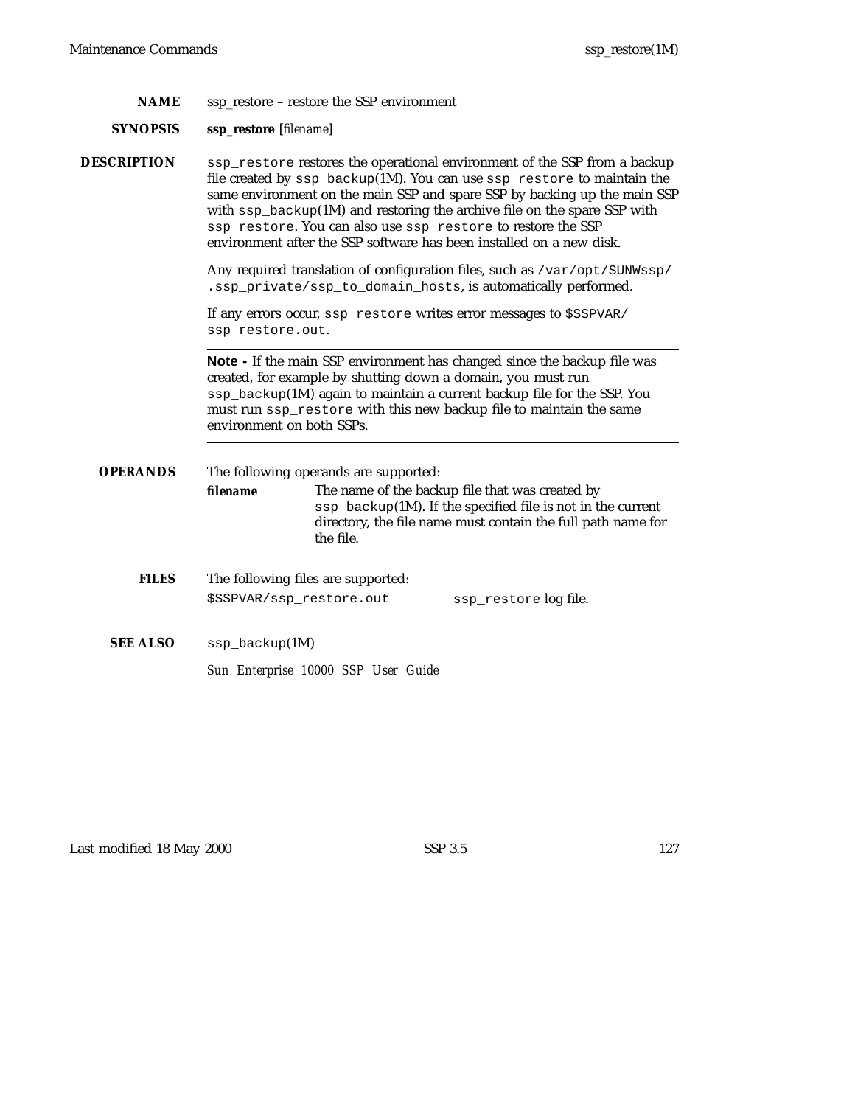| <b>NAME</b>        | ssp_restore - restore the SSP environment                                                                                                                                                                                                                                                                                                                                                                                                             |  |  |
|--------------------|-------------------------------------------------------------------------------------------------------------------------------------------------------------------------------------------------------------------------------------------------------------------------------------------------------------------------------------------------------------------------------------------------------------------------------------------------------|--|--|
| <b>SYNOPSIS</b>    | ssp_restore [filename]                                                                                                                                                                                                                                                                                                                                                                                                                                |  |  |
| <b>DESCRIPTION</b> | ssp_restore restores the operational environment of the SSP from a backup<br>file created by ssp_backup(1M). You can use ssp_restore to maintain the<br>same environment on the main SSP and spare SSP by backing up the main SSP<br>with ssp_backup(1M) and restoring the archive file on the spare SSP with<br>ssp_restore. You can also use ssp_restore to restore the SSP<br>environment after the SSP software has been installed on a new disk. |  |  |
|                    | Any required translation of configuration files, such as /var/opt/SUNWssp/<br>.ssp_private/ssp_to_domain_hosts, is automatically performed.                                                                                                                                                                                                                                                                                                           |  |  |
|                    | If any errors occur, ssp_restore writes error messages to \$SSPVAR/<br>ssp_restore.out.                                                                                                                                                                                                                                                                                                                                                               |  |  |
|                    | Note - If the main SSP environment has changed since the backup file was<br>created, for example by shutting down a domain, you must run<br>ssp_backup(1M) again to maintain a current backup file for the SSP. You<br>must run ssp_restore with this new backup file to maintain the same<br>environment on both SSPs.                                                                                                                               |  |  |
| <b>OPERANDS</b>    | The following operands are supported:<br>filename<br>The name of the backup file that was created by<br>ssp_backup(1M). If the specified file is not in the current<br>directory, the file name must contain the full path name for<br>the file.                                                                                                                                                                                                      |  |  |
| <b>FILES</b>       | The following files are supported:<br>\$SSPVAR/ssp_restore.out<br>ssp_restore log file.                                                                                                                                                                                                                                                                                                                                                               |  |  |
| <b>SEE ALSO</b>    | $\texttt{ssp\_backup}(1M)$<br>Sun Enterprise 10000 SSP User Guide                                                                                                                                                                                                                                                                                                                                                                                     |  |  |
|                    |                                                                                                                                                                                                                                                                                                                                                                                                                                                       |  |  |

Last modified 18 May 2000 SSP 3.5

 $\mathbf{I}$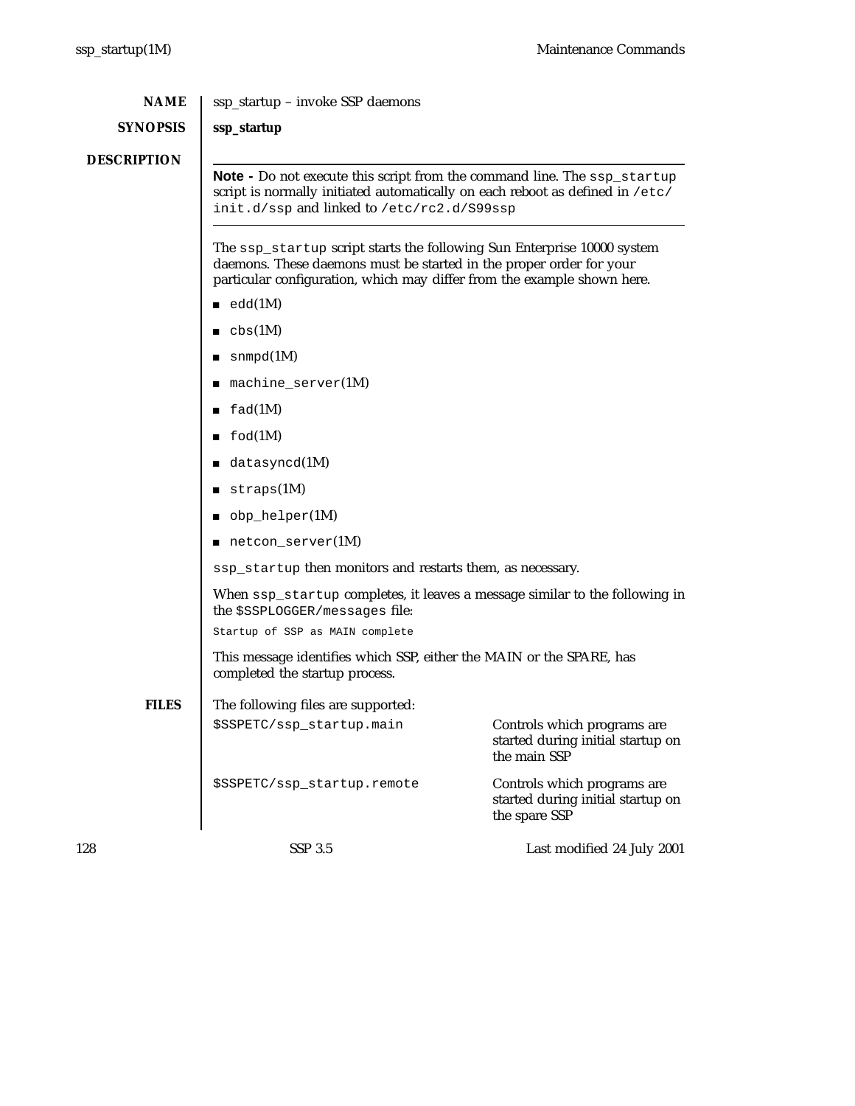| <b>NAME</b> | ssp_startup - invoke SSP daemons |  |
|-------------|----------------------------------|--|
|-------------|----------------------------------|--|

## **SYNOPSIS** | ssp\_startup

### **DESCRIPTION**

**Note -** Do not execute this script from the command line. The ssp\_startup script is normally initiated automatically on each reboot as defined in /etc/ init.d/ssp and linked to /etc/rc2.d/S99ssp

The ssp\_startup script starts the following Sun Enterprise 10000 system daemons. These daemons must be started in the proper order for your particular configuration, which may differ from the example shown here.

- $\blacksquare$  edd $(1M)$
- $\blacksquare$  cbs(1M)
- $\blacksquare$  snmpd $(1M)$
- $\blacksquare$  machine\_server(1M)
- $\blacksquare$  fad(1M)
- $\blacksquare$  fod(1M)
- datasyncd(1M)
- $\blacksquare$  straps(1M)
- obp\_helper(1M)
- $\blacksquare$  netcon\_server(1M)

ssp\_startup then monitors and restarts them, as necessary.

When ssp\_startup completes, it leaves a message similar to the following in the \$SSPLOGGER/messages file:

Startup of SSP as MAIN complete

This message identifies which SSP, either the MAIN or the SPARE, has completed the startup process.

| <b>FILES</b> | The following files are supported: |                                                                                   |  |  |
|--------------|------------------------------------|-----------------------------------------------------------------------------------|--|--|
|              | \$SSPETC/ssp_startup.main          | Controls which programs are.<br>started during initial startup on<br>the main SSP |  |  |
|              | \$SSPETC/ssp_startup.remote        | Controls which programs are<br>started during initial startup on<br>the spare SSP |  |  |
| 128          | SSP 3.5                            | Last modified 24 July 2001                                                        |  |  |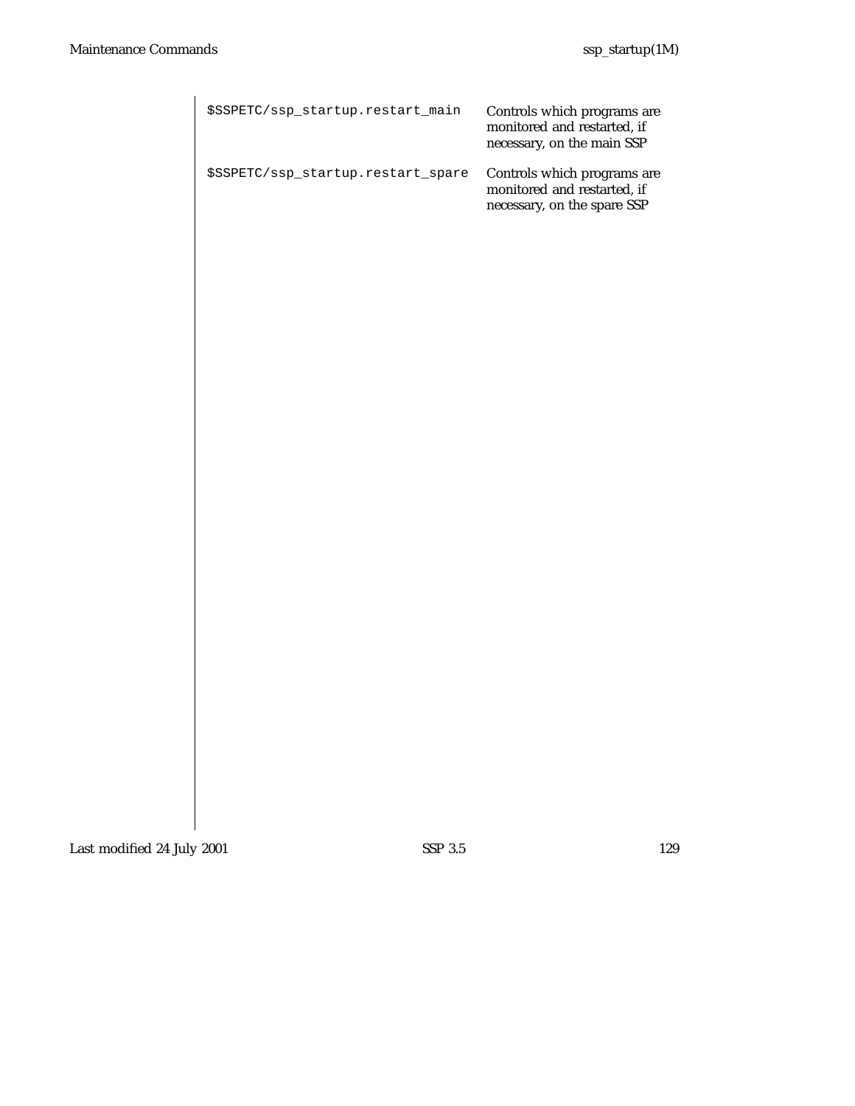| \$SSPETC/ssp_startup.restart_main  | Controls which programs are<br>monitored and restarted, if<br>necessary, on the main SSP  |
|------------------------------------|-------------------------------------------------------------------------------------------|
| \$SSPETC/ssp_startup.restart_spare | Controls which programs are<br>monitored and restarted, if<br>necessary, on the spare SSP |

Last modified 24 July 2001 SSP 3.5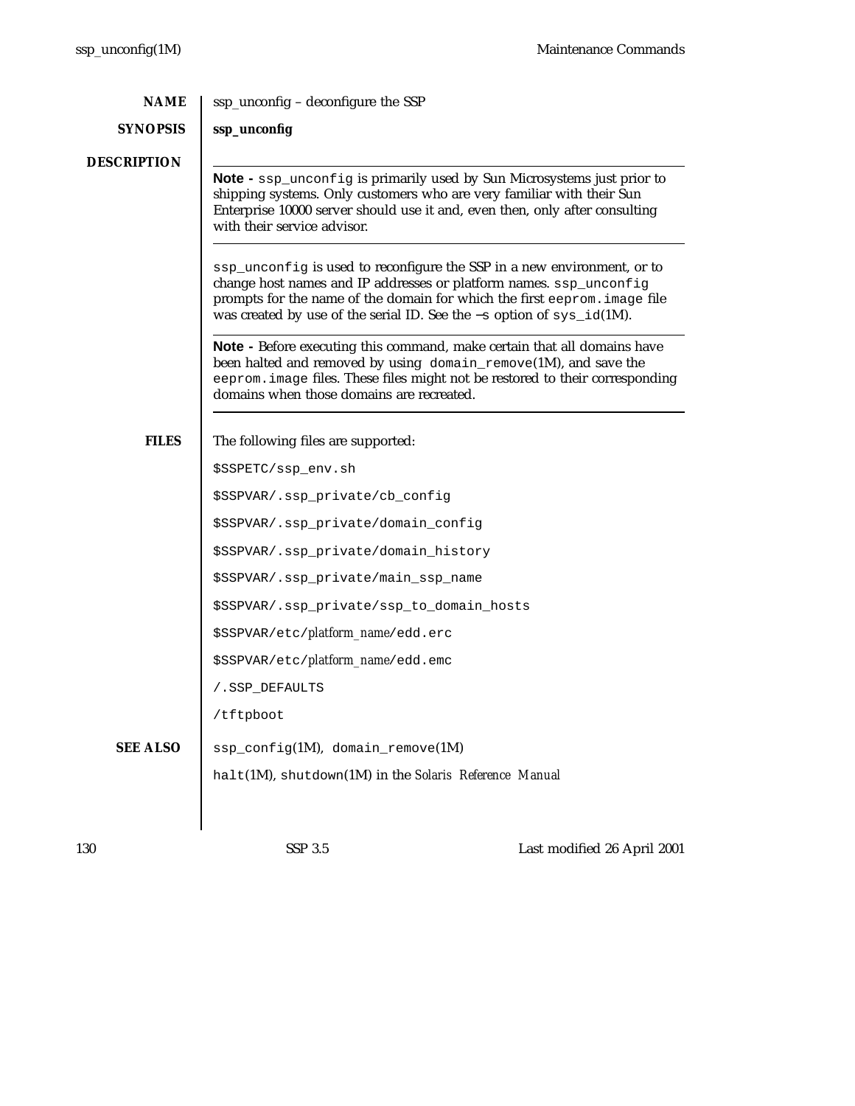| <b>NAME</b>                                                                                                                                                                                                                                                                          | ssp_unconfig - deconfigure the SSP                                                                                                                                                                                                                                                                      |  |
|--------------------------------------------------------------------------------------------------------------------------------------------------------------------------------------------------------------------------------------------------------------------------------------|---------------------------------------------------------------------------------------------------------------------------------------------------------------------------------------------------------------------------------------------------------------------------------------------------------|--|
| <b>SYNOPSIS</b>                                                                                                                                                                                                                                                                      | ssp_unconfig                                                                                                                                                                                                                                                                                            |  |
| <b>DESCRIPTION</b><br>Note - ssp_unconfig is primarily used by Sun Microsystems just prior to<br>shipping systems. Only customers who are very familiar with their Sun<br>Enterprise 10000 server should use it and, even then, only after consulting<br>with their service advisor. |                                                                                                                                                                                                                                                                                                         |  |
|                                                                                                                                                                                                                                                                                      | ssp_unconfig is used to reconfigure the SSP in a new environment, or to<br>change host names and IP addresses or platform names. ssp_unconfig<br>prompts for the name of the domain for which the first eeprom. image file<br>was created by use of the serial ID. See the $-s$ option of $sys_id(M)$ . |  |
|                                                                                                                                                                                                                                                                                      | Note - Before executing this command, make certain that all domains have<br>been halted and removed by using domain_remove(1M), and save the<br>eeprom. image files. These files might not be restored to their corresponding<br>domains when those domains are recreated.                              |  |
| <b>FILES</b>                                                                                                                                                                                                                                                                         | The following files are supported:                                                                                                                                                                                                                                                                      |  |
|                                                                                                                                                                                                                                                                                      | \$SSPETC/ssp_env.sh                                                                                                                                                                                                                                                                                     |  |
|                                                                                                                                                                                                                                                                                      | \$SSPVAR/.ssp_private/cb_config                                                                                                                                                                                                                                                                         |  |
|                                                                                                                                                                                                                                                                                      | \$SSPVAR/.ssp_private/domain_config                                                                                                                                                                                                                                                                     |  |
|                                                                                                                                                                                                                                                                                      | \$SSPVAR/.ssp_private/domain_history                                                                                                                                                                                                                                                                    |  |
|                                                                                                                                                                                                                                                                                      | \$SSPVAR/.ssp_private/main_ssp_name                                                                                                                                                                                                                                                                     |  |
|                                                                                                                                                                                                                                                                                      | \$SSPVAR/.ssp_private/ssp_to_domain_hosts                                                                                                                                                                                                                                                               |  |
|                                                                                                                                                                                                                                                                                      | \$SSPVAR/etc/platform_name/edd.erc                                                                                                                                                                                                                                                                      |  |
|                                                                                                                                                                                                                                                                                      | \$SSPVAR/etc/platform_name/edd.emc                                                                                                                                                                                                                                                                      |  |
|                                                                                                                                                                                                                                                                                      | /.SSP DEFAULTS                                                                                                                                                                                                                                                                                          |  |
|                                                                                                                                                                                                                                                                                      | /tftpboot                                                                                                                                                                                                                                                                                               |  |
| <b>SEE ALSO</b>                                                                                                                                                                                                                                                                      | $ssp_{confiq}(1M)$ , domain remove $(1M)$                                                                                                                                                                                                                                                               |  |
|                                                                                                                                                                                                                                                                                      | halt(1M), shutdown(1M) in the Solaris Reference Manual                                                                                                                                                                                                                                                  |  |
|                                                                                                                                                                                                                                                                                      |                                                                                                                                                                                                                                                                                                         |  |
|                                                                                                                                                                                                                                                                                      |                                                                                                                                                                                                                                                                                                         |  |

130 SSP 3.5 Last modified 26 April 2001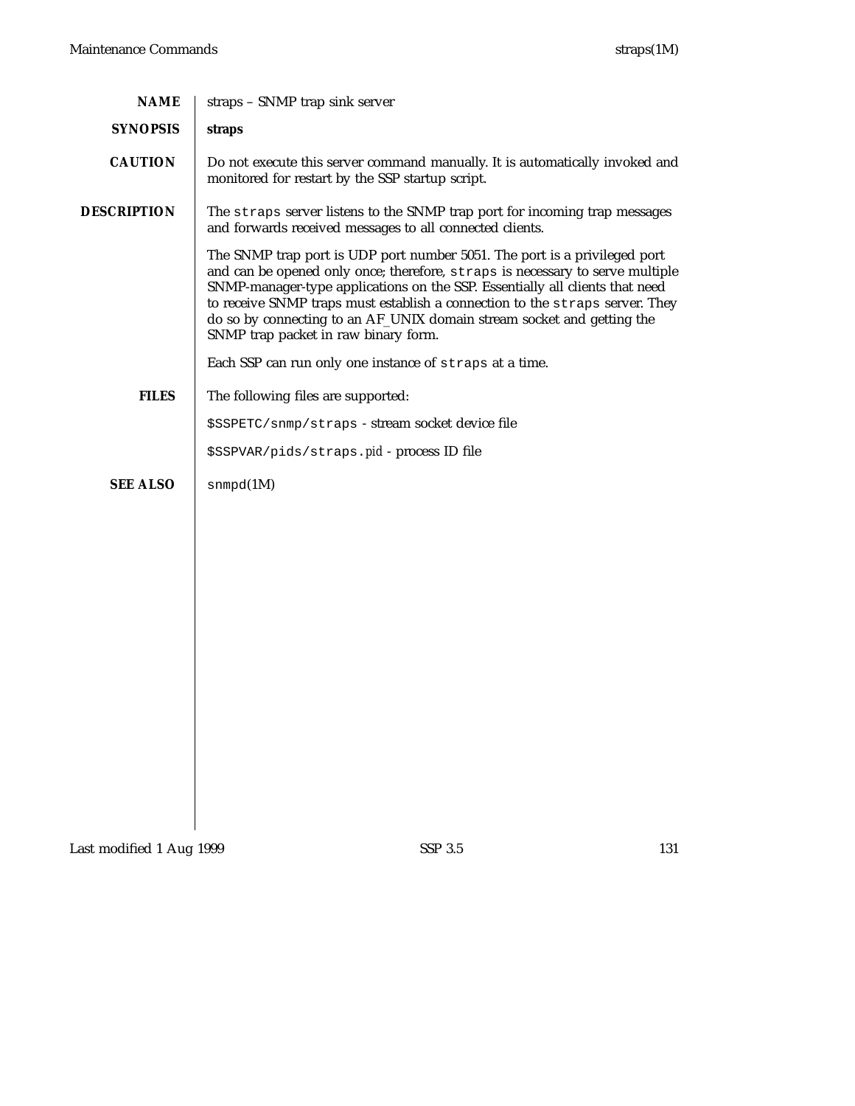| <b>NAME</b>        | straps - SNMP trap sink server                                                                                                                                                                                                                                                                                                                                                                                                               |
|--------------------|----------------------------------------------------------------------------------------------------------------------------------------------------------------------------------------------------------------------------------------------------------------------------------------------------------------------------------------------------------------------------------------------------------------------------------------------|
| <b>SYNOPSIS</b>    | straps                                                                                                                                                                                                                                                                                                                                                                                                                                       |
| <b>CAUTION</b>     | Do not execute this server command manually. It is automatically invoked and<br>monitored for restart by the SSP startup script.                                                                                                                                                                                                                                                                                                             |
| <b>DESCRIPTION</b> | The straps server listens to the SNMP trap port for incoming trap messages<br>and forwards received messages to all connected clients.                                                                                                                                                                                                                                                                                                       |
|                    | The SNMP trap port is UDP port number 5051. The port is a privileged port<br>and can be opened only once; therefore, straps is necessary to serve multiple<br>SNMP-manager-type applications on the SSP. Essentially all clients that need<br>to receive SNMP traps must establish a connection to the straps server. They<br>do so by connecting to an AF_UNIX domain stream socket and getting the<br>SNMP trap packet in raw binary form. |
|                    | Each SSP can run only one instance of straps at a time.                                                                                                                                                                                                                                                                                                                                                                                      |
| <b>FILES</b>       | The following files are supported:                                                                                                                                                                                                                                                                                                                                                                                                           |
|                    | \$SSPETC/snmp/straps - stream socket device file                                                                                                                                                                                                                                                                                                                                                                                             |
|                    | \$SSPVAR/pids/straps.pid - process ID file                                                                                                                                                                                                                                                                                                                                                                                                   |
| <b>SEE ALSO</b>    | $s$ nmpd $(1M)$                                                                                                                                                                                                                                                                                                                                                                                                                              |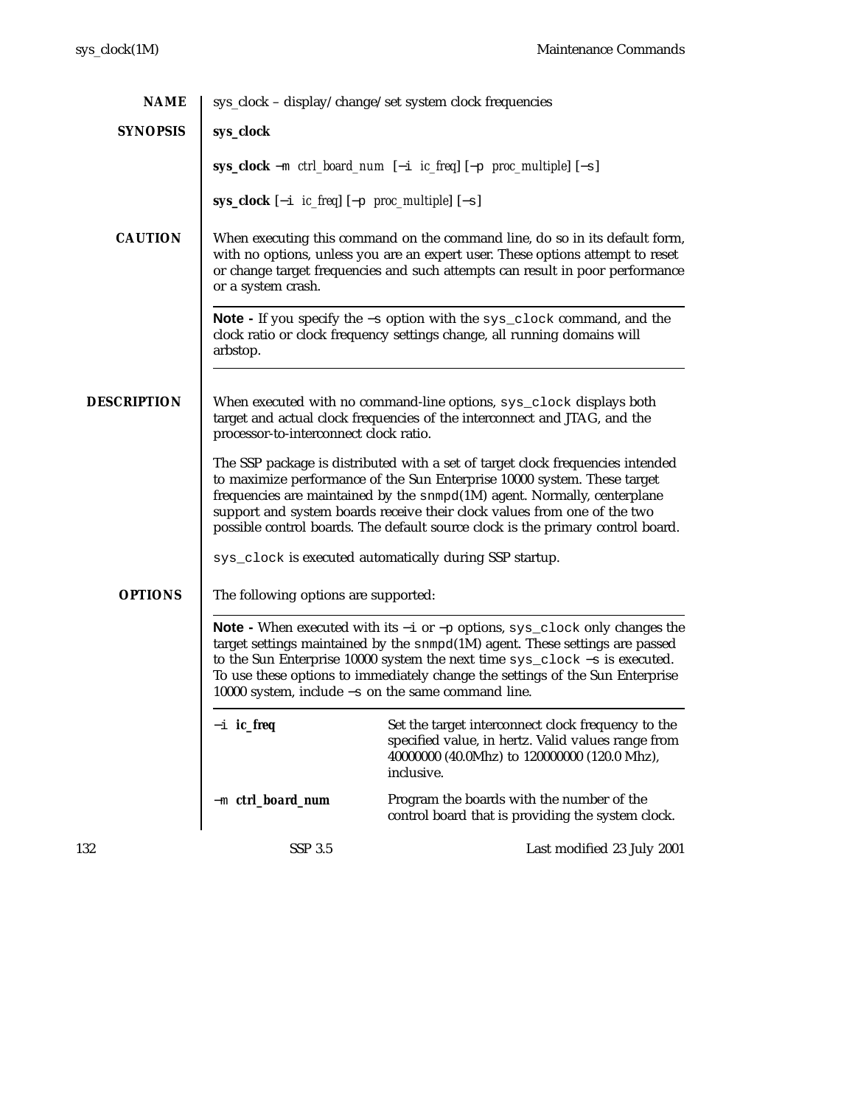| <b>NAME</b>        | sys_clock - display/change/set system clock frequencies                                                                                                                                                                                                                                                                                                                                            |                                                                                                                                                                                                                                                                                                                                                                                                       |
|--------------------|----------------------------------------------------------------------------------------------------------------------------------------------------------------------------------------------------------------------------------------------------------------------------------------------------------------------------------------------------------------------------------------------------|-------------------------------------------------------------------------------------------------------------------------------------------------------------------------------------------------------------------------------------------------------------------------------------------------------------------------------------------------------------------------------------------------------|
| <b>SYNOPSIS</b>    | sys_clock                                                                                                                                                                                                                                                                                                                                                                                          |                                                                                                                                                                                                                                                                                                                                                                                                       |
|                    |                                                                                                                                                                                                                                                                                                                                                                                                    | $sys\_clock$ -m ctrl_board_num $[-i$ ic_freq] $[-p$ proc_multiple] $[-s]$                                                                                                                                                                                                                                                                                                                             |
|                    | sys_clock $[-i$ ic_freq] $[-p$ proc_multiple] $[-s]$                                                                                                                                                                                                                                                                                                                                               |                                                                                                                                                                                                                                                                                                                                                                                                       |
| <b>CAUTION</b>     | When executing this command on the command line, do so in its default form,<br>with no options, unless you are an expert user. These options attempt to reset<br>or change target frequencies and such attempts can result in poor performance<br>or a system crash.                                                                                                                               |                                                                                                                                                                                                                                                                                                                                                                                                       |
|                    | arbstop.                                                                                                                                                                                                                                                                                                                                                                                           | <b>Note -</b> If you specify the $-s$ option with the $sys\_clock$ command, and the<br>clock ratio or clock frequency settings change, all running domains will                                                                                                                                                                                                                                       |
| <b>DESCRIPTION</b> | When executed with no command-line options, sys_clock displays both<br>target and actual clock frequencies of the interconnect and JTAG, and the<br>processor-to-interconnect clock ratio.                                                                                                                                                                                                         |                                                                                                                                                                                                                                                                                                                                                                                                       |
|                    |                                                                                                                                                                                                                                                                                                                                                                                                    | The SSP package is distributed with a set of target clock frequencies intended<br>to maximize performance of the Sun Enterprise 10000 system. These target<br>frequencies are maintained by the snmpd(1M) agent. Normally, centerplane<br>support and system boards receive their clock values from one of the two<br>possible control boards. The default source clock is the primary control board. |
|                    |                                                                                                                                                                                                                                                                                                                                                                                                    | sys_clock is executed automatically during SSP startup.                                                                                                                                                                                                                                                                                                                                               |
| <b>OPTIONS</b>     | The following options are supported:                                                                                                                                                                                                                                                                                                                                                               |                                                                                                                                                                                                                                                                                                                                                                                                       |
|                    | <b>Note -</b> When executed with its $-i$ or $-p$ options, $sys_c$ lock only changes the<br>target settings maintained by the snmpd(1M) agent. These settings are passed<br>to the Sun Enterprise 10000 system the next time $sys\_clock -s$ is executed.<br>To use these options to immediately change the settings of the Sun Enterprise<br>10000 system, include $-s$ on the same command line. |                                                                                                                                                                                                                                                                                                                                                                                                       |
|                    | $-i$ ic_freq                                                                                                                                                                                                                                                                                                                                                                                       | Set the target interconnect clock frequency to the<br>specified value, in hertz. Valid values range from<br>40000000 (40.0Mhz) to 120000000 (120.0 Mhz),<br>inclusive.                                                                                                                                                                                                                                |
|                    | -m ctrl_board_num                                                                                                                                                                                                                                                                                                                                                                                  | Program the boards with the number of the<br>control board that is providing the system clock.                                                                                                                                                                                                                                                                                                        |
| 132                | SSP 3.5                                                                                                                                                                                                                                                                                                                                                                                            | Last modified 23 July 2001                                                                                                                                                                                                                                                                                                                                                                            |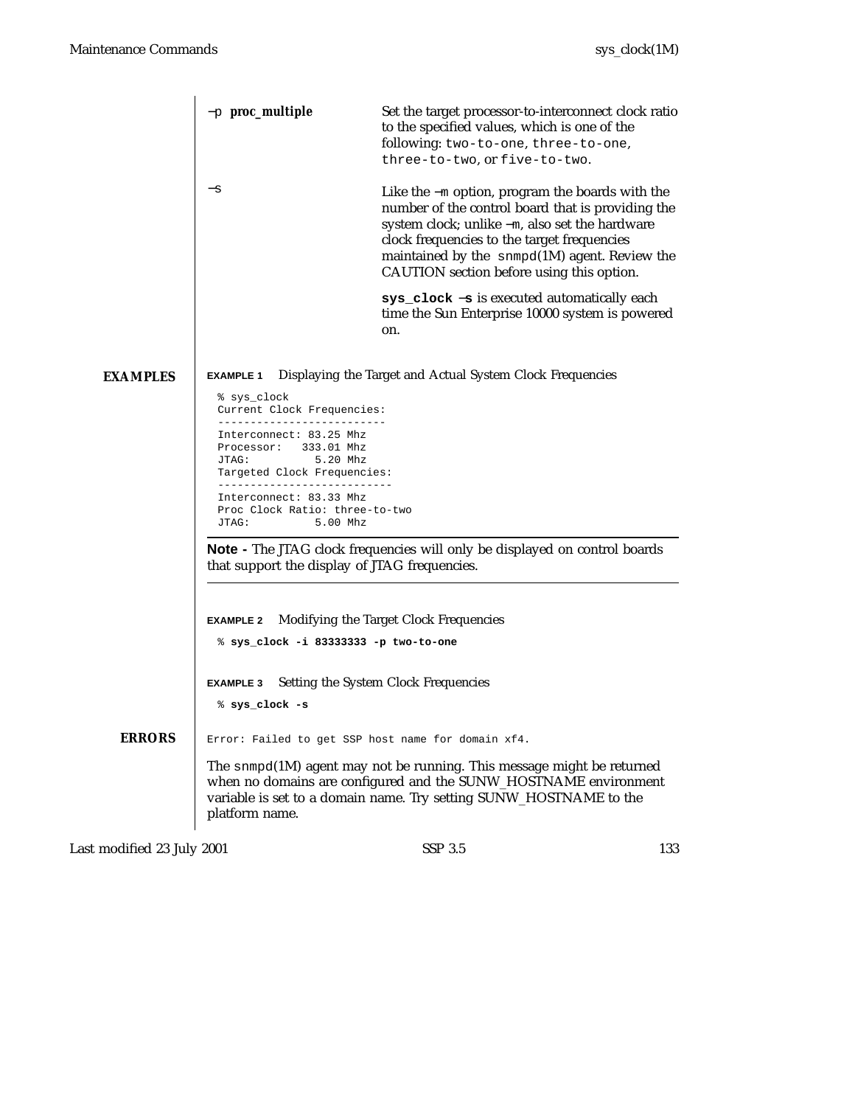

Last modified 23 July 2001 SSP 3.5 133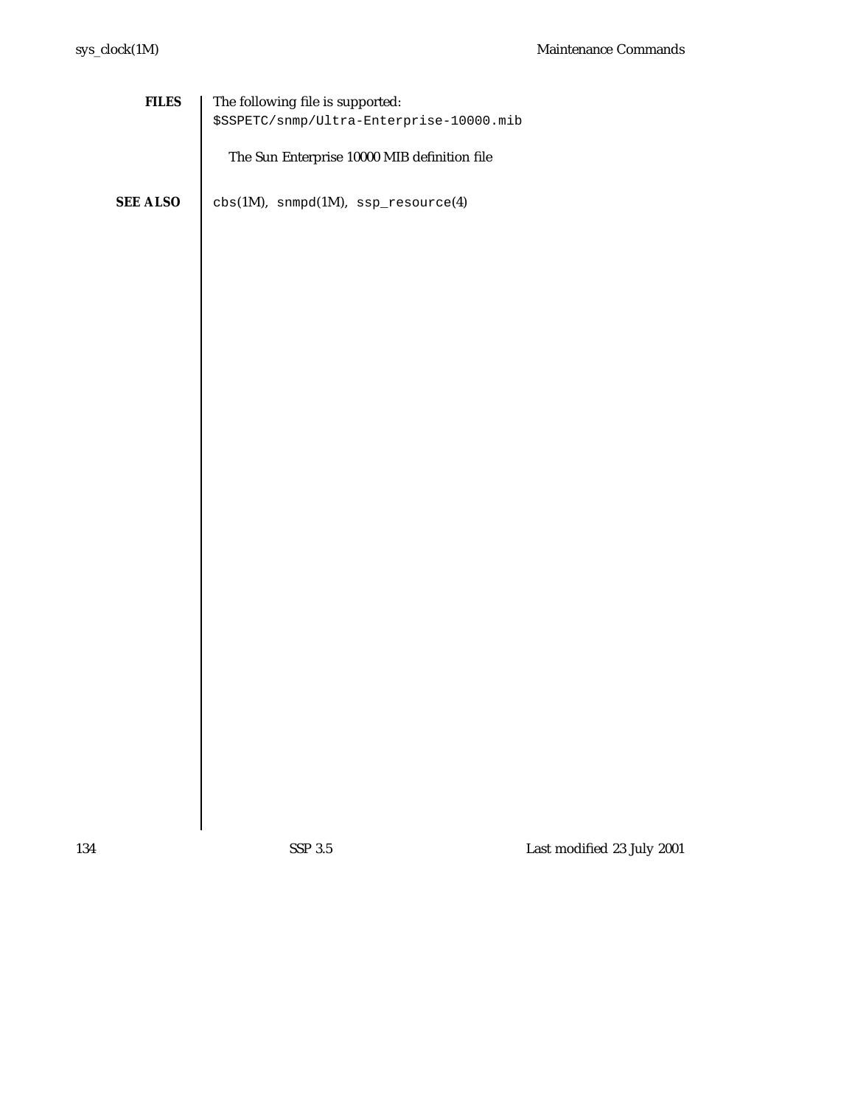| <b>FILES</b>    | The following file is supported:<br>\$SSPETC/snmp/Ultra-Enterprise-10000.mib |                            |
|-----------------|------------------------------------------------------------------------------|----------------------------|
|                 | The Sun Enterprise 10000 MIB definition file                                 |                            |
| <b>SEE ALSO</b> | $cbs(1M)$ , snmpd $(1M)$ , ssp_resource $(4)$                                |                            |
|                 |                                                                              |                            |
|                 |                                                                              |                            |
|                 |                                                                              |                            |
|                 |                                                                              |                            |
|                 |                                                                              |                            |
|                 |                                                                              |                            |
|                 |                                                                              |                            |
|                 |                                                                              |                            |
|                 |                                                                              |                            |
|                 |                                                                              |                            |
|                 |                                                                              |                            |
|                 |                                                                              |                            |
|                 |                                                                              |                            |
| 134             | $SSP\,$ $3.5$                                                                | Last modified 23 July 2001 |
|                 |                                                                              |                            |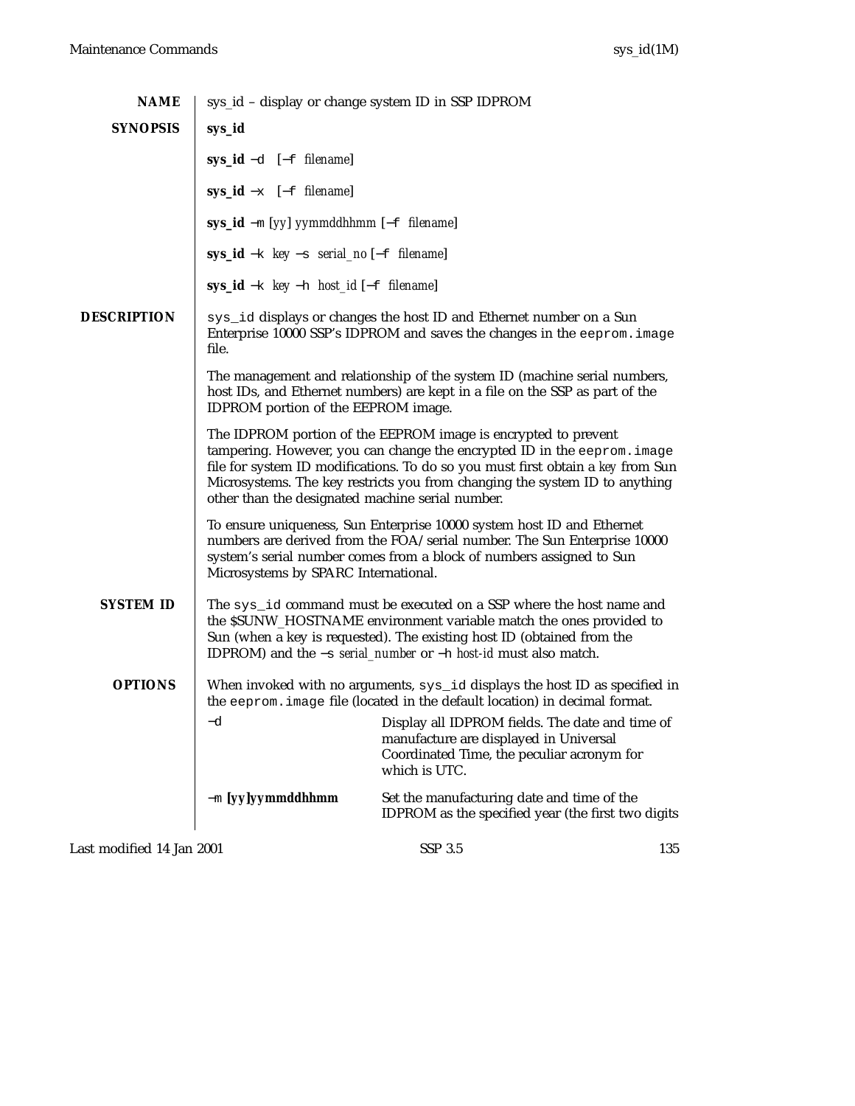| <b>NAME</b>               | sys_id - display or change system ID in SSP IDPROM                                                                                                                                                                                                                                           |                                                                                                                                                                                                                                                                                                              |     |
|---------------------------|----------------------------------------------------------------------------------------------------------------------------------------------------------------------------------------------------------------------------------------------------------------------------------------------|--------------------------------------------------------------------------------------------------------------------------------------------------------------------------------------------------------------------------------------------------------------------------------------------------------------|-----|
| <b>SYNOPSIS</b>           | sys_id                                                                                                                                                                                                                                                                                       |                                                                                                                                                                                                                                                                                                              |     |
|                           | $sys_id -d$ $[-f$ filename]                                                                                                                                                                                                                                                                  |                                                                                                                                                                                                                                                                                                              |     |
|                           | $sys_id -x$ [-f filename]                                                                                                                                                                                                                                                                    |                                                                                                                                                                                                                                                                                                              |     |
|                           | sys_id -m [yy] yymmddhhmm [-f filename]                                                                                                                                                                                                                                                      |                                                                                                                                                                                                                                                                                                              |     |
|                           | sys_id - $k$ key -s serial_no [-f filename]                                                                                                                                                                                                                                                  |                                                                                                                                                                                                                                                                                                              |     |
|                           | sys_id -k key -h host_id [-f filename]                                                                                                                                                                                                                                                       |                                                                                                                                                                                                                                                                                                              |     |
| <b>DESCRIPTION</b>        | sys_id displays or changes the host ID and Ethernet number on a Sun<br>Enterprise 10000 SSP's IDPROM and saves the changes in the eeprom. image<br>file.                                                                                                                                     |                                                                                                                                                                                                                                                                                                              |     |
|                           | IDPROM portion of the EEPROM image.                                                                                                                                                                                                                                                          | The management and relationship of the system ID (machine serial numbers,<br>host IDs, and Ethernet numbers) are kept in a file on the SSP as part of the                                                                                                                                                    |     |
|                           | other than the designated machine serial number.                                                                                                                                                                                                                                             | The IDPROM portion of the EEPROM image is encrypted to prevent<br>tampering. However, you can change the encrypted ID in the eeprom. image<br>file for system ID modifications. To do so you must first obtain a key from Sun<br>Microsystems. The key restricts you from changing the system ID to anything |     |
|                           | Microsystems by SPARC International.                                                                                                                                                                                                                                                         | To ensure uniqueness, Sun Enterprise 10000 system host ID and Ethernet<br>numbers are derived from the FOA/serial number. The Sun Enterprise 10000<br>system's serial number comes from a block of numbers assigned to Sun                                                                                   |     |
| <b>SYSTEM ID</b>          | The sys_id command must be executed on a SSP where the host name and<br>the \$SUNW_HOSTNAME environment variable match the ones provided to<br>Sun (when a key is requested). The existing host ID (obtained from the<br>IDPROM) and the $-s$ serial_number or $-h$ host-id must also match. |                                                                                                                                                                                                                                                                                                              |     |
| <b>OPTIONS</b>            | When invoked with no arguments, sys_id displays the host ID as specified in<br>the eeprom. image file (located in the default location) in decimal format.                                                                                                                                   |                                                                                                                                                                                                                                                                                                              |     |
|                           | -d                                                                                                                                                                                                                                                                                           | Display all IDPROM fields. The date and time of<br>manufacture are displayed in Universal<br>Coordinated Time, the peculiar acronym for<br>which is UTC.                                                                                                                                                     |     |
|                           | -m [yy]yymmddhhmm                                                                                                                                                                                                                                                                            | Set the manufacturing date and time of the<br>IDPROM as the specified year (the first two digits                                                                                                                                                                                                             |     |
| Last modified 14 Jan 2001 |                                                                                                                                                                                                                                                                                              | SSP 3.5                                                                                                                                                                                                                                                                                                      | 135 |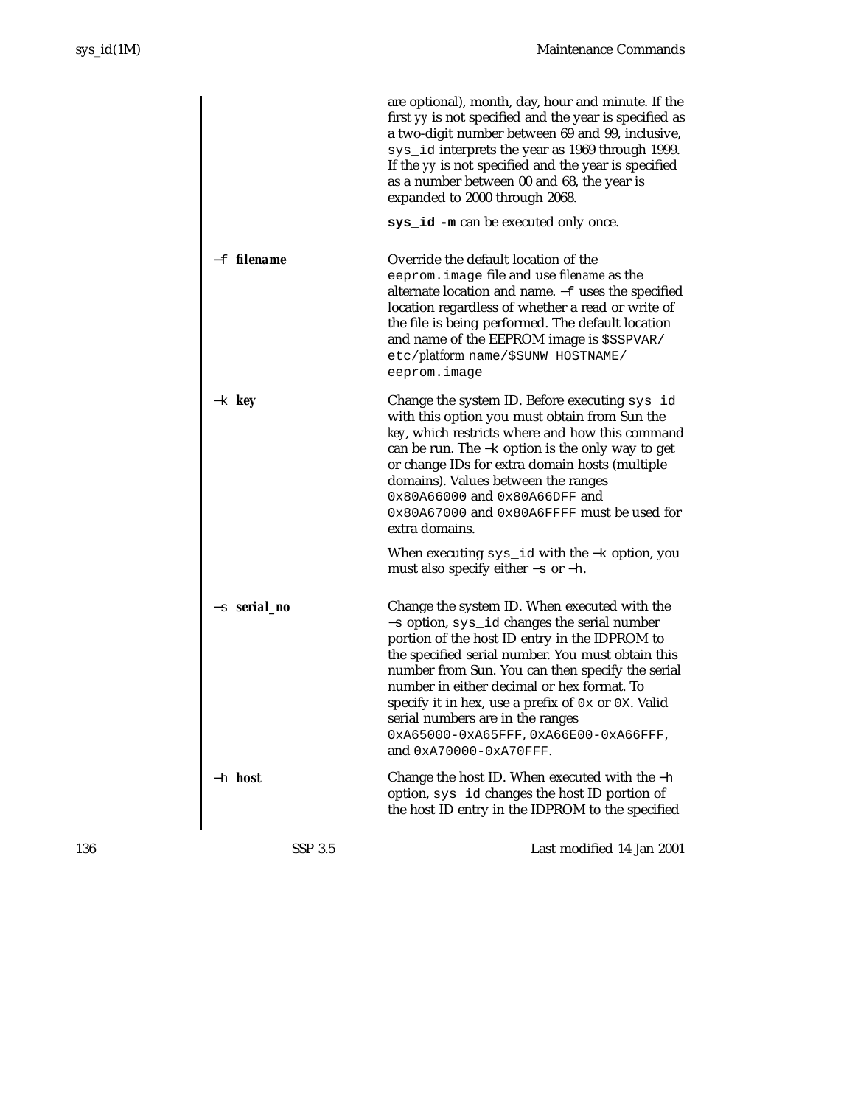|     |               | are optional), month, day, hour and minute. If the<br>first yy is not specified and the year is specified as<br>a two-digit number between 69 and 99, inclusive,<br>sys_id interprets the year as 1969 through 1999.<br>If the yy is not specified and the year is specified<br>as a number between 00 and 68, the year is<br>expanded to 2000 through 2068.                                                                                                     |
|-----|---------------|------------------------------------------------------------------------------------------------------------------------------------------------------------------------------------------------------------------------------------------------------------------------------------------------------------------------------------------------------------------------------------------------------------------------------------------------------------------|
|     |               | sys_id -m can be executed only once.                                                                                                                                                                                                                                                                                                                                                                                                                             |
|     | $-f$ filename | Override the default location of the<br>eeprom. image file and use filename as the<br>alternate location and name. $-f$ uses the specified<br>location regardless of whether a read or write of<br>the file is being performed. The default location<br>and name of the EEPROM image is \$SSPVAR/<br>etc/platform name/\$SUNW_HOSTNAME/<br>eeprom.image                                                                                                          |
|     | $-k$ key      | Change the system ID. Before executing sys_id<br>with this option you must obtain from Sun the<br>key, which restricts where and how this command<br>can be run. The $-k$ option is the only way to get<br>or change IDs for extra domain hosts (multiple<br>domains). Values between the ranges<br>0x80A66000 and 0x80A66DFF and<br>0x80A67000 and 0x80A6FFFF must be used for<br>extra domains.                                                                |
|     |               | When executing $sys_id$ with the $-k$ option, you<br>must also specify either $-s$ or $-h$ .                                                                                                                                                                                                                                                                                                                                                                     |
|     | -s serial no  | Change the system ID. When executed with the<br>-s option, sys_id changes the serial number<br>portion of the host ID entry in the IDPROM to<br>the specified serial number. You must obtain this<br>number from Sun. You can then specify the serial<br>number in either decimal or hex format. To<br>specify it in hex, use a prefix of 0x or 0x. Valid<br>serial numbers are in the ranges<br>0xA65000-0xA65FFF, 0xA66E00-0xA66FFF,<br>and 0xA70000-0xA70FFF. |
|     | $-h$ host     | Change the host ID. When executed with the $-h$<br>option, sys_id changes the host ID portion of<br>the host ID entry in the IDPROM to the specified                                                                                                                                                                                                                                                                                                             |
| 136 | SSP 3.5       | Last modified 14 Jan 2001                                                                                                                                                                                                                                                                                                                                                                                                                                        |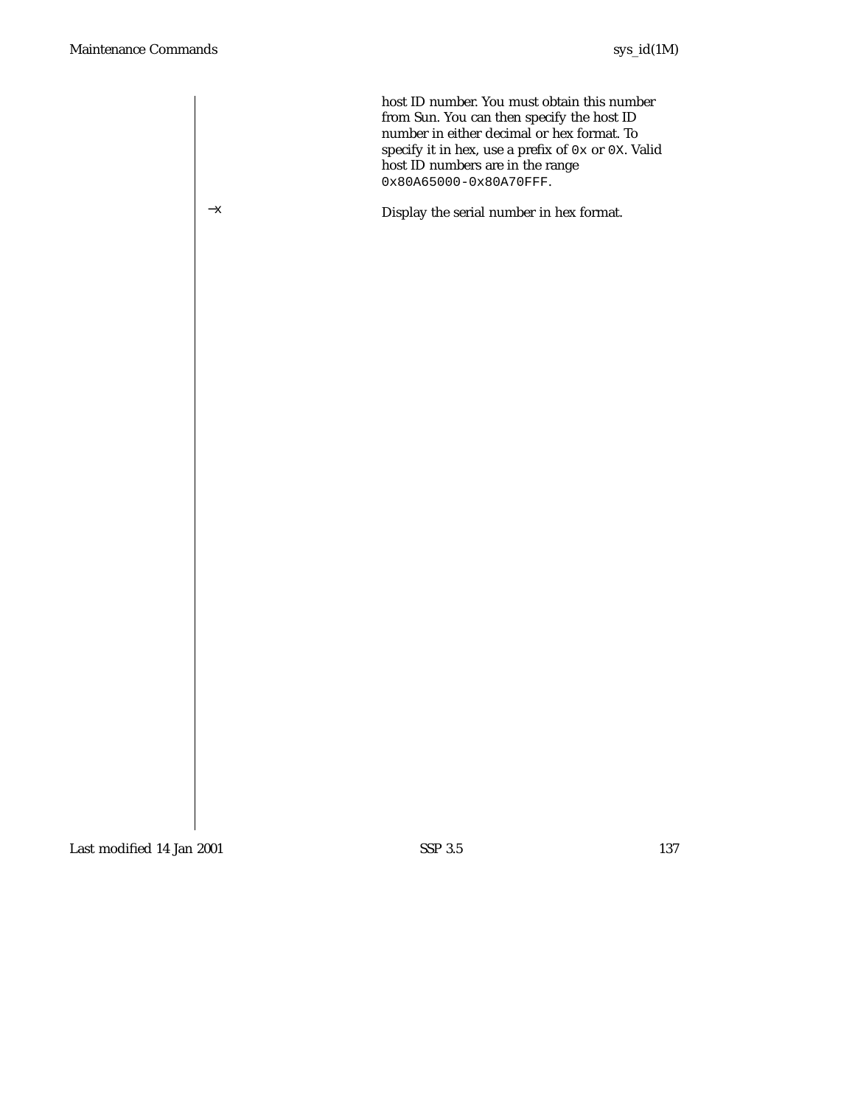|      | host ID number. You must obtain this number<br>from Sun. You can then specify the host ID<br>number in either decimal or hex format. To<br>specify it in hex, use a prefix of 0x or 0x. Valid<br>host ID numbers are in the range<br>0x80A65000-0x80A70FFF. |
|------|-------------------------------------------------------------------------------------------------------------------------------------------------------------------------------------------------------------------------------------------------------------|
| $-x$ | Display the serial number in hex format.                                                                                                                                                                                                                    |
|      |                                                                                                                                                                                                                                                             |
|      |                                                                                                                                                                                                                                                             |
|      |                                                                                                                                                                                                                                                             |
|      |                                                                                                                                                                                                                                                             |
|      |                                                                                                                                                                                                                                                             |
|      |                                                                                                                                                                                                                                                             |
|      |                                                                                                                                                                                                                                                             |
|      |                                                                                                                                                                                                                                                             |
|      |                                                                                                                                                                                                                                                             |
|      |                                                                                                                                                                                                                                                             |
|      |                                                                                                                                                                                                                                                             |
|      |                                                                                                                                                                                                                                                             |
|      |                                                                                                                                                                                                                                                             |
|      |                                                                                                                                                                                                                                                             |
|      |                                                                                                                                                                                                                                                             |

Last modified 14 Jan 2001 SSP 3.5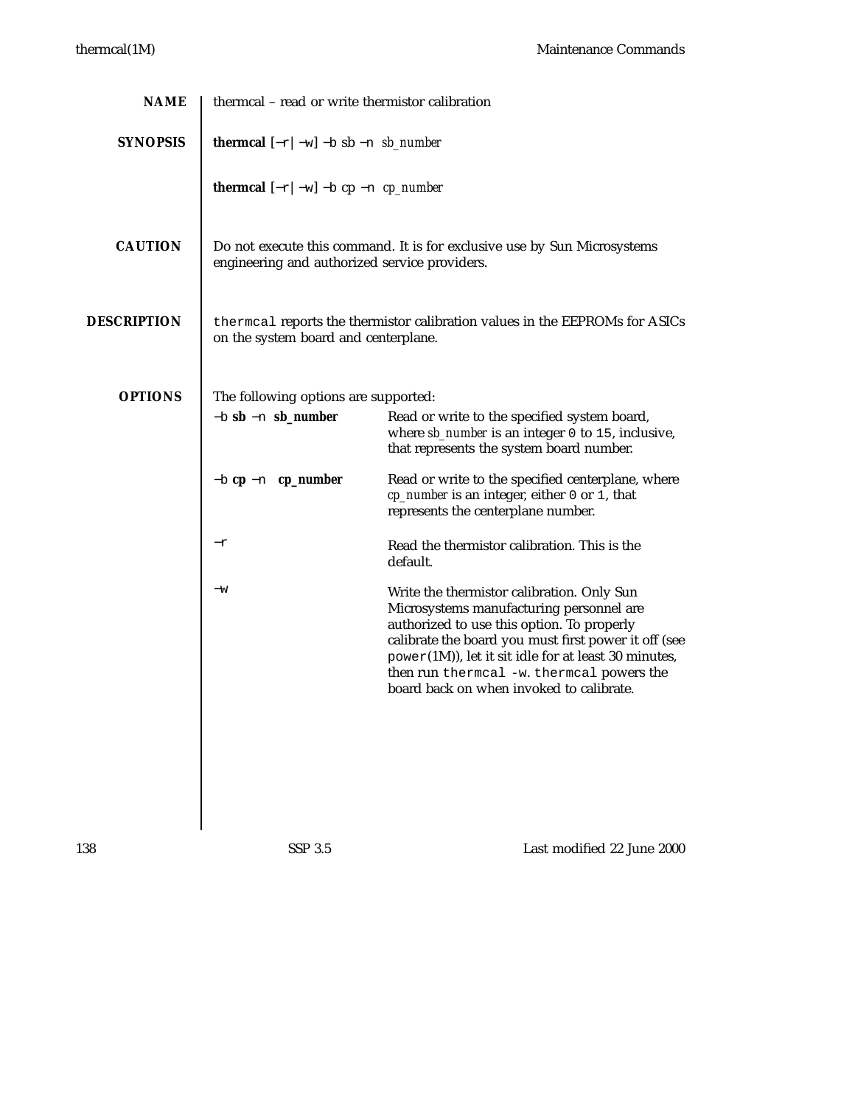| <b>NAME</b>        | thermcal - read or write thermistor calibration              |                                                                                                                                                                                                                                                                                                                                               |  |
|--------------------|--------------------------------------------------------------|-----------------------------------------------------------------------------------------------------------------------------------------------------------------------------------------------------------------------------------------------------------------------------------------------------------------------------------------------|--|
| <b>SYNOPSIS</b>    | <b>thermcal</b> $[-r]$ -w] -b sb -n sb_number                |                                                                                                                                                                                                                                                                                                                                               |  |
|                    | <b>thermcal</b> $[-r]$ -w] -b cp -n cp_number                |                                                                                                                                                                                                                                                                                                                                               |  |
| <b>CAUTION</b>     | engineering and authorized service providers.                | Do not execute this command. It is for exclusive use by Sun Microsystems                                                                                                                                                                                                                                                                      |  |
| <b>DESCRIPTION</b> | on the system board and centerplane.                         | thermcal reports the thermistor calibration values in the EEPROMs for ASICs                                                                                                                                                                                                                                                                   |  |
| <b>OPTIONS</b>     | The following options are supported:<br>$-b$ sb -n sb_number | Read or write to the specified system board,                                                                                                                                                                                                                                                                                                  |  |
|                    |                                                              | where $sb$ number is an integer $0$ to 15, inclusive,<br>that represents the system board number.                                                                                                                                                                                                                                             |  |
|                    | $-b$ cp -n cp_number                                         | Read or write to the specified centerplane, where<br>cp_number is an integer, either 0 or 1, that<br>represents the centerplane number.                                                                                                                                                                                                       |  |
|                    | -r                                                           | Read the thermistor calibration. This is the<br>default.                                                                                                                                                                                                                                                                                      |  |
|                    | $-w$                                                         | Write the thermistor calibration. Only Sun<br>Microsystems manufacturing personnel are<br>authorized to use this option. To properly<br>calibrate the board you must first power it off (see<br>power(1M)), let it sit idle for at least 30 minutes,<br>then run thermcal -w. thermcal powers the<br>board back on when invoked to calibrate. |  |
|                    |                                                              |                                                                                                                                                                                                                                                                                                                                               |  |
|                    |                                                              |                                                                                                                                                                                                                                                                                                                                               |  |
|                    |                                                              |                                                                                                                                                                                                                                                                                                                                               |  |

138 SSP 3.5 Last modified 22 June 2000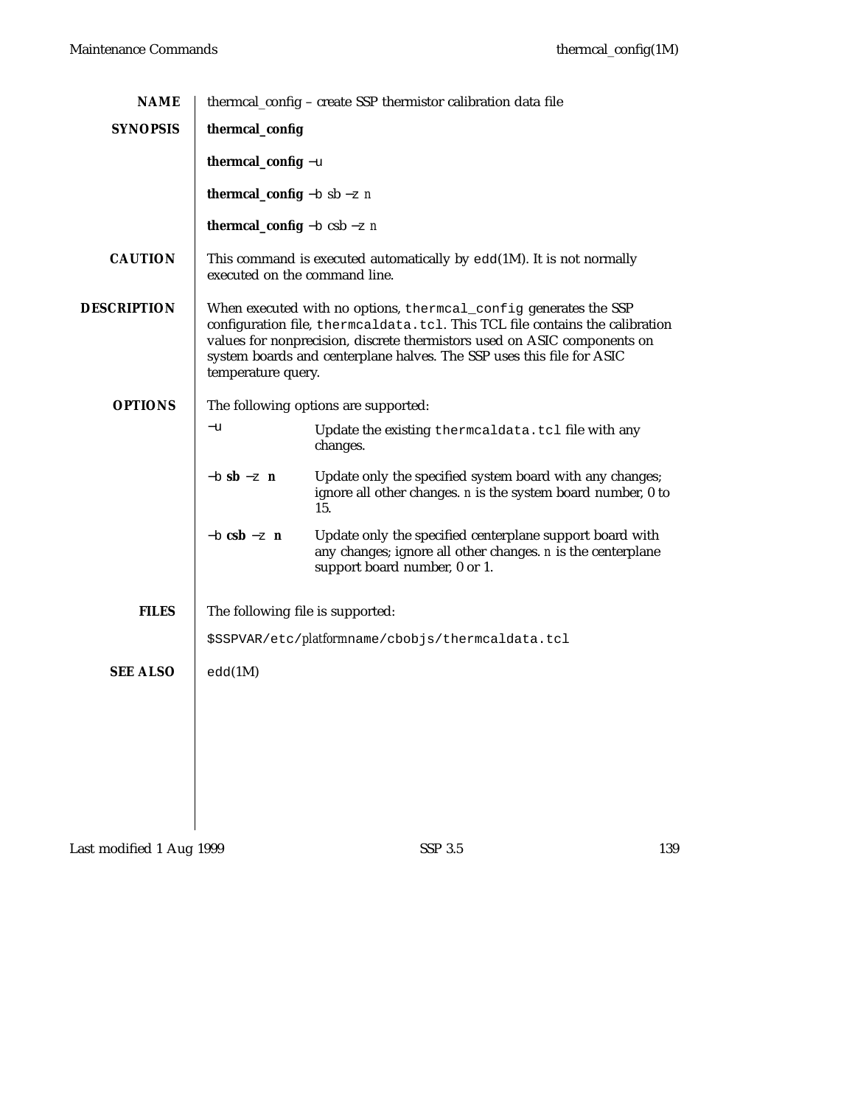| <b>NAME</b>        |                                        | thermcal_config - create SSP thermistor calibration data file                                                                                                                                                                                                                                         |
|--------------------|----------------------------------------|-------------------------------------------------------------------------------------------------------------------------------------------------------------------------------------------------------------------------------------------------------------------------------------------------------|
| <b>SYNOPSIS</b>    | thermcal_config                        |                                                                                                                                                                                                                                                                                                       |
|                    | thermcal_config-u                      |                                                                                                                                                                                                                                                                                                       |
|                    | thermcal_config $-b$ sb $-z$ n         |                                                                                                                                                                                                                                                                                                       |
|                    | <b>thermcal_config</b> $-b$ csb $-z$ n |                                                                                                                                                                                                                                                                                                       |
| <b>CAUTION</b>     | executed on the command line.          | This command is executed automatically by edd(1M). It is not normally                                                                                                                                                                                                                                 |
| <b>DESCRIPTION</b> | temperature query.                     | When executed with no options, thermcal_config generates the SSP<br>configuration file, thermcaldata.tcl. This TCL file contains the calibration<br>values for nonprecision, discrete thermistors used on ASIC components on<br>system boards and centerplane halves. The SSP uses this file for ASIC |
| <b>OPTIONS</b>     |                                        | The following options are supported:                                                                                                                                                                                                                                                                  |
|                    | $-u$                                   | Update the existing thermcaldata.tcl file with any<br>changes.                                                                                                                                                                                                                                        |
|                    | $-b$ sb $-z$ n                         | Update only the specified system board with any changes;<br>ignore all other changes. $n$ is the system board number, $0$ to<br>15.                                                                                                                                                                   |
|                    | $-b \cosh -z$ n                        | Update only the specified centerplane support board with<br>any changes; ignore all other changes. $n$ is the centerplane<br>support board number, 0 or 1.                                                                                                                                            |
| <b>FILES</b>       | The following file is supported:       |                                                                                                                                                                                                                                                                                                       |
|                    |                                        | \$SSPVAR/etc/platformname/cbobjs/thermcaldata.tcl                                                                                                                                                                                                                                                     |
| <b>SEE ALSO</b>    | edd(1M)                                |                                                                                                                                                                                                                                                                                                       |
|                    |                                        |                                                                                                                                                                                                                                                                                                       |
|                    |                                        |                                                                                                                                                                                                                                                                                                       |
|                    |                                        |                                                                                                                                                                                                                                                                                                       |

Last modified 1 Aug 1999 SSP 3.5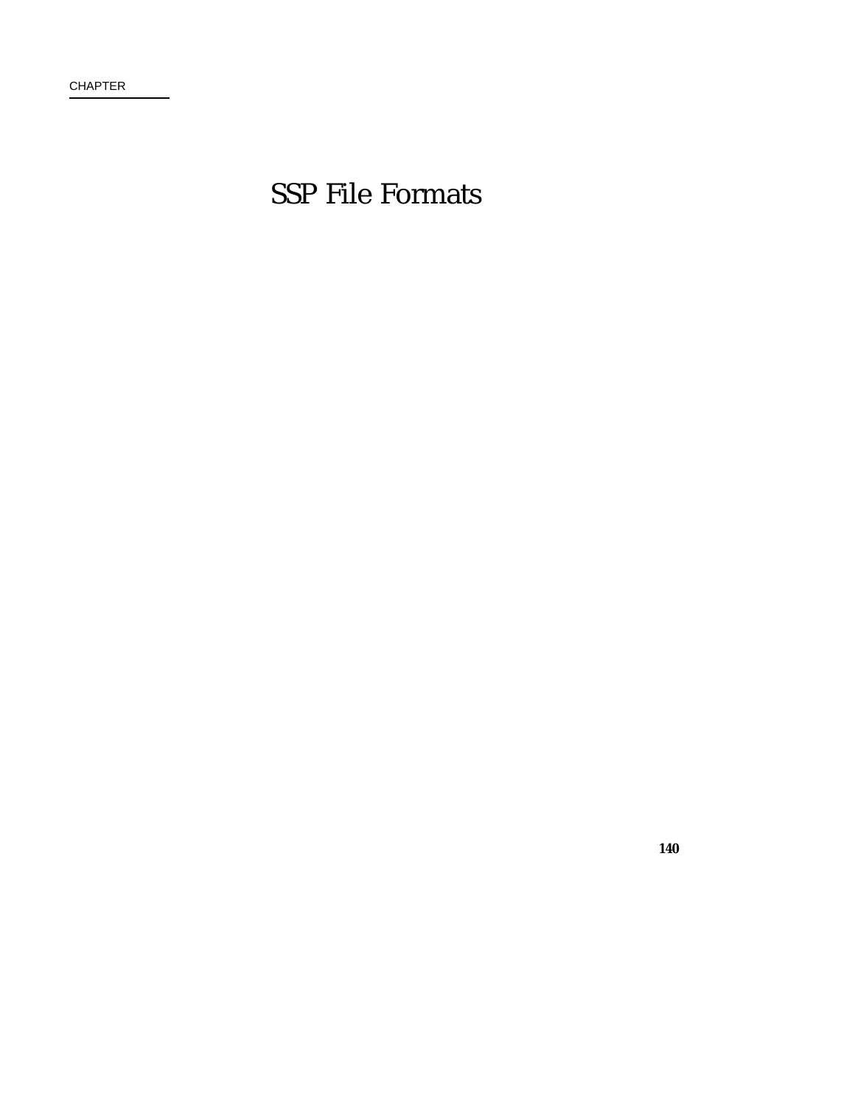SSP File Formats

**140**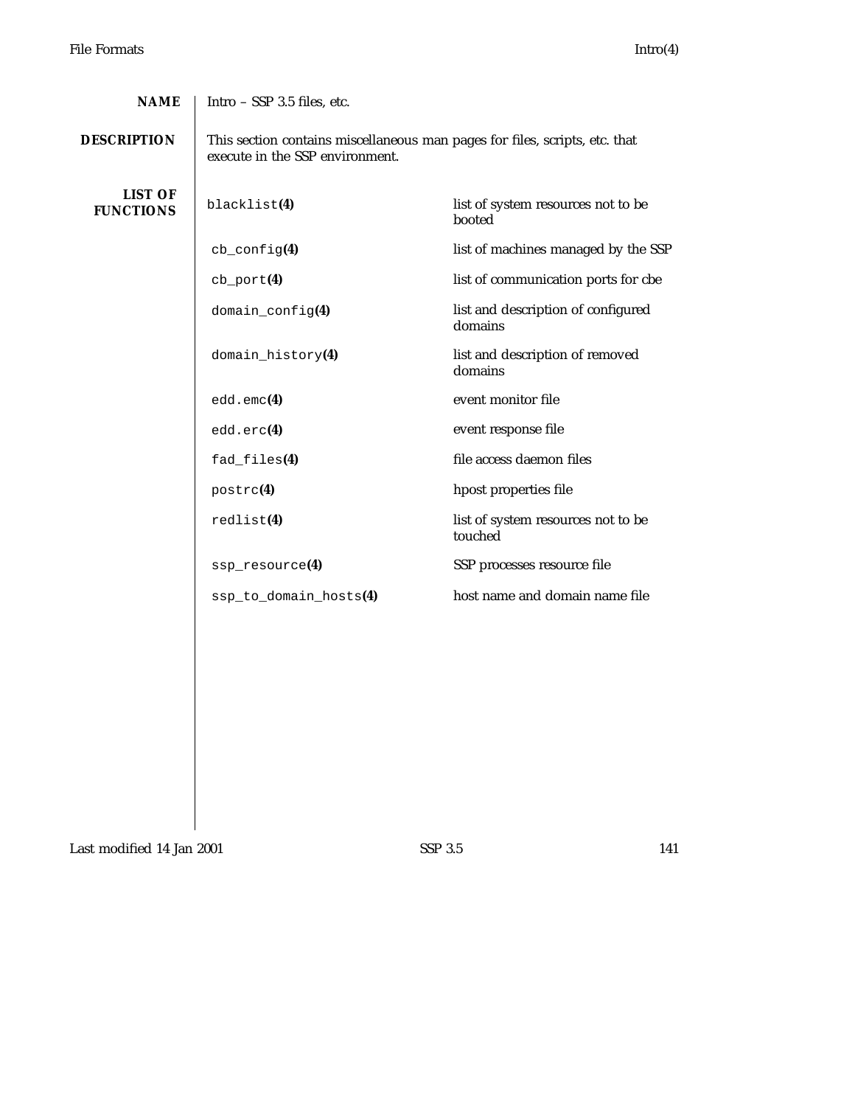| Intro $-$ SSP 3.5 files, etc.   |                                                                             |
|---------------------------------|-----------------------------------------------------------------------------|
| execute in the SSP environment. |                                                                             |
| blacklist(4)                    | list of system resources not to be<br>booted                                |
| $cb\_config(4)$                 | list of machines managed by the SSP                                         |
| $cb\_port(4)$                   | list of communication ports for cbe                                         |
| $domain\_config(4)$             | list and description of configured<br>domains                               |
| domain_history $(4)$            | list and description of removed<br>domains                                  |
| $edd.$ em $c(4)$                | event monitor file                                                          |
| edd.erc(4)                      | event response file                                                         |
| $fad_files(4)$                  | file access daemon files                                                    |
| postrc(4)                       | hpost properties file                                                       |
| redlist(4)                      | list of system resources not to be<br>touched                               |
| ssp_resource(4)                 | SSP processes resource file                                                 |
| ssp to domain hosts $(4)$       | host name and domain name file                                              |
|                                 | This section contains miscellaneous man pages for files, scripts, etc. that |

Last modified 14 Jan 2001 SSP 3.5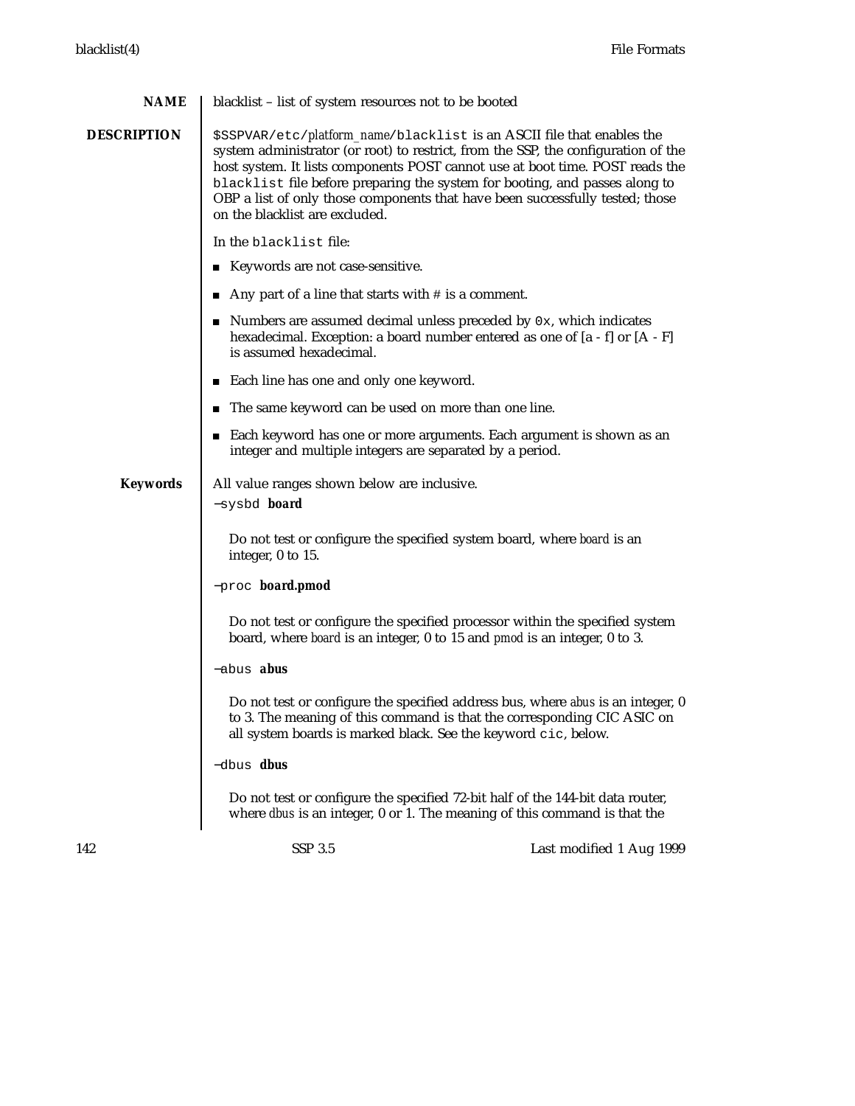| <b>NAME</b>        | blacklist - list of system resources not to be booted                                                                                                                                                                                                                                                                                                                                                                                           |
|--------------------|-------------------------------------------------------------------------------------------------------------------------------------------------------------------------------------------------------------------------------------------------------------------------------------------------------------------------------------------------------------------------------------------------------------------------------------------------|
| <b>DESCRIPTION</b> | \$SSPVAR/etc/platform_name/blacklist is an ASCII file that enables the<br>system administrator (or root) to restrict, from the SSP, the configuration of the<br>host system. It lists components POST cannot use at boot time. POST reads the<br>blacklist file before preparing the system for booting, and passes along to<br>OBP a list of only those components that have been successfully tested; those<br>on the blacklist are excluded. |
|                    | In the blacklist file:                                                                                                                                                                                                                                                                                                                                                                                                                          |
|                    | ■ Keywords are not case-sensitive.                                                                                                                                                                                                                                                                                                                                                                                                              |
|                    | • Any part of a line that starts with $#$ is a comment.                                                                                                                                                                                                                                                                                                                                                                                         |
|                    | Numbers are assumed decimal unless preceded by $0x$ , which indicates<br>hexadecimal. Exception: a board number entered as one of [a - f] or [A - F]<br>is assumed hexadecimal.                                                                                                                                                                                                                                                                 |
|                    | ■ Each line has one and only one keyword.                                                                                                                                                                                                                                                                                                                                                                                                       |
|                    | • The same keyword can be used on more than one line.                                                                                                                                                                                                                                                                                                                                                                                           |
|                    | • Each keyword has one or more arguments. Each argument is shown as an<br>integer and multiple integers are separated by a period.                                                                                                                                                                                                                                                                                                              |
| <b>Keywords</b>    | All value ranges shown below are inclusive.<br>-sysbd board                                                                                                                                                                                                                                                                                                                                                                                     |
|                    | Do not test or configure the specified system board, where board is an<br>integer, 0 to 15.                                                                                                                                                                                                                                                                                                                                                     |
|                    | -proc board.pmod                                                                                                                                                                                                                                                                                                                                                                                                                                |
|                    | Do not test or configure the specified processor within the specified system<br>board, where board is an integer, 0 to 15 and pmod is an integer, 0 to 3.                                                                                                                                                                                                                                                                                       |
|                    | -abus abus                                                                                                                                                                                                                                                                                                                                                                                                                                      |
|                    | Do not test or configure the specified address bus, where abus is an integer, 0<br>to 3. The meaning of this command is that the corresponding CIC ASIC on<br>all system boards is marked black. See the keyword cic, below.                                                                                                                                                                                                                    |
|                    | -dbus dbus                                                                                                                                                                                                                                                                                                                                                                                                                                      |
|                    | Do not test or configure the specified 72-bit half of the 144-bit data router,<br>where <i>dbus</i> is an integer, 0 or 1. The meaning of this command is that the                                                                                                                                                                                                                                                                              |

142 SSP 3.5 Last modified 1 Aug 1999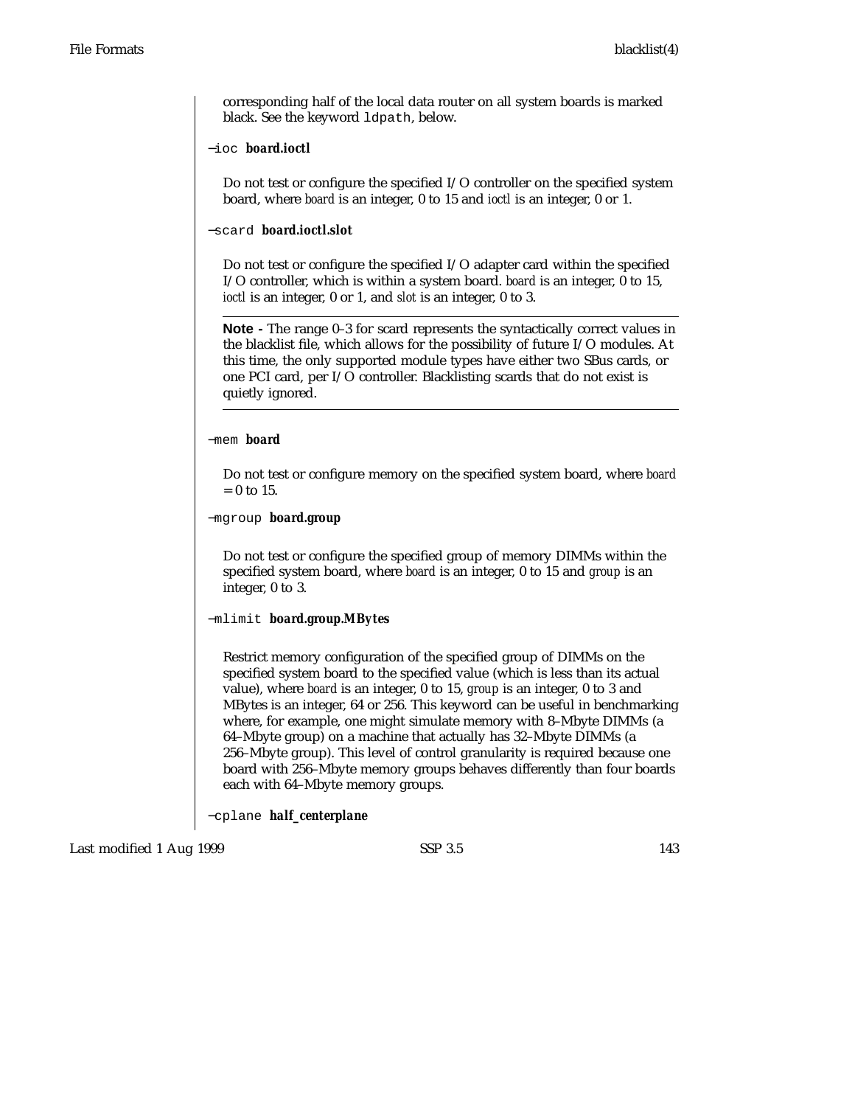corresponding half of the local data router on all system boards is marked black. See the keyword ldpath, below.

−ioc *board.ioctl*

Do not test or configure the specified I/O controller on the specified system board, where *board* is an integer, 0 to 15 and *ioctl* is an integer, 0 or 1.

−scard *board.ioctl.slot*

Do not test or configure the specified I/O adapter card within the specified I/O controller, which is within a system board. *board* is an integer, 0 to 15, *ioctl* is an integer, 0 or 1, and *slot* is an integer, 0 to 3.

**Note -** The range 0–3 for scard represents the syntactically correct values in the blacklist file, which allows for the possibility of future I/O modules. At this time, the only supported module types have either two SBus cards, or one PCI card, per I/O controller. Blacklisting scards that do not exist is quietly ignored.

−mem *board*

Do not test or configure memory on the specified system board, where *board*  $= 0$  to 15.

−mgroup *board.group*

Do not test or configure the specified group of memory DIMMs within the specified system board, where *board* is an integer, 0 to 15 and *group* is an integer, 0 to 3.

−mlimit *board.group.MBytes*

Restrict memory configuration of the specified group of DIMMs on the specified system board to the specified value (which is less than its actual value), where *board* is an integer, 0 to 15, *group* is an integer, 0 to 3 and MBytes is an integer, 64 or 256. This keyword can be useful in benchmarking where, for example, one might simulate memory with 8–Mbyte DIMMs (a 64–Mbyte group) on a machine that actually has 32–Mbyte DIMMs (a 256–Mbyte group). This level of control granularity is required because one board with 256–Mbyte memory groups behaves differently than four boards each with 64–Mbyte memory groups.

−cplane *half\_centerplane*

Last modified 1 Aug 1999 SSP 3.5 SSP 3.5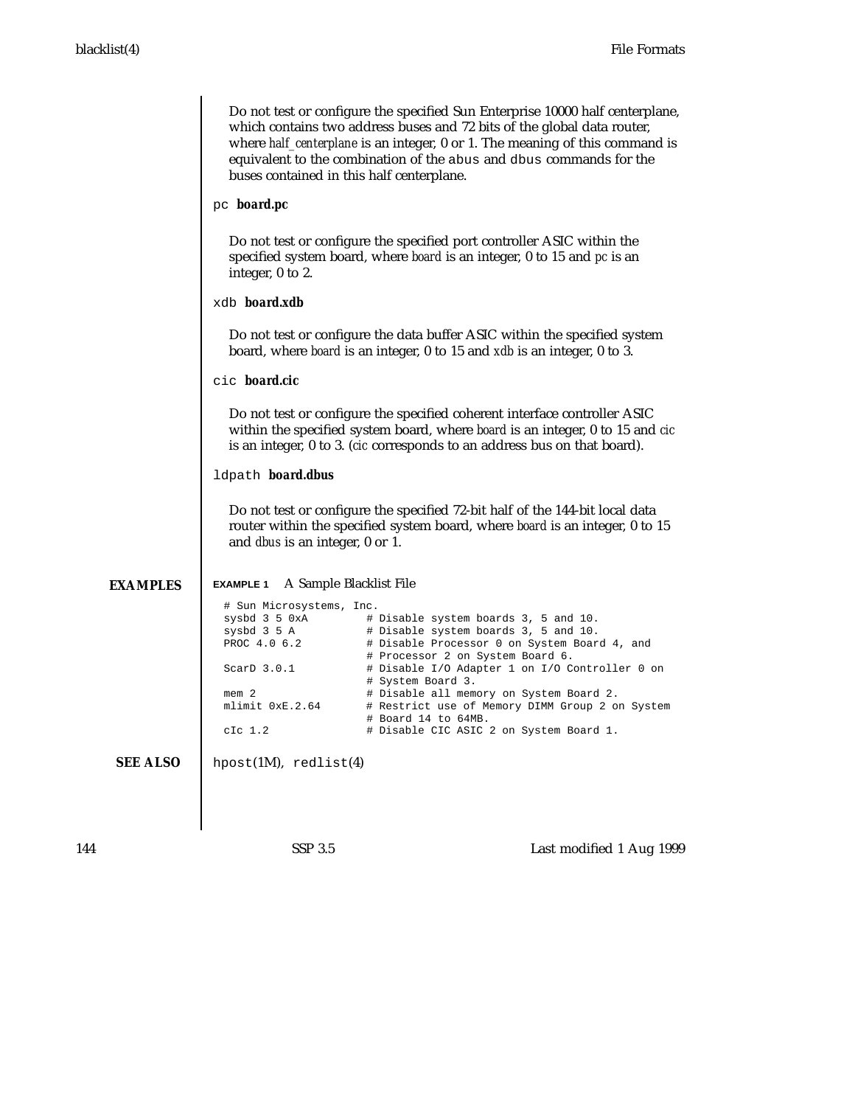|                 | Do not test or configure the specified Sun Enterprise 10000 half centerplane,<br>which contains two address buses and 72 bits of the global data router,<br>where half_centerplane is an integer, 0 or 1. The meaning of this command is<br>equivalent to the combination of the abus and dbus commands for the<br>buses contained in this half centerplane.                                                                                                            |
|-----------------|-------------------------------------------------------------------------------------------------------------------------------------------------------------------------------------------------------------------------------------------------------------------------------------------------------------------------------------------------------------------------------------------------------------------------------------------------------------------------|
|                 | pc board.pc                                                                                                                                                                                                                                                                                                                                                                                                                                                             |
|                 | Do not test or configure the specified port controller ASIC within the<br>specified system board, where board is an integer, 0 to 15 and pc is an<br>integer, 0 to 2.                                                                                                                                                                                                                                                                                                   |
|                 | xdb board.xdb                                                                                                                                                                                                                                                                                                                                                                                                                                                           |
|                 | Do not test or configure the data buffer ASIC within the specified system<br>board, where board is an integer, 0 to 15 and xdb is an integer, 0 to 3.                                                                                                                                                                                                                                                                                                                   |
|                 | cic board.cic                                                                                                                                                                                                                                                                                                                                                                                                                                                           |
|                 | Do not test or configure the specified coherent interface controller ASIC<br>within the specified system board, where board is an integer, 0 to 15 and cic<br>is an integer, 0 to 3. (cic corresponds to an address bus on that board).                                                                                                                                                                                                                                 |
|                 | 1dpath board.dbus                                                                                                                                                                                                                                                                                                                                                                                                                                                       |
|                 | Do not test or configure the specified 72-bit half of the 144-bit local data<br>router within the specified system board, where board is an integer, 0 to 15<br>and <i>dbus</i> is an integer, 0 or 1.                                                                                                                                                                                                                                                                  |
| <b>EXAMPLES</b> | <b>EXAMPLE 1</b> A Sample Blacklist File                                                                                                                                                                                                                                                                                                                                                                                                                                |
|                 | # Sun Microsystems, Inc.<br># Disable system boards 3, 5 and 10.<br>sysbd 3 5 0xA<br>sysbd 3 5 A<br># Disable system boards 3, 5 and 10.<br>PROC 4.0 6.2<br># Disable Processor 0 on System Board 4, and<br># Processor 2 on System Board 6.<br>ScarD <sub>3.0.1</sub><br># Disable I/O Adapter 1 on I/O Controller 0 on<br># System Board 3.<br>mem 2<br># Disable all memory on System Board 2.<br>mlimit 0xE.2.64<br># Restrict use of Memory DIMM Group 2 on System |
|                 | # Board 14 to 64MB.<br>$CIC$ 1.2<br># Disable CIC ASIC 2 on System Board 1.                                                                                                                                                                                                                                                                                                                                                                                             |
| <b>SEE ALSO</b> | hpost(1M), redlist(4)                                                                                                                                                                                                                                                                                                                                                                                                                                                   |
|                 |                                                                                                                                                                                                                                                                                                                                                                                                                                                                         |

144 SSP 3.5 Last modified 1 Aug 1999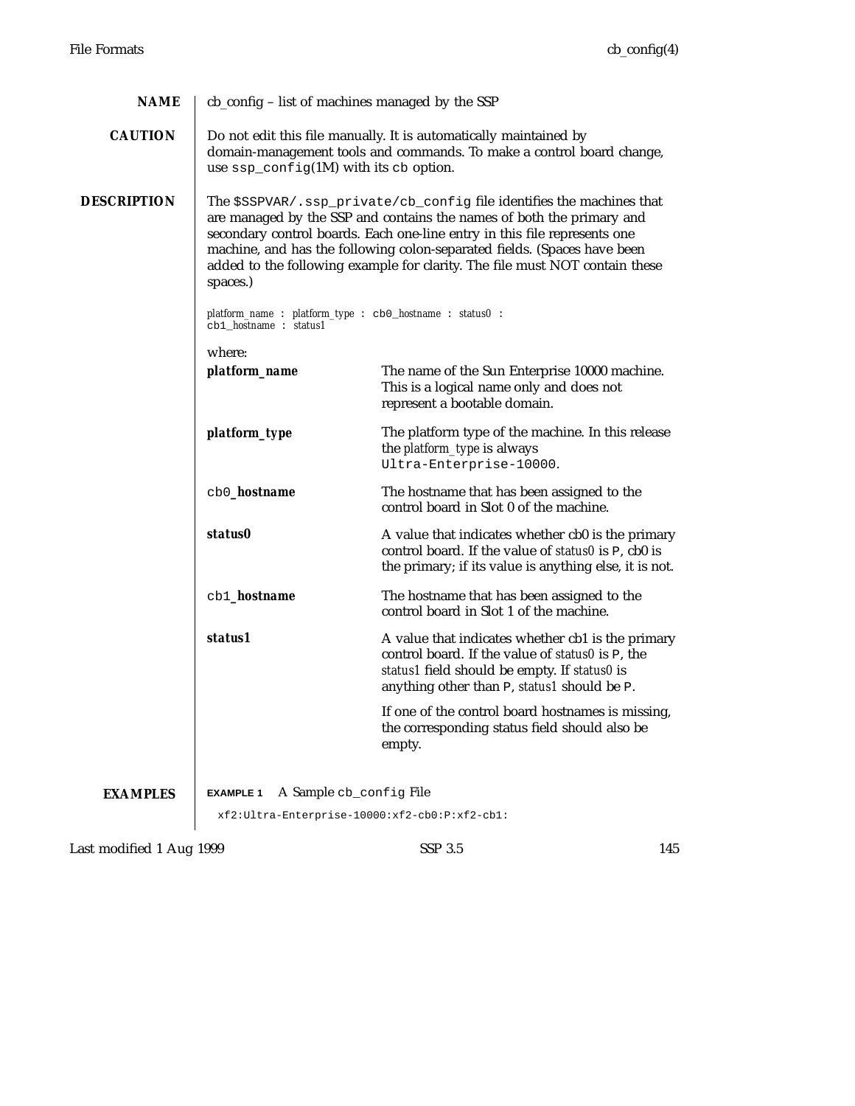| <b>NAME</b>        | cb_config - list of machines managed by the SSP                                                                                                                                                                                                                                                                                                                                                    |                                                                                                                                                                                                      |
|--------------------|----------------------------------------------------------------------------------------------------------------------------------------------------------------------------------------------------------------------------------------------------------------------------------------------------------------------------------------------------------------------------------------------------|------------------------------------------------------------------------------------------------------------------------------------------------------------------------------------------------------|
| <b>CAUTION</b>     | Do not edit this file manually. It is automatically maintained by<br>domain-management tools and commands. To make a control board change,<br>use $\text{ssp\_config(1M)}$ with its cb option.                                                                                                                                                                                                     |                                                                                                                                                                                                      |
| <b>DESCRIPTION</b> | The \$SSPVAR/.ssp_private/cb_config file identifies the machines that<br>are managed by the SSP and contains the names of both the primary and<br>secondary control boards. Each one-line entry in this file represents one<br>machine, and has the following colon-separated fields. (Spaces have been<br>added to the following example for clarity. The file must NOT contain these<br>spaces.) |                                                                                                                                                                                                      |
|                    | platform_name: platform_type: cb0_hostname: status0:<br>cb1_hostname : status1                                                                                                                                                                                                                                                                                                                     |                                                                                                                                                                                                      |
|                    | where:                                                                                                                                                                                                                                                                                                                                                                                             |                                                                                                                                                                                                      |
|                    | platform_name                                                                                                                                                                                                                                                                                                                                                                                      | The name of the Sun Enterprise 10000 machine.<br>This is a logical name only and does not<br>represent a bootable domain.                                                                            |
|                    | platform_type                                                                                                                                                                                                                                                                                                                                                                                      | The platform type of the machine. In this release<br>the platform_type is always<br>Ultra-Enterprise-10000.                                                                                          |
|                    | cb0_hostname                                                                                                                                                                                                                                                                                                                                                                                       | The hostname that has been assigned to the<br>control board in Slot 0 of the machine.                                                                                                                |
|                    | <i>status0</i>                                                                                                                                                                                                                                                                                                                                                                                     | A value that indicates whether cb0 is the primary<br>control board. If the value of status0 is P, cb0 is<br>the primary; if its value is anything else, it is not.                                   |
|                    | cb1_hostname                                                                                                                                                                                                                                                                                                                                                                                       | The hostname that has been assigned to the<br>control board in Slot 1 of the machine.                                                                                                                |
|                    | status1                                                                                                                                                                                                                                                                                                                                                                                            | A value that indicates whether cb1 is the primary<br>control board. If the value of status0 is P, the<br>status1 field should be empty. If status0 is<br>anything other than P, status1 should be P. |
|                    |                                                                                                                                                                                                                                                                                                                                                                                                    | If one of the control board hostnames is missing,<br>the corresponding status field should also be<br>empty.                                                                                         |
|                    |                                                                                                                                                                                                                                                                                                                                                                                                    |                                                                                                                                                                                                      |
| <b>EXAMPLES</b>    | A Sample cb_config File<br><b>EXAMPLE 1</b>                                                                                                                                                                                                                                                                                                                                                        |                                                                                                                                                                                                      |
|                    | xf2:Ultra-Enterprise-10000:xf2-cb0:P:xf2-cb1:                                                                                                                                                                                                                                                                                                                                                      |                                                                                                                                                                                                      |

Last modified 1 Aug 1999 SSP 3.5 SSP 3.5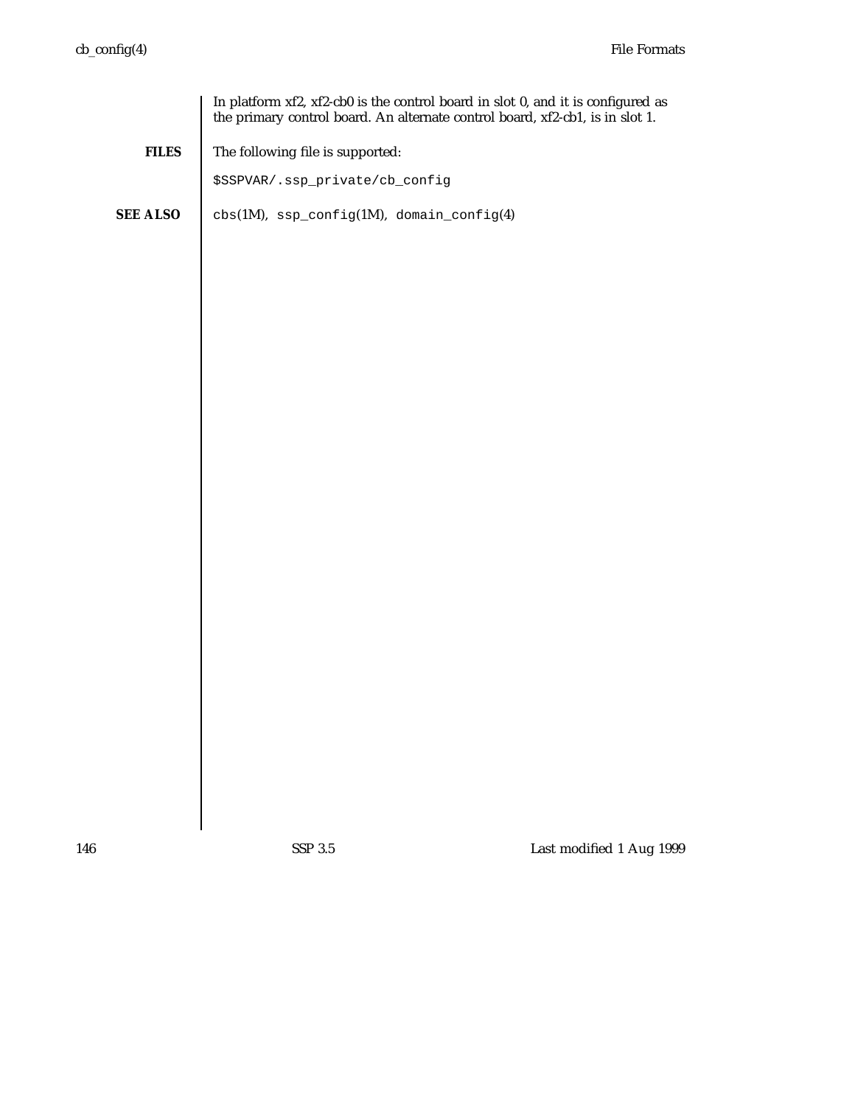|                 | In platform xf2, xf2-cb0 is the control board in slot 0, and it is configured as<br>the primary control board. An alternate control board, xf2-cb1, is in slot 1. |  |
|-----------------|-------------------------------------------------------------------------------------------------------------------------------------------------------------------|--|
| <b>FILES</b>    | The following file is supported:                                                                                                                                  |  |
|                 | \$SSPVAR/.ssp_private/cb_config                                                                                                                                   |  |
| <b>SEE ALSO</b> | $cbs(1M)$ , ssp_config(1M), domain_config(4)                                                                                                                      |  |
|                 |                                                                                                                                                                   |  |
|                 |                                                                                                                                                                   |  |
|                 |                                                                                                                                                                   |  |
|                 |                                                                                                                                                                   |  |
|                 |                                                                                                                                                                   |  |
|                 |                                                                                                                                                                   |  |
|                 |                                                                                                                                                                   |  |
|                 |                                                                                                                                                                   |  |
|                 |                                                                                                                                                                   |  |
|                 |                                                                                                                                                                   |  |
|                 |                                                                                                                                                                   |  |
|                 |                                                                                                                                                                   |  |
|                 |                                                                                                                                                                   |  |
|                 |                                                                                                                                                                   |  |
|                 |                                                                                                                                                                   |  |
|                 |                                                                                                                                                                   |  |
|                 |                                                                                                                                                                   |  |
|                 |                                                                                                                                                                   |  |
|                 |                                                                                                                                                                   |  |
| 146             | SSP 3.5<br>Last modified 1 Aug 1999                                                                                                                               |  |
|                 |                                                                                                                                                                   |  |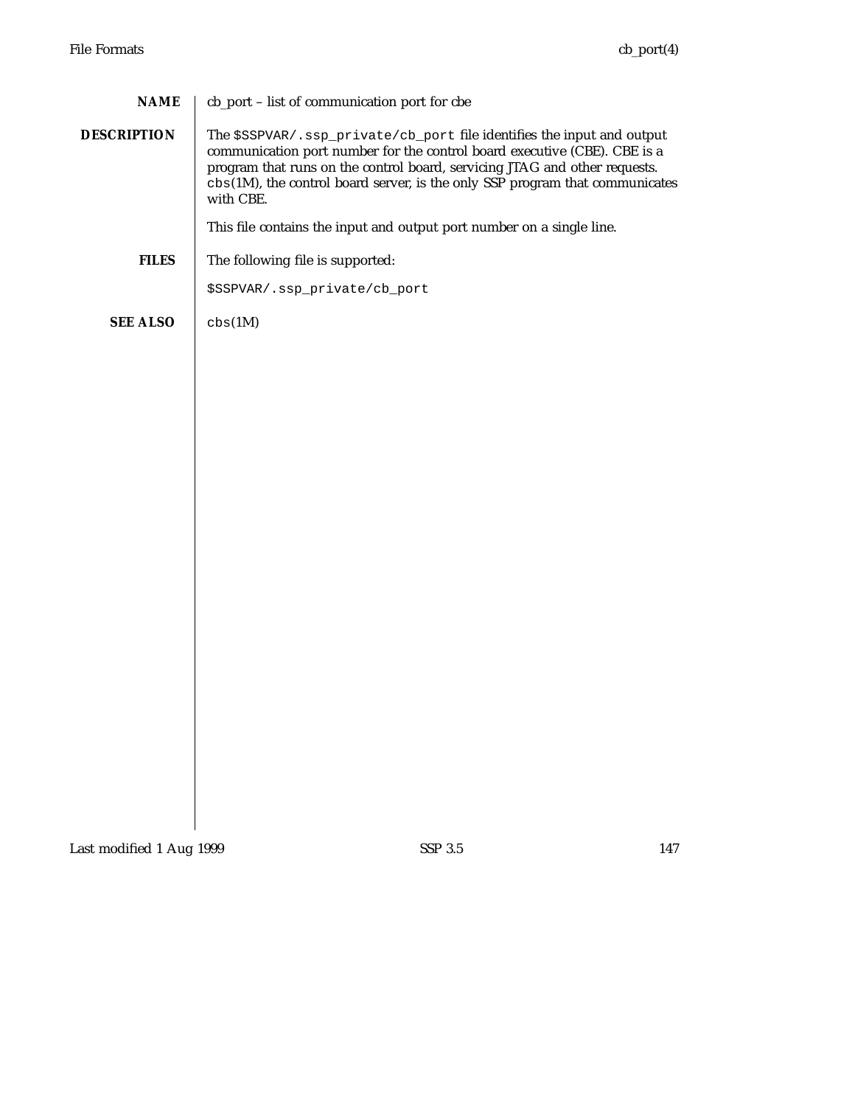| <b>NAME</b>        | cb_port – list of communication port for cbe                                                                                                                                                                                                                                                                                                                                                                             |
|--------------------|--------------------------------------------------------------------------------------------------------------------------------------------------------------------------------------------------------------------------------------------------------------------------------------------------------------------------------------------------------------------------------------------------------------------------|
| <b>DESCRIPTION</b> | The \$SSPVAR/.ssp_private/cb_port file identifies the input and output<br>communication port number for the control board executive (CBE). CBE is a<br>program that runs on the control board, servicing JTAG and other requests.<br>$\text{cbs}(1\text{M})$ , the control board server, is the only SSP program that communicates<br>with CBE.<br>This file contains the input and output port number on a single line. |
| <b>FILES</b>       | The following file is supported:                                                                                                                                                                                                                                                                                                                                                                                         |
|                    | \$SSPVAR/.ssp_private/cb_port                                                                                                                                                                                                                                                                                                                                                                                            |
| <b>SEE ALSO</b>    | $\text{cbs}(1M)$                                                                                                                                                                                                                                                                                                                                                                                                         |
|                    |                                                                                                                                                                                                                                                                                                                                                                                                                          |

Last modified 1 Aug 1999 SSP 3.5 SSP 3.5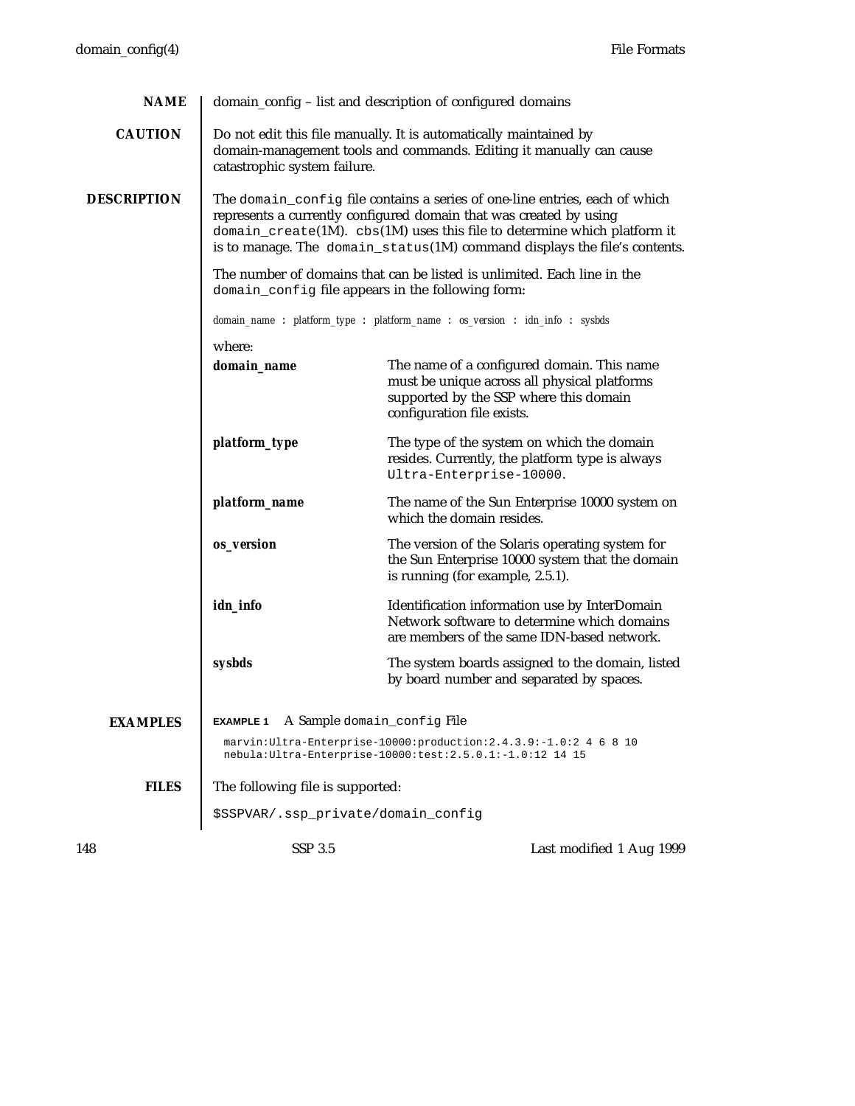| <b>NAME</b>        | domain_config - list and description of configured domains                                                                                                                                                                                                                                                 |                                                                                                                                                                    |
|--------------------|------------------------------------------------------------------------------------------------------------------------------------------------------------------------------------------------------------------------------------------------------------------------------------------------------------|--------------------------------------------------------------------------------------------------------------------------------------------------------------------|
| <b>CAUTION</b>     | Do not edit this file manually. It is automatically maintained by<br>domain-management tools and commands. Editing it manually can cause<br>catastrophic system failure.                                                                                                                                   |                                                                                                                                                                    |
| <b>DESCRIPTION</b> | The domain_config file contains a series of one-line entries, each of which<br>represents a currently configured domain that was created by using<br>domain_create(1M). cbs(1M) uses this file to determine which platform it<br>is to manage. The domain_status(1M) command displays the file's contents. |                                                                                                                                                                    |
|                    | domain_config file appears in the following form:                                                                                                                                                                                                                                                          | The number of domains that can be listed is unlimited. Each line in the                                                                                            |
|                    |                                                                                                                                                                                                                                                                                                            | domain_name: platform_type: platform_name: os_version: idn_info: sysbds                                                                                            |
|                    | where:                                                                                                                                                                                                                                                                                                     |                                                                                                                                                                    |
|                    | domain_name                                                                                                                                                                                                                                                                                                | The name of a configured domain. This name<br>must be unique across all physical platforms<br>supported by the SSP where this domain<br>configuration file exists. |
|                    | platform_type                                                                                                                                                                                                                                                                                              | The type of the system on which the domain<br>resides. Currently, the platform type is always<br>Ultra-Enterprise-10000.                                           |
|                    | platform_name                                                                                                                                                                                                                                                                                              | The name of the Sun Enterprise 10000 system on<br>which the domain resides.                                                                                        |
|                    | os_version                                                                                                                                                                                                                                                                                                 | The version of the Solaris operating system for<br>the Sun Enterprise 10000 system that the domain<br>is running (for example, 2.5.1).                             |
|                    | idn_info                                                                                                                                                                                                                                                                                                   | Identification information use by InterDomain<br>Network software to determine which domains<br>are members of the same IDN-based network.                         |
|                    | sysbds                                                                                                                                                                                                                                                                                                     | The system boards assigned to the domain, listed<br>by board number and separated by spaces.                                                                       |
| <b>EXAMPLES</b>    | A Sample domain_config File<br><b>EXAMPLE 1</b>                                                                                                                                                                                                                                                            |                                                                                                                                                                    |
|                    | marvin: Ultra-Enterprise-10000: production: 2.4.3.9: -1.0: 2 4 6 8 10<br>nebula: Ultra-Enterprise-10000: test: 2.5.0.1:-1.0:12 14 15                                                                                                                                                                       |                                                                                                                                                                    |
| <b>FILES</b>       | The following file is supported:                                                                                                                                                                                                                                                                           |                                                                                                                                                                    |
|                    | \$SSPVAR/.ssp_private/domain_config                                                                                                                                                                                                                                                                        |                                                                                                                                                                    |
| 148                | SSP 3.5                                                                                                                                                                                                                                                                                                    | Last modified 1 Aug 1999                                                                                                                                           |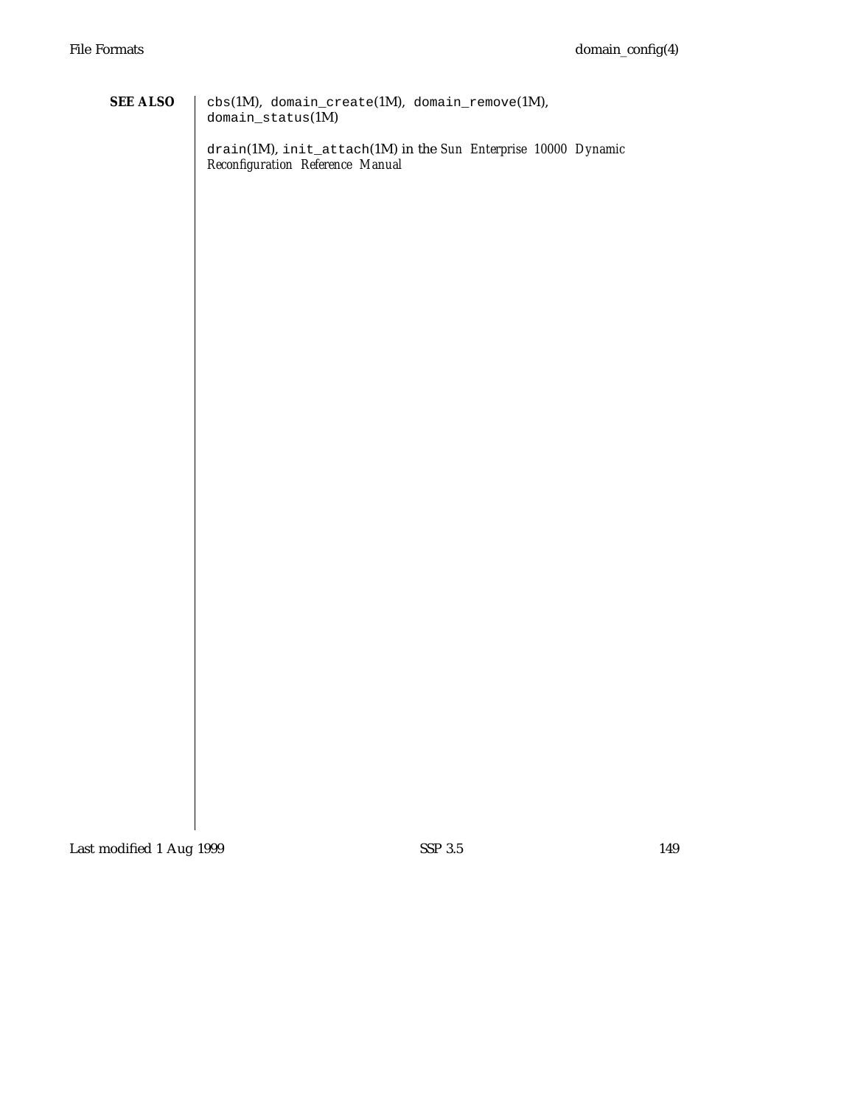| <b>SEE ALSO</b> | $\vert$ cbs(1M), domain create(1M), domain remove(1M), |
|-----------------|--------------------------------------------------------|
|                 | domain status $(1M)$                                   |

drain(1M), init\_attach(1M) in the *Sun Enterprise 10000 Dynamic Reconfiguration Reference Manual*

Last modified 1 Aug 1999 SSP 3.5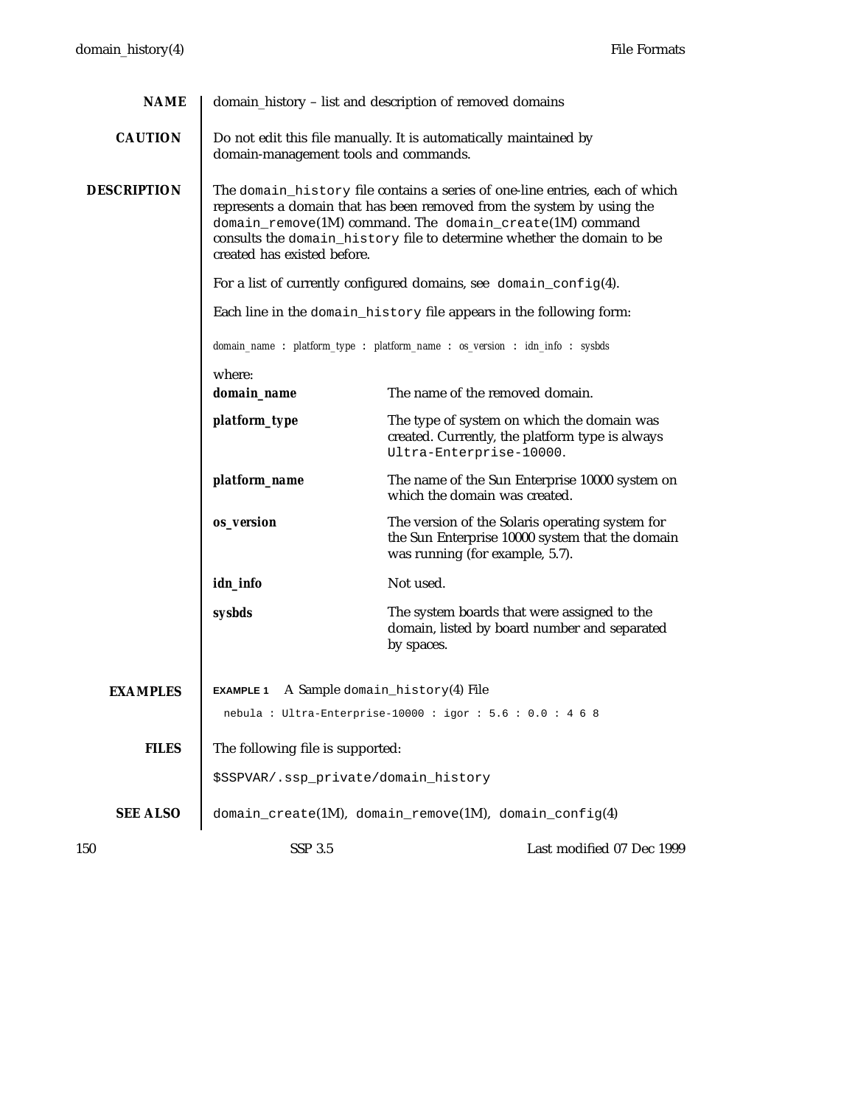| <b>NAME</b>        |                                                                                                                                                                                                                                                                                                                             | domain_history - list and description of removed domains                                                                              |
|--------------------|-----------------------------------------------------------------------------------------------------------------------------------------------------------------------------------------------------------------------------------------------------------------------------------------------------------------------------|---------------------------------------------------------------------------------------------------------------------------------------|
| <b>CAUTION</b>     | Do not edit this file manually. It is automatically maintained by<br>domain-management tools and commands.                                                                                                                                                                                                                  |                                                                                                                                       |
| <b>DESCRIPTION</b> | The domain_history file contains a series of one-line entries, each of which<br>represents a domain that has been removed from the system by using the<br>domain_remove(1M) command. The domain_create(1M) command<br>consults the domain_history file to determine whether the domain to be<br>created has existed before. |                                                                                                                                       |
|                    |                                                                                                                                                                                                                                                                                                                             | For a list of currently configured domains, see domain_config(4).                                                                     |
|                    |                                                                                                                                                                                                                                                                                                                             | Each line in the domain_history file appears in the following form:                                                                   |
|                    |                                                                                                                                                                                                                                                                                                                             | domain_name: platform_type: platform_name: os_version: idn_info: sysbds                                                               |
|                    | where:                                                                                                                                                                                                                                                                                                                      |                                                                                                                                       |
|                    | domain_name                                                                                                                                                                                                                                                                                                                 | The name of the removed domain.                                                                                                       |
|                    | platform_type                                                                                                                                                                                                                                                                                                               | The type of system on which the domain was<br>created. Currently, the platform type is always<br>Ultra-Enterprise-10000.              |
|                    | platform_name                                                                                                                                                                                                                                                                                                               | The name of the Sun Enterprise 10000 system on<br>which the domain was created.                                                       |
|                    | os_version                                                                                                                                                                                                                                                                                                                  | The version of the Solaris operating system for<br>the Sun Enterprise 10000 system that the domain<br>was running (for example, 5.7). |
|                    | idn_info<br>Not used.                                                                                                                                                                                                                                                                                                       |                                                                                                                                       |
|                    | sysbds                                                                                                                                                                                                                                                                                                                      | The system boards that were assigned to the<br>domain, listed by board number and separated<br>by spaces.                             |
| <b>EXAMPLES</b>    | <b>EXAMPLE 1</b>                                                                                                                                                                                                                                                                                                            | A Sample domain_history(4) File                                                                                                       |
|                    | nebula : Ultra-Enterprise-10000 : igor : 5.6 : 0.0 : 4 6 8                                                                                                                                                                                                                                                                  |                                                                                                                                       |
| <b>FILES</b>       | The following file is supported:                                                                                                                                                                                                                                                                                            |                                                                                                                                       |
|                    | \$SSPVAR/.ssp_private/domain_history                                                                                                                                                                                                                                                                                        |                                                                                                                                       |
| <b>SEE ALSO</b>    |                                                                                                                                                                                                                                                                                                                             | $domain\_create(1M), domain\_remove(1M), domain\_config(4)$                                                                           |
| 150                | SSP 3.5                                                                                                                                                                                                                                                                                                                     | Last modified 07 Dec 1999                                                                                                             |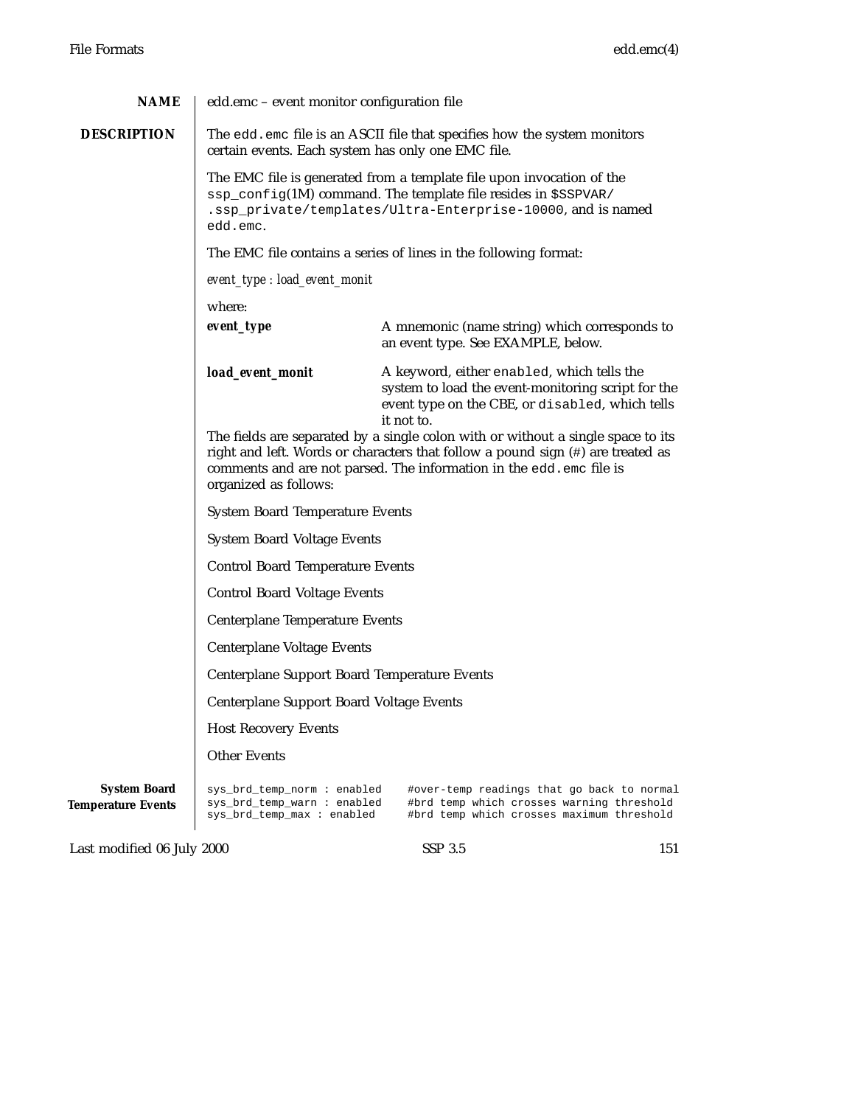| <b>NAME</b>                                      | edd.emc - event monitor configuration file                                                                                                                                                                                                                           |                                                                                                                                                                   |
|--------------------------------------------------|----------------------------------------------------------------------------------------------------------------------------------------------------------------------------------------------------------------------------------------------------------------------|-------------------------------------------------------------------------------------------------------------------------------------------------------------------|
| <b>DESCRIPTION</b>                               | The edd. emc file is an ASCII file that specifies how the system monitors<br>certain events. Each system has only one EMC file.                                                                                                                                      |                                                                                                                                                                   |
|                                                  | The EMC file is generated from a template file upon invocation of the<br>ssp_config(1M) command. The template file resides in \$SSPVAR/<br>.ssp_private/templates/Ultra-Enterprise-10000, and is named<br>edd.emc.                                                   |                                                                                                                                                                   |
|                                                  |                                                                                                                                                                                                                                                                      | The EMC file contains a series of lines in the following format:                                                                                                  |
|                                                  | event_type: load_event_monit                                                                                                                                                                                                                                         |                                                                                                                                                                   |
|                                                  | where:                                                                                                                                                                                                                                                               |                                                                                                                                                                   |
|                                                  | event_type                                                                                                                                                                                                                                                           | A mnemonic (name string) which corresponds to<br>an event type. See EXAMPLE, below.                                                                               |
|                                                  | load_event_monit                                                                                                                                                                                                                                                     | A keyword, either enabled, which tells the<br>system to load the event-monitoring script for the<br>event type on the CBE, or disabled, which tells<br>it not to. |
|                                                  | The fields are separated by a single colon with or without a single space to its<br>right and left. Words or characters that follow a pound sign (#) are treated as<br>comments and are not parsed. The information in the edd. emc file is<br>organized as follows: |                                                                                                                                                                   |
|                                                  | <b>System Board Temperature Events</b>                                                                                                                                                                                                                               |                                                                                                                                                                   |
|                                                  | <b>System Board Voltage Events</b>                                                                                                                                                                                                                                   |                                                                                                                                                                   |
|                                                  | <b>Control Board Temperature Events</b>                                                                                                                                                                                                                              |                                                                                                                                                                   |
|                                                  | <b>Control Board Voltage Events</b>                                                                                                                                                                                                                                  |                                                                                                                                                                   |
|                                                  | Centerplane Temperature Events                                                                                                                                                                                                                                       |                                                                                                                                                                   |
|                                                  | Centerplane Voltage Events                                                                                                                                                                                                                                           |                                                                                                                                                                   |
|                                                  | Centerplane Support Board Temperature Events                                                                                                                                                                                                                         |                                                                                                                                                                   |
|                                                  | Centerplane Support Board Voltage Events                                                                                                                                                                                                                             |                                                                                                                                                                   |
|                                                  | <b>Host Recovery Events</b>                                                                                                                                                                                                                                          |                                                                                                                                                                   |
|                                                  | <b>Other Events</b>                                                                                                                                                                                                                                                  |                                                                                                                                                                   |
| <b>System Board</b><br><b>Temperature Events</b> | sys_brd_temp_norm : enabled<br>sys_brd_temp_warn : enabled<br>sys_brd_temp_max : enabled                                                                                                                                                                             | #over-temp readings that go back to normal<br>#brd temp which crosses warning threshold<br>#brd temp which crosses maximum threshold                              |
|                                                  |                                                                                                                                                                                                                                                                      |                                                                                                                                                                   |

Last modified 06 July 2000 SSP 3.5 151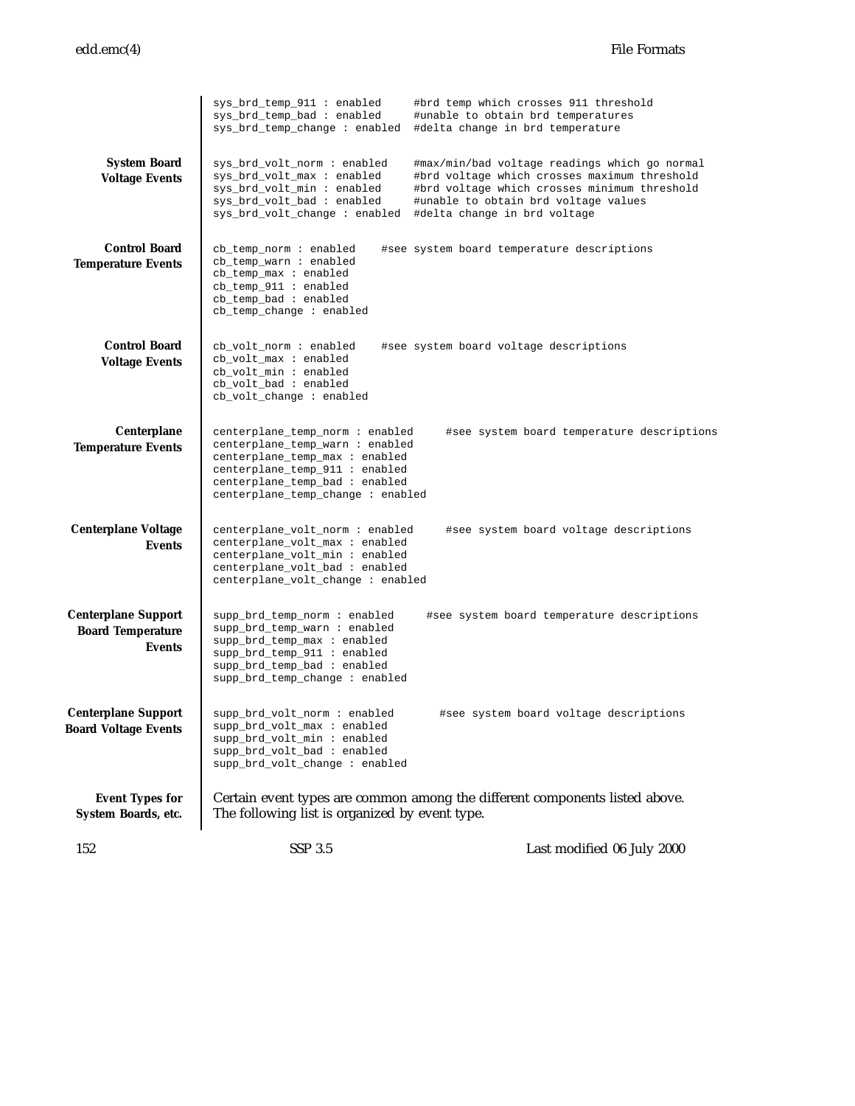|                                                                  | sys_brd_temp_911 : enabled<br>sys_brd_temp_bad : enabled<br>sys_brd_temp_change : enabled                                                                                                                    | #brd temp which crosses 911 threshold<br>#unable to obtain brd temperatures<br>#delta change in brd temperature                                                                                                       |
|------------------------------------------------------------------|--------------------------------------------------------------------------------------------------------------------------------------------------------------------------------------------------------------|-----------------------------------------------------------------------------------------------------------------------------------------------------------------------------------------------------------------------|
| <b>System Board</b><br><b>Voltage Events</b>                     | sys_brd_volt_norm : enabled<br>sys_brd_volt_max : enabled<br>sys_brd_volt_min : enabled<br>sys_brd_volt_bad : enabled<br>sys_brd_volt_change : enabled                                                       | #max/min/bad voltage readings which go normal<br>#brd voltage which crosses maximum threshold<br>#brd voltage which crosses minimum threshold<br>#unable to obtain brd voltage values<br>#delta change in brd voltage |
| <b>Control Board</b><br><b>Temperature Events</b>                | cb_temp_norm : enabled<br>cb_temp_warn : enabled<br>cb_temp_max : enabled<br>$cb_temp_911$ : enabled<br>cb_temp_bad : enabled<br>cb_temp_change : enabled                                                    | #see system board temperature descriptions                                                                                                                                                                            |
| <b>Control Board</b><br><b>Voltage Events</b>                    | cb_volt_norm : enabled<br>cb_volt_max : enabled<br>cb_volt_min : enabled<br>cb_volt_bad : enabled<br>cb_volt_change : enabled                                                                                | #see system board voltage descriptions                                                                                                                                                                                |
| Centerplane<br><b>Temperature Events</b>                         | centerplane_temp_norm : enabled<br>centerplane_temp_warn : enabled<br>centerplane_temp_max : enabled<br>centerplane_temp_911 : enabled<br>centerplane_temp_bad : enabled<br>centerplane temp change: enabled | #see system board temperature descriptions                                                                                                                                                                            |
| <b>Centerplane Voltage</b><br>Events                             | centerplane_volt_norm : enabled<br>centerplane_volt_max : enabled<br>centerplane_volt_min : enabled<br>centerplane_volt_bad : enabled<br>centerplane_volt_change : enabled                                   | #see system board voltage descriptions                                                                                                                                                                                |
| <b>Centerplane Support</b><br><b>Board Temperature</b><br>Events | supp_brd_temp_norm : enabled<br>supp_brd_temp_warn : enabled<br>supp_brd_temp_max : enabled<br>supp_brd_temp_911 : enabled<br>supp_brd_temp_bad : enabled<br>supp_brd_temp_change : enabled                  | #see system board temperature descriptions                                                                                                                                                                            |
| <b>Centerplane Support</b><br><b>Board Voltage Events</b>        | supp_brd_volt_norm : enabled<br>supp_brd_volt_max : enabled<br>supp_brd_volt_min : enabled<br>supp_brd_volt_bad : enabled<br>supp_brd_volt_change : enabled                                                  | #see system board voltage descriptions                                                                                                                                                                                |
| <b>Event Types for</b><br>System Boards, etc.                    | The following list is organized by event type.                                                                                                                                                               | Certain event types are common among the different components listed above.                                                                                                                                           |
| 152                                                              | SSP 3.5                                                                                                                                                                                                      | Last modified 06 July 2000                                                                                                                                                                                            |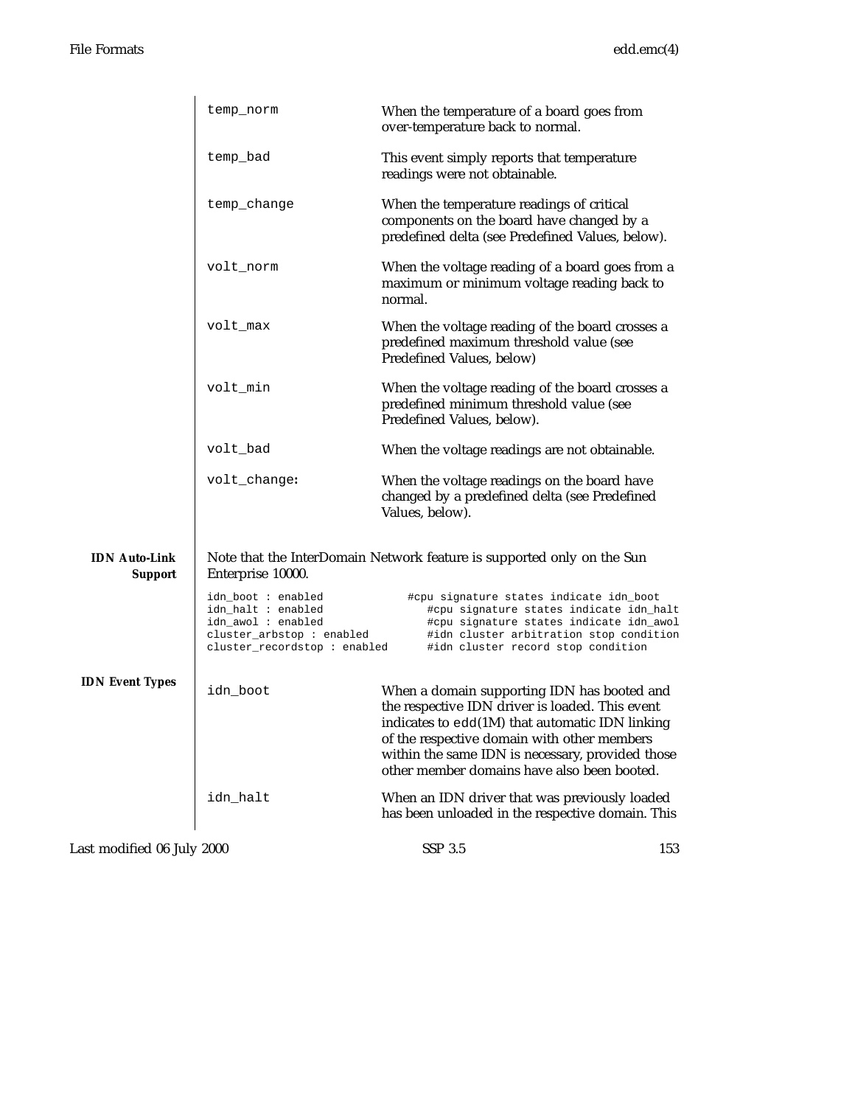|                                        | temp_norm                                                                                                                  | When the temperature of a board goes from<br>over-temperature back to normal.                                                                                                                                                                                                                       |
|----------------------------------------|----------------------------------------------------------------------------------------------------------------------------|-----------------------------------------------------------------------------------------------------------------------------------------------------------------------------------------------------------------------------------------------------------------------------------------------------|
|                                        | temp_bad                                                                                                                   | This event simply reports that temperature<br>readings were not obtainable.                                                                                                                                                                                                                         |
|                                        | temp_change                                                                                                                | When the temperature readings of critical<br>components on the board have changed by a<br>predefined delta (see Predefined Values, below).                                                                                                                                                          |
|                                        | volt norm                                                                                                                  | When the voltage reading of a board goes from a<br>maximum or minimum voltage reading back to<br>normal.                                                                                                                                                                                            |
|                                        | volt_max                                                                                                                   | When the voltage reading of the board crosses a<br>predefined maximum threshold value (see<br>Predefined Values, below)                                                                                                                                                                             |
|                                        | volt_min                                                                                                                   | When the voltage reading of the board crosses a<br>predefined minimum threshold value (see<br>Predefined Values, below).                                                                                                                                                                            |
|                                        | volt_bad                                                                                                                   | When the voltage readings are not obtainable.                                                                                                                                                                                                                                                       |
|                                        | volt_change:                                                                                                               | When the voltage readings on the board have<br>changed by a predefined delta (see Predefined<br>Values, below).                                                                                                                                                                                     |
| <b>IDN Auto-Link</b><br><b>Support</b> | Enterprise 10000.                                                                                                          | Note that the InterDomain Network feature is supported only on the Sun                                                                                                                                                                                                                              |
|                                        | idn_boot : enabled<br>idn_halt : enabled<br>idn_awol : enabled<br>cluster_arbstop: enabled<br>cluster_recordstop : enabled | #cpu signature states indicate idn_boot<br>#cpu signature states indicate idn_halt<br>#cpu signature states indicate idn_awol<br>#idn cluster arbitration stop condition<br>#idn cluster record stop condition                                                                                      |
| <b>IDN Event Types</b>                 | idn boot                                                                                                                   | When a domain supporting IDN has booted and<br>the respective IDN driver is loaded. This event<br>indicates to edd(1M) that automatic IDN linking<br>of the respective domain with other members<br>within the same IDN is necessary, provided those<br>other member domains have also been booted. |
|                                        | idn_halt                                                                                                                   | When an IDN driver that was previously loaded<br>has been unloaded in the respective domain. This                                                                                                                                                                                                   |
|                                        |                                                                                                                            |                                                                                                                                                                                                                                                                                                     |

Last modified 06 July 2000 SSP 3.5 153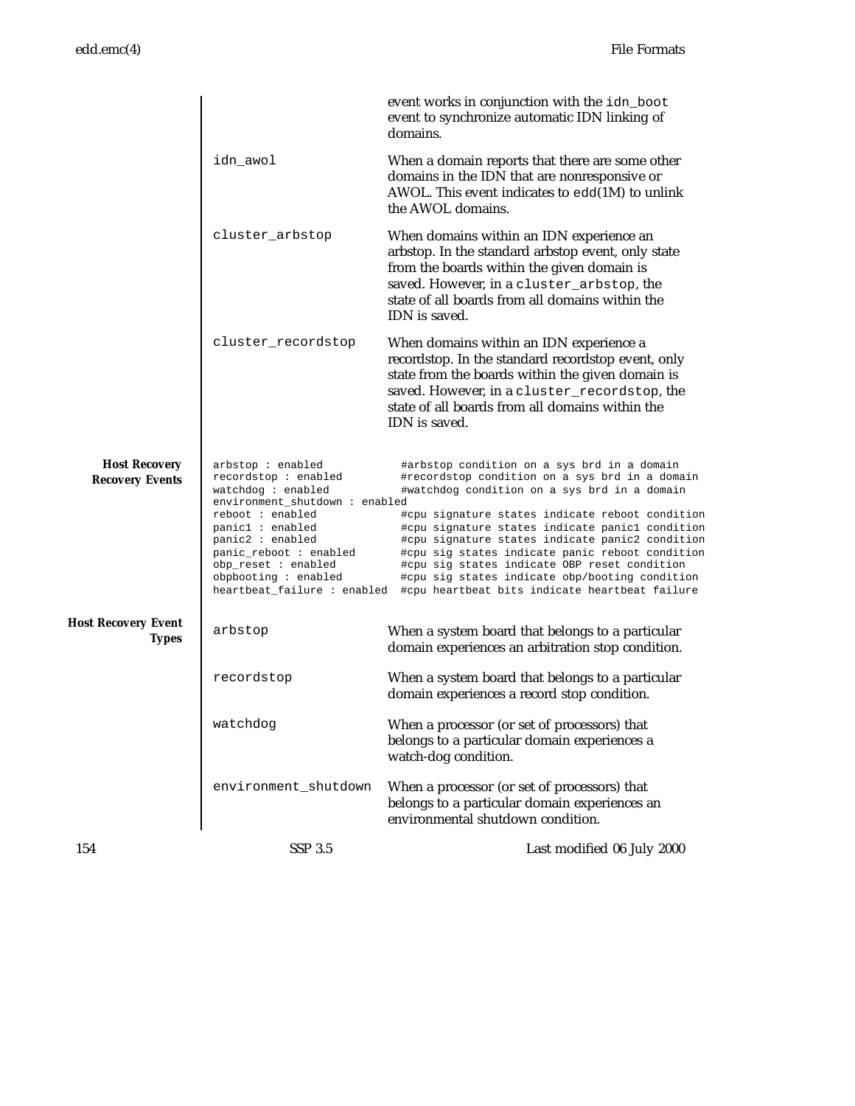| 154                                            | SSP 3.5                                                                                                                                                                                                                                                           | Last modified 06 July 2000                                                                                                                                                                                                                                                                                                                                                                                                                                                                                    |
|------------------------------------------------|-------------------------------------------------------------------------------------------------------------------------------------------------------------------------------------------------------------------------------------------------------------------|---------------------------------------------------------------------------------------------------------------------------------------------------------------------------------------------------------------------------------------------------------------------------------------------------------------------------------------------------------------------------------------------------------------------------------------------------------------------------------------------------------------|
|                                                | environment_shutdown                                                                                                                                                                                                                                              | When a processor (or set of processors) that<br>belongs to a particular domain experiences an<br>environmental shutdown condition.                                                                                                                                                                                                                                                                                                                                                                            |
|                                                | watchdog                                                                                                                                                                                                                                                          | When a processor (or set of processors) that<br>belongs to a particular domain experiences a<br>watch-dog condition.                                                                                                                                                                                                                                                                                                                                                                                          |
|                                                | recordstop                                                                                                                                                                                                                                                        | When a system board that belongs to a particular<br>domain experiences a record stop condition.                                                                                                                                                                                                                                                                                                                                                                                                               |
| <b>Host Recovery Event</b><br><b>Types</b>     | arbstop                                                                                                                                                                                                                                                           | When a system board that belongs to a particular<br>domain experiences an arbitration stop condition.                                                                                                                                                                                                                                                                                                                                                                                                         |
| <b>Host Recovery</b><br><b>Recovery Events</b> | arbstop: enabled<br>recordstop: enabled<br>watchdog: enabled<br>environment_shutdown : enabled<br>reboot : enabled<br>panicl : enabled<br>panic2 : enabled<br>panic_reboot : enabled<br>obp_reset : enabled<br>obpbooting: enabled<br>heartbeat_failure : enabled | #arbstop condition on a sys brd in a domain<br>#recordstop condition on a sys brd in a domain<br>#watchdog condition on a sys brd in a domain<br>#cpu signature states indicate reboot condition<br>#cpu signature states indicate panic1 condition<br>#cpu signature states indicate panic2 condition<br>#cpu sig states indicate panic reboot condition<br>#cpu sig states indicate OBP reset condition<br>#cpu sig states indicate obp/booting condition<br>#cpu heartbeat bits indicate heartbeat failure |
|                                                | cluster_recordstop                                                                                                                                                                                                                                                | When domains within an IDN experience a<br>recordstop. In the standard recordstop event, only<br>state from the boards within the given domain is<br>saved. However, in a cluster_recordstop, the<br>state of all boards from all domains within the<br>IDN is saved.                                                                                                                                                                                                                                         |
|                                                | cluster_arbstop                                                                                                                                                                                                                                                   | When domains within an IDN experience an<br>arbstop. In the standard arbstop event, only state<br>from the boards within the given domain is<br>saved. However, in a cluster_arbstop, the<br>state of all boards from all domains within the<br>IDN is saved.                                                                                                                                                                                                                                                 |
|                                                | idn_awol                                                                                                                                                                                                                                                          | When a domain reports that there are some other<br>domains in the IDN that are nonresponsive or<br>AWOL. This event indicates to edd(1M) to unlink<br>the AWOL domains.                                                                                                                                                                                                                                                                                                                                       |
|                                                |                                                                                                                                                                                                                                                                   | event works in conjunction with the idn_boot<br>event to synchronize automatic IDN linking of<br>domains.                                                                                                                                                                                                                                                                                                                                                                                                     |
|                                                |                                                                                                                                                                                                                                                                   |                                                                                                                                                                                                                                                                                                                                                                                                                                                                                                               |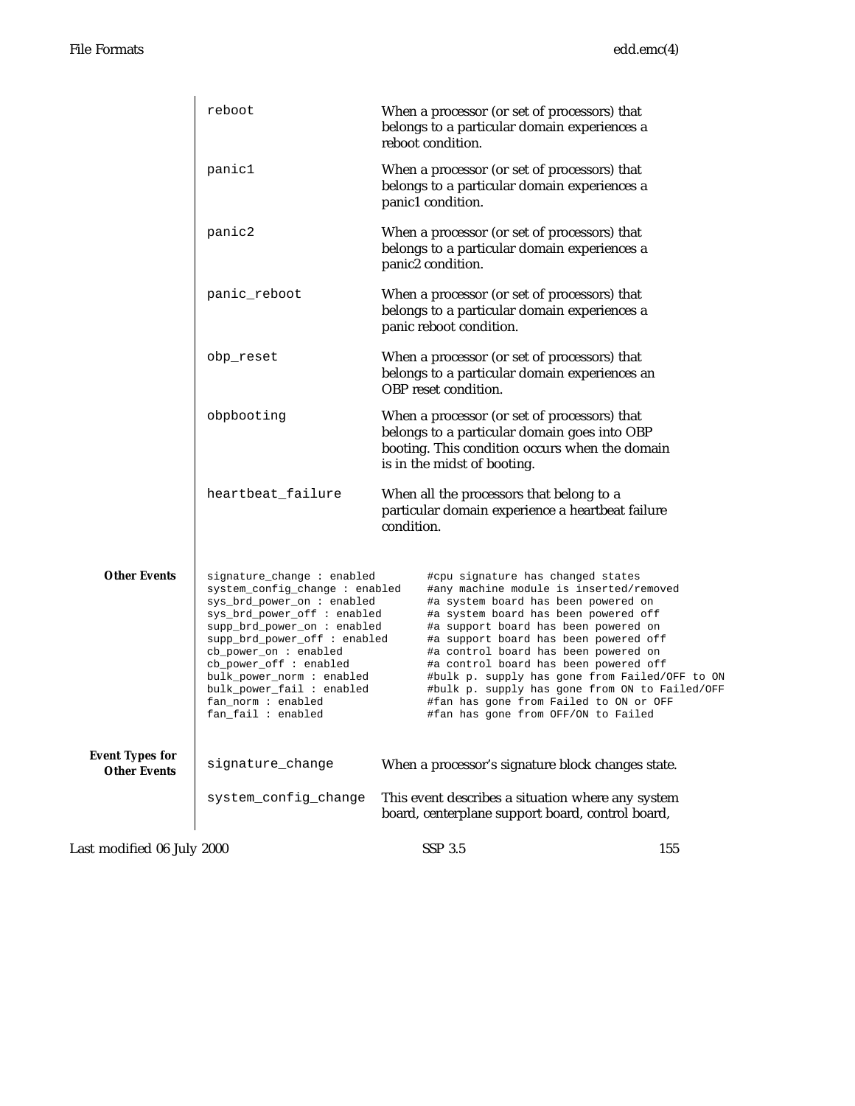|                                               | reboot                                                                                                                                                                                                                                                                                                                                            | When a processor (or set of processors) that<br>belongs to a particular domain experiences a<br>reboot condition.                                                                                                                                                                                                                                                                                                                                                                                                  |
|-----------------------------------------------|---------------------------------------------------------------------------------------------------------------------------------------------------------------------------------------------------------------------------------------------------------------------------------------------------------------------------------------------------|--------------------------------------------------------------------------------------------------------------------------------------------------------------------------------------------------------------------------------------------------------------------------------------------------------------------------------------------------------------------------------------------------------------------------------------------------------------------------------------------------------------------|
|                                               | panic1                                                                                                                                                                                                                                                                                                                                            | When a processor (or set of processors) that<br>belongs to a particular domain experiences a<br>panic1 condition.                                                                                                                                                                                                                                                                                                                                                                                                  |
|                                               | panic2                                                                                                                                                                                                                                                                                                                                            | When a processor (or set of processors) that<br>belongs to a particular domain experiences a<br>panic2 condition.                                                                                                                                                                                                                                                                                                                                                                                                  |
|                                               | panic_reboot                                                                                                                                                                                                                                                                                                                                      | When a processor (or set of processors) that<br>belongs to a particular domain experiences a<br>panic reboot condition.                                                                                                                                                                                                                                                                                                                                                                                            |
|                                               | obp_reset                                                                                                                                                                                                                                                                                                                                         | When a processor (or set of processors) that<br>belongs to a particular domain experiences an<br>OBP reset condition.                                                                                                                                                                                                                                                                                                                                                                                              |
|                                               | obpbooting                                                                                                                                                                                                                                                                                                                                        | When a processor (or set of processors) that<br>belongs to a particular domain goes into OBP<br>booting. This condition occurs when the domain<br>is in the midst of booting.                                                                                                                                                                                                                                                                                                                                      |
|                                               | heartbeat_failure                                                                                                                                                                                                                                                                                                                                 | When all the processors that belong to a<br>particular domain experience a heartbeat failure<br>condition.                                                                                                                                                                                                                                                                                                                                                                                                         |
| <b>Other Events</b>                           | signature_change : enabled<br>system_config_change : enabled<br>sys_brd_power_on : enabled<br>sys_brd_power_off : enabled<br>supp_brd_power_on : enabled<br>supp_brd_power_off : enabled<br>cb_power_on : enabled<br>cb_power_off : enabled<br>bulk_power_norm : enabled<br>bulk_power_fail : enabled<br>fan_norm : enabled<br>fan_fail : enabled | #cpu signature has changed states<br>#any machine module is inserted/removed<br>#a system board has been powered on<br>#a system board has been powered off<br>#a support board has been powered on<br>#a support board has been powered off<br>#a control board has been powered on<br>#a control board has been powered off<br>#bulk p. supply has gone from Failed/OFF to ON<br>#bulk p. supply has gone from ON to Failed/OFF<br>#fan has gone from Failed to ON or OFF<br>#fan has gone from OFF/ON to Failed |
| <b>Event Types for</b><br><b>Other Events</b> | signature_change                                                                                                                                                                                                                                                                                                                                  | When a processor's signature block changes state.                                                                                                                                                                                                                                                                                                                                                                                                                                                                  |
|                                               | system_config_change                                                                                                                                                                                                                                                                                                                              | This event describes a situation where any system<br>board, centerplane support board, control board,                                                                                                                                                                                                                                                                                                                                                                                                              |

Last modified 06 July 2000 SSP 3.5 5 155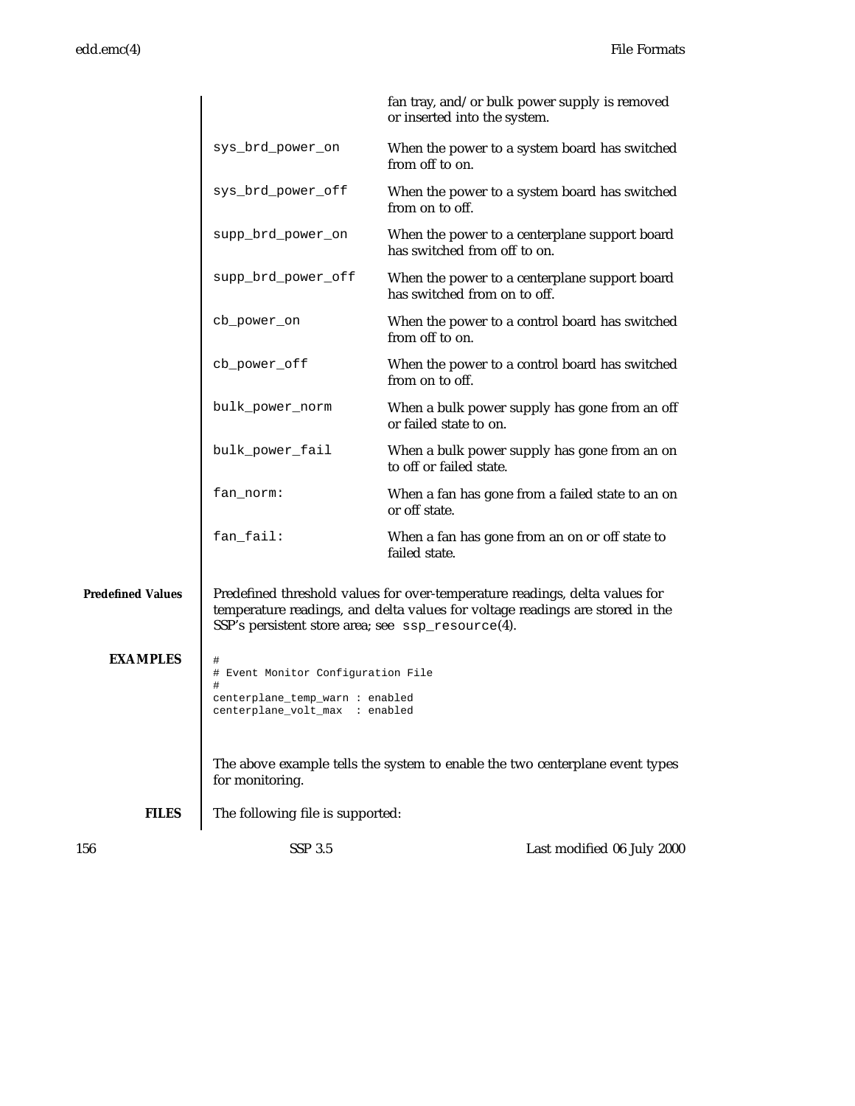|                          |                                                                                                                                                                                                                   | fan tray, and/or bulk power supply is removed<br>or inserted into the system. |
|--------------------------|-------------------------------------------------------------------------------------------------------------------------------------------------------------------------------------------------------------------|-------------------------------------------------------------------------------|
|                          | sys_brd_power_on                                                                                                                                                                                                  | When the power to a system board has switched<br>from off to on.              |
|                          | sys_brd_power_off                                                                                                                                                                                                 | When the power to a system board has switched<br>from on to off.              |
|                          | supp_brd_power_on                                                                                                                                                                                                 | When the power to a centerplane support board<br>has switched from off to on. |
|                          | supp_brd_power_off                                                                                                                                                                                                | When the power to a centerplane support board<br>has switched from on to off. |
|                          | cb_power_on                                                                                                                                                                                                       | When the power to a control board has switched<br>from off to on.             |
|                          | cb_power_off                                                                                                                                                                                                      | When the power to a control board has switched<br>from on to off.             |
|                          | bulk_power_norm                                                                                                                                                                                                   | When a bulk power supply has gone from an off<br>or failed state to on.       |
|                          | bulk_power_fail                                                                                                                                                                                                   | When a bulk power supply has gone from an on<br>to off or failed state.       |
|                          | fan_norm:                                                                                                                                                                                                         | When a fan has gone from a failed state to an on<br>or off state.             |
|                          | fan_fail:                                                                                                                                                                                                         | When a fan has gone from an on or off state to<br>failed state.               |
| <b>Predefined Values</b> | Predefined threshold values for over-temperature readings, delta values for<br>temperature readings, and delta values for voltage readings are stored in the<br>SSP's persistent store area; see ssp_resource(4). |                                                                               |
| <b>EXAMPLES</b>          | #<br># Event Monitor Configuration File<br>#<br>centerplane_temp_warn: enabled<br>centerplane_volt_max : enabled                                                                                                  |                                                                               |
|                          | The above example tells the system to enable the two centerplane event types<br>for monitoring.                                                                                                                   |                                                                               |
| <b>FILES</b>             | The following file is supported:                                                                                                                                                                                  |                                                                               |
| 156                      | SSP 3.5                                                                                                                                                                                                           | Last modified 06 July 2000                                                    |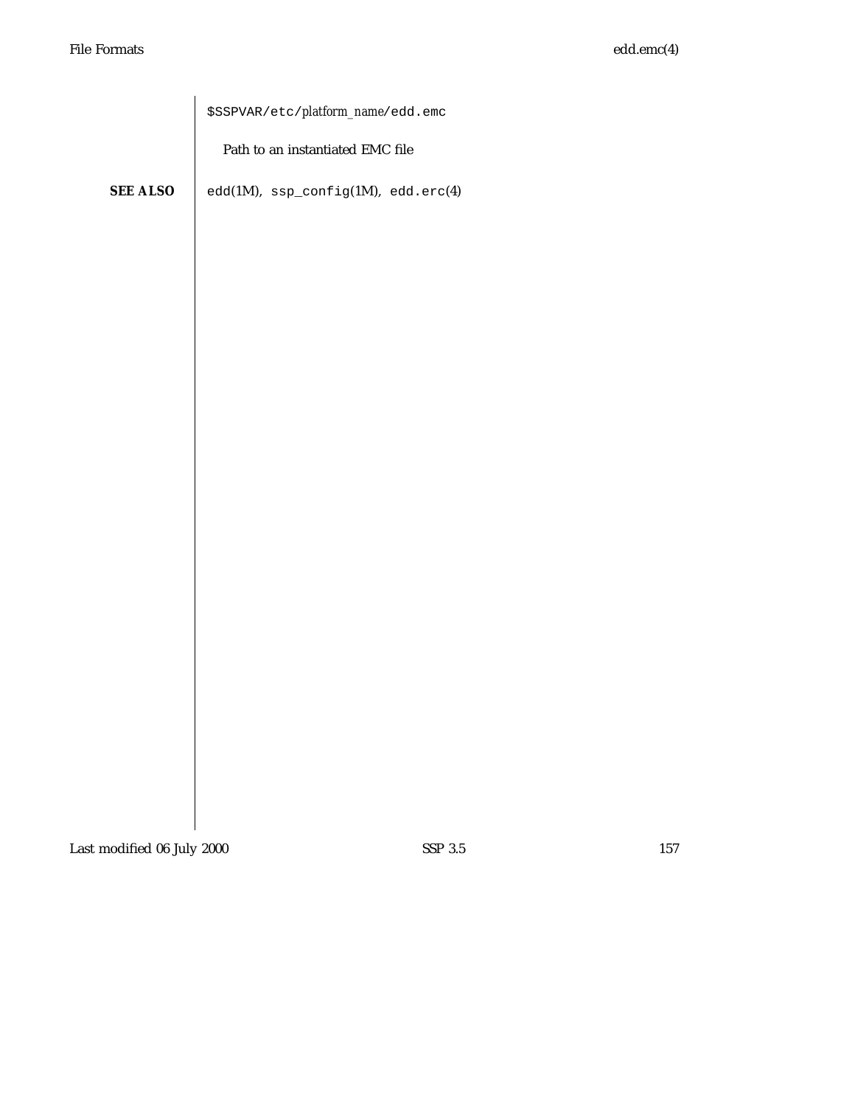\$SSPVAR/etc/*platform\_name*/edd.emc

Path to an instantiated EMC file

**SEE ALSO** edd(1M),  $ssp\_config(1M)$ , edd.erc(4)

Last modified 06 July 2000 SSP 3.5 157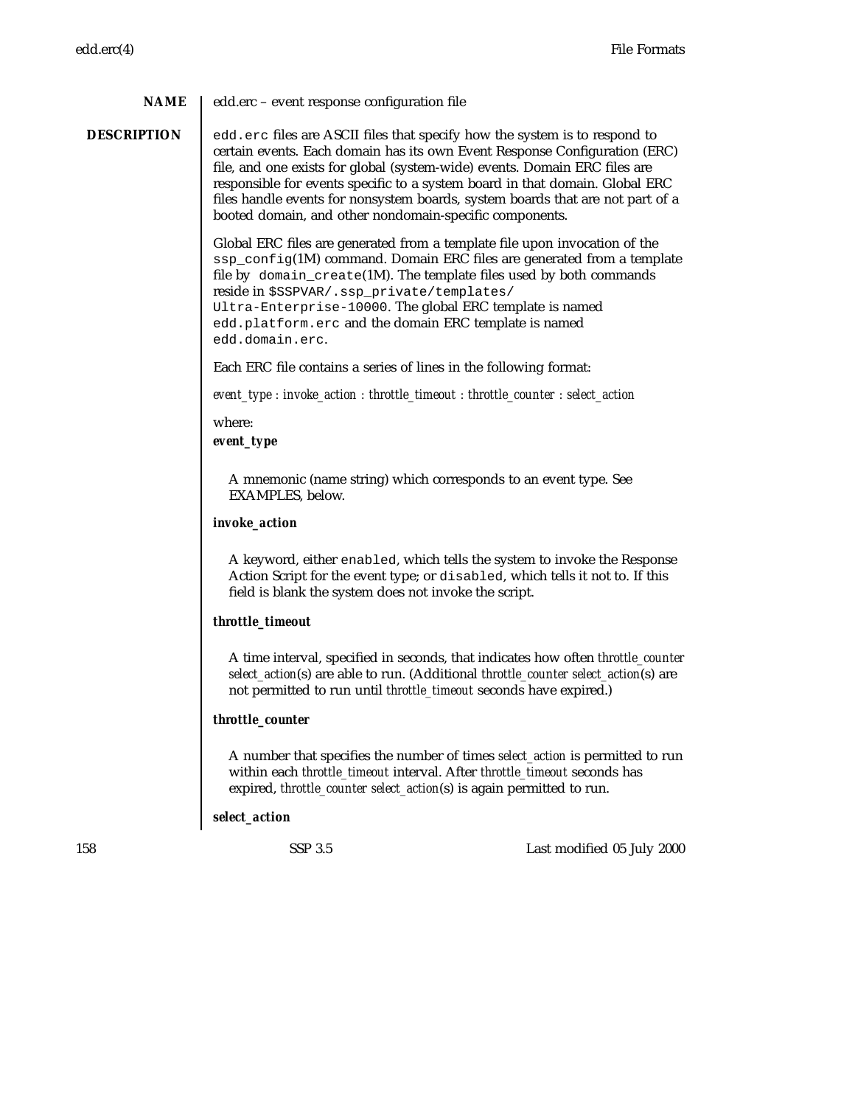| <b>NAME</b>        | edd.erc - event response configuration file                                                                                                                                                                                                                                                                                                                                                                                                                          |
|--------------------|----------------------------------------------------------------------------------------------------------------------------------------------------------------------------------------------------------------------------------------------------------------------------------------------------------------------------------------------------------------------------------------------------------------------------------------------------------------------|
| <b>DESCRIPTION</b> | edd. erc files are ASCII files that specify how the system is to respond to<br>certain events. Each domain has its own Event Response Configuration (ERC)<br>file, and one exists for global (system-wide) events. Domain ERC files are<br>responsible for events specific to a system board in that domain. Global ERC<br>files handle events for nonsystem boards, system boards that are not part of a<br>booted domain, and other nondomain-specific components. |
|                    | Global ERC files are generated from a template file upon invocation of the<br>ssp_config(1M) command. Domain ERC files are generated from a template<br>file by domain_create(1M). The template files used by both commands<br>reside in \$SSPVAR/.ssp_private/templates/<br>Ultra-Enterprise-10000. The global ERC template is named<br>edd.platform.erc and the domain ERC template is named<br>edd.domain.erc.                                                    |
|                    | Each ERC file contains a series of lines in the following format:                                                                                                                                                                                                                                                                                                                                                                                                    |
|                    | event_type:invoke_action:throttle_timeout:throttle_counter:select_action                                                                                                                                                                                                                                                                                                                                                                                             |
|                    | where:                                                                                                                                                                                                                                                                                                                                                                                                                                                               |
|                    | event_type                                                                                                                                                                                                                                                                                                                                                                                                                                                           |
|                    | A mnemonic (name string) which corresponds to an event type. See<br><b>EXAMPLES, below.</b>                                                                                                                                                                                                                                                                                                                                                                          |
|                    | invoke_action                                                                                                                                                                                                                                                                                                                                                                                                                                                        |
|                    | A keyword, either enabled, which tells the system to invoke the Response<br>Action Script for the event type; or disabled, which tells it not to. If this<br>field is blank the system does not invoke the script.                                                                                                                                                                                                                                                   |
|                    | throttle_timeout                                                                                                                                                                                                                                                                                                                                                                                                                                                     |
|                    | A time interval, specified in seconds, that indicates how often throttle_counter<br>select_action(s) are able to run. (Additional throttle_counter select_action(s) are<br>not permitted to run until throttle_timeout seconds have expired.)                                                                                                                                                                                                                        |
|                    | throttle_counter                                                                                                                                                                                                                                                                                                                                                                                                                                                     |
|                    | A number that specifies the number of times select_action is permitted to run<br>within each throttle_timeout interval. After throttle_timeout seconds has<br>expired, throttle_counter select_action(s) is again permitted to run.                                                                                                                                                                                                                                  |
|                    | select_action                                                                                                                                                                                                                                                                                                                                                                                                                                                        |
| 158                | <b>SSP 3.5</b><br>Last modified 05 July 2000                                                                                                                                                                                                                                                                                                                                                                                                                         |
|                    |                                                                                                                                                                                                                                                                                                                                                                                                                                                                      |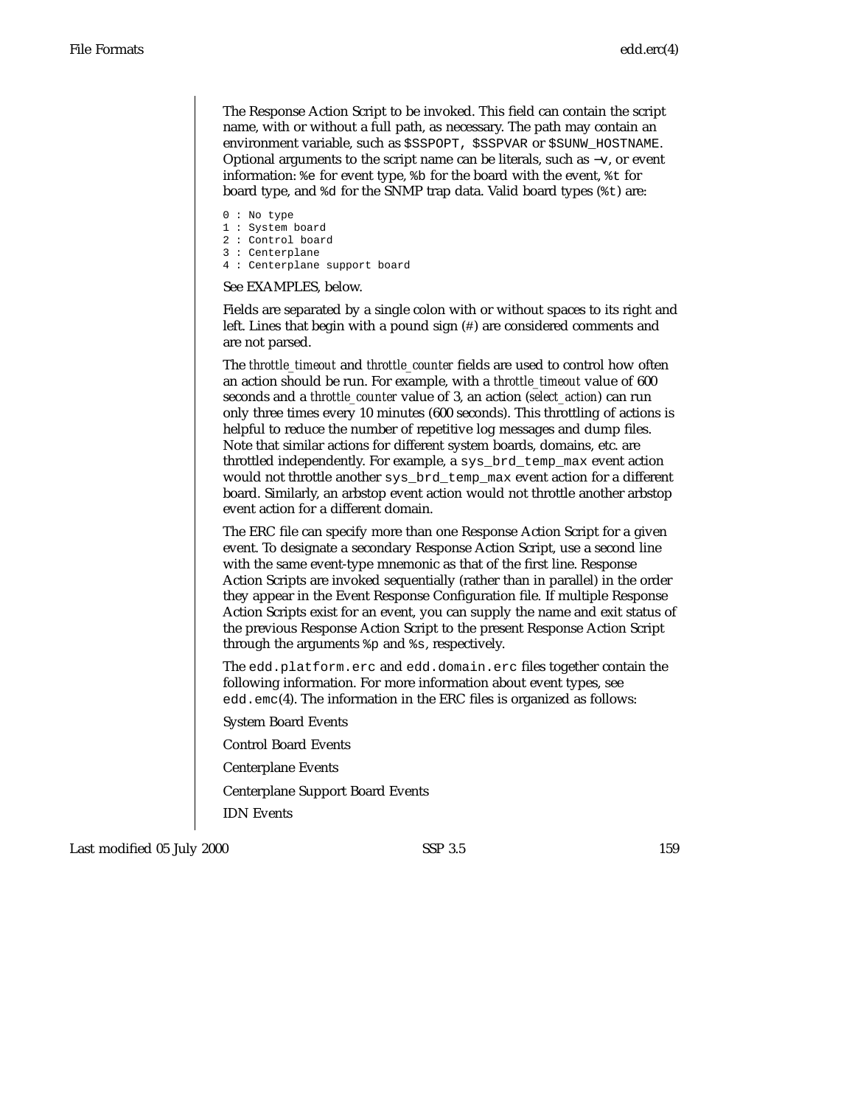The Response Action Script to be invoked. This field can contain the script name, with or without a full path, as necessary. The path may contain an environment variable, such as \$SSPOPT, \$SSPVAR or \$SUNW\_HOSTNAME. Optional arguments to the script name can be literals, such as −v, or event information: %e for event type, %b for the board with the event, %t for board type, and %d for the SNMP trap data. Valid board types (%t) are:

0 : No type

- 1 : System board
- 2 : Control board
- 3 : Centerplane
- 4 : Centerplane support board

## See EXAMPLES, below.

Fields are separated by a single colon with or without spaces to its right and left. Lines that begin with a pound sign (#) are considered comments and are not parsed.

The *throttle\_timeout* and *throttle\_counter* fields are used to control how often an action should be run. For example, with a *throttle\_timeout* value of 600 seconds and a *throttle\_counter* value of 3, an action (*select\_action*) can run only three times every 10 minutes (600 seconds). This throttling of actions is helpful to reduce the number of repetitive log messages and dump files. Note that similar actions for different system boards, domains, etc. are throttled independently. For example, a sys\_brd\_temp\_max event action would not throttle another sys\_brd\_temp\_max event action for a different board. Similarly, an arbstop event action would not throttle another arbstop event action for a different domain.

The ERC file can specify more than one Response Action Script for a given event. To designate a secondary Response Action Script, use a second line with the same event-type mnemonic as that of the first line. Response Action Scripts are invoked sequentially (rather than in parallel) in the order they appear in the Event Response Configuration file. If multiple Response Action Scripts exist for an event, you can supply the name and exit status of the previous Response Action Script to the present Response Action Script through the arguments %p and %s, respectively.

The edd.platform.erc and edd.domain.erc files together contain the following information. For more information about event types, see edd.emc(4). The information in the ERC files is organized as follows:

System Board Events

Control Board Events

Centerplane Events

Centerplane Support Board Events

IDN Events

Last modified 05 July 2000 SSP 3.5 5 159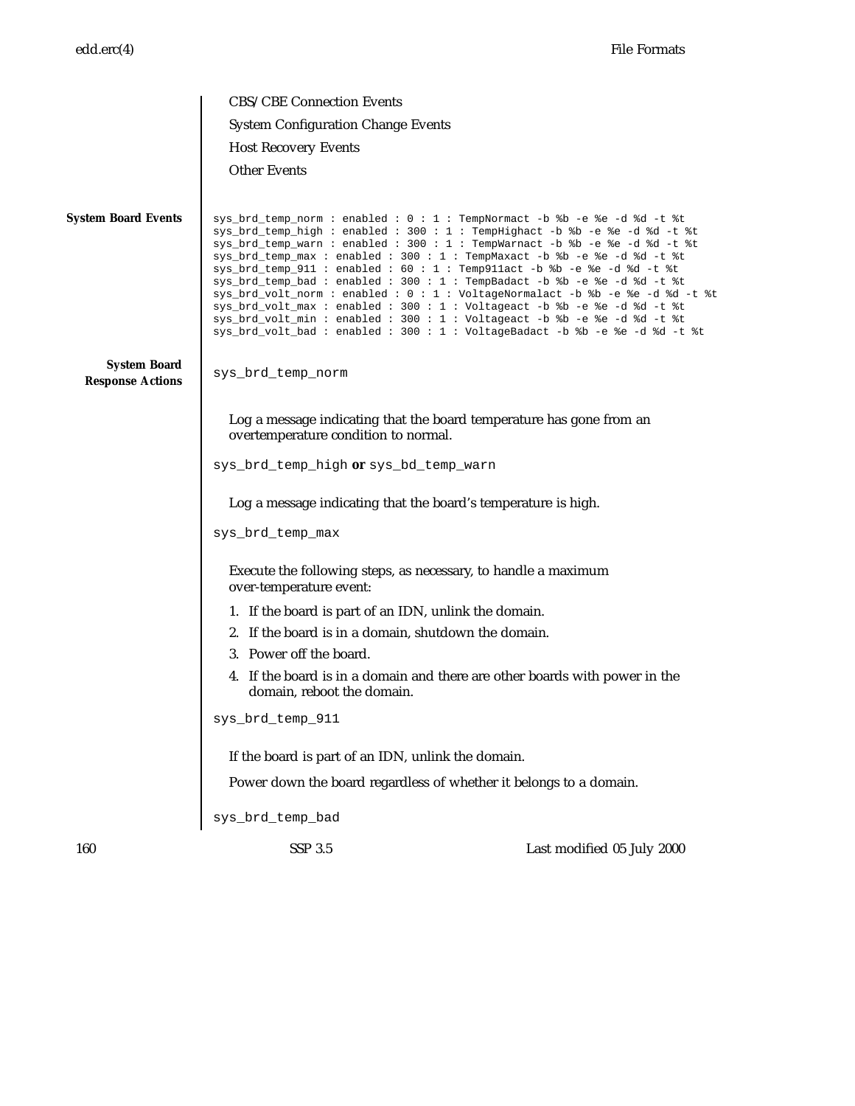|                                                | <b>CBS/CBE Connection Events</b><br><b>System Configuration Change Events</b><br><b>Host Recovery Events</b><br><b>Other Events</b> |                                                                                                                                                                                                                                                                                                                                                                                                                                                                                                                                                                                                                                                                                                                                                                                                           |
|------------------------------------------------|-------------------------------------------------------------------------------------------------------------------------------------|-----------------------------------------------------------------------------------------------------------------------------------------------------------------------------------------------------------------------------------------------------------------------------------------------------------------------------------------------------------------------------------------------------------------------------------------------------------------------------------------------------------------------------------------------------------------------------------------------------------------------------------------------------------------------------------------------------------------------------------------------------------------------------------------------------------|
| System Board Events                            |                                                                                                                                     | sys_brd_temp_norm : enabled : 0 : 1 : TempNormact -b %b -e %e -d %d -t %t<br>sys_brd_temp_high : enabled : 300 : 1 : TempHighact -b %b -e %e -d %d -t %t<br>sys_brd_temp_warn : enabled : 300 : 1 : TempWarnact -b %b -e %e -d %d -t %t<br>sys_brd_temp_max : enabled : 300 : 1 : TempMaxact -b %b -e %e -d %d -t %t<br>sys_brd_temp_911 : enabled : 60 : 1 : Temp911act -b %b -e %e -d %d -t %t<br>sys_brd_temp_bad : enabled : 300 : 1 : TempBadact -b %b -e %e -d %d -t %t<br>sys_brd_volt_norm : enabled : 0 : 1 : VoltageNormalact -b %b -e %e -d %d -t %t<br>sys_brd_volt_max : enabled : 300 : 1 : Voltageact -b %b -e %e -d %d -t %t<br>sys_brd_volt_min : enabled : 300 : 1 : Voltageact -b %b -e %e -d %d -t %t<br>sys_brd_volt_bad : enabled : 300 : 1 : VoltageBadact -b %b -e %e -d %d -t %t |
| <b>System Board</b><br><b>Response Actions</b> | sys_brd_temp_norm                                                                                                                   |                                                                                                                                                                                                                                                                                                                                                                                                                                                                                                                                                                                                                                                                                                                                                                                                           |
|                                                | overtemperature condition to normal.                                                                                                | Log a message indicating that the board temperature has gone from an                                                                                                                                                                                                                                                                                                                                                                                                                                                                                                                                                                                                                                                                                                                                      |
|                                                | sys_brd_temp_high or sys_bd_temp_warn                                                                                               |                                                                                                                                                                                                                                                                                                                                                                                                                                                                                                                                                                                                                                                                                                                                                                                                           |
|                                                |                                                                                                                                     | Log a message indicating that the board's temperature is high.                                                                                                                                                                                                                                                                                                                                                                                                                                                                                                                                                                                                                                                                                                                                            |
|                                                | sys_brd_temp_max                                                                                                                    |                                                                                                                                                                                                                                                                                                                                                                                                                                                                                                                                                                                                                                                                                                                                                                                                           |
|                                                | over-temperature event:                                                                                                             | Execute the following steps, as necessary, to handle a maximum                                                                                                                                                                                                                                                                                                                                                                                                                                                                                                                                                                                                                                                                                                                                            |
|                                                | 1. If the board is part of an IDN, unlink the domain.                                                                               |                                                                                                                                                                                                                                                                                                                                                                                                                                                                                                                                                                                                                                                                                                                                                                                                           |
|                                                | 2. If the board is in a domain, shutdown the domain.                                                                                |                                                                                                                                                                                                                                                                                                                                                                                                                                                                                                                                                                                                                                                                                                                                                                                                           |
|                                                | 3. Power off the board.                                                                                                             |                                                                                                                                                                                                                                                                                                                                                                                                                                                                                                                                                                                                                                                                                                                                                                                                           |
|                                                | domain, reboot the domain.                                                                                                          | 4. If the board is in a domain and there are other boards with power in the                                                                                                                                                                                                                                                                                                                                                                                                                                                                                                                                                                                                                                                                                                                               |
|                                                | sys_brd_temp_911                                                                                                                    |                                                                                                                                                                                                                                                                                                                                                                                                                                                                                                                                                                                                                                                                                                                                                                                                           |
|                                                | If the board is part of an IDN, unlink the domain.                                                                                  |                                                                                                                                                                                                                                                                                                                                                                                                                                                                                                                                                                                                                                                                                                                                                                                                           |
|                                                |                                                                                                                                     | Power down the board regardless of whether it belongs to a domain.                                                                                                                                                                                                                                                                                                                                                                                                                                                                                                                                                                                                                                                                                                                                        |
|                                                | sys_brd_temp_bad                                                                                                                    |                                                                                                                                                                                                                                                                                                                                                                                                                                                                                                                                                                                                                                                                                                                                                                                                           |
| 160                                            | SSP 3.5                                                                                                                             | Last modified 05 July 2000                                                                                                                                                                                                                                                                                                                                                                                                                                                                                                                                                                                                                                                                                                                                                                                |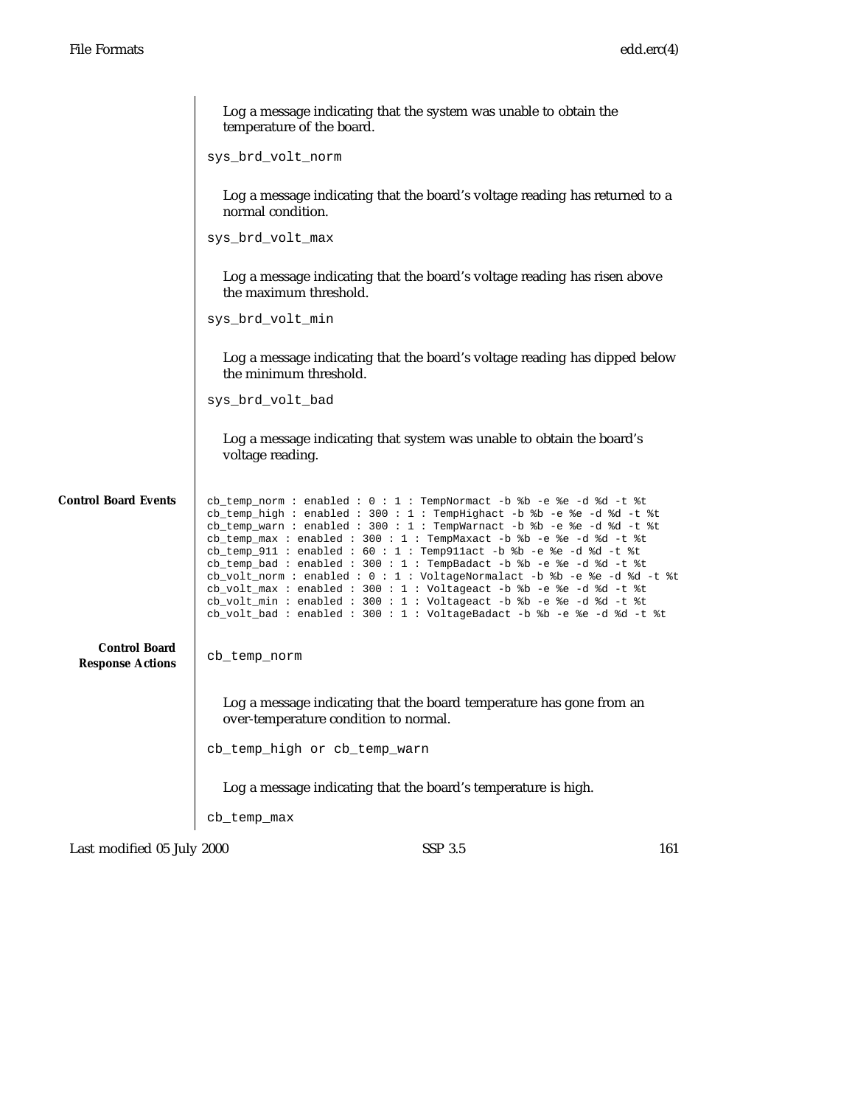|                                                 | Log a message indicating that the system was unable to obtain the<br>temperature of the board.                                                                                                                                                                                                                                                                                                                                                                                                                                                                                                                                                                                                                                                                         |  |
|-------------------------------------------------|------------------------------------------------------------------------------------------------------------------------------------------------------------------------------------------------------------------------------------------------------------------------------------------------------------------------------------------------------------------------------------------------------------------------------------------------------------------------------------------------------------------------------------------------------------------------------------------------------------------------------------------------------------------------------------------------------------------------------------------------------------------------|--|
|                                                 | sys_brd_volt_norm                                                                                                                                                                                                                                                                                                                                                                                                                                                                                                                                                                                                                                                                                                                                                      |  |
|                                                 | Log a message indicating that the board's voltage reading has returned to a<br>normal condition.                                                                                                                                                                                                                                                                                                                                                                                                                                                                                                                                                                                                                                                                       |  |
|                                                 | sys_brd_volt_max                                                                                                                                                                                                                                                                                                                                                                                                                                                                                                                                                                                                                                                                                                                                                       |  |
|                                                 | Log a message indicating that the board's voltage reading has risen above<br>the maximum threshold.                                                                                                                                                                                                                                                                                                                                                                                                                                                                                                                                                                                                                                                                    |  |
|                                                 | sys_brd_volt_min                                                                                                                                                                                                                                                                                                                                                                                                                                                                                                                                                                                                                                                                                                                                                       |  |
|                                                 | Log a message indicating that the board's voltage reading has dipped below<br>the minimum threshold.                                                                                                                                                                                                                                                                                                                                                                                                                                                                                                                                                                                                                                                                   |  |
|                                                 | sys_brd_volt_bad                                                                                                                                                                                                                                                                                                                                                                                                                                                                                                                                                                                                                                                                                                                                                       |  |
|                                                 | Log a message indicating that system was unable to obtain the board's<br>voltage reading.                                                                                                                                                                                                                                                                                                                                                                                                                                                                                                                                                                                                                                                                              |  |
| <b>Control Board Events</b>                     | cb_temp_norm : enabled : 0 : 1 : TempNormact -b %b -e %e -d %d -t %t<br>cb_temp_high : enabled : 300 : 1 : TempHighact -b %b -e %e -d %d -t %t<br>cb_temp_warn : enabled : 300 : 1 : TempWarnact -b %b -e %e -d %d -t %t<br>$cb_temp_max : enabled : 300 : 1 : TempMaxact -b %b -e %e -d %d -t %t$<br>cb_temp_911 : enabled : 60 : 1 : Temp911act -b %b -e %e -d %d -t %t<br>$cb_temp_bad : enabled : 300 : 1 : TempBadact -b %b -e %e -d %d -t %d$<br>$cb_volt\_norm : enabled : 0 : 1 : VoltageNormalact -b *b -e *e -d *d -t *t$<br>$cb_volt_{max}$ : enabled : 300 : 1 : Voltageact -b %b -e %e -d %d -t %t<br>$cb_volt_{min} : enabled : 300 : 1 : Voltageach -b %b -e %e -d %d -t %f$<br>cb_volt_bad : enabled : 300 : 1 : VoltageBadact -b %b -e %e -d %d -t %t |  |
| <b>Control Board</b><br><b>Response Actions</b> | cb_temp_norm                                                                                                                                                                                                                                                                                                                                                                                                                                                                                                                                                                                                                                                                                                                                                           |  |
|                                                 | Log a message indicating that the board temperature has gone from an<br>over-temperature condition to normal.                                                                                                                                                                                                                                                                                                                                                                                                                                                                                                                                                                                                                                                          |  |
|                                                 | cb_temp_high or cb_temp_warn                                                                                                                                                                                                                                                                                                                                                                                                                                                                                                                                                                                                                                                                                                                                           |  |
|                                                 | Log a message indicating that the board's temperature is high.                                                                                                                                                                                                                                                                                                                                                                                                                                                                                                                                                                                                                                                                                                         |  |
|                                                 | cb_temp_max                                                                                                                                                                                                                                                                                                                                                                                                                                                                                                                                                                                                                                                                                                                                                            |  |
| Last modified 05 July 2000                      | SSP 3.5<br>161                                                                                                                                                                                                                                                                                                                                                                                                                                                                                                                                                                                                                                                                                                                                                         |  |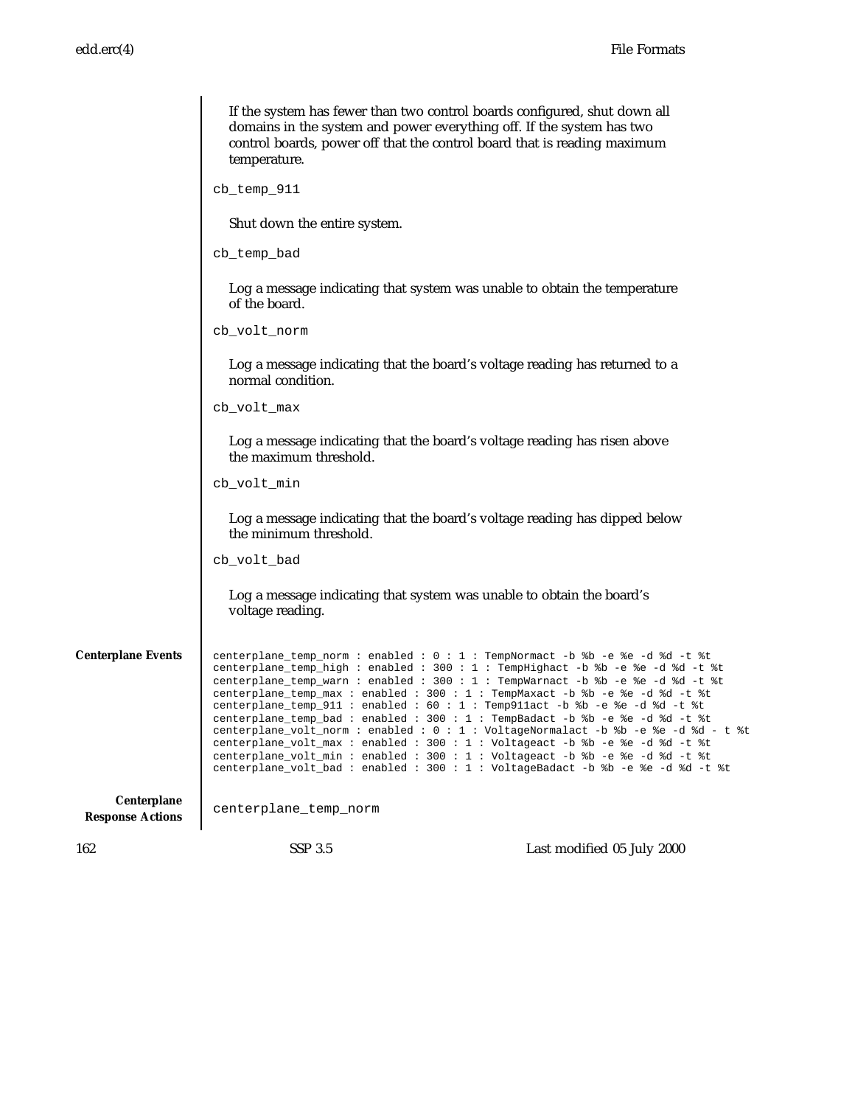| 162                                    | SSP 3.5                               | Last modified 05 July 2000                                                                                                                                                                                                                                                                                                                                                                                                                                                                                                                                                                                                                                                                                                                                                                                                                         |
|----------------------------------------|---------------------------------------|----------------------------------------------------------------------------------------------------------------------------------------------------------------------------------------------------------------------------------------------------------------------------------------------------------------------------------------------------------------------------------------------------------------------------------------------------------------------------------------------------------------------------------------------------------------------------------------------------------------------------------------------------------------------------------------------------------------------------------------------------------------------------------------------------------------------------------------------------|
| Centerplane<br><b>Response Actions</b> | centerplane_temp_norm                 |                                                                                                                                                                                                                                                                                                                                                                                                                                                                                                                                                                                                                                                                                                                                                                                                                                                    |
| <b>Centerplane Events</b>              |                                       | centerplane_temp_norm : enabled : 0 : 1 : TempNormact -b %b -e %e -d %d -t %t<br>centerplane_temp_high : enabled : 300 : 1 : TempHighact -b %b -e %e -d %d -t %t<br>centerplane_temp_warn : enabled : 300 : 1 : TempWarnact -b %b -e %e -d %d -t %t<br>centerplane_temp_max : enabled : 300 : 1 : TempMaxact -b %b -e %e -d %d -t %t<br>centerplane_temp_911 : enabled : 60 : 1 : Temp911act -b %b -e %e -d %d -t %t<br>centerplane_temp_bad : enabled : 300 : 1 : TempBadact -b %b -e %e -d %d -t %t<br>centerplane_volt_norm : enabled : 0 : 1 : VoltageNormalact -b %b -e %e -d %d - t %t<br>centerplane_volt_max : enabled : 300 : 1 : Voltageact -b %b -e %e -d %d -t %t<br>centerplane_volt_min : enabled : 300 : 1 : Voltageact -b %b -e %e -d %d -t %t<br>centerplane_volt_bad : enabled : 300 : 1 : VoltageBadact -b %b -e %e -d %d -t %t |
|                                        | voltage reading.                      | Log a message indicating that system was unable to obtain the board's                                                                                                                                                                                                                                                                                                                                                                                                                                                                                                                                                                                                                                                                                                                                                                              |
|                                        | the minimum threshold.<br>cb_volt_bad |                                                                                                                                                                                                                                                                                                                                                                                                                                                                                                                                                                                                                                                                                                                                                                                                                                                    |
|                                        |                                       | Log a message indicating that the board's voltage reading has dipped below                                                                                                                                                                                                                                                                                                                                                                                                                                                                                                                                                                                                                                                                                                                                                                         |
|                                        | cb_volt_min                           |                                                                                                                                                                                                                                                                                                                                                                                                                                                                                                                                                                                                                                                                                                                                                                                                                                                    |
|                                        | the maximum threshold.                | Log a message indicating that the board's voltage reading has risen above                                                                                                                                                                                                                                                                                                                                                                                                                                                                                                                                                                                                                                                                                                                                                                          |
|                                        | cb_volt_max                           |                                                                                                                                                                                                                                                                                                                                                                                                                                                                                                                                                                                                                                                                                                                                                                                                                                                    |
|                                        | normal condition.                     | Log a message indicating that the board's voltage reading has returned to a                                                                                                                                                                                                                                                                                                                                                                                                                                                                                                                                                                                                                                                                                                                                                                        |
|                                        | cb_volt_norm                          |                                                                                                                                                                                                                                                                                                                                                                                                                                                                                                                                                                                                                                                                                                                                                                                                                                                    |
|                                        | of the board.                         | Log a message indicating that system was unable to obtain the temperature                                                                                                                                                                                                                                                                                                                                                                                                                                                                                                                                                                                                                                                                                                                                                                          |
|                                        | cb_temp_bad                           |                                                                                                                                                                                                                                                                                                                                                                                                                                                                                                                                                                                                                                                                                                                                                                                                                                                    |
|                                        | Shut down the entire system.          |                                                                                                                                                                                                                                                                                                                                                                                                                                                                                                                                                                                                                                                                                                                                                                                                                                                    |
|                                        | cb_temp_911                           |                                                                                                                                                                                                                                                                                                                                                                                                                                                                                                                                                                                                                                                                                                                                                                                                                                                    |
|                                        | temperature.                          | control boards, power off that the control board that is reading maximum                                                                                                                                                                                                                                                                                                                                                                                                                                                                                                                                                                                                                                                                                                                                                                           |
|                                        |                                       | If the system has fewer than two control boards configured, shut down all<br>domains in the system and power everything off. If the system has two                                                                                                                                                                                                                                                                                                                                                                                                                                                                                                                                                                                                                                                                                                 |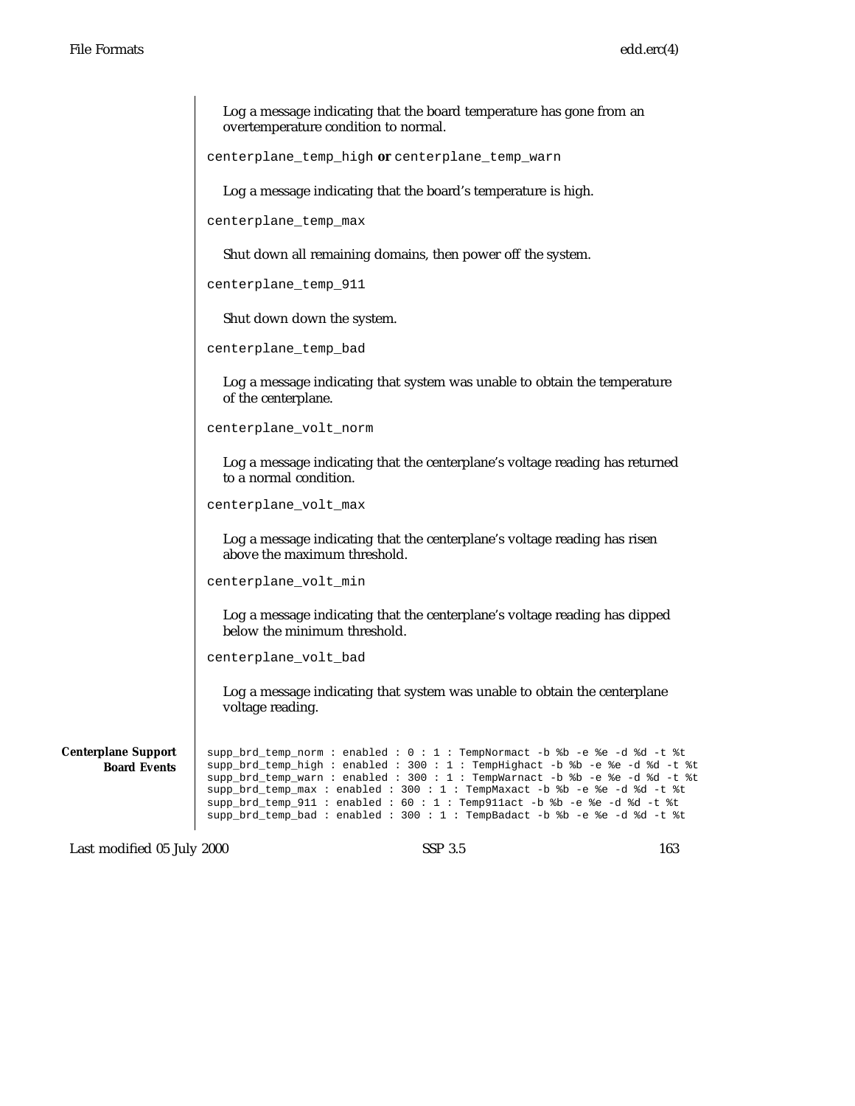```
Log a message indicating that the board temperature has gone from an
                         overtemperature condition to normal.
                      centerplane_temp_high or centerplane_temp_warn
                         Log a message indicating that the board's temperature is high.
                      centerplane_temp_max
                         Shut down all remaining domains, then power off the system.
                      centerplane_temp_911
                         Shut down down the system.
                      centerplane_temp_bad
                         Log a message indicating that system was unable to obtain the temperature
                         of the centerplane.
                      centerplane_volt_norm
                         Log a message indicating that the centerplane's voltage reading has returned
                         to a normal condition.
                      centerplane_volt_max
                         Log a message indicating that the centerplane's voltage reading has risen
                         above the maximum threshold.
                      centerplane_volt_min
                         Log a message indicating that the centerplane's voltage reading has dipped
                         below the minimum threshold.
                      centerplane_volt_bad
                         Log a message indicating that system was unable to obtain the centerplane
                         voltage reading.
Centerplane Support
      Board Events
                      supp_brd_temp_norm : enabled : 0 : 1 : TempNormact -b %b -e %e -d %d -t %t
                      supp_brd_temp_high : enabled : 300 : 1 : TempHighact -b %b -e %e -d %d -t %t
                      supp_brd_temp_warn : enabled : 300 : 1 : TempWarnact -b %b -e %e -d %d -t %t
                      supp_brd_temp_max : enabled : 300 : 1 : TempMaxact -b %b -e %e -d %d -t %t
                      supp_brd_temp_911 : enabled : 60 : 1 : Temp911act -b %b -e %e -d %d -t %t
```
supp\_brd\_temp\_bad : enabled : 300 : 1 : TempBadact -b %b -e %e -d %d -t %t

Last modified 05 July 2000 SSP 3.5 163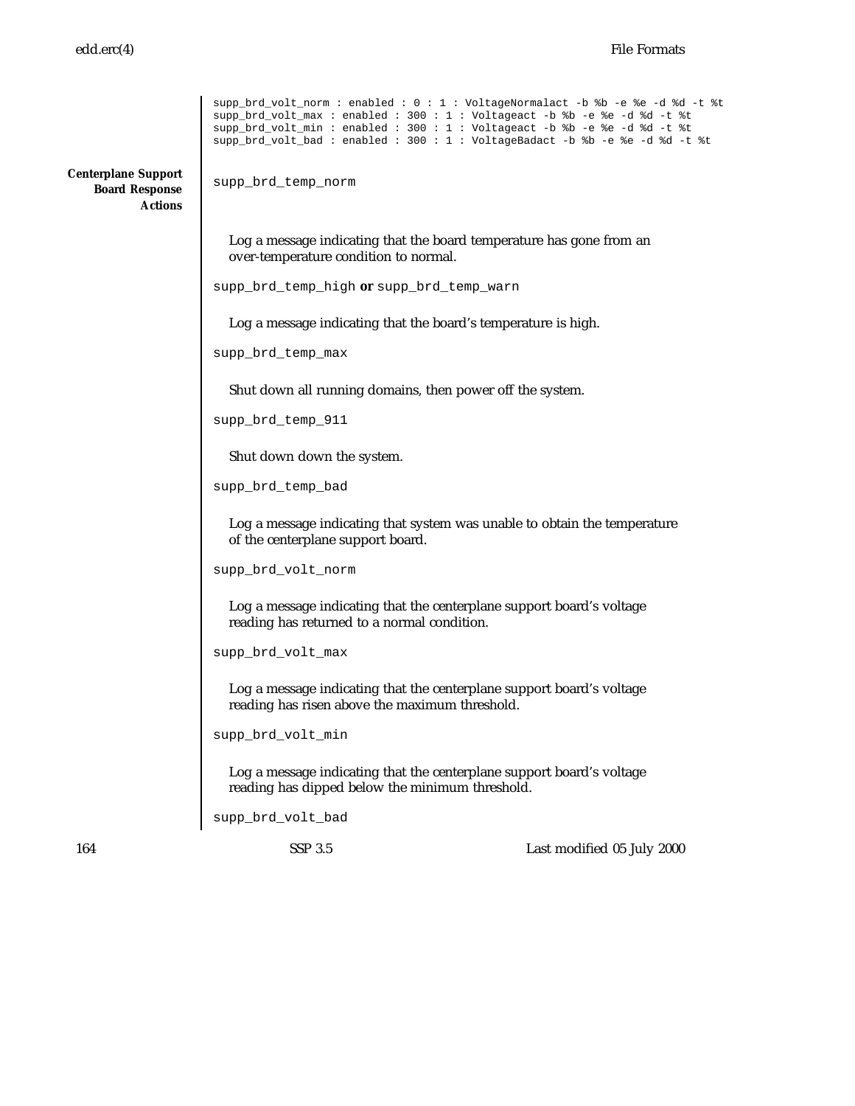|                                                                       |                                                                | supp_brd_volt_norm : enabled : 0 : 1 : VoltageNormalact -b %b -e %e -d %d -t %t<br>supp_brd_volt_max : enabled : 300 : 1 : Voltageact -b %b -e %e -d %d -t %t<br>supp_brd_volt_min : enabled : 300 : 1 : Voltageact -b %b -e %e -d %d -t %t<br>supp_brd_volt_bad : enabled : 300 : 1 : VoltageBadact -b %b -e %e -d %d -t %t |
|-----------------------------------------------------------------------|----------------------------------------------------------------|------------------------------------------------------------------------------------------------------------------------------------------------------------------------------------------------------------------------------------------------------------------------------------------------------------------------------|
| <b>Centerplane Support</b><br><b>Board Response</b><br><b>Actions</b> | supp_brd_temp_norm                                             |                                                                                                                                                                                                                                                                                                                              |
|                                                                       | over-temperature condition to normal.                          | Log a message indicating that the board temperature has gone from an                                                                                                                                                                                                                                                         |
|                                                                       | supp_brd_temp_high or supp_brd_temp_warn                       |                                                                                                                                                                                                                                                                                                                              |
|                                                                       | Log a message indicating that the board's temperature is high. |                                                                                                                                                                                                                                                                                                                              |
|                                                                       | supp_brd_temp_max                                              |                                                                                                                                                                                                                                                                                                                              |
|                                                                       | Shut down all running domains, then power off the system.      |                                                                                                                                                                                                                                                                                                                              |
|                                                                       | supp_brd_temp_911                                              |                                                                                                                                                                                                                                                                                                                              |
|                                                                       | Shut down down the system.                                     |                                                                                                                                                                                                                                                                                                                              |
|                                                                       | supp_brd_temp_bad                                              |                                                                                                                                                                                                                                                                                                                              |
|                                                                       | of the centerplane support board.                              | Log a message indicating that system was unable to obtain the temperature                                                                                                                                                                                                                                                    |
|                                                                       | supp_brd_volt_norm                                             |                                                                                                                                                                                                                                                                                                                              |
|                                                                       | reading has returned to a normal condition.                    | Log a message indicating that the centerplane support board's voltage                                                                                                                                                                                                                                                        |
|                                                                       | supp_brd_volt_max                                              |                                                                                                                                                                                                                                                                                                                              |
|                                                                       | reading has risen above the maximum threshold.                 | Log a message indicating that the centerplane support board's voltage                                                                                                                                                                                                                                                        |
|                                                                       | supp_brd_volt_min                                              |                                                                                                                                                                                                                                                                                                                              |
|                                                                       | reading has dipped below the minimum threshold.                | Log a message indicating that the centerplane support board's voltage                                                                                                                                                                                                                                                        |
|                                                                       | supp_brd_volt_bad                                              |                                                                                                                                                                                                                                                                                                                              |
| 164                                                                   | SSP 3.5                                                        | Last modified 05 July 2000                                                                                                                                                                                                                                                                                                   |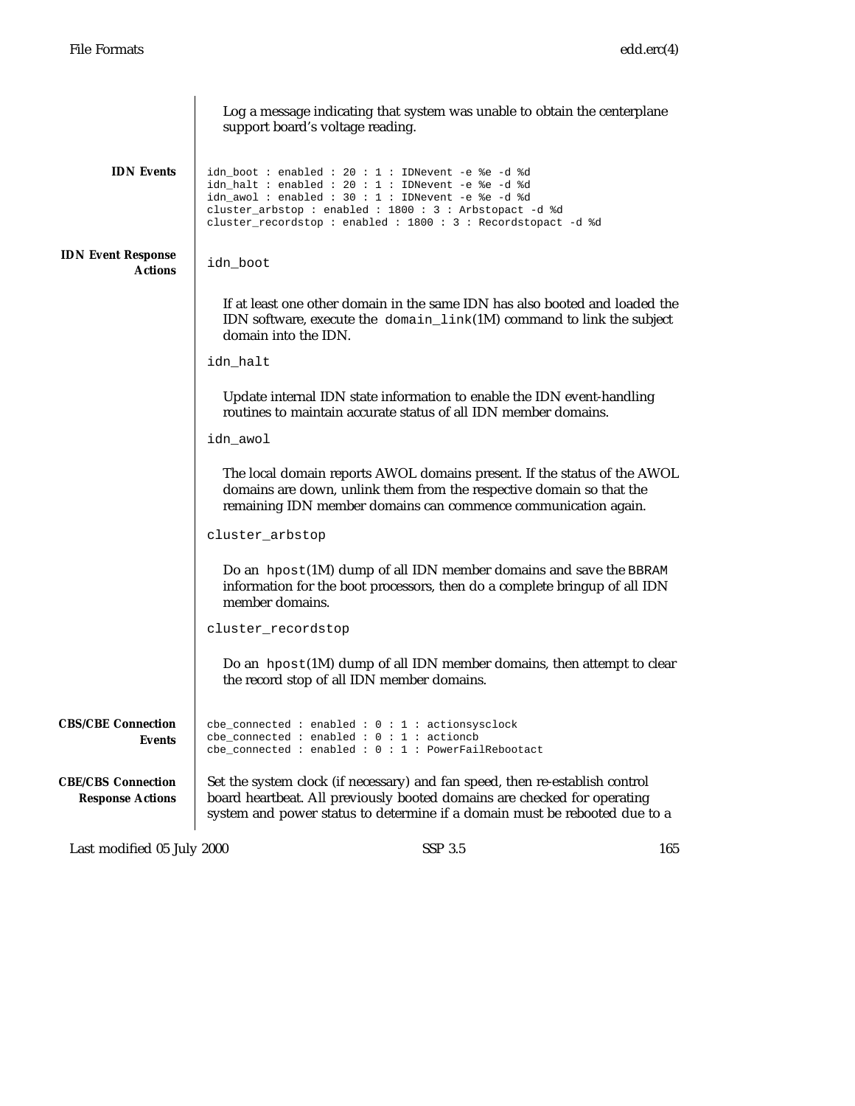|                                                      | Log a message indicating that system was unable to obtain the centerplane<br>support board's voltage reading.                                                                                                                                                                                     |
|------------------------------------------------------|---------------------------------------------------------------------------------------------------------------------------------------------------------------------------------------------------------------------------------------------------------------------------------------------------|
| <b>IDN</b> Events                                    | $idn\_boot$ : enabled : 20 : 1 : IDNevent -e %e -d %d<br>idn_halt : enabled : 20 : 1 : IDNevent -e %e -d %d<br>$idn_awol : enabled : 30 : 1 : IDNewton t -e *e -d *d$<br>cluster_arbstop : enabled : 1800 : 3 : Arbstopact -d %d<br>cluster_recordstop : enabled : 1800 : 3 : Recordstopact -d %d |
| <b>IDN Event Response</b><br><b>Actions</b>          | idn_boot                                                                                                                                                                                                                                                                                          |
|                                                      | If at least one other domain in the same IDN has also booted and loaded the<br>IDN software, execute the domain_link(1M) command to link the subject<br>domain into the IDN.                                                                                                                      |
|                                                      | idn_halt                                                                                                                                                                                                                                                                                          |
|                                                      | Update internal IDN state information to enable the IDN event-handling<br>routines to maintain accurate status of all IDN member domains.                                                                                                                                                         |
|                                                      | idn_awol                                                                                                                                                                                                                                                                                          |
|                                                      | The local domain reports AWOL domains present. If the status of the AWOL<br>domains are down, unlink them from the respective domain so that the<br>remaining IDN member domains can commence communication again.                                                                                |
|                                                      | cluster_arbstop                                                                                                                                                                                                                                                                                   |
|                                                      | Do an hpost(1M) dump of all IDN member domains and save the BBRAM<br>information for the boot processors, then do a complete bringup of all IDN<br>member domains.                                                                                                                                |
|                                                      | cluster_recordstop                                                                                                                                                                                                                                                                                |
|                                                      | Do an hpost(1M) dump of all IDN member domains, then attempt to clear<br>the record stop of all IDN member domains.                                                                                                                                                                               |
| <b>CBS/CBE Connection</b><br><b>Events</b>           | $cbe\_connected : enabled : 0 : 1 : actionsysclock$<br>$cbe\_connected : enabled : 0 : 1 : actioncb$<br>$cbe\_connected : enabled : 0 : 1 : PowerFailurebootact$                                                                                                                                  |
| <b>CBE/CBS Connection</b><br><b>Response Actions</b> | Set the system clock (if necessary) and fan speed, then re-establish control<br>board heartbeat. All previously booted domains are checked for operating<br>system and power status to determine if a domain must be rebooted due to a                                                            |
|                                                      |                                                                                                                                                                                                                                                                                                   |

Last modified 05 July 2000 SSP 3.5 165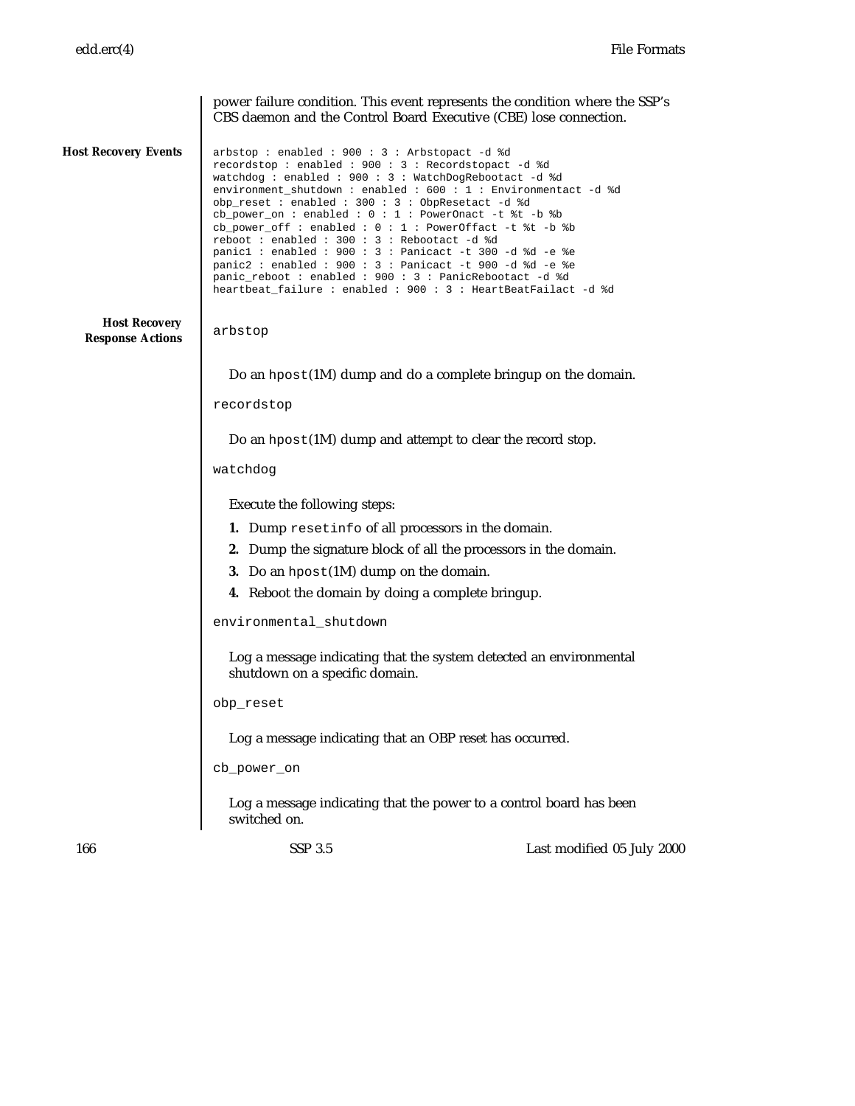|                                                 | power failure condition. This event represents the condition where the SSP's<br>CBS daemon and the Control Board Executive (CBE) lose connection.                                                                                                                                                                                                                                                                                                                                                                                                                                                                                                                                                                      |                            |
|-------------------------------------------------|------------------------------------------------------------------------------------------------------------------------------------------------------------------------------------------------------------------------------------------------------------------------------------------------------------------------------------------------------------------------------------------------------------------------------------------------------------------------------------------------------------------------------------------------------------------------------------------------------------------------------------------------------------------------------------------------------------------------|----------------------------|
| <b>Host Recovery Events</b>                     | arbstop: enabled: 900: 3: Arbstopact -d %d<br>recordstop: enabled: 900: 3: Recordstopact -d %d<br>watchdog : enabled : 900 : 3 : WatchDogRebootact -d %d<br>$environment\_shutdown : enabled : 600 : 1 : Environmentact -d *d$<br>obp_reset : enabled : $300 : 3 : 0$ bpResetact -d %d<br>cb_power_on : enabled : $0 : 1 :$ PowerOnact -t $t - b$ $b$<br>cb_power_off : enabled : $0 : 1 : PowerOffact -t$ %t -b %b<br>reboot: enabled: 300: 3: Rebootact -d %d<br>panicl : enabled : $900 : 3 :$ Panicact -t 300 -d %d -e %e<br>panic2 : enabled : 900 : 3 : Panicact -t 900 -d %d -e %e<br>panic_reboot : enabled : 900 : 3 : PanicRebootact -d %d<br>heartbeat_failure : enabled : 900 : 3 : HeartBeatFailact -d %d |                            |
| <b>Host Recovery</b><br><b>Response Actions</b> | arbstop                                                                                                                                                                                                                                                                                                                                                                                                                                                                                                                                                                                                                                                                                                                |                            |
|                                                 | Do an $h$ $post(1M)$ dump and do a complete bringup on the domain.                                                                                                                                                                                                                                                                                                                                                                                                                                                                                                                                                                                                                                                     |                            |
|                                                 | recordstop                                                                                                                                                                                                                                                                                                                                                                                                                                                                                                                                                                                                                                                                                                             |                            |
|                                                 | Do an hpost(1M) dump and attempt to clear the record stop.                                                                                                                                                                                                                                                                                                                                                                                                                                                                                                                                                                                                                                                             |                            |
|                                                 | watchdog                                                                                                                                                                                                                                                                                                                                                                                                                                                                                                                                                                                                                                                                                                               |                            |
|                                                 | Execute the following steps:                                                                                                                                                                                                                                                                                                                                                                                                                                                                                                                                                                                                                                                                                           |                            |
|                                                 | 1. Dump resetinfo of all processors in the domain.                                                                                                                                                                                                                                                                                                                                                                                                                                                                                                                                                                                                                                                                     |                            |
|                                                 | 2. Dump the signature block of all the processors in the domain.                                                                                                                                                                                                                                                                                                                                                                                                                                                                                                                                                                                                                                                       |                            |
|                                                 | 3. Do an hpost(1M) dump on the domain.                                                                                                                                                                                                                                                                                                                                                                                                                                                                                                                                                                                                                                                                                 |                            |
|                                                 | 4. Reboot the domain by doing a complete bringup.                                                                                                                                                                                                                                                                                                                                                                                                                                                                                                                                                                                                                                                                      |                            |
|                                                 | environmental_shutdown                                                                                                                                                                                                                                                                                                                                                                                                                                                                                                                                                                                                                                                                                                 |                            |
|                                                 | Log a message indicating that the system detected an environmental<br>shutdown on a specific domain.                                                                                                                                                                                                                                                                                                                                                                                                                                                                                                                                                                                                                   |                            |
|                                                 | obp_reset                                                                                                                                                                                                                                                                                                                                                                                                                                                                                                                                                                                                                                                                                                              |                            |
|                                                 | Log a message indicating that an OBP reset has occurred.                                                                                                                                                                                                                                                                                                                                                                                                                                                                                                                                                                                                                                                               |                            |
|                                                 | cb_power_on                                                                                                                                                                                                                                                                                                                                                                                                                                                                                                                                                                                                                                                                                                            |                            |
|                                                 | Log a message indicating that the power to a control board has been<br>switched on.                                                                                                                                                                                                                                                                                                                                                                                                                                                                                                                                                                                                                                    |                            |
| 166                                             | SSP 3.5                                                                                                                                                                                                                                                                                                                                                                                                                                                                                                                                                                                                                                                                                                                | Last modified 05 July 2000 |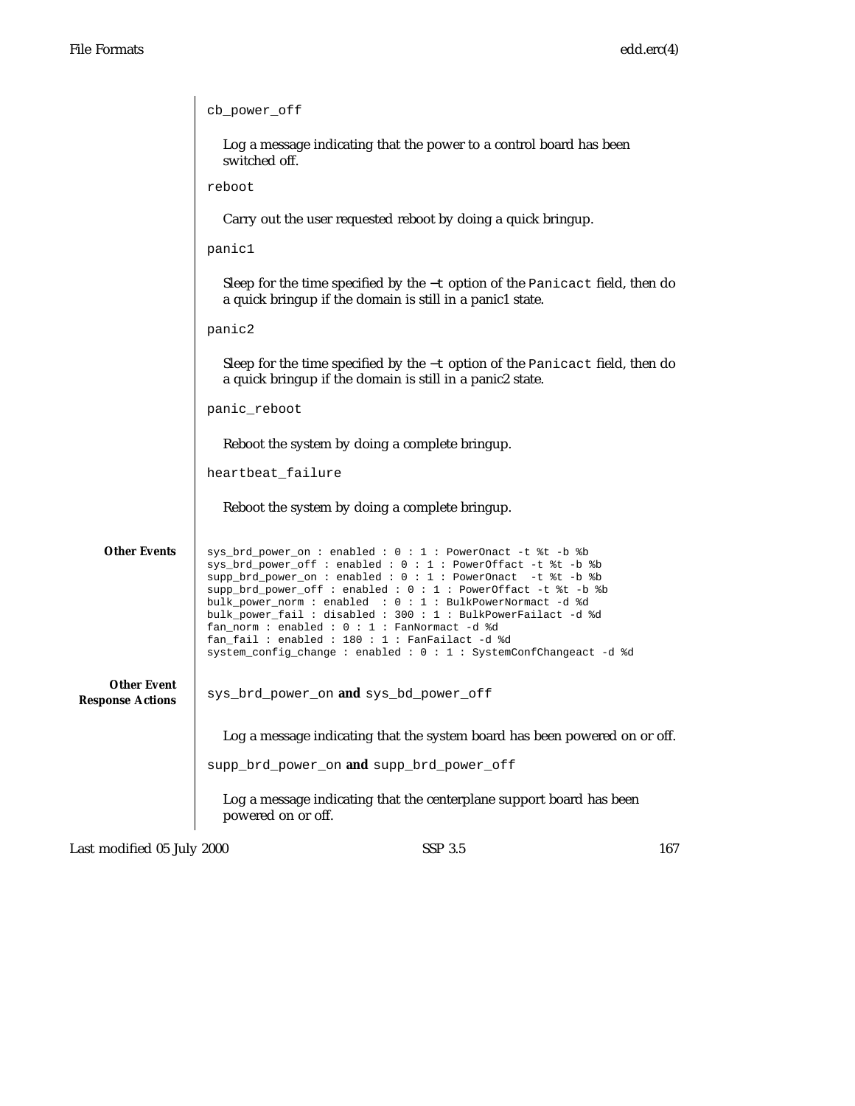|                                               | cb_power_off                                                                                                                                                                                                                                                                                                                                                                                                                                                                                                                                                              |
|-----------------------------------------------|---------------------------------------------------------------------------------------------------------------------------------------------------------------------------------------------------------------------------------------------------------------------------------------------------------------------------------------------------------------------------------------------------------------------------------------------------------------------------------------------------------------------------------------------------------------------------|
|                                               | Log a message indicating that the power to a control board has been<br>switched off.                                                                                                                                                                                                                                                                                                                                                                                                                                                                                      |
|                                               | reboot                                                                                                                                                                                                                                                                                                                                                                                                                                                                                                                                                                    |
|                                               | Carry out the user requested reboot by doing a quick bringup.                                                                                                                                                                                                                                                                                                                                                                                                                                                                                                             |
|                                               | panic1                                                                                                                                                                                                                                                                                                                                                                                                                                                                                                                                                                    |
|                                               | Sleep for the time specified by the $-t$ option of the Panicact field, then do<br>a quick bringup if the domain is still in a panic1 state.                                                                                                                                                                                                                                                                                                                                                                                                                               |
|                                               | panic2                                                                                                                                                                                                                                                                                                                                                                                                                                                                                                                                                                    |
|                                               | Sleep for the time specified by the $-t$ option of the Panicact field, then do<br>a quick bringup if the domain is still in a panic2 state.                                                                                                                                                                                                                                                                                                                                                                                                                               |
|                                               | panic_reboot                                                                                                                                                                                                                                                                                                                                                                                                                                                                                                                                                              |
|                                               | Reboot the system by doing a complete bringup.                                                                                                                                                                                                                                                                                                                                                                                                                                                                                                                            |
|                                               | heartbeat_failure                                                                                                                                                                                                                                                                                                                                                                                                                                                                                                                                                         |
|                                               | Reboot the system by doing a complete bringup.                                                                                                                                                                                                                                                                                                                                                                                                                                                                                                                            |
| <b>Other Events</b>                           | sys_brd_power_on : enabled : 0 : 1 : PowerOnact -t %t -b %b<br>sys_brd_power_off : enabled : 0 : 1 : PowerOffact -t %t -b %b<br>$supp_lptd_power_0n : enabled : 0 : 1 : PowerOnact -t *t -b *b$<br>supp_brd_power_off : enabled : 0 : 1 : PowerOffact -t %t -b %b<br>bulk_power_norm : enabled : 0 : 1 : BulkPowerNormact -d %d<br>bulk_power_fail : disabled : 300 : 1 : BulkPowerFailact -d %d<br>$fan\_norm: enabled: 0: 1: FanNormact -d *d$<br>fan_fail : enabled : 180 : 1 : FanFailact -d %d<br>system_config_change : enabled : 0 : 1 : SystemConfChangeact -d %d |
| <b>Other Event</b><br><b>Response Actions</b> | sys_brd_power_on and sys_bd_power_off                                                                                                                                                                                                                                                                                                                                                                                                                                                                                                                                     |
|                                               | Log a message indicating that the system board has been powered on or off.                                                                                                                                                                                                                                                                                                                                                                                                                                                                                                |
|                                               | supp_brd_power_on and supp_brd_power_off                                                                                                                                                                                                                                                                                                                                                                                                                                                                                                                                  |
|                                               | Log a message indicating that the centerplane support board has been<br>powered on or off.                                                                                                                                                                                                                                                                                                                                                                                                                                                                                |

Last modified 05 July 2000 SSP 3.5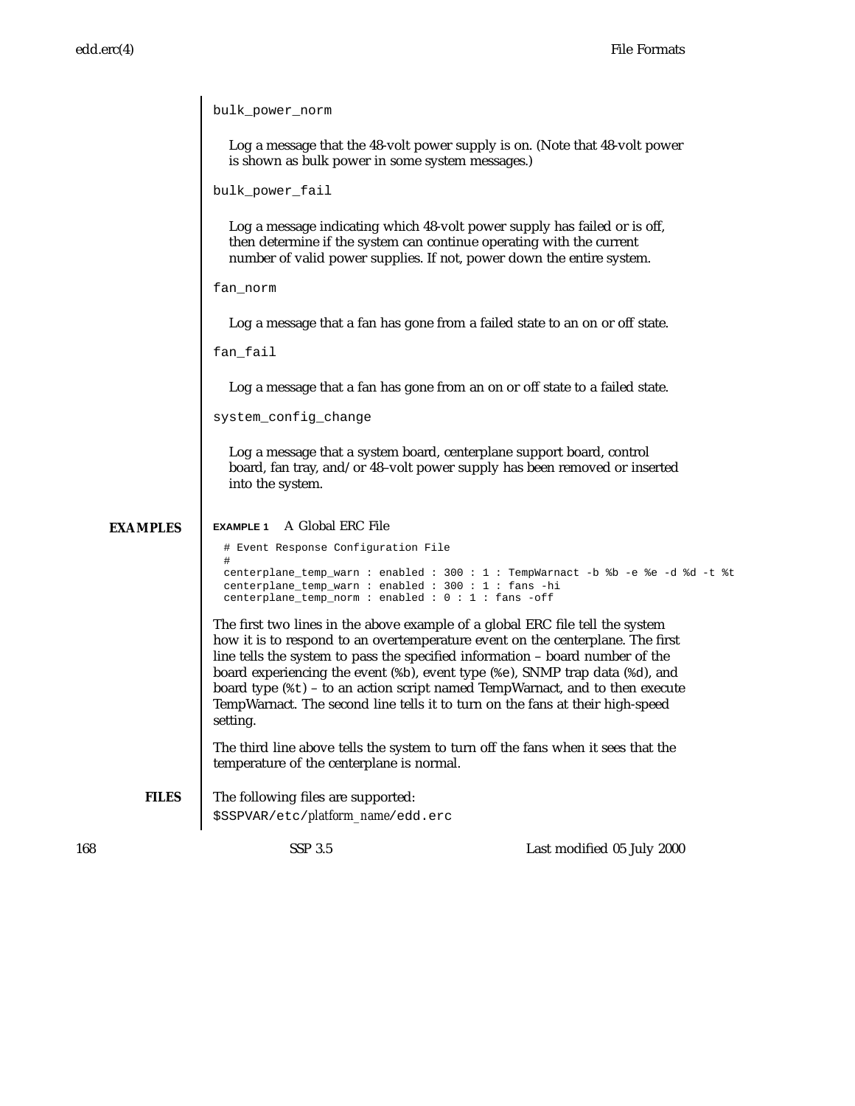bulk\_power\_norm Log a message that the 48-volt power supply is on. (Note that 48-volt power is shown as bulk power in some system messages.) bulk\_power\_fail Log a message indicating which 48-volt power supply has failed or is off, then determine if the system can continue operating with the current number of valid power supplies. If not, power down the entire system. fan\_norm Log a message that a fan has gone from a failed state to an on or off state. fan\_fail Log a message that a fan has gone from an on or off state to a failed state. system\_config\_change Log a message that a system board, centerplane support board, control board, fan tray, and/or 48–volt power supply has been removed or inserted into the system. **EXAMPLES EXAMPLE 1** A Global ERC File # Event Response Configuration File # centerplane\_temp\_warn : enabled : 300 : 1 : TempWarnact -b %b -e %e -d %d -t %t centerplane\_temp\_warn : enabled : 300 : 1 : fans -hi centerplane\_temp\_norm : enabled : 0 : 1 : fans -off The first two lines in the above example of a global ERC file tell the system how it is to respond to an overtemperature event on the centerplane. The first line tells the system to pass the specified information – board number of the board experiencing the event  $(*)$ b), event type  $(*)$ e), SNMP trap data  $(*)$ d), and board type  $(*)$  – to an action script named TempWarnact, and to then execute TempWarnact. The second line tells it to turn on the fans at their high-speed setting. The third line above tells the system to turn off the fans when it sees that the temperature of the centerplane is normal. **FILES** The following files are supported: \$SSPVAR/etc/*platform\_name*/edd.erc 168 SSP 3.5 Last modified 05 July 2000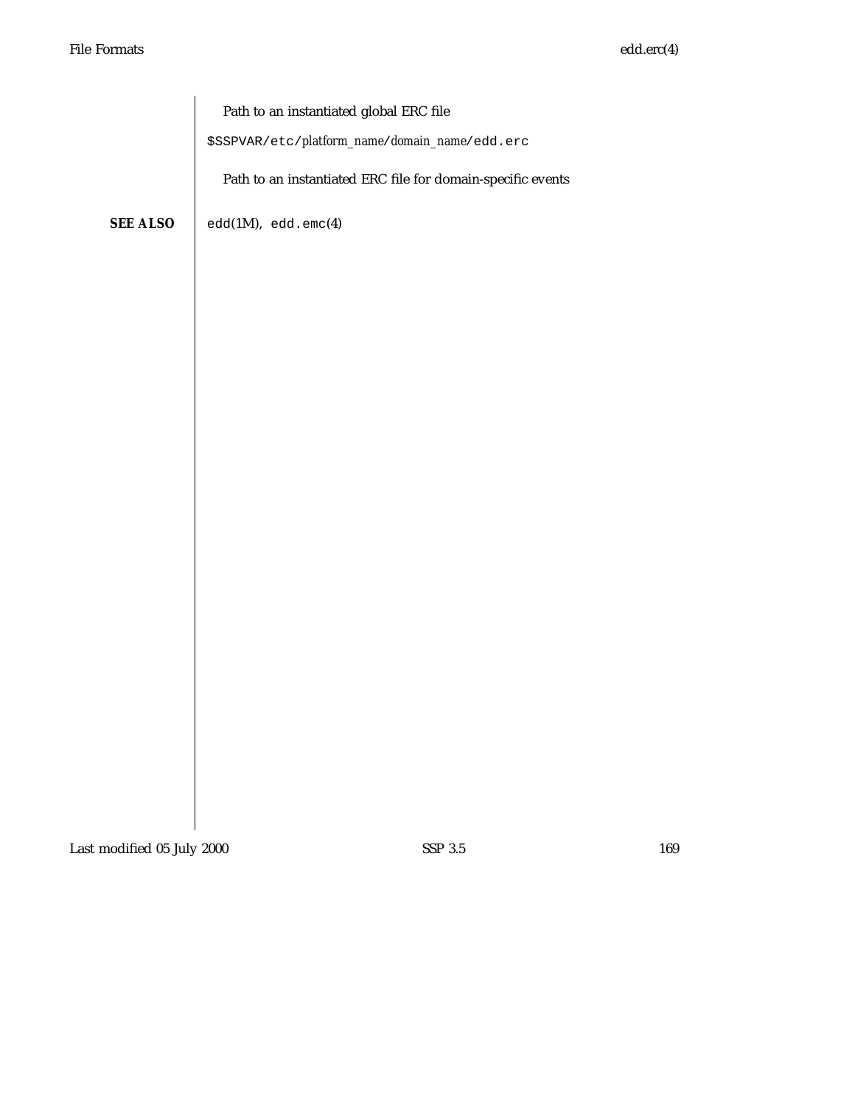Path to an instantiated global ERC file \$SSPVAR/etc/*platform\_name*/*domain\_name*/edd.erc Path to an instantiated ERC file for domain-specific events

**SEE ALSO** edd $(1M)$ , edd.emc $(4)$ 

Last modified 05 July 2000 SSP 3.5 169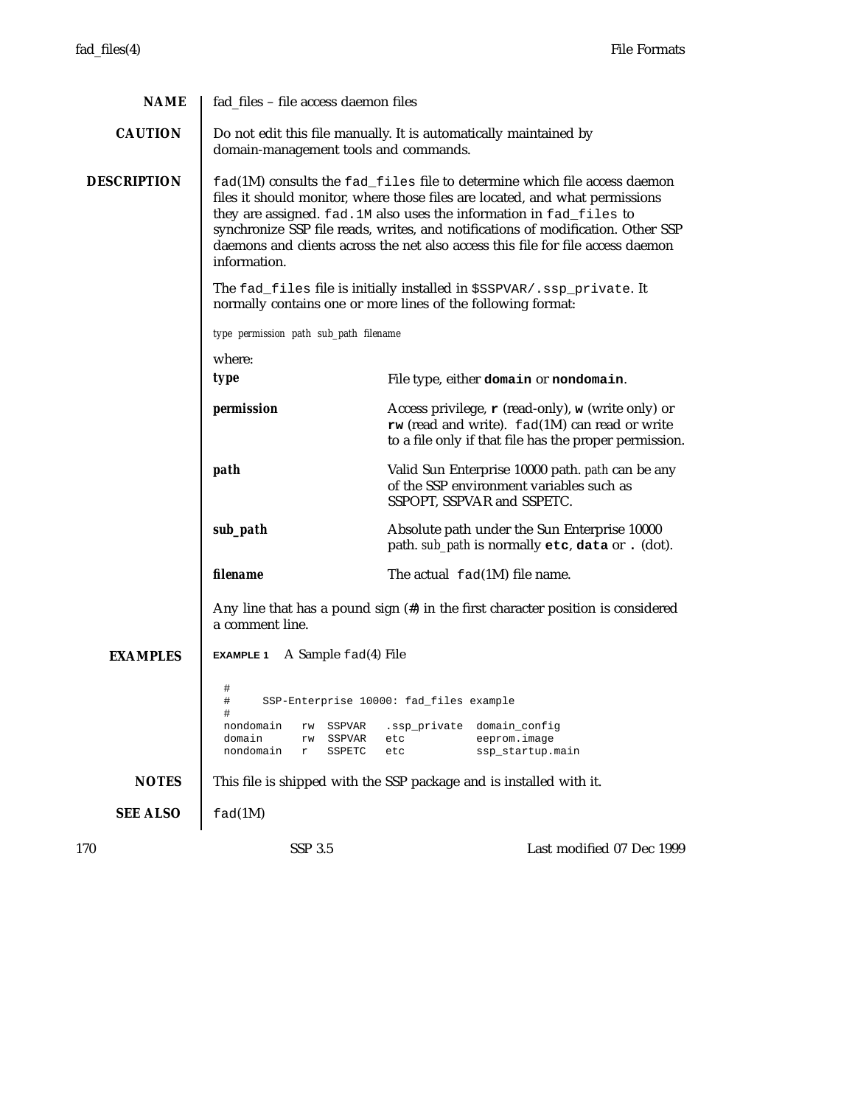| <b>NAME</b>        | fad_files - file access daemon files                                                                                                                                                                                                                                                                                                                                                                                     |                                                                                                                                                                                 |
|--------------------|--------------------------------------------------------------------------------------------------------------------------------------------------------------------------------------------------------------------------------------------------------------------------------------------------------------------------------------------------------------------------------------------------------------------------|---------------------------------------------------------------------------------------------------------------------------------------------------------------------------------|
| <b>CAUTION</b>     | Do not edit this file manually. It is automatically maintained by<br>domain-management tools and commands.                                                                                                                                                                                                                                                                                                               |                                                                                                                                                                                 |
| <b>DESCRIPTION</b> | fad(1M) consults the fad_files file to determine which file access daemon<br>files it should monitor, where those files are located, and what permissions<br>they are assigned. fad. 1M also uses the information in fad_files to<br>synchronize SSP file reads, writes, and notifications of modification. Other SSP<br>daemons and clients across the net also access this file for file access daemon<br>information. |                                                                                                                                                                                 |
|                    |                                                                                                                                                                                                                                                                                                                                                                                                                          | The fad_files file is initially installed in \$SSPVAR/.ssp_private. It<br>normally contains one or more lines of the following format:                                          |
|                    | type permission path sub_path filename                                                                                                                                                                                                                                                                                                                                                                                   |                                                                                                                                                                                 |
|                    | where:                                                                                                                                                                                                                                                                                                                                                                                                                   |                                                                                                                                                                                 |
|                    | type                                                                                                                                                                                                                                                                                                                                                                                                                     | File type, either domain or nondomain.                                                                                                                                          |
|                    | permission                                                                                                                                                                                                                                                                                                                                                                                                               | Access privilege, $\mathbf r$ (read-only), <b>w</b> (write only) or<br>rw (read and write). fad(1M) can read or write<br>to a file only if that file has the proper permission. |
|                    | path                                                                                                                                                                                                                                                                                                                                                                                                                     | Valid Sun Enterprise 10000 path. path can be any<br>of the SSP environment variables such as<br>SSPOPT, SSPVAR and SSPETC.                                                      |
|                    | sub_path                                                                                                                                                                                                                                                                                                                                                                                                                 | Absolute path under the Sun Enterprise 10000<br>path. sub_path is normally etc, data or . (dot).                                                                                |
|                    | filename                                                                                                                                                                                                                                                                                                                                                                                                                 | The actual fad(1M) file name.                                                                                                                                                   |
|                    | a comment line.                                                                                                                                                                                                                                                                                                                                                                                                          | Any line that has a pound sign $(\#)$ in the first character position is considered                                                                                             |
| <b>EXAMPLES</b>    | <b>EXAMPLE 1</b> A Sample $f$ ad(4) File                                                                                                                                                                                                                                                                                                                                                                                 |                                                                                                                                                                                 |
|                    | #                                                                                                                                                                                                                                                                                                                                                                                                                        | SSP-Enterprise 10000: fad_files example                                                                                                                                         |
|                    | nondomain<br>SSPVAR<br>rw<br>domain<br>SSPVAR<br>rw<br>nondomain<br>SSPETC<br>r                                                                                                                                                                                                                                                                                                                                          | domain_config<br>.ssp_private<br>eeprom.image<br>etc<br>ssp_startup.main<br>etc                                                                                                 |
| <b>NOTES</b>       |                                                                                                                                                                                                                                                                                                                                                                                                                          | This file is shipped with the SSP package and is installed with it.                                                                                                             |
| <b>SEE ALSO</b>    | fad(1M)                                                                                                                                                                                                                                                                                                                                                                                                                  |                                                                                                                                                                                 |
| 170                | SSP 3.5                                                                                                                                                                                                                                                                                                                                                                                                                  | Last modified 07 Dec 1999                                                                                                                                                       |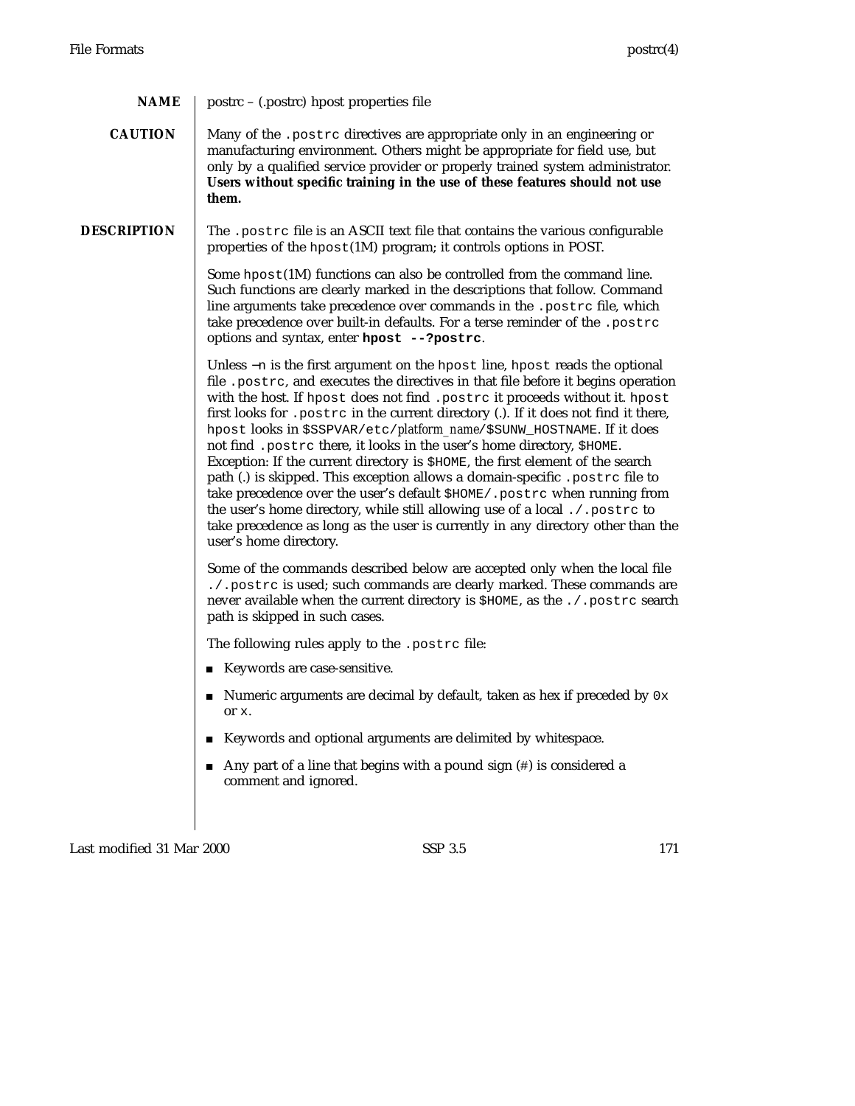| <b>NAME</b>               | postrc - (.postrc) hpost properties file                                                                                                                                                                                                                                                                                                                                                                                                                                                                                                                                                                                                                                                                                                                                                                                                                                                                                                        |
|---------------------------|-------------------------------------------------------------------------------------------------------------------------------------------------------------------------------------------------------------------------------------------------------------------------------------------------------------------------------------------------------------------------------------------------------------------------------------------------------------------------------------------------------------------------------------------------------------------------------------------------------------------------------------------------------------------------------------------------------------------------------------------------------------------------------------------------------------------------------------------------------------------------------------------------------------------------------------------------|
| <b>CAUTION</b>            | Many of the . postrc directives are appropriate only in an engineering or<br>manufacturing environment. Others might be appropriate for field use, but<br>only by a qualified service provider or properly trained system administrator.<br>Users without specific training in the use of these features should not use<br>them.                                                                                                                                                                                                                                                                                                                                                                                                                                                                                                                                                                                                                |
| <b>DESCRIPTION</b>        | The .postrc file is an ASCII text file that contains the various configurable<br>properties of the hpost(1M) program; it controls options in POST.                                                                                                                                                                                                                                                                                                                                                                                                                                                                                                                                                                                                                                                                                                                                                                                              |
|                           | Some hpost (1M) functions can also be controlled from the command line.<br>Such functions are clearly marked in the descriptions that follow. Command<br>line arguments take precedence over commands in the . postrc file, which<br>take precedence over built-in defaults. For a terse reminder of the . postrc<br>options and syntax, enter hpost --?postrc.                                                                                                                                                                                                                                                                                                                                                                                                                                                                                                                                                                                 |
|                           | Unless $-n$ is the first argument on the hpost line, hpost reads the optional<br>file . postrc, and executes the directives in that file before it begins operation<br>with the host. If hpost does not find . postrc it proceeds without it. hpost<br>first looks for . postrc in the current directory (.). If it does not find it there,<br>hpost looks in \$SSPVAR/etc/platform_name/\$SUNW_HOSTNAME. If it does<br>not find . postrc there, it looks in the user's home directory, \$HOME.<br>Exception: If the current directory is \$HOME, the first element of the search<br>path (.) is skipped. This exception allows a domain-specific . postrc file to<br>take precedence over the user's default \$HOME/. postrc when running from<br>the user's home directory, while still allowing use of a local . / . postrc to<br>take precedence as long as the user is currently in any directory other than the<br>user's home directory. |
|                           | Some of the commands described below are accepted only when the local file<br>./. postrc is used; such commands are clearly marked. These commands are<br>never available when the current directory is \$HOME, as the . / . postrc search<br>path is skipped in such cases.                                                                                                                                                                                                                                                                                                                                                                                                                                                                                                                                                                                                                                                                    |
|                           | The following rules apply to the . postrc file:                                                                                                                                                                                                                                                                                                                                                                                                                                                                                                                                                                                                                                                                                                                                                                                                                                                                                                 |
|                           | ■ Keywords are case-sensitive.                                                                                                                                                                                                                                                                                                                                                                                                                                                                                                                                                                                                                                                                                                                                                                                                                                                                                                                  |
|                           | • Numeric arguments are decimal by default, taken as hex if preceded by $0 \times$<br>or x.                                                                                                                                                                                                                                                                                                                                                                                                                                                                                                                                                                                                                                                                                                                                                                                                                                                     |
|                           | Keywords and optional arguments are delimited by whitespace.<br>$\blacksquare$                                                                                                                                                                                                                                                                                                                                                                                                                                                                                                                                                                                                                                                                                                                                                                                                                                                                  |
|                           | Any part of a line that begins with a pound sign $(\#)$ is considered a<br>comment and ignored.                                                                                                                                                                                                                                                                                                                                                                                                                                                                                                                                                                                                                                                                                                                                                                                                                                                 |
| Last modified 31 Mar 2000 | SSP 3.5<br>171                                                                                                                                                                                                                                                                                                                                                                                                                                                                                                                                                                                                                                                                                                                                                                                                                                                                                                                                  |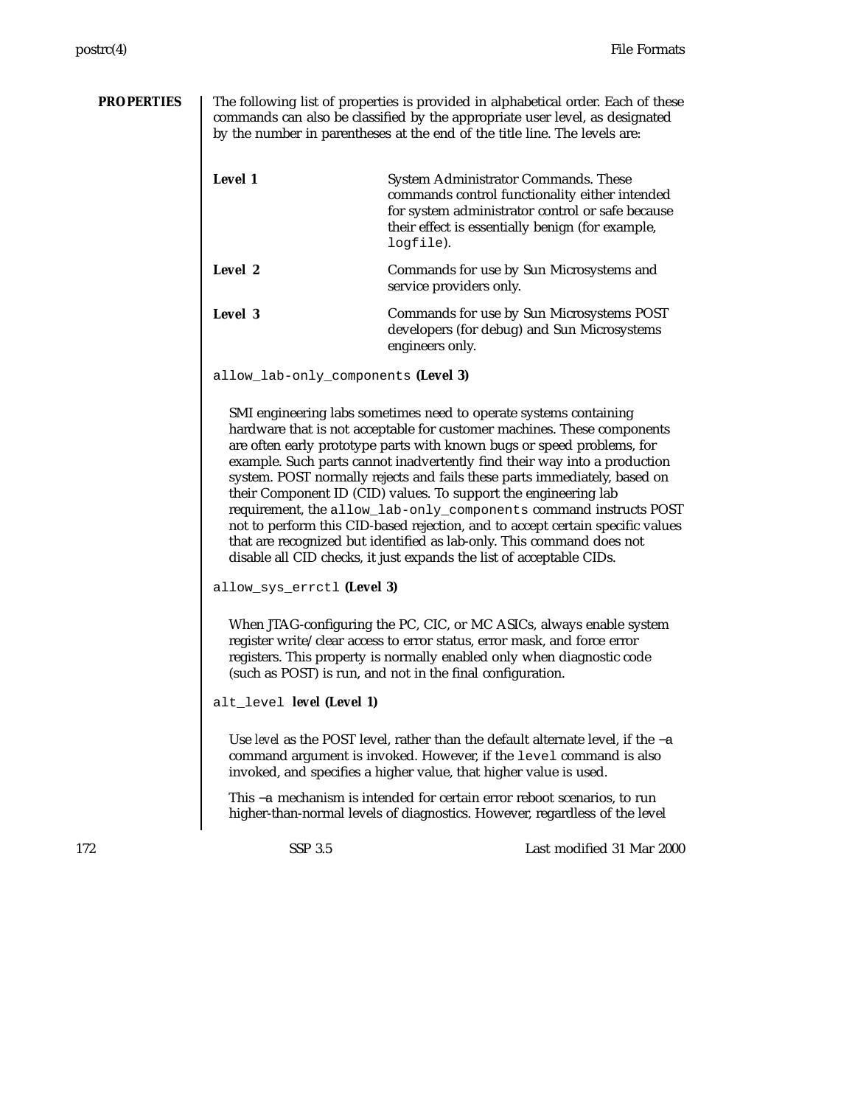| <b>PROPERTIES</b> | The following list of properties is provided in alphabetical order. Each of these |
|-------------------|-----------------------------------------------------------------------------------|
|                   | commands can also be classified by the appropriate user level, as designated      |
|                   | by the number in parentheses at the end of the title line. The levels are:        |

| Level 1 | System Administrator Commands. These<br>commands control functionality either intended<br>for system administrator control or safe because<br>their effect is essentially benign (for example,<br>logfile). |
|---------|-------------------------------------------------------------------------------------------------------------------------------------------------------------------------------------------------------------|
| Level 2 | Commands for use by Sun Microsystems and<br>service providers only.                                                                                                                                         |
| Level 3 | Commands for use by Sun Microsystems POST<br>developers (for debug) and Sun Microsystems<br>engineers only.                                                                                                 |

allow\_lab-only\_components **(Level 3)**

SMI engineering labs sometimes need to operate systems containing hardware that is not acceptable for customer machines. These components are often early prototype parts with known bugs or speed problems, for example. Such parts cannot inadvertently find their way into a production system. POST normally rejects and fails these parts immediately, based on their Component ID (CID) values. To support the engineering lab requirement, the allow\_lab-only\_components command instructs POST not to perform this CID-based rejection, and to accept certain specific values that are recognized but identified as lab-only. This command does not disable all CID checks, it just expands the list of acceptable CIDs.

```
allow_sys_errctl (Level 3)
```
When JTAG-configuring the PC, CIC, or MC ASICs, always enable system register write/clear access to error status, error mask, and force error registers. This property is normally enabled only when diagnostic code (such as POST) is run, and not in the final configuration.

```
alt_level level (Level 1)
```
Use *level* as the POST level, rather than the default alternate level, if the −a command argument is invoked. However, if the level command is also invoked, and specifies a higher value, that higher value is used.

This −a mechanism is intended for certain error reboot scenarios, to run higher-than-normal levels of diagnostics. However, regardless of the level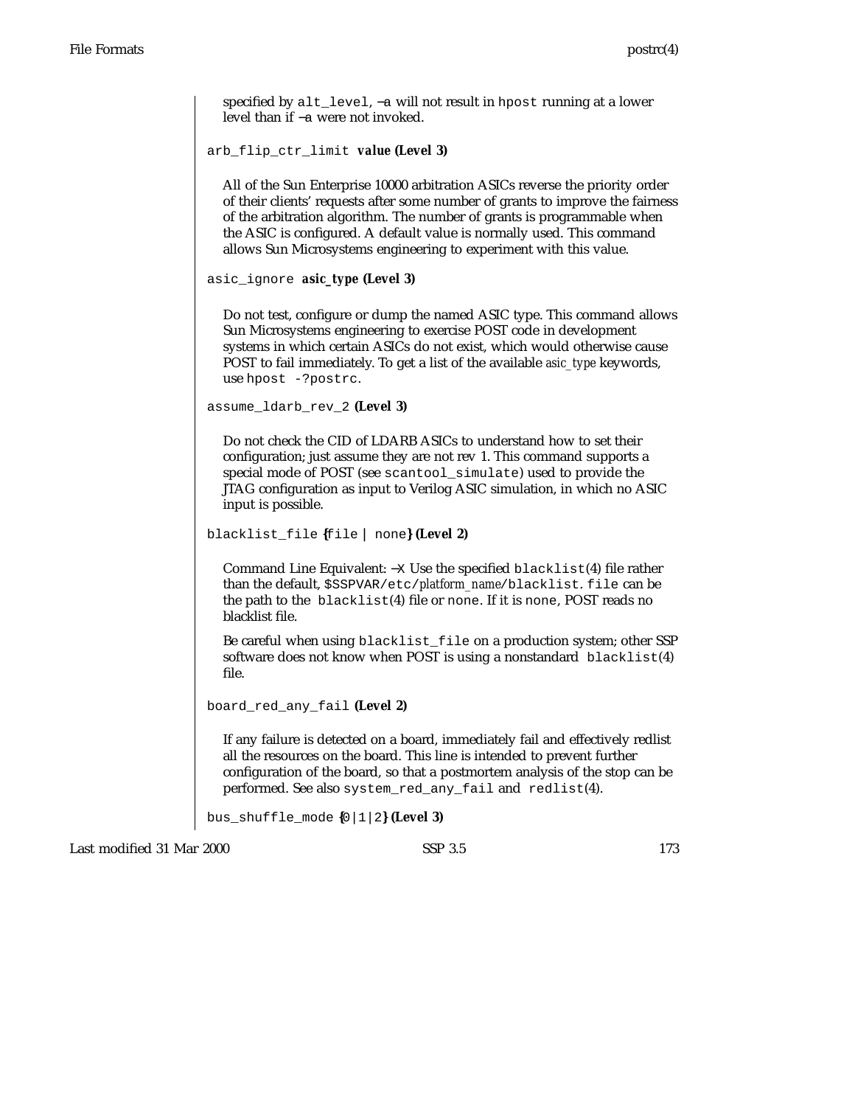specified by alt\_level, –a will not result in hpost running at a lower level than if −a were not invoked.

```
arb_flip_ctr_limit value (Level 3)
```
All of the Sun Enterprise 10000 arbitration ASICs reverse the priority order of their clients' requests after some number of grants to improve the fairness of the arbitration algorithm. The number of grants is programmable when the ASIC is configured. A default value is normally used. This command allows Sun Microsystems engineering to experiment with this value.

```
asic_ignore asic_type (Level 3)
```
Do not test, configure or dump the named ASIC type. This command allows Sun Microsystems engineering to exercise POST code in development systems in which certain ASICs do not exist, which would otherwise cause POST to fail immediately. To get a list of the available *asic\_type* keywords, use hpost -?postrc.

```
assume_ldarb_rev_2 (Level 3)
```
Do not check the CID of LDARB ASICs to understand how to set their configuration; just assume they are not rev 1. This command supports a special mode of POST (see scantool\_simulate) used to provide the JTAG configuration as input to Verilog ASIC simulation, in which no ASIC input is possible.

```
blacklist_file {file | none} (Level 2)
```
Command Line Equivalent: −X Use the specified blacklist(4) file rather than the default, \$SSPVAR/etc/*platform\_name*/blacklist. file can be the path to the blacklist(4) file or none. If it is none, POST reads no blacklist file.

Be careful when using blacklist\_file on a production system; other SSP software does not know when POST is using a nonstandard blacklist(4) file.

board\_red\_any\_fail **(Level 2)**

If any failure is detected on a board, immediately fail and effectively redlist all the resources on the board. This line is intended to prevent further configuration of the board, so that a postmortem analysis of the stop can be performed. See also system\_red\_any\_fail and redlist(4).

bus\_shuffle\_mode **{**0|1|2**} (Level 3)**

Last modified 31 Mar 2000 SSP 3.5 5 173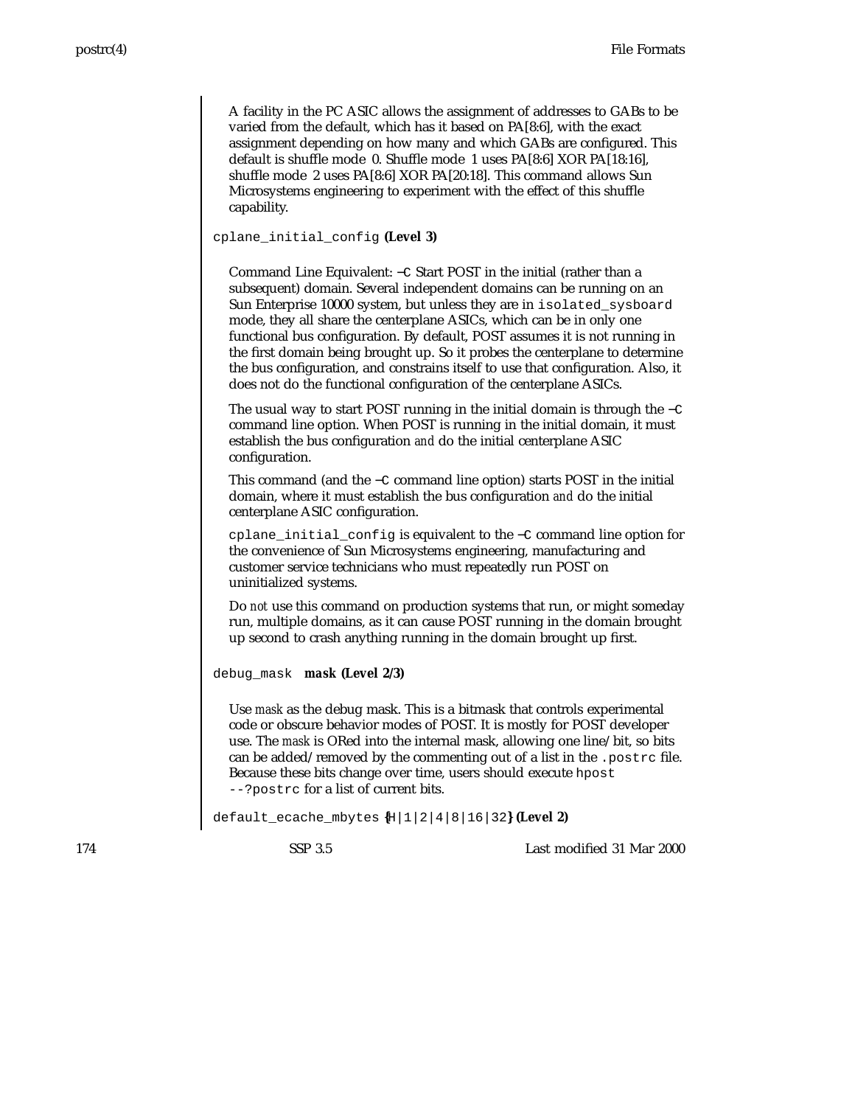A facility in the PC ASIC allows the assignment of addresses to GABs to be varied from the default, which has it based on PA[8:6], with the exact assignment depending on how many and which GABs are configured. This default is shuffle mode 0. Shuffle mode 1 uses PA[8:6] XOR PA[18:16], shuffle mode 2 uses PA[8:6] XOR PA[20:18]. This command allows Sun Microsystems engineering to experiment with the effect of this shuffle capability.

cplane\_initial\_config **(Level 3)**

Command Line Equivalent: −C Start POST in the initial (rather than a subsequent) domain. Several independent domains can be running on an Sun Enterprise 10000 system, but unless they are in isolated\_sysboard mode, they all share the centerplane ASICs, which can be in only one functional bus configuration. By default, POST assumes it is not running in the first domain being brought up. So it probes the centerplane to determine the bus configuration, and constrains itself to use that configuration. Also, it does not do the functional configuration of the centerplane ASICs.

The usual way to start POST running in the initial domain is through the −C command line option. When POST is running in the initial domain, it must establish the bus configuration *and* do the initial centerplane ASIC configuration.

This command (and the −C command line option) starts POST in the initial domain, where it must establish the bus configuration *and* do the initial centerplane ASIC configuration.

cplane\_initial\_config is equivalent to the −C command line option for the convenience of Sun Microsystems engineering, manufacturing and customer service technicians who must repeatedly run POST on uninitialized systems.

Do *not* use this command on production systems that run, or might someday run, multiple domains, as it can cause POST running in the domain brought up second to crash anything running in the domain brought up first.

debug\_mask *mask* **(Level 2/3)**

Use *mask* as the debug mask. This is a bitmask that controls experimental code or obscure behavior modes of POST. It is mostly for POST developer use. The *mask* is ORed into the internal mask, allowing one line/bit, so bits can be added/removed by the commenting out of a list in the .postrc file. Because these bits change over time, users should execute hpost --?postrc for a list of current bits.

default\_ecache\_mbytes **{**H|1|2|4|8|16|32**} (Level 2)**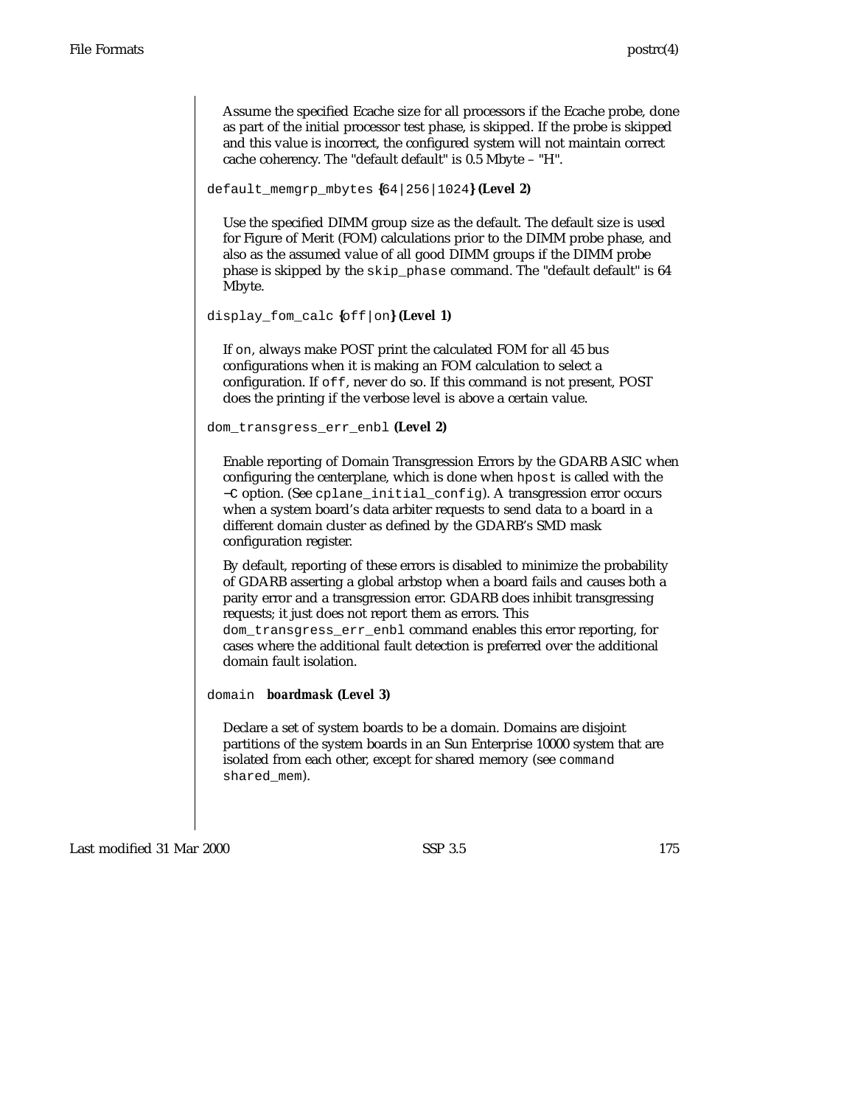Assume the specified Ecache size for all processors if the Ecache probe, done as part of the initial processor test phase, is skipped. If the probe is skipped and this value is incorrect, the configured system will not maintain correct cache coherency. The "default default" is 0.5 Mbyte – "H".

default\_memgrp\_mbytes **{**64|256|1024**} (Level 2)**

Use the specified DIMM group size as the default. The default size is used for Figure of Merit (FOM) calculations prior to the DIMM probe phase, and also as the assumed value of all good DIMM groups if the DIMM probe phase is skipped by the skip\_phase command. The "default default" is 64 Mbyte.

```
display_fom_calc {off|on} (Level 1)
```
If on, always make POST print the calculated FOM for all 45 bus configurations when it is making an FOM calculation to select a configuration. If off, never do so. If this command is not present, POST does the printing if the verbose level is above a certain value.

```
dom_transgress_err_enbl (Level 2)
```
Enable reporting of Domain Transgression Errors by the GDARB ASIC when configuring the centerplane, which is done when hpost is called with the −C option. (See cplane\_initial\_config). A transgression error occurs when a system board's data arbiter requests to send data to a board in a different domain cluster as defined by the GDARB's SMD mask configuration register.

By default, reporting of these errors is disabled to minimize the probability of GDARB asserting a global arbstop when a board fails and causes both a parity error and a transgression error. GDARB does inhibit transgressing requests; it just does not report them as errors. This dom\_transgress\_err\_enbl command enables this error reporting, for cases where the additional fault detection is preferred over the additional domain fault isolation.

domain *boardmask* **(Level 3)**

Declare a set of system boards to be a domain. Domains are disjoint partitions of the system boards in an Sun Enterprise 10000 system that are isolated from each other, except for shared memory (see command shared\_mem).

Last modified 31 Mar 2000 SSP 3.5 175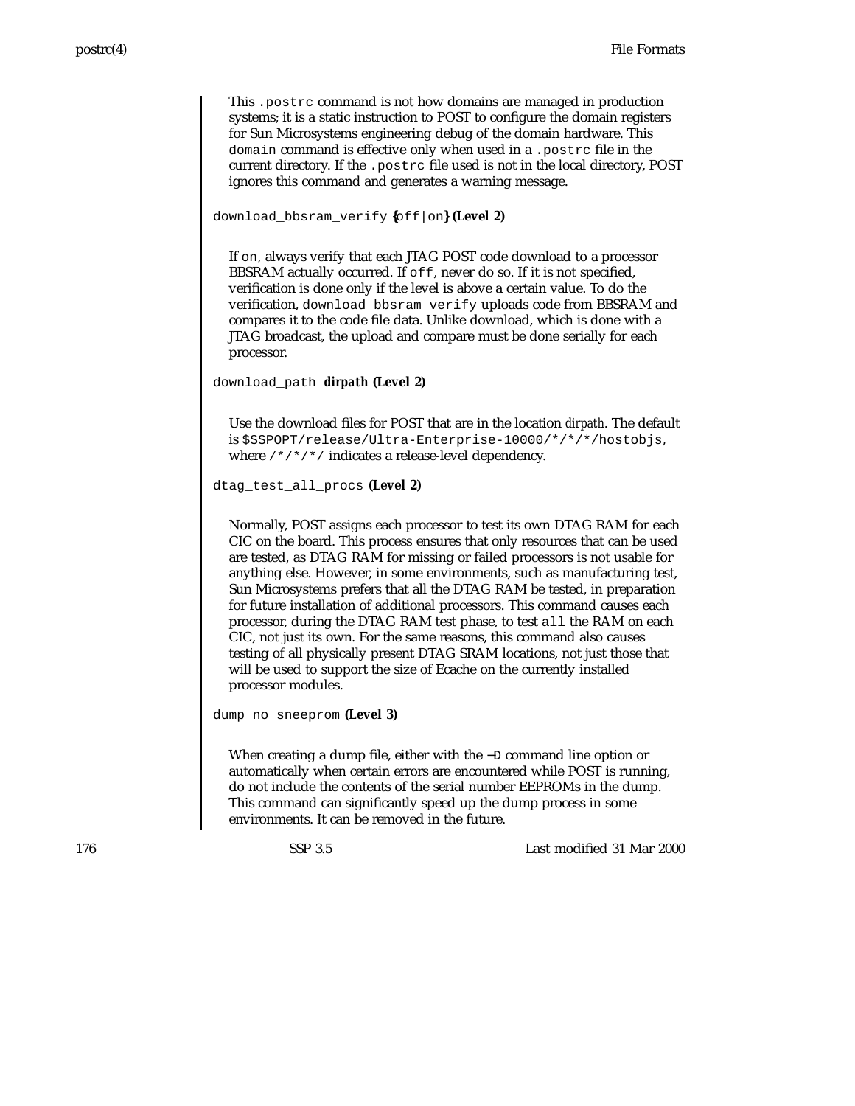This .postrc command is not how domains are managed in production systems; it is a static instruction to POST to configure the domain registers for Sun Microsystems engineering debug of the domain hardware. This domain command is effective only when used in a .postrc file in the current directory. If the .postrc file used is not in the local directory, POST ignores this command and generates a warning message.

download\_bbsram\_verify **{**off|on**} (Level 2)**

If on, always verify that each JTAG POST code download to a processor BBSRAM actually occurred. If off, never do so. If it is not specified, verification is done only if the level is above a certain value. To do the verification, download\_bbsram\_verify uploads code from BBSRAM and compares it to the code file data. Unlike download, which is done with a JTAG broadcast, the upload and compare must be done serially for each processor.

download\_path *dirpath* **(Level 2)**

Use the download files for POST that are in the location *dirpath*. The default is \$SSPOPT/release/Ultra-Enterprise-10000/\*/\*/\*/hostobjs, where /\*/\*/\*/ indicates a release-level dependency.

```
dtag_test_all_procs (Level 2)
```
Normally, POST assigns each processor to test its own DTAG RAM for each CIC on the board. This process ensures that only resources that can be used are tested, as DTAG RAM for missing or failed processors is not usable for anything else. However, in some environments, such as manufacturing test, Sun Microsystems prefers that all the DTAG RAM be tested, in preparation for future installation of additional processors. This command causes each processor, during the DTAG RAM test phase, to test all the RAM on each CIC, not just its own. For the same reasons, this command also causes testing of all physically present DTAG SRAM locations, not just those that will be used to support the size of Ecache on the currently installed processor modules.

dump\_no\_sneeprom **(Level 3)**

When creating a dump file, either with the −D command line option or automatically when certain errors are encountered while POST is running, do not include the contents of the serial number EEPROMs in the dump. This command can significantly speed up the dump process in some environments. It can be removed in the future.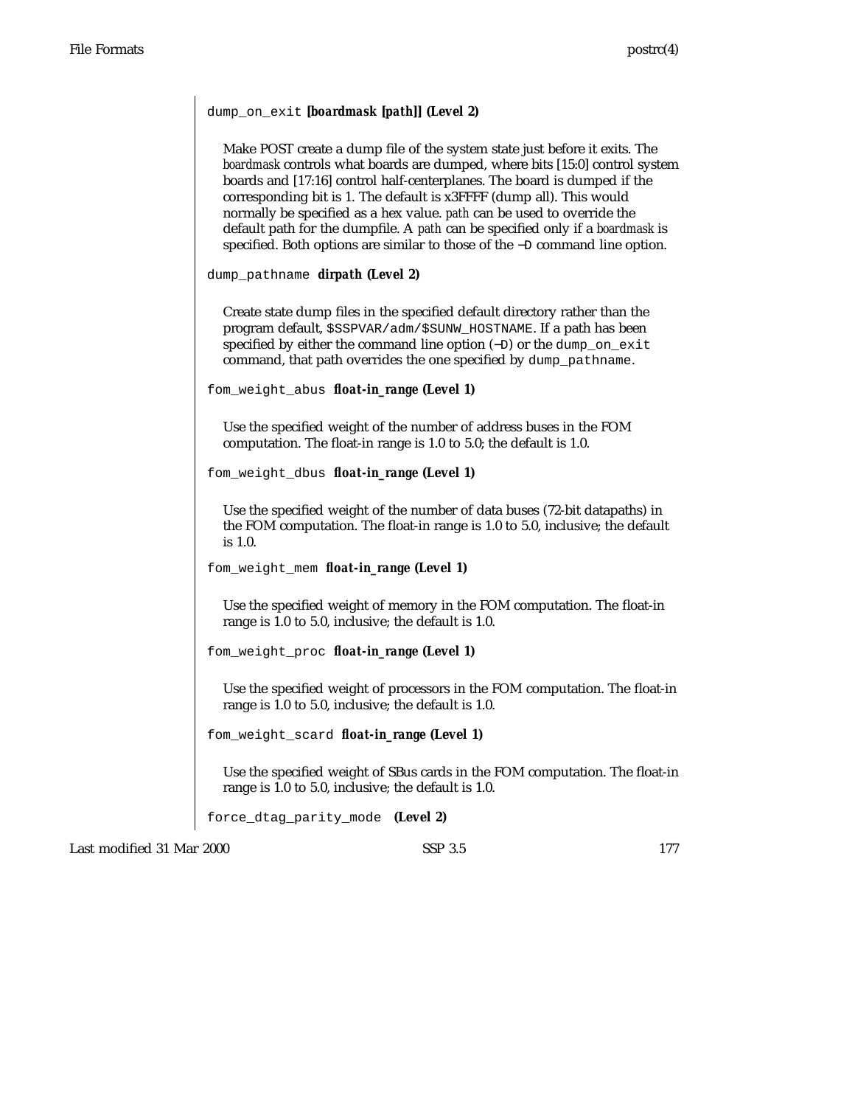```
dump_on_exit [boardmask [path]] (Level 2)
  Make POST create a dump file of the system state just before it exits. The
  boardmask controls what boards are dumped, where bits [15:0] control system
  boards and [17:16] control half-centerplanes. The board is dumped if the
  corresponding bit is 1. The default is x3FFFF (dump all). This would
  normally be specified as a hex value. path can be used to override the
  default path for the dumpfile. A path can be specified only if a boardmask is
  specified. Both options are similar to those of the −D command line option.
dump_pathname dirpath (Level 2)
  Create state dump files in the specified default directory rather than the
  program default, $SSPVAR/adm/$SUNW_HOSTNAME. If a path has been
  specified by either the command line option (-D) or the dump_on_exit
  command, that path overrides the one specified by dump_pathname.
fom_weight_abus float-in_range (Level 1)
  Use the specified weight of the number of address buses in the FOM
  computation. The float-in range is 1.0 to 5.0; the default is 1.0.
fom_weight_dbus float-in_range (Level 1)
  Use the specified weight of the number of data buses (72-bit datapaths) in
  the FOM computation. The float-in range is 1.0 to 5.0, inclusive; the default
  is 1.0.
fom_weight_mem float-in_range (Level 1)
  Use the specified weight of memory in the FOM computation. The float-in
  range is 1.0 to 5.0, inclusive; the default is 1.0.
fom_weight_proc float-in_range (Level 1)
  Use the specified weight of processors in the FOM computation. The float-in
  range is 1.0 to 5.0, inclusive; the default is 1.0.
fom_weight_scard float-in_range (Level 1)
  Use the specified weight of SBus cards in the FOM computation. The float-in
  range is 1.0 to 5.0, inclusive; the default is 1.0.
```

```
Last modified 31 Mar 2000 SSP 3.5 SSP 3.5 277
```
force\_dtag\_parity\_mode **(Level 2)**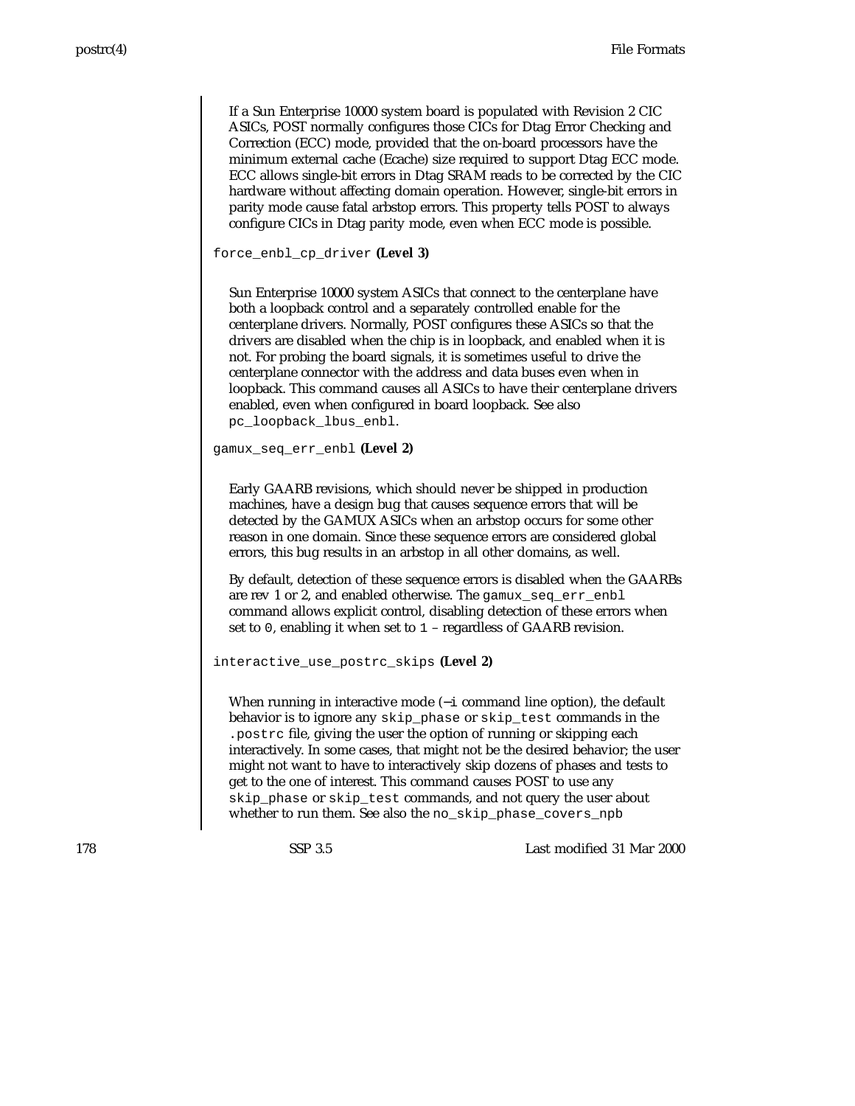If a Sun Enterprise 10000 system board is populated with Revision 2 CIC ASICs, POST normally configures those CICs for Dtag Error Checking and Correction (ECC) mode, provided that the on-board processors have the minimum external cache (Ecache) size required to support Dtag ECC mode. ECC allows single-bit errors in Dtag SRAM reads to be corrected by the CIC hardware without affecting domain operation. However, single-bit errors in parity mode cause fatal arbstop errors. This property tells POST to always configure CICs in Dtag parity mode, even when ECC mode is possible.

force\_enbl\_cp\_driver **(Level 3)**

Sun Enterprise 10000 system ASICs that connect to the centerplane have both a loopback control and a separately controlled enable for the centerplane drivers. Normally, POST configures these ASICs so that the drivers are disabled when the chip is in loopback, and enabled when it is not. For probing the board signals, it is sometimes useful to drive the centerplane connector with the address and data buses even when in loopback. This command causes all ASICs to have their centerplane drivers enabled, even when configured in board loopback. See also pc\_loopback\_lbus\_enbl.

gamux\_seq\_err\_enbl **(Level 2)**

Early GAARB revisions, which should never be shipped in production machines, have a design bug that causes sequence errors that will be detected by the GAMUX ASICs when an arbstop occurs for some other reason in one domain. Since these sequence errors are considered global errors, this bug results in an arbstop in all other domains, as well.

By default, detection of these sequence errors is disabled when the GAARBs are rev 1 or 2, and enabled otherwise. The gamux\_seq\_err\_enbl command allows explicit control, disabling detection of these errors when set to 0, enabling it when set to 1 – regardless of GAARB revision.

interactive\_use\_postrc\_skips **(Level 2)**

When running in interactive mode (−i command line option), the default behavior is to ignore any skip\_phase or skip\_test commands in the .postrc file, giving the user the option of running or skipping each interactively. In some cases, that might not be the desired behavior; the user might not want to have to interactively skip dozens of phases and tests to get to the one of interest. This command causes POST to use any skip\_phase or skip\_test commands, and not query the user about whether to run them. See also the no\_skip\_phase\_covers\_npb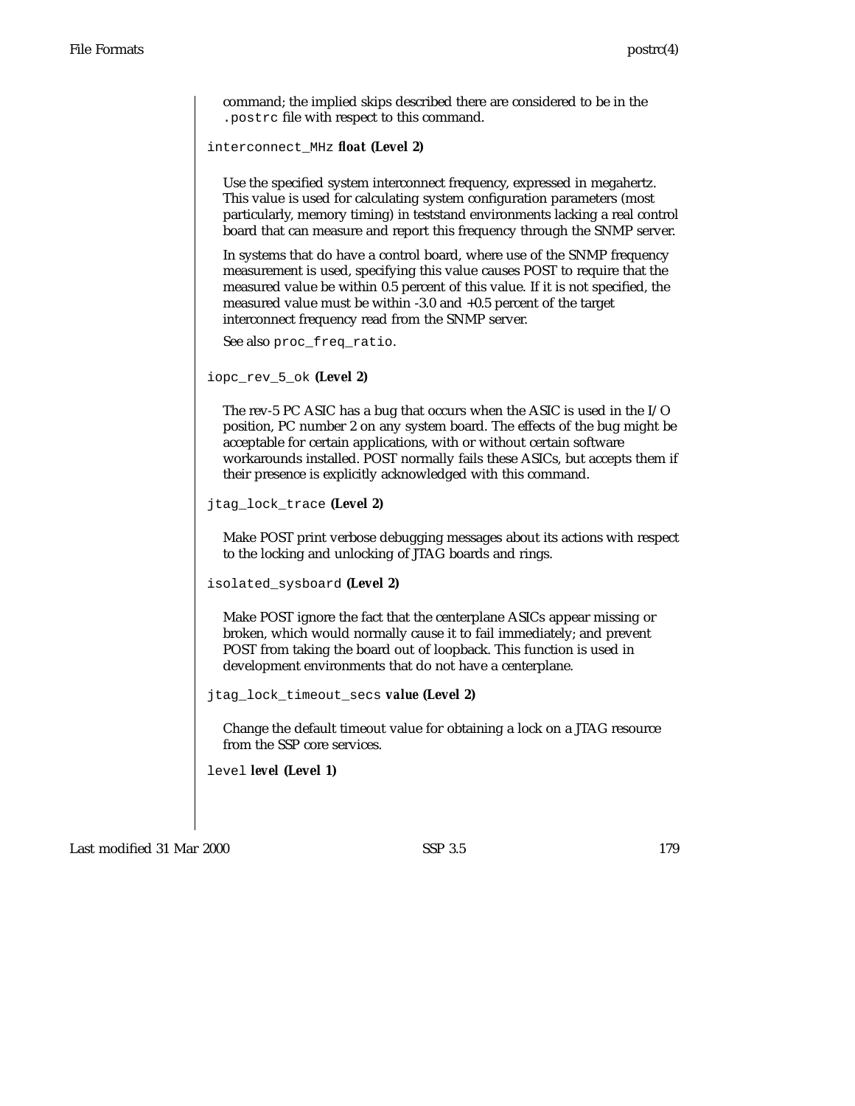command; the implied skips described there are considered to be in the .postrc file with respect to this command.

```
interconnect_MHz float (Level 2)
```
Use the specified system interconnect frequency, expressed in megahertz. This value is used for calculating system configuration parameters (most particularly, memory timing) in teststand environments lacking a real control board that can measure and report this frequency through the SNMP server.

In systems that do have a control board, where use of the SNMP frequency measurement is used, specifying this value causes POST to require that the measured value be within 0.5 percent of this value. If it is not specified, the measured value must be within -3.0 and +0.5 percent of the target interconnect frequency read from the SNMP server.

```
See also proc_freq_ratio.
```
iopc\_rev\_5\_ok **(Level 2)**

The rev-5 PC ASIC has a bug that occurs when the ASIC is used in the I/O position, PC number 2 on any system board. The effects of the bug might be acceptable for certain applications, with or without certain software workarounds installed. POST normally fails these ASICs, but accepts them if their presence is explicitly acknowledged with this command.

```
jtag_lock_trace (Level 2)
```
Make POST print verbose debugging messages about its actions with respect to the locking and unlocking of JTAG boards and rings.

isolated\_sysboard **(Level 2)**

Make POST ignore the fact that the centerplane ASICs appear missing or broken, which would normally cause it to fail immediately; and prevent POST from taking the board out of loopback. This function is used in development environments that do not have a centerplane.

jtag\_lock\_timeout\_secs *value* **(Level 2)**

Change the default timeout value for obtaining a lock on a JTAG resource from the SSP core services.

level *level* **(Level 1)**

Last modified 31 Mar 2000 SSP 3.5 179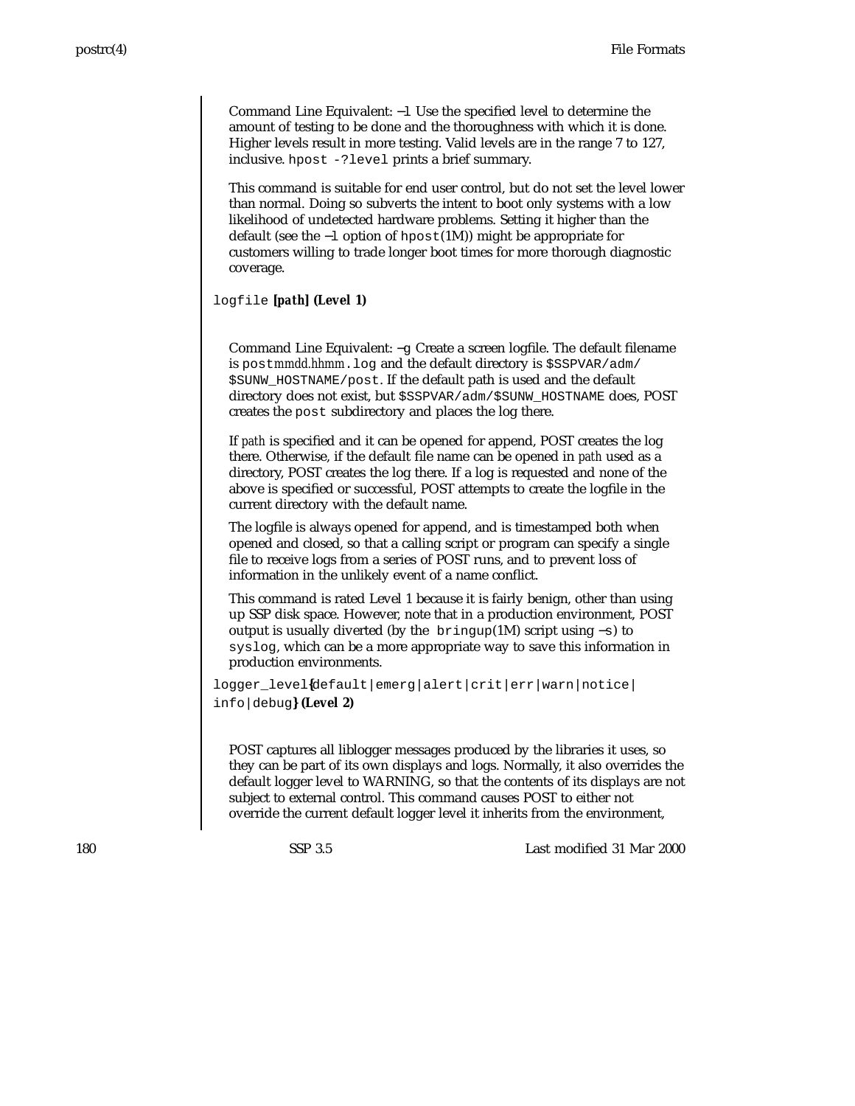Command Line Equivalent: −l Use the specified level to determine the amount of testing to be done and the thoroughness with which it is done. Higher levels result in more testing. Valid levels are in the range 7 to 127, inclusive. hpost -?level prints a brief summary.

This command is suitable for end user control, but do not set the level lower than normal. Doing so subverts the intent to boot only systems with a low likelihood of undetected hardware problems. Setting it higher than the default (see the −l option of hpost(1M)) might be appropriate for customers willing to trade longer boot times for more thorough diagnostic coverage.

logfile **[***path***] (Level 1)**

Command Line Equivalent: −g Create a screen logfile. The default filename is post*mmdd.hhmm*.log and the default directory is \$SSPVAR/adm/ \$SUNW\_HOSTNAME/post. If the default path is used and the default directory does not exist, but \$SSPVAR/adm/\$SUNW\_HOSTNAME does, POST creates the post subdirectory and places the log there.

If *path* is specified and it can be opened for append, POST creates the log there. Otherwise, if the default file name can be opened in *path* used as a directory, POST creates the log there. If a log is requested and none of the above is specified or successful, POST attempts to create the logfile in the current directory with the default name.

The logfile is always opened for append, and is timestamped both when opened and closed, so that a calling script or program can specify a single file to receive logs from a series of POST runs, and to prevent loss of information in the unlikely event of a name conflict.

This command is rated Level 1 because it is fairly benign, other than using up SSP disk space. However, note that in a production environment, POST output is usually diverted (by the bringup(1M) script using −s) to syslog, which can be a more appropriate way to save this information in production environments.

logger\_level**{**default|emerg|alert|crit|err|warn|notice| info|debug**} (Level 2)**

POST captures all liblogger messages produced by the libraries it uses, so they can be part of its own displays and logs. Normally, it also overrides the default logger level to WARNING, so that the contents of its displays are not subject to external control. This command causes POST to either not override the current default logger level it inherits from the environment,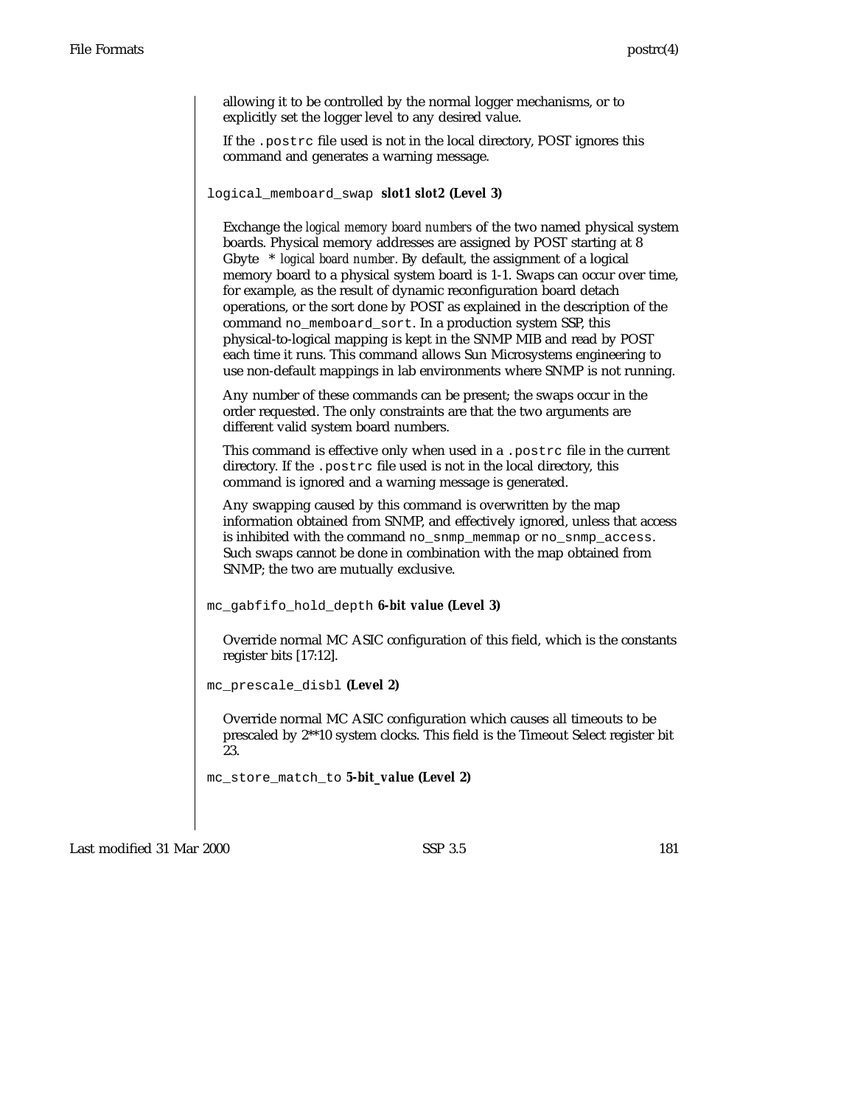| allowing it to be controlled by the normal logger mechanisms, or to |  |
|---------------------------------------------------------------------|--|
| explicitly set the logger level to any desired value.               |  |

If the .postrc file used is not in the local directory, POST ignores this command and generates a warning message.

logical\_memboard\_swap *slot1 slot2* **(Level 3)**

Exchange the *logical memory board numbers* of the two named physical system boards. Physical memory addresses are assigned by POST starting at 8 Gbyte \* *logical board number*. By default, the assignment of a logical memory board to a physical system board is 1-1. Swaps can occur over time, for example, as the result of dynamic reconfiguration board detach operations, or the sort done by POST as explained in the description of the command no\_memboard\_sort. In a production system SSP, this physical-to-logical mapping is kept in the SNMP MIB and read by POST each time it runs. This command allows Sun Microsystems engineering to use non-default mappings in lab environments where SNMP is not running.

Any number of these commands can be present; the swaps occur in the order requested. The only constraints are that the two arguments are different valid system board numbers.

This command is effective only when used in a .postrc file in the current directory. If the .postrc file used is not in the local directory, this command is ignored and a warning message is generated.

Any swapping caused by this command is overwritten by the map information obtained from SNMP, and effectively ignored, unless that access is inhibited with the command no\_snmp\_memmap or no\_snmp\_access. Such swaps cannot be done in combination with the map obtained from SNMP; the two are mutually exclusive.

mc\_gabfifo\_hold\_depth *6-bit value* **(Level 3)**

Override normal MC ASIC configuration of this field, which is the constants register bits [17:12].

mc\_prescale\_disbl **(Level 2)**

Override normal MC ASIC configuration which causes all timeouts to be prescaled by 2\*\*10 system clocks. This field is the Timeout Select register bit 23.

mc\_store\_match\_to *5-bit\_value* **(Level 2)**

Last modified 31 Mar 2000 SSP 3.5 SSP 3.5 181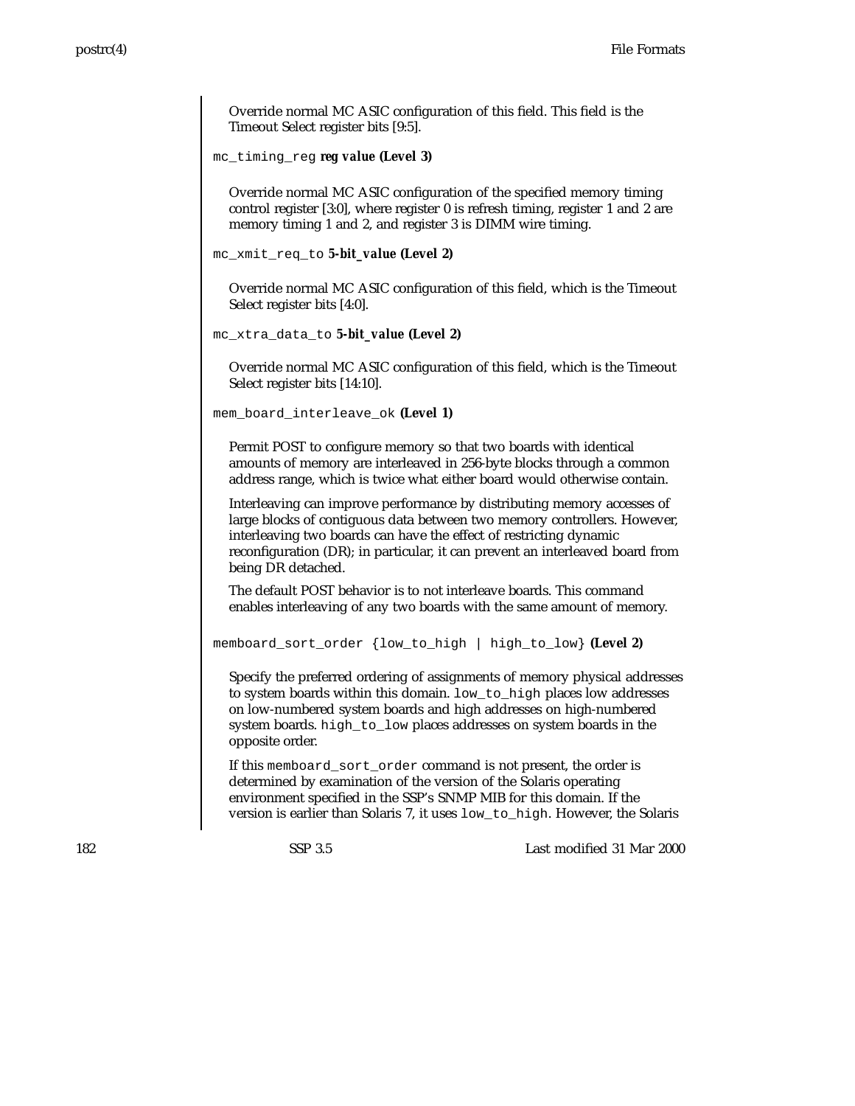Override normal MC ASIC configuration of this field. This field is the Timeout Select register bits [9:5]. mc\_timing\_reg *reg value* **(Level 3)** Override normal MC ASIC configuration of the specified memory timing control register [3:0], where register 0 is refresh timing, register 1 and 2 are memory timing 1 and 2, and register 3 is DIMM wire timing. mc\_xmit\_req\_to *5-bit\_value* **(Level 2)** Override normal MC ASIC configuration of this field, which is the Timeout Select register bits [4:0]. mc\_xtra\_data\_to *5-bit\_value* **(Level 2)** Override normal MC ASIC configuration of this field, which is the Timeout Select register bits [14:10]. mem\_board\_interleave\_ok **(Level 1)** Permit POST to configure memory so that two boards with identical amounts of memory are interleaved in 256-byte blocks through a common address range, which is twice what either board would otherwise contain. Interleaving can improve performance by distributing memory accesses of large blocks of contiguous data between two memory controllers. However, interleaving two boards can have the effect of restricting dynamic reconfiguration (DR); in particular, it can prevent an interleaved board from being DR detached. The default POST behavior is to not interleave boards. This command enables interleaving of any two boards with the same amount of memory. memboard\_sort\_order {low\_to\_high | high\_to\_low} **(Level 2)** Specify the preferred ordering of assignments of memory physical addresses to system boards within this domain. low\_to\_high places low addresses on low-numbered system boards and high addresses on high-numbered system boards. high to low places addresses on system boards in the opposite order. If this memboard\_sort\_order command is not present, the order is determined by examination of the version of the Solaris operating environment specified in the SSP's SNMP MIB for this domain. If the version is earlier than Solaris 7, it uses low\_to\_high. However, the Solaris 182 SSP 3.5 Last modified 31 Mar 2000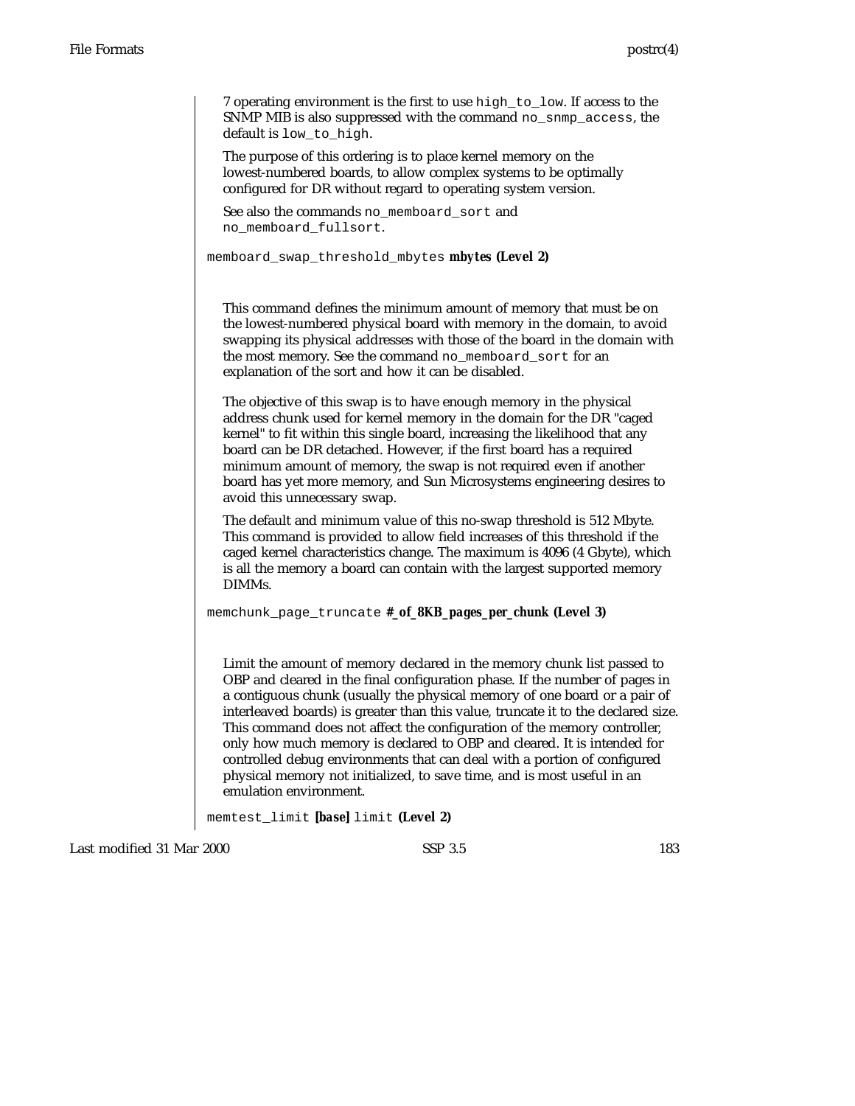7 operating environment is the first to use high\_to\_low. If access to the SNMP MIB is also suppressed with the command no\_snmp\_access, the default is low\_to\_high.

The purpose of this ordering is to place kernel memory on the lowest-numbered boards, to allow complex systems to be optimally configured for DR without regard to operating system version.

See also the commands no\_memboard\_sort and no\_memboard\_fullsort.

memboard\_swap\_threshold\_mbytes *mbytes* **(Level 2)**

This command defines the minimum amount of memory that must be on the lowest-numbered physical board with memory in the domain, to avoid swapping its physical addresses with those of the board in the domain with the most memory. See the command no\_memboard\_sort for an explanation of the sort and how it can be disabled.

The objective of this swap is to have enough memory in the physical address chunk used for kernel memory in the domain for the DR "caged kernel" to fit within this single board, increasing the likelihood that any board can be DR detached. However, if the first board has a required minimum amount of memory, the swap is not required even if another board has yet more memory, and Sun Microsystems engineering desires to avoid this unnecessary swap.

The default and minimum value of this no-swap threshold is 512 Mbyte. This command is provided to allow field increases of this threshold if the caged kernel characteristics change. The maximum is 4096 (4 Gbyte), which is all the memory a board can contain with the largest supported memory DIMMs.

memchunk\_page\_truncate *#\_of\_8KB\_pages\_per\_chunk* **(Level 3)**

Limit the amount of memory declared in the memory chunk list passed to OBP and cleared in the final configuration phase. If the number of pages in a contiguous chunk (usually the physical memory of one board or a pair of interleaved boards) is greater than this value, truncate it to the declared size. This command does not affect the configuration of the memory controller, only how much memory is declared to OBP and cleared. It is intended for controlled debug environments that can deal with a portion of configured physical memory not initialized, to save time, and is most useful in an emulation environment.

memtest\_limit **[***base***]** limit **(Level 2)**

Last modified 31 Mar 2000 SSP 3.5 183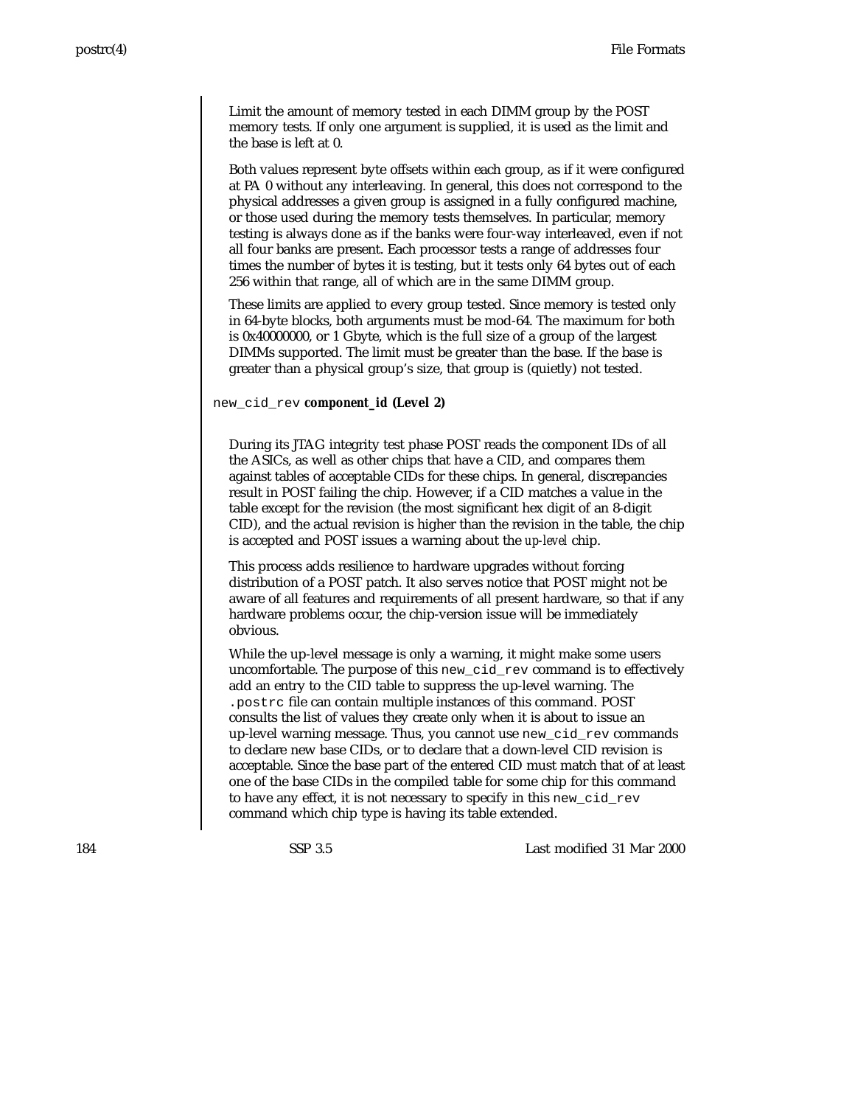Limit the amount of memory tested in each DIMM group by the POST memory tests. If only one argument is supplied, it is used as the limit and the base is left at 0.

Both values represent byte offsets within each group, as if it were configured at PA 0 without any interleaving. In general, this does not correspond to the physical addresses a given group is assigned in a fully configured machine, or those used during the memory tests themselves. In particular, memory testing is always done as if the banks were four-way interleaved, even if not all four banks are present. Each processor tests a range of addresses four times the number of bytes it is testing, but it tests only 64 bytes out of each 256 within that range, all of which are in the same DIMM group.

These limits are applied to every group tested. Since memory is tested only in 64-byte blocks, both arguments must be mod-64. The maximum for both is 0x40000000, or 1 Gbyte, which is the full size of a group of the largest DIMMs supported. The limit must be greater than the base. If the base is greater than a physical group's size, that group is (quietly) not tested.

new\_cid\_rev *component\_id* **(Level 2)**

During its JTAG integrity test phase POST reads the component IDs of all the ASICs, as well as other chips that have a CID, and compares them against tables of acceptable CIDs for these chips. In general, discrepancies result in POST failing the chip. However, if a CID matches a value in the table except for the revision (the most significant hex digit of an 8-digit CID), and the actual revision is higher than the revision in the table, the chip is accepted and POST issues a warning about the *up-level* chip.

This process adds resilience to hardware upgrades without forcing distribution of a POST patch. It also serves notice that POST might not be aware of all features and requirements of all present hardware, so that if any hardware problems occur, the chip-version issue will be immediately obvious.

While the up-level message is only a warning, it might make some users uncomfortable. The purpose of this new\_cid\_rev command is to effectively add an entry to the CID table to suppress the up-level warning. The .postrc file can contain multiple instances of this command. POST consults the list of values they create only when it is about to issue an up-level warning message. Thus, you cannot use new\_cid\_rev commands to declare new base CIDs, or to declare that a down-level CID revision is acceptable. Since the base part of the entered CID must match that of at least one of the base CIDs in the compiled table for some chip for this command to have any effect, it is not necessary to specify in this new\_cid\_rev command which chip type is having its table extended.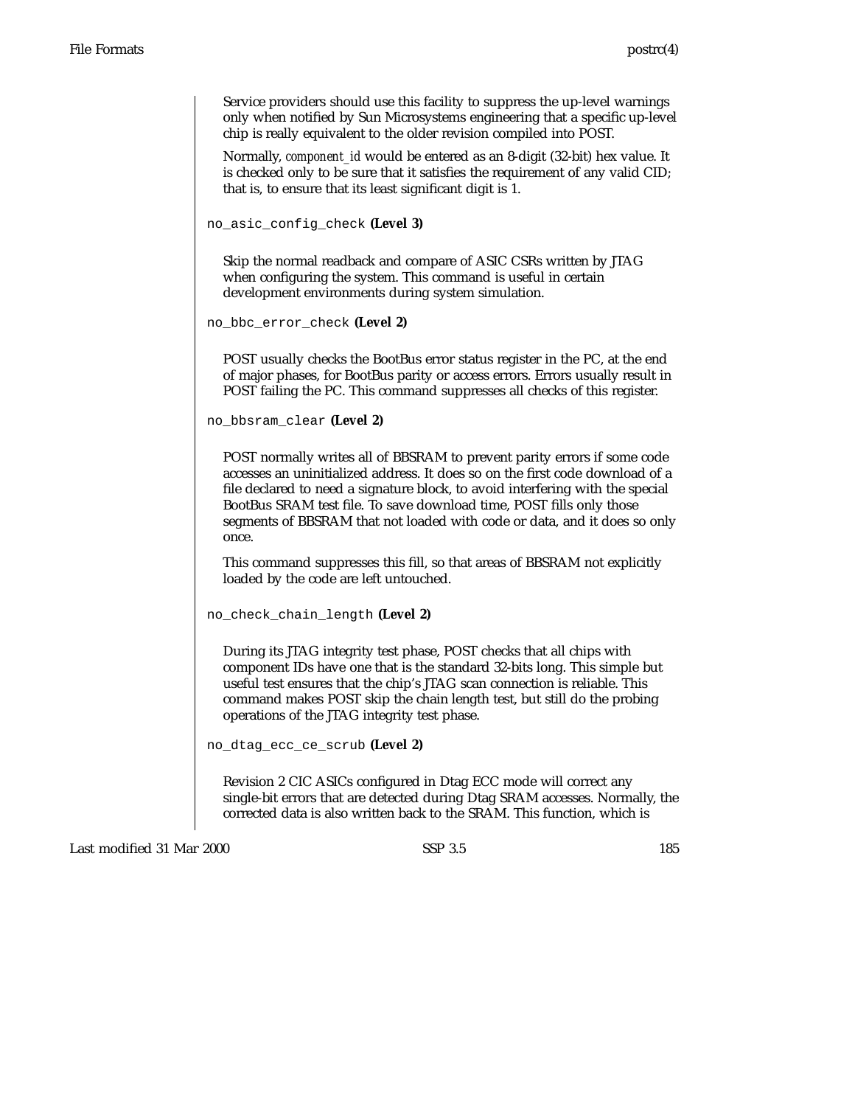Service providers should use this facility to suppress the up-level warnings only when notified by Sun Microsystems engineering that a specific up-level chip is really equivalent to the older revision compiled into POST.

Normally, *component\_id* would be entered as an 8-digit (32-bit) hex value. It is checked only to be sure that it satisfies the requirement of any valid CID; that is, to ensure that its least significant digit is 1.

```
no_asic_config_check (Level 3)
```
Skip the normal readback and compare of ASIC CSRs written by JTAG when configuring the system. This command is useful in certain development environments during system simulation.

```
no_bbc_error_check (Level 2)
```
POST usually checks the BootBus error status register in the PC, at the end of major phases, for BootBus parity or access errors. Errors usually result in POST failing the PC. This command suppresses all checks of this register.

```
no_bbsram_clear (Level 2)
```
POST normally writes all of BBSRAM to prevent parity errors if some code accesses an uninitialized address. It does so on the first code download of a file declared to need a signature block, to avoid interfering with the special BootBus SRAM test file. To save download time, POST fills only those segments of BBSRAM that not loaded with code or data, and it does so only once.

This command suppresses this fill, so that areas of BBSRAM not explicitly loaded by the code are left untouched.

no\_check\_chain\_length **(Level 2)**

During its JTAG integrity test phase, POST checks that all chips with component IDs have one that is the standard 32-bits long. This simple but useful test ensures that the chip's JTAG scan connection is reliable. This command makes POST skip the chain length test, but still do the probing operations of the JTAG integrity test phase.

no\_dtag\_ecc\_ce\_scrub **(Level 2)**

Revision 2 CIC ASICs configured in Dtag ECC mode will correct any single-bit errors that are detected during Dtag SRAM accesses. Normally, the corrected data is also written back to the SRAM. This function, which is

Last modified 31 Mar 2000 SSP 3.5 185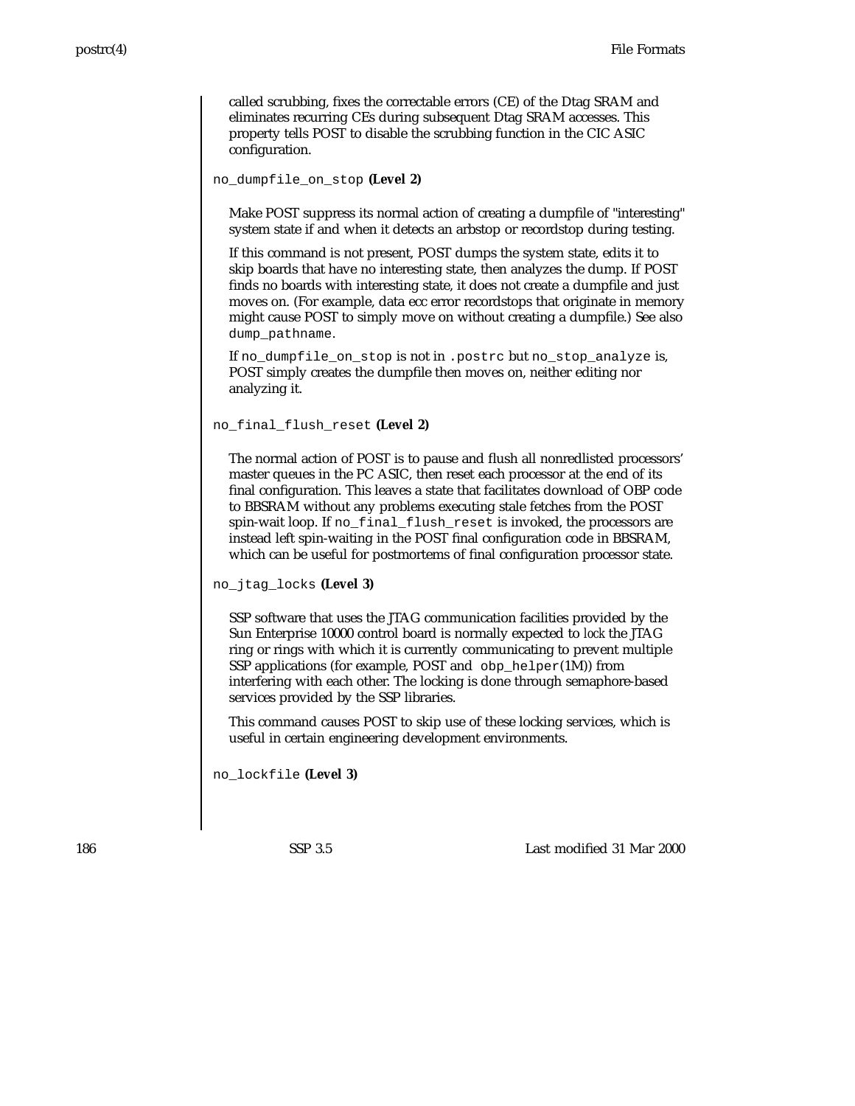called scrubbing, fixes the correctable errors (CE) of the Dtag SRAM and eliminates recurring CEs during subsequent Dtag SRAM accesses. This property tells POST to disable the scrubbing function in the CIC ASIC configuration.

no\_dumpfile\_on\_stop **(Level 2)**

Make POST suppress its normal action of creating a dumpfile of "interesting" system state if and when it detects an arbstop or recordstop during testing.

If this command is not present, POST dumps the system state, edits it to skip boards that have no interesting state, then analyzes the dump. If POST finds no boards with interesting state, it does not create a dumpfile and just moves on. (For example, data ecc error recordstops that originate in memory might cause POST to simply move on without creating a dumpfile.) See also dump\_pathname.

If no\_dumpfile\_on\_stop is not in .postrc but no\_stop\_analyze is, POST simply creates the dumpfile then moves on, neither editing nor analyzing it.

no\_final\_flush\_reset **(Level 2)**

The normal action of POST is to pause and flush all nonredlisted processors' master queues in the PC ASIC, then reset each processor at the end of its final configuration. This leaves a state that facilitates download of OBP code to BBSRAM without any problems executing stale fetches from the POST spin-wait loop. If no\_final\_flush\_reset is invoked, the processors are instead left spin-waiting in the POST final configuration code in BBSRAM, which can be useful for postmortems of final configuration processor state.

```
no_jtag_locks (Level 3)
```
SSP software that uses the JTAG communication facilities provided by the Sun Enterprise 10000 control board is normally expected to *lock* the JTAG ring or rings with which it is currently communicating to prevent multiple SSP applications (for example, POST and obp\_helper(1M)) from interfering with each other. The locking is done through semaphore-based services provided by the SSP libraries.

This command causes POST to skip use of these locking services, which is useful in certain engineering development environments.

no\_lockfile **(Level 3)**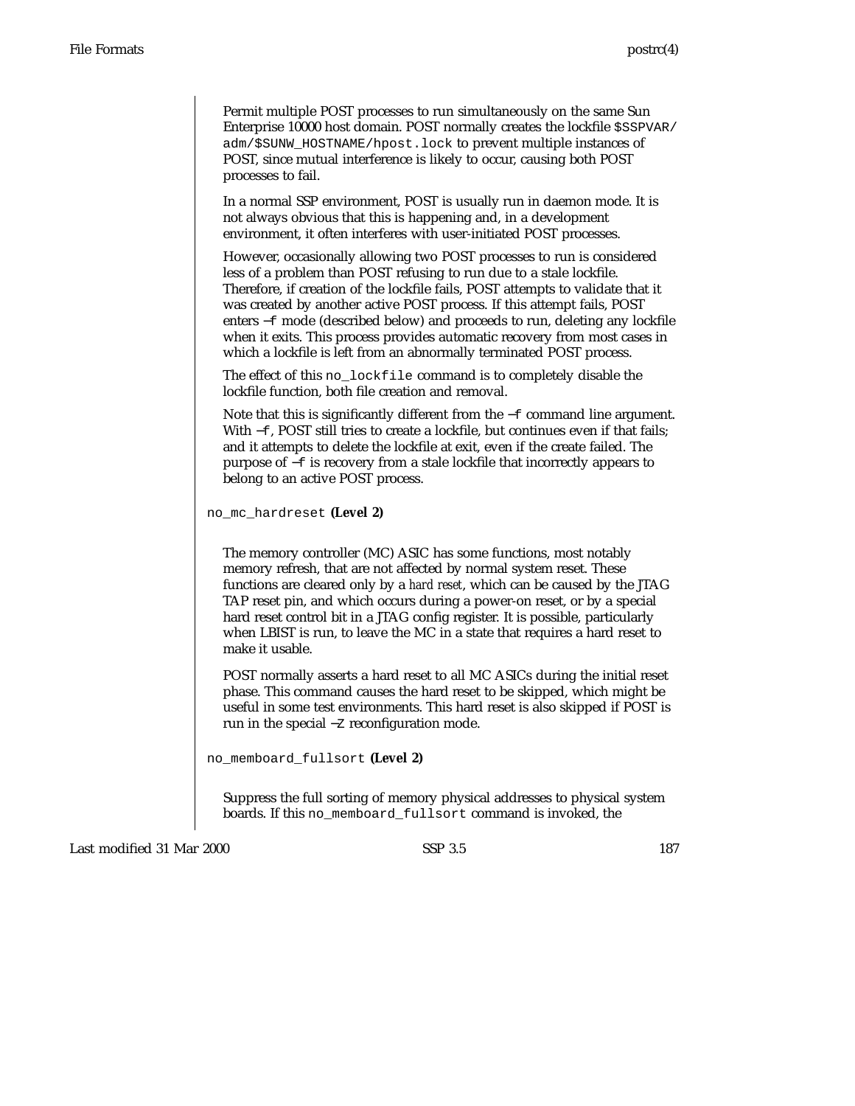| Permit multiple POST processes to run simultaneously on the same Sun<br>Enterprise 10000 host domain. POST normally creates the lockfile \$SSPVAR/<br>adm/\$SUNW_HOSTNAME/hpost.lock to prevent multiple instances of<br>POST, since mutual interference is likely to occur, causing both POST<br>processes to fail.                                                                                                                                                                                                                              |
|---------------------------------------------------------------------------------------------------------------------------------------------------------------------------------------------------------------------------------------------------------------------------------------------------------------------------------------------------------------------------------------------------------------------------------------------------------------------------------------------------------------------------------------------------|
| In a normal SSP environment, POST is usually run in daemon mode. It is<br>not always obvious that this is happening and, in a development<br>environment, it often interferes with user-initiated POST processes.                                                                                                                                                                                                                                                                                                                                 |
| However, occasionally allowing two POST processes to run is considered<br>less of a problem than POST refusing to run due to a stale lockfile.<br>Therefore, if creation of the lockfile fails, POST attempts to validate that it<br>was created by another active POST process. If this attempt fails, POST<br>enters -f mode (described below) and proceeds to run, deleting any lockfile<br>when it exits. This process provides automatic recovery from most cases in<br>which a lockfile is left from an abnormally terminated POST process. |
| The effect of this no_lockfile command is to completely disable the<br>lockfile function, both file creation and removal.                                                                                                                                                                                                                                                                                                                                                                                                                         |
| Note that this is significantly different from the $-f$ command line argument.<br>With -f, POST still tries to create a lockfile, but continues even if that fails;<br>and it attempts to delete the lockfile at exit, even if the create failed. The<br>purpose of -f is recovery from a stale lockfile that incorrectly appears to<br>belong to an active POST process.                                                                                                                                                                         |
| no_mc_hardreset <b>(Level 2)</b>                                                                                                                                                                                                                                                                                                                                                                                                                                                                                                                  |
| The memory controller (MC) ASIC has some functions, most notably<br>memory refresh, that are not affected by normal system reset. These<br>functions are cleared only by a hard reset, which can be caused by the JTAG<br>TAP reset pin, and which occurs during a power-on reset, or by a special<br>hard reset control bit in a JTAG config register. It is possible, particularly<br>when LBIST is run, to leave the MC in a state that requires a hard reset to<br>make it usable.                                                            |

POST normally asserts a hard reset to all MC ASICs during the initial reset phase. This command causes the hard reset to be skipped, which might be useful in some test environments. This hard reset is also skipped if POST is run in the special −Z reconfiguration mode.

no\_memboard\_fullsort **(Level 2)**

Suppress the full sorting of memory physical addresses to physical system boards. If this no\_memboard\_fullsort command is invoked, the

Last modified 31 Mar 2000 SSP 3.5 187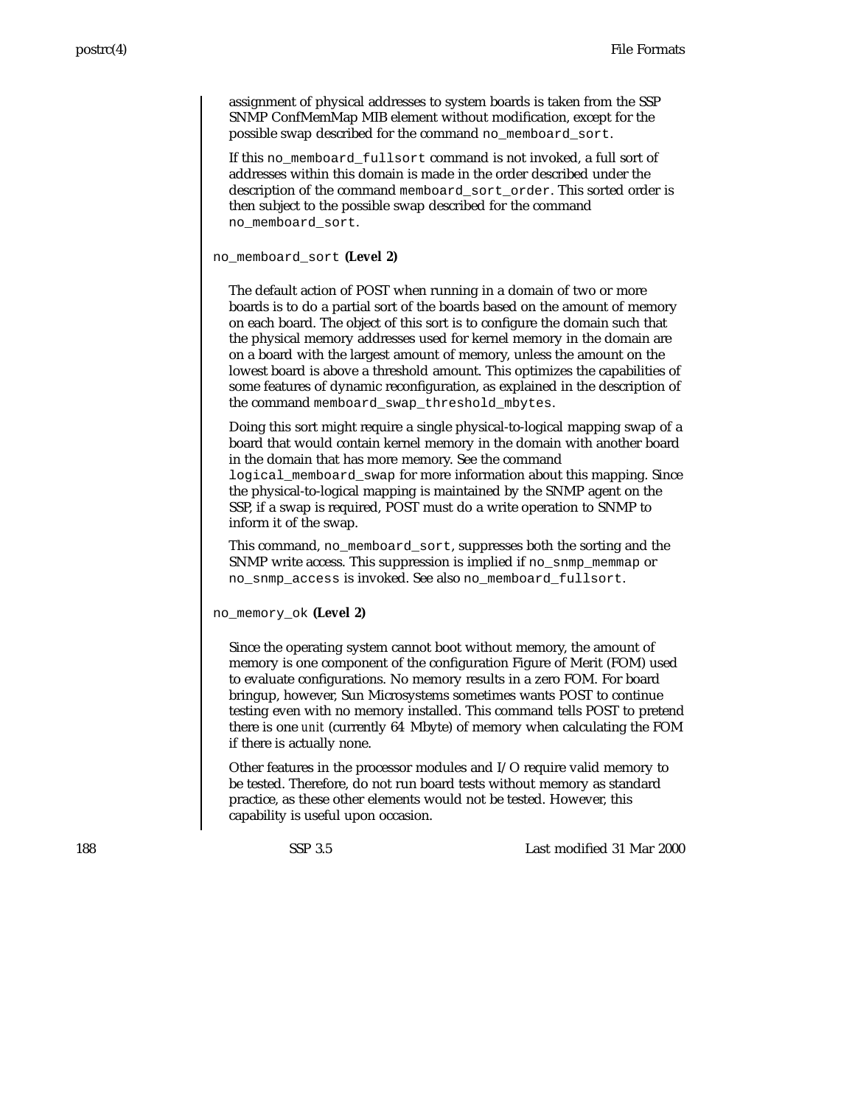assignment of physical addresses to system boards is taken from the SSP SNMP ConfMemMap MIB element without modification, except for the possible swap described for the command no\_memboard\_sort.

If this no\_memboard\_fullsort command is not invoked, a full sort of addresses within this domain is made in the order described under the description of the command memboard\_sort\_order. This sorted order is then subject to the possible swap described for the command no\_memboard\_sort.

#### no\_memboard\_sort **(Level 2)**

The default action of POST when running in a domain of two or more boards is to do a partial sort of the boards based on the amount of memory on each board. The object of this sort is to configure the domain such that the physical memory addresses used for kernel memory in the domain are on a board with the largest amount of memory, unless the amount on the lowest board is above a threshold amount. This optimizes the capabilities of some features of dynamic reconfiguration, as explained in the description of the command memboard\_swap\_threshold\_mbytes.

Doing this sort might require a single physical-to-logical mapping swap of a board that would contain kernel memory in the domain with another board in the domain that has more memory. See the command logical\_memboard\_swap for more information about this mapping. Since the physical-to-logical mapping is maintained by the SNMP agent on the SSP, if a swap is required, POST must do a write operation to SNMP to inform it of the swap.

This command, no\_memboard\_sort, suppresses both the sorting and the SNMP write access. This suppression is implied if no\_snmp\_memmap or no snmp access is invoked. See also no memboard fullsort.

no\_memory\_ok **(Level 2)**

Since the operating system cannot boot without memory, the amount of memory is one component of the configuration Figure of Merit (FOM) used to evaluate configurations. No memory results in a zero FOM. For board bringup, however, Sun Microsystems sometimes wants POST to continue testing even with no memory installed. This command tells POST to pretend there is one *unit* (currently 64 Mbyte) of memory when calculating the FOM if there is actually none.

Other features in the processor modules and I/O require valid memory to be tested. Therefore, do not run board tests without memory as standard practice, as these other elements would not be tested. However, this capability is useful upon occasion.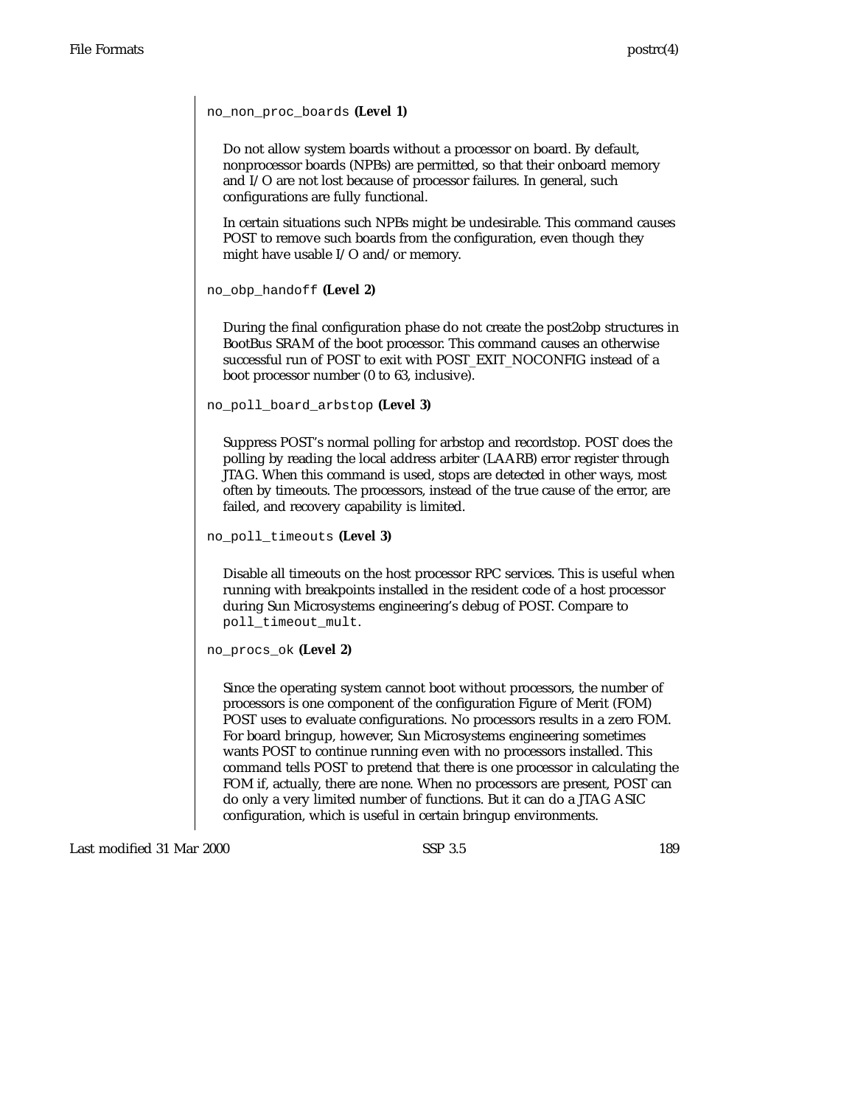no\_non\_proc\_boards **(Level 1)**

Do not allow system boards without a processor on board. By default, nonprocessor boards (NPBs) are permitted, so that their onboard memory and I/O are not lost because of processor failures. In general, such configurations are fully functional.

In certain situations such NPBs might be undesirable. This command causes POST to remove such boards from the configuration, even though they might have usable I/O and/or memory.

```
no_obp_handoff (Level 2)
```
During the final configuration phase do not create the post2obp structures in BootBus SRAM of the boot processor. This command causes an otherwise successful run of POST to exit with POST\_EXIT\_NOCONFIG instead of a boot processor number (0 to 63, inclusive).

```
no_poll_board_arbstop (Level 3)
```
Suppress POST's normal polling for arbstop and recordstop. POST does the polling by reading the local address arbiter (LAARB) error register through JTAG. When this command is used, stops are detected in other ways, most often by timeouts. The processors, instead of the true cause of the error, are failed, and recovery capability is limited.

```
no_poll_timeouts (Level 3)
```
Disable all timeouts on the host processor RPC services. This is useful when running with breakpoints installed in the resident code of a host processor during Sun Microsystems engineering's debug of POST. Compare to poll\_timeout\_mult.

```
no_procs_ok (Level 2)
```
Since the operating system cannot boot without processors, the number of processors is one component of the configuration Figure of Merit (FOM) POST uses to evaluate configurations. No processors results in a zero FOM. For board bringup, however, Sun Microsystems engineering sometimes wants POST to continue running even with no processors installed. This command tells POST to pretend that there is one processor in calculating the FOM if, actually, there are none. When no processors are present, POST can do only a very limited number of functions. But it can do a JTAG ASIC configuration, which is useful in certain bringup environments.

Last modified 31 Mar 2000 SSP 3.5 SSP 3.5 289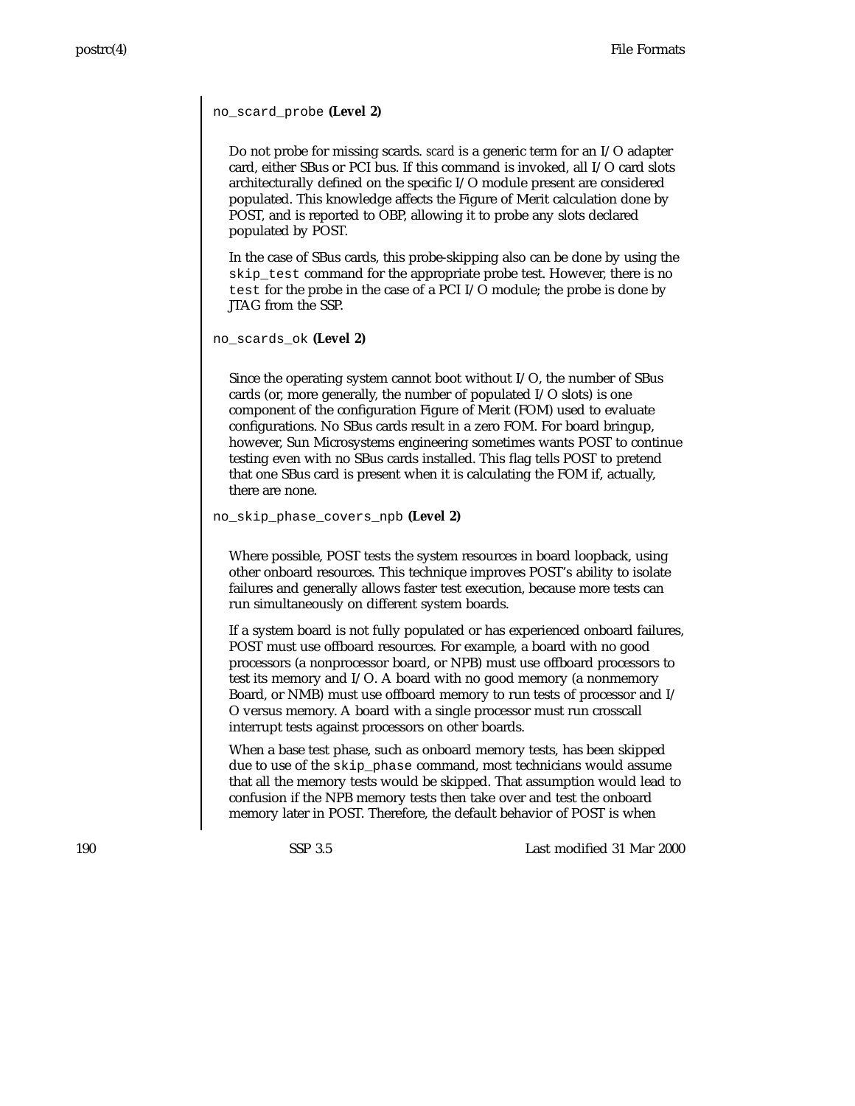no\_scard\_probe **(Level 2)**

Do not probe for missing scards. *scard* is a generic term for an I/O adapter card, either SBus or PCI bus. If this command is invoked, all I/O card slots architecturally defined on the specific I/O module present are considered populated. This knowledge affects the Figure of Merit calculation done by POST, and is reported to OBP, allowing it to probe any slots declared populated by POST.

In the case of SBus cards, this probe-skipping also can be done by using the skip\_test command for the appropriate probe test. However, there is no test for the probe in the case of a PCI I/O module; the probe is done by JTAG from the SSP.

no\_scards\_ok **(Level 2)**

Since the operating system cannot boot without I/O, the number of SBus cards (or, more generally, the number of populated I/O slots) is one component of the configuration Figure of Merit (FOM) used to evaluate configurations. No SBus cards result in a zero FOM. For board bringup, however, Sun Microsystems engineering sometimes wants POST to continue testing even with no SBus cards installed. This flag tells POST to pretend that one SBus card is present when it is calculating the FOM if, actually, there are none.

no\_skip\_phase\_covers\_npb **(Level 2)**

Where possible, POST tests the system resources in board loopback, using other onboard resources. This technique improves POST's ability to isolate failures and generally allows faster test execution, because more tests can run simultaneously on different system boards.

If a system board is not fully populated or has experienced onboard failures, POST must use offboard resources. For example, a board with no good processors (a nonprocessor board, or NPB) must use offboard processors to test its memory and I/O. A board with no good memory (a nonmemory Board, or NMB) must use offboard memory to run tests of processor and I/ O versus memory. A board with a single processor must run crosscall interrupt tests against processors on other boards.

When a base test phase, such as onboard memory tests, has been skipped due to use of the skip\_phase command, most technicians would assume that all the memory tests would be skipped. That assumption would lead to confusion if the NPB memory tests then take over and test the onboard memory later in POST. Therefore, the default behavior of POST is when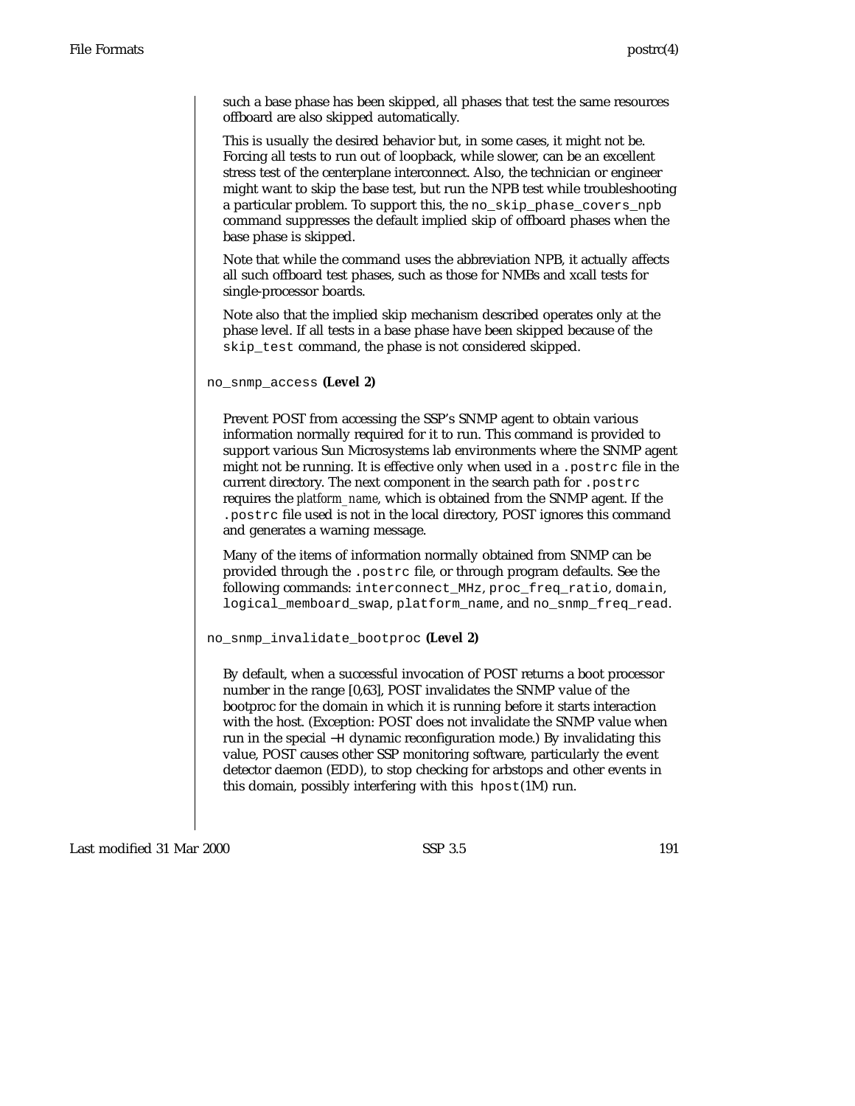such a base phase has been skipped, all phases that test the same resources offboard are also skipped automatically.

This is usually the desired behavior but, in some cases, it might not be. Forcing all tests to run out of loopback, while slower, can be an excellent stress test of the centerplane interconnect. Also, the technician or engineer might want to skip the base test, but run the NPB test while troubleshooting a particular problem. To support this, the no\_skip\_phase\_covers\_npb command suppresses the default implied skip of offboard phases when the base phase is skipped.

Note that while the command uses the abbreviation NPB, it actually affects all such offboard test phases, such as those for NMBs and xcall tests for single-processor boards.

Note also that the implied skip mechanism described operates only at the phase level. If all tests in a base phase have been skipped because of the skip\_test command, the phase is not considered skipped.

no\_snmp\_access **(Level 2)**

Prevent POST from accessing the SSP's SNMP agent to obtain various information normally required for it to run. This command is provided to support various Sun Microsystems lab environments where the SNMP agent might not be running. It is effective only when used in a .postrc file in the current directory. The next component in the search path for .postrc requires the *platform\_name*, which is obtained from the SNMP agent. If the .postrc file used is not in the local directory, POST ignores this command and generates a warning message.

Many of the items of information normally obtained from SNMP can be provided through the .postrc file, or through program defaults. See the following commands: interconnect\_MHz, proc\_freq\_ratio, domain, logical memboard swap, platform name, and no snmp freq read.

no\_snmp\_invalidate\_bootproc **(Level 2)**

By default, when a successful invocation of POST returns a boot processor number in the range [0,63], POST invalidates the SNMP value of the bootproc for the domain in which it is running before it starts interaction with the host. (Exception: POST does not invalidate the SNMP value when run in the special −H dynamic reconfiguration mode.) By invalidating this value, POST causes other SSP monitoring software, particularly the event detector daemon (EDD), to stop checking for arbstops and other events in this domain, possibly interfering with this hpost(1M) run.

Last modified 31 Mar 2000 SSP 3.5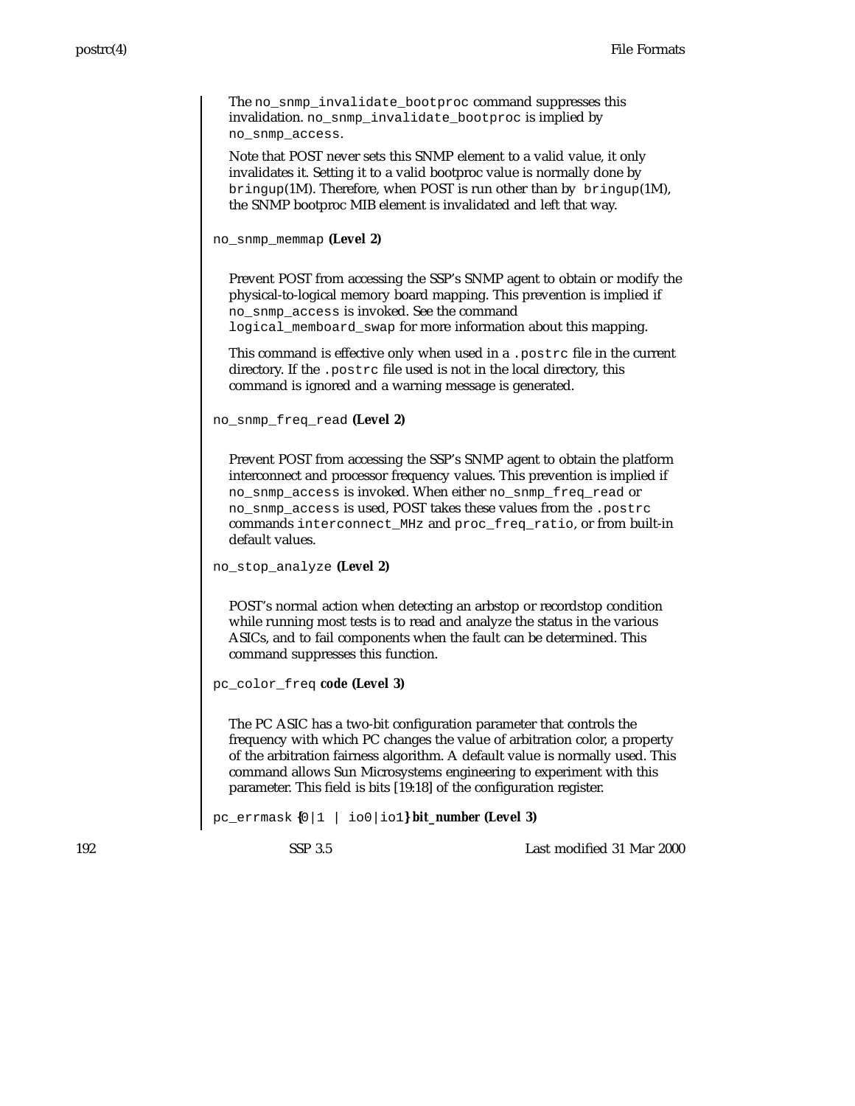The no\_snmp\_invalidate\_bootproc command suppresses this invalidation. no\_snmp\_invalidate\_bootproc is implied by no\_snmp\_access. Note that POST never sets this SNMP element to a valid value, it only invalidates it. Setting it to a valid bootproc value is normally done by bringup(1M). Therefore, when POST is run other than by bringup(1M), the SNMP bootproc MIB element is invalidated and left that way. no\_snmp\_memmap **(Level 2)** Prevent POST from accessing the SSP's SNMP agent to obtain or modify the physical-to-logical memory board mapping. This prevention is implied if no\_snmp\_access is invoked. See the command logical\_memboard\_swap for more information about this mapping. This command is effective only when used in a . postrc file in the current directory. If the .postrc file used is not in the local directory, this command is ignored and a warning message is generated. no\_snmp\_freq\_read **(Level 2)**

Prevent POST from accessing the SSP's SNMP agent to obtain the platform interconnect and processor frequency values. This prevention is implied if no\_snmp\_access is invoked. When either no\_snmp\_freq\_read or no\_snmp\_access is used, POST takes these values from the .postrc commands interconnect\_MHz and proc\_freq\_ratio, or from built-in default values.

```
no_stop_analyze (Level 2)
```
POST's normal action when detecting an arbstop or recordstop condition while running most tests is to read and analyze the status in the various ASICs, and to fail components when the fault can be determined. This command suppresses this function.

```
pc_color_freq code (Level 3)
```
The PC ASIC has a two-bit configuration parameter that controls the frequency with which PC changes the value of arbitration color, a property of the arbitration fairness algorithm. A default value is normally used. This command allows Sun Microsystems engineering to experiment with this parameter. This field is bits [19:18] of the configuration register.

pc\_errmask **{**0|1 | io0|io1**}** *bit\_number* **(Level 3)**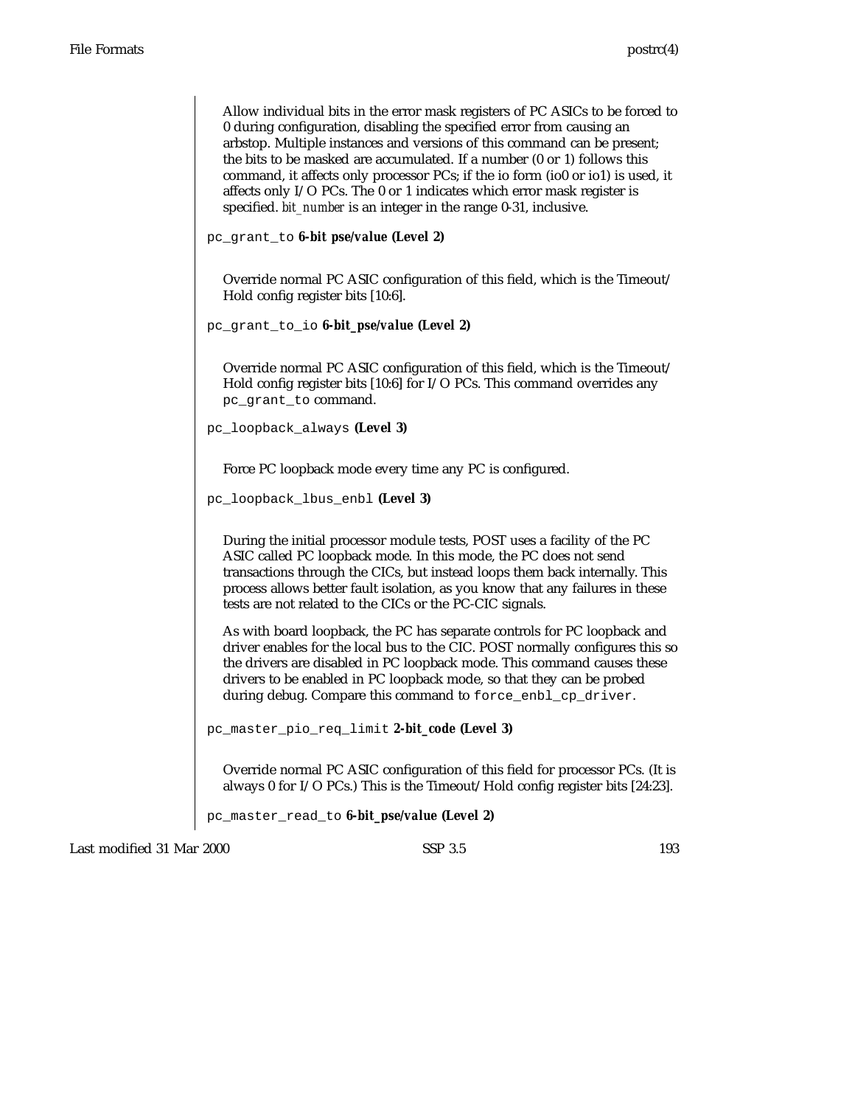Allow individual bits in the error mask registers of PC ASICs to be forced to 0 during configuration, disabling the specified error from causing an arbstop. Multiple instances and versions of this command can be present; the bits to be masked are accumulated. If a number (0 or 1) follows this command, it affects only processor PCs; if the io form (io0 or io1) is used, it affects only I/O PCs. The 0 or 1 indicates which error mask register is specified. *bit\_number* is an integer in the range 0-31, inclusive.

```
pc_grant_to 6-bit pse/value (Level 2)
```
Override normal PC ASIC configuration of this field, which is the Timeout/ Hold config register bits [10:6].

pc\_grant\_to\_io *6-bit\_pse/value* **(Level 2)**

Override normal PC ASIC configuration of this field, which is the Timeout/ Hold config register bits [10:6] for I/O PCs. This command overrides any pc\_grant\_to command.

```
pc_loopback_always (Level 3)
```
Force PC loopback mode every time any PC is configured.

pc\_loopback\_lbus\_enbl **(Level 3)**

During the initial processor module tests, POST uses a facility of the PC ASIC called PC loopback mode. In this mode, the PC does not send transactions through the CICs, but instead loops them back internally. This process allows better fault isolation, as you know that any failures in these tests are not related to the CICs or the PC-CIC signals.

As with board loopback, the PC has separate controls for PC loopback and driver enables for the local bus to the CIC. POST normally configures this so the drivers are disabled in PC loopback mode. This command causes these drivers to be enabled in PC loopback mode, so that they can be probed during debug. Compare this command to force\_enbl\_cp\_driver.

pc\_master\_pio\_req\_limit *2-bit\_code* **(Level 3)**

Override normal PC ASIC configuration of this field for processor PCs. (It is always 0 for I/O PCs.) This is the Timeout/Hold config register bits [24:23].

pc\_master\_read\_to *6-bit\_pse/value* **(Level 2)**

Last modified 31 Mar 2000 SSP 3.5 SSP 3.5 2000 SSP 3.5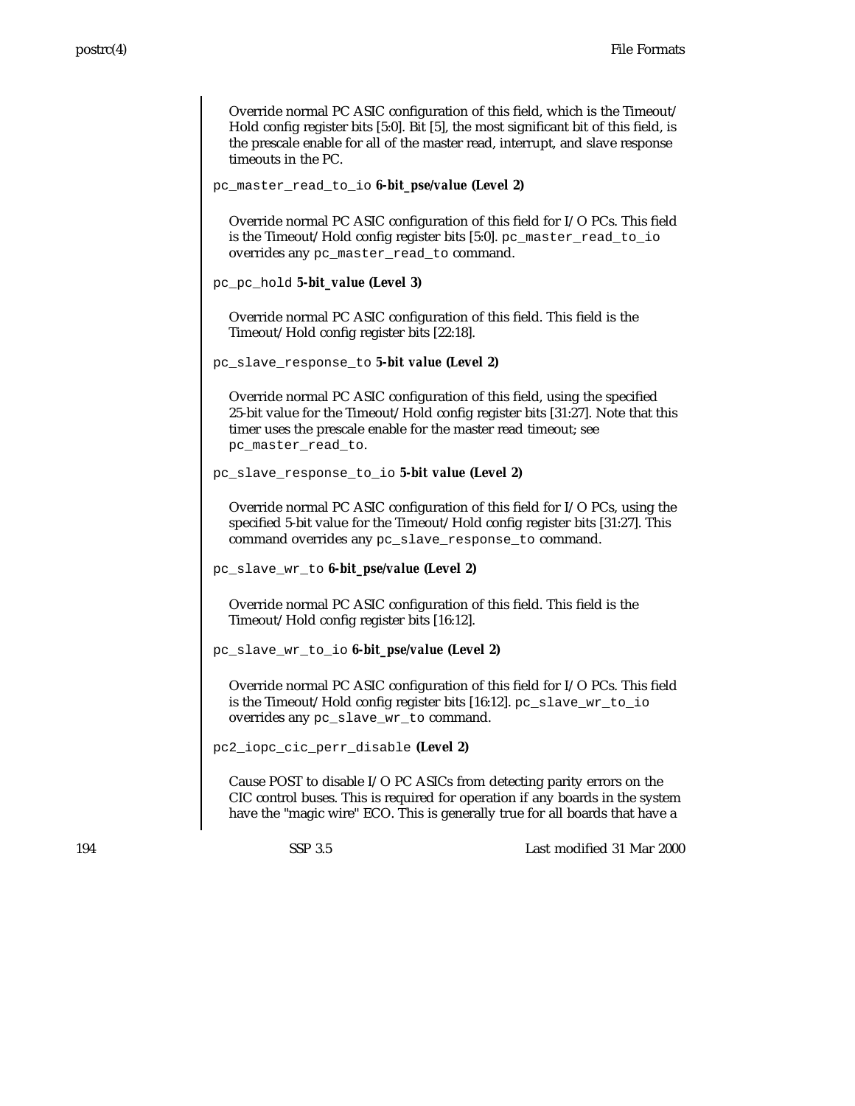| Override normal PC ASIC configuration of this field, which is the Timeout/<br>Hold config register bits [5:0]. Bit [5], the most significant bit of this field, is<br>the prescale enable for all of the master read, interrupt, and slave response<br>timeouts in the PC. |
|----------------------------------------------------------------------------------------------------------------------------------------------------------------------------------------------------------------------------------------------------------------------------|
| pc_master_read_to_io 6-bit_pse/value (Level 2)                                                                                                                                                                                                                             |
| Override normal PC ASIC configuration of this field for I/O PCs. This field<br>is the Timeout/Hold config register bits [5:0]. pc_master_read_to_io<br>overrides any pc_master_read_to command.                                                                            |
| pc_pc_hold 5-bit_value (Level 3)                                                                                                                                                                                                                                           |
| Override normal PC ASIC configuration of this field. This field is the<br>Timeout/Hold config register bits [22:18].                                                                                                                                                       |
| pc_slave_response_to 5-bit value (Level 2)                                                                                                                                                                                                                                 |
| Override normal PC ASIC configuration of this field, using the specified<br>25-bit value for the Timeout/Hold config register bits [31:27]. Note that this<br>timer uses the prescale enable for the master read timeout; see<br>pc_master_read_to.                        |
| pc_slave_response_to_io 5-bit value (Level 2)                                                                                                                                                                                                                              |
| Override normal PC ASIC configuration of this field for I/O PCs, using the<br>specified 5-bit value for the Timeout/Hold config register bits [31:27]. This<br>command overrides any pc_slave_response_to command.                                                         |
| pc_slave_wr_to 6-bit_pse/value (Level 2)                                                                                                                                                                                                                                   |
| Override normal PC ASIC configuration of this field. This field is the<br>Timeout/Hold config register bits [16:12].                                                                                                                                                       |
| pc_slave_wr_to_io 6-bit_pse/value (Level 2)                                                                                                                                                                                                                                |
| Override normal PC ASIC configuration of this field for I/O PCs. This field<br>is the Timeout/Hold config register bits [16:12]. pc_slave_wr_to_io<br>overrides any pc_slave_wr_to command.                                                                                |
| pc2_iopc_cic_perr_disable (Level 2)                                                                                                                                                                                                                                        |
| Cause POST to disable I/O PC ASICs from detecting parity errors on the<br>CIC control buses. This is required for operation if any boards in the system<br>have the "magic wire" ECO. This is generally true for all boards that have a                                    |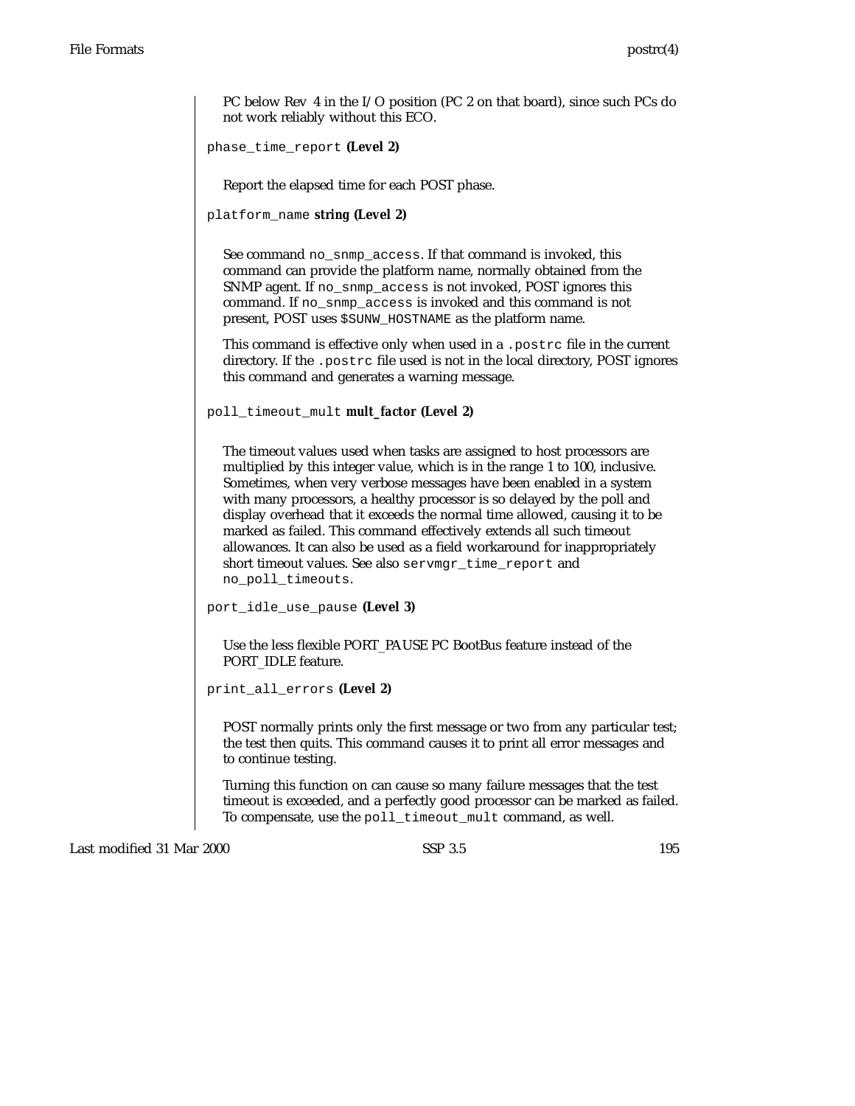PC below Rev 4 in the I/O position (PC 2 on that board), since such PCs do not work reliably without this ECO.

phase\_time\_report **(Level 2)**

Report the elapsed time for each POST phase.

platform\_name *string* **(Level 2)**

See command no\_snmp\_access. If that command is invoked, this command can provide the platform name, normally obtained from the SNMP agent. If no snmp access is not invoked, POST ignores this command. If no\_snmp\_access is invoked and this command is not present, POST uses \$SUNW\_HOSTNAME as the platform name.

This command is effective only when used in a .postrc file in the current directory. If the .postrc file used is not in the local directory, POST ignores this command and generates a warning message.

poll\_timeout\_mult *mult\_factor* **(Level 2)**

The timeout values used when tasks are assigned to host processors are multiplied by this integer value, which is in the range 1 to 100, inclusive. Sometimes, when very verbose messages have been enabled in a system with many processors, a healthy processor is so delayed by the poll and display overhead that it exceeds the normal time allowed, causing it to be marked as failed. This command effectively extends all such timeout allowances. It can also be used as a field workaround for inappropriately short timeout values. See also servmgr\_time\_report and no\_poll\_timeouts.

port\_idle\_use\_pause **(Level 3)**

Use the less flexible PORT\_PAUSE PC BootBus feature instead of the PORT\_IDLE feature.

print\_all\_errors **(Level 2)**

POST normally prints only the first message or two from any particular test; the test then quits. This command causes it to print all error messages and to continue testing.

Turning this function on can cause so many failure messages that the test timeout is exceeded, and a perfectly good processor can be marked as failed. To compensate, use the poll\_timeout\_mult command, as well.

Last modified 31 Mar 2000 SSP 3.5 SSP 3.5 195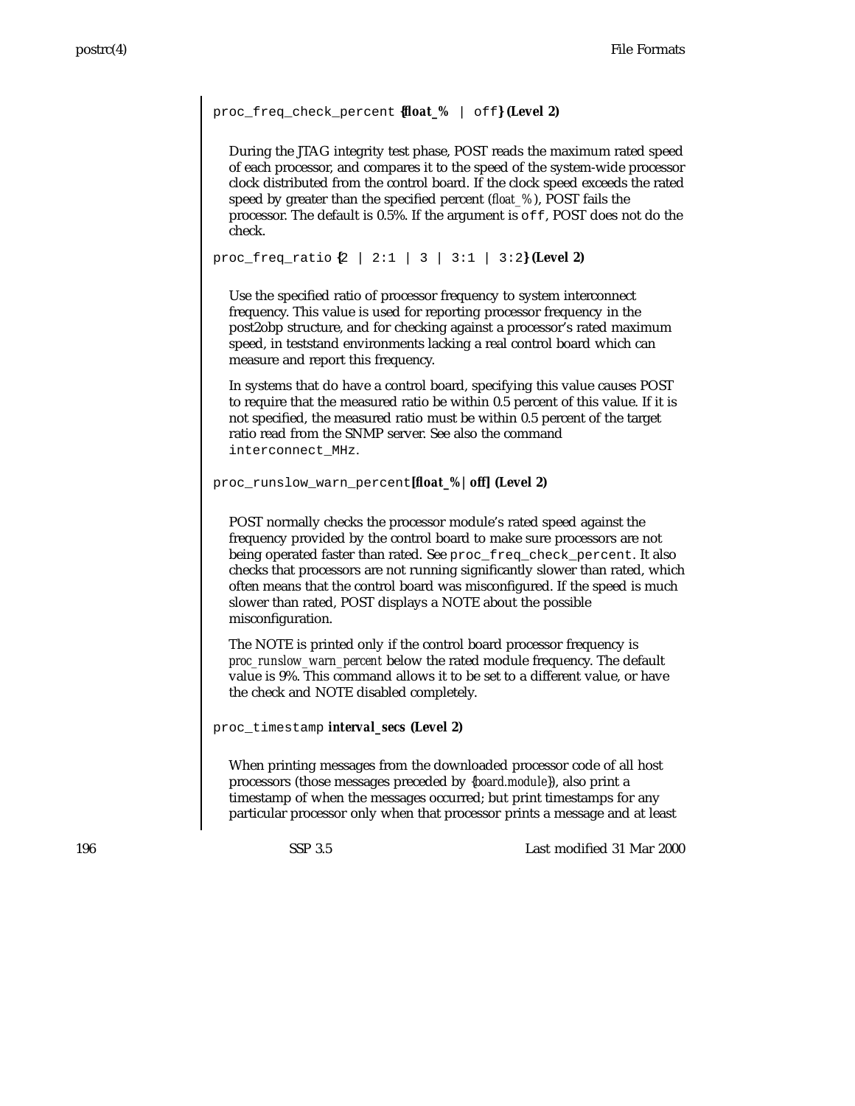proc\_freq\_check\_percent **{***float\_%* | off**} (Level 2)** During the JTAG integrity test phase, POST reads the maximum rated speed of each processor, and compares it to the speed of the system-wide processor clock distributed from the control board. If the clock speed exceeds the rated speed by greater than the specified percent (*float\_%*), POST fails the processor. The default is 0.5%. If the argument is off, POST does not do the check. proc\_freq\_ratio **{**2 | 2:1 | 3 | 3:1 | 3:2**} (Level 2)** Use the specified ratio of processor frequency to system interconnect frequency. This value is used for reporting processor frequency in the post2obp structure, and for checking against a processor's rated maximum speed, in teststand environments lacking a real control board which can measure and report this frequency. In systems that do have a control board, specifying this value causes POST to require that the measured ratio be within 0.5 percent of this value. If it is not specified, the measured ratio must be within 0.5 percent of the target ratio read from the SNMP server. See also the command interconnect\_MHz. proc\_runslow\_warn\_percent**[***float\_%|off***] (Level 2)** POST normally checks the processor module's rated speed against the frequency provided by the control board to make sure processors are not being operated faster than rated. See proc\_freq\_check\_percent. It also checks that processors are not running significantly slower than rated, which often means that the control board was misconfigured. If the speed is much slower than rated, POST displays a NOTE about the possible misconfiguration. The NOTE is printed only if the control board processor frequency is *proc\_runslow\_warn\_percent* below the rated module frequency. The default value is 9%. This command allows it to be set to a different value, or have the check and NOTE disabled completely. proc\_timestamp *interval\_secs* **(Level 2)**

When printing messages from the downloaded processor code of all host processors (those messages preceded by {*board.module*}), also print a timestamp of when the messages occurred; but print timestamps for any particular processor only when that processor prints a message and at least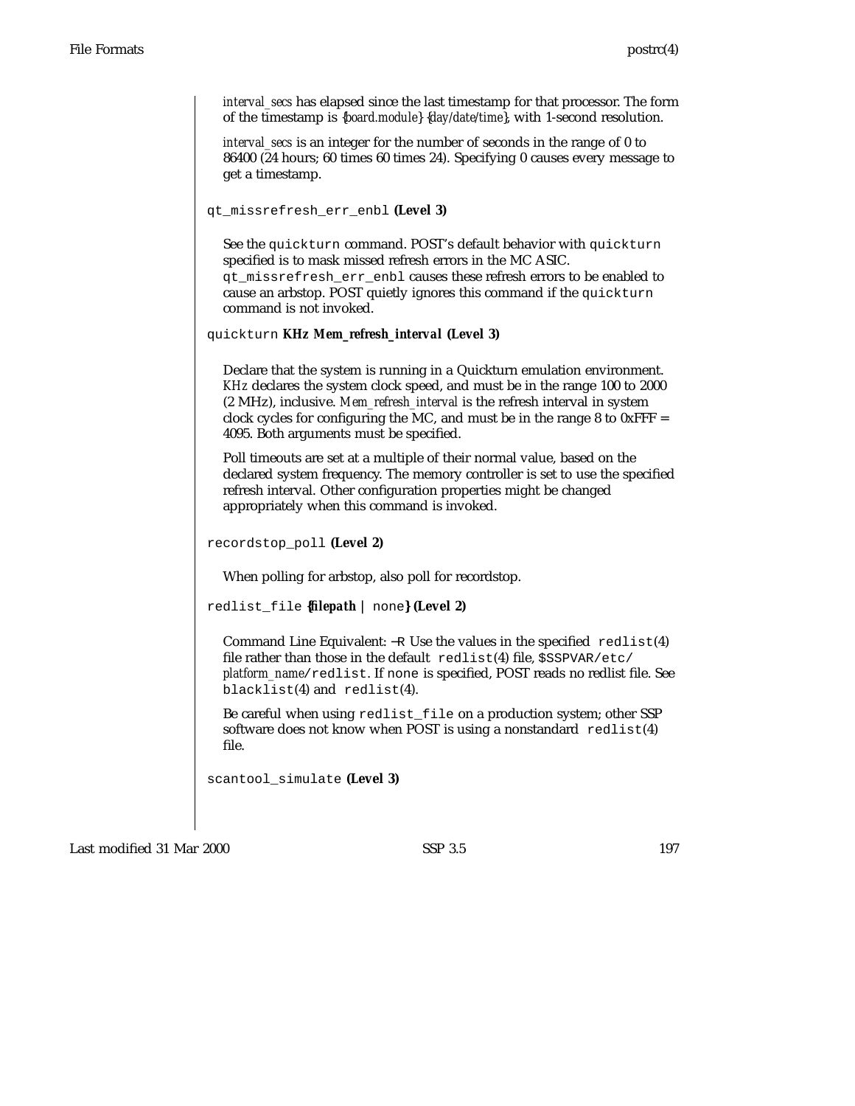*interval\_secs* has elapsed since the last timestamp for that processor. The form of the timestamp is {*board.module*} {*day/date/time*}, with 1-second resolution.

*interval\_secs* is an integer for the number of seconds in the range of 0 to 86400 (24 hours; 60 times 60 times 24). Specifying 0 causes every message to get a timestamp.

```
qt_missrefresh_err_enbl (Level 3)
```
See the quickturn command. POST's default behavior with quickturn specified is to mask missed refresh errors in the MC ASIC. qt\_missrefresh\_err\_enbl causes these refresh errors to be enabled to cause an arbstop. POST quietly ignores this command if the quickturn command is not invoked.

quickturn *KHz Mem\_refresh\_interval* **(Level 3)**

Declare that the system is running in a Quickturn emulation environment. *KHz* declares the system clock speed, and must be in the range 100 to 2000 (2 MHz), inclusive. *Mem\_refresh\_interval* is the refresh interval in system clock cycles for configuring the MC, and must be in the range 8 to 0xFFF = 4095. Both arguments must be specified.

Poll timeouts are set at a multiple of their normal value, based on the declared system frequency. The memory controller is set to use the specified refresh interval. Other configuration properties might be changed appropriately when this command is invoked.

recordstop\_poll **(Level 2)**

When polling for arbstop, also poll for recordstop.

```
redlist_file {filepath | none} (Level 2)
```
Command Line Equivalent: −R Use the values in the specified redlist(4) file rather than those in the default redlist(4) file, \$SSPVAR/etc/ *platform\_name*/redlist. If none is specified, POST reads no redlist file. See blacklist(4) and redlist(4).

Be careful when using redlist\_file on a production system; other SSP software does not know when POST is using a nonstandard  $redlist(4)$ file.

scantool\_simulate **(Level 3)**

Last modified 31 Mar 2000 SSP 3.5 197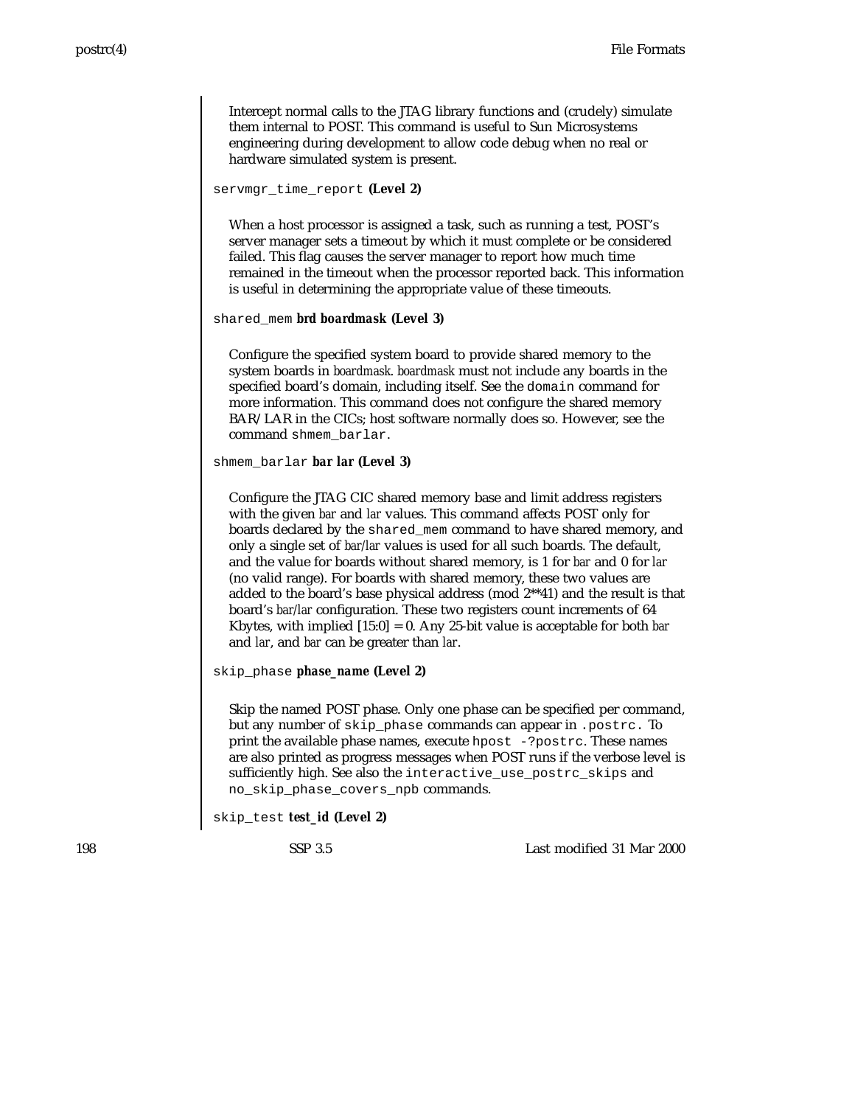Intercept normal calls to the JTAG library functions and (crudely) simulate them internal to POST. This command is useful to Sun Microsystems engineering during development to allow code debug when no real or hardware simulated system is present.

servmgr\_time\_report **(Level 2)**

When a host processor is assigned a task, such as running a test, POST's server manager sets a timeout by which it must complete or be considered failed. This flag causes the server manager to report how much time remained in the timeout when the processor reported back. This information is useful in determining the appropriate value of these timeouts.

shared\_mem *brd boardmask* **(Level 3)**

Configure the specified system board to provide shared memory to the system boards in *boardmask*. *boardmask* must not include any boards in the specified board's domain, including itself. See the domain command for more information. This command does not configure the shared memory BAR/LAR in the CICs; host software normally does so. However, see the command shmem\_barlar.

shmem\_barlar *bar lar* **(Level 3)**

Configure the JTAG CIC shared memory base and limit address registers with the given *bar* and *lar* values. This command affects POST only for boards declared by the shared\_mem command to have shared memory, and only a single set of *bar/lar* values is used for all such boards. The default, and the value for boards without shared memory, is 1 for *bar* and 0 for *lar* (no valid range). For boards with shared memory, these two values are added to the board's base physical address (mod 2\*\*41) and the result is that board's *bar/lar* configuration. These two registers count increments of 64 Kbytes, with implied [15:0] = 0. Any 25-bit value is acceptable for both *bar* and *lar*, and *bar* can be greater than *lar*.

skip\_phase *phase\_name* **(Level 2)**

Skip the named POST phase. Only one phase can be specified per command, but any number of skip phase commands can appear in .postrc. To print the available phase names, execute hpost -?postrc. These names are also printed as progress messages when POST runs if the verbose level is sufficiently high. See also the interactive\_use\_postrc\_skips and no\_skip\_phase\_covers\_npb commands.

skip\_test *test\_id* **(Level 2)**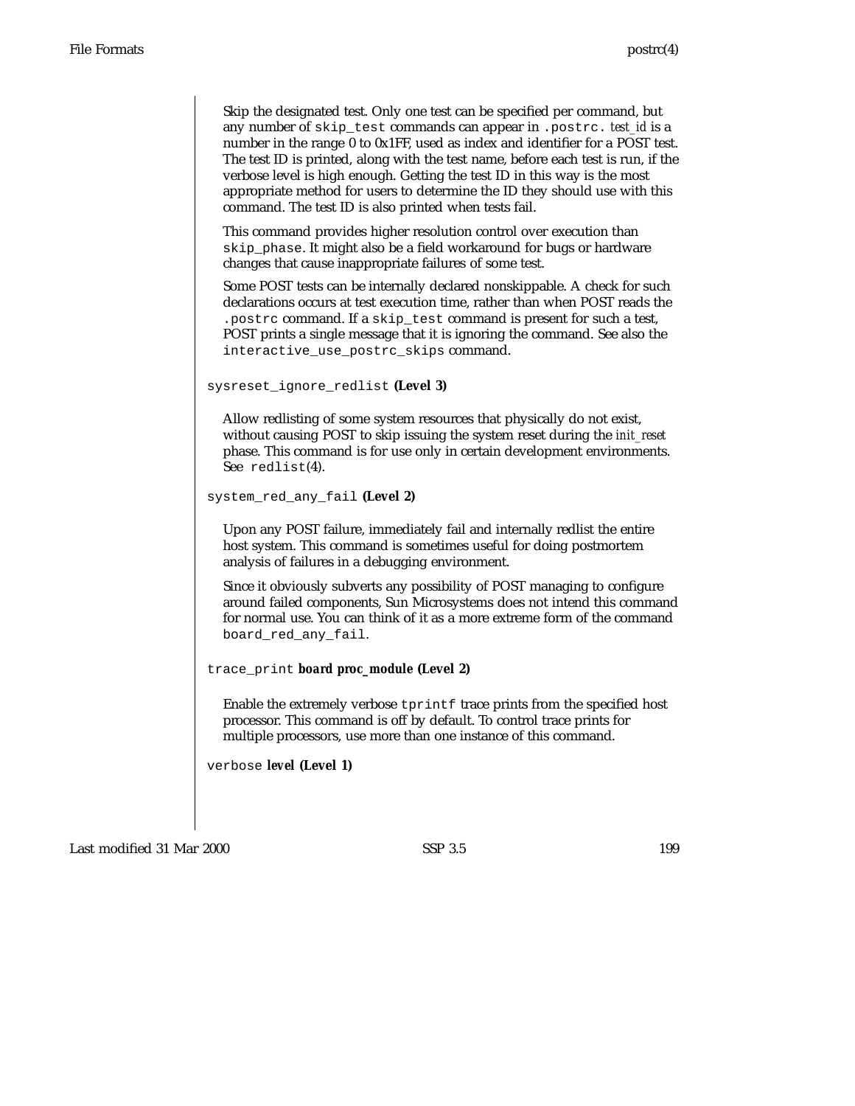| Skip the designated test. Only one test can be specified per command, but<br>any number of skip_test commands can appear in . postrc. test_id is a<br>number in the range 0 to 0x1FF, used as index and identifier for a POST test.<br>The test ID is printed, along with the test name, before each test is run, if the<br>verbose level is high enough. Getting the test ID in this way is the most<br>appropriate method for users to determine the ID they should use with this<br>command. The test ID is also printed when tests fail. |
|----------------------------------------------------------------------------------------------------------------------------------------------------------------------------------------------------------------------------------------------------------------------------------------------------------------------------------------------------------------------------------------------------------------------------------------------------------------------------------------------------------------------------------------------|
| This command provides higher resolution control over execution than<br>skip_phase. It might also be a field workaround for bugs or hardware<br>changes that cause inappropriate failures of some test.                                                                                                                                                                                                                                                                                                                                       |
| Some POST tests can be internally declared nonskippable. A check for such<br>declarations occurs at test execution time, rather than when POST reads the<br>. postrc command. If a skip_test command is present for such a test,<br>POST prints a single message that it is ignoring the command. See also the<br>interactive_use_postrc_skips command.                                                                                                                                                                                      |
| sysreset_ignore_redlist ( <b>Level 3)</b>                                                                                                                                                                                                                                                                                                                                                                                                                                                                                                    |
| Allow redlisting of some system resources that physically do not exist,<br>without causing POST to skip issuing the system reset during the init_reset<br>phase. This command is for use only in certain development environments.<br>See redlist(4).                                                                                                                                                                                                                                                                                        |
| system_red_any_fail (Level 2)                                                                                                                                                                                                                                                                                                                                                                                                                                                                                                                |
| Upon any POST failure, immediately fail and internally redlist the entire<br>host system. This command is sometimes useful for doing postmortem<br>analysis of failures in a debugging environment.                                                                                                                                                                                                                                                                                                                                          |
| Since it obviously subverts any possibility of POST managing to configure<br>around failed components, Sun Microsystems does not intend this command<br>for normal use. You can think of it as a more extreme form of the command<br>board_red_any_fail.                                                                                                                                                                                                                                                                                     |
| trace_print board proc_module (Level 2)                                                                                                                                                                                                                                                                                                                                                                                                                                                                                                      |

Enable the extremely verbose tprintf trace prints from the specified host processor. This command is off by default. To control trace prints for multiple processors, use more than one instance of this command.

verbose *level* **(Level 1)**

Last modified 31 Mar 2000 SSP 3.5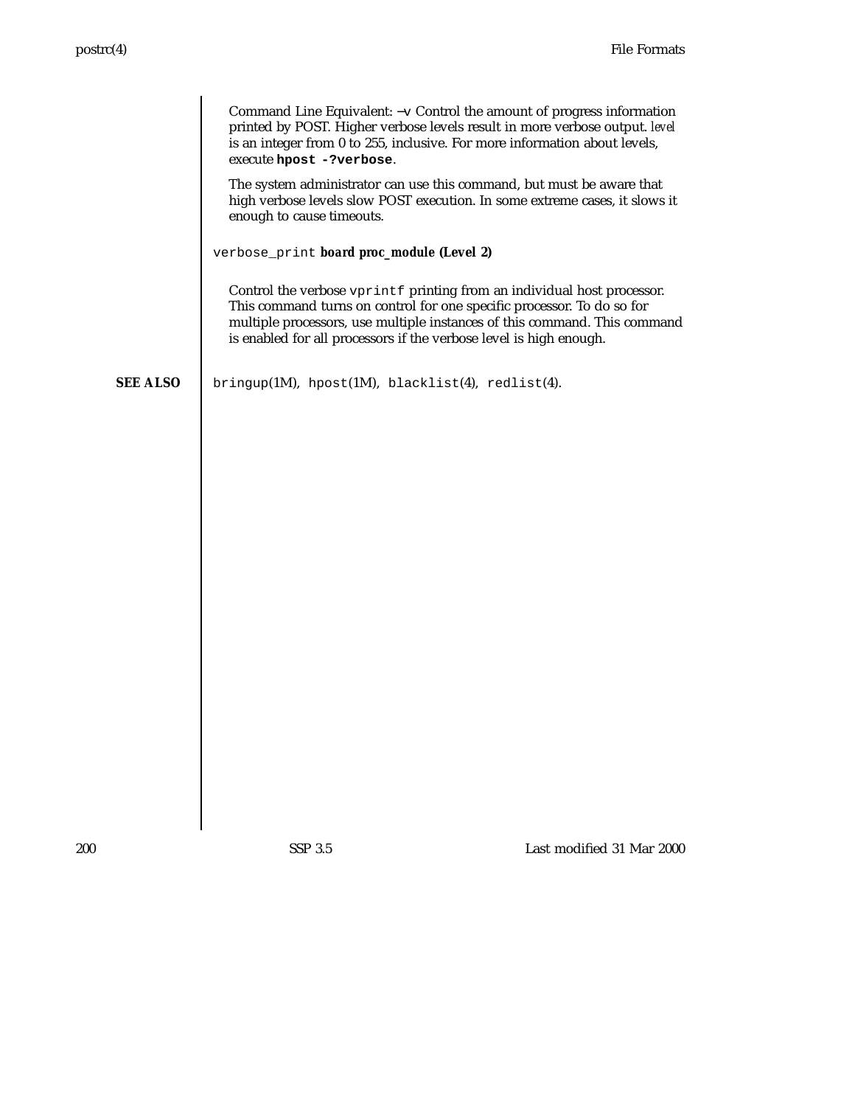|                 | Command Line Equivalent: $-v$ Control the amount of progress information<br>printed by POST. Higher verbose levels result in more verbose output. level<br>is an integer from 0 to 255, inclusive. For more information about levels,<br>execute hpost -?verbose.<br>The system administrator can use this command, but must be aware that<br>high verbose levels slow POST execution. In some extreme cases, it slows it<br>enough to cause timeouts.<br>verbose_print board proc_module (Level 2)<br>Control the verbose vprintf printing from an individual host processor. |
|-----------------|--------------------------------------------------------------------------------------------------------------------------------------------------------------------------------------------------------------------------------------------------------------------------------------------------------------------------------------------------------------------------------------------------------------------------------------------------------------------------------------------------------------------------------------------------------------------------------|
|                 | This command turns on control for one specific processor. To do so for<br>multiple processors, use multiple instances of this command. This command<br>is enabled for all processors if the verbose level is high enough.                                                                                                                                                                                                                                                                                                                                                      |
| <b>SEE ALSO</b> | bringup(1M), hpost(1M), blacklist(4), redlist(4).                                                                                                                                                                                                                                                                                                                                                                                                                                                                                                                              |
|                 |                                                                                                                                                                                                                                                                                                                                                                                                                                                                                                                                                                                |
|                 |                                                                                                                                                                                                                                                                                                                                                                                                                                                                                                                                                                                |
|                 |                                                                                                                                                                                                                                                                                                                                                                                                                                                                                                                                                                                |
|                 |                                                                                                                                                                                                                                                                                                                                                                                                                                                                                                                                                                                |
|                 |                                                                                                                                                                                                                                                                                                                                                                                                                                                                                                                                                                                |
|                 |                                                                                                                                                                                                                                                                                                                                                                                                                                                                                                                                                                                |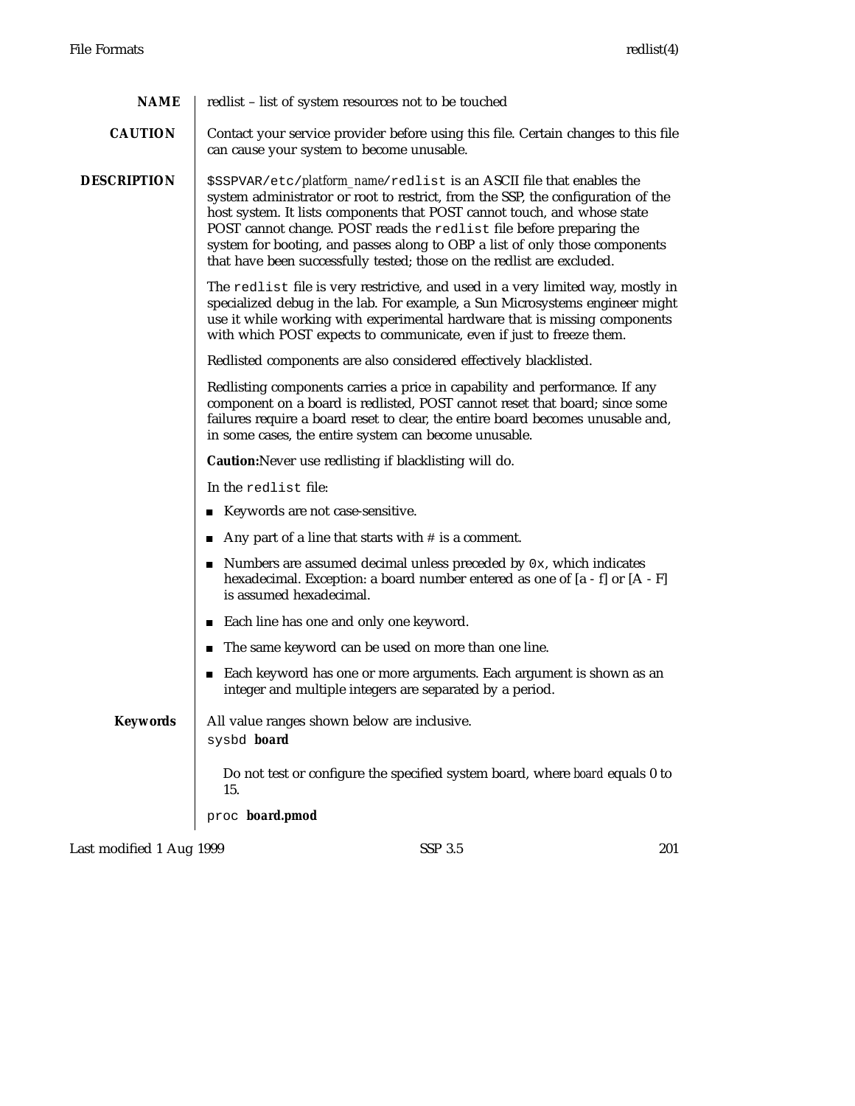| <b>NAME</b>        | redlist - list of system resources not to be touched                                                                                                                                                                                                                                                                                                                                                                                                                  |
|--------------------|-----------------------------------------------------------------------------------------------------------------------------------------------------------------------------------------------------------------------------------------------------------------------------------------------------------------------------------------------------------------------------------------------------------------------------------------------------------------------|
| <b>CAUTION</b>     | Contact your service provider before using this file. Certain changes to this file<br>can cause your system to become unusable.                                                                                                                                                                                                                                                                                                                                       |
| <b>DESCRIPTION</b> | \$SSPVAR/etc/platform_name/redlist is an ASCII file that enables the<br>system administrator or root to restrict, from the SSP, the configuration of the<br>host system. It lists components that POST cannot touch, and whose state<br>POST cannot change. POST reads the redlist file before preparing the<br>system for booting, and passes along to OBP a list of only those components<br>that have been successfully tested; those on the redlist are excluded. |
|                    | The redlist file is very restrictive, and used in a very limited way, mostly in<br>specialized debug in the lab. For example, a Sun Microsystems engineer might<br>use it while working with experimental hardware that is missing components<br>with which POST expects to communicate, even if just to freeze them.                                                                                                                                                 |
|                    | Redlisted components are also considered effectively blacklisted.                                                                                                                                                                                                                                                                                                                                                                                                     |
|                    | Redlisting components carries a price in capability and performance. If any<br>component on a board is redlisted, POST cannot reset that board; since some<br>failures require a board reset to clear, the entire board becomes unusable and,<br>in some cases, the entire system can become unusable.                                                                                                                                                                |
|                    | Caution: Never use redlisting if blacklisting will do.                                                                                                                                                                                                                                                                                                                                                                                                                |
|                    | In the redlist file:                                                                                                                                                                                                                                                                                                                                                                                                                                                  |
|                    | ■ Keywords are not case-sensitive.                                                                                                                                                                                                                                                                                                                                                                                                                                    |
|                    | • Any part of a line that starts with $\#$ is a comment.                                                                                                                                                                                                                                                                                                                                                                                                              |
|                    | $\blacksquare$ Numbers are assumed decimal unless preceded by 0x, which indicates<br>hexadecimal. Exception: a board number entered as one of [a - f] or [A - F]<br>is assumed hexadecimal.                                                                                                                                                                                                                                                                           |
|                    | Each line has one and only one keyword.                                                                                                                                                                                                                                                                                                                                                                                                                               |
|                    | ■ The same keyword can be used on more than one line.                                                                                                                                                                                                                                                                                                                                                                                                                 |
|                    | ■ Each keyword has one or more arguments. Each argument is shown as an<br>integer and multiple integers are separated by a period.                                                                                                                                                                                                                                                                                                                                    |
| <b>Keywords</b>    | All value ranges shown below are inclusive.<br>sysbd board                                                                                                                                                                                                                                                                                                                                                                                                            |
|                    | Do not test or configure the specified system board, where board equals 0 to<br>15.                                                                                                                                                                                                                                                                                                                                                                                   |
|                    | proc board.pmod                                                                                                                                                                                                                                                                                                                                                                                                                                                       |
|                    |                                                                                                                                                                                                                                                                                                                                                                                                                                                                       |

Last modified 1 Aug 1999 SSP 3.5 SSP 3.5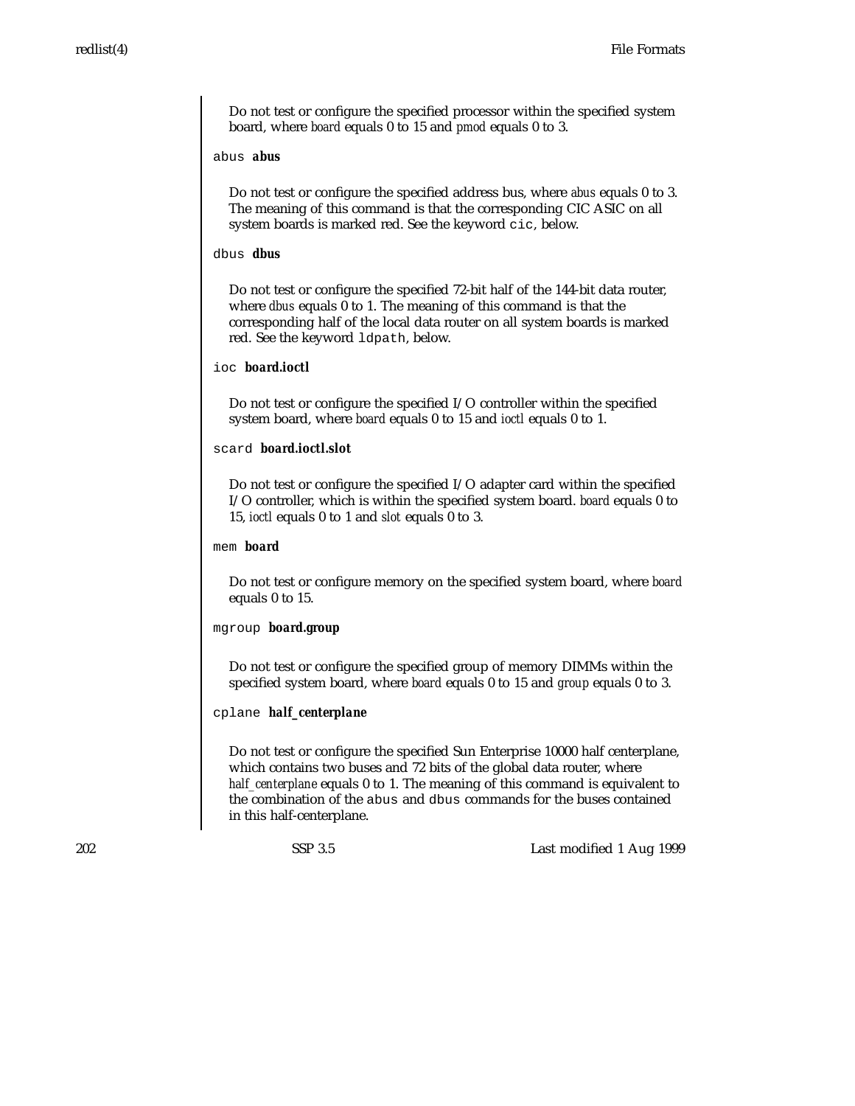Do not test or configure the specified processor within the specified system board, where *board* equals 0 to 15 and *pmod* equals 0 to 3.

### abus *abus*

Do not test or configure the specified address bus, where *abus* equals 0 to 3. The meaning of this command is that the corresponding CIC ASIC on all system boards is marked red. See the keyword cic, below.

# dbus *dbus*

Do not test or configure the specified 72-bit half of the 144-bit data router, where *dbus* equals 0 to 1. The meaning of this command is that the corresponding half of the local data router on all system boards is marked red. See the keyword ldpath, below.

ioc *board.ioctl*

Do not test or configure the specified I/O controller within the specified system board, where *board* equals 0 to 15 and *ioctl* equals 0 to 1.

### scard *board.ioctl.slot*

Do not test or configure the specified I/O adapter card within the specified I/O controller, which is within the specified system board. *board* equals 0 to 15, *ioctl* equals 0 to 1 and *slot* equals 0 to 3.

mem *board*

Do not test or configure memory on the specified system board, where *board* equals 0 to 15.

### mgroup *board.group*

Do not test or configure the specified group of memory DIMMs within the specified system board, where *board* equals 0 to 15 and *group* equals 0 to 3.

## cplane *half\_centerplane*

Do not test or configure the specified Sun Enterprise 10000 half centerplane, which contains two buses and 72 bits of the global data router, where *half\_centerplane* equals 0 to 1. The meaning of this command is equivalent to the combination of the abus and dbus commands for the buses contained in this half-centerplane.

202 SSP 3.5 Last modified 1 Aug 1999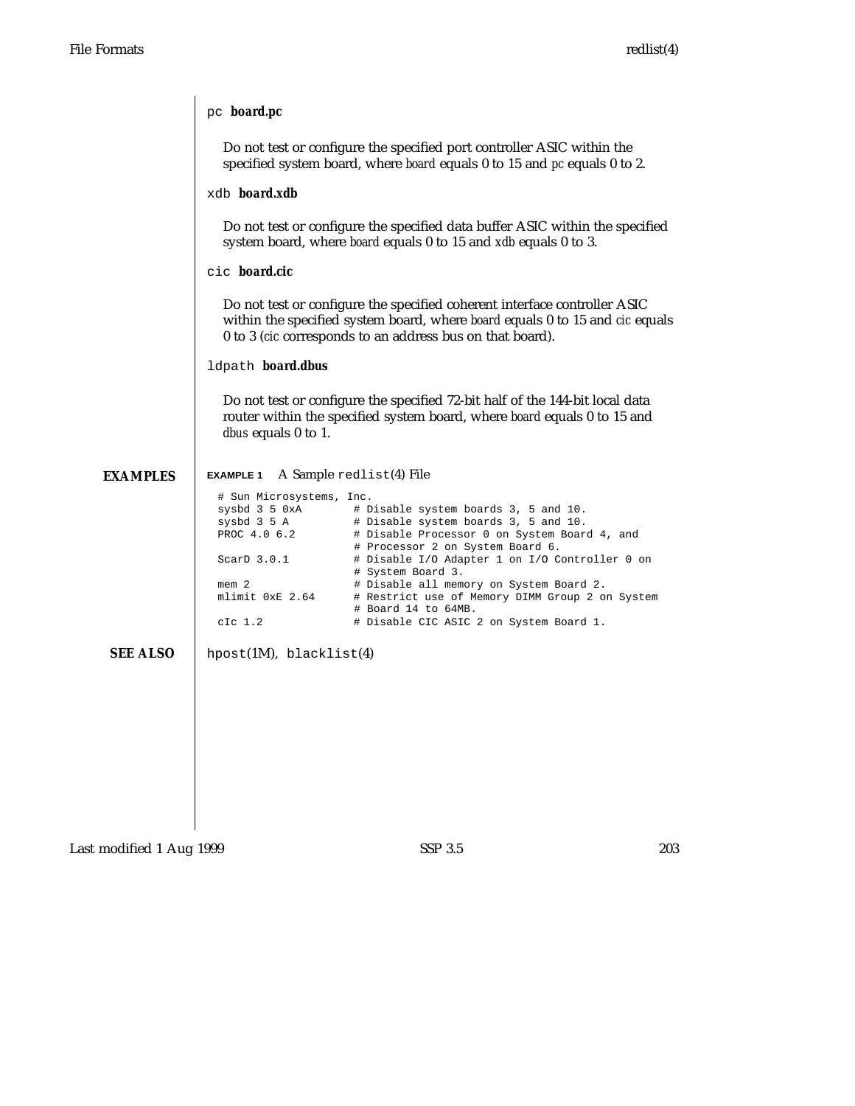|                 | pc board.pc                                                              |                                                                                                                                                                                                                        |
|-----------------|--------------------------------------------------------------------------|------------------------------------------------------------------------------------------------------------------------------------------------------------------------------------------------------------------------|
|                 |                                                                          | Do not test or configure the specified port controller ASIC within the<br>specified system board, where board equals 0 to 15 and pc equals 0 to 2.                                                                     |
|                 | xdb board.xdb                                                            |                                                                                                                                                                                                                        |
|                 |                                                                          | Do not test or configure the specified data buffer ASIC within the specified<br>system board, where board equals 0 to 15 and xdb equals 0 to 3.                                                                        |
|                 | cic board.cic                                                            |                                                                                                                                                                                                                        |
|                 |                                                                          | Do not test or configure the specified coherent interface controller ASIC<br>within the specified system board, where board equals 0 to 15 and cic equals<br>0 to 3 (cic corresponds to an address bus on that board). |
|                 | 1dpath board.dbus                                                        |                                                                                                                                                                                                                        |
|                 | dbus equals 0 to 1.                                                      | Do not test or configure the specified 72-bit half of the 144-bit local data<br>router within the specified system board, where board equals 0 to 15 and                                                               |
| <b>EXAMPLES</b> | <b>EXAMPLE 1</b>                                                         | A Sample redlist(4) File                                                                                                                                                                                               |
|                 | # Sun Microsystems, Inc.<br>sysbd 3 5 0xA<br>sysbd 3 5 A<br>PROC 4.0 6.2 | # Disable system boards 3, 5 and 10.<br># Disable system boards 3, 5 and 10.<br># Disable Processor 0 on System Board 4, and<br># Processor 2 on System Board 6.                                                       |
|                 | ScarD <sub>3.0.1</sub>                                                   | # Disable I/O Adapter 1 on I/O Controller 0 on<br># System Board 3.                                                                                                                                                    |
|                 | mem 2<br>mlimit 0xE 2.64                                                 | # Disable all memory on System Board 2.<br># Restrict use of Memory DIMM Group 2 on System                                                                                                                             |
|                 | $CIC$ 1.2                                                                | # Board 14 to 64MB.<br># Disable CIC ASIC 2 on System Board 1.                                                                                                                                                         |
| <b>SEE ALSO</b> | $hpost(1M)$ , blacklist $(4)$                                            |                                                                                                                                                                                                                        |
|                 |                                                                          |                                                                                                                                                                                                                        |
|                 |                                                                          |                                                                                                                                                                                                                        |
|                 |                                                                          |                                                                                                                                                                                                                        |

Last modified 1 Aug 1999 SSP 3.5 203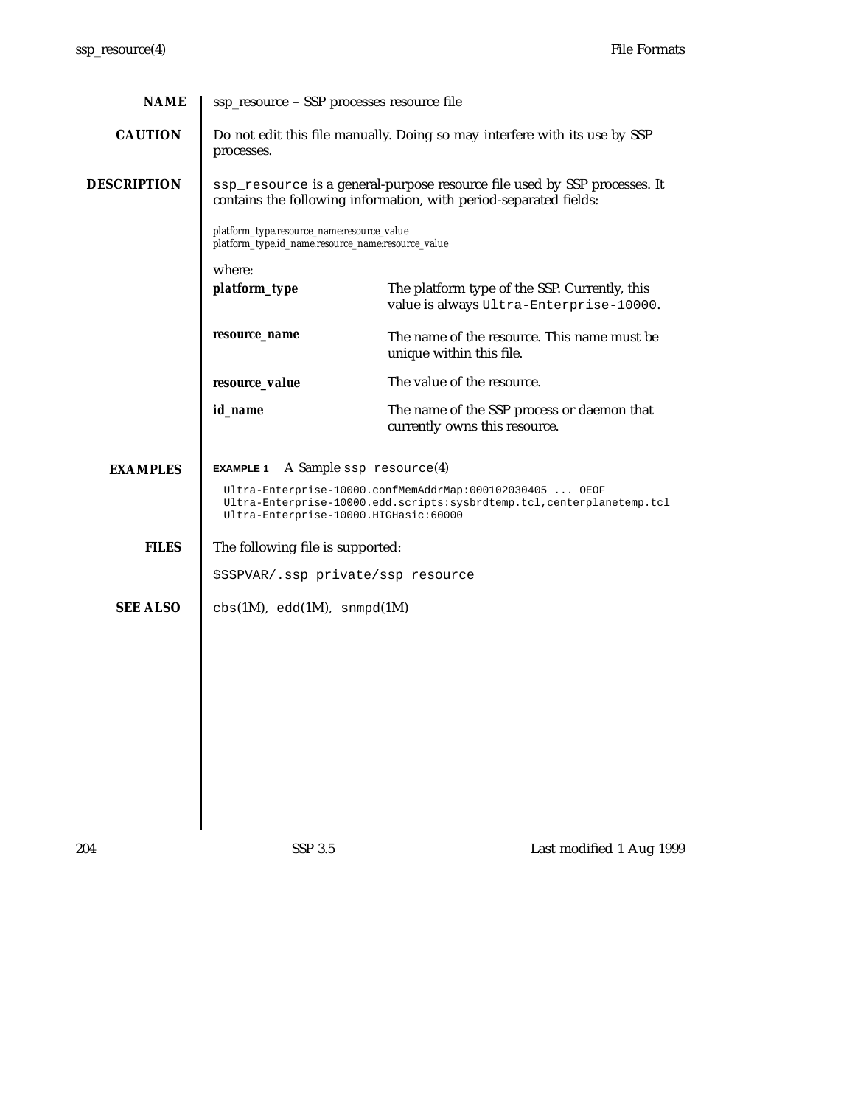| <b>NAME</b>        | ssp_resource - SSP processes resource file                                                                                                     |                                                                                                                                   |
|--------------------|------------------------------------------------------------------------------------------------------------------------------------------------|-----------------------------------------------------------------------------------------------------------------------------------|
| <b>CAUTION</b>     | processes.                                                                                                                                     | Do not edit this file manually. Doing so may interfere with its use by SSP                                                        |
| <b>DESCRIPTION</b> | ssp_resource is a general-purpose resource file used by SSP processes. It<br>contains the following information, with period-separated fields: |                                                                                                                                   |
|                    | platform_type.resource_name:resource_value<br>platform_type.id_name.resource_name:resource_value                                               |                                                                                                                                   |
|                    | where:                                                                                                                                         |                                                                                                                                   |
|                    | platform_type                                                                                                                                  | The platform type of the SSP. Currently, this<br>value is always Ultra-Enterprise-10000.                                          |
|                    | resource_name                                                                                                                                  | The name of the resource. This name must be.<br>unique within this file.                                                          |
|                    | resource_value                                                                                                                                 | The value of the resource.                                                                                                        |
|                    | id_name                                                                                                                                        | The name of the SSP process or daemon that<br>currently owns this resource.                                                       |
| <b>EXAMPLES</b>    | A Sample ssp_resource(4)<br><b>EXAMPLE 1</b>                                                                                                   |                                                                                                                                   |
|                    | Ultra-Enterprise-10000.HIGHasic:60000                                                                                                          | Ultra-Enterprise-10000.confMemAddrMap:000102030405  OEOF<br>Ultra-Enterprise-10000.edd.scripts:sysbrdtemp.tcl,centerplanetemp.tcl |
| <b>FILES</b>       | The following file is supported:                                                                                                               |                                                                                                                                   |
|                    | \$SSPVAR/.ssp_private/ssp_resource                                                                                                             |                                                                                                                                   |
| <b>SEE ALSO</b>    | $cbs(1M)$ , $edd(1M)$ , snmpd $(1M)$                                                                                                           |                                                                                                                                   |
|                    |                                                                                                                                                |                                                                                                                                   |
|                    |                                                                                                                                                |                                                                                                                                   |
|                    |                                                                                                                                                |                                                                                                                                   |
|                    |                                                                                                                                                |                                                                                                                                   |
|                    |                                                                                                                                                |                                                                                                                                   |
|                    |                                                                                                                                                |                                                                                                                                   |
|                    |                                                                                                                                                |                                                                                                                                   |

204 SSP 3.5 Last modified 1 Aug 1999